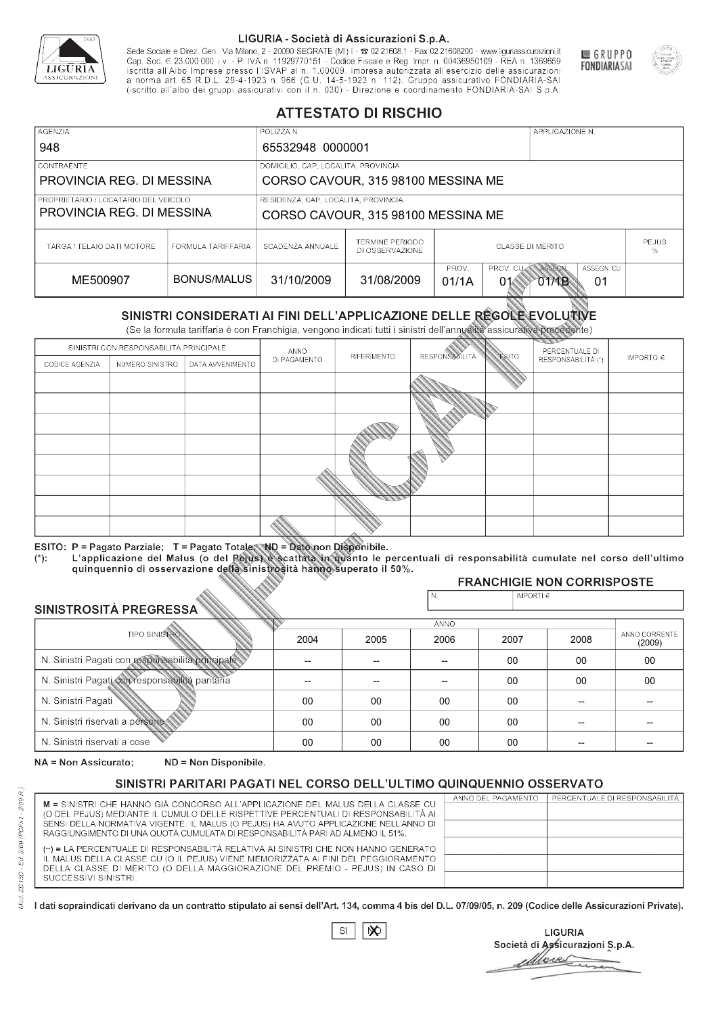

Sede Sociale e Direz. Gen.: Via Milano, 2 - 20090 SEGRATE (MI) I - 2 02.21608.1 - Fax 02.21608200 - www.liguriassicurazioni.it Sede e Direz, Gen. Via Milanto, 2 - 20090 SEGATE (MI) I - 2 UZZIODO. I - FAX UZZIODO2 I - WWW. IIJONENSURIADONILI<br>Cap. Soc. € 23.000.000 i.v. - P. IVA n. 11929770151 - Codice Fiscale e Reg. Impr. n. 00436950109 - REA n. 1



GRUPPO

**FONDIARIASAI** 

# **ATTESTATO DI RISCHIO**

| <b>AGENZIA</b>                                                    |                    | POLIZZA N.                                                                           |                                    |                              |  | APPLICAZIONE N. |              |  |
|-------------------------------------------------------------------|--------------------|--------------------------------------------------------------------------------------|------------------------------------|------------------------------|--|-----------------|--------------|--|
| 948                                                               |                    | 65532948 0000001                                                                     |                                    |                              |  |                 |              |  |
| <b>CONTRAENTE</b>                                                 |                    | DOMICILIO, CAP, LOCALITÀ, PROVINCIA                                                  |                                    |                              |  |                 |              |  |
| PROVINCIA REG. DI MESSINA                                         |                    | CORSO CAVOUR, 315 98100 MESSINA ME                                                   |                                    |                              |  |                 |              |  |
| PROPRIETARIO / LOCATARIO DEL VEICOLO<br>PROVINCIA REG. DI MESSINA |                    | RESIDENZA, CAP, LOCALITÀ, PROVINCIA<br>CORSO CAVOUR, 315 98100 MESSINA ME            |                                    |                              |  |                 |              |  |
| TARGA / TELAIO DATI MOTORE                                        | FORMULA TARIFFARIA | SCADENZA ANNUALE                                                                     | TERMINE PERIODO<br>DI OSSERVAZIONE | <b>CLASSE DI MERITO</b><br>% |  |                 | <b>PEJUS</b> |  |
| ME500907                                                          | BONUS/MALUS        | PROV. CUAN ASSEGN<br>PROV.<br>31/10/2009<br>31/08/2009<br>01/1A<br>01<br>01<br>01/1B |                                    |                              |  | ASSEGN. CU      |              |  |

|                                 |                      |                                                                                                                                                                                                      |              | DI OSSERVAZIONE    |                       |                    |                                    | %                       |
|---------------------------------|----------------------|------------------------------------------------------------------------------------------------------------------------------------------------------------------------------------------------------|--------------|--------------------|-----------------------|--------------------|------------------------------------|-------------------------|
| ME500907                        |                      | <b>BONUS/MALUS</b>                                                                                                                                                                                   | 31/10/2009   | 31/08/2009         | PROV.<br>01/1A        | PROV. CU<br>01     | ASSEGN<br>ASSEGN. CU<br>O1MB<br>01 |                         |
|                                 |                      | SINISTRI CONSIDERATI AI FINI DELL'APPLICAZIONE DELLE RÉGOLE EVOLUTIVE<br>(Se la formula tariffaria è con Franchigia, vengono indicati tutti i sinistri dell'annualità assicurativa precedente)       |              |                    |                       |                    |                                    |                         |
|                                 |                      | SINISTRI CON RESPONSABILITÀ PRINCIPALE                                                                                                                                                               | ANNO         |                    |                       |                    | PERCENTUALE DI                     |                         |
| CODICE AGENZIA                  | NUMERO SINISTRO      | DATA AVVENIMENTO                                                                                                                                                                                     | DI PAGAMENTO | <b>RIFERIMENTO</b> | <b>RESPONSABILITÀ</b> | ESITO              | RESPONSABILITÀ (*)                 | IMPORTO $\in$           |
|                                 |                      |                                                                                                                                                                                                      |              |                    |                       |                    |                                    |                         |
|                                 |                      |                                                                                                                                                                                                      |              |                    |                       |                    |                                    |                         |
|                                 |                      |                                                                                                                                                                                                      |              |                    |                       |                    |                                    |                         |
|                                 |                      |                                                                                                                                                                                                      |              |                    |                       |                    |                                    |                         |
|                                 |                      |                                                                                                                                                                                                      |              |                    |                       |                    |                                    |                         |
|                                 |                      |                                                                                                                                                                                                      |              |                    |                       |                    |                                    |                         |
|                                 |                      |                                                                                                                                                                                                      |              |                    |                       |                    |                                    |                         |
|                                 |                      |                                                                                                                                                                                                      |              |                    |                       |                    |                                    |                         |
|                                 |                      |                                                                                                                                                                                                      |              |                    |                       |                    |                                    |                         |
|                                 |                      | ESITO: P = Pagato Parziale; T = Pagato Totale; ND = Dato non Disponibile.                                                                                                                            |              |                    |                       |                    |                                    |                         |
| $(*)$ :                         |                      | L'applicazione del Malus (o del Pejus) è scattata in quanto le percentuali di responsabilità cumulate nel corso dell'ultimo<br>quinquennio di osservazione della sinistrosità hanno superato il 50%. |              |                    |                       |                    |                                    |                         |
|                                 |                      |                                                                                                                                                                                                      |              |                    |                       |                    | <b>FRANCHIGIE NON CORRISPOSTE</b>  |                         |
| SINISTROSITÀ PREGRESSA          |                      |                                                                                                                                                                                                      |              |                    | N.                    | IMPORTI $\epsilon$ |                                    |                         |
|                                 |                      |                                                                                                                                                                                                      |              |                    | ANNO                  |                    |                                    |                         |
|                                 | <b>TIPO SINISTRO</b> |                                                                                                                                                                                                      | 2004         | 2005               | 2006                  | 2007               | 2008                               | ANNO CORRENTE<br>(2009) |
|                                 |                      | N. Sinistri Pagati con responsabilità principale                                                                                                                                                     | --           | $-$                | $-$                   | 00                 | 00                                 | $00\,$                  |
|                                 |                      | N. Sinistri Pagati con responsabilità paritaria                                                                                                                                                      |              |                    |                       | 00                 | 00                                 | 00                      |
| N. Sinistri Pagati              |                      |                                                                                                                                                                                                      | 00           | 00                 | 00                    | $00\,$             |                                    |                         |
| N. Sinistri riservati a persone |                      |                                                                                                                                                                                                      | $00\,$       | 00                 | 00                    | $00\,$             |                                    |                         |
| N. Sinjetri riconvoti a coco    |                      |                                                                                                                                                                                                      | $\cap$       | $\cap$             | $\cap$                | $\cap$             |                                    |                         |

### 2005 -- --  $0<sup>0</sup>$ 00 00 2004 -- --  $0<sup>0</sup>$ 00 00 2006 -- --  $0<sub>0</sub>$ 00 00 2007 00 00 00 00 00 2008 00 00 -- -- -- 00 00 -- -- -- (2009)

NA = Non Assicurato: ND = Non Disponibile.

# SINISTRI PARITARI PAGATI NEL CORSO DELL'ULTIMO QUINQUENNIO OSSERVATO

|                                                                                                                                                                      | ANNO DEL PAGAMENTO | PERCENTUALE DI RESPONSABILITÀ |
|----------------------------------------------------------------------------------------------------------------------------------------------------------------------|--------------------|-------------------------------|
| M = SINISTRI CHE HANNO GIÀ CONCORSO ALL'APPLICAZIONE DEL MALUS DELLA CLASSE CU<br>(O DEL PEJUS) MEDIANTE IL CUMULO DELLE RISPETTIVE PERCENTUALI DI RESPONSABILITÀ AI |                    |                               |
| SENSI DELLA NORMATIVA VIGENTE. IL MALUS (O PEJUS) HA AVUTO APPLICAZIONE NELL'ANNO DI                                                                                 |                    |                               |
| RAGGIUNGIMENTO DI UNA QUOTA CUMULATA DI RESPONSABILITÀ PARI AD ALMENO IL 51%.                                                                                        |                    |                               |
|                                                                                                                                                                      |                    |                               |
| (**) = LA PERCENTUALE DI RESPONSABILITÀ RELATIVA AI SINISTRI CHE NON HANNO GENERATO                                                                                  |                    |                               |
| IL MALUS DELLA CLASSE CU (O IL PEJUS) VIENE MEMORIZZATA AI FINI DEL PEGGIORAMENTO                                                                                    |                    |                               |
| DELLA CLASSE DI MERITO (O DELLA MAGGIORAZIONE DEL PREMIO - PEJUS) IN CASO DI                                                                                         |                    |                               |
| SUCCESSIVI SINISTRI.                                                                                                                                                 |                    |                               |
|                                                                                                                                                                      |                    |                               |

 $\mathbb{S}\mathsf{I}$  $\infty$ 

**LIGURIA** Società di Assicurazioni S.p.A. Move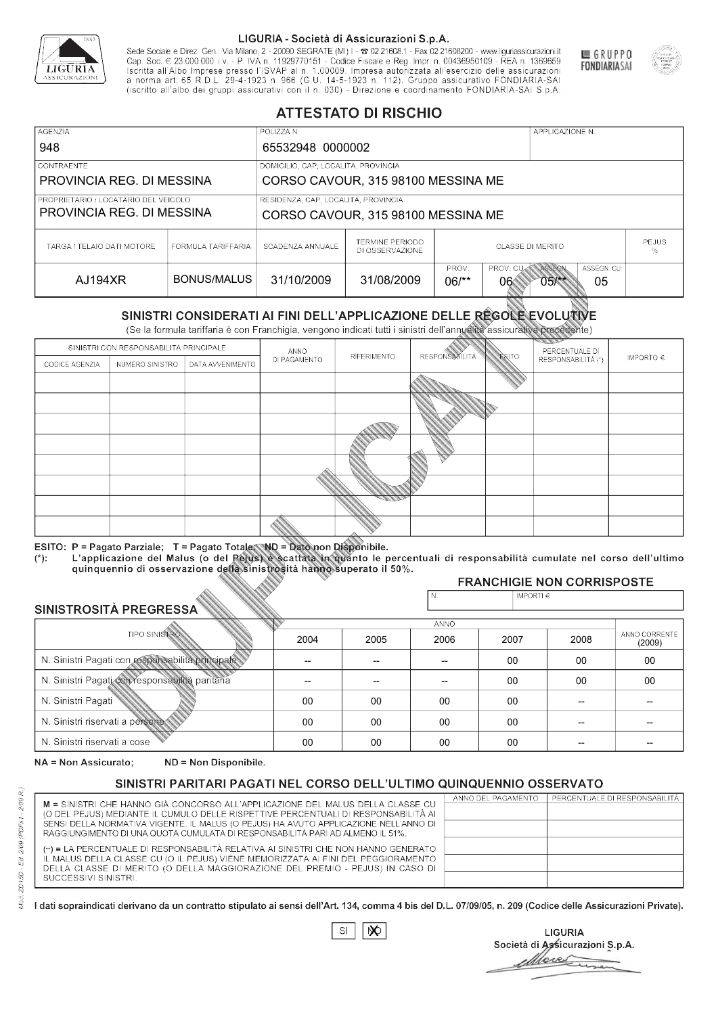

Sede Sociale e Direz. Gen.: Via Milano, 2 - 20090 SEGRATE (MI) I - 2 02.21608.1 - Fax 02.21608200 - www.liguriassicurazioni.it Cap. Soc.  $\in$  23.000.000 i.v. - P. IVA n. 11929770151 - Codice Fiscale e Reg. Impr. n. 00436950109 - REA n. 1369659<br>Iscritta all'Albo Imprese presso l'ISVAP al n. 1.00009. Impresa autorizzata all'esercizio delle assicura d homa art. 65 K.D.L. 29-4-1923 ft. 900 (G.O. 14-5-1923 ft. 112). Gruppo assicurativo PONDIARIA-SAI S.p.A



GRUPPO

**FONDIARIASAI** 

# **ATTESTATO DI RISCHIO**

| <b>AGENZIA</b><br>948                                             |                    | POLIZZA N.<br>65532948 0000002                                                                     |                                    |                                              | APPLICAZIONE N. |  |
|-------------------------------------------------------------------|--------------------|----------------------------------------------------------------------------------------------------|------------------------------------|----------------------------------------------|-----------------|--|
| <b>CONTRAENTE</b><br>PROVINCIA REG. DI MESSINA                    |                    | DOMICILIO, CAP, LOCALITÀ, PROVINCIA<br>CORSO CAVOUR, 315 98100 MESSINA ME                          |                                    |                                              |                 |  |
| PROPRIETARIO / LOCATARIO DEL VEICOLO<br>PROVINCIA REG. DI MESSINA |                    | RESIDENZA, CAP, LOCALITÀ, PROVINCIA                                                                | CORSO CAVOUR, 315 98100 MESSINA ME |                                              |                 |  |
| TARGA / TELAIO DATI MOTORE                                        | FORMULA TARIFFARIA | SCADENZA ANNUALE                                                                                   | TERMINE PERIODO<br>DI OSSERVAZIONE | <b>PEJUS</b><br><b>CLASSE DI MERITO</b><br>% |                 |  |
| AJ194XR                                                           | BONUS/MALUS        | PROV. CUAN ASSEGN<br>PROV.<br>ASSEGN. CU<br>31/10/2009<br>31/08/2009<br>$06$ /**<br>06<br>$05$ /** |                                    |                                              |                 |  |

|                                 |                      |                                                                                                                                                                                                      |              | DI OSSERVAZIONE |                      |                    |                                        | %                       |
|---------------------------------|----------------------|------------------------------------------------------------------------------------------------------------------------------------------------------------------------------------------------------|--------------|-----------------|----------------------|--------------------|----------------------------------------|-------------------------|
| AJ194XR                         |                      | <b>BONUS/MALUS</b>                                                                                                                                                                                   | 31/10/2009   | 31/08/2009      | PROV.<br>$06/*$      | PROV. CU<br>06     | ASSEGN<br>ASSEGN. CU<br>$05$ /**<br>05 |                         |
|                                 |                      | SINISTRI CONSIDERATI AI FINI DELL'APPLICAZIONE DELLE RÉGOLE EVOLUTIVE<br>(Se la formula tariffaria è con Franchigia, vengono indicati tutti i sinistri dell'annualità assicurativa precedente)       |              |                 |                      |                    |                                        |                         |
|                                 |                      | SINISTRI CON RESPONSABILITÀ PRINCIPALE                                                                                                                                                               | ANNO         |                 |                      |                    | PERCENTUALE DI                         |                         |
| CODICE AGENZIA                  | NUMERO SINISTRO      | DATA AVVENIMENTO                                                                                                                                                                                     | DI PAGAMENTO | RIFERIMENTO     | <b>RESPONSABLITA</b> | <b>ESITO</b>       | RESPONSABILITÀ (*)                     | IMPORTO $\in$           |
|                                 |                      |                                                                                                                                                                                                      |              |                 |                      |                    |                                        |                         |
|                                 |                      |                                                                                                                                                                                                      |              |                 |                      |                    |                                        |                         |
|                                 |                      |                                                                                                                                                                                                      |              |                 |                      |                    |                                        |                         |
|                                 |                      |                                                                                                                                                                                                      |              |                 |                      |                    |                                        |                         |
|                                 |                      |                                                                                                                                                                                                      |              |                 |                      |                    |                                        |                         |
|                                 |                      |                                                                                                                                                                                                      |              |                 |                      |                    |                                        |                         |
|                                 |                      |                                                                                                                                                                                                      |              |                 |                      |                    |                                        |                         |
|                                 |                      |                                                                                                                                                                                                      |              |                 |                      |                    |                                        |                         |
|                                 |                      |                                                                                                                                                                                                      |              |                 |                      |                    |                                        |                         |
|                                 |                      | ESITO: P = Pagato Parziale; T = Pagato Totale; ND = Dato non Disponibile.                                                                                                                            |              |                 |                      |                    |                                        |                         |
| $(*)$ .                         |                      | L'applicazione del Malus (o del Pejus) è scattata in quanto le percentuali di responsabilità cumulate nel corso dell'ultimo<br>quinquennio di osservazione della sinistrosità hanno superato il 50%. |              |                 |                      |                    |                                        |                         |
|                                 |                      |                                                                                                                                                                                                      |              |                 |                      |                    | <b>FRANCHIGIE NON CORRISPOSTE</b>      |                         |
|                                 |                      |                                                                                                                                                                                                      |              |                 | N.                   | IMPORTI $\epsilon$ |                                        |                         |
| SINISTROSITÀ PREGRESSA          |                      |                                                                                                                                                                                                      |              |                 | <b>ANNO</b>          |                    |                                        |                         |
|                                 | <b>TIPO SINISTRO</b> |                                                                                                                                                                                                      | 2004         | 2005            | 2006                 | 2007               | 2008                                   | ANNO CORRENTE<br>(2009) |
|                                 |                      | N. Sinistri Pagati con responsabilità principale                                                                                                                                                     | --           | --              | $\overline{a}$       | 00                 | 00                                     | $00\,$                  |
|                                 |                      | N. Sinistri Pagati con responsabilità paritaria                                                                                                                                                      |              |                 |                      | 00                 | 00                                     | 00                      |
| N. Sinistri Pagati              |                      |                                                                                                                                                                                                      | $00\,$       | 00              | 00                   | 00                 | --                                     |                         |
| N. Sinistri riservati a persone |                      |                                                                                                                                                                                                      | 00           | 00              | 00                   | 00                 |                                        |                         |
| N. Sinjetri riconvoti a coco    |                      |                                                                                                                                                                                                      | $\cap$       | $\cap$          | $\cap$               | $\sim$             |                                        |                         |

### 2005 -- --  $0<sup>0</sup>$ 00 00 2004 -- --  $0<sup>0</sup>$ 00 00 2006 -- -- 00 00 00 2007 00 00 00 00 00 2008 00 00 -- -- -- 00 00 -- -- -- (2009)

NA = Non Assicurato: ND = Non Disponibile.

# SINISTRI PARITARI PAGATI NEL CORSO DELL'ULTIMO QUINQUENNIO OSSERVATO

| M = SINISTRI CHE HANNO GIÀ CONCORSO ALL'APPLICAZIONE DEL MALUS DELLA CLASSE CU       | ANNO DEL PAGAMENTO | PERCENTUALE DI RESPONSABILITÀ |
|--------------------------------------------------------------------------------------|--------------------|-------------------------------|
| (O DEL PEJUS) MEDIANTE IL CUMULO DELLE RISPETTIVE PERCENTUALI DI RESPONSABILITÀ AI   |                    |                               |
| SENSI DELLA NORMATIVA VIGENTE. IL MALUS (O PEJUS) HA AVUTO APPLICAZIONE NELL'ANNO DI |                    |                               |
| RAGGIUNGIMENTO DI UNA QUOTA CUMULATA DI RESPONSABILITÀ PARI AD ALMENO IL 51%.        |                    |                               |
| (**) = LA PERCENTUALE DI RESPONSABILITÀ RELATIVA AI SINISTRI CHE NON HANNO GENERATO  |                    |                               |
| IL MALUS DELLA CLASSE CU (O IL PEJUS) VIENE MEMORIZZATA AI FINI DEL PEGGIORAMENTO    |                    |                               |
| DELLA CLASSE DI MERITO (O DELLA MAGGIORAZIONE DEL PREMIO - PEJUS) IN CASO DI         |                    |                               |
| SUCCESSIVI SINISTRI.                                                                 |                    |                               |
|                                                                                      |                    |                               |

 $\mathbb{S}\mathsf{I}$  $\infty$ 

**LIGURIA** Società di Assicurazioni S.p.A. Move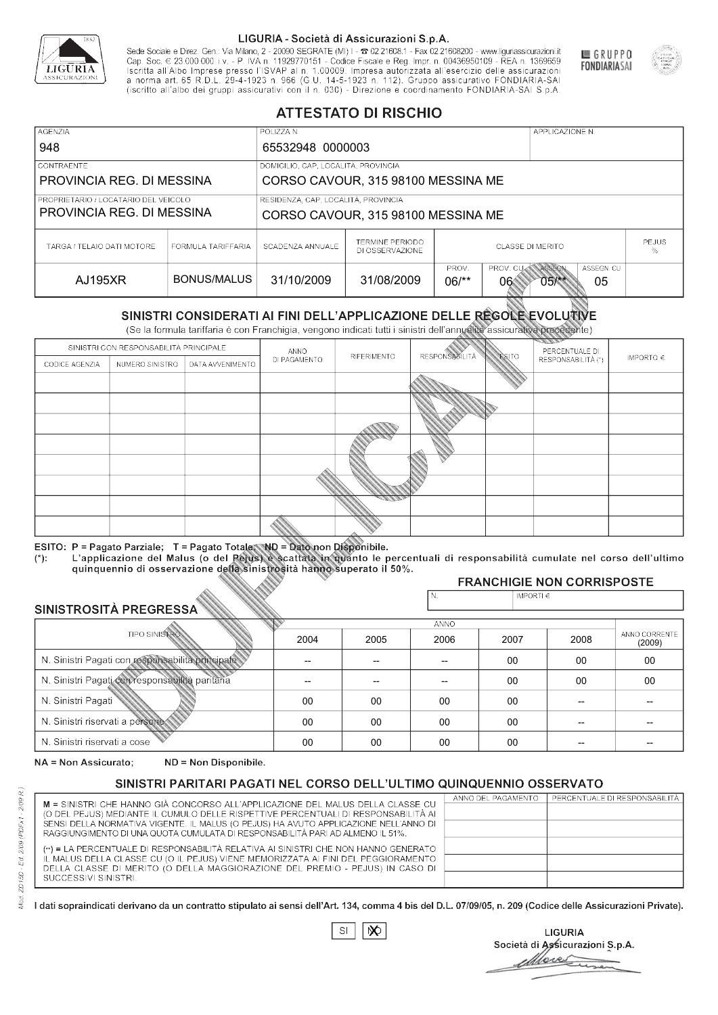

Sede Sociale e Direz. Gen.: Via Milano, 2 - 20090 SEGRATE (MI) I - 2 02.21608.1 - Fax 02.21608200 - www.liguriassicurazioni.it Cap. Soc.  $\in$  23.000.000 i.v. - P. IVA n. 11929770151 - Codice Fiscale e Reg. Impr. n. 00436950109 - REA n. 1369659<br>Iscritta all'Albo Imprese presso l'ISVAP al n. 1.00009. Impresa autorizzata all'esercizio delle assicura d homa art. 65 K.D.L. 29-4-1923 ft. 900 (G.O. 14-5-1923 ft. 112). Gruppo assicurativo PONDIARIA-SAI S.p.A



GRUPPO

**FONDIARIASAI** 

# **ATTESTATO DI RISCHIO**

| <b>AGENZIA</b><br>948                                             |                    | POLIZZA N.<br>65532948 0000003                                                                     |                                    |                                              | APPLICAZIONE N. |  |
|-------------------------------------------------------------------|--------------------|----------------------------------------------------------------------------------------------------|------------------------------------|----------------------------------------------|-----------------|--|
| <b>CONTRAENTE</b><br>PROVINCIA REG. DI MESSINA                    |                    | DOMICILIO, CAP, LOCALITÀ, PROVINCIA<br>CORSO CAVOUR, 315 98100 MESSINA ME                          |                                    |                                              |                 |  |
| PROPRIETARIO / LOCATARIO DEL VEICOLO<br>PROVINCIA REG. DI MESSINA |                    | RESIDENZA, CAP, LOCALITÀ, PROVINCIA                                                                | CORSO CAVOUR, 315 98100 MESSINA ME |                                              |                 |  |
| TARGA / TELAIO DATI MOTORE                                        | FORMULA TARIFFARIA | SCADENZA ANNUALE                                                                                   | TERMINE PERIODO<br>DI OSSERVAZIONE | <b>PEJUS</b><br><b>CLASSE DI MERITO</b><br>% |                 |  |
| AJ195XR                                                           | BONUS/MALUS        | PROV. CUAN ASSEGN<br>PROV.<br>ASSEGN. CU<br>31/10/2009<br>31/08/2009<br>$06$ /**<br>06<br>$05$ /** |                                    |                                              |                 |  |

|                                 |                      |                                                                                                                                                                                                      |                | DI OSSERVAZIONE          |                      |                |                                        | ℅                       |  |
|---------------------------------|----------------------|------------------------------------------------------------------------------------------------------------------------------------------------------------------------------------------------------|----------------|--------------------------|----------------------|----------------|----------------------------------------|-------------------------|--|
| <b>AJ195XR</b>                  |                      | <b>BONUS/MALUS</b>                                                                                                                                                                                   | 31/10/2009     | 31/08/2009               | PROV.<br>$06/*$      | PROV. CU<br>06 | ASSEGN<br>ASSEGN. CU<br>$05/***$<br>05 |                         |  |
|                                 |                      | SINISTRI CONSIDERATI AI FINI DELL'APPLICAZIONE DELLE REGOLE EVOLUTIVE<br>(Se la formula tariffaria è con Franchigia, vengono indicati tutti i sinistri dell'annualità assicurativa precedente)       |                |                          |                      |                |                                        |                         |  |
|                                 |                      | SINISTRI CON RESPONSABILITÀ PRINCIPALE                                                                                                                                                               | ANNO           |                          |                      |                | PERCENTUALE DI                         |                         |  |
| CODICE AGENZIA                  | NUMERO SINISTRO      | DATA AVVENIMENTO                                                                                                                                                                                     | DI PAGAMENTO   | RIFERIMENTO              | <b>RESPONSABLITA</b> | <b>ESITO</b>   | RESPONSABILITÀ (*)                     | IMPORTO $\in$           |  |
|                                 |                      |                                                                                                                                                                                                      |                |                          |                      |                |                                        |                         |  |
|                                 |                      |                                                                                                                                                                                                      |                |                          |                      |                |                                        |                         |  |
|                                 |                      |                                                                                                                                                                                                      |                |                          |                      |                |                                        |                         |  |
|                                 |                      |                                                                                                                                                                                                      |                |                          |                      |                |                                        |                         |  |
|                                 |                      |                                                                                                                                                                                                      |                |                          |                      |                |                                        |                         |  |
|                                 |                      |                                                                                                                                                                                                      |                |                          |                      |                |                                        |                         |  |
|                                 |                      |                                                                                                                                                                                                      |                |                          |                      |                |                                        |                         |  |
|                                 |                      |                                                                                                                                                                                                      |                |                          |                      |                |                                        |                         |  |
|                                 |                      |                                                                                                                                                                                                      |                |                          |                      |                |                                        |                         |  |
|                                 |                      | ESITO: P = Pagato Parziale; T = Pagato Totale; ND = Dato non Disponibile.                                                                                                                            |                |                          |                      |                |                                        |                         |  |
| $(*)$ :                         |                      | L'applicazione del Malus (o del Pejus) è scattata in quanto le percentuali di responsabilità cumulate nel corso dell'ultimo<br>quinquennio di osservazione della sinistrosità hanno superato il 50%. |                |                          |                      |                |                                        |                         |  |
|                                 |                      |                                                                                                                                                                                                      |                |                          |                      |                | <b>FRANCHIGIE NON CORRISPOSTE</b>      |                         |  |
|                                 |                      |                                                                                                                                                                                                      |                |                          | N.                   | IMPORTI€       |                                        |                         |  |
| SINISTROSITÀ PREGRESSA          |                      |                                                                                                                                                                                                      |                |                          | ANNO                 |                |                                        |                         |  |
|                                 | <b>TIPO SINISTRO</b> |                                                                                                                                                                                                      | 2004           | 2005                     | 2006                 | 2007           | 2008                                   | ANNO CORRENTE<br>(2009) |  |
|                                 |                      | N. Sinistri Pagati con responsabilità principale                                                                                                                                                     | $\overline{a}$ | $\overline{\phantom{a}}$ | $-$                  | 00             | 00                                     | $00\,$                  |  |
|                                 |                      | N. Sinistri Pagati con responsabilità paritaria                                                                                                                                                      | --             |                          |                      | 00             | 00                                     | 00                      |  |
| N. Sinistri Pagati              |                      |                                                                                                                                                                                                      | 00             | 00                       | 00                   | 00             |                                        |                         |  |
| N. Sinistri riservati a persone |                      |                                                                                                                                                                                                      | 00             | 00                       | 00                   | 00             |                                        |                         |  |
| N. Sinjetri riconvoti a coco    |                      |                                                                                                                                                                                                      | $\cap$         | $\cap$                   | $\cap$               | $\sim$         |                                        |                         |  |

### 2005 -- --  $0<sup>0</sup>$ 00 00 2004 -- --  $0<sup>0</sup>$ 00 00 2006 -- -- 00 00 00 2007 00 00 00 00 00 2008 00 00 -- -- -- 00 00 -- -- -- (2009)

NA = Non Assicurato: ND = Non Disponibile.

# SINISTRI PARITARI PAGATI NEL CORSO DELL'ULTIMO QUINQUENNIO OSSERVATO

|                                                                                      | ANNO DEL PAGAMENTO | PERCENTUALE DI RESPONSABILITÀ |
|--------------------------------------------------------------------------------------|--------------------|-------------------------------|
| M = SINISTRI CHE HANNO GIÀ CONCORSO ALL'APPLICAZIONE DEL MALUS DELLA CLASSE CU       |                    |                               |
| (O DEL PEJUS) MEDIANTE IL CUMULO DELLE RISPETTIVE PERCENTUALI DI RESPONSABILITÀ AI   |                    |                               |
| SENSI DELLA NORMATIVA VIGENTE. IL MALUS (O PEJUS) HA AVUTO APPLICAZIONE NELL'ANNO DI |                    |                               |
| RAGGIUNGIMENTO DI UNA QUOTA CUMULATA DI RESPONSABILITÀ PARI AD ALMENO IL 51%.        |                    |                               |
| (**) = LA PERCENTUALE DI RESPONSABILITÀ RELATIVA AI SINISTRI CHE NON HANNO GENERATO  |                    |                               |
| IL MALUS DELLA CLASSE CU (O IL PEJUS) VIENE MEMORIZZATA AI FINI DEL PEGGIORAMENTO    |                    |                               |
| DELLA CLASSE DI MERITO (O DELLA MAGGIORAZIONE DEL PREMIO - PEJUS) IN CASO DI         |                    |                               |
| SUCCESSIVI SINISTRI.                                                                 |                    |                               |
|                                                                                      |                    |                               |

 $\mathbb{S}\mathsf{I}$  $\infty$ 

**LIGURIA** Società di Assicurazioni S.p.A. Move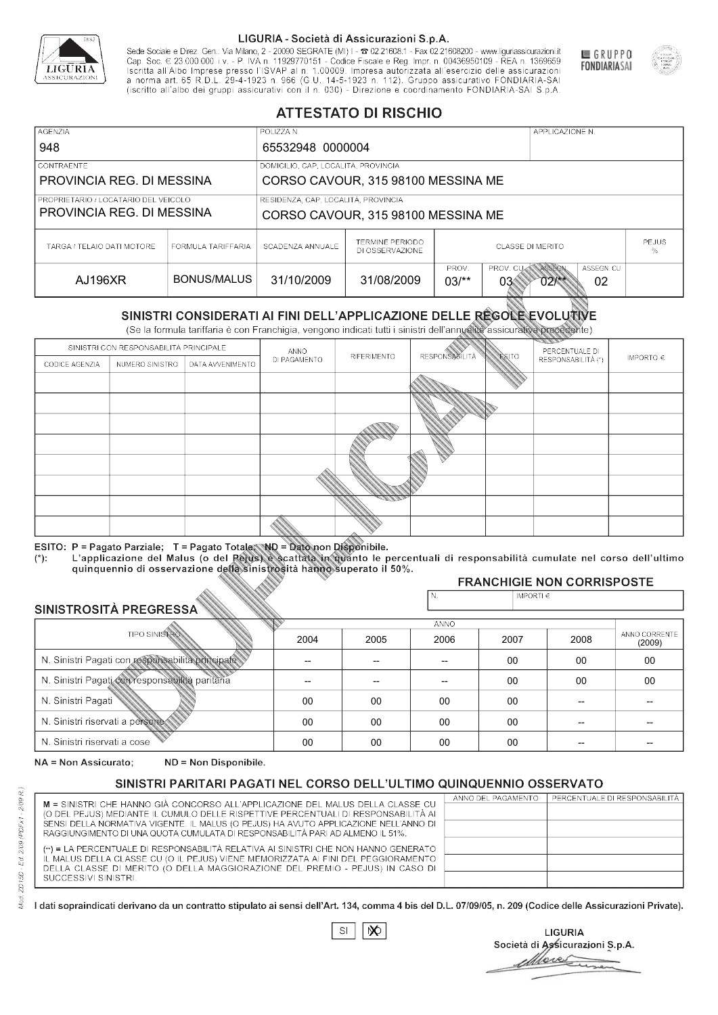

Sede Sociale e Direz. Gen.: Via Milano, 2 - 20090 SEGRATE (MI) I - 2 02.21608.1 - Fax 02.21608200 - www.liguriassicurazioni.it Sede e Direz, Gen. Via Milanto, 2 - 20090 SEGATE (MI) I - 2 UZZIODO. I - FAX UZZIODO2 I - WWW. IIJONENSURIADONILI<br>Cap. Soc. € 23.000.000 i.v. - P. IVA n. 11929770151 - Codice Fiscale e Reg. Impr. n. 00436950109 - REA n. 1



GRUPPO

**FONDIARIASAI** 

# **ATTESTATO DI RISCHIO**

| <b>AGENZIA</b>                                                      |                    | POLIZZA N.                                                                                             |                                    |                                              | APPLICAZIONE N. |  |
|---------------------------------------------------------------------|--------------------|--------------------------------------------------------------------------------------------------------|------------------------------------|----------------------------------------------|-----------------|--|
| 948                                                                 |                    | 65532948 0000004                                                                                       |                                    |                                              |                 |  |
| <b>CONTRAENTE</b>                                                   |                    | DOMICILIO, CAP, LOCALITÀ, PROVINCIA                                                                    |                                    |                                              |                 |  |
| PROVINCIA REG. DI MESSINA                                           |                    | CORSO CAVOUR, 315 98100 MESSINA ME                                                                     |                                    |                                              |                 |  |
| I PROPRIETARIO / LOCATARIO DEL VEICOLO<br>PROVINCIA REG. DI MESSINA |                    | RESIDENZA, CAP, LOCALITÀ, PROVINCIA                                                                    | CORSO CAVOUR, 315 98100 MESSINA ME |                                              |                 |  |
| TARGA / TELAIO DATI MOTORE                                          | FORMULA TARIFFARIA | SCADENZA ANNUALE                                                                                       | TERMINE PERIODO<br>DI OSSERVAZIONE | <b>PEJUS</b><br><b>CLASSE DI MERITO</b><br>% |                 |  |
| AJ196XR                                                             | BONUS/MALUS        | PROV. CUAN ASSEGN<br>PROV.<br>ASSEGN. CU<br>31/10/2009<br>31/08/2009<br>$03/*$<br>03<br>02<br>$02$ /** |                                    |                                              |                 |  |

|                                 |                      |                                                                                                                                                                                                      |                | DI OSSERVAZIONE          |                      |                |                                        | ℅                       |
|---------------------------------|----------------------|------------------------------------------------------------------------------------------------------------------------------------------------------------------------------------------------------|----------------|--------------------------|----------------------|----------------|----------------------------------------|-------------------------|
| <b>AJ196XR</b>                  |                      | <b>BONUS/MALUS</b>                                                                                                                                                                                   | 31/10/2009     | 31/08/2009               | PROV.<br>$03/*$      | PROV. CU<br>03 | ASSEGN<br>ASSEGN. CU<br>$02$ /**<br>02 |                         |
|                                 |                      | SINISTRI CONSIDERATI AI FINI DELL'APPLICAZIONE DELLE REGOLE EVOLUTIVE<br>(Se la formula tariffaria è con Franchigia, vengono indicati tutti i sinistri dell'annualità assicurativa precedente)       |                |                          |                      |                |                                        |                         |
|                                 |                      | SINISTRI CON RESPONSABILITÀ PRINCIPALE                                                                                                                                                               | ANNO           |                          |                      |                | PERCENTUALE DI                         |                         |
| CODICE AGENZIA                  | NUMERO SINISTRO      | DATA AVVENIMENTO                                                                                                                                                                                     | DI PAGAMENTO   | RIFERIMENTO              | <b>RESPONSABLITA</b> | <b>ESITO</b>   | RESPONSABILITÀ (*)                     | IMPORTO $\in$           |
|                                 |                      |                                                                                                                                                                                                      |                |                          |                      |                |                                        |                         |
|                                 |                      |                                                                                                                                                                                                      |                |                          |                      |                |                                        |                         |
|                                 |                      |                                                                                                                                                                                                      |                |                          |                      |                |                                        |                         |
|                                 |                      |                                                                                                                                                                                                      |                |                          |                      |                |                                        |                         |
|                                 |                      |                                                                                                                                                                                                      |                |                          |                      |                |                                        |                         |
|                                 |                      |                                                                                                                                                                                                      |                |                          |                      |                |                                        |                         |
|                                 |                      |                                                                                                                                                                                                      |                |                          |                      |                |                                        |                         |
|                                 |                      |                                                                                                                                                                                                      |                |                          |                      |                |                                        |                         |
|                                 |                      |                                                                                                                                                                                                      |                |                          |                      |                |                                        |                         |
|                                 |                      | ESITO: P = Pagato Parziale; T = Pagato Totale; ND = Dato non Disponibile.                                                                                                                            |                |                          |                      |                |                                        |                         |
| $(*)$ :                         |                      | L'applicazione del Malus (o del Pejus) è scattata in quanto le percentuali di responsabilità cumulate nel corso dell'ultimo<br>quinquennio di osservazione della sinistrosità hanno superato il 50%. |                |                          |                      |                |                                        |                         |
|                                 |                      |                                                                                                                                                                                                      |                |                          |                      |                | <b>FRANCHIGIE NON CORRISPOSTE</b>      |                         |
|                                 |                      |                                                                                                                                                                                                      |                |                          | N.                   | IMPORTI€       |                                        |                         |
| SINISTROSITÀ PREGRESSA          |                      |                                                                                                                                                                                                      |                |                          | ANNO                 |                |                                        |                         |
|                                 | <b>TIPO SINISTRO</b> |                                                                                                                                                                                                      | 2004           | 2005                     | 2006                 | 2007           | 2008                                   | ANNO CORRENTE<br>(2009) |
|                                 |                      | N. Sinistri Pagati con responsabilità principale                                                                                                                                                     | $\overline{a}$ | $\overline{\phantom{a}}$ | $-$                  | 00             | 00                                     | $00\,$                  |
|                                 |                      | N. Sinistri Pagati con responsabilità paritaria                                                                                                                                                      |                |                          |                      | 00             | 00                                     | 00                      |
| N. Sinistri Pagati              |                      |                                                                                                                                                                                                      | 00             | 00                       | 00                   | 00             |                                        |                         |
| N. Sinistri riservati a persone |                      |                                                                                                                                                                                                      | 00             | 00                       | 00                   | 00             |                                        |                         |
| N. Sinjetri riconvoti a coco    |                      |                                                                                                                                                                                                      | $\cap$         | $\cap$                   | $\cap$               | $\sim$         |                                        |                         |

### 2005 -- --  $0<sup>0</sup>$ 00 00 2004 -- --  $0<sup>0</sup>$ 00 00 2006 -- -- 00 00 00 2007 00 00 00 00 00 2008 00 00 -- -- -- 00 00 -- -- -- (2009)

NA = Non Assicurato: ND = Non Disponibile.

# SINISTRI PARITARI PAGATI NEL CORSO DELL'ULTIMO QUINQUENNIO OSSERVATO

|                                                                                                                                                                      | ANNO DEL PAGAMENTO | PERCENTUALE DI RESPONSABILITÀ |
|----------------------------------------------------------------------------------------------------------------------------------------------------------------------|--------------------|-------------------------------|
| M = SINISTRI CHE HANNO GIÀ CONCORSO ALL'APPLICAZIONE DEL MALUS DELLA CLASSE CU<br>(O DEL PEJUS) MEDIANTE IL CUMULO DELLE RISPETTIVE PERCENTUALI DI RESPONSABILITÀ AI |                    |                               |
| SENSI DELLA NORMATIVA VIGENTE. IL MALUS (O PEJUS) HA AVUTO APPLICAZIONE NELL'ANNO DI                                                                                 |                    |                               |
| RAGGIUNGIMENTO DI UNA QUOTA CUMULATA DI RESPONSABILITÀ PARI AD ALMENO IL 51%.                                                                                        |                    |                               |
|                                                                                                                                                                      |                    |                               |
| (**) = LA PERCENTUALE DI RESPONSABILITÀ RELATIVA AI SINISTRI CHE NON HANNO GENERATO                                                                                  |                    |                               |
| IL MALUS DELLA CLASSE CU (O IL PEJUS) VIENE MEMORIZZATA AI FINI DEL PEGGIORAMENTO                                                                                    |                    |                               |
| DELLA CLASSE DI MERITO (O DELLA MAGGIORAZIONE DEL PREMIO - PEJUS) IN CASO DI                                                                                         |                    |                               |
| SUCCESSIVI SINISTRI.                                                                                                                                                 |                    |                               |
|                                                                                                                                                                      |                    |                               |

|--|

**LIGURIA** Società di Assicurazioni S.p.A. Move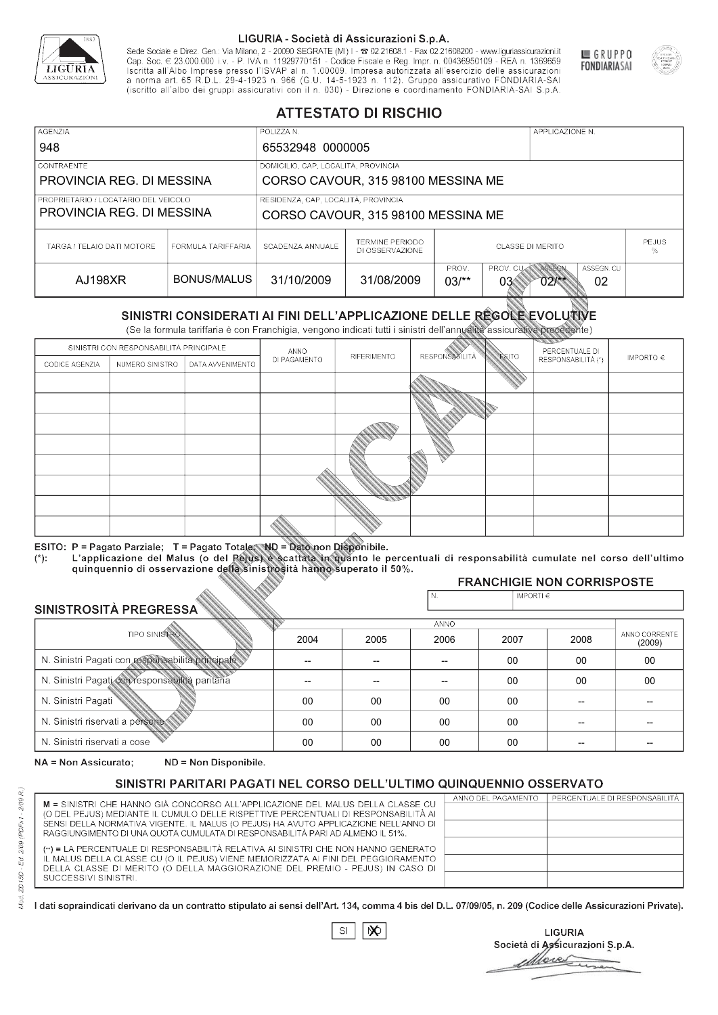

Sede Sociale e Direz. Gen.: Via Milano, 2 - 20090 SEGRATE (MI) I - 2 02.21608.1 - Fax 02.21608200 - www.liguriassicurazioni.it Sede e Direz, Gen. Via Milanto, 2 - 20090 SEGATE (MI) I - 2 UZZIODO. I - FAX UZZIODO2 I - WWW. IIJONENSURIADONILI<br>Cap. Soc. € 23.000.000 i.v. - P. IVA n. 11929770151 - Codice Fiscale e Reg. Impr. n. 00436950109 - REA n. 1



GRUPPO

**FONDIARIASAI** 

# **ATTESTATO DI RISCHIO**

| <b>AGENZIA</b><br>948                                             |                    | POLIZZA N.<br>65532948 0000005                                            |                                    | APPLICAZIONE N.         |                                                         |  |
|-------------------------------------------------------------------|--------------------|---------------------------------------------------------------------------|------------------------------------|-------------------------|---------------------------------------------------------|--|
| <b>CONTRAENTE</b><br>PROVINCIA REG. DI MESSINA                    |                    | DOMICILIO, CAP, LOCALITÀ, PROVINCIA<br>CORSO CAVOUR, 315 98100 MESSINA ME |                                    |                         |                                                         |  |
| PROPRIETARIO / LOCATARIO DEL VEICOLO<br>PROVINCIA REG. DI MESSINA |                    | RESIDENZA, CAP, LOCALITÀ, PROVINCIA<br>CORSO CAVOUR, 315 98100 MESSINA ME |                                    |                         |                                                         |  |
| TARGA / TELAIO DATI MOTORE                                        | FORMULA TARIFFARIA | SCADENZA ANNUALE                                                          | TERMINE PERIODO<br>DI OSSERVAZIONE | <b>CLASSE DI MERITO</b> | <b>PEJUS</b><br>%                                       |  |
| AJ198XR                                                           | BONUS/MALUS        | 31/10/2009                                                                | 31/08/2009                         | PROV.<br>$03/*$         | PROV. CUAN ASSEGN<br>ASSEGN. CU<br>02<br>03<br>$02$ /** |  |

|                                                 |                      | DI OSSERVAZIONE                                                                                                                                                                                |              |             |                          |                 |                                        |               |
|-------------------------------------------------|----------------------|------------------------------------------------------------------------------------------------------------------------------------------------------------------------------------------------|--------------|-------------|--------------------------|-----------------|----------------------------------------|---------------|
| AJ198XR                                         |                      | <b>BONUS/MALUS</b>                                                                                                                                                                             | 31/10/2009   | 31/08/2009  | PROV.<br>$03/*$          | PROV. CU<br>03< | ASSEGN<br>ASSEGN. CU<br>$02$ /**<br>02 |               |
|                                                 |                      | SINISTRI CONSIDERATI AI FINI DELL'APPLICAZIONE DELLE REGOLE EVOLUTIVE<br>(Se la formula tariffaria è con Franchigia, vengono indicati tutti i sinistri dell'annualità assicurativa precedente) |              |             |                          |                 |                                        |               |
|                                                 |                      | SINISTRI CON RESPONSABILITÀ PRINCIPALE                                                                                                                                                         | ANNO         |             |                          |                 | PERCENTUALE DI                         |               |
| CODICE AGENZIA                                  | NUMERO SINISTRO      | DATA AVVENIMENTO                                                                                                                                                                               | DI PAGAMENTO | RIFERIMENTO | <b>RESPONSABLITÀ</b>     | <b>ESITO</b>    | RESPONSABILITÀ (*)                     | IMPORTO $\in$ |
|                                                 |                      |                                                                                                                                                                                                |              |             |                          |                 |                                        |               |
|                                                 |                      |                                                                                                                                                                                                |              |             |                          |                 |                                        |               |
|                                                 |                      |                                                                                                                                                                                                |              |             |                          |                 |                                        |               |
|                                                 |                      |                                                                                                                                                                                                |              |             |                          |                 |                                        |               |
|                                                 |                      |                                                                                                                                                                                                |              |             |                          |                 |                                        |               |
|                                                 |                      |                                                                                                                                                                                                |              |             |                          |                 |                                        |               |
|                                                 |                      |                                                                                                                                                                                                |              |             |                          |                 |                                        |               |
|                                                 |                      |                                                                                                                                                                                                |              |             |                          |                 |                                        |               |
|                                                 |                      |                                                                                                                                                                                                |              |             |                          |                 |                                        |               |
|                                                 |                      | ESITO: P = Pagato Parziale; T = Pagato Totale; ND = Dato non Disponibile.                                                                                                                      |              |             |                          |                 |                                        |               |
| $(*)$ .                                         |                      | L'applicazione del Malus (o del Pejus) è scattata in quanto le percentuali di responsabilità cumulate nel corso dell'ultimo                                                                    |              |             |                          |                 |                                        |               |
|                                                 |                      | quinquennio di osservazione della sinistrosità hanno superato il 50%.                                                                                                                          |              |             |                          |                 | <b>FRANCHIGIE NON CORRISPOSTE</b>      |               |
|                                                 |                      |                                                                                                                                                                                                |              |             | N.                       | IMPORTI€        |                                        |               |
| SINISTROSITÀ PREGRESSA                          |                      |                                                                                                                                                                                                |              |             |                          |                 |                                        |               |
|                                                 | <b>TIPO SINISTRO</b> |                                                                                                                                                                                                |              |             | <b>ANNO</b>              |                 |                                        | ANNO CORRENTE |
|                                                 |                      |                                                                                                                                                                                                | 2004         | 2005        | 2006                     | 2007            | 2008                                   | (2009)        |
|                                                 |                      | N. Sinistri Pagati con responsabilità principale                                                                                                                                               |              | --          | $\overline{\phantom{a}}$ | 00              | 00                                     | 00            |
| N. Sinistri Pagati con responsabilità paritaria |                      |                                                                                                                                                                                                |              |             |                          | 00              | 00                                     | 00            |
| N. Sinistri Pagati                              |                      |                                                                                                                                                                                                | 00           | 00          | 00                       | 00              |                                        |               |
| N. Sinistri riservati a persone                 |                      |                                                                                                                                                                                                | 00           | 00          | 00                       | $00 \,$         |                                        |               |
| N. Sinjetri riconvoti a coco                    |                      |                                                                                                                                                                                                | $\cap$       | $\cap$      | $\sim$                   | $\cap$          |                                        |               |

### 2005 -- --  $0<sup>0</sup>$ 00 00 2004 -- --  $0<sup>0</sup>$ 00 00 2006 -- -- 00 00 00 2007 00 00 00 00 00 2008 00 00 -- -- -- 00 00 -- -- -- (2009)

NA = Non Assicurato: ND = Non Disponibile.

# SINISTRI PARITARI PAGATI NEL CORSO DELL'ULTIMO QUINQUENNIO OSSERVATO

|                                                                                      | ANNO DEL PAGAMENTO | PERCENTUALE DI RESPONSABILITÀ |
|--------------------------------------------------------------------------------------|--------------------|-------------------------------|
| M = SINISTRI CHE HANNO GIÀ CONCORSO ALL'APPLICAZIONE DEL MALUS DELLA CLASSE CU       |                    |                               |
| (O DEL PEJUS) MEDIANTE IL CUMULO DELLE RISPETTIVE PERCENTUALI DI RESPONSABILITÀ AI   |                    |                               |
| SENSI DELLA NORMATIVA VIGENTE. IL MALUS (O PEJUS) HA AVUTO APPLICAZIONE NELL'ANNO DI |                    |                               |
| RAGGIUNGIMENTO DI UNA QUOTA CUMULATA DI RESPONSABILITÀ PARI AD ALMENO IL 51%.        |                    |                               |
| (**) = LA PERCENTUALE DI RESPONSABILITÀ RELATIVA AI SINISTRI CHE NON HANNO GENERATO  |                    |                               |
| IL MALUS DELLA CLASSE CU (O IL PEJUS) VIENE MEMORIZZATA AI FINI DEL PEGGIORAMENTO    |                    |                               |
|                                                                                      |                    |                               |
| DELLA CLASSE DI MERITO (O DELLA MAGGIORAZIONE DEL PREMIO - PEJUS) IN CASO DI         |                    |                               |
| SUCCESSIVI SINISTRI.                                                                 |                    |                               |
|                                                                                      |                    |                               |

|--|

**LIGURIA** Società di Assicurazioni S.p.A. Move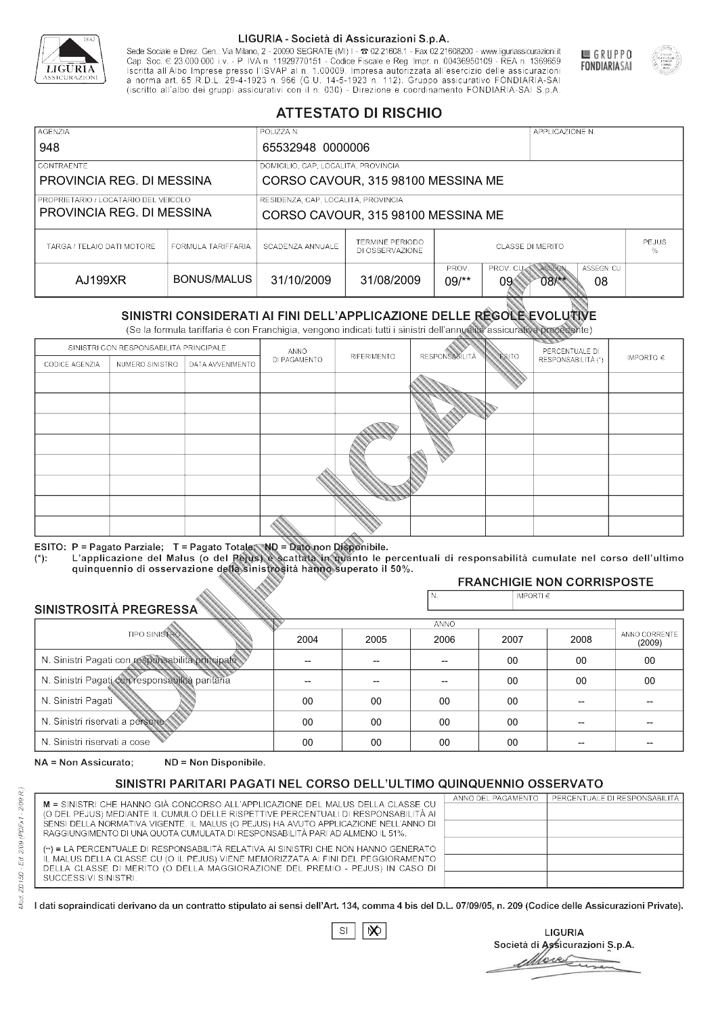

Sede Sociale e Direz. Gen.: Via Milano, 2 - 20090 SEGRATE (MI) I - 2 02.21608.1 - Fax 02.21608200 - www.liguriassicurazioni.it Cap. Soc.  $\in$  23.000.000 i.v. - P. IVA n. 11929770151 - Codice Fiscale e Reg. Impr. n. 00436950109 - REA n. 1369659<br>Iscritta all'Albo Imprese presso l'ISVAP al n. 1.00009. Impresa autorizzata all'esercizio delle assicura d homa art. 65 K.D.L. 29-4-1923 ft. 900 (G.O. 14-5-1923 ft. 112). Gruppo assicurativo PONDIARIA-SAI S.p.A



GRUPPO

**FONDIARIASAI** 

# **ATTESTATO DI RISCHIO**

| <b>AGENZIA</b><br>948                                             |                    | POLIZZA N.<br>65532948 0000006                                            |                                    | APPLICAZIONE N.         |                                                   |  |
|-------------------------------------------------------------------|--------------------|---------------------------------------------------------------------------|------------------------------------|-------------------------|---------------------------------------------------|--|
| <b>CONTRAENTE</b><br>PROVINCIA REG. DI MESSINA                    |                    | DOMICILIO, CAP, LOCALITÀ, PROVINCIA<br>CORSO CAVOUR, 315 98100 MESSINA ME |                                    |                         |                                                   |  |
| PROPRIETARIO / LOCATARIO DEL VEICOLO<br>PROVINCIA REG. DI MESSINA |                    | RESIDENZA, CAP, LOCALITÀ, PROVINCIA<br>CORSO CAVOUR, 315 98100 MESSINA ME |                                    |                         |                                                   |  |
| TARGA / TELAIO DATI MOTORE                                        | FORMULA TARIFFARIA | SCADENZA ANNUALE                                                          | TERMINE PERIODO<br>DI OSSERVAZIONE | <b>CLASSE DI MERITO</b> | <b>PEJUS</b><br>%                                 |  |
| AJ199XR                                                           | BONUS/MALUS        | 31/10/2009                                                                | 31/08/2009                         | PROV.<br>$09$ /**<br>09 | PROV. CUAN ASSEGN<br>ASSEGN. CU<br>08<br>$08$ /** |  |

|                                                  |                      |                                                                                                                                                                                                      |              | DI OSSERVAZIONE |                      |                    |                                        |                         |
|--------------------------------------------------|----------------------|------------------------------------------------------------------------------------------------------------------------------------------------------------------------------------------------------|--------------|-----------------|----------------------|--------------------|----------------------------------------|-------------------------|
| AJ199XR                                          |                      | <b>BONUS/MALUS</b>                                                                                                                                                                                   | 31/10/2009   | 31/08/2009      | PROV.<br>$09$ /**    | PROV. CU<br>09     | ASSEGN<br>ASSEGN. CU<br>$08$ /**<br>08 |                         |
|                                                  |                      | SINISTRI CONSIDERATI AI FINI DELL'APPLICAZIONE DELLE RÉGOLE EVOLUTIVE<br>(Se la formula tariffaria è con Franchigia, vengono indicati tutti i sinistri dell'annualità assicurativa precedente)       |              |                 |                      |                    |                                        |                         |
|                                                  |                      | SINISTRI CON RESPONSABILITÀ PRINCIPALE                                                                                                                                                               | ANNO         |                 |                      |                    | PERCENTUALE DI                         |                         |
| CODICE AGENZIA                                   | NUMERO SINISTRO      | DATA AVVENIMENTO                                                                                                                                                                                     | DI PAGAMENTO | RIFERIMENTO     | <b>RESPONSABLITA</b> | <b>ESITO</b>       | RESPONSABILITÀ (*)                     | IMPORTO $\in$           |
|                                                  |                      |                                                                                                                                                                                                      |              |                 |                      |                    |                                        |                         |
|                                                  |                      |                                                                                                                                                                                                      |              |                 |                      |                    |                                        |                         |
|                                                  |                      |                                                                                                                                                                                                      |              |                 |                      |                    |                                        |                         |
|                                                  |                      |                                                                                                                                                                                                      |              |                 |                      |                    |                                        |                         |
|                                                  |                      |                                                                                                                                                                                                      |              |                 |                      |                    |                                        |                         |
|                                                  |                      |                                                                                                                                                                                                      |              |                 |                      |                    |                                        |                         |
|                                                  |                      |                                                                                                                                                                                                      |              |                 |                      |                    |                                        |                         |
|                                                  |                      |                                                                                                                                                                                                      |              |                 |                      |                    |                                        |                         |
|                                                  |                      |                                                                                                                                                                                                      |              |                 |                      |                    |                                        |                         |
|                                                  |                      | ESITO: P = Pagato Parziale; T = Pagato Totale; ND = Dato non Disponibile.                                                                                                                            |              |                 |                      |                    |                                        |                         |
| $(*)$ .                                          |                      | L'applicazione del Malus (o del Pejus) è scattata in quanto le percentuali di responsabilità cumulate nel corso dell'ultimo<br>quinquennio di osservazione della sinistrosità hanno superato il 50%. |              |                 |                      |                    |                                        |                         |
|                                                  |                      |                                                                                                                                                                                                      |              |                 |                      |                    | <b>FRANCHIGIE NON CORRISPOSTE</b>      |                         |
|                                                  |                      |                                                                                                                                                                                                      |              |                 | N.                   | IMPORTI $\epsilon$ |                                        |                         |
| SINISTROSITÀ PREGRESSA                           |                      |                                                                                                                                                                                                      |              |                 | <b>ANNO</b>          |                    |                                        |                         |
|                                                  | <b>TIPO SINISTRO</b> |                                                                                                                                                                                                      | 2004         | 2005            | 2006                 | 2007               | 2008                                   | ANNO CORRENTE<br>(2009) |
| N. Sinistri Pagati con responsabilità principale |                      | --                                                                                                                                                                                                   | --           | $\overline{a}$  | 00                   | 00                 | $00\,$                                 |                         |
| N. Sinistri Pagati con responsabilità paritaria  |                      |                                                                                                                                                                                                      |              |                 |                      | 00                 | 00                                     | 00                      |
| N. Sinistri Pagati                               |                      |                                                                                                                                                                                                      | $00\,$       | 00              | 00                   | 00                 | --                                     |                         |
| N. Sinistri riservati a persone                  |                      |                                                                                                                                                                                                      | 00           | 00              | 00                   | 00                 |                                        |                         |
| N. Sinjetri riconvoti a coco                     |                      |                                                                                                                                                                                                      | $\cap$       | $\cap$          | $\cap$               | $\sim$             |                                        |                         |

### 2005 -- --  $0<sup>0</sup>$ 00 00 2004 -- --  $0<sup>0</sup>$ 00 00 2006 -- -- 00 00 00 2007 00 00 00 00 00 2008 00 00 -- -- -- 00 00 -- -- -- (2009)

NA = Non Assicurato: ND = Non Disponibile.

# SINISTRI PARITARI PAGATI NEL CORSO DELL'ULTIMO QUINQUENNIO OSSERVATO

|                                                                                      | ANNO DEL PAGAMENTO | PERCENTUALE DI RESPONSABILITÀ |
|--------------------------------------------------------------------------------------|--------------------|-------------------------------|
| M = SINISTRI CHE HANNO GIÀ CONCORSO ALL'APPLICAZIONE DEL MALUS DELLA CLASSE CU       |                    |                               |
| (O DEL PEJUS) MEDIANTE IL CUMULO DELLE RISPETTIVE PERCENTUALI DI RESPONSABILITÀ AI   |                    |                               |
| SENSI DELLA NORMATIVA VIGENTE. IL MALUS (O PEJUS) HA AVUTO APPLICAZIONE NELL'ANNO DI |                    |                               |
| RAGGIUNGIMENTO DI UNA QUOTA CUMULATA DI RESPONSABILITÀ PARI AD ALMENO IL 51%.        |                    |                               |
|                                                                                      |                    |                               |
| (**) = LA PERCENTUALE DI RESPONSABILITÀ RELATIVA AI SINISTRI CHE NON HANNO GENERATO  |                    |                               |
| IL MALUS DELLA CLASSE CU (O IL PEJUS) VIENE MEMORIZZATA AI FINI DEL PEGGIORAMENTO    |                    |                               |
| DELLA CLASSE DI MERITO (O DELLA MAGGIORAZIONE DEL PREMIO - PEJUS) IN CASO DI         |                    |                               |
| SUCCESSIVI SINISTRI.                                                                 |                    |                               |
|                                                                                      |                    |                               |

 $\mathbb{S}\mathsf{I}$  $\infty$ 

**LIGURIA** Società di Assicurazioni S.p.A. Move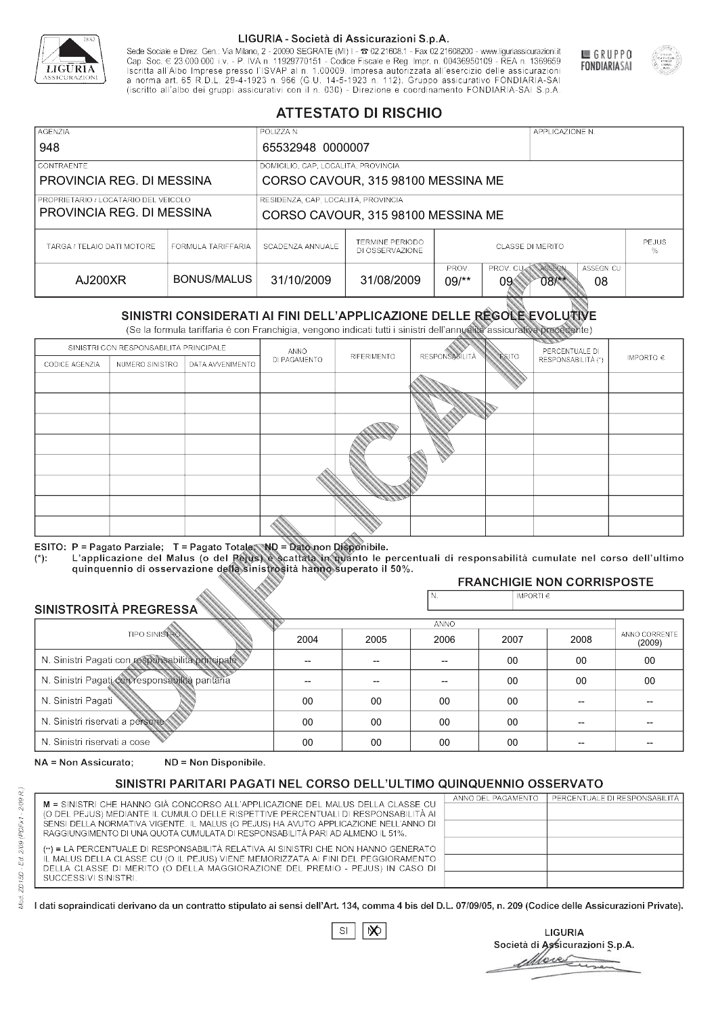

Sede Sociale e Direz. Gen.: Via Milano, 2 - 20090 SEGRATE (MI) I - 2 02.21608.1 - Fax 02.21608200 - www.liguriassicurazioni.it Sede e Direz, Gen. Via Milanto, 2 - 20090 SEGATE (MI) I - 2 UZZIODO. I - FAX UZZIODO2 I - WWW. IIJONENSURIADONILI<br>Cap. Soc. € 23.000.000 i.v. - P. IVA n. 11929770151 - Codice Fiscale e Reg. Impr. n. 00436950109 - REA n. 1



GRUPPO

**FONDIARIASAI** 

# **ATTESTATO DI RISCHIO**

| <b>AGENZIA</b><br>948                                             |                    | POLIZZA N.                                                                                    |                                    | APPLICAZIONE N.         |                                                   |  |
|-------------------------------------------------------------------|--------------------|-----------------------------------------------------------------------------------------------|------------------------------------|-------------------------|---------------------------------------------------|--|
| <b>CONTRAENTE</b><br>PROVINCIA REG. DI MESSINA                    |                    | 65532948 0000007<br>DOMICILIO, CAP, LOCALITÀ, PROVINCIA<br>CORSO CAVOUR, 315 98100 MESSINA ME |                                    |                         |                                                   |  |
| PROPRIETARIO / LOCATARIO DEL VEICOLO<br>PROVINCIA REG. DI MESSINA |                    | RESIDENZA, CAP, LOCALITÀ, PROVINCIA<br>CORSO CAVOUR, 315 98100 MESSINA ME                     |                                    |                         |                                                   |  |
| TARGA / TELAIO DATI MOTORE                                        | FORMULA TARIFFARIA | SCADENZA ANNUALE                                                                              | TERMINE PERIODO<br>DI OSSERVAZIONE | <b>CLASSE DI MERITO</b> | <b>PEJUS</b><br>%                                 |  |
| AJ200XR                                                           | BONUS/MALUS        | 31/10/2009                                                                                    | 31/08/2009                         | PROV.<br>$09$ /**<br>09 | PROV. CUAN ASSEGN<br>ASSEGN. CU<br>08<br>$08$ /** |  |

|                                                 |                      |                                                                                                                                                                                                      | DI OSSERVAZIONE |             |                      |                    |                                        |                         |
|-------------------------------------------------|----------------------|------------------------------------------------------------------------------------------------------------------------------------------------------------------------------------------------------|-----------------|-------------|----------------------|--------------------|----------------------------------------|-------------------------|
| AJ200XR                                         |                      | <b>BONUS/MALUS</b>                                                                                                                                                                                   | 31/10/2009      | 31/08/2009  | PROV.<br>$09$ /**    | PROV. CU<br>09     | ASSEGN<br>ASSEGN. CU<br>$08$ /**<br>08 |                         |
|                                                 |                      | SINISTRI CONSIDERATI AI FINI DELL'APPLICAZIONE DELLE RÉGOLE EVOLUTIVE<br>(Se la formula tariffaria è con Franchigia, vengono indicati tutti i sinistri dell'annualità assicurativa precedente)       |                 |             |                      |                    |                                        |                         |
|                                                 |                      | SINISTRI CON RESPONSABILITÀ PRINCIPALE                                                                                                                                                               | ANNO            |             |                      |                    | PERCENTUALE DI                         |                         |
| CODICE AGENZIA                                  | NUMERO SINISTRO      | DATA AVVENIMENTO                                                                                                                                                                                     | DI PAGAMENTO    | RIFERIMENTO | <b>RESPONSABLITA</b> | <b>ESITO</b>       | RESPONSABILITÀ (*)                     | IMPORTO $\in$           |
|                                                 |                      |                                                                                                                                                                                                      |                 |             |                      |                    |                                        |                         |
|                                                 |                      |                                                                                                                                                                                                      |                 |             |                      |                    |                                        |                         |
|                                                 |                      |                                                                                                                                                                                                      |                 |             |                      |                    |                                        |                         |
|                                                 |                      |                                                                                                                                                                                                      |                 |             |                      |                    |                                        |                         |
|                                                 |                      |                                                                                                                                                                                                      |                 |             |                      |                    |                                        |                         |
|                                                 |                      |                                                                                                                                                                                                      |                 |             |                      |                    |                                        |                         |
|                                                 |                      |                                                                                                                                                                                                      |                 |             |                      |                    |                                        |                         |
|                                                 |                      |                                                                                                                                                                                                      |                 |             |                      |                    |                                        |                         |
|                                                 |                      |                                                                                                                                                                                                      |                 |             |                      |                    |                                        |                         |
|                                                 |                      | ESITO: P = Pagato Parziale; T = Pagato Totale; ND = Dato non Disponibile.                                                                                                                            |                 |             |                      |                    |                                        |                         |
| $(*)$ .                                         |                      | L'applicazione del Malus (o del Pejus) è scattata in quanto le percentuali di responsabilità cumulate nel corso dell'ultimo<br>quinquennio di osservazione della sinistrosità hanno superato il 50%. |                 |             |                      |                    |                                        |                         |
|                                                 |                      |                                                                                                                                                                                                      |                 |             |                      |                    | <b>FRANCHIGIE NON CORRISPOSTE</b>      |                         |
|                                                 |                      |                                                                                                                                                                                                      |                 |             | N.                   | IMPORTI $\epsilon$ |                                        |                         |
| SINISTROSITÀ PREGRESSA                          |                      |                                                                                                                                                                                                      |                 |             | <b>ANNO</b>          |                    |                                        |                         |
|                                                 | <b>TIPO SINISTRO</b> |                                                                                                                                                                                                      | 2004            | 2005        | 2006                 | 2007               | 2008                                   | ANNO CORRENTE<br>(2009) |
|                                                 |                      | N. Sinistri Pagati con responsabilità principale                                                                                                                                                     | --              | --          | $\overline{a}$       | 00                 | 00                                     | $00\,$                  |
| N. Sinistri Pagati con responsabilità paritaria |                      |                                                                                                                                                                                                      |                 |             |                      | 00                 | 00                                     | 00                      |
| N. Sinistri Pagati                              |                      |                                                                                                                                                                                                      | $00\,$          | 00          | 00                   | 00                 | --                                     |                         |
| N. Sinistri riservati a persone                 |                      |                                                                                                                                                                                                      | 00              | 00          | 00                   | 00                 |                                        |                         |
| N. Sinjetri riconvoti a coco                    |                      |                                                                                                                                                                                                      | $\cap$          | $\cap$      | $\cap$               | $\sim$             |                                        |                         |

### 2005 -- --  $0<sup>0</sup>$ 00 00 2004 -- --  $0<sup>0</sup>$ 00 00 2006 -- -- 00 00 00 2007 00 00 00 00 00 2008 00 00 -- -- -- 00 00 -- -- -- (2009)

NA = Non Assicurato: ND = Non Disponibile.

# SINISTRI PARITARI PAGATI NEL CORSO DELL'ULTIMO QUINQUENNIO OSSERVATO

|                                                                                      | ANNO DEL PAGAMENTO | PERCENTUALE DI RESPONSABILITÀ |
|--------------------------------------------------------------------------------------|--------------------|-------------------------------|
| M = SINISTRI CHE HANNO GIÀ CONCORSO ALL'APPLICAZIONE DEL MALUS DELLA CLASSE CU       |                    |                               |
| (O DEL PEJUS) MEDIANTE IL CUMULO DELLE RISPETTIVE PERCENTUALI DI RESPONSABILITÀ AI   |                    |                               |
| SENSI DELLA NORMATIVA VIGENTE. IL MALUS (O PEJUS) HA AVUTO APPLICAZIONE NELL'ANNO DI |                    |                               |
| RAGGIUNGIMENTO DI UNA QUOTA CUMULATA DI RESPONSABILITÀ PARI AD ALMENO IL 51%.        |                    |                               |
| (**) = LA PERCENTUALE DI RESPONSABILITÀ RELATIVA AI SINISTRI CHE NON HANNO GENERATO  |                    |                               |
| IL MALUS DELLA CLASSE CU (O IL PEJUS) VIENE MEMORIZZATA AI FINI DEL PEGGIORAMENTO    |                    |                               |
| DELLA CLASSE DI MERITO (O DELLA MAGGIORAZIONE DEL PREMIO - PEJUS) IN CASO DI         |                    |                               |
| SUCCESSIVI SINISTRI.                                                                 |                    |                               |
|                                                                                      |                    |                               |

 $\mathbb{S}\mathsf{I}$  $\infty$ 

**LIGURIA** Società di Assicurazioni S.p.A. Move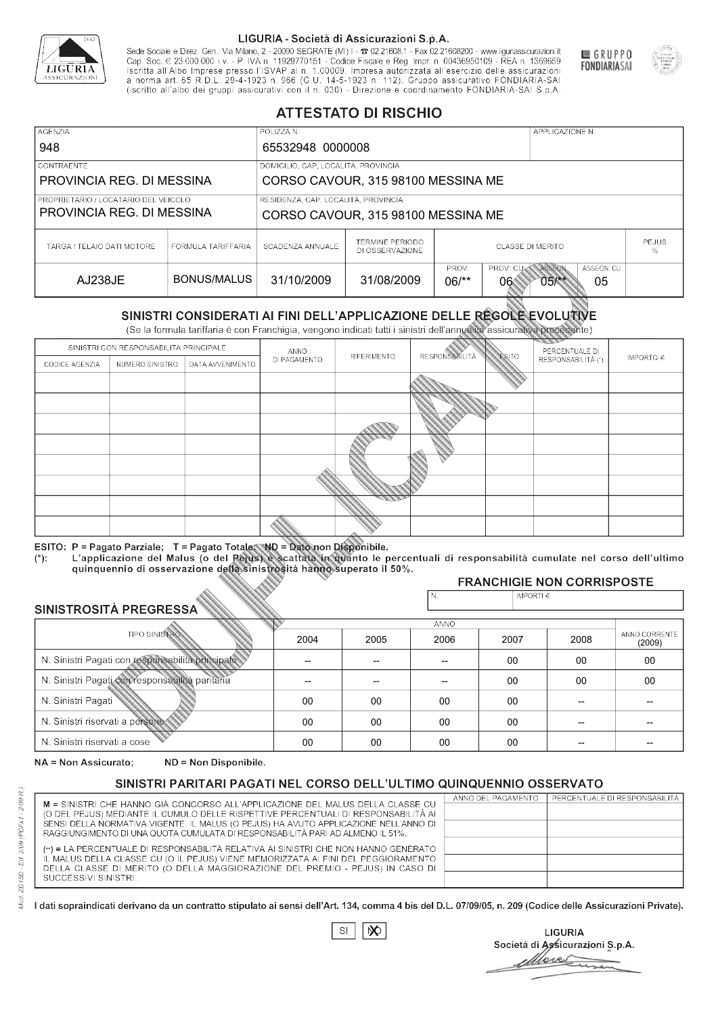

Sede Sociale e Direz. Gen.: Via Milano, 2 - 20090 SEGRATE (MI) I - 2 02.21608.1 - Fax 02.21608200 - www.liguriassicurazioni.it Cap. Soc.  $\in$  23.000.000 i.v. - P. IVA n. 11929770151 - Codice Fiscale e Reg. Impr. n. 00436950109 - REA n. 1369659<br>Iscritta all'Albo Imprese presso l'ISVAP al n. 1.00009. Impresa autorizzata all'esercizio delle assicura d homa art. 65 K.D.L. 29-4-1923 ft. 900 (G.O. 14-5-1923 ft. 112). Gruppo assicurativo PONDIARIA-SAI S.p.A



GRUPPO

**FONDIARIASAI** 

# **ATTESTATO DI RISCHIO**

| <b>AGENZIA</b><br>948                                             |                    | POLIZZA N.                                                                                    |                                    | APPLICAZIONE N.         |                                                   |  |
|-------------------------------------------------------------------|--------------------|-----------------------------------------------------------------------------------------------|------------------------------------|-------------------------|---------------------------------------------------|--|
| <b>CONTRAENTE</b><br>PROVINCIA REG. DI MESSINA                    |                    | 65532948 0000008<br>DOMICILIO, CAP, LOCALITÀ, PROVINCIA<br>CORSO CAVOUR, 315 98100 MESSINA ME |                                    |                         |                                                   |  |
| PROPRIETARIO / LOCATARIO DEL VEICOLO<br>PROVINCIA REG. DI MESSINA |                    | RESIDENZA, CAP, LOCALITÀ, PROVINCIA<br>CORSO CAVOUR, 315 98100 MESSINA ME                     |                                    |                         |                                                   |  |
| TARGA / TELAIO DATI MOTORE                                        | FORMULA TARIFFARIA | SCADENZA ANNUALE                                                                              | TERMINE PERIODO<br>DI OSSERVAZIONE | <b>CLASSE DI MERITO</b> | <b>PEJUS</b><br>%                                 |  |
| AJ238JE                                                           | BONUS/MALUS        | 31/10/2009                                                                                    | 31/08/2009                         | PROV.<br>$06$ /**<br>06 | PROV. CUAN ASSEGN<br>ASSEGN. CU<br>$05$ /**<br>05 |  |

|                                 |                      |                                                                                                                                                                                                      |              | DI OSSERVAZIONE |                      |                    |                                        | %                       |
|---------------------------------|----------------------|------------------------------------------------------------------------------------------------------------------------------------------------------------------------------------------------------|--------------|-----------------|----------------------|--------------------|----------------------------------------|-------------------------|
| <b>AJ238JE</b>                  |                      | <b>BONUS/MALUS</b>                                                                                                                                                                                   | 31/10/2009   | 31/08/2009      | PROV.<br>$06/*$      | PROV. CU<br>06     | ASSEGN<br>ASSEGN. CU<br>$05$ /**<br>05 |                         |
|                                 |                      | SINISTRI CONSIDERATI AI FINI DELL'APPLICAZIONE DELLE RÉGOLE EVOLUTIVE<br>(Se la formula tariffaria è con Franchigia, vengono indicati tutti i sinistri dell'annualità assicurativa precedente)       |              |                 |                      |                    |                                        |                         |
|                                 |                      | SINISTRI CON RESPONSABILITÀ PRINCIPALE                                                                                                                                                               | ANNO         |                 |                      |                    | PERCENTUALE DI                         |                         |
| CODICE AGENZIA                  | NUMERO SINISTRO      | DATA AVVENIMENTO                                                                                                                                                                                     | DI PAGAMENTO | RIFERIMENTO     | <b>RESPONSABLITA</b> | <b>ESITO</b>       | RESPONSABILITÀ (*)                     | IMPORTO $\in$           |
|                                 |                      |                                                                                                                                                                                                      |              |                 |                      |                    |                                        |                         |
|                                 |                      |                                                                                                                                                                                                      |              |                 |                      |                    |                                        |                         |
|                                 |                      |                                                                                                                                                                                                      |              |                 |                      |                    |                                        |                         |
|                                 |                      |                                                                                                                                                                                                      |              |                 |                      |                    |                                        |                         |
|                                 |                      |                                                                                                                                                                                                      |              |                 |                      |                    |                                        |                         |
|                                 |                      |                                                                                                                                                                                                      |              |                 |                      |                    |                                        |                         |
|                                 |                      |                                                                                                                                                                                                      |              |                 |                      |                    |                                        |                         |
|                                 |                      |                                                                                                                                                                                                      |              |                 |                      |                    |                                        |                         |
|                                 |                      |                                                                                                                                                                                                      |              |                 |                      |                    |                                        |                         |
|                                 |                      | ESITO: P = Pagato Parziale; T = Pagato Totale; ND = Dato non Disponibile.                                                                                                                            |              |                 |                      |                    |                                        |                         |
| $(*)$ .                         |                      | L'applicazione del Malus (o del Pejus) è scattata in quanto le percentuali di responsabilità cumulate nel corso dell'ultimo<br>quinquennio di osservazione della sinistrosità hanno superato il 50%. |              |                 |                      |                    |                                        |                         |
|                                 |                      |                                                                                                                                                                                                      |              |                 |                      |                    | <b>FRANCHIGIE NON CORRISPOSTE</b>      |                         |
|                                 |                      |                                                                                                                                                                                                      |              |                 | N.                   | IMPORTI $\epsilon$ |                                        |                         |
| SINISTROSITÀ PREGRESSA          |                      |                                                                                                                                                                                                      |              |                 | <b>ANNO</b>          |                    |                                        |                         |
|                                 | <b>TIPO SINISTRO</b> |                                                                                                                                                                                                      | 2004         | 2005            | 2006                 | 2007               | 2008                                   | ANNO CORRENTE<br>(2009) |
|                                 |                      | N. Sinistri Pagati con responsabilità principale                                                                                                                                                     | --           | --              | $\overline{a}$       | 00                 | 00                                     | $00\,$                  |
|                                 |                      | N. Sinistri Pagati con responsabilità paritaria                                                                                                                                                      |              |                 |                      | 00                 | 00                                     | 00                      |
| N. Sinistri Pagati              |                      |                                                                                                                                                                                                      | $00\,$       | 00              | 00                   | 00                 | --                                     |                         |
| N. Sinistri riservati a persone |                      |                                                                                                                                                                                                      | 00           | 00              | 00                   | 00                 |                                        |                         |
| N. Sinjetri riconvoti a coco    |                      |                                                                                                                                                                                                      | $\cap$       | $\cap$          | $\cap$               | $\sim$             |                                        |                         |

### 2005 -- --  $0<sup>0</sup>$ 00 00 2004 -- --  $0<sup>0</sup>$ 00 00 2006 -- -- 00 00 00 2007 00 00 00 00 00 2008 00 00 -- -- -- 00 00 -- -- -- (2009)

NA = Non Assicurato: ND = Non Disponibile.

# SINISTRI PARITARI PAGATI NEL CORSO DELL'ULTIMO QUINQUENNIO OSSERVATO

|                                                                                                                                                                      | ANNO DEL PAGAMENTO | PERCENTUALE DI RESPONSABILITÀ |
|----------------------------------------------------------------------------------------------------------------------------------------------------------------------|--------------------|-------------------------------|
| M = SINISTRI CHE HANNO GIÀ CONCORSO ALL'APPLICAZIONE DEL MALUS DELLA CLASSE CU<br>(O DEL PEJUS) MEDIANTE IL CUMULO DELLE RISPETTIVE PERCENTUALI DI RESPONSABILITÀ AI |                    |                               |
| SENSI DELLA NORMATIVA VIGENTE. IL MALUS (O PEJUS) HA AVUTO APPLICAZIONE NELL'ANNO DI                                                                                 |                    |                               |
| RAGGIUNGIMENTO DI UNA QUOTA CUMULATA DI RESPONSABILITÀ PARI AD ALMENO IL 51%.                                                                                        |                    |                               |
|                                                                                                                                                                      |                    |                               |
| (**) = LA PERCENTUALE DI RESPONSABILITÀ RELATIVA AI SINISTRI CHE NON HANNO GENERATO                                                                                  |                    |                               |
| IL MALUS DELLA CLASSE CU (O IL PEJUS) VIENE MEMORIZZATA AI FINI DEL PEGGIORAMENTO                                                                                    |                    |                               |
| DELLA CLASSE DI MERITO (O DELLA MAGGIORAZIONE DEL PREMIO - PEJUS) IN CASO DI                                                                                         |                    |                               |
| SUCCESSIVI SINISTRI.                                                                                                                                                 |                    |                               |
|                                                                                                                                                                      |                    |                               |

 $\mathbb{S}\mathsf{I}$  $\infty$ 

**LIGURIA** Società di Assicurazioni S.p.A. Move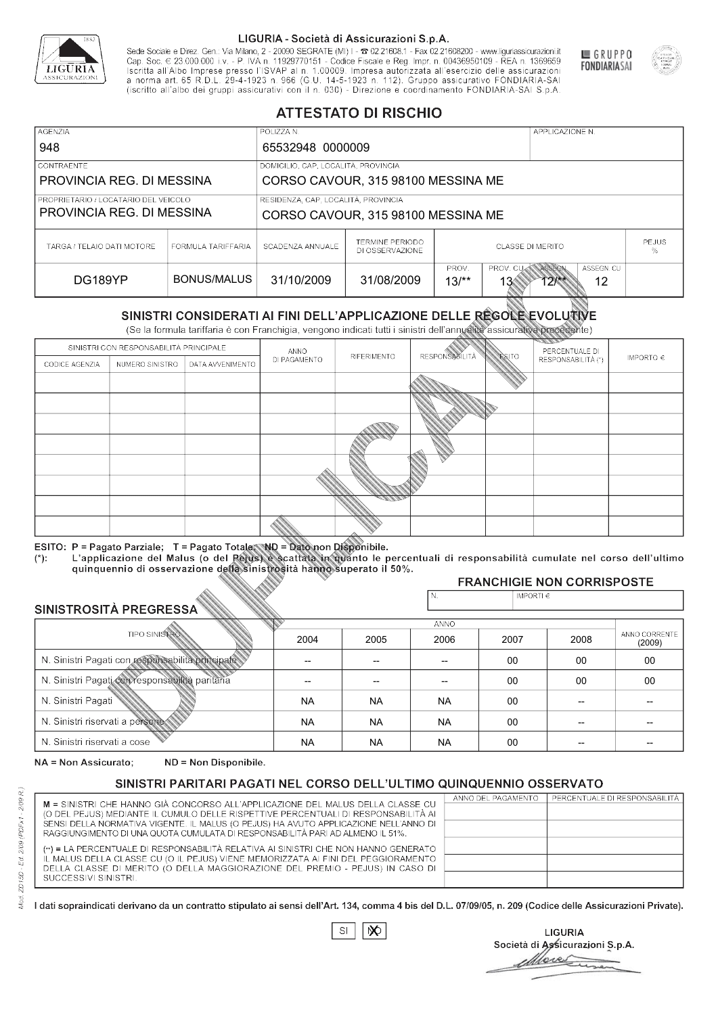

Sede Sociale e Direz. Gen.: Via Milano, 2 - 20090 SEGRATE (MI) I - 2 02.21608.1 - Fax 02.21608200 - www.liguriassicurazioni.it Sede e Direz, Gen. Via Milanto, 2 - 20090 SEGATE (MI) I - 2 UZZIODO. I - FAX UZZIODO2 I - WWW. IIJONENSURIADONILI<br>Cap. Soc. € 23.000.000 i.v. - P. IVA n. 11929770151 - Codice Fiscale e Reg. Impr. n. 00436950109 - REA n. 1



GRUPPO

**FONDIARIASAI** 

# **ATTESTATO DI RISCHIO**

| <b>AGENZIA</b><br>948                                             |                    | POLIZZA N.                                              |                                    |                 |                                      | APPLICAZIONE N.       |                  |                   |
|-------------------------------------------------------------------|--------------------|---------------------------------------------------------|------------------------------------|-----------------|--------------------------------------|-----------------------|------------------|-------------------|
| <b>CONTRAENTE</b><br>PROVINCIA REG. DI MESSINA                    |                    | 65532948 0000009<br>DOMICILIO, CAP, LOCALITÀ, PROVINCIA | CORSO CAVOUR, 315 98100 MESSINA ME |                 |                                      |                       |                  |                   |
| PROPRIETARIO / LOCATARIO DEL VEICOLO<br>PROVINCIA REG. DI MESSINA |                    | RESIDENZA, CAP, LOCALITÀ, PROVINCIA                     | CORSO CAVOUR, 315 98100 MESSINA ME |                 |                                      |                       |                  |                   |
| TARGA / TELAIO DATI MOTORE                                        | FORMULA TARIFFARIA | SCADENZA ANNUALE                                        | TERMINE PERIODO<br>DI OSSERVAZIONE |                 | <b>CLASSE DI MERITO</b>              |                       |                  | <b>PEJUS</b><br>% |
| DG189YP                                                           | BONUS/MALUS        | 31/10/2009                                              | 31/08/2009                         | PROV.<br>$13/*$ | PROV. CUAN ASSEGN<br>13 <sub>°</sub> | $12$ $\frac{144}{12}$ | ASSEGN. CU<br>12 |                   |

|                                 |                      |                                                                                                                                                                                                      |              | DI OSSERVAZIONE |                      |                             |                                      | %                       |
|---------------------------------|----------------------|------------------------------------------------------------------------------------------------------------------------------------------------------------------------------------------------------|--------------|-----------------|----------------------|-----------------------------|--------------------------------------|-------------------------|
| DG189YP                         |                      | <b>BONUS/MALUS</b>                                                                                                                                                                                   | 31/10/2009   | 31/08/2009      | PROV.<br>$13/*$      | PROV. CU<br>13 <sup>′</sup> | ASSEGN<br>ASSEGN. CU<br>$12**$<br>12 |                         |
|                                 |                      | SINISTRI CONSIDERATI AI FINI DELL'APPLICAZIONE DELLE RÉGOLE EVOLUTIVE<br>(Se la formula tariffaria è con Franchigia, vengono indicati tutti i sinistri dell'annualità assicurativa precedente)       |              |                 |                      |                             |                                      |                         |
|                                 |                      | SINISTRI CON RESPONSABILITÀ PRINCIPALE                                                                                                                                                               | ANNO         |                 |                      |                             | PERCENTUALE DI                       |                         |
| CODICE AGENZIA                  | NUMERO SINISTRO      | DATA AVVENIMENTO                                                                                                                                                                                     | DI PAGAMENTO | RIFERIMENTO     | <b>RESPONSABLITA</b> | <b>ESITO</b>                | RESPONSABILITÀ (*)                   | IMPORTO $\in$           |
|                                 |                      |                                                                                                                                                                                                      |              |                 |                      |                             |                                      |                         |
|                                 |                      |                                                                                                                                                                                                      |              |                 |                      |                             |                                      |                         |
|                                 |                      |                                                                                                                                                                                                      |              |                 |                      |                             |                                      |                         |
|                                 |                      |                                                                                                                                                                                                      |              |                 |                      |                             |                                      |                         |
|                                 |                      |                                                                                                                                                                                                      |              |                 |                      |                             |                                      |                         |
|                                 |                      |                                                                                                                                                                                                      |              |                 |                      |                             |                                      |                         |
|                                 |                      |                                                                                                                                                                                                      |              |                 |                      |                             |                                      |                         |
|                                 |                      |                                                                                                                                                                                                      |              |                 |                      |                             |                                      |                         |
|                                 |                      |                                                                                                                                                                                                      |              |                 |                      |                             |                                      |                         |
|                                 |                      | ESITO: P = Pagato Parziale; T = Pagato Totale; ND = Dato non Disponibile.                                                                                                                            |              |                 |                      |                             |                                      |                         |
| $(*)$ .                         |                      | L'applicazione del Malus (o del Pejus) è scattata in quanto le percentuali di responsabilità cumulate nel corso dell'ultimo<br>quinquennio di osservazione della sinistrosità hanno superato il 50%. |              |                 |                      |                             |                                      |                         |
|                                 |                      |                                                                                                                                                                                                      |              |                 |                      |                             | <b>FRANCHIGIE NON CORRISPOSTE</b>    |                         |
| SINISTROSITÀ PREGRESSA          |                      |                                                                                                                                                                                                      |              |                 | N.                   | IMPORTI $\epsilon$          |                                      |                         |
|                                 |                      |                                                                                                                                                                                                      |              |                 | <b>ANNO</b>          |                             |                                      |                         |
|                                 | <b>TIPO SINISTRO</b> |                                                                                                                                                                                                      | 2004         | 2005            | 2006                 | 2007                        | 2008                                 | ANNO CORRENTE<br>(2009) |
|                                 |                      | N. Sinistri Pagati con responsabilità principale                                                                                                                                                     | --           | --              | $\overline{a}$       | 00                          | 00                                   | $00\,$                  |
|                                 |                      | N. Sinistri Pagati con responsabilità paritaria                                                                                                                                                      |              |                 |                      | 00                          | 00                                   | 00                      |
| N. Sinistri Pagati              |                      |                                                                                                                                                                                                      | <b>NA</b>    | <b>NA</b>       | <b>NA</b>            | 00                          | --                                   |                         |
| N. Sinistri riservati a persone |                      |                                                                                                                                                                                                      | <b>NA</b>    | <b>NA</b>       | <b>NA</b>            | 00                          |                                      |                         |
| N. Sinjetri riconvoti a coco    |                      |                                                                                                                                                                                                      | <b>AIA</b>   | <b>AIA</b>      | <b>NIA</b>           | $\sim$                      |                                      |                         |

### 2005 -- -- NA NA NA 2004 -- -- NA NA NA 2006 -- -- NA NA NA 2007 00 00 00 00 00 2008 00 00 -- -- -- 00 00 -- -- -- (2009)

NA = Non Assicurato: ND = Non Disponibile.

# SINISTRI PARITARI PAGATI NEL CORSO DELL'ULTIMO QUINQUENNIO OSSERVATO

|                                                                                                                                                                      | ANNO DEL PAGAMENTO | PERCENTUALE DI RESPONSABILITÀ |
|----------------------------------------------------------------------------------------------------------------------------------------------------------------------|--------------------|-------------------------------|
| M = SINISTRI CHE HANNO GIÀ CONCORSO ALL'APPLICAZIONE DEL MALUS DELLA CLASSE CU<br>(O DEL PEJUS) MEDIANTE IL CUMULO DELLE RISPETTIVE PERCENTUALI DI RESPONSABILITÀ AI |                    |                               |
| SENSI DELLA NORMATIVA VIGENTE. IL MALUS (O PEJUS) HA AVUTO APPLICAZIONE NELL'ANNO DI                                                                                 |                    |                               |
| RAGGIUNGIMENTO DI UNA QUOTA CUMULATA DI RESPONSABILITÀ PARI AD ALMENO IL 51%.                                                                                        |                    |                               |
| (**) = LA PERCENTUALE DI RESPONSABILITÀ RELATIVA AI SINISTRI CHE NON HANNO GENERATO                                                                                  |                    |                               |
| IL MALUS DELLA CLASSE CU (O IL PEJUS) VIENE MEMORIZZATA AI FINI DEL PEGGIORAMENTO                                                                                    |                    |                               |
| DELLA CLASSE DI MERITO (O DELLA MAGGIORAZIONE DEL PREMIO - PEJUS) IN CASO DI                                                                                         |                    |                               |
| SUCCESSIVI SINISTRI.                                                                                                                                                 |                    |                               |
|                                                                                                                                                                      |                    |                               |

 $\mathbb{S}\mathsf{I}$  $\infty$ 

**LIGURIA** Società di Assicurazioni S.p.A. Move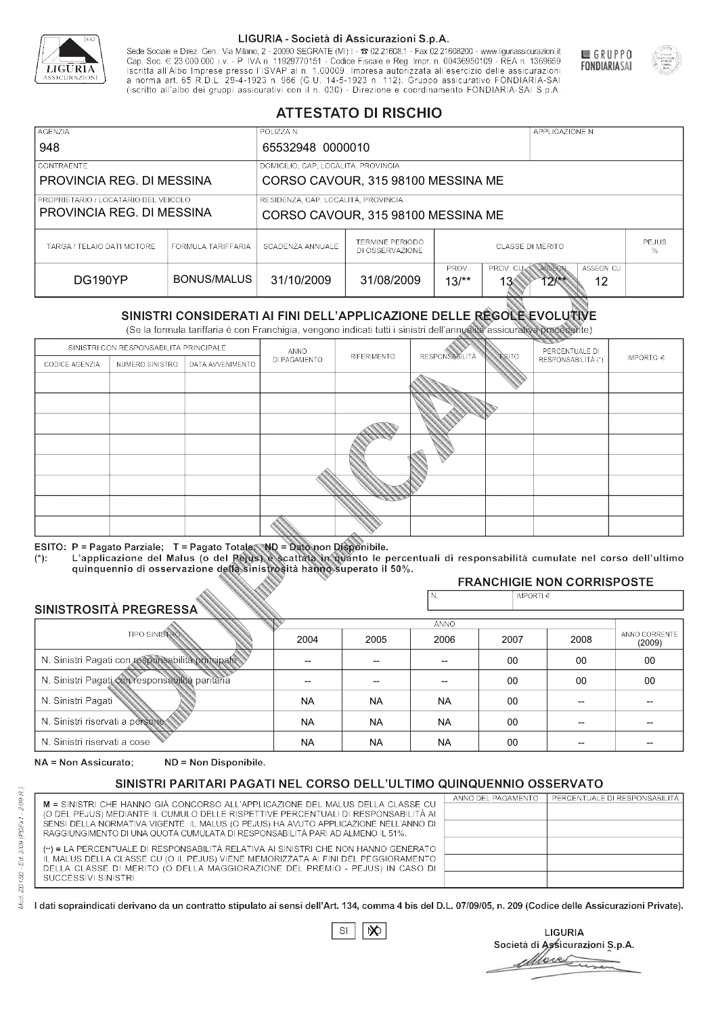

Sede Sociale e Direz. Gen.: Via Milano, 2 - 20090 SEGRATE (MI) I - 2 02.21608.1 - Fax 02.21608200 - www.liguriassicurazioni.it Sede e Direz, Gen. Via Milanto, 2 - 20090 SEGATE (MI) I - 2 UZZIODO. I - FAX UZZIODO2 I - WWW. IIJONENSURIADONILI<br>Cap. Soc. € 23.000.000 i.v. - P. IVA n. 11929770151 - Codice Fiscale e Reg. Impr. n. 00436950109 - REA n. 1



GRUPPO

**FONDIARIASAI** 

# **ATTESTATO DI RISCHIO**

| <b>AGENZIA</b>                       |                    | POLIZZA N.                          |                                    |                 |                                      | APPLICAZIONE N.       |                  |                   |
|--------------------------------------|--------------------|-------------------------------------|------------------------------------|-----------------|--------------------------------------|-----------------------|------------------|-------------------|
| 948                                  |                    | 65532948 0000010                    |                                    |                 |                                      |                       |                  |                   |
| <b>CONTRAENTE</b>                    |                    | DOMICILIO, CAP, LOCALITÀ, PROVINCIA |                                    |                 |                                      |                       |                  |                   |
| PROVINCIA REG. DI MESSINA            |                    |                                     | CORSO CAVOUR, 315 98100 MESSINA ME |                 |                                      |                       |                  |                   |
| PROPRIETARIO / LOCATARIO DEL VEICOLO |                    | RESIDENZA, CAP, LOCALITÀ, PROVINCIA |                                    |                 |                                      |                       |                  |                   |
| PROVINCIA REG. DI MESSINA            |                    |                                     | CORSO CAVOUR, 315 98100 MESSINA ME |                 |                                      |                       |                  |                   |
| TARGA / TELAIO DATI MOTORE           | FORMULA TARIFFARIA | SCADENZA ANNUALE                    | TERMINE PERIODO<br>DI OSSERVAZIONE |                 | <b>CLASSE DI MERITO</b>              |                       |                  | <b>PEJUS</b><br>% |
| DG190YP                              | BONUS/MALUS        | 31/10/2009                          | 31/08/2009                         | PROV.<br>$13/*$ | PROV. CUAN ASSEGN<br>13 <sub>°</sub> | $12$ $\frac{144}{12}$ | ASSEGN. CU<br>12 |                   |

|                                 |                      |                                                                                                                                                                                                      |              | DI OSSERVAZIONE |                      |                             |                                      | %                       |
|---------------------------------|----------------------|------------------------------------------------------------------------------------------------------------------------------------------------------------------------------------------------------|--------------|-----------------|----------------------|-----------------------------|--------------------------------------|-------------------------|
| DG190YP                         |                      | <b>BONUS/MALUS</b>                                                                                                                                                                                   | 31/10/2009   | 31/08/2009      | PROV.<br>$13/*$      | PROV. CU<br>13 <sup>′</sup> | ASSEGN<br>ASSEGN. CU<br>$12**$<br>12 |                         |
|                                 |                      | SINISTRI CONSIDERATI AI FINI DELL'APPLICAZIONE DELLE RÉGOLE EVOLUTIVE<br>(Se la formula tariffaria è con Franchigia, vengono indicati tutti i sinistri dell'annualità assicurativa precedente)       |              |                 |                      |                             |                                      |                         |
|                                 |                      | SINISTRI CON RESPONSABILITÀ PRINCIPALE                                                                                                                                                               | ANNO         |                 |                      |                             | PERCENTUALE DI                       |                         |
| CODICE AGENZIA                  | NUMERO SINISTRO      | DATA AVVENIMENTO                                                                                                                                                                                     | DI PAGAMENTO | RIFERIMENTO     | <b>RESPONSABLITA</b> | <b>ESITO</b>                | RESPONSABILITÀ (*)                   | IMPORTO $\in$           |
|                                 |                      |                                                                                                                                                                                                      |              |                 |                      |                             |                                      |                         |
|                                 |                      |                                                                                                                                                                                                      |              |                 |                      |                             |                                      |                         |
|                                 |                      |                                                                                                                                                                                                      |              |                 |                      |                             |                                      |                         |
|                                 |                      |                                                                                                                                                                                                      |              |                 |                      |                             |                                      |                         |
|                                 |                      |                                                                                                                                                                                                      |              |                 |                      |                             |                                      |                         |
|                                 |                      |                                                                                                                                                                                                      |              |                 |                      |                             |                                      |                         |
|                                 |                      |                                                                                                                                                                                                      |              |                 |                      |                             |                                      |                         |
|                                 |                      |                                                                                                                                                                                                      |              |                 |                      |                             |                                      |                         |
|                                 |                      |                                                                                                                                                                                                      |              |                 |                      |                             |                                      |                         |
|                                 |                      | ESITO: P = Pagato Parziale; T = Pagato Totale; ND = Dato non Disponibile.                                                                                                                            |              |                 |                      |                             |                                      |                         |
| $(*)$ .                         |                      | L'applicazione del Malus (o del Pejus) è scattata in quanto le percentuali di responsabilità cumulate nel corso dell'ultimo<br>quinquennio di osservazione della sinistrosità hanno superato il 50%. |              |                 |                      |                             |                                      |                         |
|                                 |                      |                                                                                                                                                                                                      |              |                 |                      |                             | <b>FRANCHIGIE NON CORRISPOSTE</b>    |                         |
| SINISTROSITÀ PREGRESSA          |                      |                                                                                                                                                                                                      |              |                 | N.                   | IMPORTI $\epsilon$          |                                      |                         |
|                                 |                      |                                                                                                                                                                                                      |              |                 | <b>ANNO</b>          |                             |                                      |                         |
|                                 | <b>TIPO SINISTRO</b> |                                                                                                                                                                                                      | 2004         | 2005            | 2006                 | 2007                        | 2008                                 | ANNO CORRENTE<br>(2009) |
|                                 |                      | N. Sinistri Pagati con responsabilità principale                                                                                                                                                     | --           | --              | $\overline{a}$       | 00                          | 00                                   | $00\,$                  |
|                                 |                      | N. Sinistri Pagati con responsabilità paritaria                                                                                                                                                      |              |                 |                      | 00                          | 00                                   | 00                      |
| N. Sinistri Pagati              |                      |                                                                                                                                                                                                      | <b>NA</b>    | <b>NA</b>       | <b>NA</b>            | 00                          | --                                   |                         |
| N. Sinistri riservati a persone |                      |                                                                                                                                                                                                      | <b>NA</b>    | <b>NA</b>       | <b>NA</b>            | 00                          |                                      |                         |
| N. Sinjetri riconvoti a coco    |                      |                                                                                                                                                                                                      | <b>AIA</b>   | <b>AIA</b>      | <b>NIA</b>           | $\sim$                      |                                      |                         |

### 2005 -- -- NA NA NA 2004 -- -- NA NA NA 2006 -- -- NA NA NA 2007 00 00 00 00 00 2008 00 00 -- -- -- 00 00 -- -- -- (2009)

NA = Non Assicurato: ND = Non Disponibile.

# SINISTRI PARITARI PAGATI NEL CORSO DELL'ULTIMO QUINQUENNIO OSSERVATO

|                                                                                                                                                                       | ANNO DEL PAGAMENTO | PERCENTUALE DI RESPONSABILITÀ |
|-----------------------------------------------------------------------------------------------------------------------------------------------------------------------|--------------------|-------------------------------|
| M = SINISTRI CHE HANNO GIÀ CONCORSO ALL'APPLICAZIONE DEL MALUS DELLA CLASSE CU<br>(O DEL PEJUS) MEDIANTE IL CUMULO DELLE RISPETTIVE PERCENTUALI DI RESPONSABILITÀ AI  |                    |                               |
| SENSI DELLA NORMATIVA VIGENTE. IL MALUS (O PEJUS) HA AVUTO APPLICAZIONE NELL'ANNO DI<br>RAGGIUNGIMENTO DI UNA QUOTA CUMULATA DI RESPONSABILITÀ PARI AD ALMENO IL 51%. |                    |                               |
| (**) = LA PERCENTUALE DI RESPONSABILITÀ RELATIVA AI SINISTRI CHE NON HANNO GENERATO                                                                                   |                    |                               |
| IL MALUS DELLA CLASSE CU (O IL PEJUS) VIENE MEMORIZZATA AI FINI DEL PEGGIORAMENTO<br>DELLA CLASSE DI MERITO (O DELLA MAGGIORAZIONE DEL PREMIO - PEJUS) IN CASO DI     |                    |                               |
| SUCCESSIVI SINISTRI.                                                                                                                                                  |                    |                               |

 $\mathbb{S}\mathsf{I}$  $\infty$ 

**LIGURIA** Società di Assicurazioni S.p.A. Move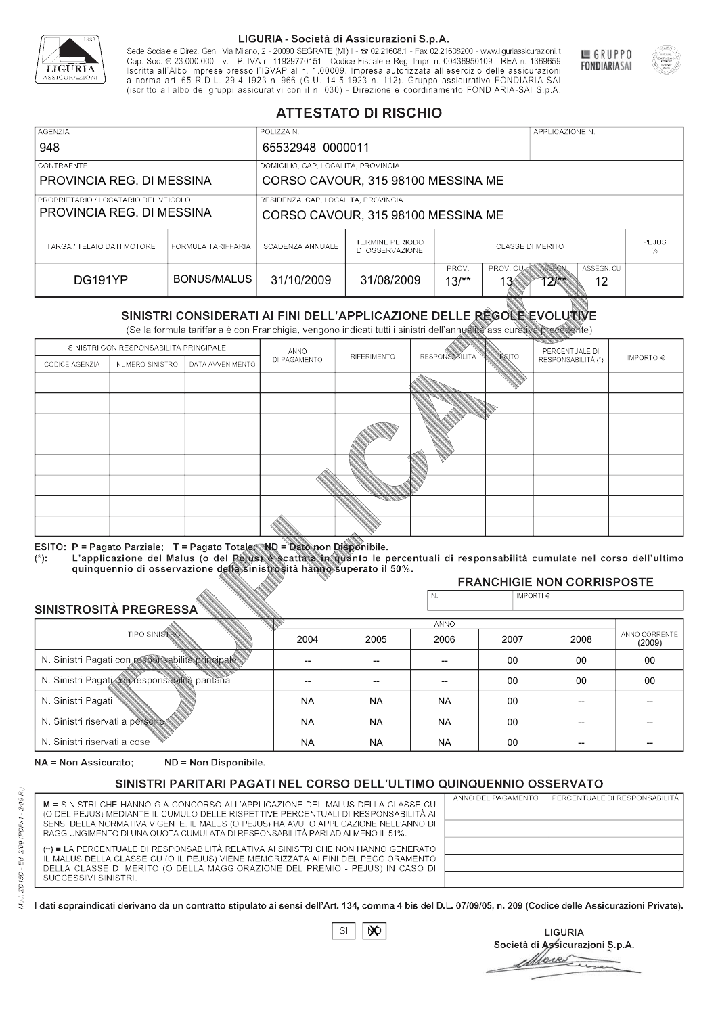

Sede Sociale e Direz. Gen.: Via Milano, 2 - 20090 SEGRATE (MI) I - 2 02.21608.1 - Fax 02.21608200 - www.liguriassicurazioni.it Sede e Direz, Gen. Via Milanto, 2 - 20090 SEGATE (MI) I - 2 UZZIODO. I - FAX UZZIODO2 I - WWW. IIJONENSURIADONILI<br>Cap. Soc. € 23.000.000 i.v. - P. IVA n. 11929770151 - Codice Fiscale e Reg. Impr. n. 00436950109 - REA n. 1



GRUPPO

**FONDIARIASAI** 

# **ATTESTATO DI RISCHIO**

| <b>AGENZIA</b>                                                    |                    | POLIZZA N.                          |                                    |                 |                                      | APPLICAZIONE N. |                  |                   |
|-------------------------------------------------------------------|--------------------|-------------------------------------|------------------------------------|-----------------|--------------------------------------|-----------------|------------------|-------------------|
| 948                                                               |                    | 65532948 0000011                    |                                    |                 |                                      |                 |                  |                   |
| <b>CONTRAENTE</b>                                                 |                    | DOMICILIO, CAP, LOCALITÀ, PROVINCIA |                                    |                 |                                      |                 |                  |                   |
| PROVINCIA REG. DI MESSINA                                         |                    |                                     | CORSO CAVOUR, 315 98100 MESSINA ME |                 |                                      |                 |                  |                   |
| PROPRIETARIO / LOCATARIO DEL VEICOLO<br>PROVINCIA REG. DI MESSINA |                    | RESIDENZA, CAP, LOCALITÀ, PROVINCIA | CORSO CAVOUR, 315 98100 MESSINA ME |                 |                                      |                 |                  |                   |
| TARGA / TELAIO DATI MOTORE                                        | FORMULA TARIFFARIA | SCADENZA ANNUALE                    | TERMINE PERIODO<br>DI OSSERVAZIONE |                 | <b>CLASSE DI MERITO</b>              |                 |                  | <b>PEJUS</b><br>% |
| DG191YP                                                           | BONUS/MALUS        | 31/10/2009                          | 31/08/2009                         | PROV.<br>$13/*$ | PROV. CUAN ASSEGN<br>13 <sub>°</sub> | $12**$          | ASSEGN. CU<br>12 |                   |

|                                                  |                      |                                                                                                                                                                                                      |              | DI OSSERVAZIONE |                      |                             |                                      | %                       |
|--------------------------------------------------|----------------------|------------------------------------------------------------------------------------------------------------------------------------------------------------------------------------------------------|--------------|-----------------|----------------------|-----------------------------|--------------------------------------|-------------------------|
| DG191YP                                          |                      | <b>BONUS/MALUS</b>                                                                                                                                                                                   | 31/10/2009   | 31/08/2009      | PROV.<br>$13/*$      | PROV. CU<br>13 <sup>′</sup> | ASSEGN<br>ASSEGN. CU<br>$12**$<br>12 |                         |
|                                                  |                      | SINISTRI CONSIDERATI AI FINI DELL'APPLICAZIONE DELLE RÉGOLE EVOLUTIVE<br>(Se la formula tariffaria è con Franchigia, vengono indicati tutti i sinistri dell'annualità assicurativa precedente)       |              |                 |                      |                             |                                      |                         |
|                                                  |                      | SINISTRI CON RESPONSABILITÀ PRINCIPALE                                                                                                                                                               | ANNO         |                 |                      |                             | PERCENTUALE DI                       |                         |
| CODICE AGENZIA                                   | NUMERO SINISTRO      | DATA AVVENIMENTO                                                                                                                                                                                     | DI PAGAMENTO | RIFERIMENTO     | <b>RESPONSABLITA</b> | <b>ESITO</b>                | RESPONSABILITÀ (*)                   | IMPORTO $\in$           |
|                                                  |                      |                                                                                                                                                                                                      |              |                 |                      |                             |                                      |                         |
|                                                  |                      |                                                                                                                                                                                                      |              |                 |                      |                             |                                      |                         |
|                                                  |                      |                                                                                                                                                                                                      |              |                 |                      |                             |                                      |                         |
|                                                  |                      |                                                                                                                                                                                                      |              |                 |                      |                             |                                      |                         |
|                                                  |                      |                                                                                                                                                                                                      |              |                 |                      |                             |                                      |                         |
|                                                  |                      |                                                                                                                                                                                                      |              |                 |                      |                             |                                      |                         |
|                                                  |                      |                                                                                                                                                                                                      |              |                 |                      |                             |                                      |                         |
|                                                  |                      |                                                                                                                                                                                                      |              |                 |                      |                             |                                      |                         |
|                                                  |                      |                                                                                                                                                                                                      |              |                 |                      |                             |                                      |                         |
|                                                  |                      | ESITO: P = Pagato Parziale; T = Pagato Totale; ND = Dato non Disponibile.                                                                                                                            |              |                 |                      |                             |                                      |                         |
| $(*)$ .                                          |                      | L'applicazione del Malus (o del Pejus) è scattata in quanto le percentuali di responsabilità cumulate nel corso dell'ultimo<br>quinquennio di osservazione della sinistrosità hanno superato il 50%. |              |                 |                      |                             |                                      |                         |
|                                                  |                      |                                                                                                                                                                                                      |              |                 |                      |                             | <b>FRANCHIGIE NON CORRISPOSTE</b>    |                         |
|                                                  |                      |                                                                                                                                                                                                      |              |                 | N.                   | IMPORTI $\epsilon$          |                                      |                         |
| SINISTROSITÀ PREGRESSA                           |                      |                                                                                                                                                                                                      |              |                 | <b>ANNO</b>          |                             |                                      |                         |
|                                                  | <b>TIPO SINISTRO</b> |                                                                                                                                                                                                      | 2004         | 2005            | 2006                 | 2007                        | 2008                                 | ANNO CORRENTE<br>(2009) |
| N. Sinistri Pagati con responsabilità principale |                      |                                                                                                                                                                                                      | --           | --              | $\overline{a}$       | 00                          | 00                                   | $00\,$                  |
|                                                  |                      | N. Sinistri Pagati con responsabilità paritaria                                                                                                                                                      |              |                 |                      | 00                          | 00                                   | 00                      |
| N. Sinistri Pagati                               |                      |                                                                                                                                                                                                      | <b>NA</b>    | <b>NA</b>       | <b>NA</b>            | 00                          | --                                   |                         |
| N. Sinistri riservati a persone                  |                      |                                                                                                                                                                                                      | <b>NA</b>    | <b>NA</b>       | <b>NA</b>            | 00                          |                                      |                         |
| N. Sinjetri riconvoti a coco                     |                      |                                                                                                                                                                                                      | <b>AIA</b>   | <b>AIA</b>      | <b>NIA</b>           | $\sim$                      |                                      |                         |

### 2005 -- -- NA NA NA 2004 -- -- NA NA NA 2006 -- -- NA NA NA 2007 00 00 00 00 00 2008 00 00 -- -- -- 00 00 -- -- -- (2009)

NA = Non Assicurato: ND = Non Disponibile.

# SINISTRI PARITARI PAGATI NEL CORSO DELL'ULTIMO QUINQUENNIO OSSERVATO

|                                                                                      | ANNO DEL PAGAMENTO | PERCENTUALE DI RESPONSABILITÀ |
|--------------------------------------------------------------------------------------|--------------------|-------------------------------|
| M = SINISTRI CHE HANNO GIÀ CONCORSO ALL'APPLICAZIONE DEL MALUS DELLA CLASSE CU       |                    |                               |
| (O DEL PEJUS) MEDIANTE IL CUMULO DELLE RISPETTIVE PERCENTUALI DI RESPONSABILITÀ AI   |                    |                               |
| SENSI DELLA NORMATIVA VIGENTE. IL MALUS (O PEJUS) HA AVUTO APPLICAZIONE NELL'ANNO DI |                    |                               |
| RAGGIUNGIMENTO DI UNA QUOTA CUMULATA DI RESPONSABILITÀ PARI AD ALMENO IL 51%.        |                    |                               |
| (**) = LA PERCENTUALE DI RESPONSABILITÀ RELATIVA AI SINISTRI CHE NON HANNO GENERATO  |                    |                               |
| IL MALUS DELLA CLASSE CU (O IL PEJUS) VIENE MEMORIZZATA AI FINI DEL PEGGIORAMENTO    |                    |                               |
| DELLA CLASSE DI MERITO (O DELLA MAGGIORAZIONE DEL PREMIO - PEJUS) IN CASO DI         |                    |                               |
| SUCCESSIVI SINISTRI.                                                                 |                    |                               |
|                                                                                      |                    |                               |

|--|

**LIGURIA** Società di Assicurazioni S.p.A. Move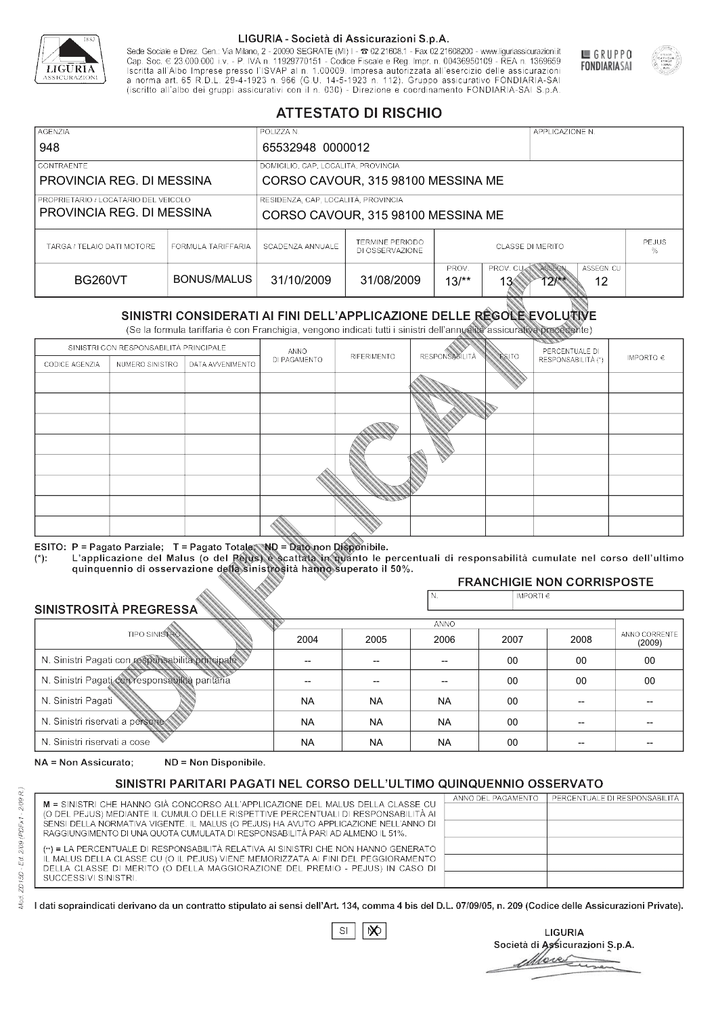

Sede Sociale e Direz. Gen.: Via Milano, 2 - 20090 SEGRATE (MI) I - 2 02.21608.1 - Fax 02.21608200 - www.liguriassicurazioni.it Cap. Soc.  $\in$  23.000.000 i.v. - P. IVA n. 11929770151 - Codice Fiscale e Reg. Impr. n. 00436950109 - REA n. 1369659<br>Iscritta all'Albo Imprese presso l'ISVAP al n. 1.00009. Impresa autorizzata all'esercizio delle assicura (iscritto all'albo dei gruppi assicurativi con il n. 030) - Direzione e coordinamento FONDIARIA-SAI S.p.A



GRUPPO

**FONDIARIASAI** 

# **ATTESTATO DI RISCHIO**

| <b>AGENZIA</b>                         |                    | POLIZZA N.                          |                                    |                              |                         | APPLICAZIONE N.       |                  |              |
|----------------------------------------|--------------------|-------------------------------------|------------------------------------|------------------------------|-------------------------|-----------------------|------------------|--------------|
| 948                                    |                    | 65532948 0000012                    |                                    |                              |                         |                       |                  |              |
| <b>CONTRAENTE</b>                      |                    | DOMICILIO, CAP, LOCALITÀ, PROVINCIA |                                    |                              |                         |                       |                  |              |
| PROVINCIA REG. DI MESSINA              |                    |                                     | CORSO CAVOUR, 315 98100 MESSINA ME |                              |                         |                       |                  |              |
| I PROPRIETARIO / LOCATARIO DEL VEICOLO |                    | RESIDENZA, CAP, LOCALITÀ, PROVINCIA |                                    |                              |                         |                       |                  |              |
| PROVINCIA REG. DI MESSINA              |                    |                                     | CORSO CAVOUR, 315 98100 MESSINA ME |                              |                         |                       |                  |              |
| TARGA / TELAIO DATI MOTORE             | FORMULA TARIFFARIA | SCADENZA ANNUALE                    | TERMINE PERIODO<br>DI OSSERVAZIONE | <b>CLASSE DI MERITO</b><br>% |                         |                       |                  | <b>PEJUS</b> |
| <b>BG260VT</b>                         | BONUS/MALUS        | 31/10/2009                          | 31/08/2009                         | PROV.<br>$13/*$              | PROV. CUAN ASSEGN<br>13 | $12$ $\frac{144}{12}$ | ASSEGN. CU<br>12 |              |

|                                                 |                      |                                                                                                                                                                                                      |                    | DI OSSERVAZIONE    |                       |                    |                                   | %                           |                                      |  |
|-------------------------------------------------|----------------------|------------------------------------------------------------------------------------------------------------------------------------------------------------------------------------------------------|--------------------|--------------------|-----------------------|--------------------|-----------------------------------|-----------------------------|--------------------------------------|--|
|                                                 | <b>BG260VT</b>       |                                                                                                                                                                                                      | <b>BONUS/MALUS</b> |                    | 31/10/2009            | 31/08/2009         | PROV.<br>$13/*$                   | PROV. CU<br>13 <sup>′</sup> | ASSEGN<br>ASSEGN. CU<br>$12**$<br>12 |  |
|                                                 |                      | SINISTRI CONSIDERATI AI FINI DELL'APPLICAZIONE DELLE RÉGOLE EVOLUTIVE<br>(Se la formula tariffaria è con Franchigia, vengono indicati tutti i sinistri dell'annualità assicurativa precedente)       |                    |                    |                       |                    |                                   |                             |                                      |  |
|                                                 |                      | SINISTRI CON RESPONSABILITÀ PRINCIPALE                                                                                                                                                               | ANNO               |                    |                       |                    | PERCENTUALE DI                    |                             |                                      |  |
| CODICE AGENZIA                                  | NUMERO SINISTRO      | DATA AVVENIMENTO                                                                                                                                                                                     | DI PAGAMENTO       | <b>RIFERIMENTO</b> | <b>RESPONSABILITÀ</b> | ESITO              | RESPONSABILITÀ (*)                | IMPORTO $\in$               |                                      |  |
|                                                 |                      |                                                                                                                                                                                                      |                    |                    |                       |                    |                                   |                             |                                      |  |
|                                                 |                      |                                                                                                                                                                                                      |                    |                    |                       |                    |                                   |                             |                                      |  |
|                                                 |                      |                                                                                                                                                                                                      |                    |                    |                       |                    |                                   |                             |                                      |  |
|                                                 |                      |                                                                                                                                                                                                      |                    |                    |                       |                    |                                   |                             |                                      |  |
|                                                 |                      |                                                                                                                                                                                                      |                    |                    |                       |                    |                                   |                             |                                      |  |
|                                                 |                      |                                                                                                                                                                                                      |                    |                    |                       |                    |                                   |                             |                                      |  |
|                                                 |                      |                                                                                                                                                                                                      |                    |                    |                       |                    |                                   |                             |                                      |  |
|                                                 |                      |                                                                                                                                                                                                      |                    |                    |                       |                    |                                   |                             |                                      |  |
|                                                 |                      |                                                                                                                                                                                                      |                    |                    |                       |                    |                                   |                             |                                      |  |
|                                                 |                      | ESITO: P = Pagato Parziale; T = Pagato Totale; ND = Dato non Disponibile.                                                                                                                            |                    |                    |                       |                    |                                   |                             |                                      |  |
| $(*)$ :                                         |                      | L'applicazione del Malus (o del Pejus) è scattata in quanto le percentuali di responsabilità cumulate nel corso dell'ultimo<br>quinquennio di osservazione della sinistrosità hanno superato il 50%. |                    |                    |                       |                    |                                   |                             |                                      |  |
|                                                 |                      |                                                                                                                                                                                                      |                    |                    |                       |                    | <b>FRANCHIGIE NON CORRISPOSTE</b> |                             |                                      |  |
| SINISTROSITÀ PREGRESSA                          |                      |                                                                                                                                                                                                      |                    |                    | N.                    | IMPORTI $\epsilon$ |                                   |                             |                                      |  |
|                                                 |                      |                                                                                                                                                                                                      |                    |                    | ANNO                  |                    |                                   |                             |                                      |  |
|                                                 | <b>TIPO SINISTRO</b> |                                                                                                                                                                                                      | 2004               | 2005               | 2006                  | 2007               | 2008                              | ANNO CORRENTE<br>(2009)     |                                      |  |
|                                                 |                      | N. Sinistri Pagati con responsabilità principale                                                                                                                                                     | --                 | $-$                | $-$                   | 00                 | 00                                | $00\,$                      |                                      |  |
| N. Sinistri Pagati con responsabilità paritaria |                      |                                                                                                                                                                                                      |                    |                    |                       | 00                 | 00                                | 00                          |                                      |  |
| N. Sinistri Pagati                              |                      |                                                                                                                                                                                                      | <b>NA</b>          | <b>NA</b>          | <b>NA</b>             | $00\,$             | --                                |                             |                                      |  |
| N. Sinistri riservati a persone                 |                      |                                                                                                                                                                                                      | <b>NA</b>          | <b>NA</b>          | <b>NA</b>             | $00\,$             |                                   |                             |                                      |  |
| N. Sinjetri riconvoti a coco                    |                      |                                                                                                                                                                                                      | <b>AIA</b>         | <b>NIA</b>         | <b>NIA</b>            | $\cap$             |                                   |                             |                                      |  |

### 2005 -- -- NA NA NA 2004 -- -- NA NA NA 2006 -- -- NA NA NA 2007 00 00 00 00 00 2008 00 00 -- -- -- 00 00 -- -- -- (2009)

NA = Non Assicurato: ND = Non Disponibile.

# SINISTRI PARITARI PAGATI NEL CORSO DELL'ULTIMO QUINQUENNIO OSSERVATO

|                                                                                                                                                                       | ANNO DEL PAGAMENTO | PERCENTUALE DI RESPONSABILITÀ |
|-----------------------------------------------------------------------------------------------------------------------------------------------------------------------|--------------------|-------------------------------|
| M = SINISTRI CHE HANNO GIÀ CONCORSO ALL'APPLICAZIONE DEL MALUS DELLA CLASSE CU<br>(O DEL PEJUS) MEDIANTE IL CUMULO DELLE RISPETTIVE PERCENTUALI DI RESPONSABILITÀ AI  |                    |                               |
| SENSI DELLA NORMATIVA VIGENTE. IL MALUS (O PEJUS) HA AVUTO APPLICAZIONE NELL'ANNO DI<br>RAGGIUNGIMENTO DI UNA QUOTA CUMULATA DI RESPONSABILITÀ PARI AD ALMENO IL 51%. |                    |                               |
| (**) = LA PERCENTUALE DI RESPONSABILITÀ RELATIVA AI SINISTRI CHE NON HANNO GENERATO                                                                                   |                    |                               |
| IL MALUS DELLA CLASSE CU (O IL PEJUS) VIENE MEMORIZZATA AI FINI DEL PEGGIORAMENTO<br>DELLA CLASSE DI MERITO (O DELLA MAGGIORAZIONE DEL PREMIO - PEJUS) IN CASO DI     |                    |                               |
| SUCCESSIVI SINISTRI.                                                                                                                                                  |                    |                               |

 $\mathbb{S}\mathsf{I}$  $\infty$ 

**LIGURIA** Società di Assicurazioni S.p.A. Move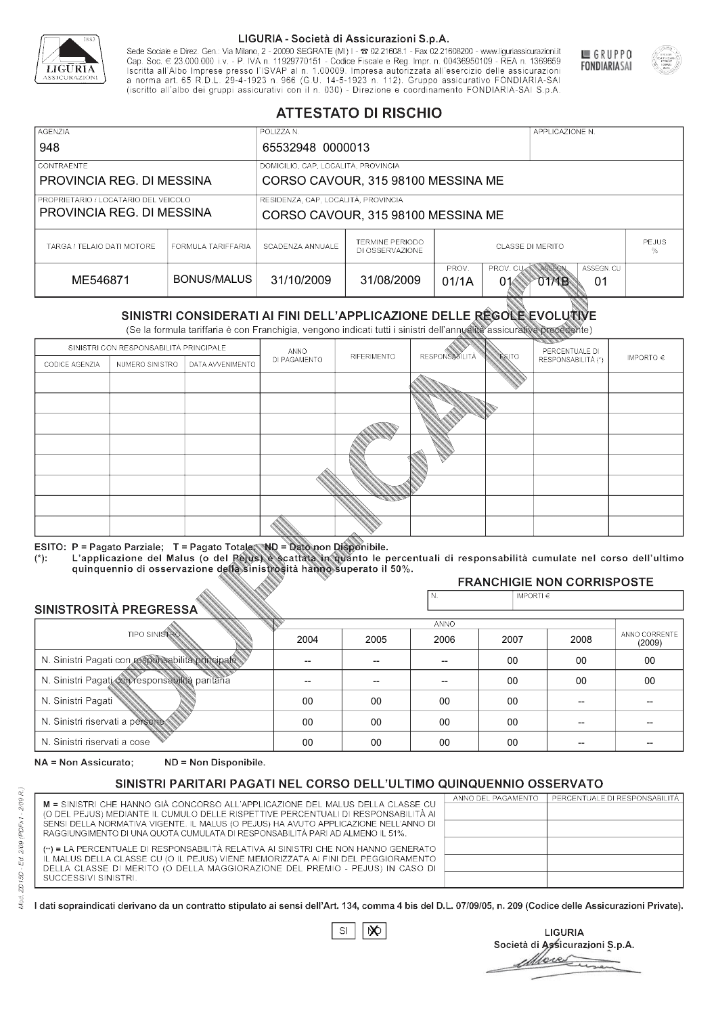

Sede Sociale e Direz. Gen.: Via Milano, 2 - 20090 SEGRATE (MI) I - 2 02.21608.1 - Fax 02.21608200 - www.liguriassicurazioni.it Sede e Direz, Gen. Via Milanto, 2 - 20090 SEGATE (MI) I - 2 UZZIODO. I - FAX UZZIODO2 I - WWW. IIJONENSURIADONILI<br>Cap. Soc. € 23.000.000 i.v. - P. IVA n. 11929770151 - Codice Fiscale e Reg. Impr. n. 00436950109 - REA n. 1



GRUPPO

**FONDIARIASAI** 

# **ATTESTATO DI RISCHIO**

| <b>AGENZIA</b><br>948                                               |                    | POLIZZA N.<br>65532948 0000013                                            |                                                                           | APPLICAZIONE N.                              |                                                     |  |  |
|---------------------------------------------------------------------|--------------------|---------------------------------------------------------------------------|---------------------------------------------------------------------------|----------------------------------------------|-----------------------------------------------------|--|--|
| <b>CONTRAENTE</b><br>PROVINCIA REG. DI MESSINA                      |                    |                                                                           | DOMICILIO, CAP, LOCALITÀ, PROVINCIA<br>CORSO CAVOUR, 315 98100 MESSINA ME |                                              |                                                     |  |  |
| I PROPRIETARIO / LOCATARIO DEL VEICOLO<br>PROVINCIA REG. DI MESSINA |                    | RESIDENZA, CAP, LOCALITÀ, PROVINCIA<br>CORSO CAVOUR, 315 98100 MESSINA ME |                                                                           |                                              |                                                     |  |  |
| TARGA / TELAIO DATI MOTORE                                          | FORMULA TARIFFARIA | SCADENZA ANNUALE                                                          | TERMINE PERIODO<br>DI OSSERVAZIONE                                        | <b>PEJUS</b><br><b>CLASSE DI MERITO</b><br>% |                                                     |  |  |
| ME546871                                                            | BONUS/MALUS        | 31/10/2009                                                                | 31/08/2009                                                                | PROV.<br>01/1A                               | PROV. CUAN ASSEGN<br>ASSEGN. CU<br>01<br>01<br>O1MB |  |  |

|                                 |                      |                                                                                                                                                                                                      |                    | DI OSSERVAZIONE    |                       |                    |                                   | %                       |                                    |  |
|---------------------------------|----------------------|------------------------------------------------------------------------------------------------------------------------------------------------------------------------------------------------------|--------------------|--------------------|-----------------------|--------------------|-----------------------------------|-------------------------|------------------------------------|--|
|                                 | ME546871             |                                                                                                                                                                                                      | <b>BONUS/MALUS</b> |                    | 31/10/2009            | 31/08/2009         | PROV.<br>01/1A                    | PROV. CU<br>01          | ASSEGN<br>ASSEGN. CU<br>O1MB<br>01 |  |
|                                 |                      | SINISTRI CONSIDERATI AI FINI DELL'APPLICAZIONE DELLE RÉGOLE EVOLUTIVE<br>(Se la formula tariffaria è con Franchigia, vengono indicati tutti i sinistri dell'annualità assicurativa precedente)       |                    |                    |                       |                    |                                   |                         |                                    |  |
|                                 |                      | SINISTRI CON RESPONSABILITÀ PRINCIPALE                                                                                                                                                               | ANNO               |                    |                       |                    | PERCENTUALE DI                    |                         |                                    |  |
| CODICE AGENZIA                  | NUMERO SINISTRO      | DATA AVVENIMENTO                                                                                                                                                                                     | DI PAGAMENTO       | <b>RIFERIMENTO</b> | <b>RESPONSABILITÀ</b> | ESITO              | RESPONSABILITÀ (*)                | IMPORTO $\in$           |                                    |  |
|                                 |                      |                                                                                                                                                                                                      |                    |                    |                       |                    |                                   |                         |                                    |  |
|                                 |                      |                                                                                                                                                                                                      |                    |                    |                       |                    |                                   |                         |                                    |  |
|                                 |                      |                                                                                                                                                                                                      |                    |                    |                       |                    |                                   |                         |                                    |  |
|                                 |                      |                                                                                                                                                                                                      |                    |                    |                       |                    |                                   |                         |                                    |  |
|                                 |                      |                                                                                                                                                                                                      |                    |                    |                       |                    |                                   |                         |                                    |  |
|                                 |                      |                                                                                                                                                                                                      |                    |                    |                       |                    |                                   |                         |                                    |  |
|                                 |                      |                                                                                                                                                                                                      |                    |                    |                       |                    |                                   |                         |                                    |  |
|                                 |                      |                                                                                                                                                                                                      |                    |                    |                       |                    |                                   |                         |                                    |  |
|                                 |                      |                                                                                                                                                                                                      |                    |                    |                       |                    |                                   |                         |                                    |  |
|                                 |                      | ESITO: P = Pagato Parziale; T = Pagato Totale; ND = Dato non Disponibile.                                                                                                                            |                    |                    |                       |                    |                                   |                         |                                    |  |
| $(*)$ :                         |                      | L'applicazione del Malus (o del Pejus) è scattata in quanto le percentuali di responsabilità cumulate nel corso dell'ultimo<br>quinquennio di osservazione della sinistrosità hanno superato il 50%. |                    |                    |                       |                    |                                   |                         |                                    |  |
|                                 |                      |                                                                                                                                                                                                      |                    |                    |                       |                    | <b>FRANCHIGIE NON CORRISPOSTE</b> |                         |                                    |  |
| SINISTROSITÀ PREGRESSA          |                      |                                                                                                                                                                                                      |                    |                    | N.                    | IMPORTI $\epsilon$ |                                   |                         |                                    |  |
|                                 |                      |                                                                                                                                                                                                      |                    |                    | ANNO                  |                    |                                   |                         |                                    |  |
|                                 | <b>TIPO SINISTRO</b> |                                                                                                                                                                                                      | 2004               | 2005               | 2006                  | 2007               | 2008                              | ANNO CORRENTE<br>(2009) |                                    |  |
|                                 |                      | N. Sinistri Pagati con responsabilità principale                                                                                                                                                     | --                 | $-$                | $-$                   | 00                 | 00                                | $00\,$                  |                                    |  |
|                                 |                      | N. Sinistri Pagati con responsabilità paritaria                                                                                                                                                      |                    |                    |                       | 00                 | 00                                | 00                      |                                    |  |
| N. Sinistri Pagati              |                      |                                                                                                                                                                                                      | 00                 | 00                 | 00                    | $00\,$             |                                   |                         |                                    |  |
| N. Sinistri riservati a persone |                      |                                                                                                                                                                                                      | $00\,$             | 00                 | 00                    | $00\,$             |                                   |                         |                                    |  |
| N. Sinjetri riconvoti a coco    |                      |                                                                                                                                                                                                      | $\cap$             | $\cap$             | $\cap$                | $\cap$             |                                   |                         |                                    |  |

### 2005 -- --  $0<sup>0</sup>$ 00 00 2004 -- --  $0<sup>0</sup>$ 00 00 2006 -- -- 00 00 00 2007 00 00 00 00 00 2008 00 00 -- -- -- 00 00 -- -- -- (2009)

NA = Non Assicurato: ND = Non Disponibile.

# SINISTRI PARITARI PAGATI NEL CORSO DELL'ULTIMO QUINQUENNIO OSSERVATO

|                                                                                                                                                                       | ANNO DEL PAGAMENTO | PERCENTUALE DI RESPONSABILITÀ |
|-----------------------------------------------------------------------------------------------------------------------------------------------------------------------|--------------------|-------------------------------|
| M = SINISTRI CHE HANNO GIÀ CONCORSO ALL'APPLICAZIONE DEL MALUS DELLA CLASSE CU                                                                                        |                    |                               |
| (O DEL PEJUS) MEDIANTE IL CUMULO DELLE RISPETTIVE PERCENTUALI DI RESPONSABILITÀ AI                                                                                    |                    |                               |
| SENSI DELLA NORMATIVA VIGENTE. IL MALUS (O PEJUS) HA AVUTO APPLICAZIONE NELL'ANNO DI<br>RAGGIUNGIMENTO DI UNA QUOTA CUMULATA DI RESPONSABILITÀ PARI AD ALMENO IL 51%. |                    |                               |
|                                                                                                                                                                       |                    |                               |
| (**) = LA PERCENTUALE DI RESPONSABILITÀ RELATIVA AI SINISTRI CHE NON HANNO GENERATO                                                                                   |                    |                               |
| IL MALUS DELLA CLASSE CU (O IL PEJUS) VIENE MEMORIZZATA AI FINI DEL PEGGIORAMENTO                                                                                     |                    |                               |
| DELLA CLASSE DI MERITO (O DELLA MAGGIORAZIONE DEL PREMIO - PEJUS) IN CASO DI                                                                                          |                    |                               |
| SUCCESSIVI SINISTRI.                                                                                                                                                  |                    |                               |
|                                                                                                                                                                       |                    |                               |

|--|

**LIGURIA** Società di Assicurazioni S.p.A. Move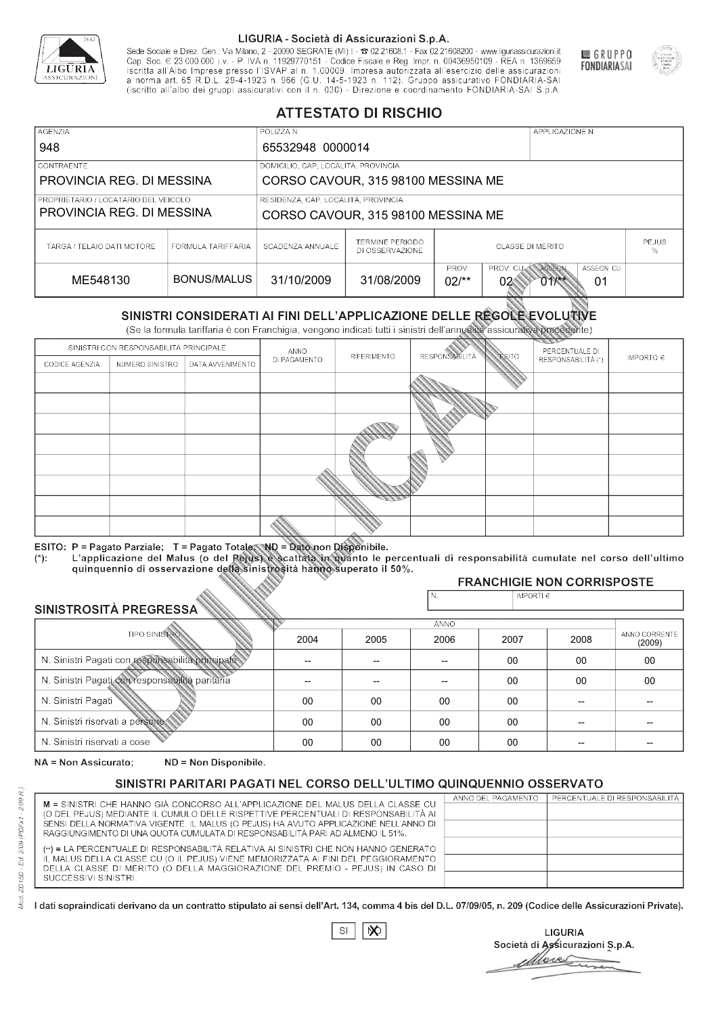

Sede Sociale e Direz. Gen.: Via Milano, 2 - 20090 SEGRATE (MI) I - 2 02.21608.1 - Fax 02.21608200 - www.liguriassicurazioni.it Cap. Soc.  $\in$  23.000.000 i.v. - P. IVA n. 11929770151 - Codice Fiscale e Reg. Impr. n. 00436950109 - REA n. 1369659<br>Iscritta all'Albo Imprese presso l'ISVAP al n. 1.00009. Impresa autorizzata all'esercizio delle assicura d homa art. 65 K.D.L. 29-4-1923 ft. 900 (G.O. 14-5-1923 ft. 112). Gruppo assicurativo PONDIARIA-SAI S.p.A



GRUPPO

**FONDIARIASAI** 

# **ATTESTATO DI RISCHIO**

| <b>AGENZIA</b>                                                    |                    | POLIZZA N.                          |                                    |                                   | APPLICAZIONE N.                   |                   |
|-------------------------------------------------------------------|--------------------|-------------------------------------|------------------------------------|-----------------------------------|-----------------------------------|-------------------|
| 948                                                               |                    | 65532948 0000014                    |                                    |                                   |                                   |                   |
| <b>CONTRAENTE</b>                                                 |                    | DOMICILIO, CAP, LOCALITÀ, PROVINCIA |                                    |                                   |                                   |                   |
| PROVINCIA REG. DI MESSINA                                         |                    |                                     | CORSO CAVOUR, 315 98100 MESSINA ME |                                   |                                   |                   |
| PROPRIETARIO / LOCATARIO DEL VEICOLO<br>PROVINCIA REG. DI MESSINA |                    | RESIDENZA, CAP, LOCALITÀ, PROVINCIA | CORSO CAVOUR, 315 98100 MESSINA ME |                                   |                                   |                   |
| TARGA / TELAIO DATI MOTORE                                        | FORMULA TARIFFARIA | SCADENZA ANNUALE                    | TERMINE PERIODO<br>DI OSSERVAZIONE |                                   | <b>CLASSE DI MERITO</b>           | <b>PEJUS</b><br>% |
| ME548130                                                          | BONUS/MALUS        | 31/10/2009                          | 31/08/2009                         | PROV.<br>PROV. CU<br>$02/*$<br>02 | ASSEGN. CU<br>ASSEGN<br>011<br>01 |                   |

|                                                  |                                |                                                                                                                                                                                                      |              | DI OSSERVAZIONE |                      |                    |                                        | %                       |
|--------------------------------------------------|--------------------------------|------------------------------------------------------------------------------------------------------------------------------------------------------------------------------------------------------|--------------|-----------------|----------------------|--------------------|----------------------------------------|-------------------------|
|                                                  | <b>BONUS/MALUS</b><br>ME548130 |                                                                                                                                                                                                      | 31/10/2009   | 31/08/2009      | PROV.<br>$02/*$      | PROV. CU<br>02     | ASSEGN<br>ASSEGN. CU<br>$011$ **<br>01 |                         |
|                                                  |                                | SINISTRI CONSIDERATI AI FINI DELL'APPLICAZIONE DELLE RÉGOLE EVOLUTIVE<br>(Se la formula tariffaria è con Franchigia, vengono indicati tutti i sinistri dell'annualità assicurativa precedente)       |              |                 |                      |                    |                                        |                         |
|                                                  |                                | SINISTRI CON RESPONSABILITÀ PRINCIPALE                                                                                                                                                               | ANNO         |                 |                      |                    | PERCENTUALE DI                         |                         |
| CODICE AGENZIA                                   | NUMERO SINISTRO                | DATA AVVENIMENTO                                                                                                                                                                                     | DI PAGAMENTO | RIFERIMENTO     | <b>RESPONSABLITA</b> | <b>ESITO</b>       | RESPONSABILITÀ (*)                     | IMPORTO $\in$           |
|                                                  |                                |                                                                                                                                                                                                      |              |                 |                      |                    |                                        |                         |
|                                                  |                                |                                                                                                                                                                                                      |              |                 |                      |                    |                                        |                         |
|                                                  |                                |                                                                                                                                                                                                      |              |                 |                      |                    |                                        |                         |
|                                                  |                                |                                                                                                                                                                                                      |              |                 |                      |                    |                                        |                         |
|                                                  |                                |                                                                                                                                                                                                      |              |                 |                      |                    |                                        |                         |
|                                                  |                                |                                                                                                                                                                                                      |              |                 |                      |                    |                                        |                         |
|                                                  |                                |                                                                                                                                                                                                      |              |                 |                      |                    |                                        |                         |
|                                                  |                                |                                                                                                                                                                                                      |              |                 |                      |                    |                                        |                         |
|                                                  |                                |                                                                                                                                                                                                      |              |                 |                      |                    |                                        |                         |
|                                                  |                                | ESITO: P = Pagato Parziale; T = Pagato Totale; ND = Dato non Disponibile.                                                                                                                            |              |                 |                      |                    |                                        |                         |
| $(*)$ .                                          |                                | L'applicazione del Malus (o del Pejus) è scattata in quanto le percentuali di responsabilità cumulate nel corso dell'ultimo<br>quinquennio di osservazione della sinistrosità hanno superato il 50%. |              |                 |                      |                    |                                        |                         |
|                                                  |                                |                                                                                                                                                                                                      |              |                 |                      |                    | <b>FRANCHIGIE NON CORRISPOSTE</b>      |                         |
|                                                  |                                |                                                                                                                                                                                                      |              |                 | N.                   | IMPORTI $\epsilon$ |                                        |                         |
| SINISTROSITÀ PREGRESSA                           |                                |                                                                                                                                                                                                      |              |                 | ANNO                 |                    |                                        |                         |
|                                                  | <b>TIPO SINISTRO</b>           |                                                                                                                                                                                                      | 2004         | 2005            | 2006                 | 2007               | 2008                                   | ANNO CORRENTE<br>(2009) |
| N. Sinistri Pagati con responsabilità principale |                                |                                                                                                                                                                                                      | --           | --              | $\overline{a}$       | 00                 | 00                                     | $00\,$                  |
| N. Sinistri Pagati con responsabilità paritaria  |                                |                                                                                                                                                                                                      |              |                 |                      | 00                 | 00                                     | 00                      |
| N. Sinistri Pagati                               |                                |                                                                                                                                                                                                      | $00\,$       | 00              | 00                   | 00                 | --                                     |                         |
| N. Sinistri riservati a persone                  |                                |                                                                                                                                                                                                      | 00           | 00              | 00                   | 00                 |                                        |                         |
| N. Sinjetri riconvoti a coco                     |                                |                                                                                                                                                                                                      | $\cap$       | $\cap$          | $\cap$               | $\sim$             |                                        |                         |

### 2005 -- --  $0<sup>0</sup>$ 00 00 2004 -- --  $0<sup>0</sup>$ 00 00 2006 -- -- 00 00 00 2007 00 00 00 00 00 2008 00 00 -- -- -- 00 00 -- -- -- (2009)

NA = Non Assicurato: ND = Non Disponibile.

# SINISTRI PARITARI PAGATI NEL CORSO DELL'ULTIMO QUINQUENNIO OSSERVATO

|                                                                                                                                                                      | ANNO DEL PAGAMENTO | PERCENTUALE DI RESPONSABILITÀ |
|----------------------------------------------------------------------------------------------------------------------------------------------------------------------|--------------------|-------------------------------|
| M = SINISTRI CHE HANNO GIÀ CONCORSO ALL'APPLICAZIONE DEL MALUS DELLA CLASSE CU<br>(O DEL PEJUS) MEDIANTE IL CUMULO DELLE RISPETTIVE PERCENTUALI DI RESPONSABILITÀ AI |                    |                               |
| SENSI DELLA NORMATIVA VIGENTE. IL MALUS (O PEJUS) HA AVUTO APPLICAZIONE NELL'ANNO DI                                                                                 |                    |                               |
| RAGGIUNGIMENTO DI UNA QUOTA CUMULATA DI RESPONSABILITÀ PARI AD ALMENO IL 51%.                                                                                        |                    |                               |
|                                                                                                                                                                      |                    |                               |
| (**) = LA PERCENTUALE DI RESPONSABILITÀ RELATIVA AI SINISTRI CHE NON HANNO GENERATO                                                                                  |                    |                               |
| IL MALUS DELLA CLASSE CU (O IL PEJUS) VIENE MEMORIZZATA AI FINI DEL PEGGIORAMENTO                                                                                    |                    |                               |
| DELLA CLASSE DI MERITO (O DELLA MAGGIORAZIONE DEL PREMIO - PEJUS) IN CASO DI                                                                                         |                    |                               |
| SUCCESSIVI SINISTRI.                                                                                                                                                 |                    |                               |
|                                                                                                                                                                      |                    |                               |

 $\mathbb{S}\mathsf{I}$  $\infty$ 

**LIGURIA** Società di Assicurazioni S.p.A. Move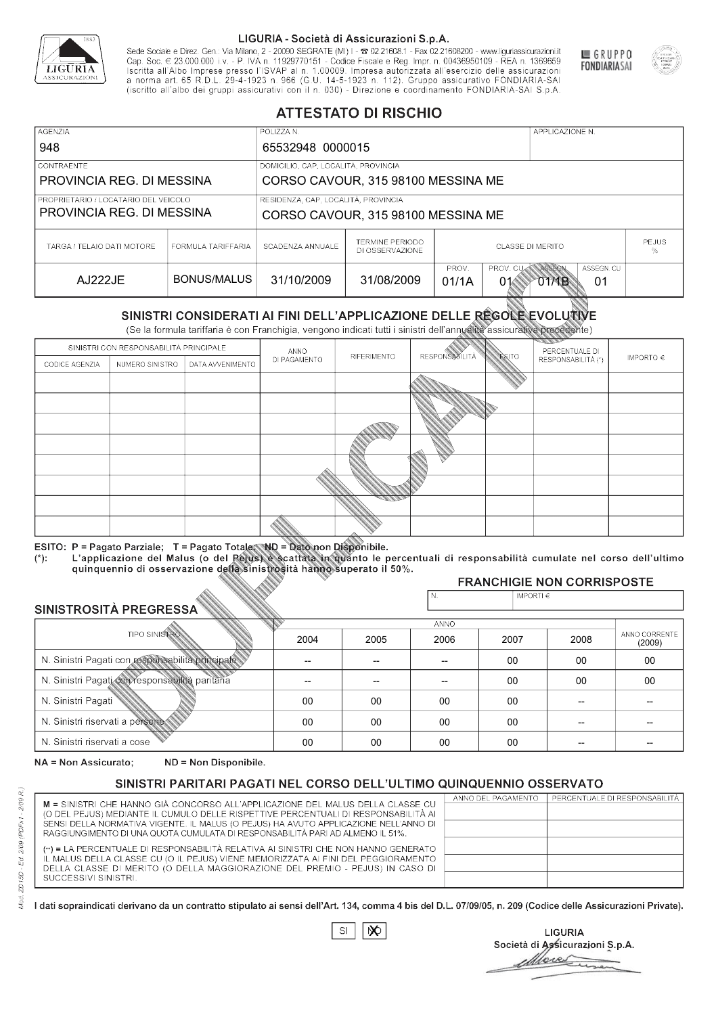

Sede Sociale e Direz. Gen.: Via Milano, 2 - 20090 SEGRATE (MI) I - 2 02.21608.1 - Fax 02.21608200 - www.liguriassicurazioni.it Cap. Soc.  $\in$  23.000.000 i.v. - P. IVA n. 11929770151 - Codice Fiscale e Reg. Impr. n. 00436950109 - REA n. 1369659<br>Iscritta all'Albo Imprese presso l'ISVAP al n. 1.00009. Impresa autorizzata all'esercizio delle assicura d homa art. 65 K.D.L. 29-4-1923 ft. 900 (G.O. 14-5-1923 ft. 112). Gruppo assicurativo PONDIARIA-SAI S.p.A



GRUPPO

**FONDIARIASAI** 

# **ATTESTATO DI RISCHIO**

| <b>AGENZIA</b>                                                      |                    | POLIZZA N.                          |                                    |                                                                       | APPLICAZIONE N. |  |  |
|---------------------------------------------------------------------|--------------------|-------------------------------------|------------------------------------|-----------------------------------------------------------------------|-----------------|--|--|
| 948                                                                 |                    | 65532948 0000015                    |                                    |                                                                       |                 |  |  |
| <b>CONTRAENTE</b>                                                   |                    | DOMICILIO, CAP, LOCALITÀ, PROVINCIA |                                    |                                                                       |                 |  |  |
| PROVINCIA REG. DI MESSINA                                           |                    |                                     | CORSO CAVOUR, 315 98100 MESSINA ME |                                                                       |                 |  |  |
| I PROPRIETARIO / LOCATARIO DEL VEICOLO<br>PROVINCIA REG. DI MESSINA |                    | RESIDENZA, CAP, LOCALITÀ, PROVINCIA | CORSO CAVOUR, 315 98100 MESSINA ME |                                                                       |                 |  |  |
| TARGA / TELAIO DATI MOTORE                                          | FORMULA TARIFFARIA | SCADENZA ANNUALE                    | TERMINE PERIODO<br>DI OSSERVAZIONE | PEJUS<br><b>CLASSE DI MERITO</b><br>%                                 |                 |  |  |
| AJ222JE                                                             | BONUS/MALUS        | 31/10/2009                          | 31/08/2009                         | PROV. CUAN ASSEGN<br>ASSEGN. CU<br>PROV.<br>01/1A<br>01<br>01<br>O1MB |                 |  |  |

|                                                  |                               |                                                                                                                                                                                                      |              | DI OSSERVAZIONE |                      |                    |                                           | %                       |
|--------------------------------------------------|-------------------------------|------------------------------------------------------------------------------------------------------------------------------------------------------------------------------------------------------|--------------|-----------------|----------------------|--------------------|-------------------------------------------|-------------------------|
|                                                  | AJ222JE<br><b>BONUS/MALUS</b> |                                                                                                                                                                                                      | 31/10/2009   | 31/08/2009      | PROV.<br>01/1A       | PROV. CU<br>01     | ASSEGN<br>ASSEGN. CU<br><b>OTMB</b><br>01 |                         |
|                                                  |                               | SINISTRI CONSIDERATI AI FINI DELL'APPLICAZIONE DELLE RÉGOLE EVOLUTIVE<br>(Se la formula tariffaria è con Franchigia, vengono indicati tutti i sinistri dell'annualità assicurativa precedente)       |              |                 |                      |                    |                                           |                         |
|                                                  |                               | SINISTRI CON RESPONSABILITÀ PRINCIPALE                                                                                                                                                               | ANNO         |                 |                      |                    | PERCENTUALE DI                            |                         |
| CODICE AGENZIA                                   | NUMERO SINISTRO               | DATA AVVENIMENTO                                                                                                                                                                                     | DI PAGAMENTO | RIFERIMENTO     | <b>RESPONSABLITA</b> | <b>ESITO</b>       | RESPONSABILITÀ (*)                        | IMPORTO $\in$           |
|                                                  |                               |                                                                                                                                                                                                      |              |                 |                      |                    |                                           |                         |
|                                                  |                               |                                                                                                                                                                                                      |              |                 |                      |                    |                                           |                         |
|                                                  |                               |                                                                                                                                                                                                      |              |                 |                      |                    |                                           |                         |
|                                                  |                               |                                                                                                                                                                                                      |              |                 |                      |                    |                                           |                         |
|                                                  |                               |                                                                                                                                                                                                      |              |                 |                      |                    |                                           |                         |
|                                                  |                               |                                                                                                                                                                                                      |              |                 |                      |                    |                                           |                         |
|                                                  |                               |                                                                                                                                                                                                      |              |                 |                      |                    |                                           |                         |
|                                                  |                               |                                                                                                                                                                                                      |              |                 |                      |                    |                                           |                         |
|                                                  |                               |                                                                                                                                                                                                      |              |                 |                      |                    |                                           |                         |
|                                                  |                               | ESITO: P = Pagato Parziale; T = Pagato Totale; ND = Dato non Disponibile.                                                                                                                            |              |                 |                      |                    |                                           |                         |
| $(*)$ .                                          |                               | L'applicazione del Malus (o del Pejus) è scattata in quanto le percentuali di responsabilità cumulate nel corso dell'ultimo<br>quinquennio di osservazione della sinistrosità hanno superato il 50%. |              |                 |                      |                    |                                           |                         |
|                                                  |                               |                                                                                                                                                                                                      |              |                 |                      |                    | <b>FRANCHIGIE NON CORRISPOSTE</b>         |                         |
|                                                  |                               |                                                                                                                                                                                                      |              |                 | N.                   | IMPORTI $\epsilon$ |                                           |                         |
| SINISTROSITÀ PREGRESSA                           |                               |                                                                                                                                                                                                      |              |                 | ANNO                 |                    |                                           |                         |
|                                                  | <b>TIPO SINISTRO</b>          |                                                                                                                                                                                                      | 2004         | 2005            | 2006                 | 2007               | 2008                                      | ANNO CORRENTE<br>(2009) |
| N. Sinistri Pagati con responsabilità principale |                               |                                                                                                                                                                                                      | --           | --              | $\overline{a}$       | 00                 | 00                                        | $00\,$                  |
| N. Sinistri Pagati con responsabilità paritaria  |                               |                                                                                                                                                                                                      |              |                 |                      | 00                 | 00                                        | 00                      |
| N. Sinistri Pagati                               |                               |                                                                                                                                                                                                      | $00\,$       | 00              | 00                   | 00                 | --                                        |                         |
| N. Sinistri riservati a persone                  |                               |                                                                                                                                                                                                      | 00           | 00              | 00                   | 00                 |                                           |                         |
| N. Sinjetri riconvoti a coco                     |                               |                                                                                                                                                                                                      | $\cap$       | $\cap$          | $\cap$               | $\sim$             |                                           |                         |

### 2005 -- --  $0<sup>0</sup>$ 00 00 2004 -- --  $0<sup>0</sup>$ 00 00 2006 -- -- 00 00 00 2007 00 00 00 00 00 2008 00 00 -- -- -- 00 00 -- -- -- (2009)

NA = Non Assicurato: ND = Non Disponibile.

# SINISTRI PARITARI PAGATI NEL CORSO DELL'ULTIMO QUINQUENNIO OSSERVATO

|                                                                                                                                                                      | ANNO DEL PAGAMENTO | PERCENTUALE DI RESPONSABILITÀ |
|----------------------------------------------------------------------------------------------------------------------------------------------------------------------|--------------------|-------------------------------|
| M = SINISTRI CHE HANNO GIÀ CONCORSO ALL'APPLICAZIONE DEL MALUS DELLA CLASSE CU<br>(O DEL PEJUS) MEDIANTE IL CUMULO DELLE RISPETTIVE PERCENTUALI DI RESPONSABILITÀ AI |                    |                               |
| SENSI DELLA NORMATIVA VIGENTE. IL MALUS (O PEJUS) HA AVUTO APPLICAZIONE NELL'ANNO DI                                                                                 |                    |                               |
| RAGGIUNGIMENTO DI UNA QUOTA CUMULATA DI RESPONSABILITÀ PARI AD ALMENO IL 51%.                                                                                        |                    |                               |
|                                                                                                                                                                      |                    |                               |
| (**) = LA PERCENTUALE DI RESPONSABILITÀ RELATIVA AI SINISTRI CHE NON HANNO GENERATO                                                                                  |                    |                               |
| IL MALUS DELLA CLASSE CU (O IL PEJUS) VIENE MEMORIZZATA AI FINI DEL PEGGIORAMENTO                                                                                    |                    |                               |
| DELLA CLASSE DI MERITO (O DELLA MAGGIORAZIONE DEL PREMIO - PEJUS) IN CASO DI                                                                                         |                    |                               |
| SUCCESSIVI SINISTRI.                                                                                                                                                 |                    |                               |
|                                                                                                                                                                      |                    |                               |

 $\mathbb{S}\mathsf{I}$  $\infty$ 

**LIGURIA** Società di Assicurazioni S.p.A. Move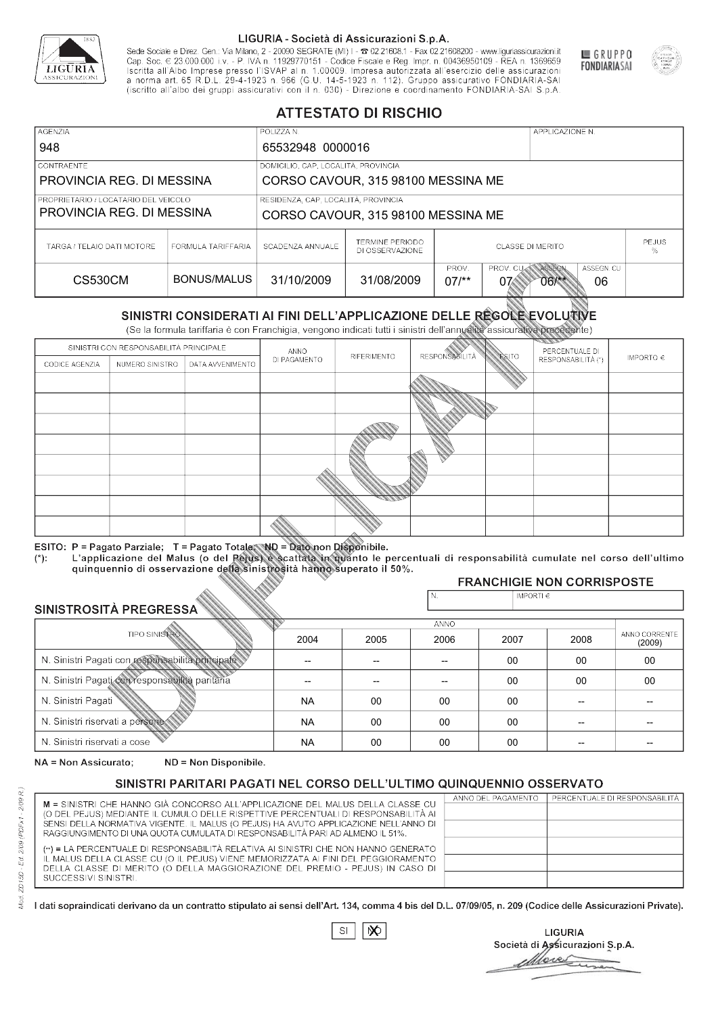

Sede Sociale e Direz. Gen.: Via Milano, 2 - 20090 SEGRATE (MI) I - 2 02.21608.1 - Fax 02.21608200 - www.liguriassicurazioni.it Cap. Soc.  $\in$  23.000.000 i.v. - P. IVA n. 11929770151 - Codice Fiscale e Reg. Impr. n. 00436950109 - REA n. 1369659<br>Iscritta all'Albo Imprese presso l'ISVAP al n. 1.00009. Impresa autorizzata all'esercizio delle assicura d homa art. 65 K.D.L. 29-4-1923 ft. 900 (G.O. 14-5-1923 ft. 112). Gruppo assicurativo PONDIARIA-SAI S.p.A



GRUPPO

**FONDIARIASAI** 

# **ATTESTATO DI RISCHIO**

| <b>AGENZIA</b>                         |                    | POLIZZA N.                          |                                    |                       |                  | APPLICAZIONE N. |            |              |
|----------------------------------------|--------------------|-------------------------------------|------------------------------------|-----------------------|------------------|-----------------|------------|--------------|
| 948                                    |                    | 65532948 0000016                    |                                    |                       |                  |                 |            |              |
| <b>CONTRAENTE</b>                      |                    | DOMICILIO, CAP, LOCALITÀ, PROVINCIA |                                    |                       |                  |                 |            |              |
| PROVINCIA REG. DI MESSINA              |                    |                                     | CORSO CAVOUR, 315 98100 MESSINA ME |                       |                  |                 |            |              |
| I PROPRIETARIO / LOCATARIO DEL VEICOLO |                    | RESIDENZA, CAP, LOCALITÀ, PROVINCIA |                                    |                       |                  |                 |            |              |
| PROVINCIA REG. DI MESSINA              |                    | CORSO CAVOUR, 315 98100 MESSINA ME  |                                    |                       |                  |                 |            |              |
| TARGA / TELAIO DATI MOTORE             | FORMULA TARIFFARIA | SCADENZA ANNUALE                    | TERMINE PERIODO<br>DI OSSERVAZIONE | CLASSE DI MERITO<br>℅ |                  |                 |            | <b>PEJUS</b> |
|                                        |                    |                                     |                                    | PROV.                 | <b>PROV. CUM</b> | ASSEGN          | ASSEGN. CU |              |
| CS530CM                                | BONUS/MALUS        | 31/10/2009                          | 31/08/2009                         | $07/*$                | 07⁄              | 06/**           | 06         |              |

|                                                  |                      |                                                                                                                                                                                                      | DI OSSERVAZIONE |             |                      |                    |                                        |                         |  |
|--------------------------------------------------|----------------------|------------------------------------------------------------------------------------------------------------------------------------------------------------------------------------------------------|-----------------|-------------|----------------------|--------------------|----------------------------------------|-------------------------|--|
| <b>CS530CM</b>                                   |                      | <b>BONUS/MALUS</b>                                                                                                                                                                                   | 31/10/2009      | 31/08/2009  | PROV.<br>$07/*$      | PROV. CU<br>07     | ASSEGN<br>ASSEGN. CU<br>$06$ /**<br>06 |                         |  |
|                                                  |                      | SINISTRI CONSIDERATI AI FINI DELL'APPLICAZIONE DELLE RÉGOLE EVOLUTIVE<br>(Se la formula tariffaria è con Franchigia, vengono indicati tutti i sinistri dell'annualità assicurativa precedente)       |                 |             |                      |                    |                                        |                         |  |
|                                                  |                      | SINISTRI CON RESPONSABILITÀ PRINCIPALE                                                                                                                                                               | ANNO            |             |                      |                    | PERCENTUALE DI                         |                         |  |
| CODICE AGENZIA                                   | NUMERO SINISTRO      | DATA AVVENIMENTO                                                                                                                                                                                     | DI PAGAMENTO    | RIFERIMENTO | <b>RESPONSABLITA</b> | <b>ESITO</b>       | RESPONSABILITÀ (*)                     | IMPORTO $\in$           |  |
|                                                  |                      |                                                                                                                                                                                                      |                 |             |                      |                    |                                        |                         |  |
|                                                  |                      |                                                                                                                                                                                                      |                 |             |                      |                    |                                        |                         |  |
|                                                  |                      |                                                                                                                                                                                                      |                 |             |                      |                    |                                        |                         |  |
|                                                  |                      |                                                                                                                                                                                                      |                 |             |                      |                    |                                        |                         |  |
|                                                  |                      |                                                                                                                                                                                                      |                 |             |                      |                    |                                        |                         |  |
|                                                  |                      |                                                                                                                                                                                                      |                 |             |                      |                    |                                        |                         |  |
|                                                  |                      |                                                                                                                                                                                                      |                 |             |                      |                    |                                        |                         |  |
|                                                  |                      |                                                                                                                                                                                                      |                 |             |                      |                    |                                        |                         |  |
|                                                  |                      |                                                                                                                                                                                                      |                 |             |                      |                    |                                        |                         |  |
|                                                  |                      | ESITO: P = Pagato Parziale; T = Pagato Totale; ND = Dato non Disponibile.                                                                                                                            |                 |             |                      |                    |                                        |                         |  |
| $(*)$ .                                          |                      | L'applicazione del Malus (o del Pejus) è scattata in quanto le percentuali di responsabilità cumulate nel corso dell'ultimo<br>quinquennio di osservazione della sinistrosità hanno superato il 50%. |                 |             |                      |                    |                                        |                         |  |
|                                                  |                      |                                                                                                                                                                                                      |                 |             |                      |                    | <b>FRANCHIGIE NON CORRISPOSTE</b>      |                         |  |
|                                                  |                      |                                                                                                                                                                                                      |                 |             | N.                   | IMPORTI $\epsilon$ |                                        |                         |  |
| SINISTROSITÀ PREGRESSA                           |                      |                                                                                                                                                                                                      |                 |             | ANNO                 |                    |                                        |                         |  |
|                                                  | <b>TIPO SINISTRO</b> |                                                                                                                                                                                                      | 2004            | 2005        | 2006                 | 2007               | 2008                                   | ANNO CORRENTE<br>(2009) |  |
| N. Sinistri Pagati con responsabilità principale |                      |                                                                                                                                                                                                      | --              | --          | $\overline{a}$       | 00                 | 00                                     | $00\,$                  |  |
| N. Sinistri Pagati con responsabilità paritaria  |                      |                                                                                                                                                                                                      |                 |             |                      | 00                 | 00                                     | 00                      |  |
| N. Sinistri Pagati                               |                      |                                                                                                                                                                                                      | <b>NA</b>       | 00          | 00                   | 00                 | --                                     |                         |  |
| N. Sinistri riservati a persone                  |                      |                                                                                                                                                                                                      | <b>NA</b>       | 00          | 00                   | 00                 |                                        |                         |  |
| N. Sinjetri riconvoti a coco                     |                      |                                                                                                                                                                                                      | <b>AIA</b>      | $\cap$      | $\cap$               | $\sim$             |                                        |                         |  |

### 2005 -- --  $0<sup>0</sup>$ 00 00 2004 -- -- NA NA NA 2006 -- -- 00 00 00 2007 00 00 00 00 00 2008 00 00 -- -- -- 00 00 -- -- -- (2009)

NA = Non Assicurato: ND = Non Disponibile.

# SINISTRI PARITARI PAGATI NEL CORSO DELL'ULTIMO QUINQUENNIO OSSERVATO

|                                                                                      | ANNO DEL PAGAMENTO | PERCENTUALE DI RESPONSABILITÀ |
|--------------------------------------------------------------------------------------|--------------------|-------------------------------|
| M = SINISTRI CHE HANNO GIÀ CONCORSO ALL'APPLICAZIONE DEL MALUS DELLA CLASSE CU       |                    |                               |
| (O DEL PEJUS) MEDIANTE IL CUMULO DELLE RISPETTIVE PERCENTUALI DI RESPONSABILITÀ AI   |                    |                               |
| SENSI DELLA NORMATIVA VIGENTE. IL MALUS (O PEJUS) HA AVUTO APPLICAZIONE NELL'ANNO DI |                    |                               |
| RAGGIUNGIMENTO DI UNA QUOTA CUMULATA DI RESPONSABILITÀ PARI AD ALMENO IL 51%.        |                    |                               |
| (**) = LA PERCENTUALE DI RESPONSABILITÀ RELATIVA AI SINISTRI CHE NON HANNO GENERATO  |                    |                               |
| IL MALUS DELLA CLASSE CU (O IL PEJUS) VIENE MEMORIZZATA AI FINI DEL PEGGIORAMENTO    |                    |                               |
| DELLA CLASSE DI MERITO (O DELLA MAGGIORAZIONE DEL PREMIO - PEJUS) IN CASO DI         |                    |                               |
| SUCCESSIVI SINISTRI.                                                                 |                    |                               |
|                                                                                      |                    |                               |

 $\mathbb{S}\mathsf{I}$  $\infty$ 

**LIGURIA** Società di Assicurazioni S.p.A. Move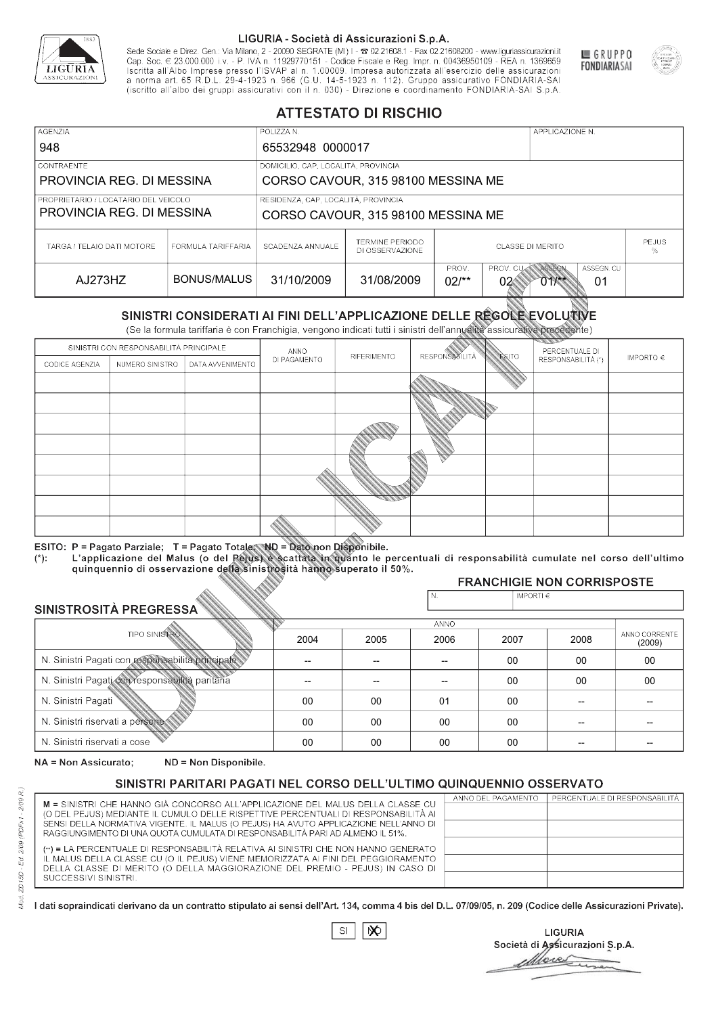

Sede Sociale e Direz. Gen.: Via Milano, 2 - 20090 SEGRATE (MI) I - 2 02.21608.1 - Fax 02.21608200 - www.liguriassicurazioni.it Sede e Direz, Gen. Via Milanto, 2 - 20090 SEGATE (MI) I - 2 UZZIODO. I - FAX UZZIODO2 I - WWW. IIJONENSURIADONILI<br>Cap. Soc. € 23.000.000 i.v. - P. IVA n. 11929770151 - Codice Fiscale e Reg. Impr. n. 00436950109 - REA n. 1



GRUPPO

**FONDIARIASAI** 

# **ATTESTATO DI RISCHIO**

| <b>AGENZIA</b>                                                      |                    | POLIZZA N.                          |                                    |                 |                         | APPLICAZIONE N.        |  |
|---------------------------------------------------------------------|--------------------|-------------------------------------|------------------------------------|-----------------|-------------------------|------------------------|--|
| 948                                                                 |                    | 65532948 0000017                    |                                    |                 |                         |                        |  |
| <b>CONTRAENTE</b>                                                   |                    | DOMICILIO, CAP, LOCALITÀ, PROVINCIA |                                    |                 |                         |                        |  |
| PROVINCIA REG. DI MESSINA                                           |                    |                                     | CORSO CAVOUR, 315 98100 MESSINA ME |                 |                         |                        |  |
| I PROPRIETARIO / LOCATARIO DEL VEICOLO<br>PROVINCIA REG. DI MESSINA |                    | RESIDENZA, CAP, LOCALITÀ, PROVINCIA | CORSO CAVOUR, 315 98100 MESSINA ME |                 |                         |                        |  |
| TARGA / TELAIO DATI MOTORE                                          | FORMULA TARIFFARIA | SCADENZA ANNUALE                    | TERMINE PERIODO<br>DI OSSERVAZIONE |                 | <b>PEJUS</b><br>%       |                        |  |
| AJ273HZ                                                             | BONUS/MALUS        | 31/10/2009                          | 31/08/2009                         | PROV.<br>$02/*$ | PROV. CUAN ASSEGN<br>02 | ASSEGN. CU<br>01<br>01 |  |

|                                                  |                      |                                                                                                                                                                                                      | DI OSSERVAZIONE |             |                          |                 |                                        |                         |  |
|--------------------------------------------------|----------------------|------------------------------------------------------------------------------------------------------------------------------------------------------------------------------------------------------|-----------------|-------------|--------------------------|-----------------|----------------------------------------|-------------------------|--|
| AJ273HZ                                          |                      | <b>BONUS/MALUS</b>                                                                                                                                                                                   | 31/10/2009      | 31/08/2009  | PROV.<br>$02/*$          | PROV. CU<br>02< | ASSEGN<br>ASSEGN. CU<br>$011$ **<br>01 |                         |  |
|                                                  |                      | SINISTRI CONSIDERATI AI FINI DELL'APPLICAZIONE DELLE REGOLE EVOLUTIVE<br>(Se la formula tariffaria è con Franchigia, vengono indicati tutti i sinistri dell'annualità assicurativa precedente)       |                 |             |                          |                 |                                        |                         |  |
|                                                  |                      | SINISTRI CON RESPONSABILITÀ PRINCIPALE                                                                                                                                                               | ANNO            |             |                          |                 | PERCENTUALE DI                         |                         |  |
| CODICE AGENZIA                                   | NUMERO SINISTRO      | DATA AVVENIMENTO                                                                                                                                                                                     | DI PAGAMENTO    | RIFERIMENTO | <b>RESPONSABLITÀ</b>     | <b>ESITO</b>    | RESPONSABILITÀ (*)                     | IMPORTO $\in$           |  |
|                                                  |                      |                                                                                                                                                                                                      |                 |             |                          |                 |                                        |                         |  |
|                                                  |                      |                                                                                                                                                                                                      |                 |             |                          |                 |                                        |                         |  |
|                                                  |                      |                                                                                                                                                                                                      |                 |             |                          |                 |                                        |                         |  |
|                                                  |                      |                                                                                                                                                                                                      |                 |             |                          |                 |                                        |                         |  |
|                                                  |                      |                                                                                                                                                                                                      |                 |             |                          |                 |                                        |                         |  |
|                                                  |                      |                                                                                                                                                                                                      |                 |             |                          |                 |                                        |                         |  |
|                                                  |                      |                                                                                                                                                                                                      |                 |             |                          |                 |                                        |                         |  |
|                                                  |                      |                                                                                                                                                                                                      |                 |             |                          |                 |                                        |                         |  |
|                                                  |                      |                                                                                                                                                                                                      |                 |             |                          |                 |                                        |                         |  |
|                                                  |                      | ESITO: P = Pagato Parziale; T = Pagato Totale; ND = Dato non Disponibile.                                                                                                                            |                 |             |                          |                 |                                        |                         |  |
| $(*)$ .                                          |                      | L'applicazione del Malus (o del Pejus) è scattata in quanto le percentuali di responsabilità cumulate nel corso dell'ultimo<br>quinquennio di osservazione della sinistrosità hanno superato il 50%. |                 |             |                          |                 |                                        |                         |  |
|                                                  |                      |                                                                                                                                                                                                      |                 |             |                          |                 | <b>FRANCHIGIE NON CORRISPOSTE</b>      |                         |  |
|                                                  |                      |                                                                                                                                                                                                      |                 |             | N.                       | IMPORTI€        |                                        |                         |  |
| SINISTROSITÀ PREGRESSA                           |                      |                                                                                                                                                                                                      |                 |             | <b>ANNO</b>              |                 |                                        |                         |  |
|                                                  | <b>TIPO SINISTRO</b> |                                                                                                                                                                                                      | 2004            | 2005        | 2006                     | 2007            | 2008                                   | ANNO CORRENTE<br>(2009) |  |
| N. Sinistri Pagati con responsabilità principale |                      |                                                                                                                                                                                                      |                 | --          | $\overline{\phantom{a}}$ | 00              | 00                                     | 00                      |  |
| N. Sinistri Pagati con responsabilità paritaria  |                      |                                                                                                                                                                                                      |                 |             |                          | 00              | 00                                     | 00                      |  |
| N. Sinistri Pagati                               |                      |                                                                                                                                                                                                      | 00              | 00          | 01                       | 00              |                                        |                         |  |
| N. Sinistri riservati a persone                  |                      |                                                                                                                                                                                                      | 00              | 00          | 00                       | $00 \,$         |                                        |                         |  |
| N. Sinjetri riconvoti a coco                     |                      |                                                                                                                                                                                                      | $\cap$          | $\cap$      | $\sim$                   | $\cap$          |                                        |                         |  |

### 2005 -- --  $0<sup>0</sup>$ 00 00 2004 -- --  $0<sup>0</sup>$ 00 00 2006 -- -- 01 00 00 2007 00 00 00 00 00 2008 00 00 -- -- -- 00 00 -- -- -- (2009)

NA = Non Assicurato: ND = Non Disponibile.

# SINISTRI PARITARI PAGATI NEL CORSO DELL'ULTIMO QUINQUENNIO OSSERVATO

|                                                                                                                                                                       | ANNO DEL PAGAMENTO | PERCENTUALE DI RESPONSABILITÀ |
|-----------------------------------------------------------------------------------------------------------------------------------------------------------------------|--------------------|-------------------------------|
| M = SINISTRI CHE HANNO GIÀ CONCORSO ALL'APPLICAZIONE DEL MALUS DELLA CLASSE CU                                                                                        |                    |                               |
| (O DEL PEJUS) MEDIANTE IL CUMULO DELLE RISPETTIVE PERCENTUALI DI RESPONSABILITÀ AI                                                                                    |                    |                               |
| SENSI DELLA NORMATIVA VIGENTE. IL MALUS (O PEJUS) HA AVUTO APPLICAZIONE NELL'ANNO DI<br>RAGGIUNGIMENTO DI UNA QUOTA CUMULATA DI RESPONSABILITÀ PARI AD ALMENO IL 51%. |                    |                               |
|                                                                                                                                                                       |                    |                               |
| (**) = LA PERCENTUALE DI RESPONSABILITÀ RELATIVA AI SINISTRI CHE NON HANNO GENERATO                                                                                   |                    |                               |
| IL MALUS DELLA CLASSE CU (O IL PEJUS) VIENE MEMORIZZATA AI FINI DEL PEGGIORAMENTO                                                                                     |                    |                               |
| DELLA CLASSE DI MERITO (O DELLA MAGGIORAZIONE DEL PREMIO - PEJUS) IN CASO DI                                                                                          |                    |                               |
| SUCCESSIVI SINISTRI.                                                                                                                                                  |                    |                               |
|                                                                                                                                                                       |                    |                               |

|--|

**LIGURIA** Società di Assicurazioni S.p.A. Move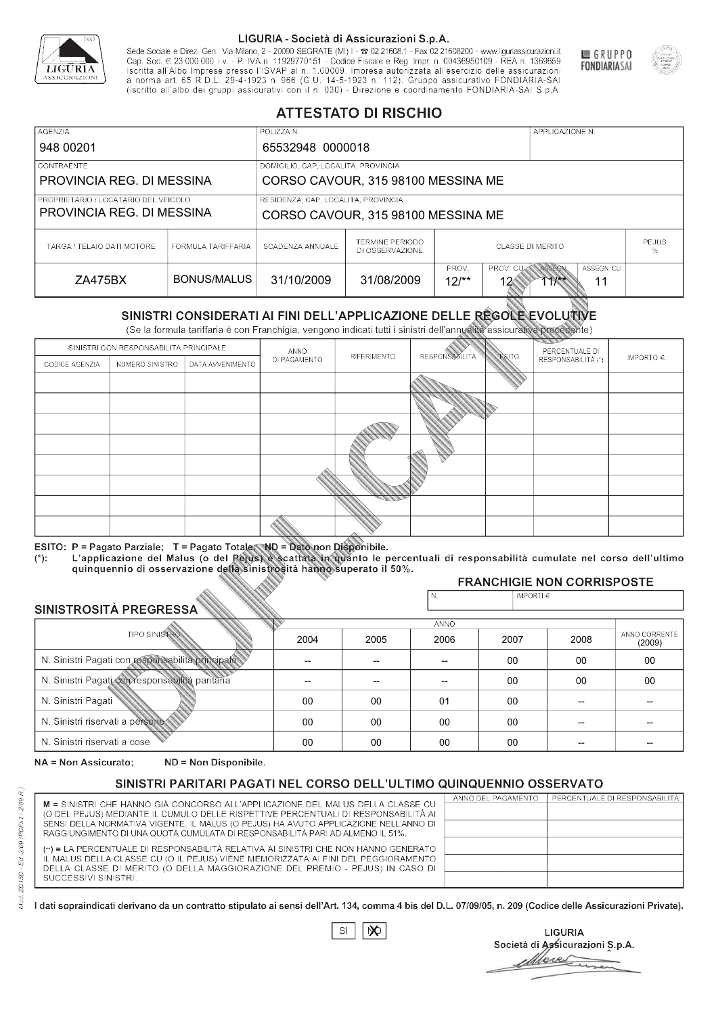

Sede Sociale e Direz. Gen.: Via Milano, 2 - 20090 SEGRATE (MI) I - 2 02.21608.1 - Fax 02.21608200 - www.liguriassicurazioni.it Cap. Soc.  $\in$  23.000.000 i.v. - P. IVA n. 11929770151 - Codice Fiscale e Reg. Impr. n. 00436950109 - REA n. 1369659<br>Iscritta all'Albo Imprese presso l'ISVAP al n. 1.00009. Impresa autorizzata all'esercizio delle assicura d homa art. 65 K.D.L. 29-4-1923 ft. 900 (G.O. 14-5-1923 ft. 112). Gruppo assicurativo PONDIARIA-SAI S.p.A



GRUPPO

**FONDIARIASAI** 

# **ATTESTATO DI RISCHIO**

| <b>AGENZIA</b>                       |                                     | POLIZZA N.                          |                                           |                         | APPLICAZIONE N.                                            |  |  |
|--------------------------------------|-------------------------------------|-------------------------------------|-------------------------------------------|-------------------------|------------------------------------------------------------|--|--|
| 948 00201                            |                                     | 65532948 0000018                    |                                           |                         |                                                            |  |  |
| LCONTRAENTE.                         |                                     | DOMICILIO, CAP, LOCALITÀ, PROVINCIA |                                           |                         |                                                            |  |  |
| PROVINCIA REG. DI MESSINA            |                                     |                                     | CORSO CAVOUR, 315 98100 MESSINA ME        |                         |                                                            |  |  |
| PROPRIETARIO / LOCATARIO DEL VEICOLO | RESIDENZA, CAP, LOCALITÀ, PROVINCIA |                                     |                                           |                         |                                                            |  |  |
| PROVINCIA REG. DI MESSINA            |                                     | CORSO CAVOUR, 315 98100 MESSINA ME  |                                           |                         |                                                            |  |  |
| TARGA / TELAIO DATI MOTORE           | FORMULA TARIFFARIA                  | SCADENZA ANNUALE                    | <b>TERMINE PERIODO</b><br>DI OSSERVAZIONE | <b>CLASSE DI MERITO</b> | <b>PEJUS</b><br>%                                          |  |  |
| ZA475BX                              | BONUS/MALUS                         | 31/10/2009                          | 31/08/2009                                | PROV.<br>$12/*$<br>12   | ASSEGN. CU<br>PROV. CUAN ASSEGN<br>$1$ <sup>**</sup><br>11 |  |  |

|                                                  |                      |                                                                                                                                                                                                |              | DI OSSERVAZIONE |                          |                             |                                      | %             |
|--------------------------------------------------|----------------------|------------------------------------------------------------------------------------------------------------------------------------------------------------------------------------------------|--------------|-----------------|--------------------------|-----------------------------|--------------------------------------|---------------|
| ZA475BX                                          |                      | <b>BONUS/MALUS</b>                                                                                                                                                                             | 31/10/2009   | 31/08/2009      | PROV.<br>$12/*$          | PROV. CU<br>12 <sub>6</sub> | ASSEGN<br>ASSEGN. CU<br>$11**$<br>11 |               |
|                                                  |                      | SINISTRI CONSIDERATI AI FINI DELL'APPLICAZIONE DELLE REGOLE EVOLUTIVE<br>(Se la formula tariffaria è con Franchigia, vengono indicati tutti i sinistri dell'annualità assicurativa precedente) |              |                 |                          |                             |                                      |               |
|                                                  |                      | SINISTRI CON RESPONSABILITÀ PRINCIPALE                                                                                                                                                         | ANNO         |                 |                          |                             | PERCENTUALE DI                       |               |
| CODICE AGENZIA                                   | NUMERO SINISTRO      | DATA AVVENIMENTO                                                                                                                                                                               | DI PAGAMENTO | RIFERIMENTO     | <b>RESPONSABLITÀ</b>     | <b>ESITO</b>                | RESPONSABILITÀ (*)                   | IMPORTO $\in$ |
|                                                  |                      |                                                                                                                                                                                                |              |                 |                          |                             |                                      |               |
|                                                  |                      |                                                                                                                                                                                                |              |                 |                          |                             |                                      |               |
|                                                  |                      |                                                                                                                                                                                                |              |                 |                          |                             |                                      |               |
|                                                  |                      |                                                                                                                                                                                                |              |                 |                          |                             |                                      |               |
|                                                  |                      |                                                                                                                                                                                                |              |                 |                          |                             |                                      |               |
|                                                  |                      |                                                                                                                                                                                                |              |                 |                          |                             |                                      |               |
|                                                  |                      |                                                                                                                                                                                                |              |                 |                          |                             |                                      |               |
|                                                  |                      |                                                                                                                                                                                                |              |                 |                          |                             |                                      |               |
|                                                  |                      |                                                                                                                                                                                                |              |                 |                          |                             |                                      |               |
|                                                  |                      | ESITO: P = Pagato Parziale; T = Pagato Totale; ND = Dato non Disponibile.                                                                                                                      |              |                 |                          |                             |                                      |               |
| $(*)$ .                                          |                      | L'applicazione del Malus (o del Pejus) è scattata in quanto le percentuali di responsabilità cumulate nel corso dell'ultimo                                                                    |              |                 |                          |                             |                                      |               |
|                                                  |                      | quinquennio di osservazione della sinistrosità hanno superato il 50%.                                                                                                                          |              |                 |                          |                             | <b>FRANCHIGIE NON CORRISPOSTE</b>    |               |
|                                                  |                      |                                                                                                                                                                                                |              |                 | N.                       | IMPORTI€                    |                                      |               |
| SINISTROSITÀ PREGRESSA                           |                      |                                                                                                                                                                                                |              |                 |                          |                             |                                      |               |
|                                                  | <b>TIPO SINISTRO</b> |                                                                                                                                                                                                |              |                 | <b>ANNO</b>              |                             |                                      | ANNO CORRENTE |
|                                                  |                      |                                                                                                                                                                                                | 2004         | 2005            | 2006                     | 2007                        | 2008                                 | (2009)        |
| N. Sinistri Pagati con responsabilità principale |                      |                                                                                                                                                                                                |              | --              | $\overline{\phantom{a}}$ | 00                          | 00                                   | 00            |
| N. Sinistri Pagati con responsabilità paritaria  |                      |                                                                                                                                                                                                |              |                 |                          | 00                          | 00                                   | 00            |
| N. Sinistri Pagati                               |                      |                                                                                                                                                                                                | 00           | 00              | 01                       | 00                          |                                      |               |
| N. Sinistri riservati a persone                  |                      |                                                                                                                                                                                                | 00           | 00              | 00                       | $00 \,$                     |                                      |               |
| N. Sinjetri riconvoti a coco                     |                      |                                                                                                                                                                                                | $\cap$       | $\cap$          | $\sim$                   | $\cap$                      |                                      |               |

### 2005 -- --  $0<sup>0</sup>$ 00 00 2004 -- --  $0<sup>0</sup>$ 00 00 2006 -- -- 01 00 00 2007 00 00 00 00 00 2008 00 00 -- -- -- 00 00 -- -- -- (2009)

NA = Non Assicurato: ND = Non Disponibile.

# SINISTRI PARITARI PAGATI NEL CORSO DELL'ULTIMO QUINQUENNIO OSSERVATO

|                                                                                      | ANNO DEL PAGAMENTO | PERCENTUALE DI RESPONSABILITÀ |
|--------------------------------------------------------------------------------------|--------------------|-------------------------------|
| M = SINISTRI CHE HANNO GIÀ CONCORSO ALL'APPLICAZIONE DEL MALUS DELLA CLASSE CU       |                    |                               |
| (O DEL PEJUS) MEDIANTE IL CUMULO DELLE RISPETTIVE PERCENTUALI DI RESPONSABILITÀ AI   |                    |                               |
| SENSI DELLA NORMATIVA VIGENTE. IL MALUS (O PEJUS) HA AVUTO APPLICAZIONE NELL'ANNO DI |                    |                               |
| RAGGIUNGIMENTO DI UNA QUOTA CUMULATA DI RESPONSABILITÀ PARI AD ALMENO IL 51%.        |                    |                               |
|                                                                                      |                    |                               |
| (**) = LA PERCENTUALE DI RESPONSABILITÀ RELATIVA AI SINISTRI CHE NON HANNO GENERATO  |                    |                               |
| IL MALUS DELLA CLASSE CU (O IL PEJUS) VIENE MEMORIZZATA AI FINI DEL PEGGIORAMENTO    |                    |                               |
| DELLA CLASSE DI MERITO (O DELLA MAGGIORAZIONE DEL PREMIO - PEJUS) IN CASO DI         |                    |                               |
| SUCCESSIVI SINISTRI.                                                                 |                    |                               |
|                                                                                      |                    |                               |

 $\mathbb{S}\mathsf{I}$  $\infty$ 

**LIGURIA** Società di Assicurazioni S.p.A. Move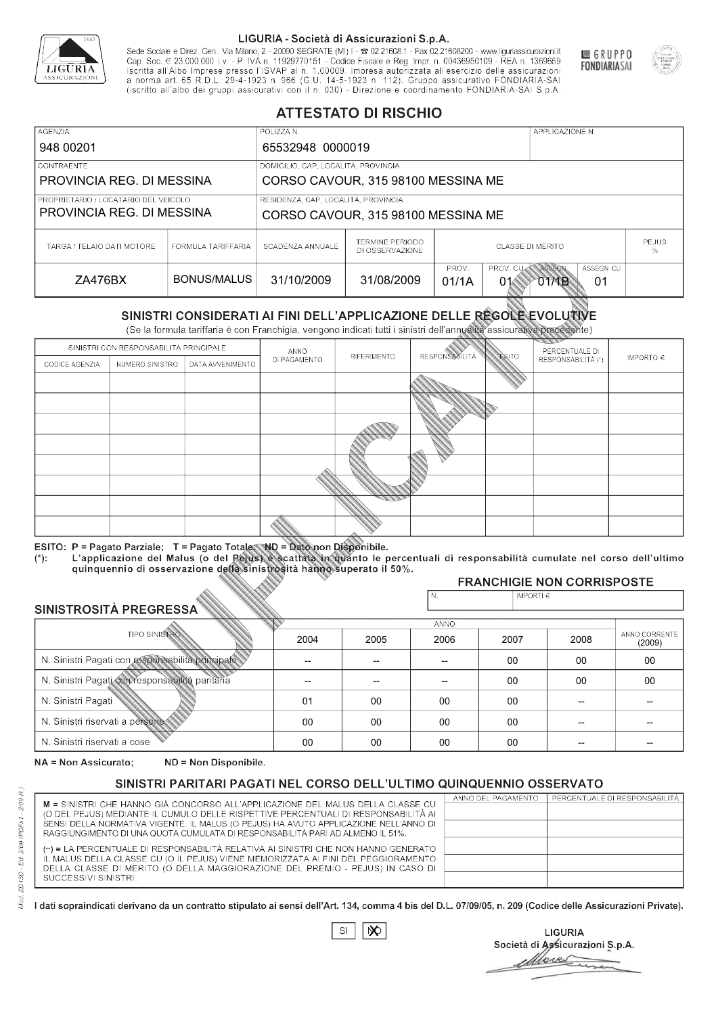

Sede Sociale e Direz. Gen.: Via Milano, 2 - 20090 SEGRATE (MI) I - 2 02.21608.1 - Fax 02.21608200 - www.liguriassicurazioni.it Sede e Direz, Gen. Via Milanto, 2 - 20090 SEGATE (MI) I - 2 UZZIODO. I - FAX UZZIODO2 I - WWW. IIJONENSURIADONILI<br>Cap. Soc. € 23.000.000 i.v. - P. IVA n. 11929770151 - Codice Fiscale e Reg. Impr. n. 00436950109 - REA n. 1



GRUPPO

**FONDIARIASAI** 

# **ATTESTATO DI RISCHIO**

| <b>AGENZIA</b>                                                    |                    | POLIZZA N.                          |                                                                           |                         |                         | APPLICAZIONE N. |                   |  |
|-------------------------------------------------------------------|--------------------|-------------------------------------|---------------------------------------------------------------------------|-------------------------|-------------------------|-----------------|-------------------|--|
| 948 00201                                                         |                    | 65532948 0000019                    |                                                                           |                         |                         |                 |                   |  |
| I CONTRAENTE                                                      |                    | DOMICILIO, CAP, LOCALITÀ, PROVINCIA |                                                                           |                         |                         |                 |                   |  |
| PROVINCIA REG. DI MESSINA                                         |                    |                                     | CORSO CAVOUR, 315 98100 MESSINA ME                                        |                         |                         |                 |                   |  |
| PROPRIETARIO / LOCATARIO DEL VEICOLO<br>PROVINCIA REG. DI MESSINA |                    |                                     | RESIDENZA, CAP, LOCALITÀ, PROVINCIA<br>CORSO CAVOUR, 315 98100 MESSINA ME |                         |                         |                 |                   |  |
| TARGA / TELAIO DATI MOTORE                                        | FORMULA TARIFFARIA | SCADENZA ANNUALE                    | TERMINE PERIODO<br>DI OSSERVAZIONE                                        | <b>CLASSE DI MERITO</b> |                         |                 | <b>PEJUS</b><br>% |  |
| ZA476BX                                                           | BONUS/MALUS        | 31/10/2009                          | 31/08/2009                                                                | PROV.<br>01/1A          | PROV. CUAN ASSEGN<br>01 | O1MB            | ASSEGN. CU<br>01  |  |

|                                                  |                      |                                                                                                                                                                                                |              | DI OSSERVAZIONE          |                      |                |                                           | %             |
|--------------------------------------------------|----------------------|------------------------------------------------------------------------------------------------------------------------------------------------------------------------------------------------|--------------|--------------------------|----------------------|----------------|-------------------------------------------|---------------|
| ZA476BX                                          |                      | <b>BONUS/MALUS</b>                                                                                                                                                                             | 31/10/2009   | 31/08/2009               | PROV.<br>01/1A       | PROV. CU<br>01 | ASSEGN<br>ASSEGN. CU<br><b>OTAB</b><br>01 |               |
|                                                  |                      | SINISTRI CONSIDERATI AI FINI DELL'APPLICAZIONE DELLE REGOLE EVOLUTIVE<br>(Se la formula tariffaria è con Franchigia, vengono indicati tutti i sinistri dell'annualità assicurativa precedente) |              |                          |                      |                |                                           |               |
|                                                  |                      | SINISTRI CON RESPONSABILITÀ PRINCIPALE                                                                                                                                                         | ANNO         |                          |                      |                | PERCENTUALE DI                            |               |
| CODICE AGENZIA                                   | NUMERO SINISTRO      | DATA AVVENIMENTO                                                                                                                                                                               | DI PAGAMENTO | RIFERIMENTO              | <b>RESPONSABLITÀ</b> | <b>ESITO</b>   | RESPONSABILITÀ (*)                        | IMPORTO $\in$ |
|                                                  |                      |                                                                                                                                                                                                |              |                          |                      |                |                                           |               |
|                                                  |                      |                                                                                                                                                                                                |              |                          |                      |                |                                           |               |
|                                                  |                      |                                                                                                                                                                                                |              |                          |                      |                |                                           |               |
|                                                  |                      |                                                                                                                                                                                                |              |                          |                      |                |                                           |               |
|                                                  |                      |                                                                                                                                                                                                |              |                          |                      |                |                                           |               |
|                                                  |                      |                                                                                                                                                                                                |              |                          |                      |                |                                           |               |
|                                                  |                      |                                                                                                                                                                                                |              |                          |                      |                |                                           |               |
|                                                  |                      |                                                                                                                                                                                                |              |                          |                      |                |                                           |               |
|                                                  |                      |                                                                                                                                                                                                |              |                          |                      |                |                                           |               |
|                                                  |                      | ESITO: P = Pagato Parziale; T = Pagato Totale; ND = Dato non Disponibile.                                                                                                                      |              |                          |                      |                |                                           |               |
| $(*)$ .                                          |                      | L'applicazione del Malus (o del Pejus) è scattata in quanto le percentuali di responsabilità cumulate nel corso dell'ultimo                                                                    |              |                          |                      |                |                                           |               |
|                                                  |                      | quinquennio di osservazione della sinistrosità hanno superato il 50%.                                                                                                                          |              |                          |                      |                | <b>FRANCHIGIE NON CORRISPOSTE</b>         |               |
|                                                  |                      |                                                                                                                                                                                                |              |                          | N.                   | IMPORTI€       |                                           |               |
| SINISTROSITÀ PREGRESSA                           |                      |                                                                                                                                                                                                |              |                          |                      |                |                                           |               |
|                                                  | <b>TIPO SINISTRO</b> |                                                                                                                                                                                                |              |                          | <b>ANNO</b>          |                |                                           | ANNO CORRENTE |
|                                                  |                      |                                                                                                                                                                                                | 2004         | 2005                     | 2006                 | 2007           | 2008                                      | (2009)        |
| N. Sinistri Pagati con responsabilità principale |                      |                                                                                                                                                                                                | --           | $\overline{\phantom{a}}$ | 00                   | 00             | 00                                        |               |
|                                                  |                      | N. Sinistri Pagati con responsabilità paritaria                                                                                                                                                |              |                          |                      | 00             | 00                                        | 00            |
| N. Sinistri Pagati                               |                      |                                                                                                                                                                                                | 01           | 00                       | 00                   | 00             |                                           |               |
| N. Sinistri riservati a persone                  |                      |                                                                                                                                                                                                | 00           | 00                       | 00                   | $00 \,$        |                                           |               |
| N. Sinjetri riconvoti a coco                     |                      |                                                                                                                                                                                                | $\cap$       | $\cap$                   | $\sim$               | $\cap$         |                                           |               |

### 2005 -- --  $0<sup>0</sup>$ 00 00 2004 -- -- 01 00 00 2006 -- -- 00 00 00 2007 00 00 00 00 00 2008 00 00 -- -- -- 00 00 -- -- -- (2009)

NA = Non Assicurato: ND = Non Disponibile.

# SINISTRI PARITARI PAGATI NEL CORSO DELL'ULTIMO QUINQUENNIO OSSERVATO

|                                                                                      | ANNO DEL PAGAMENTO | PERCENTUALE DI RESPONSABILITÀ |
|--------------------------------------------------------------------------------------|--------------------|-------------------------------|
| M = SINISTRI CHE HANNO GIÀ CONCORSO ALL'APPLICAZIONE DEL MALUS DELLA CLASSE CU       |                    |                               |
| (O DEL PEJUS) MEDIANTE IL CUMULO DELLE RISPETTIVE PERCENTUALI DI RESPONSABILITÀ AI   |                    |                               |
| SENSI DELLA NORMATIVA VIGENTE. IL MALUS (O PEJUS) HA AVUTO APPLICAZIONE NELL'ANNO DI |                    |                               |
| RAGGIUNGIMENTO DI UNA QUOTA CUMULATA DI RESPONSABILITÀ PARI AD ALMENO IL 51%.        |                    |                               |
|                                                                                      |                    |                               |
| (**) = LA PERCENTUALE DI RESPONSABILITÀ RELATIVA AI SINISTRI CHE NON HANNO GENERATO  |                    |                               |
| IL MALUS DELLA CLASSE CU (O IL PEJUS) VIENE MEMORIZZATA AI FINI DEL PEGGIORAMENTO    |                    |                               |
| DELLA CLASSE DI MERITO (O DELLA MAGGIORAZIONE DEL PREMIO - PEJUS) IN CASO DI         |                    |                               |
| SUCCESSIVI SINISTRI.                                                                 |                    |                               |
|                                                                                      |                    |                               |

|--|

**LIGURIA** Società di Assicurazioni S.p.A. Move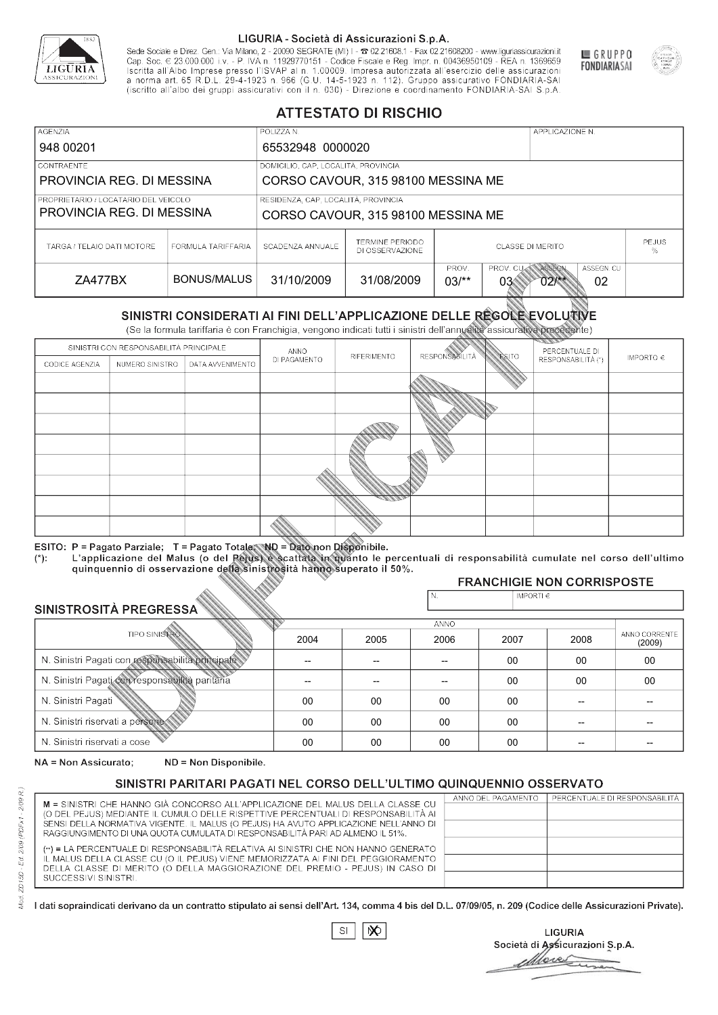

Sede Sociale e Direz. Gen.: Via Milano, 2 - 20090 SEGRATE (MI) I - 2 02.21608.1 - Fax 02.21608200 - www.liguriassicurazioni.it Cap. Soc.  $\in$  23.000.000 i.v. - P. IVA n. 11929770151 - Codice Fiscale e Reg. Impr. n. 00436950109 - REA n. 1369659<br>Iscritta all'Albo Imprese presso l'ISVAP al n. 1.00009. Impresa autorizzata all'esercizio delle assicura d homa art. 65 K.D.L. 29-4-1923 ft. 900 (G.O. 14-5-1923 ft. 112). Gruppo assicurativo PONDIARIA-SAI S.p.A



GRUPPO

**FONDIARIASAI** 

# **ATTESTATO DI RISCHIO**

| <b>AGENZIA</b>                       |                    | POLIZZA N.                          |                                           |                                         | APPLICAZIONE N.                                   |  |  |  |
|--------------------------------------|--------------------|-------------------------------------|-------------------------------------------|-----------------------------------------|---------------------------------------------------|--|--|--|
| 948 00201                            |                    | 65532948 0000020                    |                                           |                                         |                                                   |  |  |  |
| LCONTRAENTE.                         |                    | DOMICILIO, CAP, LOCALITÀ, PROVINCIA |                                           |                                         |                                                   |  |  |  |
| PROVINCIA REG. DI MESSINA            |                    |                                     | CORSO CAVOUR, 315 98100 MESSINA ME        |                                         |                                                   |  |  |  |
| PROPRIETARIO / LOCATARIO DEL VEICOLO |                    |                                     | RESIDENZA, CAP, LOCALITÀ, PROVINCIA       |                                         |                                                   |  |  |  |
| PROVINCIA REG. DI MESSINA            |                    | CORSO CAVOUR, 315 98100 MESSINA ME  |                                           |                                         |                                                   |  |  |  |
| TARGA / TELAIO DATI MOTORE           | FORMULA TARIFFARIA | SCADENZA ANNUALE                    | <b>TERMINE PERIODO</b><br>DI OSSERVAZIONE | <b>PEJUS</b><br><b>CLASSE DI MERITO</b> |                                                   |  |  |  |
| ZA477BX                              | BONUS/MALUS        | 31/10/2009                          | 31/08/2009                                | PROV.<br>$03/*$<br>03                   | ASSEGN. CU<br>PROV. CUAN ASSEGN<br>02<br>$02$ /** |  |  |  |

|                                 |                      |                                                                                                                                                                                                      |              | DI OSSERVAZIONE |                      |                    |                                        | %                       |
|---------------------------------|----------------------|------------------------------------------------------------------------------------------------------------------------------------------------------------------------------------------------------|--------------|-----------------|----------------------|--------------------|----------------------------------------|-------------------------|
| ZA477BX                         |                      | <b>BONUS/MALUS</b>                                                                                                                                                                                   | 31/10/2009   | 31/08/2009      | PROV.<br>$03/*$      | PROV. CU<br>03     | ASSEGN<br>ASSEGN. CU<br>$02$ /**<br>02 |                         |
|                                 |                      | SINISTRI CONSIDERATI AI FINI DELL'APPLICAZIONE DELLE RÉGOLE EVOLUTIVE<br>(Se la formula tariffaria è con Franchigia, vengono indicati tutti i sinistri dell'annualità assicurativa precedente)       |              |                 |                      |                    |                                        |                         |
|                                 |                      | SINISTRI CON RESPONSABILITÀ PRINCIPALE                                                                                                                                                               | ANNO         |                 |                      |                    | PERCENTUALE DI                         |                         |
| CODICE AGENZIA                  | NUMERO SINISTRO      | DATA AVVENIMENTO                                                                                                                                                                                     | DI PAGAMENTO | RIFERIMENTO     | <b>RESPONSABLITA</b> | <b>ESITO</b>       | RESPONSABILITÀ (*)                     | IMPORTO $\in$           |
|                                 |                      |                                                                                                                                                                                                      |              |                 |                      |                    |                                        |                         |
|                                 |                      |                                                                                                                                                                                                      |              |                 |                      |                    |                                        |                         |
|                                 |                      |                                                                                                                                                                                                      |              |                 |                      |                    |                                        |                         |
|                                 |                      |                                                                                                                                                                                                      |              |                 |                      |                    |                                        |                         |
|                                 |                      |                                                                                                                                                                                                      |              |                 |                      |                    |                                        |                         |
|                                 |                      |                                                                                                                                                                                                      |              |                 |                      |                    |                                        |                         |
|                                 |                      |                                                                                                                                                                                                      |              |                 |                      |                    |                                        |                         |
|                                 |                      |                                                                                                                                                                                                      |              |                 |                      |                    |                                        |                         |
|                                 |                      |                                                                                                                                                                                                      |              |                 |                      |                    |                                        |                         |
|                                 |                      | ESITO: P = Pagato Parziale; T = Pagato Totale; ND = Dato non Disponibile.                                                                                                                            |              |                 |                      |                    |                                        |                         |
| $(*)$ .                         |                      | L'applicazione del Malus (o del Pejus) è scattata in quanto le percentuali di responsabilità cumulate nel corso dell'ultimo<br>quinquennio di osservazione della sinistrosità hanno superato il 50%. |              |                 |                      |                    |                                        |                         |
|                                 |                      |                                                                                                                                                                                                      |              |                 |                      |                    | <b>FRANCHIGIE NON CORRISPOSTE</b>      |                         |
|                                 |                      |                                                                                                                                                                                                      |              |                 | N.                   | IMPORTI $\epsilon$ |                                        |                         |
| SINISTROSITÀ PREGRESSA          |                      |                                                                                                                                                                                                      |              |                 | ANNO                 |                    |                                        |                         |
|                                 | <b>TIPO SINISTRO</b> |                                                                                                                                                                                                      | 2004         | 2005            | 2006                 | 2007               | 2008                                   | ANNO CORRENTE<br>(2009) |
|                                 |                      | N. Sinistri Pagati con responsabilità principale                                                                                                                                                     | --           | --              | $\overline{a}$       | 00                 | 00                                     | $00\,$                  |
|                                 |                      | N. Sinistri Pagati con responsabilità paritaria                                                                                                                                                      |              |                 |                      | 00                 | 00                                     | 00                      |
| N. Sinistri Pagati              |                      |                                                                                                                                                                                                      | 00           | 00              | 00                   | 00                 | --                                     |                         |
| N. Sinistri riservati a persone |                      |                                                                                                                                                                                                      | 00           | 00              | 00                   | 00                 |                                        |                         |
| N. Sinjetri riconvoti a coco    |                      |                                                                                                                                                                                                      | $\cap$       | $\cap$          | $\cap$               | $\sim$             |                                        |                         |

### 2005 -- --  $0<sup>0</sup>$ 00 00 2004 -- --  $0<sup>0</sup>$ 00 00 2006 -- -- 00 00 00 2007 00 00 00 00 00 2008 00 00 -- -- -- 00 00 -- -- -- (2009)

NA = Non Assicurato: ND = Non Disponibile.

# SINISTRI PARITARI PAGATI NEL CORSO DELL'ULTIMO QUINQUENNIO OSSERVATO

|                                                                                                                                                                      | ANNO DEL PAGAMENTO | PERCENTUALE DI RESPONSABILITÀ |
|----------------------------------------------------------------------------------------------------------------------------------------------------------------------|--------------------|-------------------------------|
| M = SINISTRI CHE HANNO GIÀ CONCORSO ALL'APPLICAZIONE DEL MALUS DELLA CLASSE CU<br>(O DEL PEJUS) MEDIANTE IL CUMULO DELLE RISPETTIVE PERCENTUALI DI RESPONSABILITÀ AI |                    |                               |
| SENSI DELLA NORMATIVA VIGENTE. IL MALUS (O PEJUS) HA AVUTO APPLICAZIONE NELL'ANNO DI                                                                                 |                    |                               |
| RAGGIUNGIMENTO DI UNA QUOTA CUMULATA DI RESPONSABILITÀ PARI AD ALMENO IL 51%.                                                                                        |                    |                               |
|                                                                                                                                                                      |                    |                               |
| (**) = LA PERCENTUALE DI RESPONSABILITÀ RELATIVA AI SINISTRI CHE NON HANNO GENERATO                                                                                  |                    |                               |
| IL MALUS DELLA CLASSE CU (O IL PEJUS) VIENE MEMORIZZATA AI FINI DEL PEGGIORAMENTO                                                                                    |                    |                               |
| DELLA CLASSE DI MERITO (O DELLA MAGGIORAZIONE DEL PREMIO - PEJUS) IN CASO DI                                                                                         |                    |                               |
| SUCCESSIVI SINISTRI.                                                                                                                                                 |                    |                               |
|                                                                                                                                                                      |                    |                               |

 $\mathbb{S}\mathsf{I}$  $\infty$ 

**LIGURIA** Società di Assicurazioni S.p.A. Move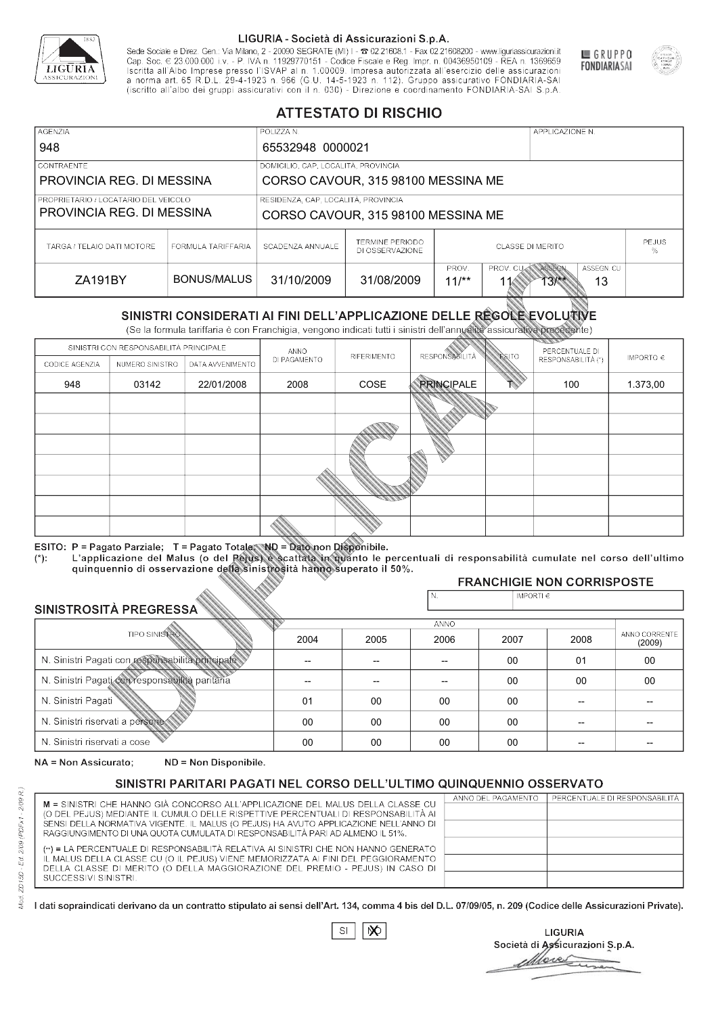

Sede Sociale e Direz. Gen.: Via Milano, 2 - 20090 SEGRATE (MI) I - 2 02.21608.1 - Fax 02.21608200 - www.liguriassicurazioni.it Sede e Direz, Gen. Via Milanto, 2 - 20090 SEGATE (MI) I - 2 UZZIODO. I - FAX UZZIODO2 I - WWW. IIJONENSURIADONILI<br>Cap. Soc. € 23.000.000 i.v. - P. IVA n. 11929770151 - Codice Fiscale e Reg. Impr. n. 00436950109 - REA n. 1



GRUPPO

**FONDIARIASAI** 

# **ATTESTATO DI RISCHIO**

| <b>AGENZIA</b>                                                      |                    | POLIZZA N.                          |                                     |                         |                   | APPLICAZIONE N. |                   |  |
|---------------------------------------------------------------------|--------------------|-------------------------------------|-------------------------------------|-------------------------|-------------------|-----------------|-------------------|--|
| 948                                                                 |                    | 65532948 0000021                    |                                     |                         |                   |                 |                   |  |
| <b>CONTRAENTE</b>                                                   |                    |                                     | DOMICILIO, CAP, LOCALITÀ, PROVINCIA |                         |                   |                 |                   |  |
| PROVINCIA REG. DI MESSINA                                           |                    |                                     | CORSO CAVOUR, 315 98100 MESSINA ME  |                         |                   |                 |                   |  |
| I PROPRIETARIO / LOCATARIO DEL VEICOLO<br>PROVINCIA REG. DI MESSINA |                    | RESIDENZA, CAP, LOCALITÀ, PROVINCIA |                                     |                         |                   |                 |                   |  |
|                                                                     |                    |                                     | CORSO CAVOUR, 315 98100 MESSINA ME  |                         |                   |                 |                   |  |
| TARGA / TELAIO DATI MOTORE                                          | FORMULA TARIFFARIA | SCADENZA ANNUALE                    | TERMINE PERIODO<br>DI OSSERVAZIONE  | <b>CLASSE DI MERITO</b> |                   |                 | <b>PEJUS</b><br>% |  |
| ZA191BY                                                             | BONUS/MALUS        | 31/10/2009                          | 31/08/2009                          | PROV.<br>$11/*$         | PROV. CUAN ASSEGN | $13**$          | ASSEGN. CU<br>13  |  |

|                                                 |                                        |                                                                                                                                                                                                      |                | DI OSSERVAZIONE |                          |                    |                                   | %                       |
|-------------------------------------------------|----------------------------------------|------------------------------------------------------------------------------------------------------------------------------------------------------------------------------------------------------|----------------|-----------------|--------------------------|--------------------|-----------------------------------|-------------------------|
| <b>ZA191BY</b>                                  |                                        | <b>BONUS/MALUS</b>                                                                                                                                                                                   | 31/10/2009     | 31/08/2009      | PROV.<br>$11/*$          | PROV. CU<br>11     | ASSEGN<br>ASSEGN. CU<br>13        |                         |
|                                                 |                                        | SINISTRI CONSIDERATI AI FINI DELL'APPLICAZIONE DELLE RÉGOLE EVOLUTIVE<br>(Se la formula tariffaria è con Franchigia, vengono indicati tutti i sinistri dell'annualità assicurativa precedente)       |                |                 |                          |                    |                                   |                         |
|                                                 | SINISTRI CON RESPONSABILITÀ PRINCIPALE |                                                                                                                                                                                                      | ANNO           |                 |                          |                    | PERCENTUALE DI                    |                         |
| CODICE AGENZIA                                  | NUMERO SINISTRO                        | DATA AVVENIMENTO                                                                                                                                                                                     | DI PAGAMENTO   | RIFERIMENTO     | <b>RESPONSABLITÀ</b>     | <b>ESITO</b>       | RESPONSABILITÀ (*)                | IMPORTO $\in$           |
| 948                                             | 03142                                  | 22/01/2008                                                                                                                                                                                           | 2008           | COSE            | <b>PRINCIPALE</b>        |                    | 100                               | 1.373,00                |
|                                                 |                                        |                                                                                                                                                                                                      |                |                 |                          |                    |                                   |                         |
|                                                 |                                        |                                                                                                                                                                                                      |                |                 |                          |                    |                                   |                         |
|                                                 |                                        |                                                                                                                                                                                                      |                |                 |                          |                    |                                   |                         |
|                                                 |                                        |                                                                                                                                                                                                      |                |                 |                          |                    |                                   |                         |
|                                                 |                                        |                                                                                                                                                                                                      |                |                 |                          |                    |                                   |                         |
|                                                 |                                        |                                                                                                                                                                                                      |                |                 |                          |                    |                                   |                         |
|                                                 |                                        |                                                                                                                                                                                                      |                |                 |                          |                    |                                   |                         |
|                                                 |                                        | ESITO: P = Pagato Parziale; T = Pagato Totale; ND = Dato non Disponibile.                                                                                                                            |                |                 |                          |                    |                                   |                         |
| $(*)$ .                                         |                                        | L'applicazione del Malus (o del Pejus) è scattata in quanto le percentuali di responsabilità cumulate nel corso dell'ultimo<br>quinquennio di osservazione della sinistrosità hanno superato il 50%. |                |                 |                          |                    |                                   |                         |
|                                                 |                                        |                                                                                                                                                                                                      |                |                 |                          |                    | <b>FRANCHIGIE NON CORRISPOSTE</b> |                         |
|                                                 |                                        |                                                                                                                                                                                                      |                |                 | N.                       | IMPORTI $\epsilon$ |                                   |                         |
| SINISTROSITÀ PREGRESSA                          |                                        |                                                                                                                                                                                                      |                |                 |                          |                    |                                   |                         |
|                                                 | <b>TIPO SINISTRO</b>                   |                                                                                                                                                                                                      | 2004           | 2005            | <b>ANNO</b><br>2006      | 2007               | 2008                              | ANNO CORRENTE<br>(2009) |
|                                                 |                                        | N. Sinistri Pagati con responsabilità principale                                                                                                                                                     | $\overline{a}$ | --              | $\overline{\phantom{a}}$ | 00                 | 01                                | 00                      |
| N. Sinistri Pagati con responsabilità paritaria |                                        |                                                                                                                                                                                                      |                |                 |                          | 00                 | 00                                | 00                      |
| N. Sinistri Pagati                              |                                        |                                                                                                                                                                                                      | 01             | 00              | 00                       | $00 \,$            | $\overline{a}$                    |                         |
| N. Sinistri riservati a persone                 |                                        |                                                                                                                                                                                                      | 00             | 00              | 00                       | $00 \,$            | --                                |                         |
| N. Sinjetri riconvoti a coco                    |                                        |                                                                                                                                                                                                      | $\cap$         | $\cap$          | $\cap$                   | $\sim$             |                                   |                         |

### 2005 -- --  $0<sup>0</sup>$ 00 00 2004 -- -- 01 00 00 2006 -- -- 00 00 00 2007 00 00 00 00 00 2008 01 00 -- -- -- 00 00 -- -- -- (2009)

NA = Non Assicurato: ND = Non Disponibile.

# SINISTRI PARITARI PAGATI NEL CORSO DELL'ULTIMO QUINQUENNIO OSSERVATO

|                                                                                      | ANNO DEL PAGAMENTO | PERCENTUALE DI RESPONSABILITÀ |
|--------------------------------------------------------------------------------------|--------------------|-------------------------------|
| M = SINISTRI CHE HANNO GIÀ CONCORSO ALL'APPLICAZIONE DEL MALUS DELLA CLASSE CU       |                    |                               |
| (O DEL PEJUS) MEDIANTE IL CUMULO DELLE RISPETTIVE PERCENTUALI DI RESPONSABILITÀ AI   |                    |                               |
| SENSI DELLA NORMATIVA VIGENTE. IL MALUS (O PEJUS) HA AVUTO APPLICAZIONE NELL'ANNO DI |                    |                               |
| RAGGIUNGIMENTO DI UNA QUOTA CUMULATA DI RESPONSABILITÀ PARI AD ALMENO IL 51%.        |                    |                               |
| (**) = LA PERCENTUALE DI RESPONSABILITÀ RELATIVA AI SINISTRI CHE NON HANNO GENERATO  |                    |                               |
| IL MALUS DELLA CLASSE CU (O IL PEJUS) VIENE MEMORIZZATA AI FINI DEL PEGGIORAMENTO    |                    |                               |
| DELLA CLASSE DI MERITO (O DELLA MAGGIORAZIONE DEL PREMIO - PEJUS) IN CASO DI         |                    |                               |
| SUCCESSIVI SINISTRI.                                                                 |                    |                               |
|                                                                                      |                    |                               |

 $\mathbb{S}\mathsf{I}$  $\infty$ 

**LIGURIA** Società di Assicurazioni S.p.A. bres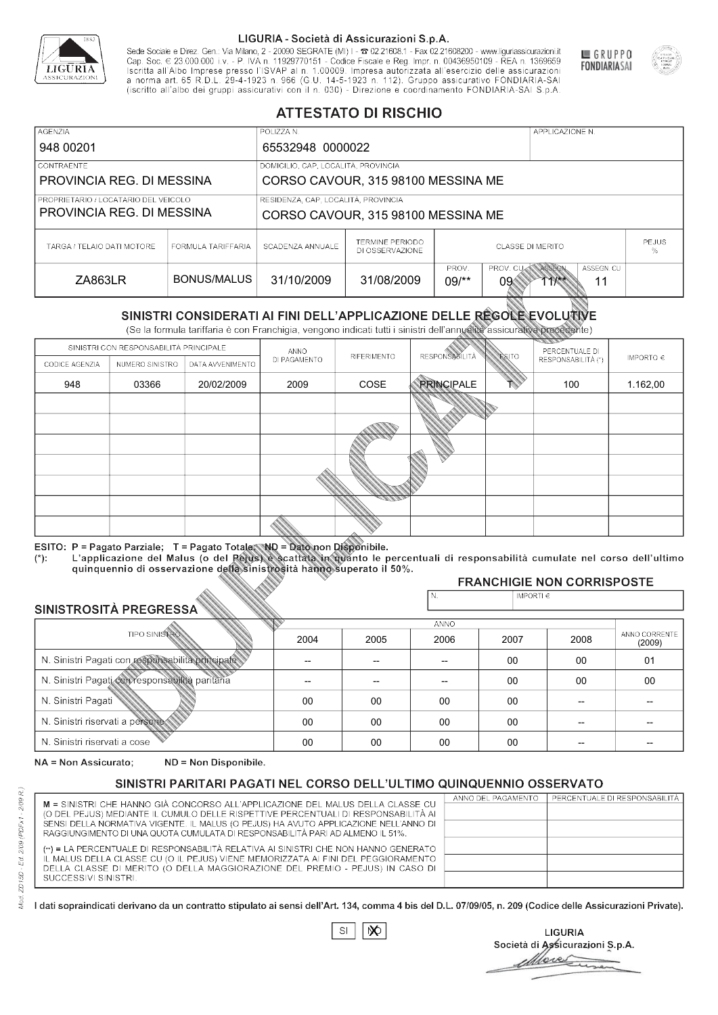

Sede Sociale e Direz. Gen.: Via Milano, 2 - 20090 SEGRATE (MI) I - 2 02.21608.1 - Fax 02.21608200 - www.liguriassicurazioni.it Sede e Direz, Gen. Via Milanto, 2 - 20090 SEGATE (MI) I - 2 UZZIODO. I - FAX UZZIODO2 I - WWW. IIJONENSURIADONILI<br>Cap. Soc. € 23.000.000 i.v. - P. IVA n. 11929770151 - Codice Fiscale e Reg. Impr. n. 00436950109 - REA n. 1



GRUPPO

**FONDIARIASAI** 

# **ATTESTATO DI RISCHIO**

| <b>AGENZIA</b>                       |                    | POLIZZA N.                          |                                           |                                              | APPLICAZIONE N.                       |  |  |  |
|--------------------------------------|--------------------|-------------------------------------|-------------------------------------------|----------------------------------------------|---------------------------------------|--|--|--|
| 948 00201                            |                    | 65532948 0000022                    |                                           |                                              |                                       |  |  |  |
| LCONTRAENTE                          |                    | DOMICILIO, CAP, LOCALITÀ, PROVINCIA |                                           |                                              |                                       |  |  |  |
| PROVINCIA REG. DI MESSINA            |                    |                                     | CORSO CAVOUR, 315 98100 MESSINA ME        |                                              |                                       |  |  |  |
| PROPRIETARIO / LOCATARIO DEL VEICOLO |                    | RESIDENZA, CAP, LOCALITÀ, PROVINCIA |                                           |                                              |                                       |  |  |  |
| PROVINCIA REG. DI MESSINA            |                    |                                     | CORSO CAVOUR, 315 98100 MESSINA ME        |                                              |                                       |  |  |  |
| TARGA / TELAIO DATI MOTORE           | FORMULA TARIFFARIA | SCADENZA ANNUALE                    | <b>TERMINE PERIODO</b><br>DI OSSERVAZIONE | <b>PEJUS</b><br><b>CLASSE DI MERITO</b>      |                                       |  |  |  |
| ZA863LR                              | BONUS/MALUS        | 31/10/2009                          | 31/08/2009                                | PROV.<br>PROV. CUAN ASSEGN<br>$09$ /**<br>09 | ASSEGN. CU<br>$1$ <sup>**</sup><br>11 |  |  |  |

|                                                 |                      |                                                                                                                                                                                                                                                                                   |              | DI OSSERVAZIONE |                       | %                  |                                                    |                         |
|-------------------------------------------------|----------------------|-----------------------------------------------------------------------------------------------------------------------------------------------------------------------------------------------------------------------------------------------------------------------------------|--------------|-----------------|-----------------------|--------------------|----------------------------------------------------|-------------------------|
| ZA863LR                                         |                      | <b>BONUS/MALUS</b>                                                                                                                                                                                                                                                                | 31/10/2009   | 31/08/2009      | PROV.<br>$09$ /**     | PROV. CU<br>09     | ASSEGN<br>ASSEGN. CU<br>$71$ $\frac{11}{11}$<br>11 |                         |
|                                                 |                      | SINISTRI CONSIDERATI AI FINI DELL'APPLICAZIONE DELLE RÉGOLE EVOLUTIVE<br>(Se la formula tariffaria è con Franchigia, vengono indicati tutti i sinistri dell'annualità assicurativa precedente)                                                                                    |              |                 |                       |                    |                                                    |                         |
|                                                 |                      | SINISTRI CON RESPONSABILITÀ PRINCIPALE                                                                                                                                                                                                                                            | ANNO         |                 |                       |                    | PERCENTUALE DI                                     |                         |
| CODICE AGENZIA                                  | NUMERO SINISTRO      | DATA AVVENIMENTO                                                                                                                                                                                                                                                                  | DI PAGAMENTO | RIFERIMENTO     | <b>RESPONSABILITÀ</b> | <b>ESITO</b>       | RESPONSABILITÀ (*)                                 | IMPORTO $\in$           |
| 948                                             | 03366                | 20/02/2009                                                                                                                                                                                                                                                                        | 2009         | COSE            | <b>PRINCIPALE</b>     |                    | 100                                                | 1.162,00                |
|                                                 |                      |                                                                                                                                                                                                                                                                                   |              |                 |                       |                    |                                                    |                         |
|                                                 |                      |                                                                                                                                                                                                                                                                                   |              |                 |                       |                    |                                                    |                         |
|                                                 |                      |                                                                                                                                                                                                                                                                                   |              |                 |                       |                    |                                                    |                         |
|                                                 |                      |                                                                                                                                                                                                                                                                                   |              |                 |                       |                    |                                                    |                         |
|                                                 |                      |                                                                                                                                                                                                                                                                                   |              |                 |                       |                    |                                                    |                         |
|                                                 |                      |                                                                                                                                                                                                                                                                                   |              |                 |                       |                    |                                                    |                         |
|                                                 |                      |                                                                                                                                                                                                                                                                                   |              |                 |                       |                    |                                                    |                         |
| $(*)$ .                                         |                      | ESITO: P = Pagato Parziale; T = Pagato Totale; ND = Dato non Disponibile.<br>L'applicazione del Malus (o del Pejus) è scattata in quanto le percentuali di responsabilità cumulate nel corso dell'ultimo<br>quinquennio di osservazione della sinistrosità hanno superato il 50%. |              |                 |                       |                    |                                                    |                         |
|                                                 |                      |                                                                                                                                                                                                                                                                                   |              |                 |                       |                    | <b>FRANCHIGIE NON CORRISPOSTE</b>                  |                         |
| SINISTROSITÀ PREGRESSA                          |                      |                                                                                                                                                                                                                                                                                   |              |                 | N.                    | IMPORTI $\epsilon$ |                                                    |                         |
|                                                 |                      |                                                                                                                                                                                                                                                                                   |              |                 | ANNO                  |                    |                                                    |                         |
|                                                 | <b>TIPO SINISTRO</b> |                                                                                                                                                                                                                                                                                   | 2004         | 2005            | 2006                  | 2007               | 2008                                               | ANNO CORRENTE<br>(2009) |
|                                                 |                      | N. Sinistri Pagati con responsabilità principale                                                                                                                                                                                                                                  | $\sim$       | --              | $-$                   | 00                 | 00                                                 | 01                      |
| N. Sinistri Pagati con responsabilità paritaria |                      |                                                                                                                                                                                                                                                                                   |              |                 |                       | 00                 | 00                                                 | 00                      |
| N. Sinistri Pagati                              |                      |                                                                                                                                                                                                                                                                                   | 00           | 00              | 00                    | 00                 | --                                                 |                         |
| N. Sinistri riservati a persone                 |                      |                                                                                                                                                                                                                                                                                   | 00           | 00              | 00                    | 00                 |                                                    |                         |
| N. Sinjetri riconvoti a coco                    |                      |                                                                                                                                                                                                                                                                                   | $\cap$       | $\cap$          | $\cap$                | $\sim$             |                                                    |                         |

### 2005 -- --  $0<sup>0</sup>$ 00 00 2004 -- --  $0<sup>0</sup>$ 00 00 2006 -- -- 00 00 00 2007 00 00 00 00 00 2008 00 00 -- -- -- 01 00 -- -- -- (2009)

NA = Non Assicurato: ND = Non Disponibile.

# SINISTRI PARITARI PAGATI NEL CORSO DELL'ULTIMO QUINQUENNIO OSSERVATO

|                                                                                                                                                                      | ANNO DEL PAGAMENTO | PERCENTUALE DI RESPONSABILITÀ |
|----------------------------------------------------------------------------------------------------------------------------------------------------------------------|--------------------|-------------------------------|
| M = SINISTRI CHE HANNO GIÀ CONCORSO ALL'APPLICAZIONE DEL MALUS DELLA CLASSE CU<br>(O DEL PEJUS) MEDIANTE IL CUMULO DELLE RISPETTIVE PERCENTUALI DI RESPONSABILITÀ AI |                    |                               |
| SENSI DELLA NORMATIVA VIGENTE. IL MALUS (O PEJUS) HA AVUTO APPLICAZIONE NELL'ANNO DI                                                                                 |                    |                               |
| RAGGIUNGIMENTO DI UNA QUOTA CUMULATA DI RESPONSABILITÀ PARI AD ALMENO IL 51%.                                                                                        |                    |                               |
|                                                                                                                                                                      |                    |                               |
| (**) = LA PERCENTUALE DI RESPONSABILITÀ RELATIVA AI SINISTRI CHE NON HANNO GENERATO                                                                                  |                    |                               |
| IL MALUS DELLA CLASSE CU (O IL PEJUS) VIENE MEMORIZZATA AI FINI DEL PEGGIORAMENTO                                                                                    |                    |                               |
| DELLA CLASSE DI MERITO (O DELLA MAGGIORAZIONE DEL PREMIO - PEJUS) IN CASO DI                                                                                         |                    |                               |
| SUCCESSIVI SINISTRI.                                                                                                                                                 |                    |                               |
|                                                                                                                                                                      |                    |                               |

 $\mathbb{S}\mathsf{I}$  $\infty$ 

**LIGURIA** Società di Assicurazioni S.p.A. More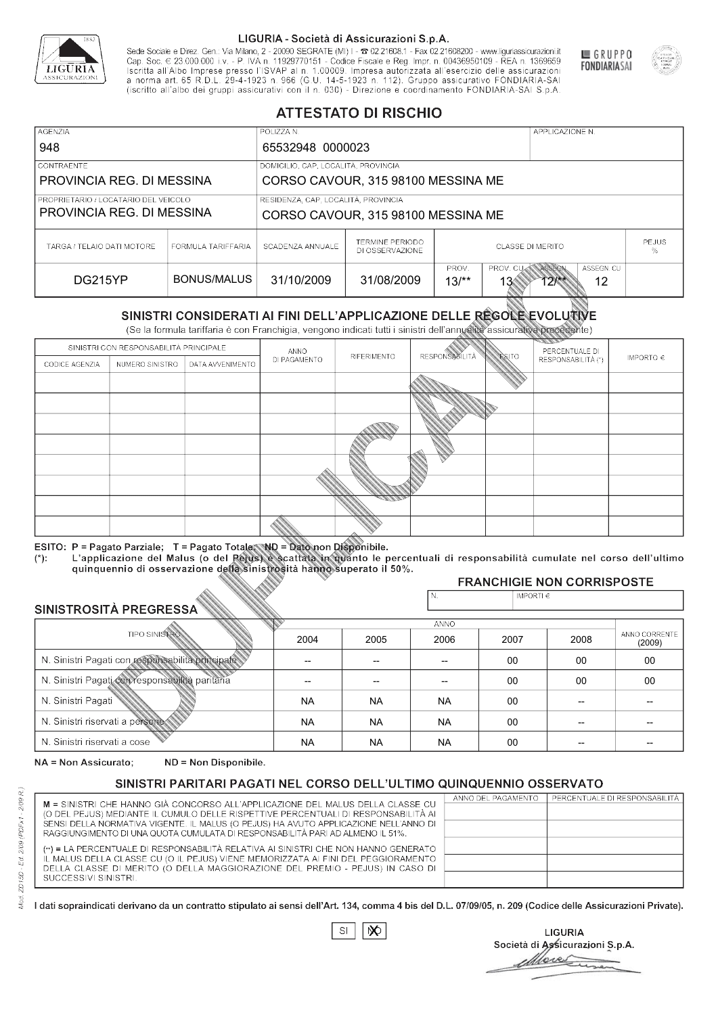

Sede Sociale e Direz. Gen.: Via Milano, 2 - 20090 SEGRATE (MI) I - 2 02.21608.1 - Fax 02.21608200 - www.liguriassicurazioni.it Sede e Direz, Gen. Via Milanto, 2 - 20090 SEGATE (MI) I - 2 UZZIODO. I - FAX UZZIODO2 I - WWW. IIJONENSURIADONILI<br>Cap. Soc. € 23.000.000 i.v. - P. IVA n. 11929770151 - Codice Fiscale e Reg. Impr. n. 00436950109 - REA n. 1



GRUPPO

**FONDIARIASAI** 

# **ATTESTATO DI RISCHIO**

| <b>AGENZIA</b>                                                      |                    | POLIZZA N.                          |                                    |                                    |                                      | APPLICAZIONE N.     |                   |  |
|---------------------------------------------------------------------|--------------------|-------------------------------------|------------------------------------|------------------------------------|--------------------------------------|---------------------|-------------------|--|
| 948                                                                 |                    | 65532948 0000023                    |                                    |                                    |                                      |                     |                   |  |
| <b>CONTRAENTE</b>                                                   |                    | DOMICILIO, CAP, LOCALITÀ, PROVINCIA |                                    |                                    |                                      |                     |                   |  |
| PROVINCIA REG. DI MESSINA                                           |                    |                                     | CORSO CAVOUR, 315 98100 MESSINA ME |                                    |                                      |                     |                   |  |
| I PROPRIETARIO / LOCATARIO DEL VEICOLO<br>PROVINCIA REG. DI MESSINA |                    | RESIDENZA, CAP, LOCALITÀ, PROVINCIA |                                    | CORSO CAVOUR, 315 98100 MESSINA ME |                                      |                     |                   |  |
| TARGA / TELAIO DATI MOTORE                                          | FORMULA TARIFFARIA | SCADENZA ANNUALE                    | TERMINE PERIODO<br>DI OSSERVAZIONE | <b>CLASSE DI MERITO</b>            |                                      |                     | <b>PEJUS</b><br>% |  |
| DG215YP                                                             | BONUS/MALUS        | 31/10/2009                          | 31/08/2009                         | PROV.<br>$13/*$                    | PROV. CUAN ASSEGN<br>13 <sub>°</sub> | $12$ $\frac{12}{3}$ | ASSEGN. CU<br>12  |  |

|                                                  |                      |                                                                                                                                                                                                      |              | DI OSSERVAZIONE |                      |                             |                                      | %                       |
|--------------------------------------------------|----------------------|------------------------------------------------------------------------------------------------------------------------------------------------------------------------------------------------------|--------------|-----------------|----------------------|-----------------------------|--------------------------------------|-------------------------|
| <b>DG215YP</b>                                   |                      | <b>BONUS/MALUS</b>                                                                                                                                                                                   | 31/10/2009   | 31/08/2009      | PROV.<br>$13/*$      | PROV. CU<br>13 <sup>′</sup> | ASSEGN<br>ASSEGN. CU<br>$12**$<br>12 |                         |
|                                                  |                      | SINISTRI CONSIDERATI AI FINI DELL'APPLICAZIONE DELLE RÉGOLE EVOLUTIVE<br>(Se la formula tariffaria è con Franchigia, vengono indicati tutti i sinistri dell'annualità assicurativa precedente)       |              |                 |                      |                             |                                      |                         |
|                                                  |                      | SINISTRI CON RESPONSABILITÀ PRINCIPALE                                                                                                                                                               | ANNO         |                 |                      |                             | PERCENTUALE DI                       |                         |
| CODICE AGENZIA                                   | NUMERO SINISTRO      | DATA AVVENIMENTO                                                                                                                                                                                     | DI PAGAMENTO | RIFERIMENTO     | <b>RESPONSABLITA</b> | <b>ESITO</b>                | RESPONSABILITÀ (*)                   | IMPORTO $\in$           |
|                                                  |                      |                                                                                                                                                                                                      |              |                 |                      |                             |                                      |                         |
|                                                  |                      |                                                                                                                                                                                                      |              |                 |                      |                             |                                      |                         |
|                                                  |                      |                                                                                                                                                                                                      |              |                 |                      |                             |                                      |                         |
|                                                  |                      |                                                                                                                                                                                                      |              |                 |                      |                             |                                      |                         |
|                                                  |                      |                                                                                                                                                                                                      |              |                 |                      |                             |                                      |                         |
|                                                  |                      |                                                                                                                                                                                                      |              |                 |                      |                             |                                      |                         |
|                                                  |                      |                                                                                                                                                                                                      |              |                 |                      |                             |                                      |                         |
|                                                  |                      |                                                                                                                                                                                                      |              |                 |                      |                             |                                      |                         |
|                                                  |                      |                                                                                                                                                                                                      |              |                 |                      |                             |                                      |                         |
|                                                  |                      | ESITO: P = Pagato Parziale; T = Pagato Totale; ND = Dato non Disponibile.                                                                                                                            |              |                 |                      |                             |                                      |                         |
| $(*)$ .                                          |                      | L'applicazione del Malus (o del Pejus) è scattata in quanto le percentuali di responsabilità cumulate nel corso dell'ultimo<br>quinquennio di osservazione della sinistrosità hanno superato il 50%. |              |                 |                      |                             |                                      |                         |
|                                                  |                      |                                                                                                                                                                                                      |              |                 |                      |                             | <b>FRANCHIGIE NON CORRISPOSTE</b>    |                         |
|                                                  |                      |                                                                                                                                                                                                      |              |                 | N.                   | IMPORTI $\epsilon$          |                                      |                         |
| SINISTROSITÀ PREGRESSA                           |                      |                                                                                                                                                                                                      |              |                 | ANNO                 |                             |                                      |                         |
|                                                  | <b>TIPO SINISTRO</b> |                                                                                                                                                                                                      | 2004         | 2005            | 2006                 | 2007                        | 2008                                 | ANNO CORRENTE<br>(2009) |
| N. Sinistri Pagati con responsabilità principale |                      |                                                                                                                                                                                                      | --           | --              | $\overline{a}$       | 00                          | 00                                   | 00                      |
|                                                  |                      | N. Sinistri Pagati con responsabilità paritaria                                                                                                                                                      |              |                 |                      | 00                          | 00                                   | 00                      |
| N. Sinistri Pagati                               |                      |                                                                                                                                                                                                      | <b>NA</b>    | <b>NA</b>       | <b>NA</b>            | 00                          | --                                   |                         |
| N. Sinistri riservati a persone                  |                      |                                                                                                                                                                                                      | <b>NA</b>    | <b>NA</b>       | <b>NA</b>            | 00                          |                                      |                         |
| N. Sinjetri riconvoti a coco                     |                      |                                                                                                                                                                                                      | <b>AIA</b>   | <b>AIA</b>      | <b>NIA</b>           | $\sim$                      |                                      |                         |

### 2005 -- -- NA NA NA 2004 -- -- NA NA NA 2006 -- -- NA NA NA 2007 00 00 00 00 00 2008 00 00 -- -- -- 00 00 -- -- -- (2009)

NA = Non Assicurato: ND = Non Disponibile.

# SINISTRI PARITARI PAGATI NEL CORSO DELL'ULTIMO QUINQUENNIO OSSERVATO

|                                                                                      | ANNO DEL PAGAMENTO | PERCENTUALE DI RESPONSABILITÀ |
|--------------------------------------------------------------------------------------|--------------------|-------------------------------|
| M = SINISTRI CHE HANNO GIÀ CONCORSO ALL'APPLICAZIONE DEL MALUS DELLA CLASSE CU       |                    |                               |
| (O DEL PEJUS) MEDIANTE IL CUMULO DELLE RISPETTIVE PERCENTUALI DI RESPONSABILITÀ AI   |                    |                               |
| SENSI DELLA NORMATIVA VIGENTE. IL MALUS (O PEJUS) HA AVUTO APPLICAZIONE NELL'ANNO DI |                    |                               |
| RAGGIUNGIMENTO DI UNA QUOTA CUMULATA DI RESPONSABILITÀ PARI AD ALMENO IL 51%.        |                    |                               |
| (**) = LA PERCENTUALE DI RESPONSABILITÀ RELATIVA AI SINISTRI CHE NON HANNO GENERATO  |                    |                               |
| IL MALUS DELLA CLASSE CU (O IL PEJUS) VIENE MEMORIZZATA AI FINI DEL PEGGIORAMENTO    |                    |                               |
| DELLA CLASSE DI MERITO (O DELLA MAGGIORAZIONE DEL PREMIO - PEJUS) IN CASO DI         |                    |                               |
| SUCCESSIVI SINISTRI.                                                                 |                    |                               |
|                                                                                      |                    |                               |

|--|

**LIGURIA** Società di Assicurazioni S.p.A. Move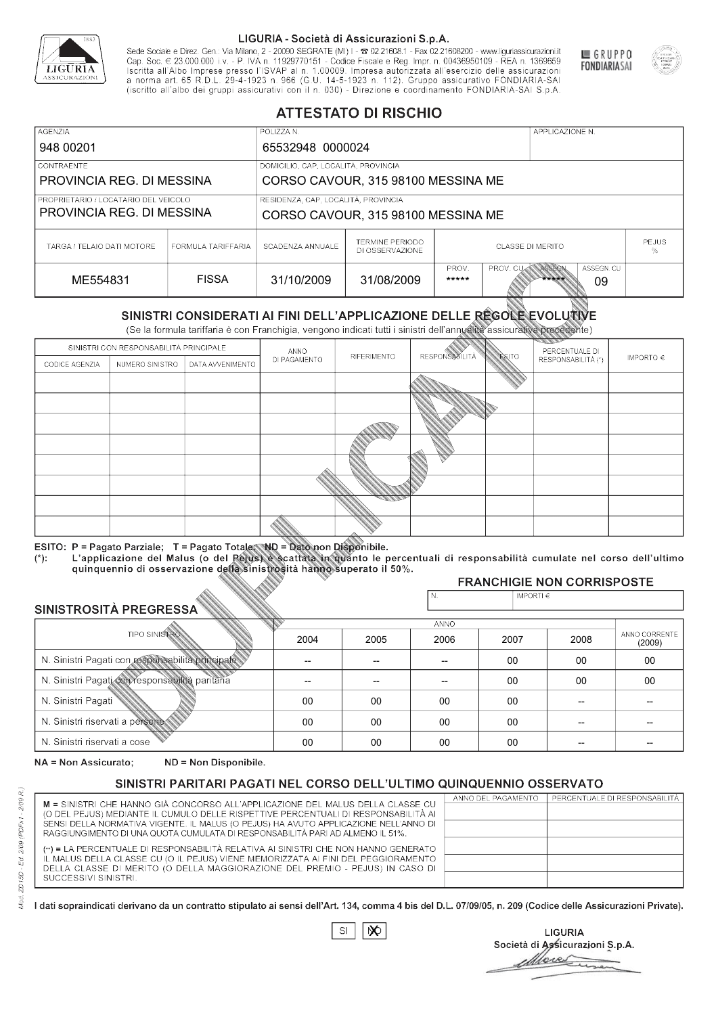

Sede Sociale e Direz. Gen.: Via Milano, 2 - 20090 SEGRATE (MI) I - 2 02.21608.1 - Fax 02.21608200 - www.liguriassicurazioni.it Cap. Soc.  $\in$  23.000.000 i.v. - P. IVA n. 11929770151 - Codice Fiscale e Reg. Impr. n. 00436950109 - REA n. 1369659<br>Iscritta all'Albo Imprese presso l'ISVAP al n. 1.00009. Impresa autorizzata all'esercizio delle assicura d homa art. 65 K.D.L. 29-4-1923 ft. 900 (G.O. 14-5-1923 ft. 112). Gruppo assicurativo PONDIARIA-SAI S.p.A



GRUPPO

**FONDIARIASAI** 

# **ATTESTATO DI RISCHIO**

| <b>AGENZIA</b>                                                                                                                                 |                    | POLIZZA N.       |                                           |                         |                  | APPLICAZIONE N. |                   |  |
|------------------------------------------------------------------------------------------------------------------------------------------------|--------------------|------------------|-------------------------------------------|-------------------------|------------------|-----------------|-------------------|--|
| 948 00201                                                                                                                                      |                    | 65532948 0000024 |                                           |                         |                  |                 |                   |  |
| LCONTRAENTE.                                                                                                                                   |                    |                  | DOMICILIO, CAP, LOCALITÀ, PROVINCIA       |                         |                  |                 |                   |  |
| PROVINCIA REG. DI MESSINA                                                                                                                      |                    |                  | CORSO CAVOUR, 315 98100 MESSINA ME        |                         |                  |                 |                   |  |
| RESIDENZA, CAP, LOCALITÀ, PROVINCIA<br>PROPRIETARIO / LOCATARIO DEL VEICOLO<br>PROVINCIA REG. DI MESSINA<br>CORSO CAVOUR, 315 98100 MESSINA ME |                    |                  |                                           |                         |                  |                 |                   |  |
| TARGA / TELAIO DATI MOTORE                                                                                                                     | FORMULA TARIFFARIA | SCADENZA ANNUALE | <b>TERMINE PERIODO</b><br>DI OSSERVAZIONE | <b>CLASSE DI MERITO</b> |                  |                 | <b>PEJUS</b><br>% |  |
| ME554831                                                                                                                                       | <b>FISSA</b>       | 31/10/2009       | 31/08/2009                                | PROV.<br>*****          | <b>PROV. CUM</b> | ASSEGN<br>***** | ASSEGN. CU<br>09  |  |

|                                                  |                                        |                                                                                                                                                                                                      |              | DI OSSERVAZIONE |                          |              |                                     | %             |
|--------------------------------------------------|----------------------------------------|------------------------------------------------------------------------------------------------------------------------------------------------------------------------------------------------------|--------------|-----------------|--------------------------|--------------|-------------------------------------|---------------|
| ME554831                                         |                                        | <b>FISSA</b>                                                                                                                                                                                         | 31/10/2009   | 31/08/2009      | PROV.<br>*****           | PROV. CU     | ASSEGN<br>ASSEGN. CU<br>*****<br>09 |               |
|                                                  |                                        | SINISTRI CONSIDERATI AI FINI DELL'APPLICAZIONE DELLE REGOLE EVOLUTIVE<br>(Se la formula tariffaria è con Franchigia, vengono indicati tutti i sinistri dell'annualità assicurativa precedente)       |              |                 |                          |              |                                     |               |
|                                                  | SINISTRI CON RESPONSABILITÀ PRINCIPALE |                                                                                                                                                                                                      | ANNO         |                 |                          |              | PERCENTUALE DI                      |               |
| CODICE AGENZIA                                   | NUMERO SINISTRO                        | DATA AVVENIMENTO                                                                                                                                                                                     | DI PAGAMENTO | RIFERIMENTO     | <b>RESPONSABLITÀ</b>     | <b>ESITO</b> | RESPONSABILITÀ (*)                  | IMPORTO $\in$ |
|                                                  |                                        |                                                                                                                                                                                                      |              |                 |                          |              |                                     |               |
|                                                  |                                        |                                                                                                                                                                                                      |              |                 |                          |              |                                     |               |
|                                                  |                                        |                                                                                                                                                                                                      |              |                 |                          |              |                                     |               |
|                                                  |                                        |                                                                                                                                                                                                      |              |                 |                          |              |                                     |               |
|                                                  |                                        |                                                                                                                                                                                                      |              |                 |                          |              |                                     |               |
|                                                  |                                        |                                                                                                                                                                                                      |              |                 |                          |              |                                     |               |
|                                                  |                                        |                                                                                                                                                                                                      |              |                 |                          |              |                                     |               |
|                                                  |                                        |                                                                                                                                                                                                      |              |                 |                          |              |                                     |               |
|                                                  |                                        |                                                                                                                                                                                                      |              |                 |                          |              |                                     |               |
|                                                  |                                        | ESITO: P = Pagato Parziale; T = Pagato Totale; ND = Dato non Disponibile.                                                                                                                            |              |                 |                          |              |                                     |               |
| $(*)$ .                                          |                                        | L'applicazione del Malus (o del Pejus) è scattata in quanto le percentuali di responsabilità cumulate nel corso dell'ultimo<br>quinquennio di osservazione della sinistrosità hanno superato il 50%. |              |                 |                          |              |                                     |               |
|                                                  |                                        |                                                                                                                                                                                                      |              |                 |                          |              | <b>FRANCHIGIE NON CORRISPOSTE</b>   |               |
|                                                  |                                        |                                                                                                                                                                                                      |              |                 | N.                       | IMPORTI€     |                                     |               |
| SINISTROSITÀ PREGRESSA                           |                                        |                                                                                                                                                                                                      |              |                 | <b>ANNO</b>              |              |                                     |               |
|                                                  | <b>TIPO SINISTRO</b>                   |                                                                                                                                                                                                      | 2004         | 2005            | 2006                     | 2007         | 2008                                | ANNO CORRENTE |
| N. Sinistri Pagati con responsabilità principale |                                        |                                                                                                                                                                                                      |              | --              | $\overline{\phantom{a}}$ | 00           | 00                                  | (2009)<br>00  |
| N. Sinistri Pagati con responsabilità paritaria  |                                        |                                                                                                                                                                                                      |              |                 |                          |              |                                     |               |
|                                                  |                                        |                                                                                                                                                                                                      |              |                 |                          | 00           | 00                                  | 00            |
| N. Sinistri Pagati                               |                                        |                                                                                                                                                                                                      | 00           | 00              | 00                       | 00           |                                     |               |
| N. Sinistri riservati a persone                  |                                        |                                                                                                                                                                                                      | 00           | 00              | 00                       | 00           |                                     |               |
| N. Sinjetri riconvoti a coco                     |                                        |                                                                                                                                                                                                      | $\cap$       | $\cap$          | $\sim$                   | $\cap$       |                                     |               |

### 2005 -- --  $0<sup>0</sup>$ 00 00 2004 -- --  $0<sup>0</sup>$ 00 00 2006 -- -- 00 00 00 2007 00 00 00 00 00 2008 00 00 -- -- -- 00 00 -- -- -- (2009)

NA = Non Assicurato: ND = Non Disponibile.

# SINISTRI PARITARI PAGATI NEL CORSO DELL'ULTIMO QUINQUENNIO OSSERVATO

|                                                                                      | ANNO DEL PAGAMENTO | PERCENTUALE DI RESPONSABILITÀ |
|--------------------------------------------------------------------------------------|--------------------|-------------------------------|
| M = SINISTRI CHE HANNO GIÀ CONCORSO ALL'APPLICAZIONE DEL MALUS DELLA CLASSE CU       |                    |                               |
| (O DEL PEJUS) MEDIANTE IL CUMULO DELLE RISPETTIVE PERCENTUALI DI RESPONSABILITÀ AI   |                    |                               |
| SENSI DELLA NORMATIVA VIGENTE. IL MALUS (O PEJUS) HA AVUTO APPLICAZIONE NELL'ANNO DI |                    |                               |
| RAGGIUNGIMENTO DI UNA QUOTA CUMULATA DI RESPONSABILITÀ PARI AD ALMENO IL 51%.        |                    |                               |
| (**) = LA PERCENTUALE DI RESPONSABILITÀ RELATIVA AI SINISTRI CHE NON HANNO GENERATO  |                    |                               |
| IL MALUS DELLA CLASSE CU (O IL PEJUS) VIENE MEMORIZZATA AI FINI DEL PEGGIORAMENTO    |                    |                               |
| DELLA CLASSE DI MERITO (O DELLA MAGGIORAZIONE DEL PREMIO - PEJUS) IN CASO DI         |                    |                               |
| SUCCESSIVI SINISTRI.                                                                 |                    |                               |
|                                                                                      |                    |                               |

 $\mathbb{S}\mathsf{I}$  $\infty$ 

**LIGURIA** Società di Assicurazioni S.p.A. Move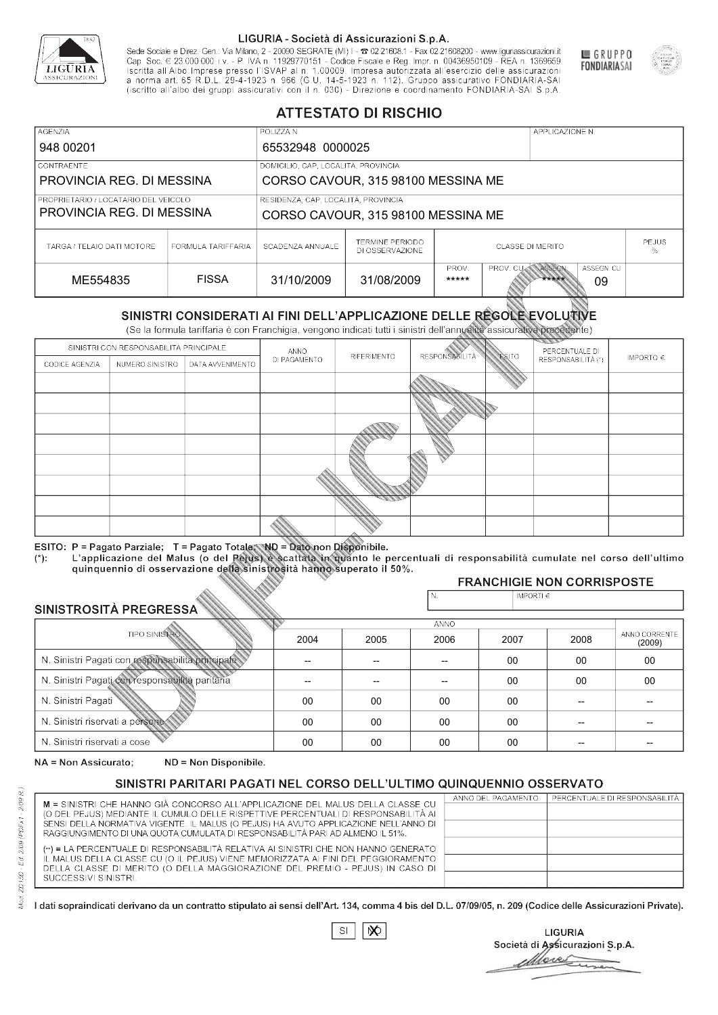

Sede Sociale e Direz. Gen.: Via Milano, 2 - 20090 SEGRATE (MI) I - 2 02.21608.1 - Fax 02.21608200 - www.liguriassicurazioni.it Cap. Soc.  $\in$  23.000.000 i.v. - P. IVA n. 11929770151 - Codice Fiscale e Reg. Impr. n. 00436950109 - REA n. 1369659<br>Iscritta all'Albo Imprese presso l'ISVAP al n. 1.00009. Impresa autorizzata all'esercizio delle assicura d homa art. 65 K.D.L. 29-4-1923 ft. 900 (G.O. 14-5-1923 ft. 112). Gruppo assicurativo PONDIARIA-SAI S.p.A



GRUPPO

**FONDIARIASAI** 

# **ATTESTATO DI RISCHIO**

| <b>AGENZIA</b>                                                    |                    | POLIZZA N.                                                                |                                           |                         |                  | APPLICAZIONE N. |                   |  |
|-------------------------------------------------------------------|--------------------|---------------------------------------------------------------------------|-------------------------------------------|-------------------------|------------------|-----------------|-------------------|--|
| 948 00201                                                         |                    | 65532948 0000025                                                          |                                           |                         |                  |                 |                   |  |
| LCONTRAENTE.                                                      |                    | DOMICILIO, CAP, LOCALITÀ, PROVINCIA                                       |                                           |                         |                  |                 |                   |  |
| PROVINCIA REG. DI MESSINA                                         |                    |                                                                           | CORSO CAVOUR, 315 98100 MESSINA ME        |                         |                  |                 |                   |  |
| PROPRIETARIO / LOCATARIO DEL VEICOLO<br>PROVINCIA REG. DI MESSINA |                    | RESIDENZA, CAP, LOCALITÀ, PROVINCIA<br>CORSO CAVOUR, 315 98100 MESSINA ME |                                           |                         |                  |                 |                   |  |
| TARGA / TELAIO DATI MOTORE                                        | FORMULA TARIFFARIA | SCADENZA ANNUALE                                                          | <b>TERMINE PERIODO</b><br>DI OSSERVAZIONE | <b>CLASSE DI MERITO</b> |                  |                 | <b>PEJUS</b><br>% |  |
| ME554835                                                          | <b>FISSA</b>       | 31/10/2009                                                                | 31/08/2009                                | PROV.<br>*****          | <b>PROV. CUM</b> | ASSEGN<br>***** | ASSEGN. CU<br>09  |  |

|                                                                  |                      |                                                                                                                                                                                                      |                          | DI OSSERVAZIONE          |                       |                    | ℅                                   |                         |
|------------------------------------------------------------------|----------------------|------------------------------------------------------------------------------------------------------------------------------------------------------------------------------------------------------|--------------------------|--------------------------|-----------------------|--------------------|-------------------------------------|-------------------------|
| ME554835                                                         |                      | <b>FISSA</b>                                                                                                                                                                                         | 31/10/2009               | 31/08/2009               | PROV.<br>*****        | PROV. CU           | ASSEGN<br>ASSEGN. CU<br>*****<br>09 |                         |
|                                                                  |                      | SINISTRI CONSIDERATI AI FINI DELL'APPLICAZIONE DELLE REGOLE EVOLUTIVE<br>(Se la formula tariffaria è con Franchigia, vengono indicati tutti i sinistri dell'annualità assicurativa precedente)       |                          |                          |                       |                    |                                     |                         |
| SINISTRI CON RESPONSABILITÀ PRINCIPALE<br>PERCENTUALE DI<br>ANNO |                      |                                                                                                                                                                                                      |                          |                          |                       |                    |                                     |                         |
| CODICE AGENZIA                                                   | NUMERO SINISTRO      | DATA AVVENIMENTO                                                                                                                                                                                     | DI PAGAMENTO             | RIFERIMENTO              | <b>RESPONSABILITÀ</b> | <b>ESITO</b>       | RESPONSABILITÀ (*)                  | IMPORTO $\in$           |
|                                                                  |                      |                                                                                                                                                                                                      |                          |                          |                       |                    |                                     |                         |
|                                                                  |                      |                                                                                                                                                                                                      |                          |                          |                       |                    |                                     |                         |
|                                                                  |                      |                                                                                                                                                                                                      |                          |                          |                       |                    |                                     |                         |
|                                                                  |                      |                                                                                                                                                                                                      |                          |                          |                       |                    |                                     |                         |
|                                                                  |                      |                                                                                                                                                                                                      |                          |                          |                       |                    |                                     |                         |
|                                                                  |                      |                                                                                                                                                                                                      |                          |                          |                       |                    |                                     |                         |
|                                                                  |                      |                                                                                                                                                                                                      |                          |                          |                       |                    |                                     |                         |
|                                                                  |                      |                                                                                                                                                                                                      |                          |                          |                       |                    |                                     |                         |
|                                                                  |                      |                                                                                                                                                                                                      |                          |                          |                       |                    |                                     |                         |
|                                                                  |                      | ESITO: P = Pagato Parziale; T = Pagato Totale; ND = Dato non Disponibile.                                                                                                                            |                          |                          |                       |                    |                                     |                         |
| $(*)$ .                                                          |                      | L'applicazione del Malus (o del Pejus) è scattata in quanto le percentuali di responsabilità cumulate nel corso dell'ultimo<br>quinquennio di osservazione della sinistrosità hanno superato il 50%. |                          |                          |                       |                    |                                     |                         |
|                                                                  |                      |                                                                                                                                                                                                      |                          |                          |                       |                    | <b>FRANCHIGIE NON CORRISPOSTE</b>   |                         |
|                                                                  |                      |                                                                                                                                                                                                      |                          |                          | N.                    | IMPORTI $\epsilon$ |                                     |                         |
| SINISTROSITÀ PREGRESSA                                           |                      |                                                                                                                                                                                                      |                          |                          | ANNO                  |                    |                                     |                         |
|                                                                  | <b>TIPO SINISTRO</b> |                                                                                                                                                                                                      | 2004                     | 2005                     | 2006                  | 2007               | 2008                                | ANNO CORRENTE<br>(2009) |
| N. Sinistri Pagati con responsabilità principale                 |                      |                                                                                                                                                                                                      | $\overline{\phantom{0}}$ | $\overline{\phantom{a}}$ | $-$                   | $00 \,$            | 00                                  | 00                      |
| N. Sinistri Pagati con responsabilità paritaria                  |                      |                                                                                                                                                                                                      |                          |                          | 00                    | 00                 | 00                                  |                         |
| N. Sinistri Pagati                                               |                      |                                                                                                                                                                                                      | 00                       | 00                       | 00                    | $00\,$             |                                     |                         |
| N. Sinistri riservati a persone                                  |                      |                                                                                                                                                                                                      | 00                       | 00                       | 00                    | 00                 |                                     |                         |
| N. Sinjetri riconvoti a coco                                     |                      |                                                                                                                                                                                                      | $\cap$                   | $\cap$                   | $\cap$                | $\cap$             |                                     |                         |

### 2005 -- --  $0<sup>0</sup>$ 00 00 2004 -- --  $0<sup>0</sup>$ 00 00 2006 -- -- 00 00 00 2007 00 00 00 00 00 2008 00 00 -- -- -- 00 00 -- -- -- (2009)

NA = Non Assicurato: ND = Non Disponibile.

# SINISTRI PARITARI PAGATI NEL CORSO DELL'ULTIMO QUINQUENNIO OSSERVATO

|                                                                                                                                                                      | ANNO DEL PAGAMENTO | PERCENTUALE DI RESPONSABILITÀ |
|----------------------------------------------------------------------------------------------------------------------------------------------------------------------|--------------------|-------------------------------|
| M = SINISTRI CHE HANNO GIÀ CONCORSO ALL'APPLICAZIONE DEL MALUS DELLA CLASSE CU<br>(O DEL PEJUS) MEDIANTE IL CUMULO DELLE RISPETTIVE PERCENTUALI DI RESPONSABILITÀ AI |                    |                               |
| SENSI DELLA NORMATIVA VIGENTE. IL MALUS (O PEJUS) HA AVUTO APPLICAZIONE NELL'ANNO DI                                                                                 |                    |                               |
|                                                                                                                                                                      |                    |                               |
| RAGGIUNGIMENTO DI UNA QUOTA CUMULATA DI RESPONSABILITÀ PARI AD ALMENO IL 51%.                                                                                        |                    |                               |
| (**) = LA PERCENTUALE DI RESPONSABILITÀ RELATIVA AI SINISTRI CHE NON HANNO GENERATO                                                                                  |                    |                               |
| IL MALUS DELLA CLASSE CU (O IL PEJUS) VIENE MEMORIZZATA AI FINI DEL PEGGIORAMENTO                                                                                    |                    |                               |
| DELLA CLASSE DI MERITO (O DELLA MAGGIORAZIONE DEL PREMIO - PEJUS) IN CASO DI                                                                                         |                    |                               |
| SUCCESSIVI SINISTRI.                                                                                                                                                 |                    |                               |
|                                                                                                                                                                      |                    |                               |

 $\mathbb{S}\mathsf{I}$  $\infty$ 

**LIGURIA** Società di Assicurazioni S.p.A. Move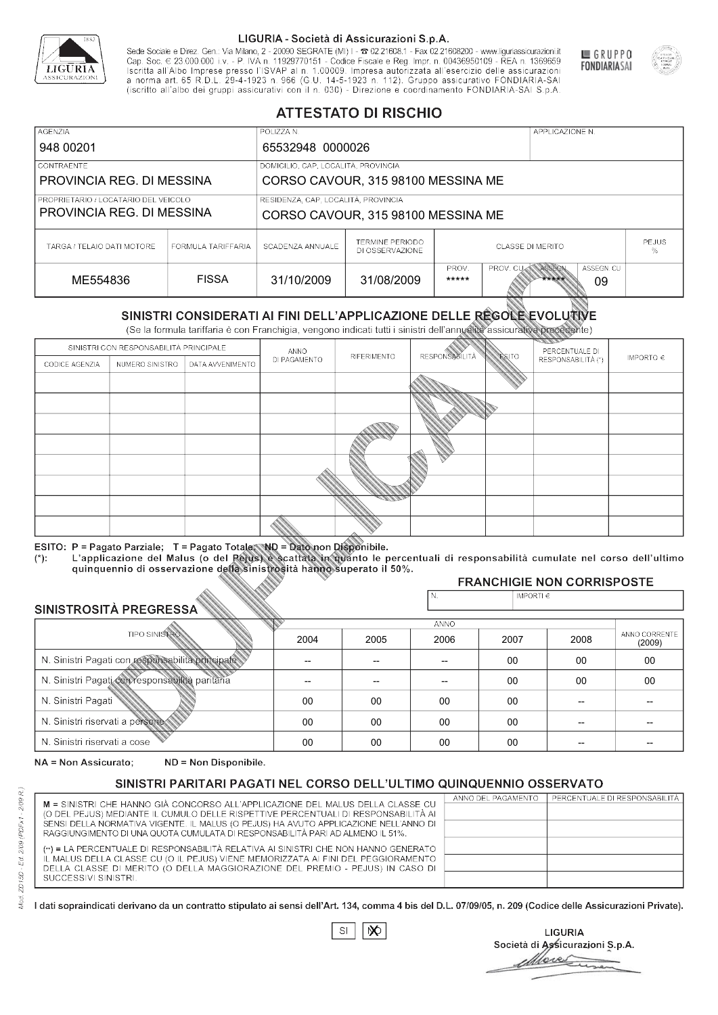

Sede Sociale e Direz. Gen.: Via Milano, 2 - 20090 SEGRATE (MI) I - 2 02.21608.1 - Fax 02.21608200 - www.liguriassicurazioni.it Sede e Direz, Gen. Via Milanto, 2 - 20090 SEGATE (MI) I - 2 UZZIODO. I - FAX UZZIODO2 I - WWW. IIJONENSURIADONILI<br>Cap. Soc. € 23.000.000 i.v. - P. IVA n. 11929770151 - Codice Fiscale e Reg. Impr. n. 00436950109 - REA n. 1



GRUPPO

**FONDIARIASAI** 

# **ATTESTATO DI RISCHIO**

| <b>AGENZIA</b>                                                    |                                                                           | POLIZZA N.       |                                           |                         |                  | APPLICAZIONE N. |                   |  |
|-------------------------------------------------------------------|---------------------------------------------------------------------------|------------------|-------------------------------------------|-------------------------|------------------|-----------------|-------------------|--|
| 948 00201                                                         |                                                                           | 65532948 0000026 |                                           |                         |                  |                 |                   |  |
| LCONTRAENTE.                                                      |                                                                           |                  | DOMICILIO, CAP, LOCALITÀ, PROVINCIA       |                         |                  |                 |                   |  |
| PROVINCIA REG. DI MESSINA                                         |                                                                           |                  | CORSO CAVOUR, 315 98100 MESSINA ME        |                         |                  |                 |                   |  |
| PROPRIETARIO / LOCATARIO DEL VEICOLO<br>PROVINCIA REG. DI MESSINA | RESIDENZA, CAP, LOCALITÀ, PROVINCIA<br>CORSO CAVOUR, 315 98100 MESSINA ME |                  |                                           |                         |                  |                 |                   |  |
| TARGA / TELAIO DATI MOTORE                                        | FORMULA TARIFFARIA                                                        | SCADENZA ANNUALE | <b>TERMINE PERIODO</b><br>DI OSSERVAZIONE | <b>CLASSE DI MERITO</b> |                  |                 | <b>PEJUS</b><br>% |  |
| ME554836                                                          | <b>FISSA</b>                                                              | 31/10/2009       | 31/08/2009                                | PROV.<br>*****          | <b>PROV. CUM</b> | ASSEGN<br>***** | ASSEGN. CU<br>09  |  |

|                                                  |                                        |                                                                                                                                                                                                      |              | DI OSSERVAZIONE |                      |                    |                                     | %                       |
|--------------------------------------------------|----------------------------------------|------------------------------------------------------------------------------------------------------------------------------------------------------------------------------------------------------|--------------|-----------------|----------------------|--------------------|-------------------------------------|-------------------------|
| ME554836                                         |                                        | <b>FISSA</b>                                                                                                                                                                                         | 31/10/2009   | 31/08/2009      | PROV.<br>*****       | PROV. CU           | ASSEGN<br>ASSEGN. CU<br>*****<br>09 |                         |
|                                                  |                                        | SINISTRI CONSIDERATI AI FINI DELL'APPLICAZIONE DELLE RÉGOLE EVOLUTIVE<br>(Se la formula tariffaria è con Franchigia, vengono indicati tutti i sinistri dell'annualità assicurativa precedente)       |              |                 |                      |                    |                                     |                         |
|                                                  | SINISTRI CON RESPONSABILITÀ PRINCIPALE |                                                                                                                                                                                                      | ANNO         |                 |                      |                    | PERCENTUALE DI                      |                         |
| CODICE AGENZIA                                   | NUMERO SINISTRO                        | DATA AVVENIMENTO                                                                                                                                                                                     | DI PAGAMENTO | RIFERIMENTO     | <b>RESPONSABLITA</b> | <b>ESITO</b>       | RESPONSABILITÀ (*)                  | IMPORTO $\in$           |
|                                                  |                                        |                                                                                                                                                                                                      |              |                 |                      |                    |                                     |                         |
|                                                  |                                        |                                                                                                                                                                                                      |              |                 |                      |                    |                                     |                         |
|                                                  |                                        |                                                                                                                                                                                                      |              |                 |                      |                    |                                     |                         |
|                                                  |                                        |                                                                                                                                                                                                      |              |                 |                      |                    |                                     |                         |
|                                                  |                                        |                                                                                                                                                                                                      |              |                 |                      |                    |                                     |                         |
|                                                  |                                        |                                                                                                                                                                                                      |              |                 |                      |                    |                                     |                         |
|                                                  |                                        |                                                                                                                                                                                                      |              |                 |                      |                    |                                     |                         |
|                                                  |                                        |                                                                                                                                                                                                      |              |                 |                      |                    |                                     |                         |
|                                                  |                                        |                                                                                                                                                                                                      |              |                 |                      |                    |                                     |                         |
|                                                  |                                        | ESITO: P = Pagato Parziale; T = Pagato Totale; ND = Dato non Disponibile.                                                                                                                            |              |                 |                      |                    |                                     |                         |
| $(*)$ .                                          |                                        | L'applicazione del Malus (o del Pejus) è scattata in quanto le percentuali di responsabilità cumulate nel corso dell'ultimo<br>quinquennio di osservazione della sinistrosità hanno superato il 50%. |              |                 |                      |                    |                                     |                         |
|                                                  |                                        |                                                                                                                                                                                                      |              |                 |                      |                    | <b>FRANCHIGIE NON CORRISPOSTE</b>   |                         |
|                                                  |                                        |                                                                                                                                                                                                      |              |                 | N.                   | IMPORTI $\epsilon$ |                                     |                         |
| SINISTROSITÀ PREGRESSA                           |                                        |                                                                                                                                                                                                      |              |                 | ANNO                 |                    |                                     |                         |
|                                                  | <b>TIPO SINISTRO</b>                   |                                                                                                                                                                                                      | 2004         | 2005            | 2006                 | 2007               | 2008                                | ANNO CORRENTE<br>(2009) |
| N. Sinistri Pagati con responsabilità principale |                                        |                                                                                                                                                                                                      | --           | --              | $\overline{a}$       | 00                 | 00                                  | $00\,$                  |
| N. Sinistri Pagati con responsabilità paritaria  |                                        |                                                                                                                                                                                                      |              |                 |                      | 00                 | 00                                  | 00                      |
| N. Sinistri Pagati                               |                                        |                                                                                                                                                                                                      | $00\,$       | 00              | 00                   | 00                 | --                                  |                         |
| N. Sinistri riservati a persone                  |                                        |                                                                                                                                                                                                      | 00           | 00              | 00                   | 00                 |                                     |                         |
| N. Sinjetri riconvoti a coco                     |                                        |                                                                                                                                                                                                      | $\cap$       | $\cap$          | $\cap$               | $\sim$             |                                     |                         |

### 2005 -- --  $0<sup>0</sup>$ 00 00 2004 -- --  $0<sup>0</sup>$ 00 00 2006 -- -- 00 00 00 2007 00 00 00 00 00 2008 00 00 -- -- -- 00 00 -- -- -- (2009)

NA = Non Assicurato: ND = Non Disponibile.

# SINISTRI PARITARI PAGATI NEL CORSO DELL'ULTIMO QUINQUENNIO OSSERVATO

|                                                                                      | ANNO DEL PAGAMENTO | PERCENTUALE DI RESPONSABILITÀ |
|--------------------------------------------------------------------------------------|--------------------|-------------------------------|
| M = SINISTRI CHE HANNO GIÀ CONCORSO ALL'APPLICAZIONE DEL MALUS DELLA CLASSE CU       |                    |                               |
| (O DEL PEJUS) MEDIANTE IL CUMULO DELLE RISPETTIVE PERCENTUALI DI RESPONSABILITÀ AI   |                    |                               |
| SENSI DELLA NORMATIVA VIGENTE. IL MALUS (O PEJUS) HA AVUTO APPLICAZIONE NELL'ANNO DI |                    |                               |
| RAGGIUNGIMENTO DI UNA QUOTA CUMULATA DI RESPONSABILITÀ PARI AD ALMENO IL 51%.        |                    |                               |
| (**) = LA PERCENTUALE DI RESPONSABILITÀ RELATIVA AI SINISTRI CHE NON HANNO GENERATO  |                    |                               |
| IL MALUS DELLA CLASSE CU (O IL PEJUS) VIENE MEMORIZZATA AI FINI DEL PEGGIORAMENTO    |                    |                               |
| DELLA CLASSE DI MERITO (O DELLA MAGGIORAZIONE DEL PREMIO - PEJUS) IN CASO DI         |                    |                               |
| SUCCESSIVI SINISTRI.                                                                 |                    |                               |
|                                                                                      |                    |                               |
|                                                                                      |                    |                               |

|--|

**LIGURIA** Società di Assicurazioni S.p.A. Move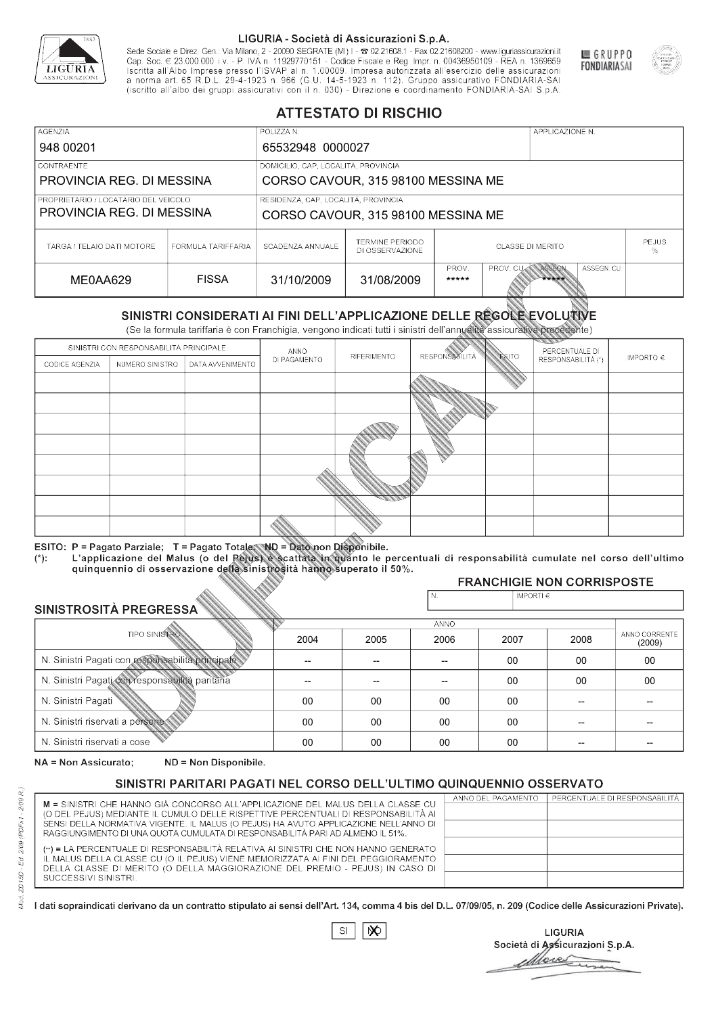

Sede Sociale e Direz. Gen.: Via Milano, 2 - 20090 SEGRATE (MI) I - 2 02.21608.1 - Fax 02.21608200 - www.liguriassicurazioni.it Cap. Soc.  $\in$  23.000.000 i.v. - P. IVA n. 11929770151 - Codice Fiscale e Reg. Impr. n. 00436950109 - REA n. 1369659<br>Iscritta all'Albo Imprese presso l'ISVAP al n. 1.00009. Impresa autorizzata all'esercizio delle assicura d homa art. 65 K.D.L. 29-4-1923 ft. 900 (G.O. 14-5-1923 ft. 112). Gruppo assicurativo PONDIARIA-SAI S.p.A



GRUPPO

**FONDIARIASAI** 

# **ATTESTATO DI RISCHIO**

| <b>AGENZIA</b>             |                                                                             | POLIZZA N.                          |                                           |                                                            |  | APPLICAZIONE N. |  |              |
|----------------------------|-----------------------------------------------------------------------------|-------------------------------------|-------------------------------------------|------------------------------------------------------------|--|-----------------|--|--------------|
| 948 00201                  |                                                                             | 65532948 0000027                    |                                           |                                                            |  |                 |  |              |
| LCONTRAENTE.               |                                                                             | DOMICILIO, CAP, LOCALITÀ, PROVINCIA |                                           |                                                            |  |                 |  |              |
| PROVINCIA REG. DI MESSINA  |                                                                             | CORSO CAVOUR, 315 98100 MESSINA ME  |                                           |                                                            |  |                 |  |              |
|                            | RESIDENZA, CAP, LOCALITÀ, PROVINCIA<br>PROPRIETARIO / LOCATARIO DEL VEICOLO |                                     |                                           |                                                            |  |                 |  |              |
| PROVINCIA REG. DI MESSINA  |                                                                             |                                     | CORSO CAVOUR, 315 98100 MESSINA ME        |                                                            |  |                 |  |              |
| TARGA / TELAIO DATI MOTORE | FORMULA TARIFFARIA                                                          | SCADENZA ANNUALE                    | <b>TERMINE PERIODO</b><br>DI OSSERVAZIONE | <b>CLASSE DI MERITO</b><br>%                               |  |                 |  | <b>PEJUS</b> |
| ME0AA629                   | <b>FISSA</b>                                                                | 31/10/2009                          | 31/08/2009                                | ASSEGN. CU<br>PROV.<br>PROV. CUAN ASSEGN<br>*****<br>***** |  |                 |  |              |

|                                                 |                                        |                                                                                                                                                                                                      |              | DI OSSERVAZIONE |                      |                    |                                   | %                       |
|-------------------------------------------------|----------------------------------------|------------------------------------------------------------------------------------------------------------------------------------------------------------------------------------------------------|--------------|-----------------|----------------------|--------------------|-----------------------------------|-------------------------|
| ME0AA629                                        |                                        | <b>FISSA</b>                                                                                                                                                                                         | 31/10/2009   | 31/08/2009      | PROV.<br>*****       | PROV. CU           | ASSEGN<br>ASSEGN. CU<br>*****     |                         |
|                                                 |                                        | SINISTRI CONSIDERATI AI FINI DELL'APPLICAZIONE DELLE RÉGOLE EVOLUTIVE<br>(Se la formula tariffaria è con Franchigia, vengono indicati tutti i sinistri dell'annualità assicurativa precedente)       |              |                 |                      |                    |                                   |                         |
|                                                 | SINISTRI CON RESPONSABILITÀ PRINCIPALE |                                                                                                                                                                                                      | ANNO         |                 |                      |                    | PERCENTUALE DI                    |                         |
| CODICE AGENZIA                                  | NUMERO SINISTRO                        | DATA AVVENIMENTO                                                                                                                                                                                     | DI PAGAMENTO | RIFERIMENTO     | <b>RESPONSABLITA</b> | <b>ESITO</b>       | RESPONSABILITÀ (*)                | IMPORTO $\in$           |
|                                                 |                                        |                                                                                                                                                                                                      |              |                 |                      |                    |                                   |                         |
|                                                 |                                        |                                                                                                                                                                                                      |              |                 |                      |                    |                                   |                         |
|                                                 |                                        |                                                                                                                                                                                                      |              |                 |                      |                    |                                   |                         |
|                                                 |                                        |                                                                                                                                                                                                      |              |                 |                      |                    |                                   |                         |
|                                                 |                                        |                                                                                                                                                                                                      |              |                 |                      |                    |                                   |                         |
|                                                 |                                        |                                                                                                                                                                                                      |              |                 |                      |                    |                                   |                         |
|                                                 |                                        |                                                                                                                                                                                                      |              |                 |                      |                    |                                   |                         |
|                                                 |                                        |                                                                                                                                                                                                      |              |                 |                      |                    |                                   |                         |
|                                                 |                                        |                                                                                                                                                                                                      |              |                 |                      |                    |                                   |                         |
|                                                 |                                        | ESITO: P = Pagato Parziale; T = Pagato Totale; ND = Dato non Disponibile.                                                                                                                            |              |                 |                      |                    |                                   |                         |
| $(*)$ .                                         |                                        | L'applicazione del Malus (o del Pejus) è scattata in quanto le percentuali di responsabilità cumulate nel corso dell'ultimo<br>quinquennio di osservazione della sinistrosità hanno superato il 50%. |              |                 |                      |                    |                                   |                         |
|                                                 |                                        |                                                                                                                                                                                                      |              |                 |                      |                    | <b>FRANCHIGIE NON CORRISPOSTE</b> |                         |
| SINISTROSITÀ PREGRESSA                          |                                        |                                                                                                                                                                                                      |              |                 | N.                   | IMPORTI $\epsilon$ |                                   |                         |
|                                                 |                                        |                                                                                                                                                                                                      |              |                 | <b>ANNO</b>          |                    |                                   |                         |
|                                                 | <b>TIPO SINISTRO</b>                   |                                                                                                                                                                                                      | 2004         | 2005            | 2006                 | 2007               | 2008                              | ANNO CORRENTE<br>(2009) |
|                                                 |                                        | N. Sinistri Pagati con responsabilità principale                                                                                                                                                     | --           | --              | $\overline{a}$       | 00                 | 00                                | $00\,$                  |
| N. Sinistri Pagati con responsabilità paritaria |                                        |                                                                                                                                                                                                      |              |                 |                      | 00                 | 00                                | 00                      |
| N. Sinistri Pagati                              |                                        |                                                                                                                                                                                                      | $00\,$       | 00              | 00                   | 00                 | --                                |                         |
| N. Sinistri riservati a persone                 |                                        |                                                                                                                                                                                                      | 00           | 00              | 00                   | 00                 |                                   |                         |
| N. Sinjetri riconvoti a coco                    |                                        |                                                                                                                                                                                                      | $\cap$       | $\cap$          | $\cap$               | $\sim$             |                                   |                         |

### 2005 -- --  $0<sup>0</sup>$ 00 00 2004 -- --  $0<sup>0</sup>$ 00 00 2006 -- -- 00 00 00 2007 00 00 00 00 00 2008 00 00 -- -- -- 00 00 -- -- -- (2009)

NA = Non Assicurato: ND = Non Disponibile.

# SINISTRI PARITARI PAGATI NEL CORSO DELL'ULTIMO QUINQUENNIO OSSERVATO

| M = SINISTRI CHE HANNO GIÀ CONCORSO ALL'APPLICAZIONE DEL MALUS DELLA CLASSE CU       | ANNO DEL PAGAMENTO | PERCENTUALE DI RESPONSABILITÀ |
|--------------------------------------------------------------------------------------|--------------------|-------------------------------|
| (O DEL PEJUS) MEDIANTE IL CUMULO DELLE RISPETTIVE PERCENTUALI DI RESPONSABILITÀ AI   |                    |                               |
| SENSI DELLA NORMATIVA VIGENTE. IL MALUS (O PEJUS) HA AVUTO APPLICAZIONE NELL'ANNO DI |                    |                               |
| RAGGIUNGIMENTO DI UNA QUOTA CUMULATA DI RESPONSABILITÀ PARI AD ALMENO IL 51%.        |                    |                               |
| (**) = LA PERCENTUALE DI RESPONSABILITÀ RELATIVA AI SINISTRI CHE NON HANNO GENERATO  |                    |                               |
| IL MALUS DELLA CLASSE CU (O IL PEJUS) VIENE MEMORIZZATA AI FINI DEL PEGGIORAMENTO    |                    |                               |
| DELLA CLASSE DI MERITO (O DELLA MAGGIORAZIONE DEL PREMIO - PEJUS) IN CASO DI         |                    |                               |
| SUCCESSIVI SINISTRI.                                                                 |                    |                               |
|                                                                                      |                    |                               |

 $\mathbb{S}\mathsf{I}$  $\infty$ 

**LIGURIA** Società di Assicurazioni S.p.A. Move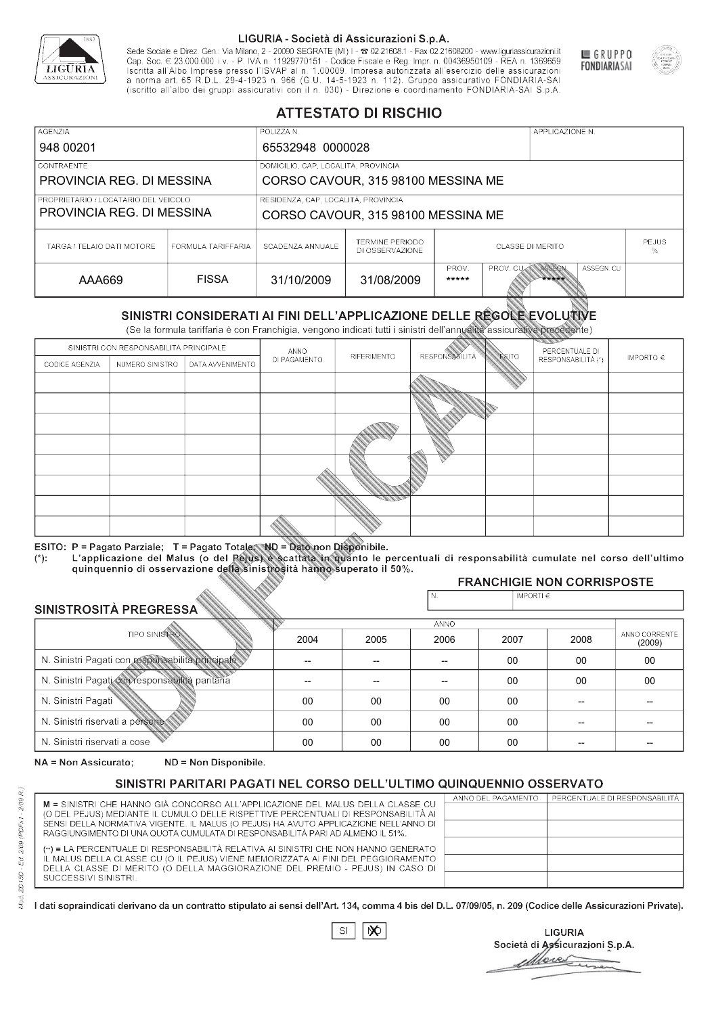

Sede Sociale e Direz. Gen.: Via Milano, 2 - 20090 SEGRATE (MI) I - 2 02.21608.1 - Fax 02.21608200 - www.liguriassicurazioni.it Cap. Soc.  $\in$  23.000.000 i.v. - P. IVA n. 11929770151 - Codice Fiscale e Reg. Impr. n. 00436950109 - REA n. 1369659<br>Iscritta all'Albo Imprese presso l'ISVAP al n. 1.00009. Impresa autorizzata all'esercizio delle assicura d homa art. 65 K.D.L. 29-4-1923 ft. 900 (G.O. 14-5-1923 ft. 112). Gruppo assicurativo PONDIARIA-SAI S.p.A



GRUPPO

**FONDIARIASAI** 

# **ATTESTATO DI RISCHIO**

| <b>AGENZIA</b>             |                                                                                                                                                | POLIZZA N.                          |                                           |                                                            |  | APPLICAZIONE N. |  |                   |
|----------------------------|------------------------------------------------------------------------------------------------------------------------------------------------|-------------------------------------|-------------------------------------------|------------------------------------------------------------|--|-----------------|--|-------------------|
| 948 00201                  |                                                                                                                                                | 65532948 0000028                    |                                           |                                                            |  |                 |  |                   |
| LCONTRAENTE.               |                                                                                                                                                | DOMICILIO, CAP, LOCALITÀ, PROVINCIA |                                           |                                                            |  |                 |  |                   |
| PROVINCIA REG. DI MESSINA  |                                                                                                                                                | CORSO CAVOUR, 315 98100 MESSINA ME  |                                           |                                                            |  |                 |  |                   |
|                            | RESIDENZA, CAP, LOCALITÀ, PROVINCIA<br>PROPRIETARIO / LOCATARIO DEL VEICOLO<br>PROVINCIA REG. DI MESSINA<br>CORSO CAVOUR, 315 98100 MESSINA ME |                                     |                                           |                                                            |  |                 |  |                   |
|                            |                                                                                                                                                |                                     |                                           |                                                            |  |                 |  |                   |
| TARGA / TELAIO DATI MOTORE | FORMULA TARIFFARIA                                                                                                                             | SCADENZA ANNUALE                    | <b>TERMINE PERIODO</b><br>DI OSSERVAZIONE | <b>CLASSE DI MERITO</b>                                    |  |                 |  | <b>PEJUS</b><br>% |
| AAA669                     | <b>FISSA</b>                                                                                                                                   | 31/10/2009                          | 31/08/2009                                | ASSEGN. CU<br>PROV.<br>PROV. CUAN ASSEGN<br>*****<br>***** |  |                 |  |                   |

|                                                 |                                        |                                                                                                                                                                                                      |              | DI OSSERVAZIONE |                       |                    |                                   | %                       |
|-------------------------------------------------|----------------------------------------|------------------------------------------------------------------------------------------------------------------------------------------------------------------------------------------------------|--------------|-----------------|-----------------------|--------------------|-----------------------------------|-------------------------|
| AAA669                                          |                                        | <b>FISSA</b>                                                                                                                                                                                         | 31/10/2009   | 31/08/2009      | PROV.<br>*****        | PROV. CU           | ASSEGN<br>ASSEGN. CU<br>*****     |                         |
|                                                 |                                        | SINISTRI CONSIDERATI AI FINI DELL'APPLICAZIONE DELLE RÉGOLE EVOLUTIVE<br>(Se la formula tariffaria è con Franchigia, vengono indicati tutti i sinistri dell'annualità assicurativa precedente)       |              |                 |                       |                    |                                   |                         |
|                                                 | SINISTRI CON RESPONSABILITÀ PRINCIPALE |                                                                                                                                                                                                      | ANNO         |                 |                       |                    | PERCENTUALE DI                    |                         |
| CODICE AGENZIA                                  | NUMERO SINISTRO                        | DATA AVVENIMENTO                                                                                                                                                                                     | DI PAGAMENTO | RIFERIMENTO     | <b>RESPONSABILITÀ</b> | <b>ESITO</b>       | RESPONSABILITÀ (*)                | IMPORTO $\in$           |
|                                                 |                                        |                                                                                                                                                                                                      |              |                 |                       |                    |                                   |                         |
|                                                 |                                        |                                                                                                                                                                                                      |              |                 |                       |                    |                                   |                         |
|                                                 |                                        |                                                                                                                                                                                                      |              |                 |                       |                    |                                   |                         |
|                                                 |                                        |                                                                                                                                                                                                      |              |                 |                       |                    |                                   |                         |
|                                                 |                                        |                                                                                                                                                                                                      |              |                 |                       |                    |                                   |                         |
|                                                 |                                        |                                                                                                                                                                                                      |              |                 |                       |                    |                                   |                         |
|                                                 |                                        |                                                                                                                                                                                                      |              |                 |                       |                    |                                   |                         |
|                                                 |                                        |                                                                                                                                                                                                      |              |                 |                       |                    |                                   |                         |
|                                                 |                                        |                                                                                                                                                                                                      |              |                 |                       |                    |                                   |                         |
|                                                 |                                        | ESITO: P = Pagato Parziale; T = Pagato Totale; ND = Dato non Disponibile.                                                                                                                            |              |                 |                       |                    |                                   |                         |
| $(*)$ .                                         |                                        | L'applicazione del Malus (o del Pejus) è scattata in quanto le percentuali di responsabilità cumulate nel corso dell'ultimo<br>quinquennio di osservazione della sinistrosità hanno superato il 50%. |              |                 |                       |                    |                                   |                         |
|                                                 |                                        |                                                                                                                                                                                                      |              |                 |                       |                    | <b>FRANCHIGIE NON CORRISPOSTE</b> |                         |
| SINISTROSITÀ PREGRESSA                          |                                        |                                                                                                                                                                                                      |              |                 | N.                    | IMPORTI $\epsilon$ |                                   |                         |
|                                                 |                                        |                                                                                                                                                                                                      |              |                 | <b>ANNO</b>           |                    |                                   |                         |
|                                                 | <b>TIPO SINISTRO</b>                   |                                                                                                                                                                                                      | 2004         | 2005            | 2006                  | 2007               | 2008                              | ANNO CORRENTE<br>(2009) |
|                                                 |                                        | N. Sinistri Pagati con responsabilità principale                                                                                                                                                     | --           | --              | $\overline{a}$        | 00                 | 00                                | $00\,$                  |
| N. Sinistri Pagati con responsabilità paritaria |                                        |                                                                                                                                                                                                      |              |                 |                       | 00                 | 00                                | 00                      |
| N. Sinistri Pagati                              |                                        |                                                                                                                                                                                                      | $00\,$       | 00              | 00                    | 00                 | --                                |                         |
| N. Sinistri riservati a persone                 |                                        |                                                                                                                                                                                                      | 00           | 00              | 00                    | 00                 |                                   |                         |
| N. Sinjetri riconvoti a coco                    |                                        |                                                                                                                                                                                                      | $\cap$       | $\cap$          | $\cap$                | $\sim$             |                                   |                         |

### 2005 -- --  $0<sup>0</sup>$ 00 00 2004 -- --  $0<sup>0</sup>$ 00 00 2006 -- -- 00 00 00 2007 00 00 00 00 00 2008 00 00 -- -- -- 00 00 -- -- -- (2009)

NA = Non Assicurato: ND = Non Disponibile.

# SINISTRI PARITARI PAGATI NEL CORSO DELL'ULTIMO QUINQUENNIO OSSERVATO

|                                                                                      | ANNO DEL PAGAMENTO | PERCENTUALE DI RESPONSABILITÀ |
|--------------------------------------------------------------------------------------|--------------------|-------------------------------|
| M = SINISTRI CHE HANNO GIÀ CONCORSO ALL'APPLICAZIONE DEL MALUS DELLA CLASSE CU       |                    |                               |
| (O DEL PEJUS) MEDIANTE IL CUMULO DELLE RISPETTIVE PERCENTUALI DI RESPONSABILITÀ AI   |                    |                               |
| SENSI DELLA NORMATIVA VIGENTE. IL MALUS (O PEJUS) HA AVUTO APPLICAZIONE NELL'ANNO DI |                    |                               |
| RAGGIUNGIMENTO DI UNA QUOTA CUMULATA DI RESPONSABILITÀ PARI AD ALMENO IL 51%.        |                    |                               |
|                                                                                      |                    |                               |
| (**) = LA PERCENTUALE DI RESPONSABILITÀ RELATIVA AI SINISTRI CHE NON HANNO GENERATO  |                    |                               |
| IL MALUS DELLA CLASSE CU (O IL PEJUS) VIENE MEMORIZZATA AI FINI DEL PEGGIORAMENTO    |                    |                               |
| DELLA CLASSE DI MERITO (O DELLA MAGGIORAZIONE DEL PREMIO - PEJUS) IN CASO DI         |                    |                               |
| SUCCESSIVI SINISTRI.                                                                 |                    |                               |
|                                                                                      |                    |                               |
|                                                                                      |                    |                               |

 $\mathbb{S}\mathsf{I}$  $\infty$ 

**LIGURIA** Società di Assicurazioni S.p.A. Move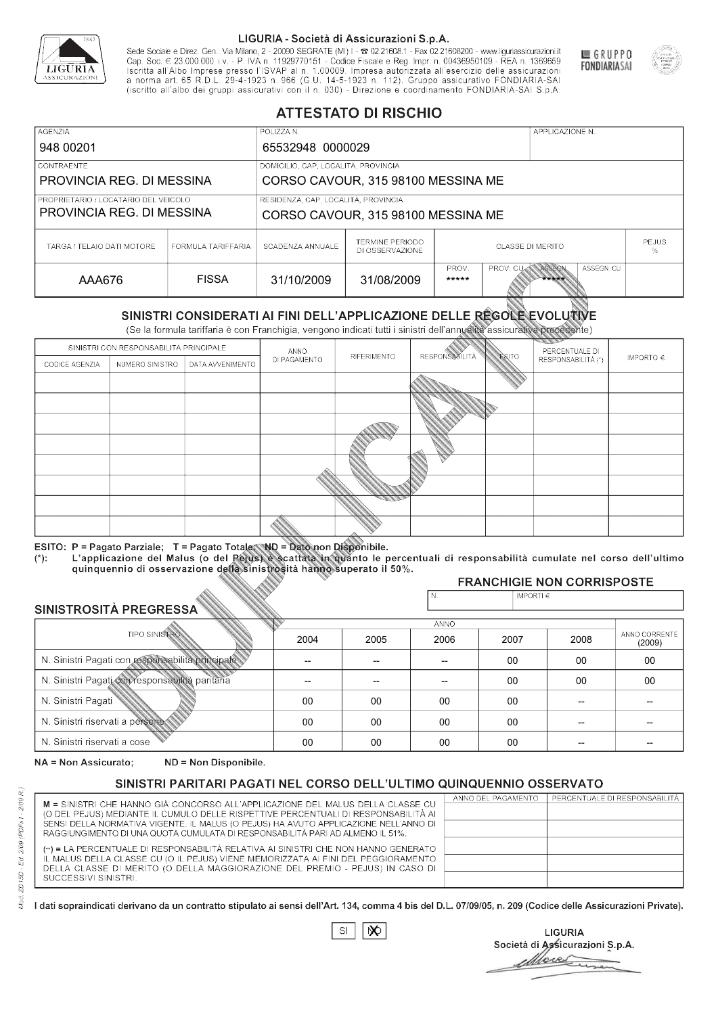

Sede Sociale e Direz. Gen.: Via Milano, 2 - 20090 SEGRATE (MI) I - 2 02.21608.1 - Fax 02.21608200 - www.liguriassicurazioni.it Sede e Direz, Gen. Via Milanto, 2 - 20090 SEGATE (MI) I - 2 UZZIODO. I - FAX UZZIODO2 I - WWW. IIJONENSURIADONILI<br>Cap. Soc. € 23.000.000 i.v. - P. IVA n. 11929770151 - Codice Fiscale e Reg. Impr. n. 00436950109 - REA n. 1



GRUPPO

**FONDIARIASAI** 

# **ATTESTATO DI RISCHIO**

| <b>AGENZIA</b>                                                    |                    | POLIZZA N.                                                                |                                                                      |                                                            |  | APPLICAZIONE N. |                   |  |
|-------------------------------------------------------------------|--------------------|---------------------------------------------------------------------------|----------------------------------------------------------------------|------------------------------------------------------------|--|-----------------|-------------------|--|
| 948 00201                                                         |                    | 65532948 0000029                                                          |                                                                      |                                                            |  |                 |                   |  |
| LCONTRAENTE.                                                      |                    | DOMICILIO, CAP, LOCALITÀ, PROVINCIA                                       |                                                                      |                                                            |  |                 |                   |  |
| PROVINCIA REG. DI MESSINA                                         |                    | CORSO CAVOUR, 315 98100 MESSINA ME                                        |                                                                      |                                                            |  |                 |                   |  |
| PROPRIETARIO / LOCATARIO DEL VEICOLO<br>PROVINCIA REG. DI MESSINA |                    | RESIDENZA, CAP, LOCALITÀ, PROVINCIA<br>CORSO CAVOUR, 315 98100 MESSINA ME |                                                                      |                                                            |  |                 |                   |  |
| TARGA / TELAIO DATI MOTORE                                        | FORMULA TARIFFARIA | SCADENZA ANNUALE                                                          | <b>TERMINE PERIODO</b><br><b>CLASSE DI MERITO</b><br>DI OSSERVAZIONE |                                                            |  |                 | <b>PEJUS</b><br>% |  |
| AAA676                                                            | <b>FISSA</b>       | 31/10/2009                                                                | 31/08/2009                                                           | ASSEGN. CU<br>PROV.<br>PROV. CUAN ASSEGN<br>*****<br>***** |  |                 |                   |  |

|                                                 |                                        |                                                                                                                                                                                                      |              | DI OSSERVAZIONE |                       |                    |                                   | %                       |
|-------------------------------------------------|----------------------------------------|------------------------------------------------------------------------------------------------------------------------------------------------------------------------------------------------------|--------------|-----------------|-----------------------|--------------------|-----------------------------------|-------------------------|
| AAA676                                          |                                        | <b>FISSA</b>                                                                                                                                                                                         | 31/10/2009   | 31/08/2009      | PROV.<br>*****        | PROV. CU           | ASSEGN<br>ASSEGN. CU<br>*****     |                         |
|                                                 |                                        | SINISTRI CONSIDERATI AI FINI DELL'APPLICAZIONE DELLE RÉGOLE EVOLUTIVE<br>(Se la formula tariffaria è con Franchigia, vengono indicati tutti i sinistri dell'annualità assicurativa precedente)       |              |                 |                       |                    |                                   |                         |
|                                                 | SINISTRI CON RESPONSABILITÀ PRINCIPALE |                                                                                                                                                                                                      | ANNO         |                 |                       |                    | PERCENTUALE DI                    |                         |
| CODICE AGENZIA                                  | NUMERO SINISTRO                        | DATA AVVENIMENTO                                                                                                                                                                                     | DI PAGAMENTO | RIFERIMENTO     | <b>RESPONSABILITÀ</b> | <b>ESITO</b>       | RESPONSABILITÀ (*)                | IMPORTO $\in$           |
|                                                 |                                        |                                                                                                                                                                                                      |              |                 |                       |                    |                                   |                         |
|                                                 |                                        |                                                                                                                                                                                                      |              |                 |                       |                    |                                   |                         |
|                                                 |                                        |                                                                                                                                                                                                      |              |                 |                       |                    |                                   |                         |
|                                                 |                                        |                                                                                                                                                                                                      |              |                 |                       |                    |                                   |                         |
|                                                 |                                        |                                                                                                                                                                                                      |              |                 |                       |                    |                                   |                         |
|                                                 |                                        |                                                                                                                                                                                                      |              |                 |                       |                    |                                   |                         |
|                                                 |                                        |                                                                                                                                                                                                      |              |                 |                       |                    |                                   |                         |
|                                                 |                                        |                                                                                                                                                                                                      |              |                 |                       |                    |                                   |                         |
|                                                 |                                        |                                                                                                                                                                                                      |              |                 |                       |                    |                                   |                         |
|                                                 |                                        | ESITO: P = Pagato Parziale; T = Pagato Totale; ND = Dato non Disponibile.                                                                                                                            |              |                 |                       |                    |                                   |                         |
| $(*)$ .                                         |                                        | L'applicazione del Malus (o del Pejus) è scattata in quanto le percentuali di responsabilità cumulate nel corso dell'ultimo<br>quinquennio di osservazione della sinistrosità hanno superato il 50%. |              |                 |                       |                    |                                   |                         |
|                                                 |                                        |                                                                                                                                                                                                      |              |                 |                       |                    | <b>FRANCHIGIE NON CORRISPOSTE</b> |                         |
| SINISTROSITÀ PREGRESSA                          |                                        |                                                                                                                                                                                                      |              |                 | N.                    | IMPORTI $\epsilon$ |                                   |                         |
|                                                 |                                        |                                                                                                                                                                                                      |              |                 | <b>ANNO</b>           |                    |                                   |                         |
|                                                 | <b>TIPO SINISTRO</b>                   |                                                                                                                                                                                                      | 2004         | 2005            | 2006                  | 2007               | 2008                              | ANNO CORRENTE<br>(2009) |
|                                                 |                                        | N. Sinistri Pagati con responsabilità principale                                                                                                                                                     | --           | --              | $\overline{a}$        | 00                 | 00                                | $00\,$                  |
| N. Sinistri Pagati con responsabilità paritaria |                                        |                                                                                                                                                                                                      |              |                 |                       | 00                 | 00                                | 00                      |
| N. Sinistri Pagati                              |                                        |                                                                                                                                                                                                      | $00\,$       | 00              | 00                    | 00                 | --                                |                         |
| N. Sinistri riservati a persone                 |                                        |                                                                                                                                                                                                      | 00           | 00              | 00                    | 00                 |                                   |                         |
| N. Sinjetri riconvoti a coco                    |                                        |                                                                                                                                                                                                      | $\cap$       | $\cap$          | $\cap$                | $\sim$             |                                   |                         |

| SINISTROSITÀ PREGRESSA                           |      |      | N.   | IMPORTI $\in$ |      |                         |  |  |
|--------------------------------------------------|------|------|------|---------------|------|-------------------------|--|--|
| <b>ANNO</b>                                      |      |      |      |               |      |                         |  |  |
| <b>TIPO SINISTRO</b>                             | 2004 | 2005 | 2006 | 2007          | 2008 | ANNO CORRENTE<br>(2009) |  |  |
| N. Sinistri Pagati con responsabilità principale |      |      |      | 00            | 00   | 00                      |  |  |
| N. Sinistri Pagati con responsabilità paritaria  |      |      |      | 00            | 00   | 00                      |  |  |
| N. Sinistri Pagati                               | 00   | 00   | 00   | 00            |      |                         |  |  |
| N. Sinistri riservati a persone                  | 00   | 00   | 00   | 00            |      |                         |  |  |
| N. Sinistri riservati a cose                     | 00   | 00   | 00   | 00            |      |                         |  |  |

NA = Non Assicurato: ND = Non Disponibile.

# SINISTRI PARITARI PAGATI NEL CORSO DELL'ULTIMO QUINQUENNIO OSSERVATO

|                                                                                      | ANNO DEL PAGAMENTO | PERCENTUALE DI RESPONSABILITÀ |
|--------------------------------------------------------------------------------------|--------------------|-------------------------------|
| M = SINISTRI CHE HANNO GIÀ CONCORSO ALL'APPLICAZIONE DEL MALUS DELLA CLASSE CU       |                    |                               |
| (O DEL PEJUS) MEDIANTE IL CUMULO DELLE RISPETTIVE PERCENTUALI DI RESPONSABILITÀ AI   |                    |                               |
| SENSI DELLA NORMATIVA VIGENTE. IL MALUS (O PEJUS) HA AVUTO APPLICAZIONE NELL'ANNO DI |                    |                               |
| RAGGIUNGIMENTO DI UNA QUOTA CUMULATA DI RESPONSABILITÀ PARI AD ALMENO IL 51%.        |                    |                               |
| (**) = LA PERCENTUALE DI RESPONSABILITÀ RELATIVA AI SINISTRI CHE NON HANNO GENERATO  |                    |                               |
| IL MALUS DELLA CLASSE CU (O IL PEJUS) VIENE MEMORIZZATA AI FINI DEL PEGGIORAMENTO    |                    |                               |
| DELLA CLASSE DI MERITO (O DELLA MAGGIORAZIONE DEL PREMIO - PEJUS) IN CASO DI         |                    |                               |
| SUCCESSIVI SINISTRI.                                                                 |                    |                               |
|                                                                                      |                    |                               |
|                                                                                      |                    |                               |

 $SI$  $\infty$ 

**LIGURIA** Società di Assicurazioni S.p.A. More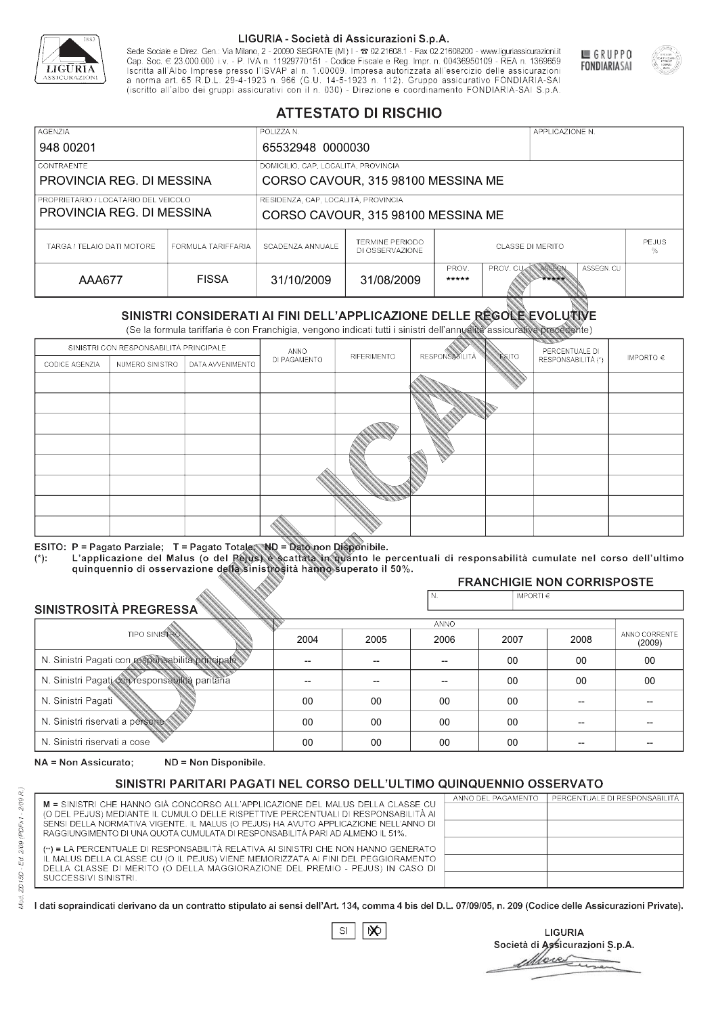

Sede Sociale e Direz. Gen.: Via Milano, 2 - 20090 SEGRATE (MI) I - 2 02.21608.1 - Fax 02.21608200 - www.liguriassicurazioni.it Cap. Soc.  $\in$  23.000.000 i.v. - P. IVA n. 11929770151 - Codice Fiscale e Reg. Impr. n. 00436950109 - REA n. 1369659<br>Iscritta all'Albo Imprese presso l'ISVAP al n. 1.00009. Impresa autorizzata all'esercizio delle assicura d homa art. 65 K.D.L. 29-4-1923 ft. 900 (G.O. 14-5-1923 ft. 112). Gruppo assicurativo PONDIARIA-SAI S.p.A



GRUPPO

**FONDIARIASAI** 

# **ATTESTATO DI RISCHIO**

| <b>AGENZIA</b>                                                    |                    | POLIZZA N.                          |                                           |                                                            |  | APPLICAZIONE N. |  |                   |
|-------------------------------------------------------------------|--------------------|-------------------------------------|-------------------------------------------|------------------------------------------------------------|--|-----------------|--|-------------------|
| 948 00201                                                         |                    | 65532948 0000030                    |                                           |                                                            |  |                 |  |                   |
| LCONTRAENTE.                                                      |                    | DOMICILIO, CAP, LOCALITÀ, PROVINCIA |                                           |                                                            |  |                 |  |                   |
| PROVINCIA REG. DI MESSINA<br>CORSO CAVOUR, 315 98100 MESSINA ME   |                    |                                     |                                           |                                                            |  |                 |  |                   |
| PROPRIETARIO / LOCATARIO DEL VEICOLO<br>PROVINCIA REG. DI MESSINA |                    | RESIDENZA, CAP, LOCALITÀ, PROVINCIA |                                           |                                                            |  |                 |  |                   |
|                                                                   |                    | CORSO CAVOUR, 315 98100 MESSINA ME  |                                           |                                                            |  |                 |  |                   |
| TARGA / TELAIO DATI MOTORE                                        | FORMULA TARIFFARIA | SCADENZA ANNUALE                    | <b>TERMINE PERIODO</b><br>DI OSSERVAZIONE | <b>CLASSE DI MERITO</b>                                    |  |                 |  | <b>PEJUS</b><br>% |
| AAA677                                                            | <b>FISSA</b>       | 31/10/2009                          | 31/08/2009                                | ASSEGN. CU<br>PROV.<br>PROV. CUAN ASSEGN<br>*****<br>***** |  |                 |  |                   |

|                                                 |                                        |                                                                                                                                                                                                      |              | DI OSSERVAZIONE |                       |                    |                                   | %                       |  |
|-------------------------------------------------|----------------------------------------|------------------------------------------------------------------------------------------------------------------------------------------------------------------------------------------------------|--------------|-----------------|-----------------------|--------------------|-----------------------------------|-------------------------|--|
| <b>AAA677</b>                                   |                                        | <b>FISSA</b>                                                                                                                                                                                         | 31/10/2009   | 31/08/2009      | PROV.<br>*****        | PROV. CU           | ASSEGN<br>ASSEGN. CU<br>*****     |                         |  |
|                                                 |                                        | SINISTRI CONSIDERATI AI FINI DELL'APPLICAZIONE DELLE RÉGOLE EVOLUTIVE<br>(Se la formula tariffaria è con Franchigia, vengono indicati tutti i sinistri dell'annualità assicurativa precedente)       |              |                 |                       |                    |                                   |                         |  |
|                                                 | SINISTRI CON RESPONSABILITÀ PRINCIPALE |                                                                                                                                                                                                      | ANNO         |                 |                       | PERCENTUALE DI     |                                   |                         |  |
| CODICE AGENZIA                                  | NUMERO SINISTRO<br>DATA AVVENIMENTO    |                                                                                                                                                                                                      | DI PAGAMENTO | RIFERIMENTO     | <b>RESPONSABILITÀ</b> | <b>ESITO</b>       | RESPONSABILITÀ (*)                | IMPORTO $\in$           |  |
|                                                 |                                        |                                                                                                                                                                                                      |              |                 |                       |                    |                                   |                         |  |
|                                                 |                                        |                                                                                                                                                                                                      |              |                 |                       |                    |                                   |                         |  |
|                                                 |                                        |                                                                                                                                                                                                      |              |                 |                       |                    |                                   |                         |  |
|                                                 |                                        |                                                                                                                                                                                                      |              |                 |                       |                    |                                   |                         |  |
|                                                 |                                        |                                                                                                                                                                                                      |              |                 |                       |                    |                                   |                         |  |
|                                                 |                                        |                                                                                                                                                                                                      |              |                 |                       |                    |                                   |                         |  |
|                                                 |                                        |                                                                                                                                                                                                      |              |                 |                       |                    |                                   |                         |  |
|                                                 |                                        |                                                                                                                                                                                                      |              |                 |                       |                    |                                   |                         |  |
|                                                 |                                        |                                                                                                                                                                                                      |              |                 |                       |                    |                                   |                         |  |
|                                                 |                                        | ESITO: P = Pagato Parziale; T = Pagato Totale; ND = Dato non Disponibile.                                                                                                                            |              |                 |                       |                    |                                   |                         |  |
| $(*)$ .                                         |                                        | L'applicazione del Malus (o del Pejus) è scattata in quanto le percentuali di responsabilità cumulate nel corso dell'ultimo<br>quinquennio di osservazione della sinistrosità hanno superato il 50%. |              |                 |                       |                    |                                   |                         |  |
|                                                 |                                        |                                                                                                                                                                                                      |              |                 |                       |                    | <b>FRANCHIGIE NON CORRISPOSTE</b> |                         |  |
| SINISTROSITÀ PREGRESSA                          |                                        |                                                                                                                                                                                                      |              |                 | N.                    | IMPORTI $\epsilon$ |                                   |                         |  |
|                                                 |                                        |                                                                                                                                                                                                      |              |                 | <b>ANNO</b>           |                    |                                   |                         |  |
|                                                 | <b>TIPO SINISTRO</b>                   |                                                                                                                                                                                                      | 2004         | 2005            | 2006                  | 2007               | 2008                              | ANNO CORRENTE<br>(2009) |  |
|                                                 |                                        | N. Sinistri Pagati con responsabilità principale                                                                                                                                                     | --           | --              | $\overline{a}$        | 00                 | 00                                | $00\,$                  |  |
| N. Sinistri Pagati con responsabilità paritaria |                                        |                                                                                                                                                                                                      |              |                 |                       | 00                 | 00                                | 00                      |  |
| N. Sinistri Pagati                              |                                        |                                                                                                                                                                                                      | $00\,$       | 00              | 00                    | 00                 | --                                |                         |  |
| N. Sinistri riservati a persone                 |                                        |                                                                                                                                                                                                      | 00           | 00              | 00                    | 00                 |                                   |                         |  |
| N. Sinjetri riconvoti a coco                    |                                        |                                                                                                                                                                                                      | $\cap$       | $\cap$          | $\cap$                | $\sim$             |                                   |                         |  |

### 2005 -- --  $0<sup>0</sup>$ 00 00 2004 -- --  $0<sup>0</sup>$ 00 00 2006 -- -- 00 00 00 2007 00 00 00 00 00 2008 00 00 -- -- -- 00 00 -- -- -- (2009)

NA = Non Assicurato: ND = Non Disponibile.

# SINISTRI PARITARI PAGATI NEL CORSO DELL'ULTIMO QUINQUENNIO OSSERVATO

|                                                                                      | ANNO DEL PAGAMENTO | PERCENTUALE DI RESPONSABILITÀ |
|--------------------------------------------------------------------------------------|--------------------|-------------------------------|
| M = SINISTRI CHE HANNO GIÀ CONCORSO ALL'APPLICAZIONE DEL MALUS DELLA CLASSE CU       |                    |                               |
| (O DEL PEJUS) MEDIANTE IL CUMULO DELLE RISPETTIVE PERCENTUALI DI RESPONSABILITÀ AI   |                    |                               |
| SENSI DELLA NORMATIVA VIGENTE. IL MALUS (O PEJUS) HA AVUTO APPLICAZIONE NELL'ANNO DI |                    |                               |
| RAGGIUNGIMENTO DI UNA QUOTA CUMULATA DI RESPONSABILITÀ PARI AD ALMENO IL 51%.        |                    |                               |
|                                                                                      |                    |                               |
| (**) = LA PERCENTUALE DI RESPONSABILITÀ RELATIVA AI SINISTRI CHE NON HANNO GENERATO  |                    |                               |
| IL MALUS DELLA CLASSE CU (O IL PEJUS) VIENE MEMORIZZATA AI FINI DEL PEGGIORAMENTO    |                    |                               |
| DELLA CLASSE DI MERITO (O DELLA MAGGIORAZIONE DEL PREMIO - PEJUS) IN CASO DI         |                    |                               |
| SUCCESSIVI SINISTRI.                                                                 |                    |                               |
|                                                                                      |                    |                               |

 $\mathbb{S}\mathsf{I}$  $\infty$ 

**LIGURIA** Società di Assicurazioni S.p.A. Move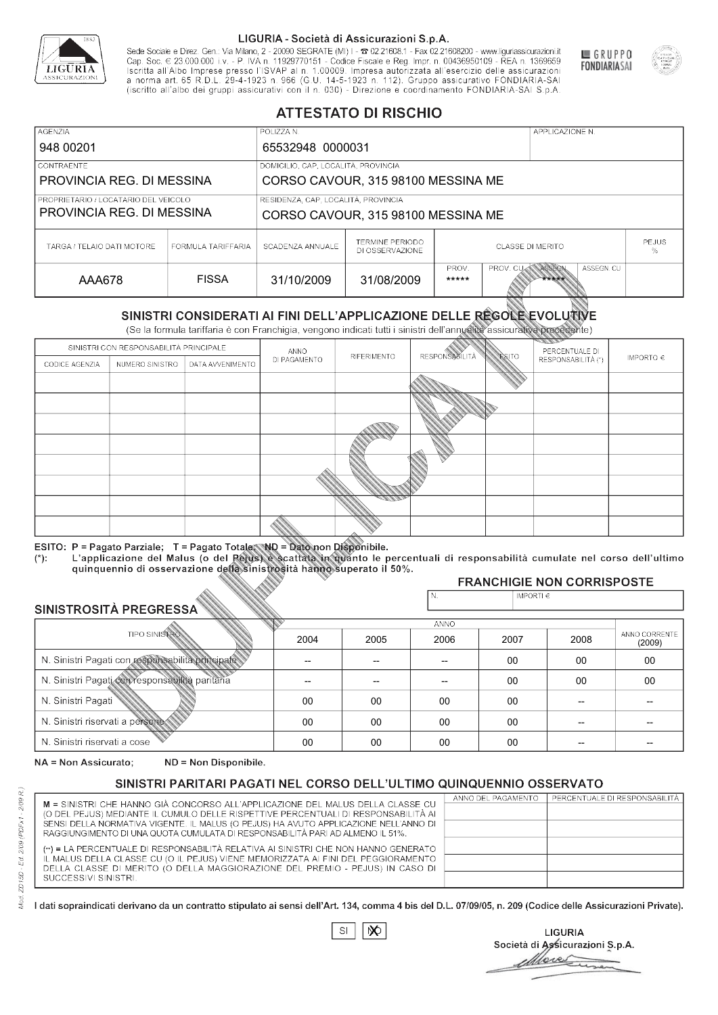

Sede Sociale e Direz. Gen.: Via Milano, 2 - 20090 SEGRATE (MI) I - 2 02.21608.1 - Fax 02.21608200 - www.liguriassicurazioni.it Sede e Direz, Gen. Via Milanto, 2 - 20090 SEGATE (MI) I - 2 UZZIODO. I - FAX UZZIODO2 I - WWW. IIJONENSURIADONILI<br>Cap. Soc. € 23.000.000 i.v. - P. IVA n. 11929770151 - Codice Fiscale e Reg. Impr. n. 00436950109 - REA n. 1



GRUPPO

**FONDIARIASAI** 

# **ATTESTATO DI RISCHIO**

| <b>AGENZIA</b>                                                    |                    | POLIZZA N.                          |                                           |                                                            |  | APPLICAZIONE N. |  |                   |
|-------------------------------------------------------------------|--------------------|-------------------------------------|-------------------------------------------|------------------------------------------------------------|--|-----------------|--|-------------------|
| 948 00201                                                         |                    | 65532948 0000031                    |                                           |                                                            |  |                 |  |                   |
| LCONTRAENTE.                                                      |                    |                                     | DOMICILIO, CAP, LOCALITÀ, PROVINCIA       |                                                            |  |                 |  |                   |
| PROVINCIA REG. DI MESSINA<br>CORSO CAVOUR, 315 98100 MESSINA ME   |                    |                                     |                                           |                                                            |  |                 |  |                   |
| PROPRIETARIO / LOCATARIO DEL VEICOLO<br>PROVINCIA REG. DI MESSINA |                    | RESIDENZA, CAP, LOCALITÀ, PROVINCIA |                                           |                                                            |  |                 |  |                   |
|                                                                   |                    | CORSO CAVOUR, 315 98100 MESSINA ME  |                                           |                                                            |  |                 |  |                   |
| TARGA / TELAIO DATI MOTORE                                        | FORMULA TARIFFARIA | SCADENZA ANNUALE                    | <b>TERMINE PERIODO</b><br>DI OSSERVAZIONE | <b>CLASSE DI MERITO</b>                                    |  |                 |  | <b>PEJUS</b><br>% |
| AAA678                                                            | <b>FISSA</b>       | 31/10/2009                          | 31/08/2009                                | ASSEGN. CU<br>PROV.<br>PROV. CUAN ASSEGN<br>*****<br>***** |  |                 |  |                   |

|                                                 |                                        |                                                                                                                                                                                                      |              | DI OSSERVAZIONE |                       |                    |                                   | %                       |  |
|-------------------------------------------------|----------------------------------------|------------------------------------------------------------------------------------------------------------------------------------------------------------------------------------------------------|--------------|-----------------|-----------------------|--------------------|-----------------------------------|-------------------------|--|
| AAA678                                          |                                        | <b>FISSA</b>                                                                                                                                                                                         | 31/10/2009   | 31/08/2009      | PROV.<br>*****        | PROV. CU           | ASSEGN<br>ASSEGN. CU<br>*****     |                         |  |
|                                                 |                                        | SINISTRI CONSIDERATI AI FINI DELL'APPLICAZIONE DELLE RÉGOLE EVOLUTIVE<br>(Se la formula tariffaria è con Franchigia, vengono indicati tutti i sinistri dell'annualità assicurativa precedente)       |              |                 |                       |                    |                                   |                         |  |
|                                                 | SINISTRI CON RESPONSABILITÀ PRINCIPALE |                                                                                                                                                                                                      | ANNO         |                 |                       | PERCENTUALE DI     |                                   |                         |  |
| CODICE AGENZIA                                  | NUMERO SINISTRO<br>DATA AVVENIMENTO    |                                                                                                                                                                                                      | DI PAGAMENTO | RIFERIMENTO     | <b>RESPONSABILITÀ</b> | <b>ESITO</b>       | RESPONSABILITÀ (*)                | IMPORTO $\in$           |  |
|                                                 |                                        |                                                                                                                                                                                                      |              |                 |                       |                    |                                   |                         |  |
|                                                 |                                        |                                                                                                                                                                                                      |              |                 |                       |                    |                                   |                         |  |
|                                                 |                                        |                                                                                                                                                                                                      |              |                 |                       |                    |                                   |                         |  |
|                                                 |                                        |                                                                                                                                                                                                      |              |                 |                       |                    |                                   |                         |  |
|                                                 |                                        |                                                                                                                                                                                                      |              |                 |                       |                    |                                   |                         |  |
|                                                 |                                        |                                                                                                                                                                                                      |              |                 |                       |                    |                                   |                         |  |
|                                                 |                                        |                                                                                                                                                                                                      |              |                 |                       |                    |                                   |                         |  |
|                                                 |                                        |                                                                                                                                                                                                      |              |                 |                       |                    |                                   |                         |  |
|                                                 |                                        |                                                                                                                                                                                                      |              |                 |                       |                    |                                   |                         |  |
|                                                 |                                        | ESITO: P = Pagato Parziale; T = Pagato Totale; ND = Dato non Disponibile.                                                                                                                            |              |                 |                       |                    |                                   |                         |  |
| $(*)$ .                                         |                                        | L'applicazione del Malus (o del Pejus) è scattata in quanto le percentuali di responsabilità cumulate nel corso dell'ultimo<br>quinquennio di osservazione della sinistrosità hanno superato il 50%. |              |                 |                       |                    |                                   |                         |  |
|                                                 |                                        |                                                                                                                                                                                                      |              |                 |                       |                    | <b>FRANCHIGIE NON CORRISPOSTE</b> |                         |  |
| SINISTROSITÀ PREGRESSA                          |                                        |                                                                                                                                                                                                      |              |                 | N.                    | IMPORTI $\epsilon$ |                                   |                         |  |
|                                                 |                                        |                                                                                                                                                                                                      |              |                 | <b>ANNO</b>           |                    |                                   |                         |  |
|                                                 | <b>TIPO SINISTRO</b>                   |                                                                                                                                                                                                      | 2004         | 2005            | 2006                  | 2007               | 2008                              | ANNO CORRENTE<br>(2009) |  |
|                                                 |                                        | N. Sinistri Pagati con responsabilità principale                                                                                                                                                     | --           | --              | $\overline{a}$        | 00                 | 00                                | $00\,$                  |  |
| N. Sinistri Pagati con responsabilità paritaria |                                        |                                                                                                                                                                                                      |              |                 |                       | 00                 | 00                                | 00                      |  |
| N. Sinistri Pagati                              |                                        |                                                                                                                                                                                                      | $00\,$       | 00              | 00                    | 00                 | --                                |                         |  |
| N. Sinistri riservati a persone                 |                                        |                                                                                                                                                                                                      | 00           | 00              | 00                    | 00                 |                                   |                         |  |
| N. Sinjetri riconvoti a coco                    |                                        |                                                                                                                                                                                                      | $\cap$       | $\cap$          | $\cap$                | $\sim$             |                                   |                         |  |

| SINISTROSITÀ PREGRESSA                           | N.   | IMPORTI $\epsilon$ |      |      |      |                         |
|--------------------------------------------------|------|--------------------|------|------|------|-------------------------|
| <b>ANNO</b>                                      |      |                    |      |      |      |                         |
| TIPO SINISTRO                                    | 2004 | 2005               | 2006 | 2007 | 2008 | ANNO CORRENTE<br>(2009) |
| N. Sinistri Pagati con responsabilità principale |      |                    |      | 00   | 00   | 00                      |
| N. Sinistri Pagati con responsabilità paritaria  |      |                    |      | 00   | 00   | 00                      |
| N. Sinistri Pagati                               | 00   | 00                 | 00   | 00   |      |                         |
| N. Sinistri riservati a persone                  | 00   | 00                 | 00   | 00   |      |                         |
| N. Sinistri riservati a cose                     | 00   | 00                 | 00   | 00   |      |                         |

NA = Non Assicurato: ND = Non Disponibile.

# SINISTRI PARITARI PAGATI NEL CORSO DELL'ULTIMO QUINQUENNIO OSSERVATO

|                                                                                      | ANNO DEL PAGAMENTO | PERCENTUALE DI RESPONSABILITÀ |
|--------------------------------------------------------------------------------------|--------------------|-------------------------------|
| M = SINISTRI CHE HANNO GIÀ CONCORSO ALL'APPLICAZIONE DEL MALUS DELLA CLASSE CU       |                    |                               |
| (O DEL PEJUS) MEDIANTE IL CUMULO DELLE RISPETTIVE PERCENTUALI DI RESPONSABILITÀ AI   |                    |                               |
| SENSI DELLA NORMATIVA VIGENTE. IL MALUS (O PEJUS) HA AVUTO APPLICAZIONE NELL'ANNO DI |                    |                               |
| RAGGIUNGIMENTO DI UNA QUOTA CUMULATA DI RESPONSABILITÀ PARI AD ALMENO IL 51%.        |                    |                               |
| (**) = LA PERCENTUALE DI RESPONSABILITÀ RELATIVA AI SINISTRI CHE NON HANNO GENERATO  |                    |                               |
|                                                                                      |                    |                               |
| IL MALUS DELLA CLASSE CU (O IL PEJUS) VIENE MEMORIZZATA AI FINI DEL PEGGIORAMENTO    |                    |                               |
| DELLA CLASSE DI MERITO (O DELLA MAGGIORAZIONE DEL PREMIO - PEJUS) IN CASO DI         |                    |                               |
| SUCCESSIVI SINISTRI.                                                                 |                    |                               |
|                                                                                      |                    |                               |

 $SI$  $\infty$ 

**LIGURIA** Società di Assicurazioni S.p.A. More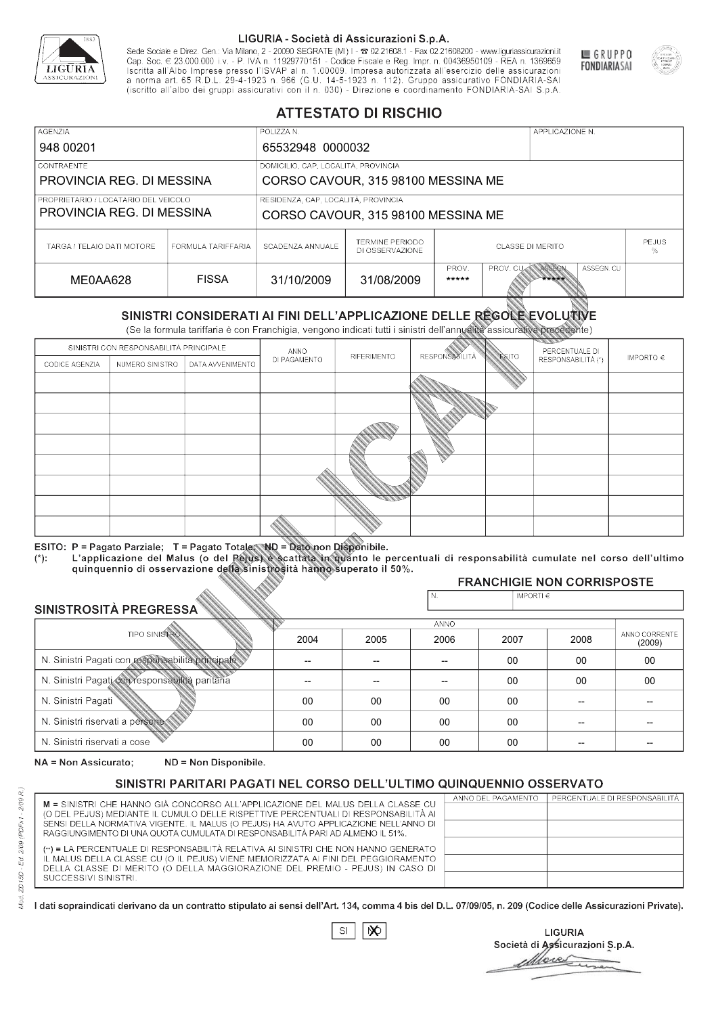

Sede Sociale e Direz. Gen.: Via Milano, 2 - 20090 SEGRATE (MI) I - 2 02.21608.1 - Fax 02.21608200 - www.liguriassicurazioni.it Sede e Direz, Gen. Via Milanto, 2 - 20090 SEGATE (MI) I - 2 UZZIODO. I - FAX UZZIODO2 I - WWW. IIJONENSURIADONILI<br>Cap. Soc. € 23.000.000 i.v. - P. IVA n. 11929770151 - Codice Fiscale e Reg. Impr. n. 00436950109 - REA n. 1



GRUPPO

**FONDIARIASAI** 

# **ATTESTATO DI RISCHIO**

| <b>AGENZIA</b>                                                  |                    | POLIZZA N.                          |                                           |                                                            |  | APPLICAZIONE N. |  |                   |
|-----------------------------------------------------------------|--------------------|-------------------------------------|-------------------------------------------|------------------------------------------------------------|--|-----------------|--|-------------------|
| 948 00201                                                       |                    | 65532948 0000032                    |                                           |                                                            |  |                 |  |                   |
| <b>CONTRAENTE</b>                                               |                    | DOMICILIO, CAP, LOCALITÀ, PROVINCIA |                                           |                                                            |  |                 |  |                   |
| PROVINCIA REG. DI MESSINA<br>CORSO CAVOUR, 315 98100 MESSINA ME |                    |                                     |                                           |                                                            |  |                 |  |                   |
| PROPRIETARIO / LOCATARIO DEL VEICOLO                            |                    | RESIDENZA, CAP, LOCALITÀ, PROVINCIA |                                           |                                                            |  |                 |  |                   |
| PROVINCIA REG. DI MESSINA                                       |                    | CORSO CAVOUR, 315 98100 MESSINA ME  |                                           |                                                            |  |                 |  |                   |
| TARGA / TELAIO DATI MOTORE                                      | FORMULA TARIFFARIA | SCADENZA ANNUALE                    | <b>TERMINE PERIODO</b><br>DI OSSERVAZIONE | <b>CLASSE DI MERITO</b>                                    |  |                 |  | <b>PEJUS</b><br>% |
| ME0AA628                                                        | <b>FISSA</b>       | 31/10/2009                          | 31/08/2009                                | ASSEGN. CU<br>PROV.<br>PROV. CUAN ASSEGN<br>*****<br>***** |  |                 |  |                   |

|                                                 |                                        |                                                                                                                                                                                                      |              | DI OSSERVAZIONE |                      |                    |                                   | %                       |
|-------------------------------------------------|----------------------------------------|------------------------------------------------------------------------------------------------------------------------------------------------------------------------------------------------------|--------------|-----------------|----------------------|--------------------|-----------------------------------|-------------------------|
| ME0AA628                                        |                                        | <b>FISSA</b>                                                                                                                                                                                         | 31/10/2009   | 31/08/2009      | PROV.<br>*****       | PROV. CU           | ASSEGN<br>ASSEGN. CU<br>*****     |                         |
|                                                 |                                        | SINISTRI CONSIDERATI AI FINI DELL'APPLICAZIONE DELLE RÉGOLE EVOLUTIVE<br>(Se la formula tariffaria è con Franchigia, vengono indicati tutti i sinistri dell'annualità assicurativa precedente)       |              |                 |                      |                    |                                   |                         |
|                                                 | SINISTRI CON RESPONSABILITÀ PRINCIPALE |                                                                                                                                                                                                      | ANNO         |                 |                      |                    | PERCENTUALE DI                    |                         |
| CODICE AGENZIA                                  | NUMERO SINISTRO<br>DATA AVVENIMENTO    |                                                                                                                                                                                                      | DI PAGAMENTO | RIFERIMENTO     | <b>RESPONSABLITA</b> | <b>ESITO</b>       | RESPONSABILITÀ (*)                | IMPORTO $\in$           |
|                                                 |                                        |                                                                                                                                                                                                      |              |                 |                      |                    |                                   |                         |
|                                                 |                                        |                                                                                                                                                                                                      |              |                 |                      |                    |                                   |                         |
|                                                 |                                        |                                                                                                                                                                                                      |              |                 |                      |                    |                                   |                         |
|                                                 |                                        |                                                                                                                                                                                                      |              |                 |                      |                    |                                   |                         |
|                                                 |                                        |                                                                                                                                                                                                      |              |                 |                      |                    |                                   |                         |
|                                                 |                                        |                                                                                                                                                                                                      |              |                 |                      |                    |                                   |                         |
|                                                 |                                        |                                                                                                                                                                                                      |              |                 |                      |                    |                                   |                         |
|                                                 |                                        |                                                                                                                                                                                                      |              |                 |                      |                    |                                   |                         |
|                                                 |                                        |                                                                                                                                                                                                      |              |                 |                      |                    |                                   |                         |
|                                                 |                                        | ESITO: P = Pagato Parziale; T = Pagato Totale; ND = Dato non Disponibile.                                                                                                                            |              |                 |                      |                    |                                   |                         |
| $(*)$ .                                         |                                        | L'applicazione del Malus (o del Pejus) è scattata in quanto le percentuali di responsabilità cumulate nel corso dell'ultimo<br>quinquennio di osservazione della sinistrosità hanno superato il 50%. |              |                 |                      |                    |                                   |                         |
|                                                 |                                        |                                                                                                                                                                                                      |              |                 |                      |                    | <b>FRANCHIGIE NON CORRISPOSTE</b> |                         |
| SINISTROSITÀ PREGRESSA                          |                                        |                                                                                                                                                                                                      |              |                 | N.                   | IMPORTI $\epsilon$ |                                   |                         |
|                                                 |                                        |                                                                                                                                                                                                      |              |                 | <b>ANNO</b>          |                    |                                   |                         |
|                                                 | <b>TIPO SINISTRO</b>                   |                                                                                                                                                                                                      | 2004         | 2005            | 2006                 | 2007               | 2008                              | ANNO CORRENTE<br>(2009) |
|                                                 |                                        | N. Sinistri Pagati con responsabilità principale                                                                                                                                                     | --           | --              | $\overline{a}$       | 00                 | 00                                | $00\,$                  |
| N. Sinistri Pagati con responsabilità paritaria |                                        |                                                                                                                                                                                                      |              |                 |                      | 00                 | 00                                | 00                      |
| N. Sinistri Pagati                              |                                        |                                                                                                                                                                                                      | 00           | 00              | 00                   | 00                 | --                                |                         |
| N. Sinistri riservati a persone                 |                                        |                                                                                                                                                                                                      | 00           | 00              | 00                   | 00                 |                                   |                         |
| N. Sinjetri riconvoti a coco                    |                                        |                                                                                                                                                                                                      | $\cap$       | $\cap$          | $\cap$               | $\sim$             |                                   |                         |

| SINISTROSITÀ PREGRESSA                           | N.   | $ $ IMPORTI $\in$ |             |      |      |                         |
|--------------------------------------------------|------|-------------------|-------------|------|------|-------------------------|
|                                                  |      |                   | <b>ANNO</b> |      |      |                         |
| <b>TIPO SINISTROS</b>                            | 2004 | 2005              | 2006        | 2007 | 2008 | ANNO CORRENTE<br>(2009) |
| N. Sinistri Pagati con responsabilità principale |      | --                |             | 00   | 00   | 00                      |
| N. Sinistri Pagati con responsabilità paritaria  |      |                   |             | 00   | 00   | 00                      |
| N. Sinistri Pagati                               | 00   | 00                | 00          | 00   |      |                         |
| N. Sinistri riservati a persone                  | 00   | 00                | 00          | 00   |      |                         |
| N. Sinistri riservati a cose                     | 00   | 00                | 00          | 00   |      |                         |

NA = Non Assicurato: ND = Non Disponibile.

# SINISTRI PARITARI PAGATI NEL CORSO DELL'ULTIMO QUINQUENNIO OSSERVATO

|                                                                                      | ANNO DEL PAGAMENTO | PERCENTUALE DI RESPONSABILITÀ |
|--------------------------------------------------------------------------------------|--------------------|-------------------------------|
| M = SINISTRI CHE HANNO GIÀ CONCORSO ALL'APPLICAZIONE DEL MALUS DELLA CLASSE CU       |                    |                               |
| (O DEL PEJUS) MEDIANTE IL CUMULO DELLE RISPETTIVE PERCENTUALI DI RESPONSABILITÀ AI   |                    |                               |
| SENSI DELLA NORMATIVA VIGENTE. IL MALUS (O PEJUS) HA AVUTO APPLICAZIONE NELL'ANNO DI |                    |                               |
| RAGGIUNGIMENTO DI UNA QUOTA CUMULATA DI RESPONSABILITÀ PARI AD ALMENO IL 51%.        |                    |                               |
| (**) = LA PERCENTUALE DI RESPONSABILITÀ RELATIVA AI SINISTRI CHE NON HANNO GENERATO  |                    |                               |
| IL MALUS DELLA CLASSE CU (O IL PEJUS) VIENE MEMORIZZATA AI FINI DEL PEGGIORAMENTO    |                    |                               |
| DELLA CLASSE DI MERITO (O DELLA MAGGIORAZIONE DEL PREMIO - PEJUS) IN CASO DI         |                    |                               |
| SUCCESSIVI SINISTRI.                                                                 |                    |                               |
|                                                                                      |                    |                               |
|                                                                                      |                    |                               |

 $SI$  $\infty$ 

**LIGURIA** Società di Assicurazioni S.p.A. More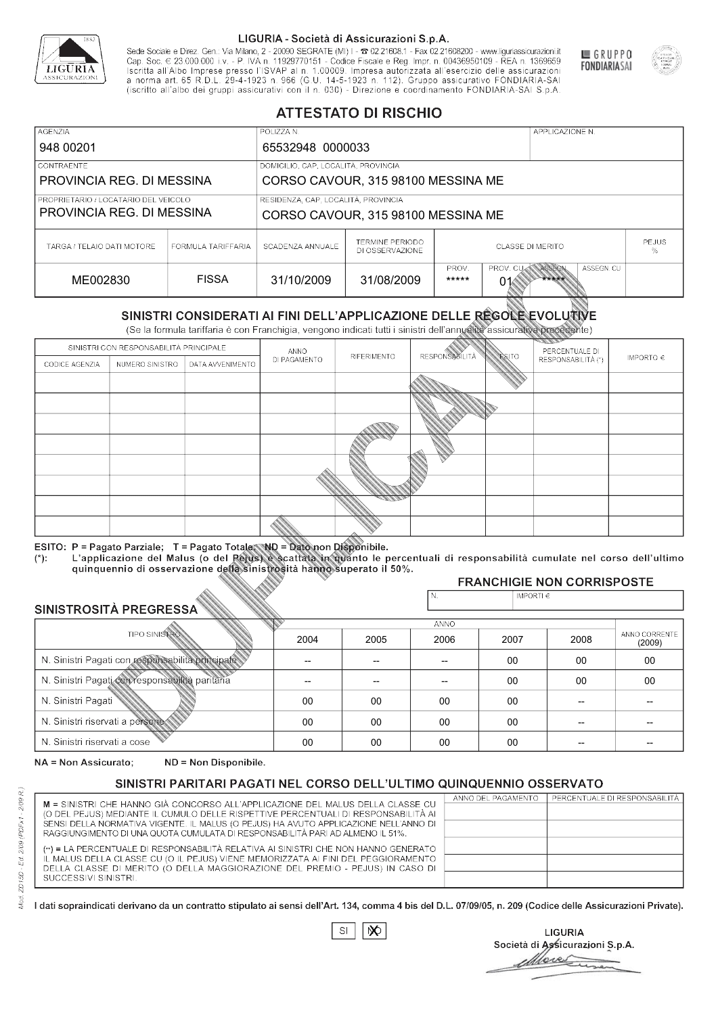

Sede Sociale e Direz. Gen.: Via Milano, 2 - 20090 SEGRATE (MI) I - 2 02.21608.1 - Fax 02.21608200 - www.liguriassicurazioni.it Sede e Direz, Gen. Via Milanto, 2 - 20090 SEGATE (MI) I - 2 UZZIODO. I - FAX UZZIODO2 I - WWW. IIJONENSURIADONILI<br>Cap. Soc. € 23.000.000 i.v. - P. IVA n. 11929770151 - Codice Fiscale e Reg. Impr. n. 00436950109 - REA n. 1



GRUPPO

**FONDIARIASAI** 

# **ATTESTATO DI RISCHIO**

| <b>AGENZIA</b>                                                    |                                    | POLIZZA N.                                                                |                                    |                                                                  |  | APPLICAZIONE N. |  |                   |
|-------------------------------------------------------------------|------------------------------------|---------------------------------------------------------------------------|------------------------------------|------------------------------------------------------------------|--|-----------------|--|-------------------|
| 948 00201                                                         |                                    | 65532948 0000033                                                          |                                    |                                                                  |  |                 |  |                   |
| LCONTRAENTE.                                                      |                                    | DOMICILIO, CAP, LOCALITÀ, PROVINCIA                                       |                                    |                                                                  |  |                 |  |                   |
| PROVINCIA REG. DI MESSINA                                         | CORSO CAVOUR, 315 98100 MESSINA ME |                                                                           |                                    |                                                                  |  |                 |  |                   |
| PROPRIETARIO / LOCATARIO DEL VEICOLO<br>PROVINCIA REG. DI MESSINA |                                    | RESIDENZA, CAP, LOCALITÀ, PROVINCIA<br>CORSO CAVOUR, 315 98100 MESSINA ME |                                    |                                                                  |  |                 |  |                   |
| TARGA / TELAIO DATI MOTORE                                        | FORMULA TARIFFARIA                 | SCADENZA ANNUALE                                                          | TERMINE PERIODO<br>DI OSSERVAZIONE | <b>CLASSE DI MERITO</b>                                          |  |                 |  | <b>PEJUS</b><br>% |
| ME002830                                                          | <b>FISSA</b>                       | 31/10/2009                                                                | 31/08/2009                         | PROV. CUAN ASSEGN<br>PROV.<br>ASSEGN. CU<br>*****<br>*****<br>01 |  |                 |  |                   |

|                                                 |                                        |                                                                                                                                                                                                      |              | DI OSSERVAZIONE |                      |                    |                                   | %                       |
|-------------------------------------------------|----------------------------------------|------------------------------------------------------------------------------------------------------------------------------------------------------------------------------------------------------|--------------|-----------------|----------------------|--------------------|-----------------------------------|-------------------------|
| ME002830                                        |                                        | <b>FISSA</b>                                                                                                                                                                                         | 31/10/2009   | 31/08/2009      | PROV.<br>*****       | PROV. CU<br>01     | ASSEGN<br>ASSEGN. CU<br>*****     |                         |
|                                                 |                                        | SINISTRI CONSIDERATI AI FINI DELL'APPLICAZIONE DELLE RÉGOLE EVOLUTIVE<br>(Se la formula tariffaria è con Franchigia, vengono indicati tutti i sinistri dell'annualità assicurativa precedente)       |              |                 |                      |                    |                                   |                         |
|                                                 | SINISTRI CON RESPONSABILITÀ PRINCIPALE |                                                                                                                                                                                                      | ANNO         |                 |                      |                    | PERCENTUALE DI                    |                         |
| CODICE AGENZIA                                  | NUMERO SINISTRO                        | DATA AVVENIMENTO                                                                                                                                                                                     | DI PAGAMENTO | RIFERIMENTO     | <b>RESPONSABLITA</b> | <b>ESITO</b>       | RESPONSABILITÀ (*)                | IMPORTO $\in$           |
|                                                 |                                        |                                                                                                                                                                                                      |              |                 |                      |                    |                                   |                         |
|                                                 |                                        |                                                                                                                                                                                                      |              |                 |                      |                    |                                   |                         |
|                                                 |                                        |                                                                                                                                                                                                      |              |                 |                      |                    |                                   |                         |
|                                                 |                                        |                                                                                                                                                                                                      |              |                 |                      |                    |                                   |                         |
|                                                 |                                        |                                                                                                                                                                                                      |              |                 |                      |                    |                                   |                         |
|                                                 |                                        |                                                                                                                                                                                                      |              |                 |                      |                    |                                   |                         |
|                                                 |                                        |                                                                                                                                                                                                      |              |                 |                      |                    |                                   |                         |
|                                                 |                                        |                                                                                                                                                                                                      |              |                 |                      |                    |                                   |                         |
|                                                 |                                        |                                                                                                                                                                                                      |              |                 |                      |                    |                                   |                         |
|                                                 |                                        | ESITO: P = Pagato Parziale; T = Pagato Totale; ND = Dato non Disponibile.                                                                                                                            |              |                 |                      |                    |                                   |                         |
| $(*)$ .                                         |                                        | L'applicazione del Malus (o del Pejus) è scattata in quanto le percentuali di responsabilità cumulate nel corso dell'ultimo<br>quinquennio di osservazione della sinistrosità hanno superato il 50%. |              |                 |                      |                    |                                   |                         |
|                                                 |                                        |                                                                                                                                                                                                      |              |                 |                      |                    | <b>FRANCHIGIE NON CORRISPOSTE</b> |                         |
| SINISTROSITÀ PREGRESSA                          |                                        |                                                                                                                                                                                                      |              |                 | N.                   | IMPORTI $\epsilon$ |                                   |                         |
|                                                 |                                        |                                                                                                                                                                                                      |              |                 | <b>ANNO</b>          |                    |                                   |                         |
|                                                 | <b>TIPO SINISTRO</b>                   |                                                                                                                                                                                                      | 2004         | 2005            | 2006                 | 2007               | 2008                              | ANNO CORRENTE<br>(2009) |
|                                                 |                                        | N. Sinistri Pagati con responsabilità principale                                                                                                                                                     | --           | --              | $\overline{a}$       | 00                 | 00                                | 00                      |
| N. Sinistri Pagati con responsabilità paritaria |                                        |                                                                                                                                                                                                      |              |                 |                      | 00                 | 00                                | 00                      |
| N. Sinistri Pagati                              |                                        |                                                                                                                                                                                                      | 00           | 00              | 00                   | 00                 | --                                |                         |
| N. Sinistri riservati a persone                 |                                        |                                                                                                                                                                                                      | 00           | 00              | 00                   | 00                 |                                   |                         |
| N. Sinjetri riconvoti a coco                    |                                        |                                                                                                                                                                                                      | $\cap$       | $\cap$          | $\cap$               | $\sim$             |                                   |                         |

| SINISTROSITÀ PREGRESSA                           |      |      | N.          | IMPORTI $\in$ |      |                         |
|--------------------------------------------------|------|------|-------------|---------------|------|-------------------------|
|                                                  |      |      | <b>ANNO</b> |               |      |                         |
| <b>TIPO SINISTROS</b>                            | 2004 | 2005 | 2006        | 2007          | 2008 | ANNO CORRENTE<br>(2009) |
| N. Sinistri Pagati con responsabilità principale |      |      |             | 00            | 00   | 00                      |
| N. Sinistri Pagati con responsabilità paritaria  |      |      |             | 00            | 00   | 00                      |
| N. Sinistri Pagati                               | 00   | 00   | 00          | 00            |      |                         |
| N. Sinistri riservati a persone                  | 00   | 00   | 00          | 00            |      |                         |
| N. Sinistri riservati a cose                     | 00   | 00   | 00          | 00            |      |                         |

NA = Non Assicurato: ND = Non Disponibile.

# SINISTRI PARITARI PAGATI NEL CORSO DELL'ULTIMO QUINQUENNIO OSSERVATO

|                                                                                                                                                                      | ANNO DEL PAGAMENTO | PERCENTUALE DI RESPONSABILITÀ |
|----------------------------------------------------------------------------------------------------------------------------------------------------------------------|--------------------|-------------------------------|
| M = SINISTRI CHE HANNO GIÀ CONCORSO ALL'APPLICAZIONE DEL MALUS DELLA CLASSE CU<br>(O DEL PEJUS) MEDIANTE IL CUMULO DELLE RISPETTIVE PERCENTUALI DI RESPONSABILITÀ AI |                    |                               |
| SENSI DELLA NORMATIVA VIGENTE. IL MALUS (O PEJUS) HA AVUTO APPLICAZIONE NELL'ANNO DI                                                                                 |                    |                               |
| RAGGIUNGIMENTO DI UNA QUOTA CUMULATA DI RESPONSABILITÀ PARI AD ALMENO IL 51%.                                                                                        |                    |                               |
|                                                                                                                                                                      |                    |                               |
| (**) = LA PERCENTUALE DI RESPONSABILITÀ RELATIVA AI SINISTRI CHE NON HANNO GENERATO                                                                                  |                    |                               |
| IL MALUS DELLA CLASSE CU (O IL PEJUS) VIENE MEMORIZZATA AI FINI DEL PEGGIORAMENTO                                                                                    |                    |                               |
| DELLA CLASSE DI MERITO (O DELLA MAGGIORAZIONE DEL PREMIO - PEJUS) IN CASO DI                                                                                         |                    |                               |
| SUCCESSIVI SINISTRI.                                                                                                                                                 |                    |                               |
|                                                                                                                                                                      |                    |                               |

 $SI$  $\infty$ 

**LIGURIA** Società di Assicurazioni S.p.A. More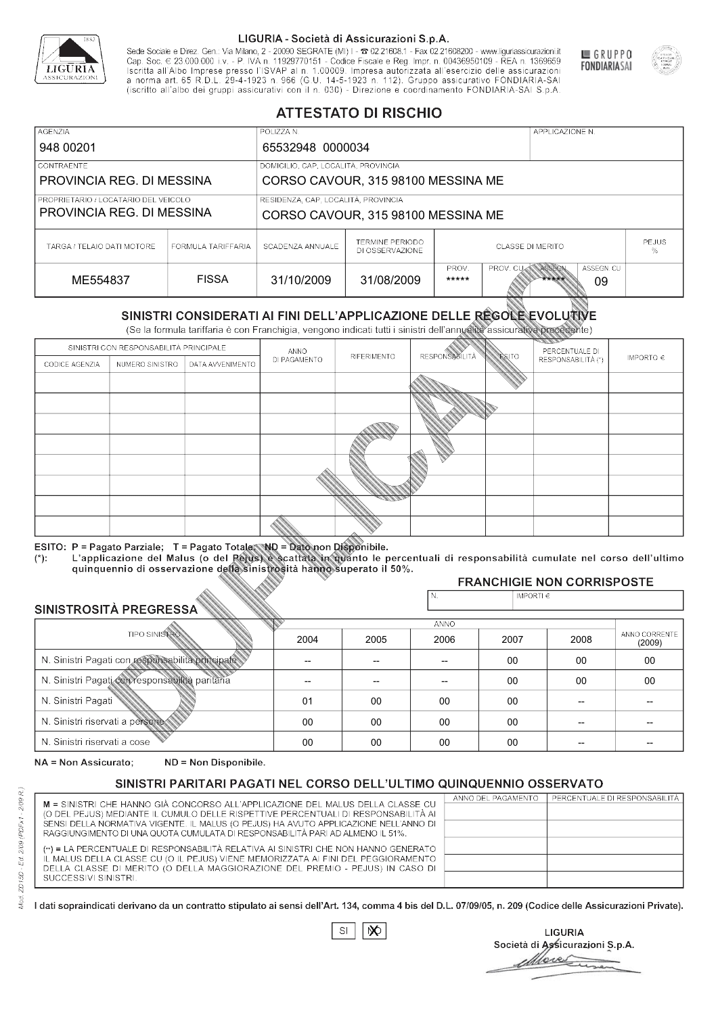

Sede Sociale e Direz. Gen.: Via Milano, 2 - 20090 SEGRATE (MI) I - 2 02.21608.1 - Fax 02.21608200 - www.liguriassicurazioni.it Cap. Soc.  $\in$  23.000.000 i.v. - P. IVA n. 11929770151 - Codice Fiscale e Reg. Impr. n. 00436950109 - REA n. 1369659<br>Iscritta all'Albo Imprese presso l'ISVAP al n. 1.00009. Impresa autorizzata all'esercizio delle assicura d homa art. 65 K.D.L. 29-4-1923 ft. 900 (G.O. 14-5-1923 ft. 112). Gruppo assicurativo PONDIARIA-SAI S.p.A



GRUPPO

**FONDIARIASAI** 

# **ATTESTATO DI RISCHIO**

| <b>AGENZIA</b>                                                    |                                                                           | POLIZZA N.                          |                                           |                                                                           |  | APPLICAZIONE N. |                   |  |
|-------------------------------------------------------------------|---------------------------------------------------------------------------|-------------------------------------|-------------------------------------------|---------------------------------------------------------------------------|--|-----------------|-------------------|--|
| 948 00201                                                         |                                                                           | 65532948 0000034                    |                                           |                                                                           |  |                 |                   |  |
| LCONTRAENTE.                                                      |                                                                           | DOMICILIO, CAP, LOCALITÀ, PROVINCIA |                                           |                                                                           |  |                 |                   |  |
| PROVINCIA REG. DI MESSINA<br>CORSO CAVOUR, 315 98100 MESSINA ME   |                                                                           |                                     |                                           |                                                                           |  |                 |                   |  |
| PROPRIETARIO / LOCATARIO DEL VEICOLO<br>PROVINCIA REG. DI MESSINA | RESIDENZA, CAP, LOCALITÀ, PROVINCIA<br>CORSO CAVOUR, 315 98100 MESSINA ME |                                     |                                           |                                                                           |  |                 |                   |  |
| TARGA / TELAIO DATI MOTORE                                        | FORMULA TARIFFARIA                                                        | SCADENZA ANNUALE                    | <b>TERMINE PERIODO</b><br>DI OSSERVAZIONE | <b>CLASSE DI MERITO</b>                                                   |  |                 | <b>PEJUS</b><br>% |  |
| ME554837                                                          | <b>FISSA</b>                                                              | 31/10/2009                          | 31/08/2009                                | ASSEGN. CU<br>PROV.<br>ASSEGN<br><b>PROV. CUM</b><br>*****<br>*****<br>09 |  |                 |                   |  |

|                                                 |                                        |                                                                                                                                                                                                      |                          | DI OSSERVAZIONE          |                       |                    |                                     | ℅                       |
|-------------------------------------------------|----------------------------------------|------------------------------------------------------------------------------------------------------------------------------------------------------------------------------------------------------|--------------------------|--------------------------|-----------------------|--------------------|-------------------------------------|-------------------------|
| ME554837                                        |                                        | <b>FISSA</b>                                                                                                                                                                                         | 31/10/2009               | 31/08/2009               | PROV.<br>*****        | PROV. CU           | ASSEGN<br>ASSEGN. CU<br>*****<br>09 |                         |
|                                                 |                                        | SINISTRI CONSIDERATI AI FINI DELL'APPLICAZIONE DELLE REGOLE EVOLUTIVE<br>(Se la formula tariffaria è con Franchigia, vengono indicati tutti i sinistri dell'annualità assicurativa precedente)       |                          |                          |                       |                    |                                     |                         |
|                                                 | SINISTRI CON RESPONSABILITÀ PRINCIPALE |                                                                                                                                                                                                      | ANNO                     |                          |                       |                    | PERCENTUALE DI                      |                         |
| CODICE AGENZIA                                  | NUMERO SINISTRO                        | DATA AVVENIMENTO                                                                                                                                                                                     | DI PAGAMENTO             | RIFERIMENTO              | <b>RESPONSABILITÀ</b> | <b>ESITO</b>       | RESPONSABILITÀ (*)                  | IMPORTO $\in$           |
|                                                 |                                        |                                                                                                                                                                                                      |                          |                          |                       |                    |                                     |                         |
|                                                 |                                        |                                                                                                                                                                                                      |                          |                          |                       |                    |                                     |                         |
|                                                 |                                        |                                                                                                                                                                                                      |                          |                          |                       |                    |                                     |                         |
|                                                 |                                        |                                                                                                                                                                                                      |                          |                          |                       |                    |                                     |                         |
|                                                 |                                        |                                                                                                                                                                                                      |                          |                          |                       |                    |                                     |                         |
|                                                 |                                        |                                                                                                                                                                                                      |                          |                          |                       |                    |                                     |                         |
|                                                 |                                        |                                                                                                                                                                                                      |                          |                          |                       |                    |                                     |                         |
|                                                 |                                        |                                                                                                                                                                                                      |                          |                          |                       |                    |                                     |                         |
|                                                 |                                        |                                                                                                                                                                                                      |                          |                          |                       |                    |                                     |                         |
|                                                 |                                        | ESITO: P = Pagato Parziale; T = Pagato Totale; ND = Dato non Disponibile.                                                                                                                            |                          |                          |                       |                    |                                     |                         |
| $(*)$ .                                         |                                        | L'applicazione del Malus (o del Pejus) è scattata in quanto le percentuali di responsabilità cumulate nel corso dell'ultimo<br>quinquennio di osservazione della sinistrosità hanno superato il 50%. |                          |                          |                       |                    |                                     |                         |
|                                                 |                                        |                                                                                                                                                                                                      |                          |                          |                       |                    | <b>FRANCHIGIE NON CORRISPOSTE</b>   |                         |
|                                                 |                                        |                                                                                                                                                                                                      |                          |                          | N.                    | IMPORTI $\epsilon$ |                                     |                         |
| SINISTROSITÀ PREGRESSA                          |                                        |                                                                                                                                                                                                      |                          |                          | ANNO                  |                    |                                     |                         |
|                                                 | <b>TIPO SINISTRO</b>                   |                                                                                                                                                                                                      | 2004                     | 2005                     | 2006                  | 2007               | 2008                                | ANNO CORRENTE<br>(2009) |
|                                                 |                                        | N. Sinistri Pagati con responsabilità principale                                                                                                                                                     | $\overline{\phantom{0}}$ | $\overline{\phantom{a}}$ | $-$                   | $00 \,$            | 00                                  | 00                      |
| N. Sinistri Pagati con responsabilità paritaria |                                        |                                                                                                                                                                                                      |                          |                          |                       | 00                 | 00                                  | 00                      |
| N. Sinistri Pagati                              |                                        |                                                                                                                                                                                                      | 01                       | 00                       | 00                    | $00\,$             |                                     |                         |
| N. Sinistri riservati a persone                 |                                        |                                                                                                                                                                                                      | 00                       | 00                       | 00                    | 00                 |                                     |                         |
| N. Sinjetri riconvoti a coco                    |                                        |                                                                                                                                                                                                      | $\cap$                   | $\cap$                   | $\cap$                | $\cap$             |                                     |                         |

### 2005 -- --  $0<sup>0</sup>$ 00 00 2004 -- -- 01 00 00 2006 -- -- 00 00 00 2007 00 00 00 00 00 2008 00 00 -- -- -- 00 00 -- -- -- (2009)

NA = Non Assicurato: ND = Non Disponibile.

# SINISTRI PARITARI PAGATI NEL CORSO DELL'ULTIMO QUINQUENNIO OSSERVATO

|                                                                                      | ANNO DEL PAGAMENTO | PERCENTUALE DI RESPONSABILITÀ |
|--------------------------------------------------------------------------------------|--------------------|-------------------------------|
| M = SINISTRI CHE HANNO GIÀ CONCORSO ALL'APPLICAZIONE DEL MALUS DELLA CLASSE CU       |                    |                               |
| (O DEL PEJUS) MEDIANTE IL CUMULO DELLE RISPETTIVE PERCENTUALI DI RESPONSABILITÀ AI   |                    |                               |
| SENSI DELLA NORMATIVA VIGENTE. IL MALUS (O PEJUS) HA AVUTO APPLICAZIONE NELL'ANNO DI |                    |                               |
| RAGGIUNGIMENTO DI UNA QUOTA CUMULATA DI RESPONSABILITÀ PARI AD ALMENO IL 51%.        |                    |                               |
|                                                                                      |                    |                               |
| (**) = LA PERCENTUALE DI RESPONSABILITÀ RELATIVA AI SINISTRI CHE NON HANNO GENERATO  |                    |                               |
| IL MALUS DELLA CLASSE CU (O IL PEJUS) VIENE MEMORIZZATA AI FINI DEL PEGGIORAMENTO    |                    |                               |
| DELLA CLASSE DI MERITO (O DELLA MAGGIORAZIONE DEL PREMIO - PEJUS) IN CASO DI         |                    |                               |
| SUCCESSIVI SINISTRI.                                                                 |                    |                               |
|                                                                                      |                    |                               |

 $\mathbb{S}\mathsf{I}$  $\infty$ 

**LIGURIA** Società di Assicurazioni S.p.A. Move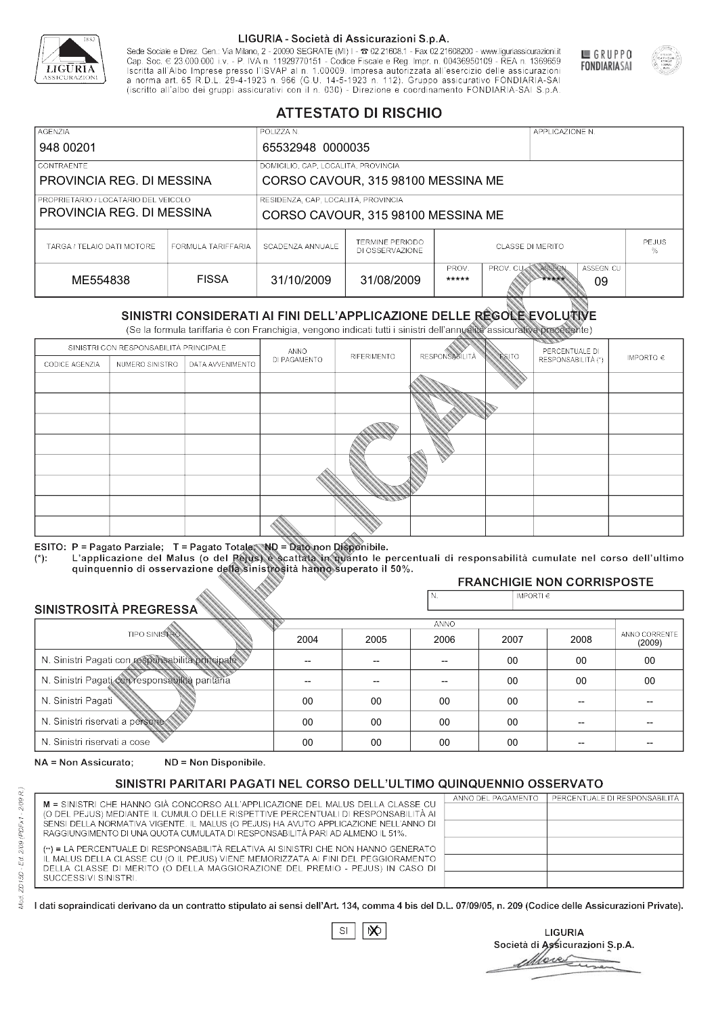

Sede Sociale e Direz. Gen.: Via Milano, 2 - 20090 SEGRATE (MI) I - 2 02.21608.1 - Fax 02.21608200 - www.liguriassicurazioni.it Sede e Direz, Gen. Via Milanto, 2 - 20090 SEGATE (MI) I - 2 UZZIODO. I - FAX UZZIODO2 I - WWW. IIJONENSURIADONILI<br>Cap. Soc. € 23.000.000 i.v. - P. IVA n. 11929770151 - Codice Fiscale e Reg. Impr. n. 00436950109 - REA n. 1



GRUPPO

**FONDIARIASAI** 

# **ATTESTATO DI RISCHIO**

| <b>AGENZIA</b>                                                    |                    | POLIZZA N.                                                                |                                           |                                                                           |  | APPLICAZIONE N. |                   |  |
|-------------------------------------------------------------------|--------------------|---------------------------------------------------------------------------|-------------------------------------------|---------------------------------------------------------------------------|--|-----------------|-------------------|--|
| 948 00201                                                         |                    | 65532948 0000035                                                          |                                           |                                                                           |  |                 |                   |  |
| LCONTRAENTE.                                                      |                    |                                                                           | DOMICILIO, CAP, LOCALITÀ, PROVINCIA       |                                                                           |  |                 |                   |  |
| PROVINCIA REG. DI MESSINA<br>CORSO CAVOUR, 315 98100 MESSINA ME   |                    |                                                                           |                                           |                                                                           |  |                 |                   |  |
| PROPRIETARIO / LOCATARIO DEL VEICOLO<br>PROVINCIA REG. DI MESSINA |                    | RESIDENZA, CAP, LOCALITÀ, PROVINCIA<br>CORSO CAVOUR, 315 98100 MESSINA ME |                                           |                                                                           |  |                 |                   |  |
| TARGA / TELAIO DATI MOTORE                                        | FORMULA TARIFFARIA | SCADENZA ANNUALE                                                          | <b>TERMINE PERIODO</b><br>DI OSSERVAZIONE | <b>CLASSE DI MERITO</b>                                                   |  |                 | <b>PEJUS</b><br>% |  |
| ME554838                                                          | <b>FISSA</b>       | 31/10/2009                                                                | 31/08/2009                                | ASSEGN. CU<br>PROV.<br>ASSEGN<br><b>PROV. CUM</b><br>*****<br>*****<br>09 |  |                 |                   |  |

|                                                 |                                        |                                                                                                                                                                                                      |              | DI OSSERVAZIONE |                      |                    |                                     | %                       |
|-------------------------------------------------|----------------------------------------|------------------------------------------------------------------------------------------------------------------------------------------------------------------------------------------------------|--------------|-----------------|----------------------|--------------------|-------------------------------------|-------------------------|
| ME554838                                        |                                        | <b>FISSA</b>                                                                                                                                                                                         | 31/10/2009   | 31/08/2009      | PROV.<br>*****       | PROV. CU           | ASSEGN<br>ASSEGN. CU<br>*****<br>09 |                         |
|                                                 |                                        | SINISTRI CONSIDERATI AI FINI DELL'APPLICAZIONE DELLE RÉGOLE EVOLUTIVE<br>(Se la formula tariffaria è con Franchigia, vengono indicati tutti i sinistri dell'annualità assicurativa precedente)       |              |                 |                      |                    |                                     |                         |
|                                                 | SINISTRI CON RESPONSABILITÀ PRINCIPALE |                                                                                                                                                                                                      | ANNO         |                 |                      |                    | PERCENTUALE DI                      |                         |
| CODICE AGENZIA                                  | NUMERO SINISTRO                        | DATA AVVENIMENTO                                                                                                                                                                                     | DI PAGAMENTO | RIFERIMENTO     | <b>RESPONSABLITA</b> | <b>ESITO</b>       | RESPONSABILITÀ (*)                  | IMPORTO $\in$           |
|                                                 |                                        |                                                                                                                                                                                                      |              |                 |                      |                    |                                     |                         |
|                                                 |                                        |                                                                                                                                                                                                      |              |                 |                      |                    |                                     |                         |
|                                                 |                                        |                                                                                                                                                                                                      |              |                 |                      |                    |                                     |                         |
|                                                 |                                        |                                                                                                                                                                                                      |              |                 |                      |                    |                                     |                         |
|                                                 |                                        |                                                                                                                                                                                                      |              |                 |                      |                    |                                     |                         |
|                                                 |                                        |                                                                                                                                                                                                      |              |                 |                      |                    |                                     |                         |
|                                                 |                                        |                                                                                                                                                                                                      |              |                 |                      |                    |                                     |                         |
|                                                 |                                        |                                                                                                                                                                                                      |              |                 |                      |                    |                                     |                         |
|                                                 |                                        |                                                                                                                                                                                                      |              |                 |                      |                    |                                     |                         |
|                                                 |                                        | ESITO: P = Pagato Parziale; T = Pagato Totale; ND = Dato non Disponibile.                                                                                                                            |              |                 |                      |                    |                                     |                         |
| $(*)$ .                                         |                                        | L'applicazione del Malus (o del Pejus) è scattata in quanto le percentuali di responsabilità cumulate nel corso dell'ultimo<br>quinquennio di osservazione della sinistrosità hanno superato il 50%. |              |                 |                      |                    |                                     |                         |
|                                                 |                                        |                                                                                                                                                                                                      |              |                 |                      |                    | <b>FRANCHIGIE NON CORRISPOSTE</b>   |                         |
| SINISTROSITÀ PREGRESSA                          |                                        |                                                                                                                                                                                                      |              |                 | N.                   | IMPORTI $\epsilon$ |                                     |                         |
|                                                 |                                        |                                                                                                                                                                                                      |              |                 | ANNO                 |                    |                                     |                         |
|                                                 | <b>TIPO SINISTRO</b>                   |                                                                                                                                                                                                      | 2004         | 2005            | 2006                 | 2007               | 2008                                | ANNO CORRENTE<br>(2009) |
|                                                 |                                        | N. Sinistri Pagati con responsabilità principale                                                                                                                                                     | --           | --              | $\overline{a}$       | 00                 | 00                                  | 00                      |
| N. Sinistri Pagati con responsabilità paritaria |                                        |                                                                                                                                                                                                      |              |                 |                      | 00                 | 00                                  | 00                      |
| N. Sinistri Pagati                              |                                        |                                                                                                                                                                                                      | 00           | 00              | 00                   | 00                 | --                                  |                         |
| N. Sinistri riservati a persone                 |                                        |                                                                                                                                                                                                      | 00           | 00              | 00                   | 00                 |                                     |                         |
| N. Sinjetri riconvoti a coco                    |                                        |                                                                                                                                                                                                      | $\cap$       | $\cap$          | $\cap$               | $\sim$             |                                     |                         |

### 2005 -- --  $0<sup>0</sup>$ 00 00 2004 -- --  $0<sup>0</sup>$ 00 00 2006 -- -- 00 00 00 2007 00 00 00 00 00 2008 00 00 -- -- -- 00 00 -- -- -- (2009)

NA = Non Assicurato: ND = Non Disponibile.

# SINISTRI PARITARI PAGATI NEL CORSO DELL'ULTIMO QUINQUENNIO OSSERVATO

|                                                                                      | ANNO DEL PAGAMENTO | PERCENTUALE DI RESPONSABILITÀ |
|--------------------------------------------------------------------------------------|--------------------|-------------------------------|
| M = SINISTRI CHE HANNO GIÀ CONCORSO ALL'APPLICAZIONE DEL MALUS DELLA CLASSE CU       |                    |                               |
| (O DEL PEJUS) MEDIANTE IL CUMULO DELLE RISPETTIVE PERCENTUALI DI RESPONSABILITÀ AI   |                    |                               |
| SENSI DELLA NORMATIVA VIGENTE. IL MALUS (O PEJUS) HA AVUTO APPLICAZIONE NELL'ANNO DI |                    |                               |
| RAGGIUNGIMENTO DI UNA QUOTA CUMULATA DI RESPONSABILITÀ PARI AD ALMENO IL 51%.        |                    |                               |
|                                                                                      |                    |                               |
| (**) = LA PERCENTUALE DI RESPONSABILITÀ RELATIVA AI SINISTRI CHE NON HANNO GENERATO  |                    |                               |
| IL MALUS DELLA CLASSE CU (O IL PEJUS) VIENE MEMORIZZATA AI FINI DEL PEGGIORAMENTO    |                    |                               |
| DELLA CLASSE DI MERITO (O DELLA MAGGIORAZIONE DEL PREMIO - PEJUS) IN CASO DI         |                    |                               |
| SUCCESSIVI SINISTRI.                                                                 |                    |                               |
|                                                                                      |                    |                               |

|--|

**LIGURIA** Società di Assicurazioni S.p.A. Move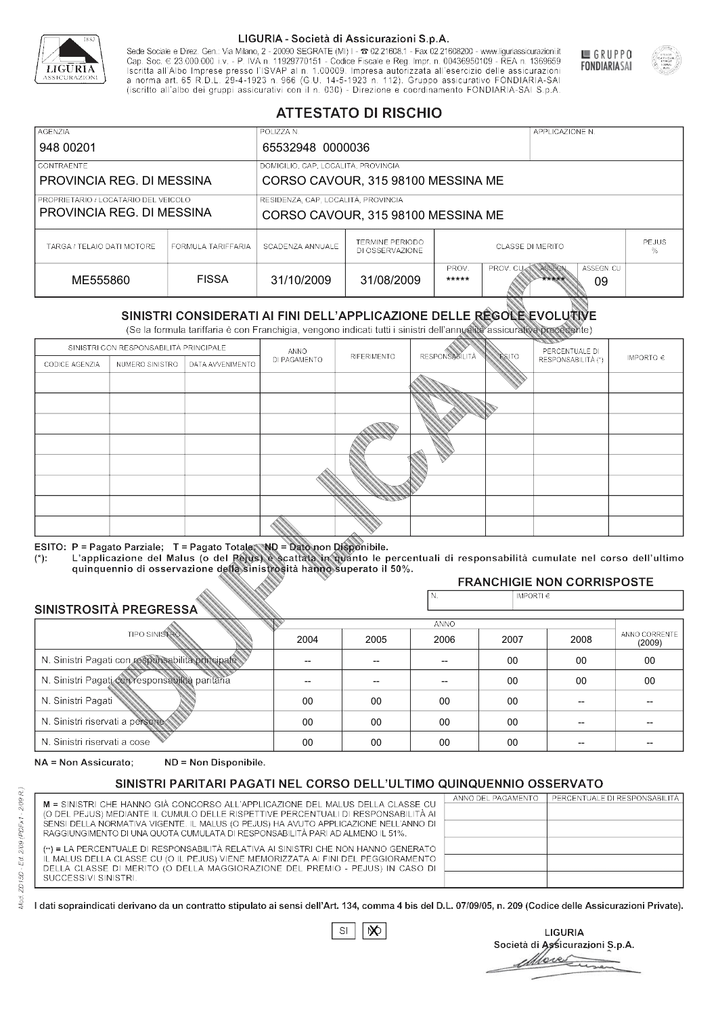

Sede Sociale e Direz. Gen.: Via Milano, 2 - 20090 SEGRATE (MI) I - 2 02.21608.1 - Fax 02.21608200 - www.liguriassicurazioni.it Sede e Direz, Gen. Via Milanto, 2 - 20090 SEGATE (MI) I - 2 UZZIODO. I - FAX UZZIODO2 I - WWW. IIJONENSURIADONILI<br>Cap. Soc. € 23.000.000 i.v. - P. IVA n. 11929770151 - Codice Fiscale e Reg. Impr. n. 00436950109 - REA n. 1



GRUPPO

**FONDIARIASAI** 

# **ATTESTATO DI RISCHIO**

| <b>AGENZIA</b>                                                    |                    | POLIZZA N.                                                                |                                           |                                                                           |  | APPLICAZIONE N. |                   |  |
|-------------------------------------------------------------------|--------------------|---------------------------------------------------------------------------|-------------------------------------------|---------------------------------------------------------------------------|--|-----------------|-------------------|--|
| 948 00201                                                         |                    | 65532948 0000036                                                          |                                           |                                                                           |  |                 |                   |  |
| <b>CONTRAENTE</b>                                                 |                    | DOMICILIO, CAP, LOCALITÀ, PROVINCIA                                       |                                           |                                                                           |  |                 |                   |  |
| PROVINCIA REG. DI MESSINA<br>CORSO CAVOUR, 315 98100 MESSINA ME   |                    |                                                                           |                                           |                                                                           |  |                 |                   |  |
| PROPRIETARIO / LOCATARIO DEL VEICOLO<br>PROVINCIA REG. DI MESSINA |                    | RESIDENZA, CAP, LOCALITÀ, PROVINCIA<br>CORSO CAVOUR, 315 98100 MESSINA ME |                                           |                                                                           |  |                 |                   |  |
| TARGA / TELAIO DATI MOTORE                                        | FORMULA TARIFFARIA | SCADENZA ANNUALE                                                          | <b>TERMINE PERIODO</b><br>DI OSSERVAZIONE | <b>CLASSE DI MERITO</b>                                                   |  |                 | <b>PEJUS</b><br>% |  |
| ME555860                                                          | <b>FISSA</b>       | 31/10/2009                                                                | 31/08/2009                                | ASSEGN. CU<br>PROV.<br>ASSEGN<br><b>PROV. CUM</b><br>*****<br>*****<br>09 |  |                 |                   |  |

|                                                 |                                        |                                                                                                                                                                                                      |              | DI OSSERVAZIONE |                      |                    |                                     | %                       |
|-------------------------------------------------|----------------------------------------|------------------------------------------------------------------------------------------------------------------------------------------------------------------------------------------------------|--------------|-----------------|----------------------|--------------------|-------------------------------------|-------------------------|
| ME555860                                        |                                        | <b>FISSA</b>                                                                                                                                                                                         | 31/10/2009   | 31/08/2009      | PROV.<br>*****       | PROV. CU           | ASSEGN<br>ASSEGN. CU<br>*****<br>09 |                         |
|                                                 |                                        | SINISTRI CONSIDERATI AI FINI DELL'APPLICAZIONE DELLE RÉGOLE EVOLUTIVE<br>(Se la formula tariffaria è con Franchigia, vengono indicati tutti i sinistri dell'annualità assicurativa precedente)       |              |                 |                      |                    |                                     |                         |
|                                                 | SINISTRI CON RESPONSABILITÀ PRINCIPALE |                                                                                                                                                                                                      | ANNO         |                 |                      |                    | PERCENTUALE DI                      |                         |
| CODICE AGENZIA                                  | NUMERO SINISTRO                        | DATA AVVENIMENTO                                                                                                                                                                                     | DI PAGAMENTO | RIFERIMENTO     | <b>RESPONSABLITA</b> | <b>ESITO</b>       | RESPONSABILITÀ (*)                  | IMPORTO $\in$           |
|                                                 |                                        |                                                                                                                                                                                                      |              |                 |                      |                    |                                     |                         |
|                                                 |                                        |                                                                                                                                                                                                      |              |                 |                      |                    |                                     |                         |
|                                                 |                                        |                                                                                                                                                                                                      |              |                 |                      |                    |                                     |                         |
|                                                 |                                        |                                                                                                                                                                                                      |              |                 |                      |                    |                                     |                         |
|                                                 |                                        |                                                                                                                                                                                                      |              |                 |                      |                    |                                     |                         |
|                                                 |                                        |                                                                                                                                                                                                      |              |                 |                      |                    |                                     |                         |
|                                                 |                                        |                                                                                                                                                                                                      |              |                 |                      |                    |                                     |                         |
|                                                 |                                        |                                                                                                                                                                                                      |              |                 |                      |                    |                                     |                         |
|                                                 |                                        |                                                                                                                                                                                                      |              |                 |                      |                    |                                     |                         |
|                                                 |                                        | ESITO: P = Pagato Parziale; T = Pagato Totale; ND = Dato non Disponibile.                                                                                                                            |              |                 |                      |                    |                                     |                         |
| $(*)$ .                                         |                                        | L'applicazione del Malus (o del Pejus) è scattata in quanto le percentuali di responsabilità cumulate nel corso dell'ultimo<br>quinquennio di osservazione della sinistrosità hanno superato il 50%. |              |                 |                      |                    |                                     |                         |
|                                                 |                                        |                                                                                                                                                                                                      |              |                 |                      |                    | <b>FRANCHIGIE NON CORRISPOSTE</b>   |                         |
| SINISTROSITÀ PREGRESSA                          |                                        |                                                                                                                                                                                                      |              |                 | N.                   | IMPORTI $\epsilon$ |                                     |                         |
|                                                 |                                        |                                                                                                                                                                                                      |              |                 | ANNO                 |                    |                                     |                         |
|                                                 | <b>TIPO SINISTRO</b>                   |                                                                                                                                                                                                      | 2004         | 2005            | 2006                 | 2007               | 2008                                | ANNO CORRENTE<br>(2009) |
|                                                 |                                        | N. Sinistri Pagati con responsabilità principale                                                                                                                                                     | --           | --              | $\overline{a}$       | 00                 | 00                                  | 00                      |
| N. Sinistri Pagati con responsabilità paritaria |                                        |                                                                                                                                                                                                      |              |                 |                      | 00                 | 00                                  | 00                      |
| N. Sinistri Pagati                              |                                        |                                                                                                                                                                                                      | 00           | 00              | 00                   | 00                 | --                                  |                         |
| N. Sinistri riservati a persone                 |                                        |                                                                                                                                                                                                      | 00           | 00              | 00                   | 00                 |                                     |                         |
| N. Sinjetri riconvoti a coco                    |                                        |                                                                                                                                                                                                      | $\cap$       | $\cap$          | $\cap$               | $\sim$             |                                     |                         |

### 2005 -- --  $0<sup>0</sup>$ 00 00 2004 -- --  $0<sup>0</sup>$ 00 00 2006 -- -- 00 00 00 2007 00 00 00 00 00 2008 00 00 -- -- -- 00 00 -- -- -- (2009)

NA = Non Assicurato: ND = Non Disponibile.

# SINISTRI PARITARI PAGATI NEL CORSO DELL'ULTIMO QUINQUENNIO OSSERVATO

| M = SINISTRI CHE HANNO GIÀ CONCORSO ALL'APPLICAZIONE DEL MALUS DELLA CLASSE CU                                                                                                                                                                           | ANNO DEL PAGAMENTO | PERCENTUALE DI RESPONSABILITÀ |
|----------------------------------------------------------------------------------------------------------------------------------------------------------------------------------------------------------------------------------------------------------|--------------------|-------------------------------|
| (O DEL PEJUS) MEDIANTE IL CUMULO DELLE RISPETTIVE PERCENTUALI DI RESPONSABILITÀ AI                                                                                                                                                                       |                    |                               |
| SENSI DELLA NORMATIVA VIGENTE. IL MALUS (O PEJUS) HA AVUTO APPLICAZIONE NELL'ANNO DI                                                                                                                                                                     |                    |                               |
| RAGGIUNGIMENTO DI UNA QUOTA CUMULATA DI RESPONSABILITÀ PARI AD ALMENO IL 51%.                                                                                                                                                                            |                    |                               |
| (**) = LA PERCENTUALE DI RESPONSABILITÀ RELATIVA AI SINISTRI CHE NON HANNO GENERATO<br>IL MALUS DELLA CLASSE CU (O IL PEJUS) VIENE MEMORIZZATA AI FINI DEL PEGGIORAMENTO<br>DELLA CLASSE DI MERITO (O DELLA MAGGIORAZIONE DEL PREMIO - PEJUS) IN CASO DI |                    |                               |
|                                                                                                                                                                                                                                                          |                    |                               |
|                                                                                                                                                                                                                                                          |                    |                               |
| SUCCESSIVI SINISTRI.                                                                                                                                                                                                                                     |                    |                               |
|                                                                                                                                                                                                                                                          |                    |                               |

|--|

**LIGURIA** Società di Assicurazioni S.p.A. Move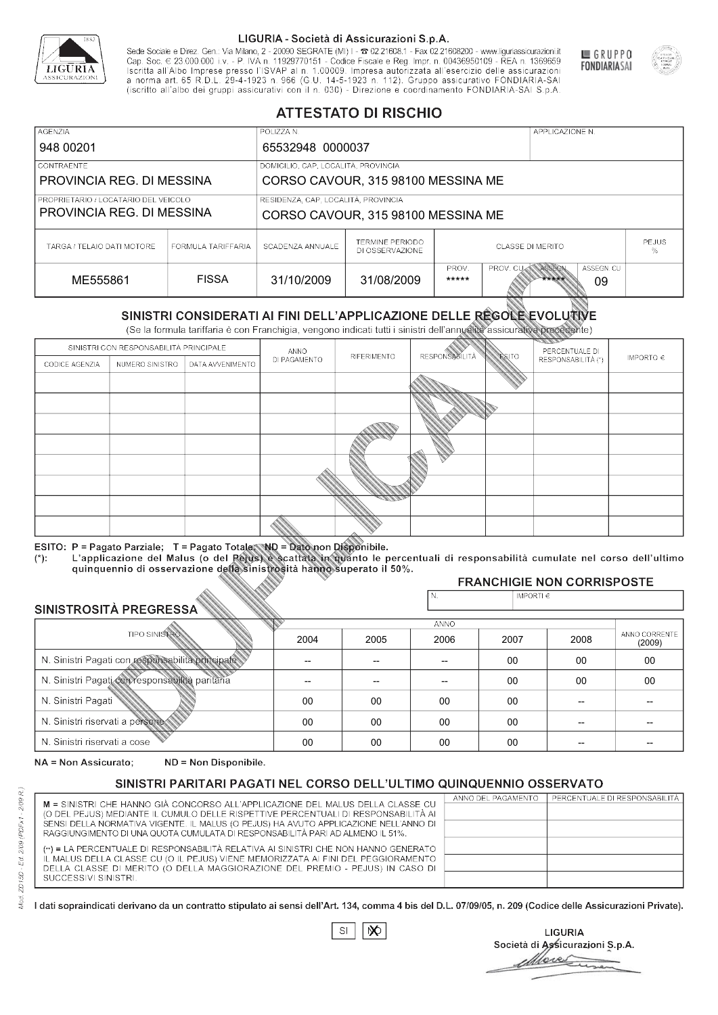

Sede Sociale e Direz. Gen.: Via Milano, 2 - 20090 SEGRATE (MI) I - 2 02.21608.1 - Fax 02.21608200 - www.liguriassicurazioni.it Cap. Soc.  $\in$  23.000.000 i.v. - P. IVA n. 11929770151 - Codice Fiscale e Reg. Impr. n. 00436950109 - REA n. 1369659<br>Iscritta all'Albo Imprese presso l'ISVAP al n. 1.00009. Impresa autorizzata all'esercizio delle assicura d homa art. 65 K.D.L. 29-4-1923 ft. 900 (G.O. 14-5-1923 ft. 112). Gruppo assicurativo PONDIARIA-SAI S.p.A



GRUPPO

**FONDIARIASAI** 

# **ATTESTATO DI RISCHIO**

| <b>AGENZIA</b>             |                                                                                                                                                | POLIZZA N.                          |                                           |                                                                           |  | APPLICAZIONE N. |  |                   |
|----------------------------|------------------------------------------------------------------------------------------------------------------------------------------------|-------------------------------------|-------------------------------------------|---------------------------------------------------------------------------|--|-----------------|--|-------------------|
| 948 00201                  |                                                                                                                                                | 65532948 0000037                    |                                           |                                                                           |  |                 |  |                   |
| LCONTRAENTE.               |                                                                                                                                                | DOMICILIO, CAP, LOCALITÀ, PROVINCIA |                                           |                                                                           |  |                 |  |                   |
| PROVINCIA REG. DI MESSINA  |                                                                                                                                                | CORSO CAVOUR, 315 98100 MESSINA ME  |                                           |                                                                           |  |                 |  |                   |
|                            | RESIDENZA, CAP, LOCALITÀ, PROVINCIA<br>PROPRIETARIO / LOCATARIO DEL VEICOLO<br>PROVINCIA REG. DI MESSINA<br>CORSO CAVOUR, 315 98100 MESSINA ME |                                     |                                           |                                                                           |  |                 |  |                   |
| TARGA / TELAIO DATI MOTORE | FORMULA TARIFFARIA                                                                                                                             | SCADENZA ANNUALE                    | <b>TERMINE PERIODO</b><br>DI OSSERVAZIONE | <b>CLASSE DI MERITO</b>                                                   |  |                 |  | <b>PEJUS</b><br>% |
| ME555861                   | <b>FISSA</b>                                                                                                                                   | 31/10/2009                          | 31/08/2009                                | ASSEGN. CU<br>PROV.<br>ASSEGN<br><b>PROV. CUM</b><br>*****<br>*****<br>09 |  |                 |  |                   |

|                                                 |                                        |                                                                                                                                                                                                      |                          | DI OSSERVAZIONE          |                       |                    |                                     | ℅                       |
|-------------------------------------------------|----------------------------------------|------------------------------------------------------------------------------------------------------------------------------------------------------------------------------------------------------|--------------------------|--------------------------|-----------------------|--------------------|-------------------------------------|-------------------------|
| ME555861                                        |                                        | <b>FISSA</b>                                                                                                                                                                                         | 31/10/2009               | 31/08/2009               | PROV.<br>*****        | PROV. CU           | ASSEGN<br>ASSEGN. CU<br>*****<br>09 |                         |
|                                                 |                                        | SINISTRI CONSIDERATI AI FINI DELL'APPLICAZIONE DELLE REGOLE EVOLUTIVE<br>(Se la formula tariffaria è con Franchigia, vengono indicati tutti i sinistri dell'annualità assicurativa precedente)       |                          |                          |                       |                    |                                     |                         |
|                                                 | SINISTRI CON RESPONSABILITÀ PRINCIPALE |                                                                                                                                                                                                      | ANNO                     |                          |                       |                    | PERCENTUALE DI                      |                         |
| CODICE AGENZIA                                  | NUMERO SINISTRO                        | DATA AVVENIMENTO                                                                                                                                                                                     | DI PAGAMENTO             | RIFERIMENTO              | <b>RESPONSABILITÀ</b> | <b>ESITO</b>       | RESPONSABILITÀ (*)                  | IMPORTO $\in$           |
|                                                 |                                        |                                                                                                                                                                                                      |                          |                          |                       |                    |                                     |                         |
|                                                 |                                        |                                                                                                                                                                                                      |                          |                          |                       |                    |                                     |                         |
|                                                 |                                        |                                                                                                                                                                                                      |                          |                          |                       |                    |                                     |                         |
|                                                 |                                        |                                                                                                                                                                                                      |                          |                          |                       |                    |                                     |                         |
|                                                 |                                        |                                                                                                                                                                                                      |                          |                          |                       |                    |                                     |                         |
|                                                 |                                        |                                                                                                                                                                                                      |                          |                          |                       |                    |                                     |                         |
|                                                 |                                        |                                                                                                                                                                                                      |                          |                          |                       |                    |                                     |                         |
|                                                 |                                        |                                                                                                                                                                                                      |                          |                          |                       |                    |                                     |                         |
|                                                 |                                        |                                                                                                                                                                                                      |                          |                          |                       |                    |                                     |                         |
|                                                 |                                        | ESITO: P = Pagato Parziale; T = Pagato Totale; ND = Dato non Disponibile.                                                                                                                            |                          |                          |                       |                    |                                     |                         |
| $(*)$ .                                         |                                        | L'applicazione del Malus (o del Pejus) è scattata in quanto le percentuali di responsabilità cumulate nel corso dell'ultimo<br>quinquennio di osservazione della sinistrosità hanno superato il 50%. |                          |                          |                       |                    |                                     |                         |
|                                                 |                                        |                                                                                                                                                                                                      |                          |                          |                       |                    | <b>FRANCHIGIE NON CORRISPOSTE</b>   |                         |
|                                                 |                                        |                                                                                                                                                                                                      |                          |                          | N.                    | IMPORTI $\epsilon$ |                                     |                         |
| SINISTROSITÀ PREGRESSA                          |                                        |                                                                                                                                                                                                      |                          |                          | <b>ANNO</b>           |                    |                                     |                         |
|                                                 | <b>TIPO SINISTRO</b>                   |                                                                                                                                                                                                      | 2004                     | 2005                     | 2006                  | 2007               | 2008                                | ANNO CORRENTE<br>(2009) |
|                                                 |                                        | N. Sinistri Pagati con responsabilità principale                                                                                                                                                     | $\overline{\phantom{0}}$ | $\overline{\phantom{a}}$ | $-$                   | $00 \,$            | 00                                  | 00                      |
| N. Sinistri Pagati con responsabilità paritaria |                                        |                                                                                                                                                                                                      |                          |                          |                       | 00                 | 00                                  | 00                      |
| N. Sinistri Pagati                              |                                        |                                                                                                                                                                                                      | 00                       | 00                       | 00                    | $00\,$             |                                     |                         |
| N. Sinistri riservati a persone                 |                                        |                                                                                                                                                                                                      | 00                       | 00                       | 00                    | 00                 |                                     |                         |
| N. Sinjetri riconvoti a coco                    |                                        |                                                                                                                                                                                                      | $\cap$                   | $\cap$                   | $\cap$                | $\cap$             |                                     |                         |

### 2005 -- --  $0<sup>0</sup>$ 00 00 2004 -- --  $0<sup>0</sup>$ 00 00 2006 -- -- 00 00 00 2007 00 00 00 00 00 2008 00 00 -- -- -- 00 00 -- -- -- (2009)

NA = Non Assicurato: ND = Non Disponibile.

# SINISTRI PARITARI PAGATI NEL CORSO DELL'ULTIMO QUINQUENNIO OSSERVATO

|                                                                                      | ANNO DEL PAGAMENTO | PERCENTUALE DI RESPONSABILITÀ |
|--------------------------------------------------------------------------------------|--------------------|-------------------------------|
| M = SINISTRI CHE HANNO GIÀ CONCORSO ALL'APPLICAZIONE DEL MALUS DELLA CLASSE CU       |                    |                               |
| (O DEL PEJUS) MEDIANTE IL CUMULO DELLE RISPETTIVE PERCENTUALI DI RESPONSABILITÀ AI   |                    |                               |
| SENSI DELLA NORMATIVA VIGENTE. IL MALUS (O PEJUS) HA AVUTO APPLICAZIONE NELL'ANNO DI |                    |                               |
| RAGGIUNGIMENTO DI UNA QUOTA CUMULATA DI RESPONSABILITÀ PARI AD ALMENO IL 51%.        |                    |                               |
|                                                                                      |                    |                               |
| (**) = LA PERCENTUALE DI RESPONSABILITÀ RELATIVA AI SINISTRI CHE NON HANNO GENERATO  |                    |                               |
| IL MALUS DELLA CLASSE CU (O IL PEJUS) VIENE MEMORIZZATA AI FINI DEL PEGGIORAMENTO    |                    |                               |
| DELLA CLASSE DI MERITO (O DELLA MAGGIORAZIONE DEL PREMIO - PEJUS) IN CASO DI         |                    |                               |
| SUCCESSIVI SINISTRI.                                                                 |                    |                               |
|                                                                                      |                    |                               |

 $\mathbb{S}\mathsf{I}$  $\infty$ 

**LIGURIA** Società di Assicurazioni S.p.A. Move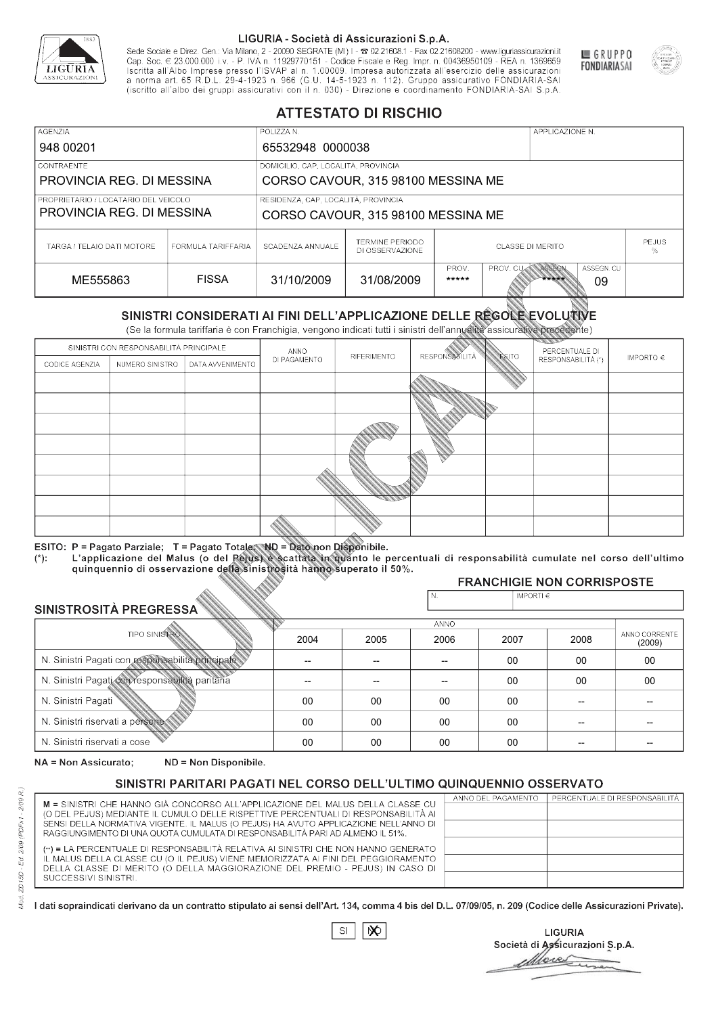

Sede Sociale e Direz. Gen.: Via Milano, 2 - 20090 SEGRATE (MI) I - 2 02.21608.1 - Fax 02.21608200 - www.liguriassicurazioni.it Sede e Direz, Gen. Via Milanto, 2 - 20090 SEGATE (MI) I - 2 UZZIODO. I - FAX UZZIODO2 I - WWW. IIJONENSURIADONILI<br>Cap. Soc. € 23.000.000 i.v. - P. IVA n. 11929770151 - Codice Fiscale e Reg. Impr. n. 00436950109 - REA n. 1



GRUPPO

**FONDIARIASAI** 

# **ATTESTATO DI RISCHIO**

| <b>AGENZIA</b>                                                                                                                                 |                    | POLIZZA N.                          |                                           |                                                                           |  | APPLICAZIONE N. |  |                   |
|------------------------------------------------------------------------------------------------------------------------------------------------|--------------------|-------------------------------------|-------------------------------------------|---------------------------------------------------------------------------|--|-----------------|--|-------------------|
| 948 00201                                                                                                                                      |                    | 65532948 0000038                    |                                           |                                                                           |  |                 |  |                   |
| <b>CONTRAENTE</b>                                                                                                                              |                    | DOMICILIO, CAP, LOCALITÀ, PROVINCIA |                                           |                                                                           |  |                 |  |                   |
| PROVINCIA REG. DI MESSINA                                                                                                                      |                    | CORSO CAVOUR, 315 98100 MESSINA ME  |                                           |                                                                           |  |                 |  |                   |
| RESIDENZA, CAP, LOCALITÀ, PROVINCIA<br>PROPRIETARIO / LOCATARIO DEL VEICOLO<br>PROVINCIA REG. DI MESSINA<br>CORSO CAVOUR, 315 98100 MESSINA ME |                    |                                     |                                           |                                                                           |  |                 |  |                   |
| TARGA / TELAIO DATI MOTORE                                                                                                                     | FORMULA TARIFFARIA | SCADENZA ANNUALE                    | <b>TERMINE PERIODO</b><br>DI OSSERVAZIONE | <b>CLASSE DI MERITO</b>                                                   |  |                 |  | <b>PEJUS</b><br>% |
| ME555863                                                                                                                                       | <b>FISSA</b>       | 31/10/2009                          | 31/08/2009                                | ASSEGN. CU<br>PROV.<br>ASSEGN<br><b>PROV. CUM</b><br>*****<br>*****<br>09 |  |                 |  |                   |

|                                                 |                                        |                                                                                                                                                                                                      |              | DI OSSERVAZIONE |                      |               |                                     | %                       |
|-------------------------------------------------|----------------------------------------|------------------------------------------------------------------------------------------------------------------------------------------------------------------------------------------------------|--------------|-----------------|----------------------|---------------|-------------------------------------|-------------------------|
| ME555863                                        |                                        | <b>FISSA</b>                                                                                                                                                                                         | 31/10/2009   | 31/08/2009      | PROV.<br>*****       | PROV. CU      | ASSEGN<br>ASSEGN, CU<br>*****<br>09 |                         |
|                                                 |                                        | SINISTRI CONSIDERATI AI FINI DELL'APPLICAZIONE DELLE RÉGOLE EVOLUTIVE<br>(Se la formula tariffaria è con Franchigia, vengono indicati tutti i sinistri dell'annualità assicurativa precedente)       |              |                 |                      |               |                                     |                         |
|                                                 | SINISTRI CON RESPONSABILITÀ PRINCIPALE |                                                                                                                                                                                                      | ANNO         |                 |                      |               | PERCENTUALE DI                      |                         |
| CODICE AGENZIA                                  | NUMERO SINISTRO                        | DATA AVVENIMENTO                                                                                                                                                                                     | DI PAGAMENTO | RIFERIMENTO     | <b>RESPONSABLITA</b> | <b>ESITO</b>  | RESPONSABILITÀ (*)                  | IMPORTO $\in$           |
|                                                 |                                        |                                                                                                                                                                                                      |              |                 |                      |               |                                     |                         |
|                                                 |                                        |                                                                                                                                                                                                      |              |                 |                      |               |                                     |                         |
|                                                 |                                        |                                                                                                                                                                                                      |              |                 |                      |               |                                     |                         |
|                                                 |                                        |                                                                                                                                                                                                      |              |                 |                      |               |                                     |                         |
|                                                 |                                        |                                                                                                                                                                                                      |              |                 |                      |               |                                     |                         |
|                                                 |                                        |                                                                                                                                                                                                      |              |                 |                      |               |                                     |                         |
|                                                 |                                        |                                                                                                                                                                                                      |              |                 |                      |               |                                     |                         |
|                                                 |                                        |                                                                                                                                                                                                      |              |                 |                      |               |                                     |                         |
|                                                 |                                        |                                                                                                                                                                                                      |              |                 |                      |               |                                     |                         |
|                                                 |                                        | ESITO: P = Pagato Parziale; T = Pagato Totale; ND = Dato non Disponibile.                                                                                                                            |              |                 |                      |               |                                     |                         |
| $(*)$ .                                         |                                        | L'applicazione del Malus (o del Pejus) è scattata in quanto le percentuali di responsabilità cumulate nel corso dell'ultimo<br>quinquennio di osservazione della sinistrosità hanno superato il 50%. |              |                 |                      |               |                                     |                         |
|                                                 |                                        |                                                                                                                                                                                                      |              |                 |                      |               | <b>FRANCHIGIE NON CORRISPOSTE</b>   |                         |
| SINISTROSITÀ PREGRESSA                          |                                        |                                                                                                                                                                                                      |              |                 | N.                   | IMPORTI $\in$ |                                     |                         |
|                                                 |                                        |                                                                                                                                                                                                      |              |                 | <b>ANNO</b>          |               |                                     |                         |
|                                                 | <b>TIPO SINISTRO</b>                   |                                                                                                                                                                                                      | 2004         | 2005            | 2006                 | 2007          | 2008                                | ANNO CORRENTE<br>(2009) |
|                                                 |                                        | N. Sinistri Pagati con responsabilità principale                                                                                                                                                     | --           | --              | $\overline{a}$       | 00            | 00                                  | 00                      |
| N. Sinistri Pagati con responsabilità paritaria |                                        |                                                                                                                                                                                                      |              |                 |                      | 00            | 00                                  | 00                      |
| N. Sinistri Pagati                              |                                        |                                                                                                                                                                                                      | 00           | 00              | 00                   | 00            | --                                  |                         |
| N. Sinistri riservati a persone                 |                                        |                                                                                                                                                                                                      | 00           | 00              | 00                   | 00            |                                     |                         |
| N. Sinjetri riconvoti a coco                    |                                        |                                                                                                                                                                                                      | $\cap$       | $\cap$          | $\cap$               | $\sim$        |                                     |                         |

### 2005 -- --  $0<sup>0</sup>$ 00 00 2004 -- --  $0<sup>0</sup>$ 00 00 2006 -- -- 00 00 00 2007 00 00 00 00 00 2008 00 00 -- -- -- 00 00 -- -- -- (2009)

NA = Non Assicurato: ND = Non Disponibile.

# SINISTRI PARITARI PAGATI NEL CORSO DELL'ULTIMO QUINQUENNIO OSSERVATO

|                                                                                      | ANNO DEL PAGAMENTO | PERCENTUALE DI RESPONSABILITÀ |
|--------------------------------------------------------------------------------------|--------------------|-------------------------------|
| M = SINISTRI CHE HANNO GIÀ CONCORSO ALL'APPLICAZIONE DEL MALUS DELLA CLASSE CU       |                    |                               |
| (O DEL PEJUS) MEDIANTE IL CUMULO DELLE RISPETTIVE PERCENTUALI DI RESPONSABILITÀ AI   |                    |                               |
| SENSI DELLA NORMATIVA VIGENTE. IL MALUS (O PEJUS) HA AVUTO APPLICAZIONE NELL'ANNO DI |                    |                               |
| RAGGIUNGIMENTO DI UNA QUOTA CUMULATA DI RESPONSABILITÀ PARI AD ALMENO IL 51%.        |                    |                               |
| (**) = LA PERCENTUALE DI RESPONSABILITÀ RELATIVA AI SINISTRI CHE NON HANNO GENERATO  |                    |                               |
|                                                                                      |                    |                               |
| IL MALUS DELLA CLASSE CU (O IL PEJUS) VIENE MEMORIZZATA AI FINI DEL PEGGIORAMENTO    |                    |                               |
| DELLA CLASSE DI MERITO (O DELLA MAGGIORAZIONE DEL PREMIO - PEJUS) IN CASO DI         |                    |                               |
| SUCCESSIVI SINISTRI.                                                                 |                    |                               |
|                                                                                      |                    |                               |

|--|

**LIGURIA** Società di Assicurazioni S.p.A. Move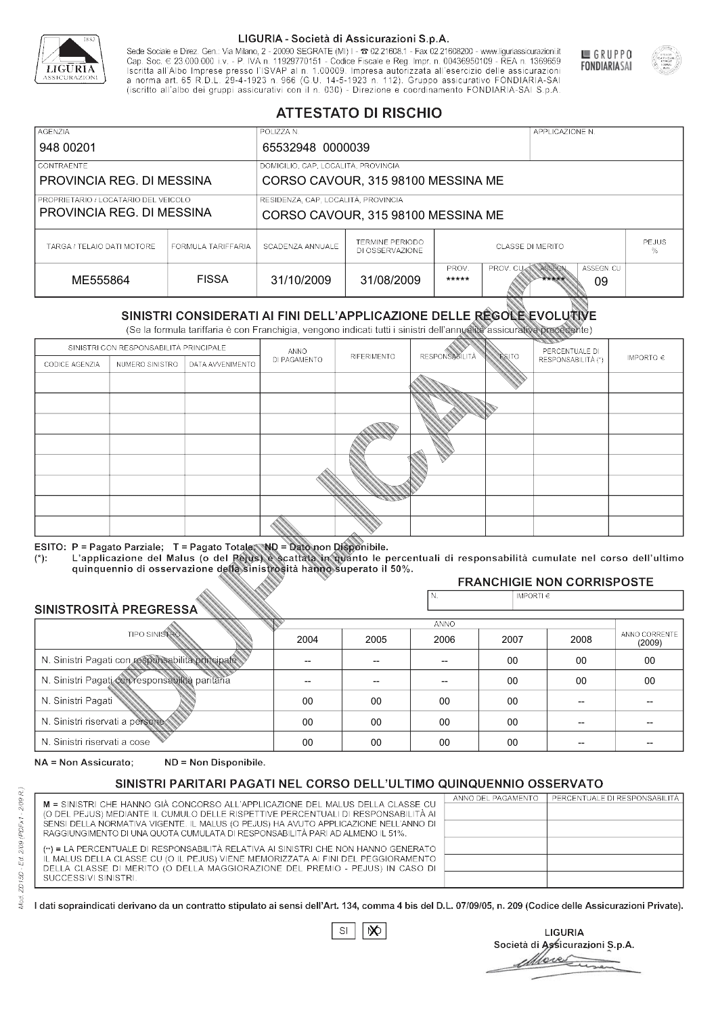

Sede Sociale e Direz. Gen.: Via Milano, 2 - 20090 SEGRATE (MI) I - 2 02.21608.1 - Fax 02.21608200 - www.liguriassicurazioni.it Sede e Direz, Gen. Via Milanto, 2 - 20090 SEGATE (MI) I - 2 UZZIODO. I - FAX UZZIODO2 I - WWW. IIJONENSURIADONILI<br>Cap. Soc. € 23.000.000 i.v. - P. IVA n. 11929770151 - Codice Fiscale e Reg. Impr. n. 00436950109 - REA n. 1



GRUPPO

**FONDIARIASAI** 

# **ATTESTATO DI RISCHIO**

| <b>AGENZIA</b>                                                                                                                                 |                    | POLIZZA N.                          |                                           |                                                                           |  | APPLICAZIONE N. |  |                   |
|------------------------------------------------------------------------------------------------------------------------------------------------|--------------------|-------------------------------------|-------------------------------------------|---------------------------------------------------------------------------|--|-----------------|--|-------------------|
| 948 00201                                                                                                                                      |                    | 65532948 0000039                    |                                           |                                                                           |  |                 |  |                   |
| <b>CONTRAENTE</b>                                                                                                                              |                    | DOMICILIO, CAP, LOCALITÀ, PROVINCIA |                                           |                                                                           |  |                 |  |                   |
| PROVINCIA REG. DI MESSINA                                                                                                                      |                    | CORSO CAVOUR, 315 98100 MESSINA ME  |                                           |                                                                           |  |                 |  |                   |
| RESIDENZA, CAP, LOCALITÀ, PROVINCIA<br>PROPRIETARIO / LOCATARIO DEL VEICOLO<br>PROVINCIA REG. DI MESSINA<br>CORSO CAVOUR, 315 98100 MESSINA ME |                    |                                     |                                           |                                                                           |  |                 |  |                   |
| TARGA / TELAIO DATI MOTORE                                                                                                                     | FORMULA TARIFFARIA | SCADENZA ANNUALE                    | <b>TERMINE PERIODO</b><br>DI OSSERVAZIONE | <b>CLASSE DI MERITO</b>                                                   |  |                 |  | <b>PEJUS</b><br>% |
| ME555864                                                                                                                                       | <b>FISSA</b>       | 31/10/2009                          | 31/08/2009                                | ASSEGN. CU<br>PROV.<br>ASSEGN<br><b>PROV. CUM</b><br>*****<br>*****<br>09 |  |                 |  |                   |

|                                                 |                                        |                                                                                                                                                                                                      |              | DI OSSERVAZIONE |                      |               |                                     | %                       |
|-------------------------------------------------|----------------------------------------|------------------------------------------------------------------------------------------------------------------------------------------------------------------------------------------------------|--------------|-----------------|----------------------|---------------|-------------------------------------|-------------------------|
| ME555864                                        |                                        | <b>FISSA</b>                                                                                                                                                                                         | 31/10/2009   | 31/08/2009      | PROV.<br>*****       | PROV. CU      | ASSEGN<br>ASSEGN. CU<br>*****<br>09 |                         |
|                                                 |                                        | SINISTRI CONSIDERATI AI FINI DELL'APPLICAZIONE DELLE RÉGOLE EVOLUTIVE<br>(Se la formula tariffaria è con Franchigia, vengono indicati tutti i sinistri dell'annualità assicurativa precedente)       |              |                 |                      |               |                                     |                         |
|                                                 | SINISTRI CON RESPONSABILITÀ PRINCIPALE |                                                                                                                                                                                                      | ANNO         |                 |                      |               | PERCENTUALE DI                      |                         |
| CODICE AGENZIA                                  | NUMERO SINISTRO                        | DATA AVVENIMENTO                                                                                                                                                                                     | DI PAGAMENTO | RIFERIMENTO     | <b>RESPONSABLITA</b> | <b>ESITO</b>  | RESPONSABILITÀ (*)                  | IMPORTO $\in$           |
|                                                 |                                        |                                                                                                                                                                                                      |              |                 |                      |               |                                     |                         |
|                                                 |                                        |                                                                                                                                                                                                      |              |                 |                      |               |                                     |                         |
|                                                 |                                        |                                                                                                                                                                                                      |              |                 |                      |               |                                     |                         |
|                                                 |                                        |                                                                                                                                                                                                      |              |                 |                      |               |                                     |                         |
|                                                 |                                        |                                                                                                                                                                                                      |              |                 |                      |               |                                     |                         |
|                                                 |                                        |                                                                                                                                                                                                      |              |                 |                      |               |                                     |                         |
|                                                 |                                        |                                                                                                                                                                                                      |              |                 |                      |               |                                     |                         |
|                                                 |                                        |                                                                                                                                                                                                      |              |                 |                      |               |                                     |                         |
|                                                 |                                        |                                                                                                                                                                                                      |              |                 |                      |               |                                     |                         |
|                                                 |                                        | ESITO: P = Pagato Parziale; T = Pagato Totale; ND = Dato non Disponibile.                                                                                                                            |              |                 |                      |               |                                     |                         |
| $(*)$ .                                         |                                        | L'applicazione del Malus (o del Pejus) è scattata in quanto le percentuali di responsabilità cumulate nel corso dell'ultimo<br>quinquennio di osservazione della sinistrosità hanno superato il 50%. |              |                 |                      |               |                                     |                         |
|                                                 |                                        |                                                                                                                                                                                                      |              |                 |                      |               | <b>FRANCHIGIE NON CORRISPOSTE</b>   |                         |
|                                                 |                                        |                                                                                                                                                                                                      |              |                 | N.                   | IMPORTI $\in$ |                                     |                         |
| SINISTROSITÀ PREGRESSA                          |                                        |                                                                                                                                                                                                      |              |                 | ANNO                 |               |                                     |                         |
|                                                 | <b>TIPO SINISTRO</b>                   |                                                                                                                                                                                                      | 2004         | 2005            | 2006                 | 2007          | 2008                                | ANNO CORRENTE<br>(2009) |
|                                                 |                                        | N. Sinistri Pagati con responsabilità principale                                                                                                                                                     | --           | --              | $\overline{a}$       | 00            | 00                                  | 00                      |
| N. Sinistri Pagati con responsabilità paritaria |                                        |                                                                                                                                                                                                      |              |                 |                      | 00            | 00                                  | 00                      |
| N. Sinistri Pagati                              |                                        |                                                                                                                                                                                                      | 00           | 00              | 00                   | 00            | --                                  |                         |
| N. Sinistri riservati a persone                 |                                        |                                                                                                                                                                                                      | 00           | 00              | 00                   | 00            |                                     |                         |
| N. Sinjetri riconvoti a coco                    |                                        |                                                                                                                                                                                                      | $\cap$       | $\cap$          | $\cap$               | $\sim$        |                                     |                         |

### 2005 -- --  $0<sup>0</sup>$ 00 00 2004 -- --  $0<sup>0</sup>$ 00 00 2006 -- -- 00 00 00 2007 00 00 00 00 00 2008 00 00 -- -- -- 00 00 -- -- -- (2009)

NA = Non Assicurato: ND = Non Disponibile.

# SINISTRI PARITARI PAGATI NEL CORSO DELL'ULTIMO QUINQUENNIO OSSERVATO

|                                                                                      | ANNO DEL PAGAMENTO | PERCENTUALE DI RESPONSABILITÀ |
|--------------------------------------------------------------------------------------|--------------------|-------------------------------|
| M = SINISTRI CHE HANNO GIÀ CONCORSO ALL'APPLICAZIONE DEL MALUS DELLA CLASSE CU       |                    |                               |
| (O DEL PEJUS) MEDIANTE IL CUMULO DELLE RISPETTIVE PERCENTUALI DI RESPONSABILITÀ AI   |                    |                               |
| SENSI DELLA NORMATIVA VIGENTE. IL MALUS (O PEJUS) HA AVUTO APPLICAZIONE NELL'ANNO DI |                    |                               |
| RAGGIUNGIMENTO DI UNA QUOTA CUMULATA DI RESPONSABILITÀ PARI AD ALMENO IL 51%.        |                    |                               |
| (**) = LA PERCENTUALE DI RESPONSABILITÀ RELATIVA AI SINISTRI CHE NON HANNO GENERATO  |                    |                               |
| IL MALUS DELLA CLASSE CU (O IL PEJUS) VIENE MEMORIZZATA AI FINI DEL PEGGIORAMENTO    |                    |                               |
| DELLA CLASSE DI MERITO (O DELLA MAGGIORAZIONE DEL PREMIO - PEJUS) IN CASO DI         |                    |                               |
| SUCCESSIVI SINISTRI.                                                                 |                    |                               |
|                                                                                      |                    |                               |

|--|

**LIGURIA** Società di Assicurazioni S.p.A. Move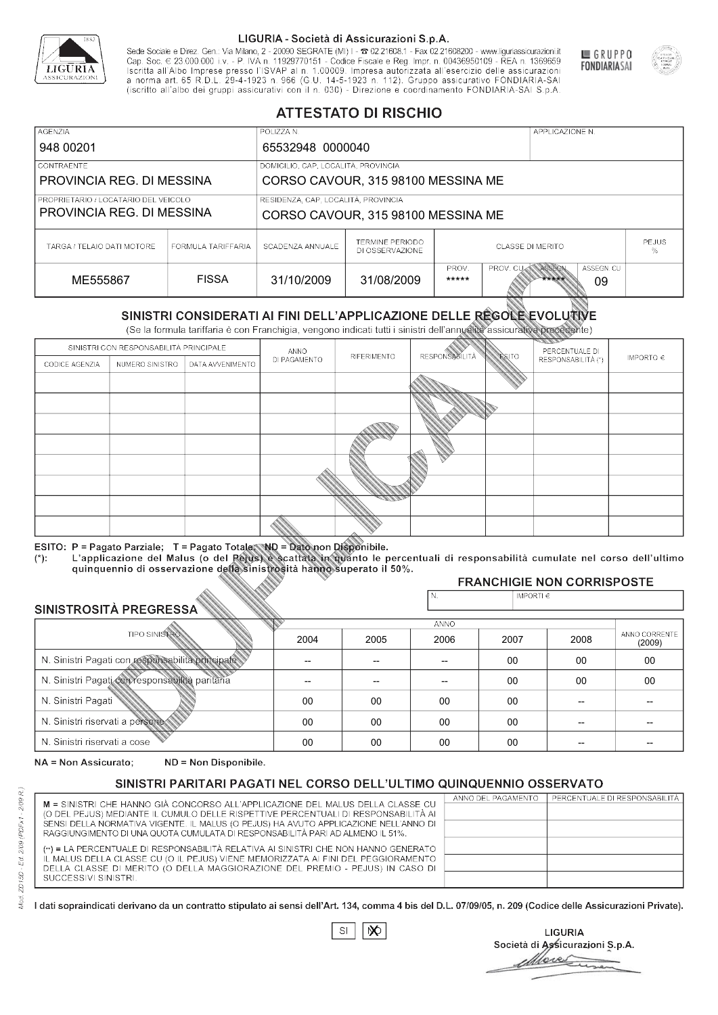

Sede Sociale e Direz. Gen.: Via Milano, 2 - 20090 SEGRATE (MI) I - 2 02.21608.1 - Fax 02.21608200 - www.liguriassicurazioni.it Cap. Soc.  $\in$  23.000.000 i.v. - P. IVA n. 11929770151 - Codice Fiscale e Reg. Impr. n. 00436950109 - REA n. 1369659<br>Iscritta all'Albo Imprese presso l'ISVAP al n. 1.00009. Impresa autorizzata all'esercizio delle assicura d homa art. 65 K.D.L. 29-4-1923 ft. 900 (G.O. 14-5-1923 ft. 112). Gruppo assicurativo PONDIARIA-SAI S.p.A



GRUPPO

**FONDIARIASAI** 

# **ATTESTATO DI RISCHIO**

| <b>AGENZIA</b>                       |                    | POLIZZA N.                          |                                           |                                                                   |  | APPLICAZIONE N. |  |                   |
|--------------------------------------|--------------------|-------------------------------------|-------------------------------------------|-------------------------------------------------------------------|--|-----------------|--|-------------------|
| 948 00201                            |                    | 65532948 0000040                    |                                           |                                                                   |  |                 |  |                   |
| LCONTRAENTE                          |                    | DOMICILIO, CAP, LOCALITÀ, PROVINCIA |                                           |                                                                   |  |                 |  |                   |
| PROVINCIA REG. DI MESSINA            |                    | CORSO CAVOUR, 315 98100 MESSINA ME  |                                           |                                                                   |  |                 |  |                   |
| PROPRIETARIO / LOCATARIO DEL VEICOLO |                    | RESIDENZA, CAP, LOCALITÀ, PROVINCIA |                                           |                                                                   |  |                 |  |                   |
| PROVINCIA REG. DI MESSINA            |                    | CORSO CAVOUR, 315 98100 MESSINA ME  |                                           |                                                                   |  |                 |  |                   |
| TARGA / TELAIO DATI MOTORE           | FORMULA TARIFFARIA | SCADENZA ANNUALE                    | <b>TERMINE PERIODO</b><br>DI OSSERVAZIONE | <b>CLASSE DI MERITO</b>                                           |  |                 |  | <b>PEJUS</b><br>% |
| ME555867                             | <b>FISSA</b>       | 31/10/2009                          | 31/08/2009                                | PROV.<br>ASSEGN<br>ASSEGN. CU<br>PROV. CU<br>*****<br>*****<br>09 |  |                 |  |                   |

|                                                  |                                        |                                                                                                                                                                                                      |                          | DI OSSERVAZIONE          |                       |                    |                                     | ℅                       |
|--------------------------------------------------|----------------------------------------|------------------------------------------------------------------------------------------------------------------------------------------------------------------------------------------------------|--------------------------|--------------------------|-----------------------|--------------------|-------------------------------------|-------------------------|
|                                                  | <b>FISSA</b><br>ME555867               |                                                                                                                                                                                                      | 31/10/2009               | 31/08/2009               | PROV.<br>*****        | PROV. CU           | ASSEGN<br>ASSEGN. CU<br>*****<br>09 |                         |
|                                                  |                                        | SINISTRI CONSIDERATI AI FINI DELL'APPLICAZIONE DELLE REGOLE EVOLUTIVE<br>(Se la formula tariffaria è con Franchigia, vengono indicati tutti i sinistri dell'annualità assicurativa precedente)       |                          |                          |                       |                    |                                     |                         |
|                                                  | SINISTRI CON RESPONSABILITÀ PRINCIPALE |                                                                                                                                                                                                      | ANNO                     |                          |                       |                    | PERCENTUALE DI                      |                         |
| CODICE AGENZIA                                   | NUMERO SINISTRO                        | DATA AVVENIMENTO                                                                                                                                                                                     | DI PAGAMENTO             | RIFERIMENTO              | <b>RESPONSABILITÀ</b> | <b>ESITO</b>       | RESPONSABILITÀ (*)                  | IMPORTO $\in$           |
|                                                  |                                        |                                                                                                                                                                                                      |                          |                          |                       |                    |                                     |                         |
|                                                  |                                        |                                                                                                                                                                                                      |                          |                          |                       |                    |                                     |                         |
|                                                  |                                        |                                                                                                                                                                                                      |                          |                          |                       |                    |                                     |                         |
|                                                  |                                        |                                                                                                                                                                                                      |                          |                          |                       |                    |                                     |                         |
|                                                  |                                        |                                                                                                                                                                                                      |                          |                          |                       |                    |                                     |                         |
|                                                  |                                        |                                                                                                                                                                                                      |                          |                          |                       |                    |                                     |                         |
|                                                  |                                        |                                                                                                                                                                                                      |                          |                          |                       |                    |                                     |                         |
|                                                  |                                        |                                                                                                                                                                                                      |                          |                          |                       |                    |                                     |                         |
|                                                  |                                        |                                                                                                                                                                                                      |                          |                          |                       |                    |                                     |                         |
|                                                  |                                        | ESITO: P = Pagato Parziale; T = Pagato Totale; ND = Dato non Disponibile.                                                                                                                            |                          |                          |                       |                    |                                     |                         |
| $(*)$ .                                          |                                        | L'applicazione del Malus (o del Pejus) è scattata in quanto le percentuali di responsabilità cumulate nel corso dell'ultimo<br>quinquennio di osservazione della sinistrosità hanno superato il 50%. |                          |                          |                       |                    |                                     |                         |
|                                                  |                                        |                                                                                                                                                                                                      |                          |                          |                       |                    | <b>FRANCHIGIE NON CORRISPOSTE</b>   |                         |
|                                                  |                                        |                                                                                                                                                                                                      |                          |                          | N.                    | IMPORTI $\epsilon$ |                                     |                         |
| SINISTROSITÀ PREGRESSA                           |                                        |                                                                                                                                                                                                      |                          |                          | ANNO                  |                    |                                     |                         |
|                                                  | <b>TIPO SINISTRO</b>                   |                                                                                                                                                                                                      | 2004                     | 2005                     | 2006                  | 2007               | 2008                                | ANNO CORRENTE<br>(2009) |
| N. Sinistri Pagati con responsabilità principale |                                        |                                                                                                                                                                                                      | $\overline{\phantom{0}}$ | $\overline{\phantom{a}}$ | $-$                   | $00 \,$            | 00                                  | 00                      |
| N. Sinistri Pagati con responsabilità paritaria  |                                        |                                                                                                                                                                                                      |                          |                          |                       | 00                 | 00                                  | 00                      |
| N. Sinistri Pagati                               |                                        |                                                                                                                                                                                                      | 00                       | 00                       | 00                    | $00\,$             |                                     |                         |
| N. Sinistri riservati a persone                  |                                        |                                                                                                                                                                                                      | 00                       | 00                       | 00                    | 00                 |                                     |                         |
| N. Sinjetri riconvoti a coco                     |                                        |                                                                                                                                                                                                      | $\cap$                   | $\cap$                   | $\cap$                | $\cap$             |                                     |                         |

### 2005 -- --  $0<sup>0</sup>$ 00 00 2004 -- --  $0<sup>0</sup>$ 00 00 2006 -- -- 00 00 00 2007 00 00 00 00 00 2008 00 00 -- -- -- 00 00 -- -- -- (2009)

NA = Non Assicurato: ND = Non Disponibile.

# SINISTRI PARITARI PAGATI NEL CORSO DELL'ULTIMO QUINQUENNIO OSSERVATO

|                                                                                                                                                                      | ANNO DEL PAGAMENTO | PERCENTUALE DI RESPONSABILITÀ |
|----------------------------------------------------------------------------------------------------------------------------------------------------------------------|--------------------|-------------------------------|
| M = SINISTRI CHE HANNO GIÀ CONCORSO ALL'APPLICAZIONE DEL MALUS DELLA CLASSE CU<br>(O DEL PEJUS) MEDIANTE IL CUMULO DELLE RISPETTIVE PERCENTUALI DI RESPONSABILITÀ AI |                    |                               |
| SENSI DELLA NORMATIVA VIGENTE. IL MALUS (O PEJUS) HA AVUTO APPLICAZIONE NELL'ANNO DI                                                                                 |                    |                               |
| RAGGIUNGIMENTO DI UNA QUOTA CUMULATA DI RESPONSABILITÀ PARI AD ALMENO IL 51%.                                                                                        |                    |                               |
|                                                                                                                                                                      |                    |                               |
| (**) = LA PERCENTUALE DI RESPONSABILITÀ RELATIVA AI SINISTRI CHE NON HANNO GENERATO                                                                                  |                    |                               |
| IL MALUS DELLA CLASSE CU (O IL PEJUS) VIENE MEMORIZZATA AI FINI DEL PEGGIORAMENTO                                                                                    |                    |                               |
| DELLA CLASSE DI MERITO (O DELLA MAGGIORAZIONE DEL PREMIO - PEJUS) IN CASO DI                                                                                         |                    |                               |
| SUCCESSIVI SINISTRI.                                                                                                                                                 |                    |                               |
|                                                                                                                                                                      |                    |                               |

 $\mathbb{S}\mathsf{I}$  $\infty$ 

**LIGURIA** Società di Assicurazioni S.p.A. Move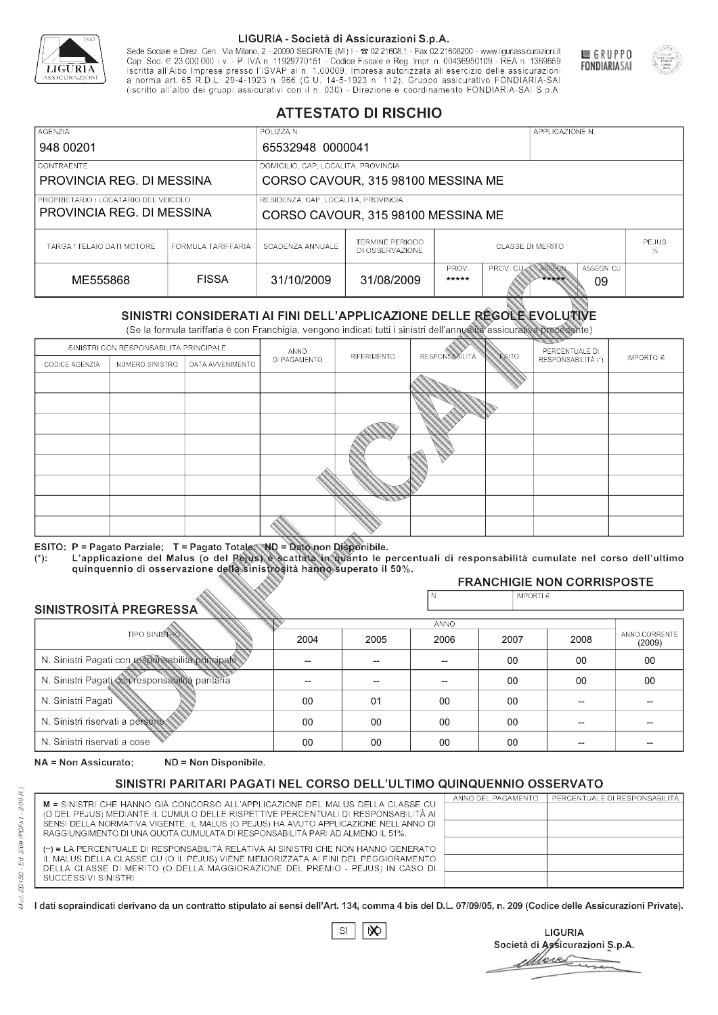

Sede Sociale e Direz. Gen.: Via Milano, 2 - 20090 SEGRATE (MI) I - 2 02.21608.1 - Fax 02.21608200 - www.liguriassicurazioni.it Cap. Soc.  $\in$  23.000.000 i.v. - P. IVA n. 11929770151 - Codice Fiscale e Reg. Impr. n. 00436950109 - REA n. 1369659<br>Iscritta all'Albo Imprese presso l'ISVAP al n. 1.00009. Impresa autorizzata all'esercizio delle assicura d homa art. 65 K.D.L. 29-4-1923 ft. 900 (G.O. 14-5-1923 ft. 112). Gruppo assicurativo PONDIARIA-SAI S.p.A



GRUPPO

**FONDIARIASAI** 

# **ATTESTATO DI RISCHIO**

| <b>AGENZIA</b>                                                    |                    | POLIZZA N.                                                                |                                           |                                                                   |  | APPLICAZIONE N. |              |  |
|-------------------------------------------------------------------|--------------------|---------------------------------------------------------------------------|-------------------------------------------|-------------------------------------------------------------------|--|-----------------|--------------|--|
| 948 00201                                                         |                    |                                                                           | 65532948 0000041                          |                                                                   |  |                 |              |  |
| LCONTRAENTE.                                                      |                    | DOMICILIO, CAP, LOCALITÀ, PROVINCIA                                       |                                           |                                                                   |  |                 |              |  |
| PROVINCIA REG. DI MESSINA                                         |                    |                                                                           | CORSO CAVOUR, 315 98100 MESSINA ME        |                                                                   |  |                 |              |  |
| PROPRIETARIO / LOCATARIO DEL VEICOLO<br>PROVINCIA REG. DI MESSINA |                    | RESIDENZA, CAP, LOCALITÀ, PROVINCIA<br>CORSO CAVOUR, 315 98100 MESSINA ME |                                           |                                                                   |  |                 |              |  |
| TARGA / TELAIO DATI MOTORE                                        | FORMULA TARIFFARIA | SCADENZA ANNUALE                                                          | <b>TERMINE PERIODO</b><br>DI OSSERVAZIONE | CLASSE DI MERITO<br>℅                                             |  |                 | <b>PEJUS</b> |  |
| ME555868                                                          | <b>FISSA</b>       | 31/10/2009                                                                | 31/08/2009                                | ASSEGN<br>ASSEGN. CU<br>PROV.<br>PROV. CU<br>*****<br>*****<br>09 |  |                 |              |  |

|                                                  |                                        |                                                                                                                                                                                                |              | DI OSSERVAZIONE |                          | 257005 DH IVISI VITO |                                     | %             |
|--------------------------------------------------|----------------------------------------|------------------------------------------------------------------------------------------------------------------------------------------------------------------------------------------------|--------------|-----------------|--------------------------|----------------------|-------------------------------------|---------------|
| ME555868                                         |                                        | <b>FISSA</b>                                                                                                                                                                                   | 31/10/2009   | 31/08/2009      | PROV.<br>*****           | PROV. CU             | ASSEGN<br>ASSEGN. CU<br>*****<br>09 |               |
|                                                  |                                        | SINISTRI CONSIDERATI AI FINI DELL'APPLICAZIONE DELLE REGOLE EVOLUTIVE<br>(Se la formula tariffaria è con Franchigia, vengono indicati tutti i sinistri dell'annualità assicurativa precedente) |              |                 |                          |                      |                                     |               |
|                                                  | SINISTRI CON RESPONSABILITÀ PRINCIPALE |                                                                                                                                                                                                | ANNO         |                 |                          |                      | PERCENTUALE DI                      |               |
| CODICE AGENZIA                                   | NUMERO SINISTRO<br>DATA AVVENIMENTO    |                                                                                                                                                                                                | DI PAGAMENTO | RIFERIMENTO     | <b>RESPONSABLITÀ</b>     | <b>ESITO</b>         | RESPONSABILITÀ (*)                  | IMPORTO $\in$ |
|                                                  |                                        |                                                                                                                                                                                                |              |                 |                          |                      |                                     |               |
|                                                  |                                        |                                                                                                                                                                                                |              |                 |                          |                      |                                     |               |
|                                                  |                                        |                                                                                                                                                                                                |              |                 |                          |                      |                                     |               |
|                                                  |                                        |                                                                                                                                                                                                |              |                 |                          |                      |                                     |               |
|                                                  |                                        |                                                                                                                                                                                                |              |                 |                          |                      |                                     |               |
|                                                  |                                        |                                                                                                                                                                                                |              |                 |                          |                      |                                     |               |
|                                                  |                                        |                                                                                                                                                                                                |              |                 |                          |                      |                                     |               |
|                                                  |                                        |                                                                                                                                                                                                |              |                 |                          |                      |                                     |               |
|                                                  |                                        |                                                                                                                                                                                                |              |                 |                          |                      |                                     |               |
|                                                  |                                        | ESITO: P = Pagato Parziale; T = Pagato Totale; ND = Dato non Disponibile.                                                                                                                      |              |                 |                          |                      |                                     |               |
| $(*)$ .                                          |                                        | L'applicazione del Malus (o del Pejus) è scattata in quanto le percentuali di responsabilità cumulate nel corso dell'ultimo                                                                    |              |                 |                          |                      |                                     |               |
|                                                  |                                        | quinquennio di osservazione della sinistrosità hanno superato il 50%.                                                                                                                          |              |                 |                          |                      | <b>FRANCHIGIE NON CORRISPOSTE</b>   |               |
|                                                  |                                        |                                                                                                                                                                                                |              |                 | N.                       | IMPORTI€             |                                     |               |
| SINISTROSITÀ PREGRESSA                           |                                        |                                                                                                                                                                                                |              |                 |                          |                      |                                     |               |
|                                                  | <b>TIPO SINISTRO</b>                   |                                                                                                                                                                                                |              |                 | <b>ANNO</b>              |                      |                                     | ANNO CORRENTE |
|                                                  |                                        |                                                                                                                                                                                                | 2004         | 2005            | 2006                     | 2007                 | 2008                                | (2009)        |
| N. Sinistri Pagati con responsabilità principale |                                        |                                                                                                                                                                                                |              | --              | $\overline{\phantom{a}}$ | 00                   | 00                                  | 00            |
| N. Sinistri Pagati con responsabilità paritaria  |                                        |                                                                                                                                                                                                |              |                 |                          | 00                   | 00                                  | 00            |
| N. Sinistri Pagati                               |                                        |                                                                                                                                                                                                | 00           | 01              | 00                       | 00                   |                                     |               |
| N. Sinistri riservati a persone-                 |                                        |                                                                                                                                                                                                | 00           | 00              | 00                       | $00 \,$              |                                     |               |
| N. Sinjetri riconvoti a coco                     |                                        |                                                                                                                                                                                                | $\cap$       | $\cap$          | $\sim$                   | $\cap$               |                                     |               |

### 2005 -- -- 01 00 00 2004 -- --  $0<sup>0</sup>$ 00 00 2006 -- -- 00 00 00 2007 00 00 00 00 00 2008 00 00 -- -- -- 00 00 -- -- -- (2009)

NA = Non Assicurato: ND = Non Disponibile.

# SINISTRI PARITARI PAGATI NEL CORSO DELL'ULTIMO QUINQUENNIO OSSERVATO

|                                                                                      | ANNO DEL PAGAMENTO | PERCENTUALE DI RESPONSABILITÀ |
|--------------------------------------------------------------------------------------|--------------------|-------------------------------|
| M = SINISTRI CHE HANNO GIÀ CONCORSO ALL'APPLICAZIONE DEL MALUS DELLA CLASSE CU       |                    |                               |
| (O DEL PEJUS) MEDIANTE IL CUMULO DELLE RISPETTIVE PERCENTUALI DI RESPONSABILITÀ AI   |                    |                               |
| SENSI DELLA NORMATIVA VIGENTE. IL MALUS (O PEJUS) HA AVUTO APPLICAZIONE NELL'ANNO DI |                    |                               |
| RAGGIUNGIMENTO DI UNA QUOTA CUMULATA DI RESPONSABILITÀ PARI AD ALMENO IL 51%.        |                    |                               |
| (**) = LA PERCENTUALE DI RESPONSABILITÀ RELATIVA AI SINISTRI CHE NON HANNO GENERATO  |                    |                               |
| IL MALUS DELLA CLASSE CU (O IL PEJUS) VIENE MEMORIZZATA AI FINI DEL PEGGIORAMENTO    |                    |                               |
| DELLA CLASSE DI MERITO (O DELLA MAGGIORAZIONE DEL PREMIO - PEJUS) IN CASO DI         |                    |                               |
| SUCCESSIVI SINISTRI.                                                                 |                    |                               |
|                                                                                      |                    |                               |

 $\mathbb{S}\mathsf{I}$  $\infty$ 

**LIGURIA** Società di Assicurazioni S.p.A. Move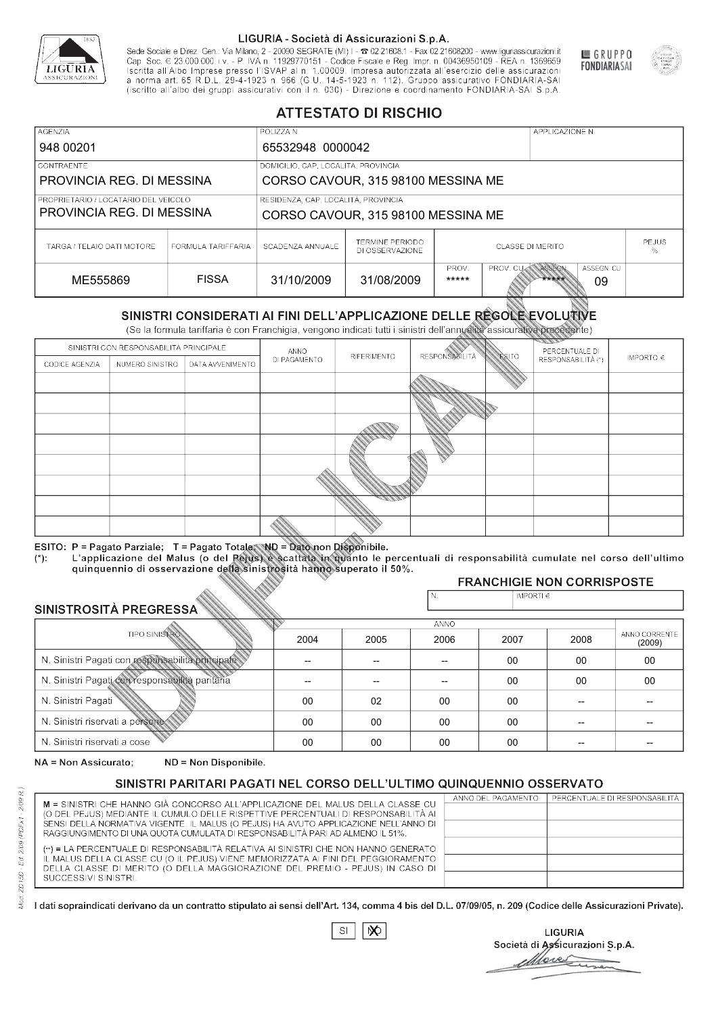

Sede Sociale e Direz. Gen.: Via Milano, 2 - 20090 SEGRATE (MI) I - 2 02.21608.1 - Fax 02.21608200 - www.liguriassicurazioni.it Sede e Direz, Gen. Via Milanto, 2 - 20090 SEGATE (MI) I - 2 UZZIODO. I - FAX UZZIODO2 I - WWW. IIJONENSURIADONILI<br>Cap. Soc. € 23.000.000 i.v. - P. IVA n. 11929770151 - Codice Fiscale e Reg. Impr. n. 00436950109 - REA n. 1



GRUPPO

**FONDIARIASAI** 

# **ATTESTATO DI RISCHIO**

| <b>AGENZIA</b>                                                                                                |                    | POLIZZA N.                          |                                           |                              |                  | APPLICAZIONE N. |              |  |
|---------------------------------------------------------------------------------------------------------------|--------------------|-------------------------------------|-------------------------------------------|------------------------------|------------------|-----------------|--------------|--|
| 948 00201                                                                                                     |                    |                                     | 65532948 0000042                          |                              |                  |                 |              |  |
| LCONTRAENTE.                                                                                                  |                    | DOMICILIO, CAP, LOCALITÀ, PROVINCIA |                                           |                              |                  |                 |              |  |
| PROVINCIA REG. DI MESSINA                                                                                     |                    |                                     | CORSO CAVOUR, 315 98100 MESSINA ME        |                              |                  |                 |              |  |
| PROPRIETARIO / LOCATARIO DEL VEICOLO                                                                          |                    | RESIDENZA, CAP, LOCALITÀ, PROVINCIA |                                           |                              |                  |                 |              |  |
| PROVINCIA REG. DI MESSINA                                                                                     |                    | CORSO CAVOUR, 315 98100 MESSINA ME  |                                           |                              |                  |                 |              |  |
| TARGA / TELAIO DATI MOTORE                                                                                    | FORMULA TARIFFARIA | SCADENZA ANNUALE                    | <b>TERMINE PERIODO</b><br>DI OSSERVAZIONE | <b>CLASSE DI MERITO</b><br>% |                  |                 | <b>PEJUS</b> |  |
| PROV.<br>ASSEGN<br><b>PROV. CUM</b><br><b>FISSA</b><br>31/10/2009<br>31/08/2009<br>ME555869<br>*****<br>***** |                    |                                     |                                           |                              | ASSEGN. CU<br>09 |                 |              |  |

|                                                  |                                        |                                                                                                                                                                                                      |                          | DI OSSERVAZIONE          |                       |                    |                                     | ℅                       |
|--------------------------------------------------|----------------------------------------|------------------------------------------------------------------------------------------------------------------------------------------------------------------------------------------------------|--------------------------|--------------------------|-----------------------|--------------------|-------------------------------------|-------------------------|
| ME555869                                         |                                        | <b>FISSA</b>                                                                                                                                                                                         | 31/10/2009               | 31/08/2009               | PROV.<br>*****        | PROV. CU           | ASSEGN<br>ASSEGN. CU<br>*****<br>09 |                         |
|                                                  |                                        | SINISTRI CONSIDERATI AI FINI DELL'APPLICAZIONE DELLE REGOLE EVOLUTIVE<br>(Se la formula tariffaria è con Franchigia, vengono indicati tutti i sinistri dell'annualità assicurativa precedente)       |                          |                          |                       |                    |                                     |                         |
|                                                  | SINISTRI CON RESPONSABILITÀ PRINCIPALE |                                                                                                                                                                                                      | ANNO                     |                          |                       |                    | PERCENTUALE DI                      |                         |
| CODICE AGENZIA                                   | NUMERO SINISTRO                        | DATA AVVENIMENTO                                                                                                                                                                                     | DI PAGAMENTO             | RIFERIMENTO              | <b>RESPONSABILITÀ</b> | <b>ESITO</b>       | RESPONSABILITÀ (*)                  | IMPORTO $\in$           |
|                                                  |                                        |                                                                                                                                                                                                      |                          |                          |                       |                    |                                     |                         |
|                                                  |                                        |                                                                                                                                                                                                      |                          |                          |                       |                    |                                     |                         |
|                                                  |                                        |                                                                                                                                                                                                      |                          |                          |                       |                    |                                     |                         |
|                                                  |                                        |                                                                                                                                                                                                      |                          |                          |                       |                    |                                     |                         |
|                                                  |                                        |                                                                                                                                                                                                      |                          |                          |                       |                    |                                     |                         |
|                                                  |                                        |                                                                                                                                                                                                      |                          |                          |                       |                    |                                     |                         |
|                                                  |                                        |                                                                                                                                                                                                      |                          |                          |                       |                    |                                     |                         |
|                                                  |                                        |                                                                                                                                                                                                      |                          |                          |                       |                    |                                     |                         |
|                                                  |                                        |                                                                                                                                                                                                      |                          |                          |                       |                    |                                     |                         |
|                                                  |                                        | ESITO: P = Pagato Parziale; T = Pagato Totale; ND = Dato non Disponibile.                                                                                                                            |                          |                          |                       |                    |                                     |                         |
| $(*)$ .                                          |                                        | L'applicazione del Malus (o del Pejus) è scattata in quanto le percentuali di responsabilità cumulate nel corso dell'ultimo<br>quinquennio di osservazione della sinistrosità hanno superato il 50%. |                          |                          |                       |                    |                                     |                         |
|                                                  |                                        |                                                                                                                                                                                                      |                          |                          |                       |                    | <b>FRANCHIGIE NON CORRISPOSTE</b>   |                         |
|                                                  |                                        |                                                                                                                                                                                                      |                          |                          | N.                    | IMPORTI $\epsilon$ |                                     |                         |
| SINISTROSITÀ PREGRESSA                           |                                        |                                                                                                                                                                                                      |                          |                          | ANNO                  |                    |                                     |                         |
|                                                  | <b>TIPO SINISTRO</b>                   |                                                                                                                                                                                                      | 2004                     | 2005                     | 2006                  | 2007               | 2008                                | ANNO CORRENTE<br>(2009) |
| N. Sinistri Pagati con responsabilità principale |                                        |                                                                                                                                                                                                      | $\overline{\phantom{0}}$ | $\overline{\phantom{a}}$ | $-$                   | $00 \,$            | 00                                  | 00                      |
| N. Sinistri Pagati con responsabilità paritaria  |                                        |                                                                                                                                                                                                      |                          |                          |                       | 00                 | 00                                  | 00                      |
| N. Sinistri Pagati                               |                                        |                                                                                                                                                                                                      | 00                       | 02                       | 00                    | $00\,$             |                                     |                         |
| N. Sinistri riservati a persone                  |                                        |                                                                                                                                                                                                      | 00                       | 00                       | 00                    | 00                 |                                     |                         |
| N. Sinjetri riconvoti a coco                     |                                        |                                                                                                                                                                                                      | $\cap$                   | $\cap$                   | $\cap$                | $\cap$             |                                     |                         |

| SINISTROSITÀ PREGRESSA                           | N.   | IMPORTI $\epsilon$ |             |      |      |                         |
|--------------------------------------------------|------|--------------------|-------------|------|------|-------------------------|
|                                                  |      |                    | <b>ANNO</b> |      |      |                         |
| <b>TIPO SINISTRO</b>                             | 2004 | 2005               | 2006        | 2007 | 2008 | ANNO CORRENTE<br>(2009) |
| N. Sinistri Pagati con responsabilità principale |      | --                 |             | 00   | 00   | 00                      |
| N. Sinistri Pagati con responsabilità paritaria  |      | --                 |             | 00   | 00   | 00                      |
| N. Sinistri Pagati                               | 00   | 02                 | 00          | 00   |      |                         |
| N. Sinistri riservati a persone                  | 00   | 00                 | 00          | 00   |      |                         |
| N. Sinistri riservati a cose                     | 00   | 00                 | 00          | 00   |      |                         |

NA = Non Assicurato: ND = Non Disponibile.

# SINISTRI PARITARI PAGATI NEL CORSO DELL'ULTIMO QUINQUENNIO OSSERVATO

|                                                                                                                                                                      | ANNO DEL PAGAMENTO | PERCENTUALE DI RESPONSABILITÀ |
|----------------------------------------------------------------------------------------------------------------------------------------------------------------------|--------------------|-------------------------------|
| M = SINISTRI CHE HANNO GIÀ CONCORSO ALL'APPLICAZIONE DEL MALUS DELLA CLASSE CU<br>(O DEL PEJUS) MEDIANTE IL CUMULO DELLE RISPETTIVE PERCENTUALI DI RESPONSABILITÀ AI |                    |                               |
| SENSI DELLA NORMATIVA VIGENTE. IL MALUS (O PEJUS) HA AVUTO APPLICAZIONE NELL'ANNO DI                                                                                 |                    |                               |
| RAGGIUNGIMENTO DI UNA QUOTA CUMULATA DI RESPONSABILITÀ PARI AD ALMENO IL 51%.                                                                                        |                    |                               |
|                                                                                                                                                                      |                    |                               |
| (**) = LA PERCENTUALE DI RESPONSABILITÀ RELATIVA AI SINISTRI CHE NON HANNO GENERATO                                                                                  |                    |                               |
| IL MALUS DELLA CLASSE CU (O IL PEJUS) VIENE MEMORIZZATA AI FINI DEL PEGGIORAMENTO                                                                                    |                    |                               |
| DELLA CLASSE DI MERITO (O DELLA MAGGIORAZIONE DEL PREMIO - PEJUS) IN CASO DI                                                                                         |                    |                               |
| SUCCESSIVI SINISTRI.                                                                                                                                                 |                    |                               |
|                                                                                                                                                                      |                    |                               |

 $SI$  $\infty$ 

**LIGURIA** Società di Assicurazioni S.p.A. More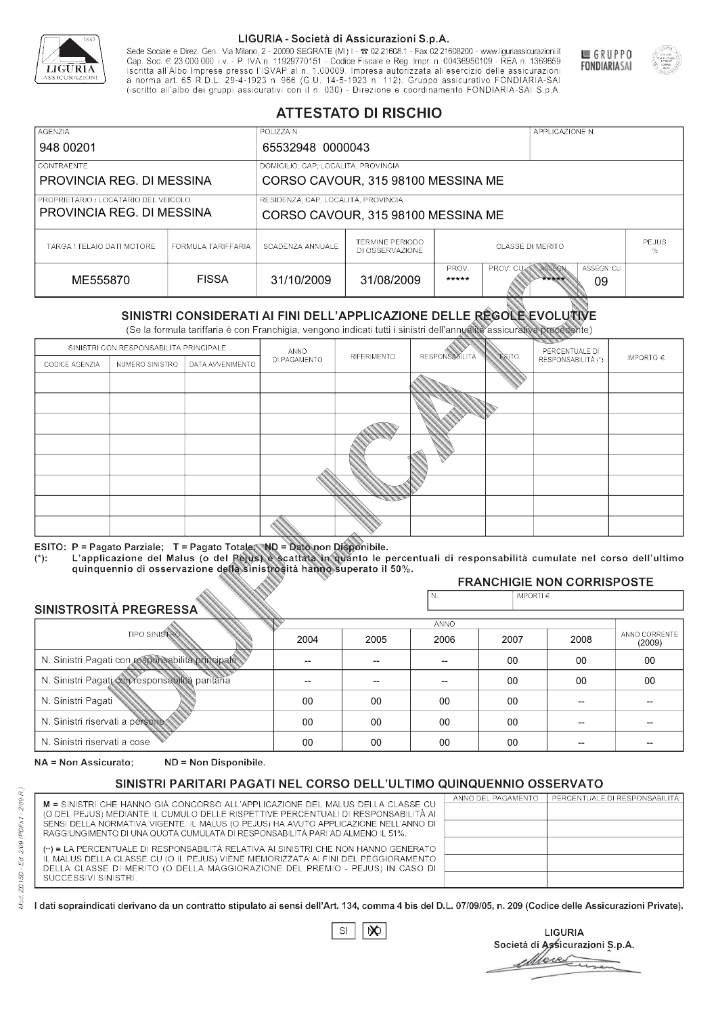

Sede Sociale e Direz. Gen.: Via Milano, 2 - 20090 SEGRATE (MI) I - 2 02.21608.1 - Fax 02.21608200 - www.liguriassicurazioni.it Cap. Soc.  $\in$  23.000.000 i.v. - P. IVA n. 11929770151 - Codice Fiscale e Reg. Impr. n. 00436950109 - REA n. 1369659<br>Iscritta all'Albo Imprese presso l'ISVAP al n. 1.00009. Impresa autorizzata all'esercizio delle assicura d homa art. 65 K.D.L. 29-4-1923 ft. 900 (G.O. 14-5-1923 ft. 112). Gruppo assicurativo PONDIARIA-SAI S.p.A



GRUPPO

**FONDIARIASAI** 

# **ATTESTATO DI RISCHIO**

| <b>AGENZIA</b>                                                    |                                                                                                   | POLIZZA N.                                                                |                                           |                              | APPLICAZIONE N.  |  |              |  |
|-------------------------------------------------------------------|---------------------------------------------------------------------------------------------------|---------------------------------------------------------------------------|-------------------------------------------|------------------------------|------------------|--|--------------|--|
| 948 00201                                                         |                                                                                                   | 65532948 0000043                                                          |                                           |                              |                  |  |              |  |
| LCONTRAENTE.                                                      |                                                                                                   | DOMICILIO, CAP, LOCALITÀ, PROVINCIA                                       |                                           |                              |                  |  |              |  |
| PROVINCIA REG. DI MESSINA                                         |                                                                                                   |                                                                           | CORSO CAVOUR, 315 98100 MESSINA ME        |                              |                  |  |              |  |
| PROPRIETARIO / LOCATARIO DEL VEICOLO<br>PROVINCIA REG. DI MESSINA |                                                                                                   | RESIDENZA, CAP, LOCALITÀ, PROVINCIA<br>CORSO CAVOUR, 315 98100 MESSINA ME |                                           |                              |                  |  |              |  |
| TARGA / TELAIO DATI MOTORE                                        | FORMULA TARIFFARIA                                                                                | SCADENZA ANNUALE                                                          | <b>TERMINE PERIODO</b><br>DI OSSERVAZIONE | <b>CLASSE DI MERITO</b><br>% |                  |  | <b>PEJUS</b> |  |
| ME555870                                                          | PROV.<br>ASSEGN<br><b>PROV. CUM</b><br><b>FISSA</b><br>31/10/2009<br>31/08/2009<br>*****<br>***** |                                                                           |                                           |                              | ASSEGN. CU<br>09 |  |              |  |

|                                                  |                                        |                                                                                                                                                                                                      |                          | DI OSSERVAZIONE          |                       |                    |                                     | ℅                       |
|--------------------------------------------------|----------------------------------------|------------------------------------------------------------------------------------------------------------------------------------------------------------------------------------------------------|--------------------------|--------------------------|-----------------------|--------------------|-------------------------------------|-------------------------|
| ME555870                                         |                                        | <b>FISSA</b>                                                                                                                                                                                         | 31/10/2009               | 31/08/2009               | PROV.<br>*****        | PROV. CU           | ASSEGN<br>ASSEGN. CU<br>*****<br>09 |                         |
|                                                  |                                        | SINISTRI CONSIDERATI AI FINI DELL'APPLICAZIONE DELLE REGOLE EVOLUTIVE<br>(Se la formula tariffaria è con Franchigia, vengono indicati tutti i sinistri dell'annualità assicurativa precedente)       |                          |                          |                       |                    |                                     |                         |
|                                                  | SINISTRI CON RESPONSABILITÀ PRINCIPALE |                                                                                                                                                                                                      | ANNO                     |                          |                       |                    | PERCENTUALE DI                      |                         |
| CODICE AGENZIA                                   | NUMERO SINISTRO<br>DATA AVVENIMENTO    |                                                                                                                                                                                                      | DI PAGAMENTO             | RIFERIMENTO              | <b>RESPONSABILITÀ</b> | <b>ESITO</b>       | RESPONSABILITÀ (*)                  | IMPORTO $\in$           |
|                                                  |                                        |                                                                                                                                                                                                      |                          |                          |                       |                    |                                     |                         |
|                                                  |                                        |                                                                                                                                                                                                      |                          |                          |                       |                    |                                     |                         |
|                                                  |                                        |                                                                                                                                                                                                      |                          |                          |                       |                    |                                     |                         |
|                                                  |                                        |                                                                                                                                                                                                      |                          |                          |                       |                    |                                     |                         |
|                                                  |                                        |                                                                                                                                                                                                      |                          |                          |                       |                    |                                     |                         |
|                                                  |                                        |                                                                                                                                                                                                      |                          |                          |                       |                    |                                     |                         |
|                                                  |                                        |                                                                                                                                                                                                      |                          |                          |                       |                    |                                     |                         |
|                                                  |                                        |                                                                                                                                                                                                      |                          |                          |                       |                    |                                     |                         |
|                                                  |                                        |                                                                                                                                                                                                      |                          |                          |                       |                    |                                     |                         |
|                                                  |                                        | ESITO: P = Pagato Parziale; T = Pagato Totale; ND = Dato non Disponibile.                                                                                                                            |                          |                          |                       |                    |                                     |                         |
| $(*)$ .                                          |                                        | L'applicazione del Malus (o del Pejus) è scattata in quanto le percentuali di responsabilità cumulate nel corso dell'ultimo<br>quinquennio di osservazione della sinistrosità hanno superato il 50%. |                          |                          |                       |                    |                                     |                         |
|                                                  |                                        |                                                                                                                                                                                                      |                          |                          |                       |                    | <b>FRANCHIGIE NON CORRISPOSTE</b>   |                         |
|                                                  |                                        |                                                                                                                                                                                                      |                          |                          | N.                    | IMPORTI $\epsilon$ |                                     |                         |
| SINISTROSITÀ PREGRESSA                           |                                        |                                                                                                                                                                                                      |                          |                          | ANNO                  |                    |                                     |                         |
|                                                  | <b>TIPO SINISTRO</b>                   |                                                                                                                                                                                                      | 2004                     | 2005                     | 2006                  | 2007               | 2008                                | ANNO CORRENTE<br>(2009) |
| N. Sinistri Pagati con responsabilità principale |                                        |                                                                                                                                                                                                      | $\overline{\phantom{0}}$ | $\overline{\phantom{a}}$ | $-$                   | $00 \,$            | 00                                  | 00                      |
| N. Sinistri Pagati con responsabilità paritaria  |                                        |                                                                                                                                                                                                      |                          |                          |                       | 00                 | 00                                  | 00                      |
| N. Sinistri Pagati                               |                                        |                                                                                                                                                                                                      | 00                       | 00                       | 00                    | $00\,$             |                                     |                         |
| N. Sinistri riservati a persone                  |                                        |                                                                                                                                                                                                      | 00                       | 00                       | 00                    | 00                 |                                     |                         |
| N. Sinjetri riconvoti a coco                     |                                        |                                                                                                                                                                                                      | $\cap$                   | $\cap$                   | $\cap$                | $\cap$             |                                     |                         |

### 2005 -- --  $0<sup>0</sup>$ 00 00 2004 -- --  $0<sup>0</sup>$ 00 00 2006 -- -- 00 00 00 2007 00 00 00 00 00 2008 00 00 -- -- -- 00 00 -- -- -- (2009)

NA = Non Assicurato: ND = Non Disponibile.

# SINISTRI PARITARI PAGATI NEL CORSO DELL'ULTIMO QUINQUENNIO OSSERVATO

|                                                                                      | ANNO DEL PAGAMENTO | PERCENTUALE DI RESPONSABILITÀ |
|--------------------------------------------------------------------------------------|--------------------|-------------------------------|
| M = SINISTRI CHE HANNO GIÀ CONCORSO ALL'APPLICAZIONE DEL MALUS DELLA CLASSE CU       |                    |                               |
| (O DEL PEJUS) MEDIANTE IL CUMULO DELLE RISPETTIVE PERCENTUALI DI RESPONSABILITÀ AI   |                    |                               |
| SENSI DELLA NORMATIVA VIGENTE. IL MALUS (O PEJUS) HA AVUTO APPLICAZIONE NELL'ANNO DI |                    |                               |
| RAGGIUNGIMENTO DI UNA QUOTA CUMULATA DI RESPONSABILITÀ PARI AD ALMENO IL 51%.        |                    |                               |
| (**) = LA PERCENTUALE DI RESPONSABILITÀ RELATIVA AI SINISTRI CHE NON HANNO GENERATO  |                    |                               |
| IL MALUS DELLA CLASSE CU (O IL PEJUS) VIENE MEMORIZZATA AI FINI DEL PEGGIORAMENTO    |                    |                               |
| DELLA CLASSE DI MERITO (O DELLA MAGGIORAZIONE DEL PREMIO - PEJUS) IN CASO DI         |                    |                               |
| SUCCESSIVI SINISTRI.                                                                 |                    |                               |
|                                                                                      |                    |                               |

 $\mathbb{S}\mathsf{I}$  $\infty$ 

**LIGURIA** Società di Assicurazioni S.p.A. Move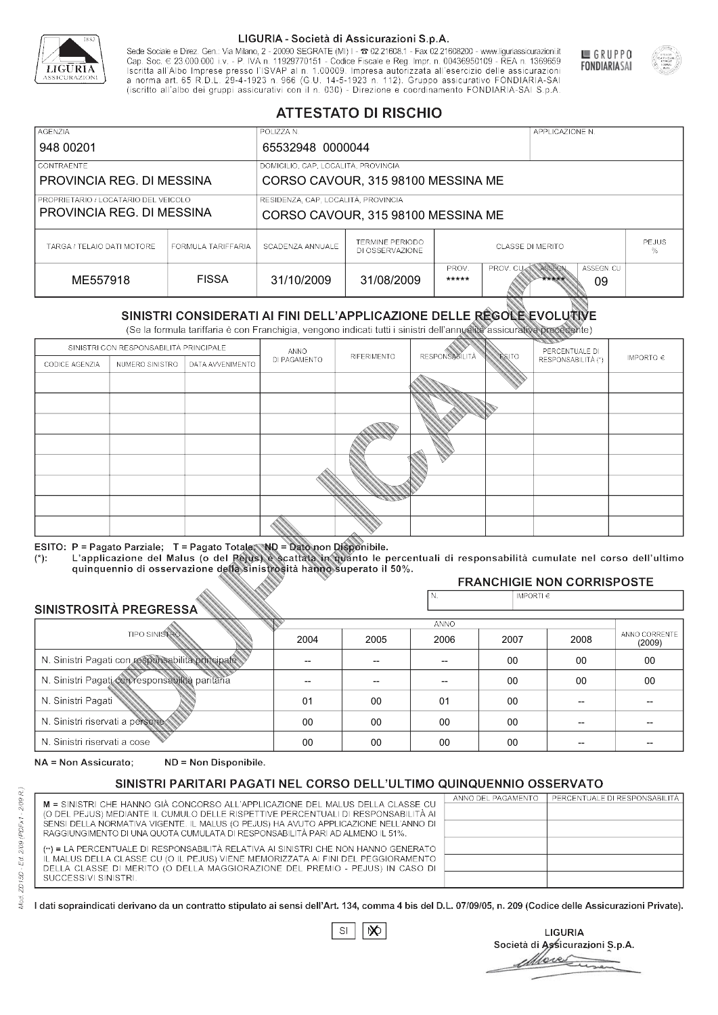

Sede Sociale e Direz. Gen.: Via Milano, 2 - 20090 SEGRATE (MI) I - 2 02.21608.1 - Fax 02.21608200 - www.liguriassicurazioni.it Sede e Direz, Gen. Via Milanto, 2 - 20090 SEGATE (MI) I - 2 UZZIODO. I - FAX UZZIODO2 I - WWW. IIJONENSURIADONILI<br>Cap. Soc. € 23.000.000 i.v. - P. IVA n. 11929770151 - Codice Fiscale e Reg. Impr. n. 00436950109 - REA n. 1



GRUPPO

**FONDIARIASAI** 

# **ATTESTATO DI RISCHIO**

| <b>AGENZIA</b>                                                    |                    | POLIZZA N.                          |                                           |                         |                  | APPLICAZIONE N. |                  |                   |
|-------------------------------------------------------------------|--------------------|-------------------------------------|-------------------------------------------|-------------------------|------------------|-----------------|------------------|-------------------|
| 948 00201                                                         |                    | 65532948 0000044                    |                                           |                         |                  |                 |                  |                   |
| LCONTRAENTE.                                                      |                    | DOMICILIO, CAP, LOCALITÀ, PROVINCIA |                                           |                         |                  |                 |                  |                   |
| PROVINCIA REG. DI MESSINA                                         |                    |                                     | CORSO CAVOUR, 315 98100 MESSINA ME        |                         |                  |                 |                  |                   |
| PROPRIETARIO / LOCATARIO DEL VEICOLO<br>PROVINCIA REG. DI MESSINA |                    | RESIDENZA, CAP, LOCALITÀ, PROVINCIA | CORSO CAVOUR, 315 98100 MESSINA ME        |                         |                  |                 |                  |                   |
| TARGA / TELAIO DATI MOTORE                                        | FORMULA TARIFFARIA | SCADENZA ANNUALE                    | <b>TERMINE PERIODO</b><br>DI OSSERVAZIONE | <b>CLASSE DI MERITO</b> |                  |                 |                  | <b>PEJUS</b><br>% |
| ME557918                                                          | <b>FISSA</b>       | 31/10/2009                          | 31/08/2009                                | PROV.<br>*****          | <b>PROV. CUM</b> | ASSEGN<br>***** | ASSEGN. CU<br>09 |                   |

|                                                 |                                        |                                                                                                                                                                                                      |              | DI OSSERVAZIONE |                      |               |                                     | %                       |
|-------------------------------------------------|----------------------------------------|------------------------------------------------------------------------------------------------------------------------------------------------------------------------------------------------------|--------------|-----------------|----------------------|---------------|-------------------------------------|-------------------------|
| ME557918                                        |                                        | <b>FISSA</b>                                                                                                                                                                                         | 31/10/2009   | 31/08/2009      | PROV.<br>*****       | PROV. CU      | ASSEGN<br>ASSEGN. CU<br>*****<br>09 |                         |
|                                                 |                                        | SINISTRI CONSIDERATI AI FINI DELL'APPLICAZIONE DELLE RÉGOLE EVOLUTIVE<br>(Se la formula tariffaria è con Franchigia, vengono indicati tutti i sinistri dell'annualità assicurativa precedente)       |              |                 |                      |               |                                     |                         |
|                                                 | SINISTRI CON RESPONSABILITÀ PRINCIPALE |                                                                                                                                                                                                      | ANNO         |                 |                      |               | PERCENTUALE DI                      |                         |
| CODICE AGENZIA                                  | NUMERO SINISTRO                        | DATA AVVENIMENTO                                                                                                                                                                                     | DI PAGAMENTO | RIFERIMENTO     | <b>RESPONSABLITA</b> | <b>ESITO</b>  | RESPONSABILITÀ (*)                  | IMPORTO $\in$           |
|                                                 |                                        |                                                                                                                                                                                                      |              |                 |                      |               |                                     |                         |
|                                                 |                                        |                                                                                                                                                                                                      |              |                 |                      |               |                                     |                         |
|                                                 |                                        |                                                                                                                                                                                                      |              |                 |                      |               |                                     |                         |
|                                                 |                                        |                                                                                                                                                                                                      |              |                 |                      |               |                                     |                         |
|                                                 |                                        |                                                                                                                                                                                                      |              |                 |                      |               |                                     |                         |
|                                                 |                                        |                                                                                                                                                                                                      |              |                 |                      |               |                                     |                         |
|                                                 |                                        |                                                                                                                                                                                                      |              |                 |                      |               |                                     |                         |
|                                                 |                                        |                                                                                                                                                                                                      |              |                 |                      |               |                                     |                         |
|                                                 |                                        |                                                                                                                                                                                                      |              |                 |                      |               |                                     |                         |
|                                                 |                                        | ESITO: P = Pagato Parziale; T = Pagato Totale; ND = Dato non Disponibile.                                                                                                                            |              |                 |                      |               |                                     |                         |
| $(*)$ .                                         |                                        | L'applicazione del Malus (o del Pejus) è scattata in quanto le percentuali di responsabilità cumulate nel corso dell'ultimo<br>quinquennio di osservazione della sinistrosità hanno superato il 50%. |              |                 |                      |               |                                     |                         |
|                                                 |                                        |                                                                                                                                                                                                      |              |                 |                      |               | <b>FRANCHIGIE NON CORRISPOSTE</b>   |                         |
|                                                 |                                        |                                                                                                                                                                                                      |              |                 | N.                   | IMPORTI $\in$ |                                     |                         |
| SINISTROSITÀ PREGRESSA                          |                                        |                                                                                                                                                                                                      |              |                 | ANNO                 |               |                                     |                         |
|                                                 | <b>TIPO SINISTRO</b>                   |                                                                                                                                                                                                      | 2004         | 2005            | 2006                 | 2007          | 2008                                | ANNO CORRENTE<br>(2009) |
|                                                 |                                        | N. Sinistri Pagati con responsabilità principale                                                                                                                                                     | --           | --              | $\overline{a}$       | 00            | 00                                  | 00                      |
| N. Sinistri Pagati con responsabilità paritaria |                                        |                                                                                                                                                                                                      |              |                 |                      | 00            | 00                                  | 00                      |
| N. Sinistri Pagati                              |                                        |                                                                                                                                                                                                      | 01           | 00              | 01                   | 00            | --                                  |                         |
| N. Sinistri riservati a persone                 |                                        |                                                                                                                                                                                                      | 00           | 00              | 00                   | 00            |                                     |                         |
| N. Sinjetri riconvoti a coco                    |                                        |                                                                                                                                                                                                      | $\cap$       | $\cap$          | $\cap$               | $\sim$        |                                     |                         |

### 2005 -- --  $0<sup>0</sup>$ 00 00 2004 -- -- 01 00 00 2006 -- -- 01 00 00 2007 00 00 00 00 00 2008 00 00 -- -- -- 00 00 -- -- -- (2009)

NA = Non Assicurato: ND = Non Disponibile.

# SINISTRI PARITARI PAGATI NEL CORSO DELL'ULTIMO QUINQUENNIO OSSERVATO

|                                                                                      | ANNO DEL PAGAMENTO | PERCENTUALE DI RESPONSABILITÀ |
|--------------------------------------------------------------------------------------|--------------------|-------------------------------|
| M = SINISTRI CHE HANNO GIÀ CONCORSO ALL'APPLICAZIONE DEL MALUS DELLA CLASSE CU       |                    |                               |
| (O DEL PEJUS) MEDIANTE IL CUMULO DELLE RISPETTIVE PERCENTUALI DI RESPONSABILITÀ AI   |                    |                               |
| SENSI DELLA NORMATIVA VIGENTE. IL MALUS (O PEJUS) HA AVUTO APPLICAZIONE NELL'ANNO DI |                    |                               |
| RAGGIUNGIMENTO DI UNA QUOTA CUMULATA DI RESPONSABILITÀ PARI AD ALMENO IL 51%.        |                    |                               |
| (**) = LA PERCENTUALE DI RESPONSABILITÀ RELATIVA AI SINISTRI CHE NON HANNO GENERATO  |                    |                               |
| IL MALUS DELLA CLASSE CU (O IL PEJUS) VIENE MEMORIZZATA AI FINI DEL PEGGIORAMENTO    |                    |                               |
| DELLA CLASSE DI MERITO (O DELLA MAGGIORAZIONE DEL PREMIO - PEJUS) IN CASO DI         |                    |                               |
| SUCCESSIVI SINISTRI.                                                                 |                    |                               |
|                                                                                      |                    |                               |

|--|

**LIGURIA** Società di Assicurazioni S.p.A. Move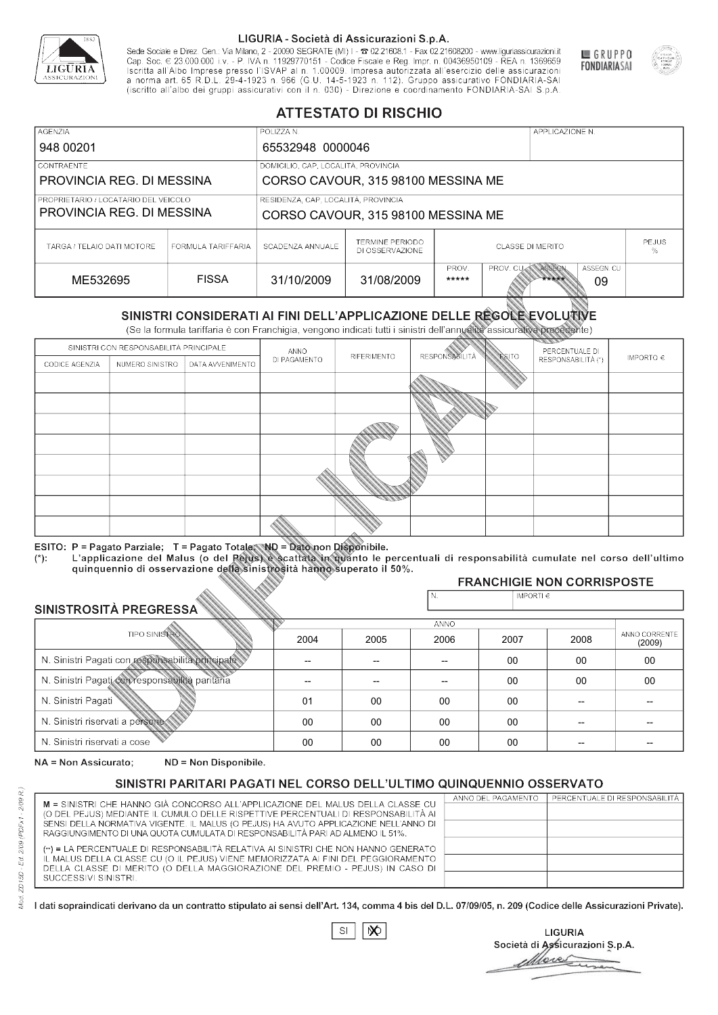

Sede Sociale e Direz. Gen.: Via Milano, 2 - 20090 SEGRATE (MI) I - 2 02.21608.1 - Fax 02.21608200 - www.liguriassicurazioni.it Sede e Direz, Gen. Via Milanto, 2 - 20090 SEGATE (MI) I - 2 UZZIODO. I - FAX UZZIODO2 I - WWW. IIJONENSURIADONILI<br>Cap. Soc. € 23.000.000 i.v. - P. IVA n. 11929770151 - Codice Fiscale e Reg. Impr. n. 00436950109 - REA n. 1



GRUPPO

**FONDIARIASAI** 

# **ATTESTATO DI RISCHIO**

| <b>AGENZIA</b>                                                    |                    | POLIZZA N.                          |                                           |                         |                  | APPLICAZIONE N. |                  |                   |
|-------------------------------------------------------------------|--------------------|-------------------------------------|-------------------------------------------|-------------------------|------------------|-----------------|------------------|-------------------|
| 948 00201                                                         |                    | 65532948 0000046                    |                                           |                         |                  |                 |                  |                   |
| LCONTRAENTE.                                                      |                    | DOMICILIO, CAP, LOCALITÀ, PROVINCIA |                                           |                         |                  |                 |                  |                   |
| PROVINCIA REG. DI MESSINA                                         |                    |                                     | CORSO CAVOUR, 315 98100 MESSINA ME        |                         |                  |                 |                  |                   |
| PROPRIETARIO / LOCATARIO DEL VEICOLO<br>PROVINCIA REG. DI MESSINA |                    | RESIDENZA, CAP, LOCALITÀ, PROVINCIA | CORSO CAVOUR, 315 98100 MESSINA ME        |                         |                  |                 |                  |                   |
| TARGA / TELAIO DATI MOTORE                                        | FORMULA TARIFFARIA | SCADENZA ANNUALE                    | <b>TERMINE PERIODO</b><br>DI OSSERVAZIONE | <b>CLASSE DI MERITO</b> |                  |                 |                  | <b>PEJUS</b><br>% |
| ME532695                                                          | <b>FISSA</b>       | 31/10/2009                          | 31/08/2009                                | PROV.<br>*****          | <b>PROV. CUM</b> | ASSEGN<br>***** | ASSEGN. CU<br>09 |                   |

|                                 |                                                 |                                                                                                                                                                                                      |              | DI OSSERVAZIONE |                      |               |                                     | %                       |
|---------------------------------|-------------------------------------------------|------------------------------------------------------------------------------------------------------------------------------------------------------------------------------------------------------|--------------|-----------------|----------------------|---------------|-------------------------------------|-------------------------|
| ME532695                        |                                                 | <b>FISSA</b>                                                                                                                                                                                         | 31/10/2009   | 31/08/2009      | PROV.<br>*****       | PROV. CU      | ASSEGN<br>ASSEGN. CU<br>*****<br>09 |                         |
|                                 |                                                 | SINISTRI CONSIDERATI AI FINI DELL'APPLICAZIONE DELLE RÉGOLE EVOLUTIVE<br>(Se la formula tariffaria è con Franchigia, vengono indicati tutti i sinistri dell'annualità assicurativa precedente)       |              |                 |                      |               |                                     |                         |
|                                 | SINISTRI CON RESPONSABILITÀ PRINCIPALE          |                                                                                                                                                                                                      | ANNO         |                 |                      |               | PERCENTUALE DI                      |                         |
| CODICE AGENZIA                  | NUMERO SINISTRO                                 | DATA AVVENIMENTO                                                                                                                                                                                     | DI PAGAMENTO | RIFERIMENTO     | <b>RESPONSABLITA</b> | <b>ESITO</b>  | RESPONSABILITÀ (*)                  | IMPORTO $\in$           |
|                                 |                                                 |                                                                                                                                                                                                      |              |                 |                      |               |                                     |                         |
|                                 |                                                 |                                                                                                                                                                                                      |              |                 |                      |               |                                     |                         |
|                                 |                                                 |                                                                                                                                                                                                      |              |                 |                      |               |                                     |                         |
|                                 |                                                 |                                                                                                                                                                                                      |              |                 |                      |               |                                     |                         |
|                                 |                                                 |                                                                                                                                                                                                      |              |                 |                      |               |                                     |                         |
|                                 |                                                 |                                                                                                                                                                                                      |              |                 |                      |               |                                     |                         |
|                                 |                                                 |                                                                                                                                                                                                      |              |                 |                      |               |                                     |                         |
|                                 |                                                 |                                                                                                                                                                                                      |              |                 |                      |               |                                     |                         |
|                                 |                                                 |                                                                                                                                                                                                      |              |                 |                      |               |                                     |                         |
|                                 |                                                 | ESITO: P = Pagato Parziale; T = Pagato Totale; ND = Dato non Disponibile.                                                                                                                            |              |                 |                      |               |                                     |                         |
| $(*)$ .                         |                                                 | L'applicazione del Malus (o del Pejus) è scattata in quanto le percentuali di responsabilità cumulate nel corso dell'ultimo<br>quinquennio di osservazione della sinistrosità hanno superato il 50%. |              |                 |                      |               |                                     |                         |
|                                 |                                                 |                                                                                                                                                                                                      |              |                 |                      |               | <b>FRANCHIGIE NON CORRISPOSTE</b>   |                         |
| SINISTROSITÀ PREGRESSA          |                                                 |                                                                                                                                                                                                      |              |                 | N.                   | IMPORTI $\in$ |                                     |                         |
|                                 |                                                 |                                                                                                                                                                                                      |              |                 | ANNO                 |               |                                     |                         |
|                                 | <b>TIPO SINISTRO</b>                            |                                                                                                                                                                                                      | 2004         | 2005            | 2006                 | 2007          | 2008                                | ANNO CORRENTE<br>(2009) |
|                                 |                                                 | N. Sinistri Pagati con responsabilità principale                                                                                                                                                     | --           | --              | $\overline{a}$       | 00            | 00                                  | 00                      |
|                                 | N. Sinistri Pagati con responsabilità paritaria |                                                                                                                                                                                                      |              |                 |                      | 00            | 00                                  | 00                      |
| N. Sinistri Pagati              |                                                 |                                                                                                                                                                                                      | 01           | 00              | 00                   | 00            | --                                  |                         |
| N. Sinistri riservati a persone |                                                 |                                                                                                                                                                                                      | 00           | 00              | 00                   | 00            |                                     |                         |
| N. Sinjetri riconvoti a coco    |                                                 |                                                                                                                                                                                                      | $\cap$       | $\cap$          | $\cap$               | $\sim$        |                                     |                         |

### 2005 -- --  $0<sup>0</sup>$ 00 00 2004 -- -- 01 00 00 2006 -- -- 00 00 00 2007 00 00 00 00 00 2008 00 00 -- -- -- 00 00 -- -- -- (2009)

NA = Non Assicurato: ND = Non Disponibile.

# SINISTRI PARITARI PAGATI NEL CORSO DELL'ULTIMO QUINQUENNIO OSSERVATO

|                                                                                      | ANNO DEL PAGAMENTO | PERCENTUALE DI RESPONSABILITÀ |
|--------------------------------------------------------------------------------------|--------------------|-------------------------------|
| M = SINISTRI CHE HANNO GIÀ CONCORSO ALL'APPLICAZIONE DEL MALUS DELLA CLASSE CU       |                    |                               |
| (O DEL PEJUS) MEDIANTE IL CUMULO DELLE RISPETTIVE PERCENTUALI DI RESPONSABILITÀ AI   |                    |                               |
| SENSI DELLA NORMATIVA VIGENTE. IL MALUS (O PEJUS) HA AVUTO APPLICAZIONE NELL'ANNO DI |                    |                               |
| RAGGIUNGIMENTO DI UNA QUOTA CUMULATA DI RESPONSABILITÀ PARI AD ALMENO IL 51%.        |                    |                               |
| (**) = LA PERCENTUALE DI RESPONSABILITÀ RELATIVA AI SINISTRI CHE NON HANNO GENERATO  |                    |                               |
| IL MALUS DELLA CLASSE CU (O IL PEJUS) VIENE MEMORIZZATA AI FINI DEL PEGGIORAMENTO    |                    |                               |
| DELLA CLASSE DI MERITO (O DELLA MAGGIORAZIONE DEL PREMIO - PEJUS) IN CASO DI         |                    |                               |
| SUCCESSIVI SINISTRI.                                                                 |                    |                               |
|                                                                                      |                    |                               |

|--|

**LIGURIA** Società di Assicurazioni S.p.A. Move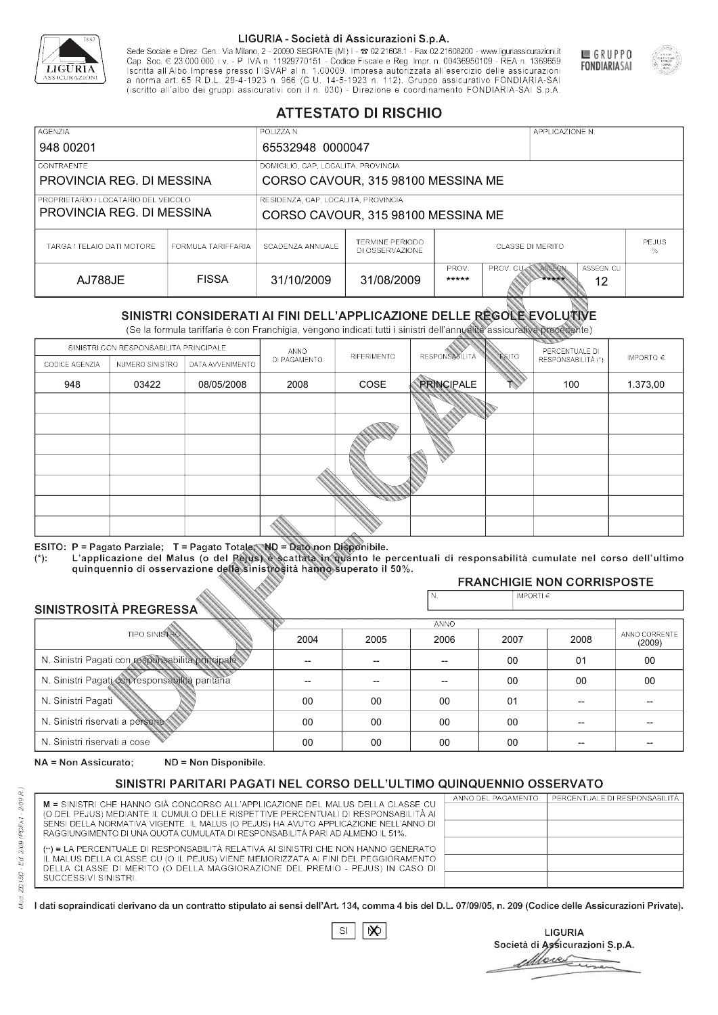

Sede Sociale e Direz. Gen.: Via Milano, 2 - 20090 SEGRATE (MI) I - 2 02.21608.1 - Fax 02.21608200 - www.liguriassicurazioni.it Sede e Direz, Gen. Via Milanto, 2 - 20090 SEGATE (MI) I - 2 UZZIODO. I - FAX UZZIODO2 I - WWW. IIJONENSURIADONILI<br>Cap. Soc. € 23.000.000 i.v. - P. IVA n. 11929770151 - Codice Fiscale e Reg. Impr. n. 00436950109 - REA n. 1



GRUPPO

**FONDIARIASAI** 

# **ATTESTATO DI RISCHIO**

| <b>AGENZIA</b>                       |                    | POLIZZA N.                          |                                    |                         |                   | APPLICAZIONE N. |                  |                   |  |
|--------------------------------------|--------------------|-------------------------------------|------------------------------------|-------------------------|-------------------|-----------------|------------------|-------------------|--|
| 948 00201                            |                    | 65532948 0000047                    |                                    |                         |                   |                 |                  |                   |  |
| CONTRAENTE                           |                    | DOMICILIO, CAP, LOCALITÀ, PROVINCIA |                                    |                         |                   |                 |                  |                   |  |
| PROVINCIA REG. DI MESSINA            |                    |                                     | CORSO CAVOUR, 315 98100 MESSINA ME |                         |                   |                 |                  |                   |  |
| PROPRIETARIO / LOCATARIO DEL VEICOLO |                    | RESIDENZA, CAP, LOCALITÀ, PROVINCIA |                                    |                         |                   |                 |                  |                   |  |
| PROVINCIA REG. DI MESSINA            |                    |                                     | CORSO CAVOUR, 315 98100 MESSINA ME |                         |                   |                 |                  |                   |  |
| TARGA / TELAIO DATI MOTORE           | FORMULA TARIFFARIA | SCADENZA ANNUALE                    | TERMINE PERIODO<br>DI OSSERVAZIONE | <b>CLASSE DI MERITO</b> |                   |                 |                  | <b>PEJUS</b><br>% |  |
| AJ788JE                              | <b>FISSA</b>       | 31/10/2009                          | 31/08/2009                         | PROV.<br>*****          | PROV. CUAN ASSEGN | *****           | ASSEGN. CU<br>12 |                   |  |

|                                                 |                                        |                                                                                                                                                                                                          |                | DI OSSERVAZIONE |                          |               |                                     | %             |
|-------------------------------------------------|----------------------------------------|----------------------------------------------------------------------------------------------------------------------------------------------------------------------------------------------------------|----------------|-----------------|--------------------------|---------------|-------------------------------------|---------------|
| <b>AJ788JE</b>                                  |                                        | <b>FISSA</b>                                                                                                                                                                                             | 31/10/2009     | 31/08/2009      | PROV.<br>*****           | PROV. CU      | ASSEGN<br>ASSEGN. CU<br>*****<br>12 |               |
|                                                 |                                        | SINISTRI CONSIDERATI AI FINI DELL'APPLICAZIONE DELLE RÉGOLE EVOLUTIVE<br>(Se la formula tariffaria è con Franchigia, vengono indicati tutti i sinistri dell'annualità assicurativa precedente)           |                |                 |                          |               |                                     |               |
|                                                 | SINISTRI CON RESPONSABILITÀ PRINCIPALE |                                                                                                                                                                                                          | ANNO           |                 |                          |               | PERCENTUALE DI                      |               |
| CODICE AGENZIA                                  | NUMERO SINISTRO                        | DATA AVVENIMENTO                                                                                                                                                                                         | DI PAGAMENTO   | RIFERIMENTO     | <b>RESPONSABILITÀ</b>    | <b>ESITO</b>  | RESPONSABILITÀ (*)                  | IMPORTO $\in$ |
| 948                                             | 03422                                  | 08/05/2008                                                                                                                                                                                               | 2008           | COSE            | <b>PRINCIPALE</b>        |               | 100                                 | 1.373,00      |
|                                                 |                                        |                                                                                                                                                                                                          |                |                 |                          |               |                                     |               |
|                                                 |                                        |                                                                                                                                                                                                          |                |                 |                          |               |                                     |               |
|                                                 |                                        |                                                                                                                                                                                                          |                |                 |                          |               |                                     |               |
|                                                 |                                        |                                                                                                                                                                                                          |                |                 |                          |               |                                     |               |
|                                                 |                                        |                                                                                                                                                                                                          |                |                 |                          |               |                                     |               |
|                                                 |                                        |                                                                                                                                                                                                          |                |                 |                          |               |                                     |               |
|                                                 |                                        |                                                                                                                                                                                                          |                |                 |                          |               |                                     |               |
|                                                 |                                        |                                                                                                                                                                                                          |                |                 |                          |               |                                     |               |
| $(*)$ .                                         |                                        | ESITO: P = Pagato Parziale; T = Pagato Totale; ND = Dato non Disponibile.<br>L'applicazione del Malus (o del Pejus) è scattata in quanto le percentuali di responsabilità cumulate nel corso dell'ultimo |                |                 |                          |               |                                     |               |
|                                                 |                                        | quinquennio di osservazione della sinistrosità hanno superato il 50%.                                                                                                                                    |                |                 |                          |               | <b>FRANCHIGIE NON CORRISPOSTE</b>   |               |
|                                                 |                                        |                                                                                                                                                                                                          |                |                 | N.                       | IMPORTI $\in$ |                                     |               |
| SINISTROSITÀ PREGRESSA                          |                                        |                                                                                                                                                                                                          |                |                 |                          |               |                                     |               |
|                                                 | <b>TIPO SINISTRO</b>                   |                                                                                                                                                                                                          |                |                 | <b>ANNO</b>              |               |                                     | ANNO CORRENTE |
|                                                 |                                        |                                                                                                                                                                                                          | 2004           | 2005            | 2006                     | 2007          | 2008                                | (2009)        |
|                                                 |                                        | N. Sinistri Pagati con responsabilità principale                                                                                                                                                         | $\overline{a}$ | --              | $\overline{\phantom{a}}$ | 00            | 01                                  | 00            |
| N. Sinistri Pagati con responsabilità paritaria |                                        |                                                                                                                                                                                                          |                |                 |                          | 00            | 00                                  | 00            |
| N. Sinistri Pagati                              |                                        |                                                                                                                                                                                                          | 00             | 00              | 00                       | 01            | --                                  |               |
| N. Sinistri riservati a persone                 |                                        |                                                                                                                                                                                                          | 00             | 00              | 00                       | $00 \,$       | --                                  |               |
| N. Sinjetri riconvoti a coco                    |                                        |                                                                                                                                                                                                          | $\cap$         | $\cap$          | $\cap$                   | $\cap$        |                                     |               |

### 2005 -- --  $0<sup>0</sup>$ 00 00 2004 -- --  $0<sup>0</sup>$ 00 00 2006 -- -- 00 00 00 2007 00 00 01 00 00 2008 01 00 -- -- -- 00 00 -- -- -- (2009)

NA = Non Assicurato: ND = Non Disponibile.

# SINISTRI PARITARI PAGATI NEL CORSO DELL'ULTIMO QUINQUENNIO OSSERVATO

|                                                                                                                                                                      | ANNO DEL PAGAMENTO | PERCENTUALE DI RESPONSABILITÀ |
|----------------------------------------------------------------------------------------------------------------------------------------------------------------------|--------------------|-------------------------------|
| M = SINISTRI CHE HANNO GIÀ CONCORSO ALL'APPLICAZIONE DEL MALUS DELLA CLASSE CU<br>(O DEL PEJUS) MEDIANTE IL CUMULO DELLE RISPETTIVE PERCENTUALI DI RESPONSABILITÀ AI |                    |                               |
| SENSI DELLA NORMATIVA VIGENTE. IL MALUS (O PEJUS) HA AVUTO APPLICAZIONE NELL'ANNO DI                                                                                 |                    |                               |
| RAGGIUNGIMENTO DI UNA QUOTA CUMULATA DI RESPONSABILITÀ PARI AD ALMENO IL 51%.                                                                                        |                    |                               |
|                                                                                                                                                                      |                    |                               |
| (**) = LA PERCENTUALE DI RESPONSABILITÀ RELATIVA AI SINISTRI CHE NON HANNO GENERATO                                                                                  |                    |                               |
| IL MALUS DELLA CLASSE CU (O IL PEJUS) VIENE MEMORIZZATA AI FINI DEL PEGGIORAMENTO                                                                                    |                    |                               |
| DELLA CLASSE DI MERITO (O DELLA MAGGIORAZIONE DEL PREMIO - PEJUS) IN CASO DI                                                                                         |                    |                               |
| SUCCESSIVI SINISTRI.                                                                                                                                                 |                    |                               |
|                                                                                                                                                                      |                    |                               |

 $\mathbb{S}\mathsf{I}$  $\infty$ 

**LIGURIA** Società di Assicurazioni S.p.A. More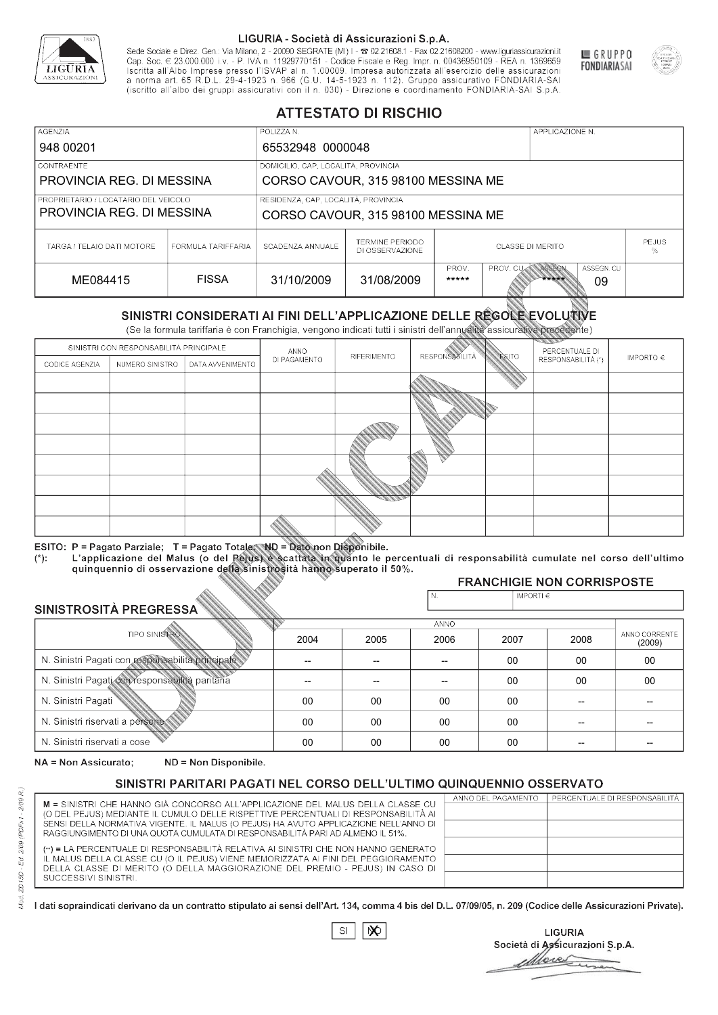

Sede Sociale e Direz. Gen.: Via Milano, 2 - 20090 SEGRATE (MI) I - 2 02.21608.1 - Fax 02.21608200 - www.liguriassicurazioni.it Cap. Soc.  $\in$  23.000.000 i.v. - P. IVA n. 11929770151 - Codice Fiscale e Reg. Impr. n. 00436950109 - REA n. 1369659<br>Iscritta all'Albo Imprese presso l'ISVAP al n. 1.00009. Impresa autorizzata all'esercizio delle assicura d homa art. 65 K.D.L. 29-4-1923 ft. 900 (G.O. 14-5-1923 ft. 112). Gruppo assicurativo PONDIARIA-SAI S.p.A



GRUPPO

**FONDIARIASAI** 

# **ATTESTATO DI RISCHIO**

| <b>AGENZIA</b>                                                    |                    | POLIZZA N.                          |                                           |                         |                  | APPLICAZIONE N. |                  |                   |
|-------------------------------------------------------------------|--------------------|-------------------------------------|-------------------------------------------|-------------------------|------------------|-----------------|------------------|-------------------|
| 948 00201                                                         |                    | 65532948 0000048                    |                                           |                         |                  |                 |                  |                   |
| LCONTRAENTE.                                                      |                    | DOMICILIO, CAP, LOCALITÀ, PROVINCIA |                                           |                         |                  |                 |                  |                   |
| PROVINCIA REG. DI MESSINA                                         |                    |                                     | CORSO CAVOUR, 315 98100 MESSINA ME        |                         |                  |                 |                  |                   |
| PROPRIETARIO / LOCATARIO DEL VEICOLO<br>PROVINCIA REG. DI MESSINA |                    | RESIDENZA, CAP, LOCALITÀ, PROVINCIA | CORSO CAVOUR, 315 98100 MESSINA ME        |                         |                  |                 |                  |                   |
| TARGA / TELAIO DATI MOTORE                                        | FORMULA TARIFFARIA | SCADENZA ANNUALE                    | <b>TERMINE PERIODO</b><br>DI OSSERVAZIONE | <b>CLASSE DI MERITO</b> |                  |                 |                  | <b>PEJUS</b><br>% |
| ME084415                                                          | <b>FISSA</b>       | 31/10/2009                          | 31/08/2009                                | PROV.<br>*****          | <b>PROV. CUM</b> | ASSEGN<br>***** | ASSEGN. CU<br>09 |                   |

|                                                  |                                        |                                                                                                                                                                                                      |              | DI OSSERVAZIONE |                      |               |                                     |                         |
|--------------------------------------------------|----------------------------------------|------------------------------------------------------------------------------------------------------------------------------------------------------------------------------------------------------|--------------|-----------------|----------------------|---------------|-------------------------------------|-------------------------|
| ME084415                                         |                                        | <b>FISSA</b>                                                                                                                                                                                         | 31/10/2009   | 31/08/2009      | PROV.<br>*****       | PROV. CU      | ASSEGN<br>ASSEGN. CU<br>*****<br>09 |                         |
|                                                  |                                        | SINISTRI CONSIDERATI AI FINI DELL'APPLICAZIONE DELLE RÉGOLE EVOLUTIVE<br>(Se la formula tariffaria è con Franchigia, vengono indicati tutti i sinistri dell'annualità assicurativa precedente)       |              |                 |                      |               |                                     |                         |
|                                                  | SINISTRI CON RESPONSABILITÀ PRINCIPALE |                                                                                                                                                                                                      | ANNO         |                 |                      |               | PERCENTUALE DI                      |                         |
| CODICE AGENZIA                                   | NUMERO SINISTRO                        | DATA AVVENIMENTO                                                                                                                                                                                     | DI PAGAMENTO | RIFERIMENTO     | <b>RESPONSABLITA</b> | <b>ESITO</b>  | RESPONSABILITÀ (*)                  | IMPORTO $\in$           |
|                                                  |                                        |                                                                                                                                                                                                      |              |                 |                      |               |                                     |                         |
|                                                  |                                        |                                                                                                                                                                                                      |              |                 |                      |               |                                     |                         |
|                                                  |                                        |                                                                                                                                                                                                      |              |                 |                      |               |                                     |                         |
|                                                  |                                        |                                                                                                                                                                                                      |              |                 |                      |               |                                     |                         |
|                                                  |                                        |                                                                                                                                                                                                      |              |                 |                      |               |                                     |                         |
|                                                  |                                        |                                                                                                                                                                                                      |              |                 |                      |               |                                     |                         |
|                                                  |                                        |                                                                                                                                                                                                      |              |                 |                      |               |                                     |                         |
|                                                  |                                        |                                                                                                                                                                                                      |              |                 |                      |               |                                     |                         |
|                                                  |                                        |                                                                                                                                                                                                      |              |                 |                      |               |                                     |                         |
|                                                  |                                        | ESITO: P = Pagato Parziale; T = Pagato Totale; ND = Dato non Disponibile.                                                                                                                            |              |                 |                      |               |                                     |                         |
| $(*)$ .                                          |                                        | L'applicazione del Malus (o del Pejus) è scattata in quanto le percentuali di responsabilità cumulate nel corso dell'ultimo<br>quinquennio di osservazione della sinistrosità hanno superato il 50%. |              |                 |                      |               |                                     |                         |
|                                                  |                                        |                                                                                                                                                                                                      |              |                 |                      |               | <b>FRANCHIGIE NON CORRISPOSTE</b>   |                         |
|                                                  |                                        |                                                                                                                                                                                                      |              |                 | N.                   | IMPORTI $\in$ |                                     |                         |
| SINISTROSITÀ PREGRESSA                           |                                        |                                                                                                                                                                                                      |              |                 | <b>ANNO</b>          |               |                                     |                         |
|                                                  | <b>TIPO SINISTRO</b>                   |                                                                                                                                                                                                      | 2004         | 2005            | 2006                 | 2007          | 2008                                | ANNO CORRENTE<br>(2009) |
| N. Sinistri Pagati con responsabilità principale |                                        |                                                                                                                                                                                                      | --           | --              | $\overline{a}$       | 00            | 00                                  | 00                      |
| N. Sinistri Pagati con responsabilità paritaria  |                                        |                                                                                                                                                                                                      |              |                 |                      | 00            | 00                                  | 00                      |
| N. Sinistri Pagati                               |                                        |                                                                                                                                                                                                      | 00           | 00              | 00                   | 00            | --                                  |                         |
| N. Sinistri riservati a persone                  |                                        |                                                                                                                                                                                                      | 00           | 00              | 00                   | 00            |                                     |                         |
| N. Sinjetri riconvoti a coco                     |                                        |                                                                                                                                                                                                      | $\cap$       | $\cap$          | $\cap$               | $\sim$        |                                     |                         |

### 2005 -- --  $0<sup>0</sup>$ 00 00 2004 -- --  $0<sup>0</sup>$ 00 00 2006 -- -- 00 00 00 2007 00 00 00 00 00 2008 00 00 -- -- -- 00 00 -- -- -- (2009)

NA = Non Assicurato: ND = Non Disponibile.

# SINISTRI PARITARI PAGATI NEL CORSO DELL'ULTIMO QUINQUENNIO OSSERVATO

| M = SINISTRI CHE HANNO GIÀ CONCORSO ALL'APPLICAZIONE DEL MALUS DELLA CLASSE CU       | ANNO DEL PAGAMENTO | PERCENTUALE DI RESPONSABILITÀ |
|--------------------------------------------------------------------------------------|--------------------|-------------------------------|
| (O DEL PEJUS) MEDIANTE IL CUMULO DELLE RISPETTIVE PERCENTUALI DI RESPONSABILITÀ AI   |                    |                               |
| SENSI DELLA NORMATIVA VIGENTE. IL MALUS (O PEJUS) HA AVUTO APPLICAZIONE NELL'ANNO DI |                    |                               |
| RAGGIUNGIMENTO DI UNA QUOTA CUMULATA DI RESPONSABILITÀ PARI AD ALMENO IL 51%.        |                    |                               |
| (**) = LA PERCENTUALE DI RESPONSABILITÀ RELATIVA AI SINISTRI CHE NON HANNO GENERATO  |                    |                               |
| IL MALUS DELLA CLASSE CU (O IL PEJUS) VIENE MEMORIZZATA AI FINI DEL PEGGIORAMENTO    |                    |                               |
| DELLA CLASSE DI MERITO (O DELLA MAGGIORAZIONE DEL PREMIO - PEJUS) IN CASO DI         |                    |                               |
| SUCCESSIVI SINISTRI.                                                                 |                    |                               |
|                                                                                      |                    |                               |

 $\mathbb{S}\mathsf{I}$  $\infty$ 

**LIGURIA** Società di Assicurazioni S.p.A. Move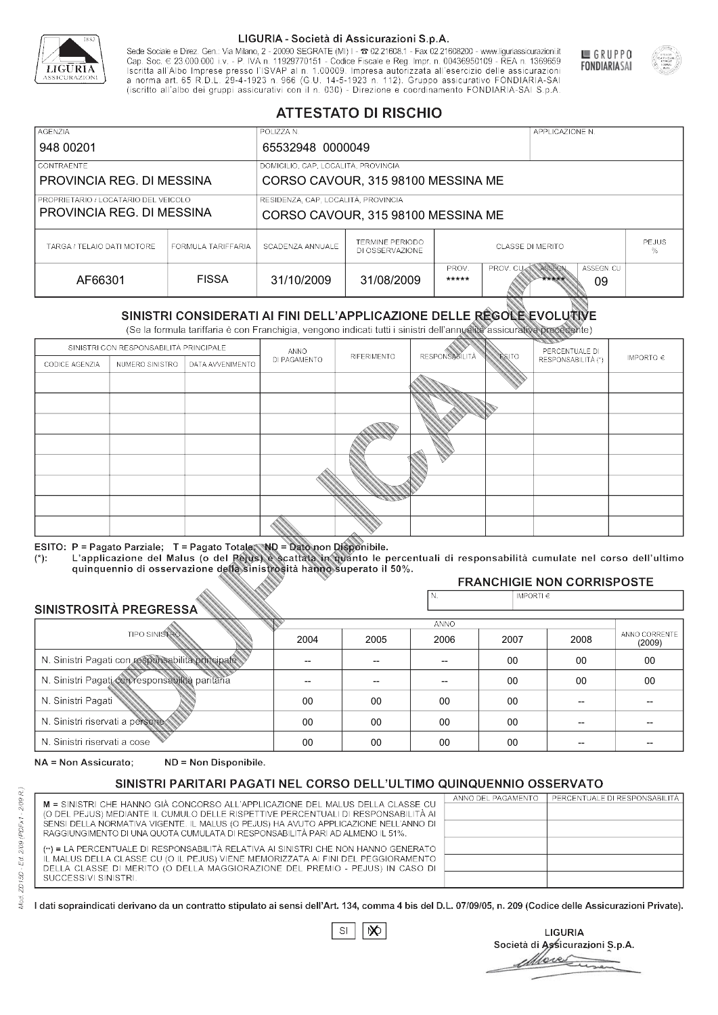

Sede Sociale e Direz. Gen.: Via Milano, 2 - 20090 SEGRATE (MI) I - 2 02.21608.1 - Fax 02.21608200 - www.liguriassicurazioni.it Cap. Soc.  $\in$  23.000.000 i.v. - P. IVA n. 11929770151 - Codice Fiscale e Reg. Impr. n. 00436950109 - REA n. 1369659<br>Iscritta all'Albo Imprese presso l'ISVAP al n. 1.00009. Impresa autorizzata all'esercizio delle assicura d homa art. 65 K.D.L. 29-4-1923 ft. 900 (G.O. 14-5-1923 ft. 112). Gruppo assicurativo PONDIARIA-SAI S.p.A



GRUPPO

**FONDIARIASAI** 

# **ATTESTATO DI RISCHIO**

| <b>AGENZIA</b><br>948 00201                                         |                    | POLIZZA N.<br>65532948 0000049                                            |                                           |                                       |          | APPLICAZIONE N. |                  |  |
|---------------------------------------------------------------------|--------------------|---------------------------------------------------------------------------|-------------------------------------------|---------------------------------------|----------|-----------------|------------------|--|
| <b>CONTRAENTE</b><br>PROVINCIA REG. DI MESSINA                      |                    | DOMICILIO, CAP, LOCALITÀ, PROVINCIA<br>CORSO CAVOUR, 315 98100 MESSINA ME |                                           |                                       |          |                 |                  |  |
| I PROPRIETARIO / LOCATARIO DEL VEICOLO<br>PROVINCIA REG. DI MESSINA |                    | RESIDENZA, CAP, LOCALITÀ, PROVINCIA<br>CORSO CAVOUR, 315 98100 MESSINA ME |                                           |                                       |          |                 |                  |  |
| TARGA / TELAIO DATI MOTORE                                          | FORMULA TARIFFARIA | SCADENZA ANNUALE                                                          | <b>TERMINE PERIODO</b><br>DI OSSERVAZIONE | <b>PEJUS</b><br>CLASSE DI MERITO<br>℅ |          |                 |                  |  |
| AF66301                                                             | <b>FISSA</b>       | 31/10/2009                                                                | 31/08/2009                                | PROV.<br>*****                        | PROV. CU | ASSEGN<br>***** | ASSEGN. CU<br>09 |  |

|                                                  |                                        |                                                                                                                                                                                                      |              | DI OSSERVAZIONE          |                      |              |                                     | %             |
|--------------------------------------------------|----------------------------------------|------------------------------------------------------------------------------------------------------------------------------------------------------------------------------------------------------|--------------|--------------------------|----------------------|--------------|-------------------------------------|---------------|
| AF66301                                          |                                        | <b>FISSA</b>                                                                                                                                                                                         | 31/10/2009   | 31/08/2009               | PROV.<br>*****       | PROV. CU     | ASSEGN<br>ASSEGN. CU<br>*****<br>09 |               |
|                                                  |                                        | SINISTRI CONSIDERATI AI FINI DELL'APPLICAZIONE DELLE REGOLE EVOLUTIVE<br>(Se la formula tariffaria è con Franchigia, vengono indicati tutti i sinistri dell'annualità assicurativa precedente)       |              |                          |                      |              |                                     |               |
|                                                  | SINISTRI CON RESPONSABILITÀ PRINCIPALE |                                                                                                                                                                                                      | ANNO         |                          |                      |              | PERCENTUALE DI                      |               |
| CODICE AGENZIA                                   | NUMERO SINISTRO                        | DATA AVVENIMENTO                                                                                                                                                                                     | DI PAGAMENTO | RIFERIMENTO              | <b>RESPONSABLITÀ</b> | <b>ESITO</b> | RESPONSABILITÀ (*)                  | IMPORTO $\in$ |
|                                                  |                                        |                                                                                                                                                                                                      |              |                          |                      |              |                                     |               |
|                                                  |                                        |                                                                                                                                                                                                      |              |                          |                      |              |                                     |               |
|                                                  |                                        |                                                                                                                                                                                                      |              |                          |                      |              |                                     |               |
|                                                  |                                        |                                                                                                                                                                                                      |              |                          |                      |              |                                     |               |
|                                                  |                                        |                                                                                                                                                                                                      |              |                          |                      |              |                                     |               |
|                                                  |                                        |                                                                                                                                                                                                      |              |                          |                      |              |                                     |               |
|                                                  |                                        |                                                                                                                                                                                                      |              |                          |                      |              |                                     |               |
|                                                  |                                        |                                                                                                                                                                                                      |              |                          |                      |              |                                     |               |
|                                                  |                                        |                                                                                                                                                                                                      |              |                          |                      |              |                                     |               |
|                                                  |                                        | ESITO: P = Pagato Parziale; T = Pagato Totale; ND = Dato non Disponibile.                                                                                                                            |              |                          |                      |              |                                     |               |
| $(*)$ .                                          |                                        | L'applicazione del Malus (o del Pejus) è scattata in quanto le percentuali di responsabilità cumulate nel corso dell'ultimo<br>quinquennio di osservazione della sinistrosità hanno superato il 50%. |              |                          |                      |              |                                     |               |
|                                                  |                                        |                                                                                                                                                                                                      |              |                          |                      |              | <b>FRANCHIGIE NON CORRISPOSTE</b>   |               |
|                                                  |                                        |                                                                                                                                                                                                      |              |                          | N.                   | IMPORTI€     |                                     |               |
| SINISTROSITÀ PREGRESSA                           |                                        |                                                                                                                                                                                                      |              |                          |                      |              |                                     |               |
|                                                  | <b>TIPO SINISTRO</b>                   |                                                                                                                                                                                                      | 2004         | 2005                     | <b>ANNO</b><br>2006  | 2007         | 2008                                | ANNO CORRENTE |
|                                                  |                                        |                                                                                                                                                                                                      |              |                          |                      |              |                                     | (2009)        |
| N. Sinistri Pagati con responsabilità principale |                                        |                                                                                                                                                                                                      | --           | $\overline{\phantom{a}}$ | 00                   | 00           | 00                                  |               |
| N. Sinistri Pagati con responsabilità paritaria  |                                        |                                                                                                                                                                                                      |              |                          | 00                   | 00           | 00                                  |               |
| N. Sinistri Pagati                               |                                        |                                                                                                                                                                                                      | 00           | 00                       | 00                   | 00           |                                     |               |
| N. Sinistri riservati a persone-                 |                                        |                                                                                                                                                                                                      | 00           | 00                       | 00                   | 00           |                                     |               |
| N. Sinjetri riconvoti a coco                     |                                        |                                                                                                                                                                                                      | $\cap$       | $\cap$                   | $\sim$               | $\cap$       |                                     |               |

### 2005 -- --  $0<sup>0</sup>$ 00 00 2004 -- --  $0<sup>0</sup>$ 00 00 2006 -- -- 00 00 00 2007 00 00 00 00 00 2008 00 00 -- -- -- 00 00 -- -- -- (2009)

NA = Non Assicurato: ND = Non Disponibile.

# SINISTRI PARITARI PAGATI NEL CORSO DELL'ULTIMO QUINQUENNIO OSSERVATO

|                                                                                      | ANNO DEL PAGAMENTO | PERCENTUALE DI RESPONSABILITÀ |
|--------------------------------------------------------------------------------------|--------------------|-------------------------------|
| M = SINISTRI CHE HANNO GIÀ CONCORSO ALL'APPLICAZIONE DEL MALUS DELLA CLASSE CU       |                    |                               |
| (O DEL PEJUS) MEDIANTE IL CUMULO DELLE RISPETTIVE PERCENTUALI DI RESPONSABILITÀ AI   |                    |                               |
| SENSI DELLA NORMATIVA VIGENTE. IL MALUS (O PEJUS) HA AVUTO APPLICAZIONE NELL'ANNO DI |                    |                               |
| RAGGIUNGIMENTO DI UNA QUOTA CUMULATA DI RESPONSABILITÀ PARI AD ALMENO IL 51%.        |                    |                               |
|                                                                                      |                    |                               |
| (**) = LA PERCENTUALE DI RESPONSABILITÀ RELATIVA AI SINISTRI CHE NON HANNO GENERATO  |                    |                               |
| IL MALUS DELLA CLASSE CU (O IL PEJUS) VIENE MEMORIZZATA AI FINI DEL PEGGIORAMENTO    |                    |                               |
| DELLA CLASSE DI MERITO (O DELLA MAGGIORAZIONE DEL PREMIO - PEJUS) IN CASO DI         |                    |                               |
| SUCCESSIVI SINISTRI.                                                                 |                    |                               |
|                                                                                      |                    |                               |

 $\mathbb{S}\mathsf{I}$  $\infty$ 

**LIGURIA** Società di Assicurazioni S.p.A. Move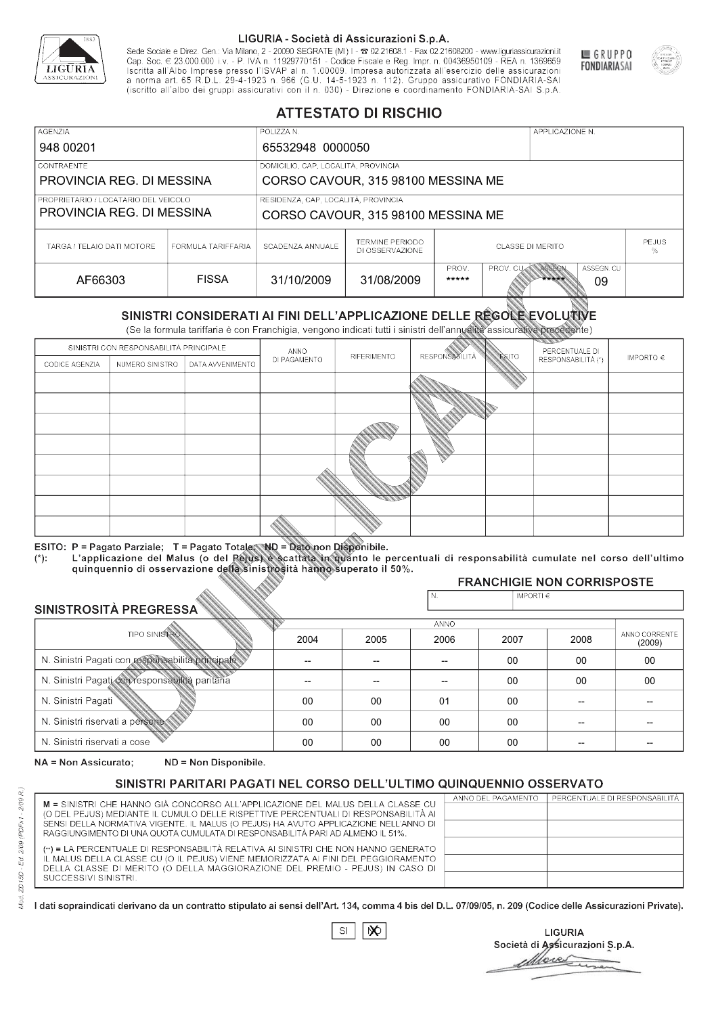

Sede Sociale e Direz. Gen.: Via Milano, 2 - 20090 SEGRATE (MI) I - 2 02.21608.1 - Fax 02.21608200 - www.liguriassicurazioni.it Sede e Direz, Gen. Via Milanto, 2 - 20090 SEGATE (MI) I - 2 UZZIODO. I - FAX UZZIODO2 I - WWW. IIJONENSURIADONILI<br>Cap. Soc. € 23.000.000 i.v. - P. IVA n. 11929770151 - Codice Fiscale e Reg. Impr. n. 00436950109 - REA n. 1



GRUPPO

**FONDIARIASAI** 

# **ATTESTATO DI RISCHIO**

| <b>AGENZIA</b>                                                    |                    | POLIZZA N.                                                                |                                           |                              |                  | APPLICAZIONE N. |                  |  |
|-------------------------------------------------------------------|--------------------|---------------------------------------------------------------------------|-------------------------------------------|------------------------------|------------------|-----------------|------------------|--|
| 948 00201                                                         |                    | 65532948 0000050                                                          |                                           |                              |                  |                 |                  |  |
| LCONTRAENTE.                                                      |                    | DOMICILIO, CAP, LOCALITÀ, PROVINCIA                                       |                                           |                              |                  |                 |                  |  |
| PROVINCIA REG. DI MESSINA                                         |                    |                                                                           | CORSO CAVOUR, 315 98100 MESSINA ME        |                              |                  |                 |                  |  |
| PROPRIETARIO / LOCATARIO DEL VEICOLO<br>PROVINCIA REG. DI MESSINA |                    | RESIDENZA, CAP, LOCALITÀ, PROVINCIA<br>CORSO CAVOUR, 315 98100 MESSINA ME |                                           |                              |                  |                 |                  |  |
| TARGA / TELAIO DATI MOTORE                                        | FORMULA TARIFFARIA | SCADENZA ANNUALE                                                          | <b>TERMINE PERIODO</b><br>DI OSSERVAZIONE | <b>CLASSE DI MERITO</b><br>% |                  |                 | <b>PEJUS</b>     |  |
| AF66303                                                           | <b>FISSA</b>       | 31/10/2009                                                                | 31/08/2009                                | PROV.<br>*****               | <b>PROV. CUM</b> | ASSEGN<br>***** | ASSEGN. CU<br>09 |  |

|                                                  |                                        |                                                                                                                                                                                                      |              | DI OSSERVAZIONE |                      |               |                                     |                         |
|--------------------------------------------------|----------------------------------------|------------------------------------------------------------------------------------------------------------------------------------------------------------------------------------------------------|--------------|-----------------|----------------------|---------------|-------------------------------------|-------------------------|
| AF66303                                          |                                        | <b>FISSA</b>                                                                                                                                                                                         | 31/10/2009   | 31/08/2009      | PROV.<br>*****       | PROV. CU      | ASSEGN<br>ASSEGN. CU<br>*****<br>09 |                         |
|                                                  |                                        | SINISTRI CONSIDERATI AI FINI DELL'APPLICAZIONE DELLE RÉGOLE EVOLUTIVE<br>(Se la formula tariffaria è con Franchigia, vengono indicati tutti i sinistri dell'annualità assicurativa precedente)       |              |                 |                      |               |                                     |                         |
|                                                  | SINISTRI CON RESPONSABILITÀ PRINCIPALE |                                                                                                                                                                                                      | ANNO         |                 |                      |               | PERCENTUALE DI                      |                         |
| CODICE AGENZIA                                   | NUMERO SINISTRO                        | DATA AVVENIMENTO                                                                                                                                                                                     | DI PAGAMENTO | RIFERIMENTO     | <b>RESPONSABLITA</b> | <b>ESITO</b>  | RESPONSABILITÀ (*)                  | IMPORTO $\in$           |
|                                                  |                                        |                                                                                                                                                                                                      |              |                 |                      |               |                                     |                         |
|                                                  |                                        |                                                                                                                                                                                                      |              |                 |                      |               |                                     |                         |
|                                                  |                                        |                                                                                                                                                                                                      |              |                 |                      |               |                                     |                         |
|                                                  |                                        |                                                                                                                                                                                                      |              |                 |                      |               |                                     |                         |
|                                                  |                                        |                                                                                                                                                                                                      |              |                 |                      |               |                                     |                         |
|                                                  |                                        |                                                                                                                                                                                                      |              |                 |                      |               |                                     |                         |
|                                                  |                                        |                                                                                                                                                                                                      |              |                 |                      |               |                                     |                         |
|                                                  |                                        |                                                                                                                                                                                                      |              |                 |                      |               |                                     |                         |
|                                                  |                                        |                                                                                                                                                                                                      |              |                 |                      |               |                                     |                         |
|                                                  |                                        | ESITO: P = Pagato Parziale; T = Pagato Totale; ND = Dato non Disponibile.                                                                                                                            |              |                 |                      |               |                                     |                         |
| $(*)$ .                                          |                                        | L'applicazione del Malus (o del Pejus) è scattata in quanto le percentuali di responsabilità cumulate nel corso dell'ultimo<br>quinquennio di osservazione della sinistrosità hanno superato il 50%. |              |                 |                      |               |                                     |                         |
|                                                  |                                        |                                                                                                                                                                                                      |              |                 |                      |               | <b>FRANCHIGIE NON CORRISPOSTE</b>   |                         |
|                                                  |                                        |                                                                                                                                                                                                      |              |                 | N.                   | IMPORTI $\in$ |                                     |                         |
| SINISTROSITÀ PREGRESSA                           |                                        |                                                                                                                                                                                                      |              |                 | <b>ANNO</b>          |               |                                     |                         |
|                                                  | <b>TIPO SINISTRO</b>                   |                                                                                                                                                                                                      | 2004         | 2005            | 2006                 | 2007          | 2008                                | ANNO CORRENTE<br>(2009) |
| N. Sinistri Pagati con responsabilità principale |                                        |                                                                                                                                                                                                      | --           | --              | $\overline{a}$       | 00            | 00                                  | 00                      |
| N. Sinistri Pagati con responsabilità paritaria  |                                        |                                                                                                                                                                                                      |              |                 |                      | 00            | 00                                  | 00                      |
| N. Sinistri Pagati                               |                                        |                                                                                                                                                                                                      | 00           | 00              | 01                   | 00            | --                                  |                         |
| N. Sinistri riservati a persone                  |                                        |                                                                                                                                                                                                      | 00           | 00              | 00                   | 00            |                                     |                         |
| N. Sinjetri riconvoti a coco                     |                                        |                                                                                                                                                                                                      | $\cap$       | $\cap$          | $\cap$               | $\sim$        |                                     |                         |

| SINISTROSITÀ PREGRESSA                           |             |      | N.   | IMPORTI $\epsilon$ |      |                         |  |  |  |  |
|--------------------------------------------------|-------------|------|------|--------------------|------|-------------------------|--|--|--|--|
|                                                  | <b>ANNO</b> |      |      |                    |      |                         |  |  |  |  |
| <b>TIPO SINISTRO</b>                             | 2004        | 2005 | 2006 | 2007               | 2008 | ANNO CORRENTE<br>(2009) |  |  |  |  |
| N. Sinistri Pagati con responsabilità principale |             |      |      | 00                 | 00   | 00                      |  |  |  |  |
| N. Sinistri Pagati con responsabilità paritaria  |             |      |      | 00                 | 00   | 00                      |  |  |  |  |
| N. Sinistri Pagati                               | 00          | 00   | 01   | 00                 |      |                         |  |  |  |  |
| N. Sinistri riservati a persone                  | 00          | 00   | 00   | 00                 |      |                         |  |  |  |  |
| N. Sinistri riservati a cose                     | 00          | 00   | 00   | 00                 |      |                         |  |  |  |  |

NA = Non Assicurato: ND = Non Disponibile.

# SINISTRI PARITARI PAGATI NEL CORSO DELL'ULTIMO QUINQUENNIO OSSERVATO

| M = SINISTRI CHE HANNO GIÀ CONCORSO ALL'APPLICAZIONE DEL MALUS DELLA CLASSE CU                                                                                        | ANNO DEL PAGAMENTO | PERCENTUALE DI RESPONSABILITÀ |
|-----------------------------------------------------------------------------------------------------------------------------------------------------------------------|--------------------|-------------------------------|
|                                                                                                                                                                       |                    |                               |
| (O DEL PEJUS) MEDIANTE IL CUMULO DELLE RISPETTIVE PERCENTUALI DI RESPONSABILITÀ AI                                                                                    |                    |                               |
| SENSI DELLA NORMATIVA VIGENTE. IL MALUS (O PEJUS) HA AVUTO APPLICAZIONE NELL'ANNO DI<br>RAGGIUNGIMENTO DI UNA QUOTA CUMULATA DI RESPONSABILITÀ PARI AD ALMENO IL 51%. |                    |                               |
|                                                                                                                                                                       |                    |                               |
| (**) = LA PERCENTUALE DI RESPONSABILITÀ RELATIVA AI SINISTRI CHE NON HANNO GENERATO                                                                                   |                    |                               |
| IL MALUS DELLA CLASSE CU (O IL PEJUS) VIENE MEMORIZZATA AI FINI DEL PEGGIORAMENTO                                                                                     |                    |                               |
| DELLA CLASSE DI MERITO (O DELLA MAGGIORAZIONE DEL PREMIO - PEJUS) IN CASO DI                                                                                          |                    |                               |
| SUCCESSIVI SINISTRI.                                                                                                                                                  |                    |                               |
|                                                                                                                                                                       |                    |                               |

 $SI$  $\infty$ 

**LIGURIA** Società di Assicurazioni S.p.A. More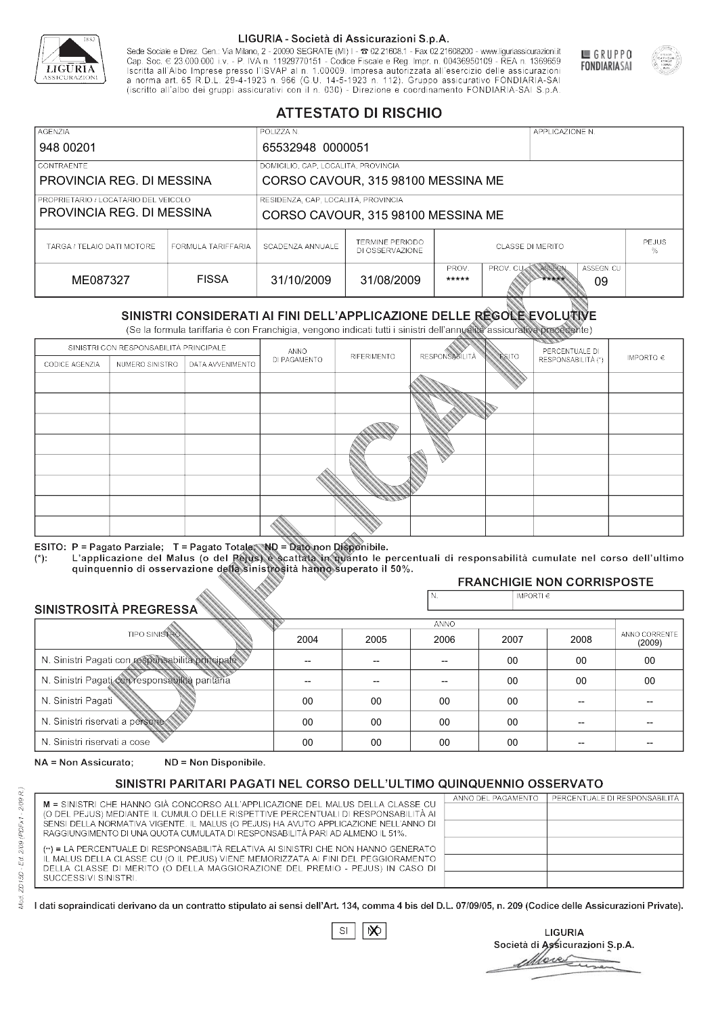

Sede Sociale e Direz. Gen.: Via Milano, 2 - 20090 SEGRATE (MI) I - 2 02.21608.1 - Fax 02.21608200 - www.liguriassicurazioni.it Cap. Soc.  $\in$  23.000.000 i.v. - P. IVA n. 11929770151 - Codice Fiscale e Reg. Impr. n. 00436950109 - REA n. 1369659<br>Iscritta all'Albo Imprese presso l'ISVAP al n. 1.00009. Impresa autorizzata all'esercizio delle assicura d homa art. 65 K.D.L. 29-4-1923 ft. 900 (G.O. 14-5-1923 ft. 112). Gruppo assicurativo PONDIARIA-SAI S.p.A



GRUPPO

**FONDIARIASAI** 

# **ATTESTATO DI RISCHIO**

| <b>AGENZIA</b>                                                    |                    | POLIZZA N.                                                                |                                           |                              |                  | APPLICAZIONE N. |                  |  |
|-------------------------------------------------------------------|--------------------|---------------------------------------------------------------------------|-------------------------------------------|------------------------------|------------------|-----------------|------------------|--|
| 948 00201                                                         |                    | 65532948 0000051                                                          |                                           |                              |                  |                 |                  |  |
| LCONTRAENTE.                                                      |                    | DOMICILIO, CAP, LOCALITÀ, PROVINCIA                                       |                                           |                              |                  |                 |                  |  |
| PROVINCIA REG. DI MESSINA                                         |                    |                                                                           | CORSO CAVOUR, 315 98100 MESSINA ME        |                              |                  |                 |                  |  |
| PROPRIETARIO / LOCATARIO DEL VEICOLO<br>PROVINCIA REG. DI MESSINA |                    | RESIDENZA, CAP, LOCALITÀ, PROVINCIA<br>CORSO CAVOUR, 315 98100 MESSINA ME |                                           |                              |                  |                 |                  |  |
| TARGA / TELAIO DATI MOTORE                                        | FORMULA TARIFFARIA | SCADENZA ANNUALE                                                          | <b>TERMINE PERIODO</b><br>DI OSSERVAZIONE | <b>CLASSE DI MERITO</b><br>% |                  |                 | <b>PEJUS</b>     |  |
| ME087327                                                          | <b>FISSA</b>       | 31/10/2009                                                                | 31/08/2009                                | PROV.<br>*****               | <b>PROV. CUM</b> | ASSEGN<br>***** | ASSEGN. CU<br>09 |  |

|                                                       |                                        |                                                                                                                                                                                                      |                          | DI OSSERVAZIONE          |                       |                    |                                     | ℅                       |
|-------------------------------------------------------|----------------------------------------|------------------------------------------------------------------------------------------------------------------------------------------------------------------------------------------------------|--------------------------|--------------------------|-----------------------|--------------------|-------------------------------------|-------------------------|
| ME087327                                              |                                        | <b>FISSA</b>                                                                                                                                                                                         | 31/10/2009               | 31/08/2009               | PROV.<br>*****        | PROV. CU           | ASSEGN<br>ASSEGN. CU<br>*****<br>09 |                         |
|                                                       |                                        | SINISTRI CONSIDERATI AI FINI DELL'APPLICAZIONE DELLE REGOLE EVOLUTIVE<br>(Se la formula tariffaria è con Franchigia, vengono indicati tutti i sinistri dell'annualità assicurativa precedente)       |                          |                          |                       |                    |                                     |                         |
|                                                       | SINISTRI CON RESPONSABILITÀ PRINCIPALE |                                                                                                                                                                                                      | ANNO                     |                          |                       |                    | PERCENTUALE DI                      |                         |
| CODICE AGENZIA                                        | NUMERO SINISTRO                        | DATA AVVENIMENTO                                                                                                                                                                                     | DI PAGAMENTO             | RIFERIMENTO              | <b>RESPONSABILITÀ</b> | <b>ESITO</b>       | RESPONSABILITÀ (*)                  | IMPORTO $\in$           |
|                                                       |                                        |                                                                                                                                                                                                      |                          |                          |                       |                    |                                     |                         |
|                                                       |                                        |                                                                                                                                                                                                      |                          |                          |                       |                    |                                     |                         |
|                                                       |                                        |                                                                                                                                                                                                      |                          |                          |                       |                    |                                     |                         |
|                                                       |                                        |                                                                                                                                                                                                      |                          |                          |                       |                    |                                     |                         |
|                                                       |                                        |                                                                                                                                                                                                      |                          |                          |                       |                    |                                     |                         |
|                                                       |                                        |                                                                                                                                                                                                      |                          |                          |                       |                    |                                     |                         |
|                                                       |                                        |                                                                                                                                                                                                      |                          |                          |                       |                    |                                     |                         |
|                                                       |                                        |                                                                                                                                                                                                      |                          |                          |                       |                    |                                     |                         |
|                                                       |                                        |                                                                                                                                                                                                      |                          |                          |                       |                    |                                     |                         |
|                                                       |                                        | ESITO: P = Pagato Parziale; T = Pagato Totale; ND = Dato non Disponibile.                                                                                                                            |                          |                          |                       |                    |                                     |                         |
| $(*)$ .                                               |                                        | L'applicazione del Malus (o del Pejus) è scattata in quanto le percentuali di responsabilità cumulate nel corso dell'ultimo<br>quinquennio di osservazione della sinistrosità hanno superato il 50%. |                          |                          |                       |                    |                                     |                         |
|                                                       |                                        |                                                                                                                                                                                                      |                          |                          |                       |                    | <b>FRANCHIGIE NON CORRISPOSTE</b>   |                         |
|                                                       |                                        |                                                                                                                                                                                                      |                          |                          | N.                    | IMPORTI $\epsilon$ |                                     |                         |
| SINISTROSITÀ PREGRESSA                                |                                        |                                                                                                                                                                                                      |                          |                          | <b>ANNO</b>           |                    |                                     |                         |
|                                                       | <b>TIPO SINISTRO</b>                   |                                                                                                                                                                                                      | 2004                     | 2005                     | 2006                  | 2007               | 2008                                | ANNO CORRENTE<br>(2009) |
| N. Sinistri Pagati con responsabilità principale      |                                        |                                                                                                                                                                                                      | $\overline{\phantom{0}}$ | $\overline{\phantom{a}}$ | $-$                   | $00 \,$            | 00                                  | $00\,$                  |
| N. Sinistri Pagati con responsabilità paritaria<br>00 |                                        |                                                                                                                                                                                                      |                          | 00                       | 00                    |                    |                                     |                         |
| N. Sinistri Pagati                                    |                                        |                                                                                                                                                                                                      | 00                       | 00                       | 00                    | $00\,$             |                                     |                         |
| N. Sinistri riservati a persone                       |                                        |                                                                                                                                                                                                      | 00                       | 00                       | 00                    | 00                 |                                     |                         |
| N. Sinjetri riconvoti a coco                          |                                        |                                                                                                                                                                                                      | $\cap$                   | $\cap$                   | $\cap$                | $\cap$             |                                     |                         |

### 2005 -- --  $0<sup>0</sup>$ 00 00 2004 -- --  $0<sup>0</sup>$ 00 00 2006 -- -- 00 00 00 2007 00 00 00 00 00 2008 00 00 -- -- -- 00 00 -- -- -- (2009)

NA = Non Assicurato: ND = Non Disponibile.

# SINISTRI PARITARI PAGATI NEL CORSO DELL'ULTIMO QUINQUENNIO OSSERVATO

| M = SINISTRI CHE HANNO GIÀ CONCORSO ALL'APPLICAZIONE DEL MALUS DELLA CLASSE CU       | ANNO DEL PAGAMENTO | PERCENTUALE DI RESPONSABILITÀ |
|--------------------------------------------------------------------------------------|--------------------|-------------------------------|
| (O DEL PEJUS) MEDIANTE IL CUMULO DELLE RISPETTIVE PERCENTUALI DI RESPONSABILITÀ AI   |                    |                               |
| SENSI DELLA NORMATIVA VIGENTE. IL MALUS (O PEJUS) HA AVUTO APPLICAZIONE NELL'ANNO DI |                    |                               |
| RAGGIUNGIMENTO DI UNA QUOTA CUMULATA DI RESPONSABILITÀ PARI AD ALMENO IL 51%.        |                    |                               |
| (**) = LA PERCENTUALE DI RESPONSABILITÀ RELATIVA AI SINISTRI CHE NON HANNO GENERATO  |                    |                               |
| IL MALUS DELLA CLASSE CU (O IL PEJUS) VIENE MEMORIZZATA AI FINI DEL PEGGIORAMENTO    |                    |                               |
| DELLA CLASSE DI MERITO (O DELLA MAGGIORAZIONE DEL PREMIO - PEJUS) IN CASO DI         |                    |                               |
| SUCCESSIVI SINISTRI.                                                                 |                    |                               |
|                                                                                      |                    |                               |

 $\mathbb{S}\mathsf{I}$  $\infty$ 

**LIGURIA** Società di Assicurazioni S.p.A. Move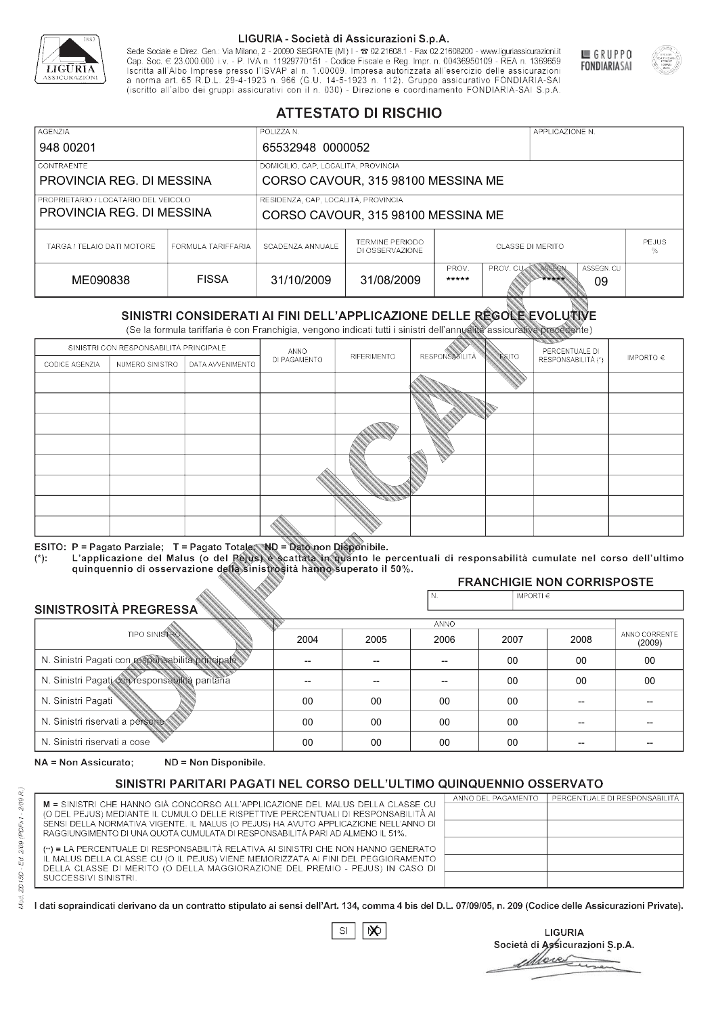

Sede Sociale e Direz. Gen.: Via Milano, 2 - 20090 SEGRATE (MI) I - 2 02.21608.1 - Fax 02.21608200 - www.liguriassicurazioni.it Sede e Direz, Gen. Via Milanto, 2 - 20090 SEGATE (MI) I - 2 UZZIODO. I - FAX UZZIODO2 I - WWW. IIJONENSURIADONILI<br>Cap. Soc. € 23.000.000 i.v. - P. IVA n. 11929770151 - Codice Fiscale e Reg. Impr. n. 00436950109 - REA n. 1



GRUPPO

**FONDIARIASAI** 

# **ATTESTATO DI RISCHIO**

| <b>AGENZIA</b>                                                    |                    | POLIZZA N.                          |                                           |                         |                  | APPLICAZIONE N. |                  |                   |
|-------------------------------------------------------------------|--------------------|-------------------------------------|-------------------------------------------|-------------------------|------------------|-----------------|------------------|-------------------|
| 948 00201                                                         |                    | 65532948 0000052                    |                                           |                         |                  |                 |                  |                   |
| LCONTRAENTE.                                                      |                    | DOMICILIO, CAP, LOCALITÀ, PROVINCIA |                                           |                         |                  |                 |                  |                   |
| PROVINCIA REG. DI MESSINA                                         |                    |                                     | CORSO CAVOUR, 315 98100 MESSINA ME        |                         |                  |                 |                  |                   |
| PROPRIETARIO / LOCATARIO DEL VEICOLO<br>PROVINCIA REG. DI MESSINA |                    | RESIDENZA, CAP, LOCALITÀ, PROVINCIA | CORSO CAVOUR, 315 98100 MESSINA ME        |                         |                  |                 |                  |                   |
| TARGA / TELAIO DATI MOTORE                                        | FORMULA TARIFFARIA | SCADENZA ANNUALE                    | <b>TERMINE PERIODO</b><br>DI OSSERVAZIONE | <b>CLASSE DI MERITO</b> |                  |                 |                  | <b>PEJUS</b><br>% |
| ME090838                                                          | <b>FISSA</b>       | 31/10/2009                          | 31/08/2009                                | PROV.<br>*****          | <b>PROV. CUM</b> | ASSEGN<br>***** | ASSEGN. CU<br>09 |                   |

|                                                 |                                        |                                                                                                                                                                                                      |                          | DI OSSERVAZIONE          |                       |                    |                                     | ℅                       |
|-------------------------------------------------|----------------------------------------|------------------------------------------------------------------------------------------------------------------------------------------------------------------------------------------------------|--------------------------|--------------------------|-----------------------|--------------------|-------------------------------------|-------------------------|
| ME090838                                        |                                        | <b>FISSA</b>                                                                                                                                                                                         | 31/10/2009               | 31/08/2009               | PROV.<br>*****        | PROV. CU           | ASSEGN<br>ASSEGN. CU<br>*****<br>09 |                         |
|                                                 |                                        | SINISTRI CONSIDERATI AI FINI DELL'APPLICAZIONE DELLE REGOLE EVOLUTIVE<br>(Se la formula tariffaria è con Franchigia, vengono indicati tutti i sinistri dell'annualità assicurativa precedente)       |                          |                          |                       |                    |                                     |                         |
|                                                 | SINISTRI CON RESPONSABILITÀ PRINCIPALE |                                                                                                                                                                                                      | ANNO                     |                          |                       |                    | PERCENTUALE DI                      |                         |
| CODICE AGENZIA                                  | NUMERO SINISTRO                        | DATA AVVENIMENTO                                                                                                                                                                                     | DI PAGAMENTO             | RIFERIMENTO              | <b>RESPONSABILITÀ</b> | <b>ESITO</b>       | RESPONSABILITÀ (*)                  | IMPORTO $\in$           |
|                                                 |                                        |                                                                                                                                                                                                      |                          |                          |                       |                    |                                     |                         |
|                                                 |                                        |                                                                                                                                                                                                      |                          |                          |                       |                    |                                     |                         |
|                                                 |                                        |                                                                                                                                                                                                      |                          |                          |                       |                    |                                     |                         |
|                                                 |                                        |                                                                                                                                                                                                      |                          |                          |                       |                    |                                     |                         |
|                                                 |                                        |                                                                                                                                                                                                      |                          |                          |                       |                    |                                     |                         |
|                                                 |                                        |                                                                                                                                                                                                      |                          |                          |                       |                    |                                     |                         |
|                                                 |                                        |                                                                                                                                                                                                      |                          |                          |                       |                    |                                     |                         |
|                                                 |                                        |                                                                                                                                                                                                      |                          |                          |                       |                    |                                     |                         |
|                                                 |                                        |                                                                                                                                                                                                      |                          |                          |                       |                    |                                     |                         |
|                                                 |                                        | ESITO: P = Pagato Parziale; T = Pagato Totale; ND = Dato non Disponibile.                                                                                                                            |                          |                          |                       |                    |                                     |                         |
| $(*)$ .                                         |                                        | L'applicazione del Malus (o del Pejus) è scattata in quanto le percentuali di responsabilità cumulate nel corso dell'ultimo<br>quinquennio di osservazione della sinistrosità hanno superato il 50%. |                          |                          |                       |                    |                                     |                         |
|                                                 |                                        |                                                                                                                                                                                                      |                          |                          |                       |                    | <b>FRANCHIGIE NON CORRISPOSTE</b>   |                         |
|                                                 |                                        |                                                                                                                                                                                                      |                          |                          | N.                    | IMPORTI $\epsilon$ |                                     |                         |
| SINISTROSITÀ PREGRESSA                          |                                        |                                                                                                                                                                                                      |                          |                          | <b>ANNO</b>           |                    |                                     |                         |
|                                                 | <b>TIPO SINISTRO</b>                   |                                                                                                                                                                                                      | 2004                     | 2005                     | 2006                  | 2007               | 2008                                | ANNO CORRENTE<br>(2009) |
|                                                 |                                        | N. Sinistri Pagati con responsabilità principale                                                                                                                                                     | $\overline{\phantom{0}}$ | $\overline{\phantom{a}}$ | $-$                   | $00 \,$<br>00      |                                     | $00\,$                  |
| N. Sinistri Pagati con responsabilità paritaria |                                        |                                                                                                                                                                                                      |                          |                          |                       | 00                 | 00                                  | 00                      |
| N. Sinistri Pagati                              |                                        |                                                                                                                                                                                                      | 00                       | 00                       | 00                    | $00\,$             |                                     |                         |
| N. Sinistri riservati a persone                 |                                        |                                                                                                                                                                                                      | 00                       | 00                       | 00                    | 00                 |                                     |                         |
| N. Sinjetri riconvoti a coco                    |                                        |                                                                                                                                                                                                      | $\cap$                   | $\cap$                   | $\cap$                | $\cap$             |                                     |                         |

| SINISTROSITÀ PREGRESSA                           |      | N.   | IMPORTI $\in$ |      |      |                         |  |  |  |
|--------------------------------------------------|------|------|---------------|------|------|-------------------------|--|--|--|
| <b>ANNO</b>                                      |      |      |               |      |      |                         |  |  |  |
| <b>TIPO SINISTROS</b>                            | 2004 | 2005 | 2006          | 2007 | 2008 | ANNO CORRENTE<br>(2009) |  |  |  |
| N. Sinistri Pagati con responsabilità principale |      |      |               | 00   | 00   | 00                      |  |  |  |
| N. Sinistri Pagati con responsabilità paritaria  |      |      |               | 00   | 00   | 00                      |  |  |  |
| N. Sinistri Pagati                               | 00   | 00   | 00            | 00   |      |                         |  |  |  |
| N. Sinistri riservati a persone                  | 00   | 00   | 00            | 00   |      |                         |  |  |  |
| N. Sinistri riservati a cose                     | 00   | 00   | 00            | 00   |      |                         |  |  |  |

NA = Non Assicurato: ND = Non Disponibile.

# SINISTRI PARITARI PAGATI NEL CORSO DELL'ULTIMO QUINQUENNIO OSSERVATO

|                                                                                                                                                                      | ANNO DEL PAGAMENTO | PERCENTUALE DI RESPONSABILITÀ |
|----------------------------------------------------------------------------------------------------------------------------------------------------------------------|--------------------|-------------------------------|
| M = SINISTRI CHE HANNO GIÀ CONCORSO ALL'APPLICAZIONE DEL MALUS DELLA CLASSE CU<br>(O DEL PEJUS) MEDIANTE IL CUMULO DELLE RISPETTIVE PERCENTUALI DI RESPONSABILITÀ AI |                    |                               |
| SENSI DELLA NORMATIVA VIGENTE. IL MALUS (O PEJUS) HA AVUTO APPLICAZIONE NELL'ANNO DI                                                                                 |                    |                               |
|                                                                                                                                                                      |                    |                               |
| RAGGIUNGIMENTO DI UNA QUOTA CUMULATA DI RESPONSABILITÀ PARI AD ALMENO IL 51%.                                                                                        |                    |                               |
| (**) = LA PERCENTUALE DI RESPONSABILITÀ RELATIVA AI SINISTRI CHE NON HANNO GENERATO                                                                                  |                    |                               |
| IL MALUS DELLA CLASSE CU (O IL PEJUS) VIENE MEMORIZZATA AI FINI DEL PEGGIORAMENTO                                                                                    |                    |                               |
| DELLA CLASSE DI MERITO (O DELLA MAGGIORAZIONE DEL PREMIO - PEJUS) IN CASO DI                                                                                         |                    |                               |
| SUCCESSIVI SINISTRI.                                                                                                                                                 |                    |                               |
|                                                                                                                                                                      |                    |                               |

 $SI$  $\infty$ 

**LIGURIA** Società di Assicurazioni S.p.A. More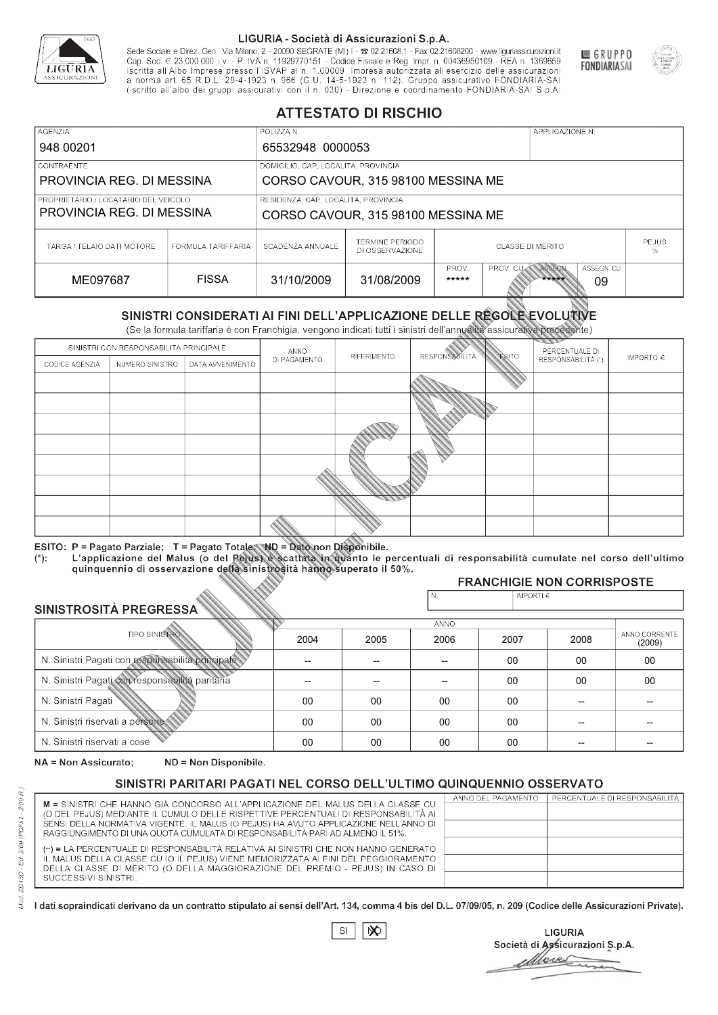

Sede Sociale e Direz. Gen.: Via Milano, 2 - 20090 SEGRATE (MI) I - 2 02.21608.1 - Fax 02.21608200 - www.liguriassicurazioni.it Cap. Soc.  $\in$  23.000.000 i.v. - P. IVA n. 11929770151 - Codice Fiscale e Reg. Impr. n. 00436950109 - REA n. 1369659<br>Iscritta all'Albo Imprese presso l'ISVAP al n. 1.00009. Impresa autorizzata all'esercizio delle assicura d homa art. 65 K.D.L. 29-4-1923 ft. 900 (G.O. 14-5-1923 ft. 112). Gruppo assicurativo PONDIARIA-SAI S.p.A



GRUPPO

**FONDIARIASAI** 

# **ATTESTATO DI RISCHIO**

| <b>AGENZIA</b>                                                    |                    | POLIZZA N.                          |                                           |                         |                  | APPLICAZIONE N. |                  |                   |
|-------------------------------------------------------------------|--------------------|-------------------------------------|-------------------------------------------|-------------------------|------------------|-----------------|------------------|-------------------|
| 948 00201                                                         |                    | 65532948 0000053                    |                                           |                         |                  |                 |                  |                   |
| LCONTRAENTE.                                                      |                    | DOMICILIO, CAP, LOCALITÀ, PROVINCIA |                                           |                         |                  |                 |                  |                   |
| PROVINCIA REG. DI MESSINA                                         |                    |                                     | CORSO CAVOUR, 315 98100 MESSINA ME        |                         |                  |                 |                  |                   |
| PROPRIETARIO / LOCATARIO DEL VEICOLO<br>PROVINCIA REG. DI MESSINA |                    | RESIDENZA, CAP, LOCALITÀ, PROVINCIA | CORSO CAVOUR, 315 98100 MESSINA ME        |                         |                  |                 |                  |                   |
| TARGA / TELAIO DATI MOTORE                                        | FORMULA TARIFFARIA | SCADENZA ANNUALE                    | <b>TERMINE PERIODO</b><br>DI OSSERVAZIONE | <b>CLASSE DI MERITO</b> |                  |                 |                  | <b>PEJUS</b><br>% |
| ME097687                                                          | <b>FISSA</b>       | 31/10/2009                          | 31/08/2009                                | PROV.<br>*****          | <b>PROV. CUM</b> | ASSEGN<br>***** | ASSEGN. CU<br>09 |                   |

|                                                 |                                        |                                                                                                                                                                                                      |                          | DI OSSERVAZIONE          |                       |                    |                                     | ℅                       |
|-------------------------------------------------|----------------------------------------|------------------------------------------------------------------------------------------------------------------------------------------------------------------------------------------------------|--------------------------|--------------------------|-----------------------|--------------------|-------------------------------------|-------------------------|
| ME097687                                        |                                        | <b>FISSA</b>                                                                                                                                                                                         | 31/10/2009               | 31/08/2009               | PROV.<br>*****        | PROV. CU           | ASSEGN<br>ASSEGN. CU<br>*****<br>09 |                         |
|                                                 |                                        | SINISTRI CONSIDERATI AI FINI DELL'APPLICAZIONE DELLE REGOLE EVOLUTIVE<br>(Se la formula tariffaria è con Franchigia, vengono indicati tutti i sinistri dell'annualità assicurativa precedente)       |                          |                          |                       |                    |                                     |                         |
|                                                 | SINISTRI CON RESPONSABILITÀ PRINCIPALE |                                                                                                                                                                                                      | ANNO                     |                          |                       |                    | PERCENTUALE DI                      |                         |
| CODICE AGENZIA                                  | NUMERO SINISTRO                        | DATA AVVENIMENTO                                                                                                                                                                                     | DI PAGAMENTO             | RIFERIMENTO              | <b>RESPONSABILITÀ</b> | <b>ESITO</b>       | RESPONSABILITÀ (*)                  | IMPORTO $\in$           |
|                                                 |                                        |                                                                                                                                                                                                      |                          |                          |                       |                    |                                     |                         |
|                                                 |                                        |                                                                                                                                                                                                      |                          |                          |                       |                    |                                     |                         |
|                                                 |                                        |                                                                                                                                                                                                      |                          |                          |                       |                    |                                     |                         |
|                                                 |                                        |                                                                                                                                                                                                      |                          |                          |                       |                    |                                     |                         |
|                                                 |                                        |                                                                                                                                                                                                      |                          |                          |                       |                    |                                     |                         |
|                                                 |                                        |                                                                                                                                                                                                      |                          |                          |                       |                    |                                     |                         |
|                                                 |                                        |                                                                                                                                                                                                      |                          |                          |                       |                    |                                     |                         |
|                                                 |                                        |                                                                                                                                                                                                      |                          |                          |                       |                    |                                     |                         |
|                                                 |                                        |                                                                                                                                                                                                      |                          |                          |                       |                    |                                     |                         |
|                                                 |                                        | ESITO: P = Pagato Parziale; T = Pagato Totale; ND = Dato non Disponibile.                                                                                                                            |                          |                          |                       |                    |                                     |                         |
| $(*)$ .                                         |                                        | L'applicazione del Malus (o del Pejus) è scattata in quanto le percentuali di responsabilità cumulate nel corso dell'ultimo<br>quinquennio di osservazione della sinistrosità hanno superato il 50%. |                          |                          |                       |                    |                                     |                         |
|                                                 |                                        |                                                                                                                                                                                                      |                          |                          |                       |                    | <b>FRANCHIGIE NON CORRISPOSTE</b>   |                         |
|                                                 |                                        |                                                                                                                                                                                                      |                          |                          | N.                    | IMPORTI $\epsilon$ |                                     |                         |
| SINISTROSITÀ PREGRESSA                          |                                        |                                                                                                                                                                                                      |                          |                          | <b>ANNO</b>           |                    |                                     |                         |
|                                                 | <b>TIPO SINISTRO</b>                   |                                                                                                                                                                                                      | 2004                     | 2005                     | 2006                  | 2007               | 2008                                | ANNO CORRENTE<br>(2009) |
|                                                 |                                        | N. Sinistri Pagati con responsabilità principale                                                                                                                                                     | $\overline{\phantom{0}}$ | $\overline{\phantom{a}}$ | $-$                   | $00 \,$<br>00      |                                     | $00\,$                  |
| N. Sinistri Pagati con responsabilità paritaria |                                        |                                                                                                                                                                                                      |                          |                          |                       | 00                 | 00                                  | 00                      |
| N. Sinistri Pagati                              |                                        |                                                                                                                                                                                                      | 00                       | 00                       | 00                    | $00\,$             |                                     |                         |
| N. Sinistri riservati a persone                 |                                        |                                                                                                                                                                                                      | 00                       | 00                       | 00                    | 00                 |                                     |                         |
| N. Sinjetri riconvoti a coco                    |                                        |                                                                                                                                                                                                      | $\cap$                   | $\cap$                   | $\cap$                | $\cap$             |                                     |                         |

### 2005 -- --  $0<sup>0</sup>$ 00 00 2004 -- --  $0<sup>0</sup>$ 00 00 2006 -- -- 00 00 00 2007 00 00 00 00 00 2008 00 00 -- -- -- 00 00 -- -- -- (2009)

NA = Non Assicurato: ND = Non Disponibile.

# SINISTRI PARITARI PAGATI NEL CORSO DELL'ULTIMO QUINQUENNIO OSSERVATO

|                                                                                                                                                                      | ANNO DEL PAGAMENTO | PERCENTUALE DI RESPONSABILITÀ |
|----------------------------------------------------------------------------------------------------------------------------------------------------------------------|--------------------|-------------------------------|
| M = SINISTRI CHE HANNO GIÀ CONCORSO ALL'APPLICAZIONE DEL MALUS DELLA CLASSE CU<br>(O DEL PEJUS) MEDIANTE IL CUMULO DELLE RISPETTIVE PERCENTUALI DI RESPONSABILITÀ AI |                    |                               |
| SENSI DELLA NORMATIVA VIGENTE. IL MALUS (O PEJUS) HA AVUTO APPLICAZIONE NELL'ANNO DI                                                                                 |                    |                               |
|                                                                                                                                                                      |                    |                               |
| RAGGIUNGIMENTO DI UNA QUOTA CUMULATA DI RESPONSABILITÀ PARI AD ALMENO IL 51%.                                                                                        |                    |                               |
| (**) = LA PERCENTUALE DI RESPONSABILITÀ RELATIVA AI SINISTRI CHE NON HANNO GENERATO                                                                                  |                    |                               |
| IL MALUS DELLA CLASSE CU (O IL PEJUS) VIENE MEMORIZZATA AI FINI DEL PEGGIORAMENTO                                                                                    |                    |                               |
| DELLA CLASSE DI MERITO (O DELLA MAGGIORAZIONE DEL PREMIO - PEJUS) IN CASO DI                                                                                         |                    |                               |
| SUCCESSIVI SINISTRI.                                                                                                                                                 |                    |                               |
|                                                                                                                                                                      |                    |                               |

 $\mathbb{S}\mathsf{I}$  $\infty$ 

**LIGURIA** Società di Assicurazioni S.p.A. Move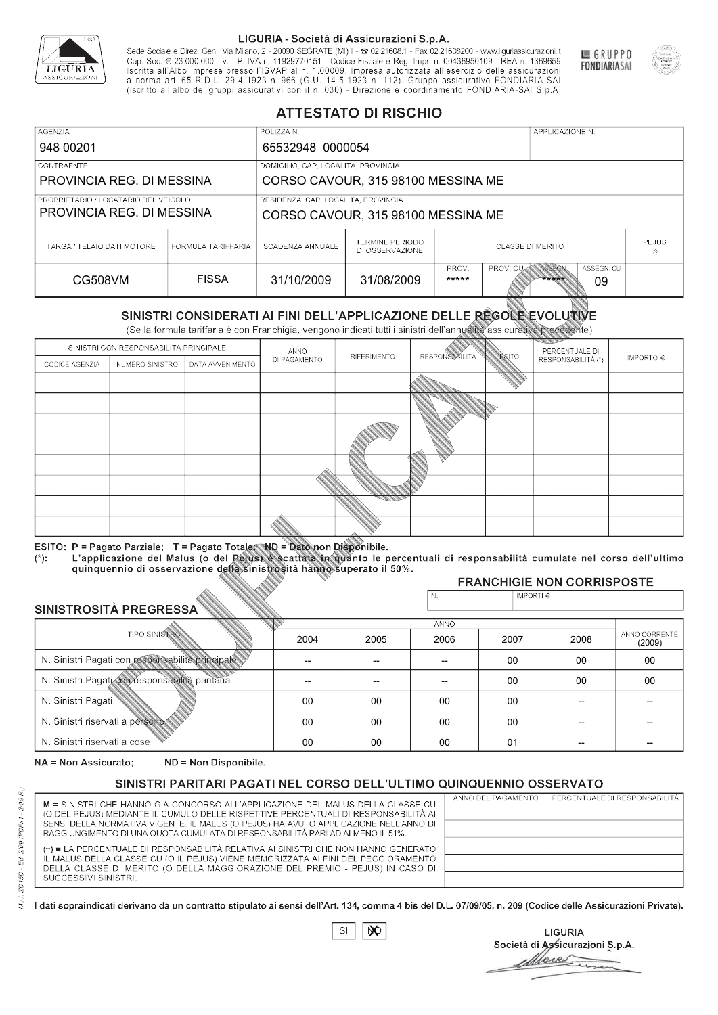

Sede Sociale e Direz. Gen.: Via Milano, 2 - 20090 SEGRATE (MI) I - 2 02.21608.1 - Fax 02.21608200 - www.liguriassicurazioni.it Sede e Direz, Gen. Via Milanto, 2 - 20090 SEGATE (MI) I - 2 UZZIODO. I - FAX UZZIODO2 I - WWW. IIJONENSURIADONILI<br>Cap. Soc. € 23.000.000 i.v. - P. IVA n. 11929770151 - Codice Fiscale e Reg. Impr. n. 00436950109 - REA n. 1



GRUPPO

**FONDIARIASAI** 

# **ATTESTATO DI RISCHIO**

| <b>AGENZIA</b>             |                                                                                                                                                | POLIZZA N.                          |                                           |                         |                  | APPLICAZIONE N. |                  |                   |
|----------------------------|------------------------------------------------------------------------------------------------------------------------------------------------|-------------------------------------|-------------------------------------------|-------------------------|------------------|-----------------|------------------|-------------------|
| 948 00201                  |                                                                                                                                                | 65532948 0000054                    |                                           |                         |                  |                 |                  |                   |
| LCONTRAENTE.               |                                                                                                                                                | DOMICILIO, CAP, LOCALITÀ, PROVINCIA |                                           |                         |                  |                 |                  |                   |
| PROVINCIA REG. DI MESSINA  |                                                                                                                                                |                                     | CORSO CAVOUR, 315 98100 MESSINA ME        |                         |                  |                 |                  |                   |
|                            | RESIDENZA, CAP, LOCALITÀ, PROVINCIA<br>PROPRIETARIO / LOCATARIO DEL VEICOLO<br>PROVINCIA REG. DI MESSINA<br>CORSO CAVOUR, 315 98100 MESSINA ME |                                     |                                           |                         |                  |                 |                  |                   |
|                            |                                                                                                                                                |                                     |                                           |                         |                  |                 |                  |                   |
| TARGA / TELAIO DATI MOTORE | FORMULA TARIFFARIA                                                                                                                             | SCADENZA ANNUALE                    | <b>TERMINE PERIODO</b><br>DI OSSERVAZIONE | <b>CLASSE DI MERITO</b> |                  |                 |                  | <b>PEJUS</b><br>% |
| CG508VM                    | <b>FISSA</b>                                                                                                                                   | 31/10/2009                          | 31/08/2009                                | PROV.<br>*****          | <b>PROV. CUM</b> | ASSEGN<br>***** | ASSEGN. CU<br>09 |                   |

|                                                 |                                        |                                                                                                                                                                                                      |                          | DI OSSERVAZIONE          |                       |                    |                                     | ℅                       |
|-------------------------------------------------|----------------------------------------|------------------------------------------------------------------------------------------------------------------------------------------------------------------------------------------------------|--------------------------|--------------------------|-----------------------|--------------------|-------------------------------------|-------------------------|
| <b>CG508VM</b>                                  |                                        | <b>FISSA</b>                                                                                                                                                                                         | 31/10/2009               | 31/08/2009               | PROV.<br>*****        | PROV. CU           | ASSEGN<br>ASSEGN. CU<br>*****<br>09 |                         |
|                                                 |                                        | SINISTRI CONSIDERATI AI FINI DELL'APPLICAZIONE DELLE REGOLE EVOLUTIVE<br>(Se la formula tariffaria è con Franchigia, vengono indicati tutti i sinistri dell'annualità assicurativa precedente)       |                          |                          |                       |                    |                                     |                         |
|                                                 | SINISTRI CON RESPONSABILITÀ PRINCIPALE |                                                                                                                                                                                                      | ANNO                     |                          |                       |                    | PERCENTUALE DI                      |                         |
| CODICE AGENZIA                                  | NUMERO SINISTRO                        | DATA AVVENIMENTO                                                                                                                                                                                     | DI PAGAMENTO             | RIFERIMENTO              | <b>RESPONSABILITÀ</b> | <b>ESITO</b>       | RESPONSABILITÀ (*)                  | IMPORTO $\in$           |
|                                                 |                                        |                                                                                                                                                                                                      |                          |                          |                       |                    |                                     |                         |
|                                                 |                                        |                                                                                                                                                                                                      |                          |                          |                       |                    |                                     |                         |
|                                                 |                                        |                                                                                                                                                                                                      |                          |                          |                       |                    |                                     |                         |
|                                                 |                                        |                                                                                                                                                                                                      |                          |                          |                       |                    |                                     |                         |
|                                                 |                                        |                                                                                                                                                                                                      |                          |                          |                       |                    |                                     |                         |
|                                                 |                                        |                                                                                                                                                                                                      |                          |                          |                       |                    |                                     |                         |
|                                                 |                                        |                                                                                                                                                                                                      |                          |                          |                       |                    |                                     |                         |
|                                                 |                                        |                                                                                                                                                                                                      |                          |                          |                       |                    |                                     |                         |
|                                                 |                                        |                                                                                                                                                                                                      |                          |                          |                       |                    |                                     |                         |
|                                                 |                                        | ESITO: P = Pagato Parziale; T = Pagato Totale; ND = Dato non Disponibile.                                                                                                                            |                          |                          |                       |                    |                                     |                         |
| $(*)$ .                                         |                                        | L'applicazione del Malus (o del Pejus) è scattata in quanto le percentuali di responsabilità cumulate nel corso dell'ultimo<br>quinquennio di osservazione della sinistrosità hanno superato il 50%. |                          |                          |                       |                    |                                     |                         |
|                                                 |                                        |                                                                                                                                                                                                      |                          |                          |                       |                    | <b>FRANCHIGIE NON CORRISPOSTE</b>   |                         |
|                                                 |                                        |                                                                                                                                                                                                      |                          |                          | N.                    | IMPORTI $\epsilon$ |                                     |                         |
| SINISTROSITÀ PREGRESSA                          |                                        |                                                                                                                                                                                                      |                          |                          | <b>ANNO</b>           |                    |                                     |                         |
|                                                 | <b>TIPO SINISTRO</b>                   |                                                                                                                                                                                                      | 2004                     | 2005                     | 2006                  | 2007               | 2008                                | ANNO CORRENTE<br>(2009) |
|                                                 |                                        | N. Sinistri Pagati con responsabilità principale                                                                                                                                                     | $\overline{\phantom{0}}$ | $\overline{\phantom{a}}$ | $-$                   | $00 \,$<br>00      |                                     | $00\,$                  |
| N. Sinistri Pagati con responsabilità paritaria |                                        |                                                                                                                                                                                                      |                          |                          |                       | 00                 | 00                                  | 00                      |
| N. Sinistri Pagati                              |                                        |                                                                                                                                                                                                      | 00                       | 00                       | 00                    | $00\,$             |                                     |                         |
| N. Sinistri riservati a persone                 |                                        |                                                                                                                                                                                                      | 00                       | 00                       | 00                    | 00                 |                                     |                         |
| N. Sinjetri riconvoti a coco                    |                                        |                                                                                                                                                                                                      | $\cap$                   | $\cap$                   | $\cap$                | $^{\circ}$         |                                     |                         |

### 2005 -- --  $0<sup>0</sup>$ 00 00 2004 -- --  $0<sup>0</sup>$ 00 00 2006 -- -- 00 00 00 2007 00 00 00 00 01 2008 00 00 -- -- -- 00 00 -- -- -- (2009)

NA = Non Assicurato: ND = Non Disponibile.

# SINISTRI PARITARI PAGATI NEL CORSO DELL'ULTIMO QUINQUENNIO OSSERVATO

|                                                                                      | ANNO DEL PAGAMENTO | PERCENTUALE DI RESPONSABILITÀ |
|--------------------------------------------------------------------------------------|--------------------|-------------------------------|
| M = SINISTRI CHE HANNO GIÀ CONCORSO ALL'APPLICAZIONE DEL MALUS DELLA CLASSE CU       |                    |                               |
| (O DEL PEJUS) MEDIANTE IL CUMULO DELLE RISPETTIVE PERCENTUALI DI RESPONSABILITÀ AI   |                    |                               |
| SENSI DELLA NORMATIVA VIGENTE. IL MALUS (O PEJUS) HA AVUTO APPLICAZIONE NELL'ANNO DI |                    |                               |
| RAGGIUNGIMENTO DI UNA QUOTA CUMULATA DI RESPONSABILITÀ PARI AD ALMENO IL 51%.        |                    |                               |
|                                                                                      |                    |                               |
| (**) = LA PERCENTUALE DI RESPONSABILITÀ RELATIVA AI SINISTRI CHE NON HANNO GENERATO  |                    |                               |
| IL MALUS DELLA CLASSE CU (O IL PEJUS) VIENE MEMORIZZATA AI FINI DEL PEGGIORAMENTO    |                    |                               |
| DELLA CLASSE DI MERITO (O DELLA MAGGIORAZIONE DEL PREMIO - PEJUS) IN CASO DI         |                    |                               |
| SUCCESSIVI SINISTRI.                                                                 |                    |                               |
|                                                                                      |                    |                               |

|--|

**LIGURIA** Società di Assicurazioni S.p.A. Move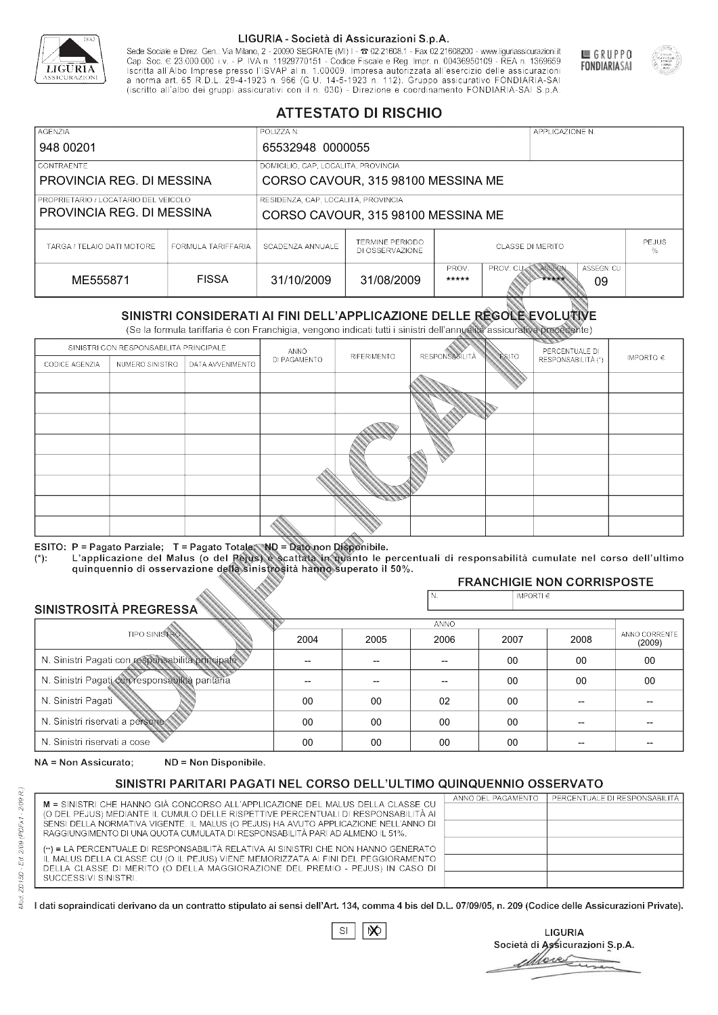

Sede Sociale e Direz. Gen.: Via Milano, 2 - 20090 SEGRATE (MI) I - 2 02.21608.1 - Fax 02.21608200 - www.liguriassicurazioni.it Cap. Soc.  $\in$  23.000.000 i.v. - P. IVA n. 11929770151 - Codice Fiscale e Reg. Impr. n. 00436950109 - REA n. 1369659<br>Iscritta all'Albo Imprese presso l'ISVAP al n. 1.00009. Impresa autorizzata all'esercizio delle assicura d homa art. 65 K.D.L. 29-4-1923 ft. 900 (G.O. 14-5-1923 ft. 112). Gruppo assicurativo PONDIARIA-SAI S.p.A



GRUPPO

**FONDIARIASAI** 

# **ATTESTATO DI RISCHIO**

| <b>AGENZIA</b>                                                    |                    | POLIZZA N.                          |                                           |                         |                  | APPLICAZIONE N. |                  |                   |
|-------------------------------------------------------------------|--------------------|-------------------------------------|-------------------------------------------|-------------------------|------------------|-----------------|------------------|-------------------|
| 948 00201                                                         |                    | 65532948 0000055                    |                                           |                         |                  |                 |                  |                   |
| LCONTRAENTE.                                                      |                    | DOMICILIO, CAP, LOCALITÀ, PROVINCIA |                                           |                         |                  |                 |                  |                   |
| PROVINCIA REG. DI MESSINA                                         |                    | CORSO CAVOUR, 315 98100 MESSINA ME  |                                           |                         |                  |                 |                  |                   |
| PROPRIETARIO / LOCATARIO DEL VEICOLO<br>PROVINCIA REG. DI MESSINA |                    | RESIDENZA, CAP, LOCALITÀ, PROVINCIA | CORSO CAVOUR, 315 98100 MESSINA ME        |                         |                  |                 |                  |                   |
| TARGA / TELAIO DATI MOTORE                                        | FORMULA TARIFFARIA | SCADENZA ANNUALE                    | <b>TERMINE PERIODO</b><br>DI OSSERVAZIONE | <b>CLASSE DI MERITO</b> |                  |                 |                  | <b>PEJUS</b><br>% |
| ME555871                                                          | <b>FISSA</b>       | 31/10/2009                          | 31/08/2009                                | PROV.<br>*****          | <b>PROV. CUM</b> | ASSEGN<br>***** | ASSEGN. CU<br>09 |                   |

|                                                 |                                        |                                                                                                                                                                                                      |              | DI OSSERVAZIONE |                      |               |                                     | %                       |
|-------------------------------------------------|----------------------------------------|------------------------------------------------------------------------------------------------------------------------------------------------------------------------------------------------------|--------------|-----------------|----------------------|---------------|-------------------------------------|-------------------------|
| ME555871                                        |                                        | <b>FISSA</b>                                                                                                                                                                                         | 31/10/2009   | 31/08/2009      | PROV.<br>*****       | PROV. CU      | ASSEGN<br>ASSEGN. CU<br>*****<br>09 |                         |
|                                                 |                                        | SINISTRI CONSIDERATI AI FINI DELL'APPLICAZIONE DELLE RÉGOLE EVOLUTIVE<br>(Se la formula tariffaria è con Franchigia, vengono indicati tutti i sinistri dell'annualità assicurativa precedente)       |              |                 |                      |               |                                     |                         |
|                                                 | SINISTRI CON RESPONSABILITÀ PRINCIPALE |                                                                                                                                                                                                      | ANNO         |                 |                      |               | PERCENTUALE DI                      |                         |
| CODICE AGENZIA                                  | NUMERO SINISTRO                        | DATA AVVENIMENTO                                                                                                                                                                                     | DI PAGAMENTO | RIFERIMENTO     | <b>RESPONSABLITA</b> | <b>ESITO</b>  | RESPONSABILITÀ (*)                  | IMPORTO $\in$           |
|                                                 |                                        |                                                                                                                                                                                                      |              |                 |                      |               |                                     |                         |
|                                                 |                                        |                                                                                                                                                                                                      |              |                 |                      |               |                                     |                         |
|                                                 |                                        |                                                                                                                                                                                                      |              |                 |                      |               |                                     |                         |
|                                                 |                                        |                                                                                                                                                                                                      |              |                 |                      |               |                                     |                         |
|                                                 |                                        |                                                                                                                                                                                                      |              |                 |                      |               |                                     |                         |
|                                                 |                                        |                                                                                                                                                                                                      |              |                 |                      |               |                                     |                         |
|                                                 |                                        |                                                                                                                                                                                                      |              |                 |                      |               |                                     |                         |
|                                                 |                                        |                                                                                                                                                                                                      |              |                 |                      |               |                                     |                         |
|                                                 |                                        |                                                                                                                                                                                                      |              |                 |                      |               |                                     |                         |
|                                                 |                                        | ESITO: P = Pagato Parziale; T = Pagato Totale; ND = Dato non Disponibile.                                                                                                                            |              |                 |                      |               |                                     |                         |
| $(*)$ .                                         |                                        | L'applicazione del Malus (o del Pejus) è scattata in quanto le percentuali di responsabilità cumulate nel corso dell'ultimo<br>quinquennio di osservazione della sinistrosità hanno superato il 50%. |              |                 |                      |               |                                     |                         |
|                                                 |                                        |                                                                                                                                                                                                      |              |                 |                      |               | <b>FRANCHIGIE NON CORRISPOSTE</b>   |                         |
|                                                 |                                        |                                                                                                                                                                                                      |              |                 | N.                   | IMPORTI $\in$ |                                     |                         |
| SINISTROSITÀ PREGRESSA                          |                                        |                                                                                                                                                                                                      |              |                 | <b>ANNO</b>          |               |                                     |                         |
|                                                 | <b>TIPO SINISTRO</b>                   |                                                                                                                                                                                                      | 2004         | 2005            | 2006                 | 2007          | 2008                                | ANNO CORRENTE<br>(2009) |
|                                                 |                                        | N. Sinistri Pagati con responsabilità principale                                                                                                                                                     | --           | --              | $\overline{a}$       | 00            | 00                                  | 00                      |
| N. Sinistri Pagati con responsabilità paritaria |                                        |                                                                                                                                                                                                      |              |                 |                      | 00            | 00                                  | 00                      |
| N. Sinistri Pagati                              |                                        |                                                                                                                                                                                                      | 00           | 00              | 02                   | 00            | --                                  |                         |
| N. Sinistri riservati a persone                 |                                        |                                                                                                                                                                                                      | 00           | 00              | 00                   | 00            |                                     |                         |
| N. Sinjetri riconvoti a coco                    |                                        |                                                                                                                                                                                                      | $\cap$       | $\cap$          | $\cap$               | $\sim$        |                                     |                         |

### 2005 -- --  $0<sup>0</sup>$ 00 00 2004 -- --  $0<sup>0</sup>$ 00 00 2006 -- -- 02 00 00 2007 00 00 00 00 00 2008 00 00 -- -- -- 00 00 -- -- -- (2009)

NA = Non Assicurato: ND = Non Disponibile.

# SINISTRI PARITARI PAGATI NEL CORSO DELL'ULTIMO QUINQUENNIO OSSERVATO

|                                                                                                                                                                      | ANNO DEL PAGAMENTO | PERCENTUALE DI RESPONSABILITÀ |
|----------------------------------------------------------------------------------------------------------------------------------------------------------------------|--------------------|-------------------------------|
| M = SINISTRI CHE HANNO GIÀ CONCORSO ALL'APPLICAZIONE DEL MALUS DELLA CLASSE CU<br>(O DEL PEJUS) MEDIANTE IL CUMULO DELLE RISPETTIVE PERCENTUALI DI RESPONSABILITÀ AI |                    |                               |
| SENSI DELLA NORMATIVA VIGENTE. IL MALUS (O PEJUS) HA AVUTO APPLICAZIONE NELL'ANNO DI                                                                                 |                    |                               |
| RAGGIUNGIMENTO DI UNA QUOTA CUMULATA DI RESPONSABILITÀ PARI AD ALMENO IL 51%.                                                                                        |                    |                               |
|                                                                                                                                                                      |                    |                               |
| (**) = LA PERCENTUALE DI RESPONSABILITÀ RELATIVA AI SINISTRI CHE NON HANNO GENERATO                                                                                  |                    |                               |
| IL MALUS DELLA CLASSE CU (O IL PEJUS) VIENE MEMORIZZATA AI FINI DEL PEGGIORAMENTO                                                                                    |                    |                               |
| DELLA CLASSE DI MERITO (O DELLA MAGGIORAZIONE DEL PREMIO - PEJUS) IN CASO DI                                                                                         |                    |                               |
| SUCCESSIVI SINISTRI.                                                                                                                                                 |                    |                               |
|                                                                                                                                                                      |                    |                               |

 $\mathbb{S}\mathsf{I}$  $\infty$ 

**LIGURIA** Società di Assicurazioni S.p.A. Move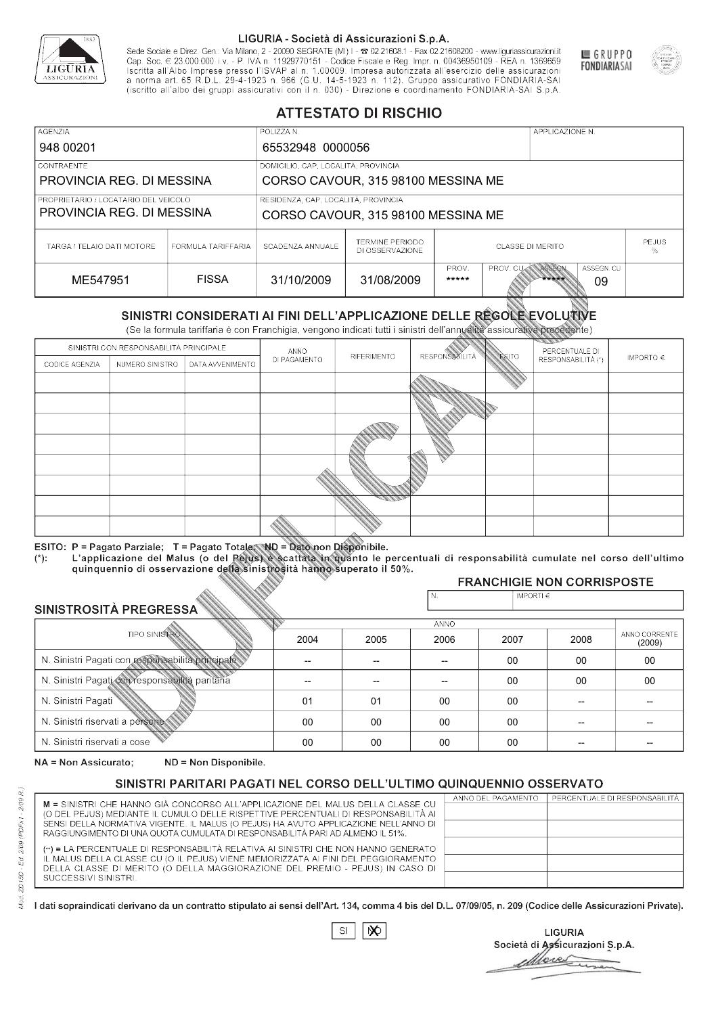

Sede Sociale e Direz. Gen.: Via Milano, 2 - 20090 SEGRATE (MI) I - 2 02.21608.1 - Fax 02.21608200 - www.liguriassicurazioni.it Cap. Soc.  $\in$  23.000.000 i.v. - P. IVA n. 11929770151 - Codice Fiscale e Reg. Impr. n. 00436950109 - REA n. 1369659<br>Iscritta all'Albo Imprese presso l'ISVAP al n. 1.00009. Impresa autorizzata all'esercizio delle assicura d homa art. 65 K.D.L. 29-4-1923 ft. 900 (G.O. 14-5-1923 ft. 112). Gruppo assicurativo PONDIARIA-SAI S.p.A



GRUPPO

**FONDIARIASAI** 

# **ATTESTATO DI RISCHIO**

| <b>AGENZIA</b>                       |                    | POLIZZA N.                          |                                           |                                                                   |  | APPLICAZIONE N. |  |              |
|--------------------------------------|--------------------|-------------------------------------|-------------------------------------------|-------------------------------------------------------------------|--|-----------------|--|--------------|
| 948 00201                            | 65532948 0000056   |                                     |                                           |                                                                   |  |                 |  |              |
| <b>CONTRAENTE</b>                    |                    | DOMICILIO, CAP, LOCALITÀ, PROVINCIA |                                           |                                                                   |  |                 |  |              |
| PROVINCIA REG. DI MESSINA            |                    |                                     | CORSO CAVOUR, 315 98100 MESSINA ME        |                                                                   |  |                 |  |              |
| PROPRIETARIO / LOCATARIO DEL VEICOLO |                    | RESIDENZA, CAP, LOCALITÀ, PROVINCIA |                                           |                                                                   |  |                 |  |              |
| PROVINCIA REG. DI MESSINA            |                    | CORSO CAVOUR, 315 98100 MESSINA ME  |                                           |                                                                   |  |                 |  |              |
| TARGA / TELAIO DATI MOTORE           | FORMULA TARIFFARIA | SCADENZA ANNUALE                    | <b>TERMINE PERIODO</b><br>DI OSSERVAZIONE | <b>CLASSE DI MERITO</b><br>%                                      |  |                 |  | <b>PEJUS</b> |
| ME547951                             | <b>FISSA</b>       | 31/10/2009                          | 31/08/2009                                | PROV.<br>ASSEGN<br>ASSEGN. CU<br>PROV. CU<br>*****<br>*****<br>09 |  |                 |  |              |

|                                                 |                                        |                                                                                                                                                                                                      |                          | DI OSSERVAZIONE          |                       |                    |                                     | ℅                       |
|-------------------------------------------------|----------------------------------------|------------------------------------------------------------------------------------------------------------------------------------------------------------------------------------------------------|--------------------------|--------------------------|-----------------------|--------------------|-------------------------------------|-------------------------|
| ME547951                                        |                                        | <b>FISSA</b>                                                                                                                                                                                         | 31/10/2009               | 31/08/2009               | PROV.<br>*****        | PROV. CU           | ASSEGN<br>ASSEGN. CU<br>*****<br>09 |                         |
|                                                 |                                        | SINISTRI CONSIDERATI AI FINI DELL'APPLICAZIONE DELLE REGOLE EVOLUTIVE<br>(Se la formula tariffaria è con Franchigia, vengono indicati tutti i sinistri dell'annualità assicurativa precedente)       |                          |                          |                       |                    |                                     |                         |
|                                                 | SINISTRI CON RESPONSABILITÀ PRINCIPALE |                                                                                                                                                                                                      | ANNO                     |                          |                       |                    | PERCENTUALE DI                      |                         |
| CODICE AGENZIA                                  | NUMERO SINISTRO                        | DATA AVVENIMENTO                                                                                                                                                                                     | DI PAGAMENTO             | RIFERIMENTO              | <b>RESPONSABILITÀ</b> | <b>ESITO</b>       | RESPONSABILITÀ (*)                  | IMPORTO $\in$           |
|                                                 |                                        |                                                                                                                                                                                                      |                          |                          |                       |                    |                                     |                         |
|                                                 |                                        |                                                                                                                                                                                                      |                          |                          |                       |                    |                                     |                         |
|                                                 |                                        |                                                                                                                                                                                                      |                          |                          |                       |                    |                                     |                         |
|                                                 |                                        |                                                                                                                                                                                                      |                          |                          |                       |                    |                                     |                         |
|                                                 |                                        |                                                                                                                                                                                                      |                          |                          |                       |                    |                                     |                         |
|                                                 |                                        |                                                                                                                                                                                                      |                          |                          |                       |                    |                                     |                         |
|                                                 |                                        |                                                                                                                                                                                                      |                          |                          |                       |                    |                                     |                         |
|                                                 |                                        |                                                                                                                                                                                                      |                          |                          |                       |                    |                                     |                         |
|                                                 |                                        |                                                                                                                                                                                                      |                          |                          |                       |                    |                                     |                         |
|                                                 |                                        | ESITO: P = Pagato Parziale; T = Pagato Totale; ND = Dato non Disponibile.                                                                                                                            |                          |                          |                       |                    |                                     |                         |
| $(*)$ .                                         |                                        | L'applicazione del Malus (o del Pejus) è scattata in quanto le percentuali di responsabilità cumulate nel corso dell'ultimo<br>quinquennio di osservazione della sinistrosità hanno superato il 50%. |                          |                          |                       |                    |                                     |                         |
|                                                 |                                        |                                                                                                                                                                                                      |                          |                          |                       |                    | <b>FRANCHIGIE NON CORRISPOSTE</b>   |                         |
|                                                 |                                        |                                                                                                                                                                                                      |                          |                          | N.                    | IMPORTI $\epsilon$ |                                     |                         |
| SINISTROSITÀ PREGRESSA                          |                                        |                                                                                                                                                                                                      |                          |                          | <b>ANNO</b>           |                    |                                     |                         |
|                                                 | <b>TIPO SINISTRO</b>                   |                                                                                                                                                                                                      | 2004                     | 2005                     | 2006                  | 2007               | 2008                                | ANNO CORRENTE<br>(2009) |
|                                                 |                                        | N. Sinistri Pagati con responsabilità principale                                                                                                                                                     | $\overline{\phantom{0}}$ | $\overline{\phantom{a}}$ | $-$                   | $00 \,$            | 00                                  | 00                      |
| N. Sinistri Pagati con responsabilità paritaria |                                        |                                                                                                                                                                                                      |                          |                          |                       | 00                 | 00                                  | 00                      |
| N. Sinistri Pagati                              |                                        |                                                                                                                                                                                                      | 01                       | 01                       | 00                    | $00\,$             |                                     |                         |
| N. Sinistri riservati a persone                 |                                        |                                                                                                                                                                                                      | 00                       | 00                       | 00                    | 00                 |                                     |                         |
| N. Sinjetri riconvoti a coco                    |                                        |                                                                                                                                                                                                      | $\cap$                   | $\cap$                   | $\cap$                | $\cap$             |                                     |                         |

### 2005 -- -- 01 00 00 2004 -- -- 01 00 00 2006 -- -- 00 00 00 2007 00 00 00 00 00 2008 00 00 -- -- -- 00 00 -- -- -- (2009)

NA = Non Assicurato: ND = Non Disponibile.

# SINISTRI PARITARI PAGATI NEL CORSO DELL'ULTIMO QUINQUENNIO OSSERVATO

|                                                                                      | ANNO DEL PAGAMENTO | PERCENTUALE DI RESPONSABILITÀ |
|--------------------------------------------------------------------------------------|--------------------|-------------------------------|
| M = SINISTRI CHE HANNO GIÀ CONCORSO ALL'APPLICAZIONE DEL MALUS DELLA CLASSE CU       |                    |                               |
| (O DEL PEJUS) MEDIANTE IL CUMULO DELLE RISPETTIVE PERCENTUALI DI RESPONSABILITÀ AI   |                    |                               |
| SENSI DELLA NORMATIVA VIGENTE. IL MALUS (O PEJUS) HA AVUTO APPLICAZIONE NELL'ANNO DI |                    |                               |
| RAGGIUNGIMENTO DI UNA QUOTA CUMULATA DI RESPONSABILITÀ PARI AD ALMENO IL 51%.        |                    |                               |
|                                                                                      |                    |                               |
| (**) = LA PERCENTUALE DI RESPONSABILITÀ RELATIVA AI SINISTRI CHE NON HANNO GENERATO  |                    |                               |
| IL MALUS DELLA CLASSE CU (O IL PEJUS) VIENE MEMORIZZATA AI FINI DEL PEGGIORAMENTO    |                    |                               |
| DELLA CLASSE DI MERITO (O DELLA MAGGIORAZIONE DEL PREMIO - PEJUS) IN CASO DI         |                    |                               |
| SUCCESSIVI SINISTRI.                                                                 |                    |                               |
|                                                                                      |                    |                               |

 $\mathbb{S}\mathsf{I}$  $\infty$ 

**LIGURIA** Società di Assicurazioni S.p.A. Move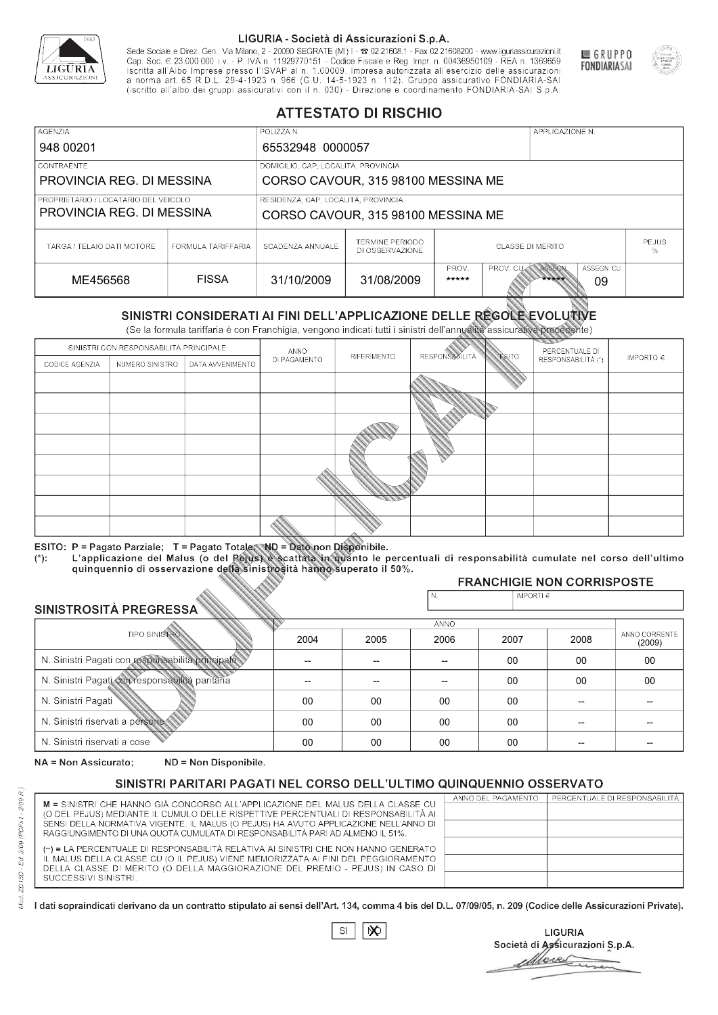

Sede Sociale e Direz. Gen.: Via Milano, 2 - 20090 SEGRATE (MI) I - 2 02.21608.1 - Fax 02.21608200 - www.liguriassicurazioni.it Sede e Direz, Gen. Via Milanto, 2 - 20090 SEGATE (MI) I - 2 UZZIODO. I - FAX UZZIODO2 I - WWW. IIJONENSURIADONILI<br>Cap. Soc. € 23.000.000 i.v. - P. IVA n. 11929770151 - Codice Fiscale e Reg. Impr. n. 00436950109 - REA n. 1



GRUPPO

**FONDIARIASAI** 

# **ATTESTATO DI RISCHIO**

| <b>AGENZIA</b>                                                    |                    | POLIZZA N.                                                                               |                                                                                         |  |  | APPLICAZIONE N. |                   |  |
|-------------------------------------------------------------------|--------------------|------------------------------------------------------------------------------------------|-----------------------------------------------------------------------------------------|--|--|-----------------|-------------------|--|
| 948 00201                                                         |                    | 65532948 0000057                                                                         |                                                                                         |  |  |                 |                   |  |
| LCONTRAENTE.                                                      |                    | DOMICILIO, CAP, LOCALITÀ, PROVINCIA                                                      |                                                                                         |  |  |                 |                   |  |
| PROVINCIA REG. DI MESSINA                                         |                    |                                                                                          | CORSO CAVOUR, 315 98100 MESSINA ME                                                      |  |  |                 |                   |  |
| PROPRIETARIO / LOCATARIO DEL VEICOLO<br>PROVINCIA REG. DI MESSINA |                    | RESIDENZA, CAP, LOCALITÀ, PROVINCIA<br>CORSO CAVOUR, 315 98100 MESSINA ME                |                                                                                         |  |  |                 |                   |  |
| TARGA / TELAIO DATI MOTORE                                        | FORMULA TARIFFARIA | <b>TERMINE PERIODO</b><br>SCADENZA ANNUALE<br><b>CLASSE DI MERITO</b><br>DI OSSERVAZIONE |                                                                                         |  |  |                 | <b>PEJUS</b><br>% |  |
| ME456568                                                          | <b>FISSA</b>       | 31/10/2009                                                                               | ASSEGN. CU<br>PROV.<br>ASSEGN<br><b>PROV. CUM</b><br>31/08/2009<br>*****<br>*****<br>09 |  |  |                 |                   |  |

|                                                 |                                        |                                                                                                                                                                                                      |                          | DI OSSERVAZIONE          |                       |                    |                                     | ℅                       |
|-------------------------------------------------|----------------------------------------|------------------------------------------------------------------------------------------------------------------------------------------------------------------------------------------------------|--------------------------|--------------------------|-----------------------|--------------------|-------------------------------------|-------------------------|
| ME456568                                        |                                        | <b>FISSA</b>                                                                                                                                                                                         | 31/10/2009               | 31/08/2009               | PROV.<br>*****        | PROV. CU           | ASSEGN<br>ASSEGN. CU<br>*****<br>09 |                         |
|                                                 |                                        | SINISTRI CONSIDERATI AI FINI DELL'APPLICAZIONE DELLE REGOLE EVOLUTIVE<br>(Se la formula tariffaria è con Franchigia, vengono indicati tutti i sinistri dell'annualità assicurativa precedente)       |                          |                          |                       |                    |                                     |                         |
|                                                 | SINISTRI CON RESPONSABILITÀ PRINCIPALE |                                                                                                                                                                                                      | ANNO                     |                          |                       |                    | PERCENTUALE DI                      |                         |
| CODICE AGENZIA                                  | NUMERO SINISTRO                        | DATA AVVENIMENTO                                                                                                                                                                                     | DI PAGAMENTO             | RIFERIMENTO              | <b>RESPONSABILITÀ</b> | <b>ESITO</b>       | RESPONSABILITÀ (*)                  | IMPORTO $\in$           |
|                                                 |                                        |                                                                                                                                                                                                      |                          |                          |                       |                    |                                     |                         |
|                                                 |                                        |                                                                                                                                                                                                      |                          |                          |                       |                    |                                     |                         |
|                                                 |                                        |                                                                                                                                                                                                      |                          |                          |                       |                    |                                     |                         |
|                                                 |                                        |                                                                                                                                                                                                      |                          |                          |                       |                    |                                     |                         |
|                                                 |                                        |                                                                                                                                                                                                      |                          |                          |                       |                    |                                     |                         |
|                                                 |                                        |                                                                                                                                                                                                      |                          |                          |                       |                    |                                     |                         |
|                                                 |                                        |                                                                                                                                                                                                      |                          |                          |                       |                    |                                     |                         |
|                                                 |                                        |                                                                                                                                                                                                      |                          |                          |                       |                    |                                     |                         |
|                                                 |                                        |                                                                                                                                                                                                      |                          |                          |                       |                    |                                     |                         |
|                                                 |                                        | ESITO: P = Pagato Parziale; T = Pagato Totale; ND = Dato non Disponibile.                                                                                                                            |                          |                          |                       |                    |                                     |                         |
| $(*)$ .                                         |                                        | L'applicazione del Malus (o del Pejus) è scattata in quanto le percentuali di responsabilità cumulate nel corso dell'ultimo<br>quinquennio di osservazione della sinistrosità hanno superato il 50%. |                          |                          |                       |                    |                                     |                         |
|                                                 |                                        |                                                                                                                                                                                                      |                          |                          |                       |                    | <b>FRANCHIGIE NON CORRISPOSTE</b>   |                         |
|                                                 |                                        |                                                                                                                                                                                                      |                          |                          | N.                    | IMPORTI $\epsilon$ |                                     |                         |
| SINISTROSITÀ PREGRESSA                          |                                        |                                                                                                                                                                                                      |                          |                          | <b>ANNO</b>           |                    |                                     |                         |
|                                                 | <b>TIPO SINISTRO</b>                   |                                                                                                                                                                                                      | 2004                     | 2005                     | 2006                  | 2007               | 2008                                | ANNO CORRENTE<br>(2009) |
|                                                 |                                        | N. Sinistri Pagati con responsabilità principale                                                                                                                                                     | $\overline{\phantom{0}}$ | $\overline{\phantom{a}}$ | $-$                   | $00 \,$            | 00                                  | $00\,$                  |
| N. Sinistri Pagati con responsabilità paritaria |                                        |                                                                                                                                                                                                      |                          |                          |                       | 00                 | 00                                  | 00                      |
| N. Sinistri Pagati                              |                                        |                                                                                                                                                                                                      | 00                       | 00                       | 00                    | $00\,$             |                                     |                         |
| N. Sinistri riservati a persone                 |                                        |                                                                                                                                                                                                      | 00                       | 00                       | 00                    | 00                 |                                     |                         |
| N. Sinjetri riconvoti a coco                    |                                        |                                                                                                                                                                                                      | $\cap$                   | $\cap$                   | $\cap$                | $\cap$             |                                     |                         |

### 2005 -- --  $0<sup>0</sup>$ 00 00 2004 -- --  $0<sup>0</sup>$ 00 00 2006 -- -- 00 00 00 2007 00 00 00 00 00 2008 00 00 -- -- -- 00 00 -- -- -- (2009)

NA = Non Assicurato: ND = Non Disponibile.

# SINISTRI PARITARI PAGATI NEL CORSO DELL'ULTIMO QUINQUENNIO OSSERVATO

|                                                                                      | ANNO DEL PAGAMENTO | PERCENTUALE DI RESPONSABILITÀ I |
|--------------------------------------------------------------------------------------|--------------------|---------------------------------|
| M = SINISTRI CHE HANNO GIÀ CONCORSO ALL'APPLICAZIONE DEL MALUS DELLA CLASSE CU       |                    |                                 |
| (O DEL PEJUS) MEDIANTE IL CUMULO DELLE RISPETTIVE PERCENTUALI DI RESPONSABILITÀ AI   |                    |                                 |
| SENSI DELLA NORMATIVA VIGENTE. IL MALUS (O PEJUS) HA AVUTO APPLICAZIONE NELL'ANNO DI |                    |                                 |
| RAGGIUNGIMENTO DI UNA QUOTA CUMULATA DI RESPONSABILITÀ PARI AD ALMENO IL 51%.        |                    |                                 |
| (**) = LA PERCENTUALE DI RESPONSABILITÀ RELATIVA AI SINISTRI CHE NON HANNO GENERATO  |                    |                                 |
| IL MALUS DELLA CLASSE CU (O IL PEJUS) VIENE MEMORIZZATA AI FINI DEL PEGGIORAMENTO    |                    |                                 |
| DELLA CLASSE DI MERITO (O DELLA MAGGIORAZIONE DEL PREMIO - PEJUS) IN CASO DI         |                    |                                 |
| SUCCESSIVI SINISTRI.                                                                 |                    |                                 |
|                                                                                      |                    |                                 |
|                                                                                      |                    |                                 |

|--|

**LIGURIA** Società di Assicurazioni S.p.A. Move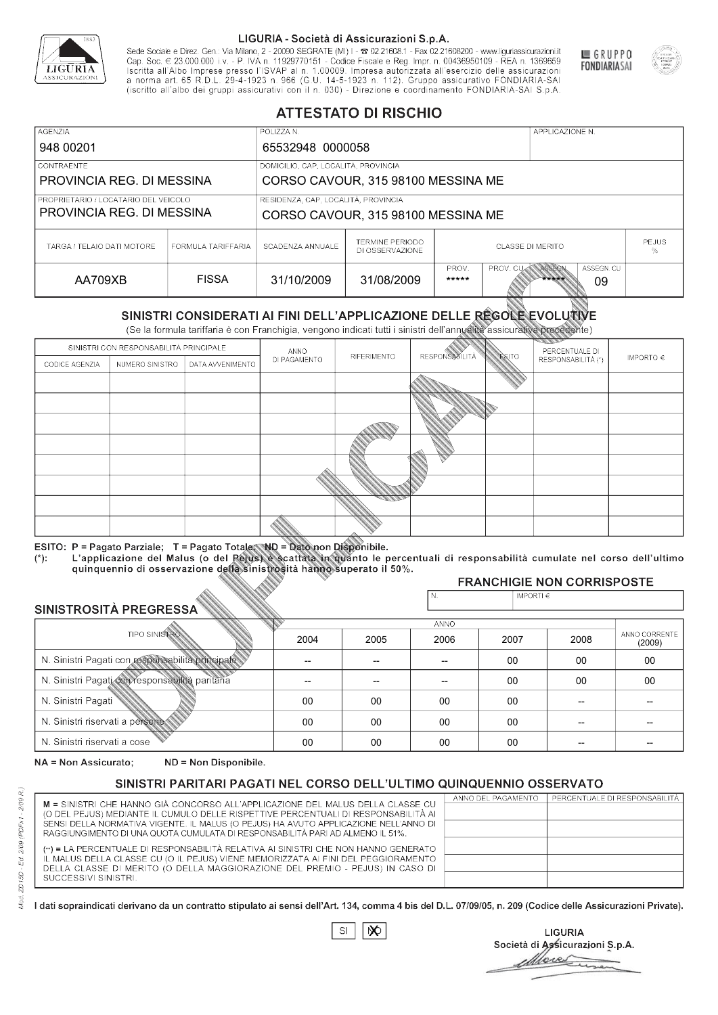

Sede Sociale e Direz. Gen.: Via Milano, 2 - 20090 SEGRATE (MI) I - 2 02.21608.1 - Fax 02.21608200 - www.liguriassicurazioni.it Cap. Soc.  $\in$  23.000.000 i.v. - P. IVA n. 11929770151 - Codice Fiscale e Reg. Impr. n. 00436950109 - REA n. 1369659<br>Iscritta all'Albo Imprese presso l'ISVAP al n. 1.00009. Impresa autorizzata all'esercizio delle assicura d homa art. 65 K.D.L. 29-4-1923 ft. 900 (G.O. 14-5-1923 ft. 112). Gruppo assicurativo PONDIARIA-SAI S.p.A



GRUPPO

**FONDIARIASAI** 

# **ATTESTATO DI RISCHIO**

| <b>AGENZIA</b>                       |                    | POLIZZA N.                          |                                           |                                                                   |  | APPLICAZIONE N. |  |                   |
|--------------------------------------|--------------------|-------------------------------------|-------------------------------------------|-------------------------------------------------------------------|--|-----------------|--|-------------------|
| 948 00201                            |                    | 65532948 0000058                    |                                           |                                                                   |  |                 |  |                   |
| <b>CONTRAENTE</b>                    |                    | DOMICILIO, CAP, LOCALITÀ, PROVINCIA |                                           |                                                                   |  |                 |  |                   |
| PROVINCIA REG. DI MESSINA            |                    |                                     | CORSO CAVOUR, 315 98100 MESSINA ME        |                                                                   |  |                 |  |                   |
| PROPRIETARIO / LOCATARIO DEL VEICOLO |                    | RESIDENZA, CAP, LOCALITÀ, PROVINCIA |                                           |                                                                   |  |                 |  |                   |
| PROVINCIA REG. DI MESSINA            |                    | CORSO CAVOUR, 315 98100 MESSINA ME  |                                           |                                                                   |  |                 |  |                   |
| TARGA / TELAIO DATI MOTORE           | FORMULA TARIFFARIA | SCADENZA ANNUALE                    | <b>TERMINE PERIODO</b><br>DI OSSERVAZIONE | <b>CLASSE DI MERITO</b>                                           |  |                 |  | <b>PEJUS</b><br>% |
| AA709XB                              | <b>FISSA</b>       | 31/10/2009                          | 31/08/2009                                | PROV.<br>ASSEGN<br>ASSEGN. CU<br>PROV. CU<br>*****<br>*****<br>09 |  |                 |  |                   |

|                                                 |                                        |                                                                                                                                                                                                      |                          | DI OSSERVAZIONE          |                       |                    |                                     | ℅                       |
|-------------------------------------------------|----------------------------------------|------------------------------------------------------------------------------------------------------------------------------------------------------------------------------------------------------|--------------------------|--------------------------|-----------------------|--------------------|-------------------------------------|-------------------------|
| AA709XB                                         |                                        | <b>FISSA</b>                                                                                                                                                                                         | 31/10/2009               | 31/08/2009               | PROV.<br>*****        | PROV. CU           | ASSEGN<br>ASSEGN. CU<br>*****<br>09 |                         |
|                                                 |                                        | SINISTRI CONSIDERATI AI FINI DELL'APPLICAZIONE DELLE REGOLE EVOLUTIVE<br>(Se la formula tariffaria è con Franchigia, vengono indicati tutti i sinistri dell'annualità assicurativa precedente)       |                          |                          |                       |                    |                                     |                         |
|                                                 | SINISTRI CON RESPONSABILITÀ PRINCIPALE |                                                                                                                                                                                                      | ANNO                     |                          |                       |                    | PERCENTUALE DI                      |                         |
| CODICE AGENZIA                                  | NUMERO SINISTRO                        | DATA AVVENIMENTO                                                                                                                                                                                     | DI PAGAMENTO             | RIFERIMENTO              | <b>RESPONSABILITÀ</b> | <b>ESITO</b>       | RESPONSABILITÀ (*)                  | IMPORTO $\in$           |
|                                                 |                                        |                                                                                                                                                                                                      |                          |                          |                       |                    |                                     |                         |
|                                                 |                                        |                                                                                                                                                                                                      |                          |                          |                       |                    |                                     |                         |
|                                                 |                                        |                                                                                                                                                                                                      |                          |                          |                       |                    |                                     |                         |
|                                                 |                                        |                                                                                                                                                                                                      |                          |                          |                       |                    |                                     |                         |
|                                                 |                                        |                                                                                                                                                                                                      |                          |                          |                       |                    |                                     |                         |
|                                                 |                                        |                                                                                                                                                                                                      |                          |                          |                       |                    |                                     |                         |
|                                                 |                                        |                                                                                                                                                                                                      |                          |                          |                       |                    |                                     |                         |
|                                                 |                                        |                                                                                                                                                                                                      |                          |                          |                       |                    |                                     |                         |
|                                                 |                                        |                                                                                                                                                                                                      |                          |                          |                       |                    |                                     |                         |
|                                                 |                                        | ESITO: P = Pagato Parziale; T = Pagato Totale; ND = Dato non Disponibile.                                                                                                                            |                          |                          |                       |                    |                                     |                         |
| $(*)$ .                                         |                                        | L'applicazione del Malus (o del Pejus) è scattata in quanto le percentuali di responsabilità cumulate nel corso dell'ultimo<br>quinquennio di osservazione della sinistrosità hanno superato il 50%. |                          |                          |                       |                    |                                     |                         |
|                                                 |                                        |                                                                                                                                                                                                      |                          |                          |                       |                    | <b>FRANCHIGIE NON CORRISPOSTE</b>   |                         |
| SINISTROSITÀ PREGRESSA                          |                                        |                                                                                                                                                                                                      |                          |                          | N.                    | IMPORTI $\epsilon$ |                                     |                         |
|                                                 |                                        |                                                                                                                                                                                                      |                          |                          | <b>ANNO</b>           |                    |                                     |                         |
|                                                 | <b>TIPO SINISTRO</b>                   |                                                                                                                                                                                                      | 2004                     | 2005                     | 2006                  | 2007               | 2008                                | ANNO CORRENTE<br>(2009) |
|                                                 |                                        | N. Sinistri Pagati con responsabilità principale                                                                                                                                                     | $\overline{\phantom{0}}$ | $\overline{\phantom{a}}$ | $-$                   | $00 \,$            | 00                                  | 00                      |
| N. Sinistri Pagati con responsabilità paritaria |                                        |                                                                                                                                                                                                      |                          |                          |                       | 00                 | 00                                  | 00                      |
| N. Sinistri Pagati                              |                                        |                                                                                                                                                                                                      | 00                       | 00                       | 00                    | $00\,$             |                                     |                         |
| N. Sinistri riservati a persone                 |                                        |                                                                                                                                                                                                      | 00                       | 00                       | 00                    | 00                 |                                     |                         |
| N. Sinjetri riconvoti a coco                    |                                        |                                                                                                                                                                                                      | $\cap$                   | $\cap$                   | $\cap$                | $\cap$             |                                     |                         |

### 2005 -- --  $0<sup>0</sup>$ 00 00 2004 -- --  $0<sup>0</sup>$ 00 00 2006 -- -- 00 00 00 2007 00 00 00 00 00 2008 00 00 -- -- -- 00 00 -- -- -- (2009)

NA = Non Assicurato: ND = Non Disponibile.

# SINISTRI PARITARI PAGATI NEL CORSO DELL'ULTIMO QUINQUENNIO OSSERVATO

|                                                                                                                                                                      | ANNO DEL PAGAMENTO | PERCENTUALE DI RESPONSABILITÀ |
|----------------------------------------------------------------------------------------------------------------------------------------------------------------------|--------------------|-------------------------------|
| M = SINISTRI CHE HANNO GIÀ CONCORSO ALL'APPLICAZIONE DEL MALUS DELLA CLASSE CU<br>(O DEL PEJUS) MEDIANTE IL CUMULO DELLE RISPETTIVE PERCENTUALI DI RESPONSABILITÀ AI |                    |                               |
| SENSI DELLA NORMATIVA VIGENTE. IL MALUS (O PEJUS) HA AVUTO APPLICAZIONE NELL'ANNO DI                                                                                 |                    |                               |
| RAGGIUNGIMENTO DI UNA QUOTA CUMULATA DI RESPONSABILITÀ PARI AD ALMENO IL 51%.                                                                                        |                    |                               |
|                                                                                                                                                                      |                    |                               |
| (**) = LA PERCENTUALE DI RESPONSABILITÀ RELATIVA AI SINISTRI CHE NON HANNO GENERATO                                                                                  |                    |                               |
| IL MALUS DELLA CLASSE CU (O IL PEJUS) VIENE MEMORIZZATA AI FINI DEL PEGGIORAMENTO                                                                                    |                    |                               |
| DELLA CLASSE DI MERITO (O DELLA MAGGIORAZIONE DEL PREMIO - PEJUS) IN CASO DI                                                                                         |                    |                               |
| SUCCESSIVI SINISTRI.                                                                                                                                                 |                    |                               |
|                                                                                                                                                                      |                    |                               |

 $\mathbb{S}\mathsf{I}$  $\infty$ 

**LIGURIA** Società di Assicurazioni S.p.A. Move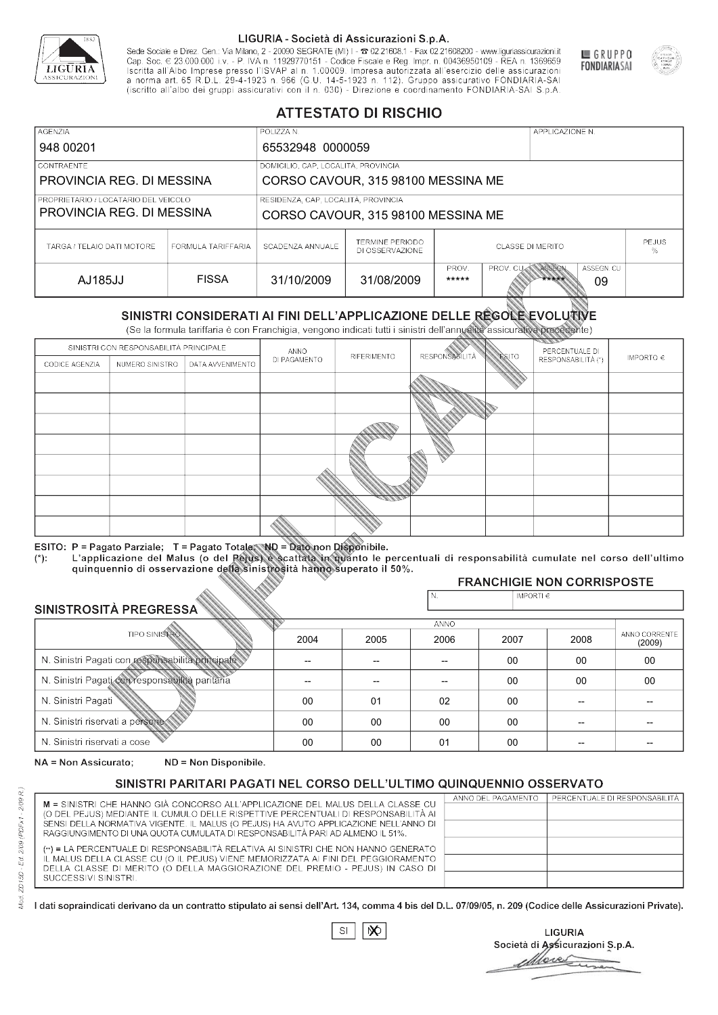

Sede Sociale e Direz. Gen.: Via Milano, 2 - 20090 SEGRATE (MI) I - 2 02.21608.1 - Fax 02.21608200 - www.liguriassicurazioni.it Cap. Soc.  $\in$  23.000.000 i.v. - P. IVA n. 11929770151 - Codice Fiscale e Reg. Impr. n. 00436950109 - REA n. 1369659<br>Iscritta all'Albo Imprese presso l'ISVAP al n. 1.00009. Impresa autorizzata all'esercizio delle assicura d homa art. 65 K.D.L. 29-4-1923 ft. 900 (G.O. 14-5-1923 ft. 112). Gruppo assicurativo PONDIARIA-SAI S.p.A



GRUPPO

**FONDIARIASAI** 

# **ATTESTATO DI RISCHIO**

| <b>AGENZIA</b>             |                                                                                                                                                | POLIZZA N.                          |                                           |                  |                  | APPLICAZIONE N. |                   |  |
|----------------------------|------------------------------------------------------------------------------------------------------------------------------------------------|-------------------------------------|-------------------------------------------|------------------|------------------|-----------------|-------------------|--|
| 948 00201                  |                                                                                                                                                | 65532948 0000059                    |                                           |                  |                  |                 |                   |  |
| LCONTRAENTE.               |                                                                                                                                                | DOMICILIO, CAP, LOCALITÀ, PROVINCIA |                                           |                  |                  |                 |                   |  |
| PROVINCIA REG. DI MESSINA  |                                                                                                                                                |                                     | CORSO CAVOUR, 315 98100 MESSINA ME        |                  |                  |                 |                   |  |
|                            | RESIDENZA, CAP, LOCALITÀ, PROVINCIA<br>PROPRIETARIO / LOCATARIO DEL VEICOLO<br>PROVINCIA REG. DI MESSINA<br>CORSO CAVOUR, 315 98100 MESSINA ME |                                     |                                           |                  |                  |                 |                   |  |
| TARGA / TELAIO DATI MOTORE | FORMULA TARIFFARIA                                                                                                                             | SCADENZA ANNUALE                    | <b>TERMINE PERIODO</b><br>DI OSSERVAZIONE | CLASSE DI MERITO |                  |                 | <b>PEJUS</b><br>℅ |  |
| AJ185JJ                    | <b>FISSA</b>                                                                                                                                   | 31/10/2009                          | 31/08/2009                                | PROV.<br>*****   | <b>PROV. CUM</b> | ASSEGN<br>***** | ASSEGN. CU<br>09  |  |

|                                                 |                      |                                                                                                                                                                                                      |                          | DI OSSERVAZIONE          |                       |                    |                                     | ℅                       |  |
|-------------------------------------------------|----------------------|------------------------------------------------------------------------------------------------------------------------------------------------------------------------------------------------------|--------------------------|--------------------------|-----------------------|--------------------|-------------------------------------|-------------------------|--|
| AJ185JJ                                         |                      | <b>FISSA</b>                                                                                                                                                                                         | 31/10/2009               | 31/08/2009               | PROV.<br>*****        | PROV. CU           | ASSEGN<br>ASSEGN. CU<br>*****<br>09 |                         |  |
|                                                 |                      | SINISTRI CONSIDERATI AI FINI DELL'APPLICAZIONE DELLE REGOLE EVOLUTIVE<br>(Se la formula tariffaria è con Franchigia, vengono indicati tutti i sinistri dell'annualità assicurativa precedente)       |                          |                          |                       |                    |                                     |                         |  |
|                                                 |                      | SINISTRI CON RESPONSABILITÀ PRINCIPALE                                                                                                                                                               | ANNO                     |                          |                       |                    | PERCENTUALE DI                      |                         |  |
| CODICE AGENZIA                                  | NUMERO SINISTRO      | DATA AVVENIMENTO                                                                                                                                                                                     | DI PAGAMENTO             | RIFERIMENTO              | <b>RESPONSABILITÀ</b> | <b>ESITO</b>       | RESPONSABILITÀ (*)                  | IMPORTO $\in$           |  |
|                                                 |                      |                                                                                                                                                                                                      |                          |                          |                       |                    |                                     |                         |  |
|                                                 |                      |                                                                                                                                                                                                      |                          |                          |                       |                    |                                     |                         |  |
|                                                 |                      |                                                                                                                                                                                                      |                          |                          |                       |                    |                                     |                         |  |
|                                                 |                      |                                                                                                                                                                                                      |                          |                          |                       |                    |                                     |                         |  |
|                                                 |                      |                                                                                                                                                                                                      |                          |                          |                       |                    |                                     |                         |  |
|                                                 |                      |                                                                                                                                                                                                      |                          |                          |                       |                    |                                     |                         |  |
|                                                 |                      |                                                                                                                                                                                                      |                          |                          |                       |                    |                                     |                         |  |
|                                                 |                      |                                                                                                                                                                                                      |                          |                          |                       |                    |                                     |                         |  |
|                                                 |                      |                                                                                                                                                                                                      |                          |                          |                       |                    |                                     |                         |  |
|                                                 |                      | ESITO: P = Pagato Parziale; T = Pagato Totale; ND = Dato non Disponibile.                                                                                                                            |                          |                          |                       |                    |                                     |                         |  |
| $(*)$ .                                         |                      | L'applicazione del Malus (o del Pejus) è scattata in quanto le percentuali di responsabilità cumulate nel corso dell'ultimo<br>quinquennio di osservazione della sinistrosità hanno superato il 50%. |                          |                          |                       |                    |                                     |                         |  |
|                                                 |                      |                                                                                                                                                                                                      |                          |                          |                       |                    | <b>FRANCHIGIE NON CORRISPOSTE</b>   |                         |  |
|                                                 |                      |                                                                                                                                                                                                      |                          |                          | N.                    | IMPORTI $\epsilon$ |                                     |                         |  |
| SINISTROSITÀ PREGRESSA                          |                      |                                                                                                                                                                                                      |                          |                          | <b>ANNO</b>           |                    |                                     |                         |  |
|                                                 | <b>TIPO SINISTRO</b> |                                                                                                                                                                                                      | 2004                     | 2005                     | 2006                  | 2007               | 2008                                | ANNO CORRENTE<br>(2009) |  |
|                                                 |                      | N. Sinistri Pagati con responsabilità principale                                                                                                                                                     | $\overline{\phantom{0}}$ | $\overline{\phantom{a}}$ | $00 \,$<br>00<br>$-$  |                    | 00                                  |                         |  |
| N. Sinistri Pagati con responsabilità paritaria |                      |                                                                                                                                                                                                      | 00                       | 00                       | 00                    |                    |                                     |                         |  |
| N. Sinistri Pagati                              |                      |                                                                                                                                                                                                      | 00                       | 01                       | 02                    | $00\,$             |                                     |                         |  |
| N. Sinistri riservati a persone                 |                      |                                                                                                                                                                                                      | 00                       | 00                       | 00                    | 00                 |                                     |                         |  |
| N. Sinjetri riconvoti a coco                    |                      |                                                                                                                                                                                                      | $\cap$                   | $\cap$                   | $^{\circ}$            | $\cap$             |                                     |                         |  |

### 2005 -- -- 01 00 00 2004 -- --  $0<sup>0</sup>$ 00 00 2006 -- -- 02 00  $01$ 2007 00 00 00 00 00 2008 00 00 -- -- -- 00 00 -- -- -- (2009)

NA = Non Assicurato: ND = Non Disponibile.

# SINISTRI PARITARI PAGATI NEL CORSO DELL'ULTIMO QUINQUENNIO OSSERVATO

|                                                                                                                                                                      | ANNO DEL PAGAMENTO | PERCENTUALE DI RESPONSABILITÀ |
|----------------------------------------------------------------------------------------------------------------------------------------------------------------------|--------------------|-------------------------------|
| M = SINISTRI CHE HANNO GIÀ CONCORSO ALL'APPLICAZIONE DEL MALUS DELLA CLASSE CU<br>(O DEL PEJUS) MEDIANTE IL CUMULO DELLE RISPETTIVE PERCENTUALI DI RESPONSABILITÀ AI |                    |                               |
| SENSI DELLA NORMATIVA VIGENTE. IL MALUS (O PEJUS) HA AVUTO APPLICAZIONE NELL'ANNO DI                                                                                 |                    |                               |
| RAGGIUNGIMENTO DI UNA QUOTA CUMULATA DI RESPONSABILITÀ PARI AD ALMENO IL 51%.                                                                                        |                    |                               |
|                                                                                                                                                                      |                    |                               |
| (**) = LA PERCENTUALE DI RESPONSABILITÀ RELATIVA AI SINISTRI CHE NON HANNO GENERATO                                                                                  |                    |                               |
| IL MALUS DELLA CLASSE CU (O IL PEJUS) VIENE MEMORIZZATA AI FINI DEL PEGGIORAMENTO                                                                                    |                    |                               |
| DELLA CLASSE DI MERITO (O DELLA MAGGIORAZIONE DEL PREMIO - PEJUS) IN CASO DI                                                                                         |                    |                               |
| SUCCESSIVI SINISTRI.                                                                                                                                                 |                    |                               |
|                                                                                                                                                                      |                    |                               |

 $\mathbb{S}\mathsf{I}$  $\infty$ 

**LIGURIA** Società di Assicurazioni S.p.A. Move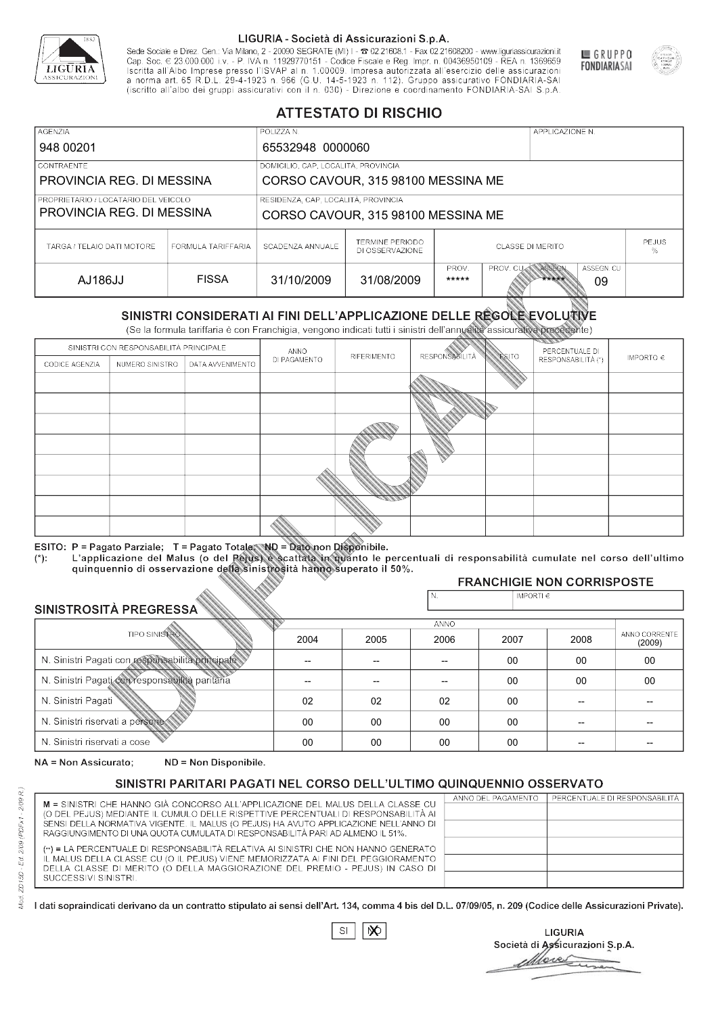

Sede Sociale e Direz. Gen.: Via Milano, 2 - 20090 SEGRATE (MI) I - 2 02.21608.1 - Fax 02.21608200 - www.liguriassicurazioni.it Sede e Direz, Gen. Via Milanto, 2 - 20090 SEGATE (MI) I - 2 UZZIODO. I - FAX UZZIODO2 I - WWW. IIJONENSURIADONILI<br>Cap. Soc. € 23.000.000 i.v. - P. IVA n. 11929770151 - Codice Fiscale e Reg. Impr. n. 00436950109 - REA n. 1



GRUPPO

**FONDIARIASAI** 

# **ATTESTATO DI RISCHIO**

| <b>AGENZIA</b>                       |                    | POLIZZA N.                          |                                           |                         |                  | APPLICAZIONE N. |                  |                   |
|--------------------------------------|--------------------|-------------------------------------|-------------------------------------------|-------------------------|------------------|-----------------|------------------|-------------------|
| 948 00201                            |                    | 65532948 0000060                    |                                           |                         |                  |                 |                  |                   |
| LCONTRAENTE.                         |                    | DOMICILIO, CAP, LOCALITÀ, PROVINCIA |                                           |                         |                  |                 |                  |                   |
| PROVINCIA REG. DI MESSINA            |                    |                                     | CORSO CAVOUR, 315 98100 MESSINA ME        |                         |                  |                 |                  |                   |
| PROPRIETARIO / LOCATARIO DEL VEICOLO |                    | RESIDENZA, CAP, LOCALITÀ, PROVINCIA |                                           |                         |                  |                 |                  |                   |
| PROVINCIA REG. DI MESSINA            |                    | CORSO CAVOUR, 315 98100 MESSINA ME  |                                           |                         |                  |                 |                  |                   |
| TARGA / TELAIO DATI MOTORE           | FORMULA TARIFFARIA | SCADENZA ANNUALE                    | <b>TERMINE PERIODO</b><br>DI OSSERVAZIONE | <b>CLASSE DI MERITO</b> |                  |                 |                  | <b>PEJUS</b><br>% |
| LO86JJ                               | <b>FISSA</b>       | 31/10/2009                          | 31/08/2009                                | PROV.<br>*****          | <b>PROV. CUM</b> | ASSEGN<br>***** | ASSEGN. CU<br>09 |                   |

|                                                 |                                                                                            |                                                                                                                                                                                                      |              | DI OSSERVAZIONE |                      |               |                                     | %                       |  |
|-------------------------------------------------|--------------------------------------------------------------------------------------------|------------------------------------------------------------------------------------------------------------------------------------------------------------------------------------------------------|--------------|-----------------|----------------------|---------------|-------------------------------------|-------------------------|--|
| AJ186JJ                                         |                                                                                            | <b>FISSA</b>                                                                                                                                                                                         | 31/10/2009   | 31/08/2009      | PROV.<br>*****       | PROV. CU      | ASSEGN<br>ASSEGN. CU<br>*****<br>09 |                         |  |
|                                                 |                                                                                            | SINISTRI CONSIDERATI AI FINI DELL'APPLICAZIONE DELLE RÉGOLE EVOLUTIVE<br>(Se la formula tariffaria è con Franchigia, vengono indicati tutti i sinistri dell'annualità assicurativa precedente)       |              |                 |                      |               |                                     |                         |  |
|                                                 | SINISTRI CON RESPONSABILITÀ PRINCIPALE                                                     |                                                                                                                                                                                                      | ANNO         |                 |                      |               | PERCENTUALE DI                      |                         |  |
| CODICE AGENZIA                                  | NUMERO SINISTRO                                                                            | DATA AVVENIMENTO                                                                                                                                                                                     | DI PAGAMENTO | RIFERIMENTO     | <b>RESPONSABLITA</b> | <b>ESITO</b>  | RESPONSABILITÀ (*)                  | IMPORTO $\in$           |  |
|                                                 |                                                                                            |                                                                                                                                                                                                      |              |                 |                      |               |                                     |                         |  |
|                                                 |                                                                                            |                                                                                                                                                                                                      |              |                 |                      |               |                                     |                         |  |
|                                                 |                                                                                            |                                                                                                                                                                                                      |              |                 |                      |               |                                     |                         |  |
|                                                 |                                                                                            |                                                                                                                                                                                                      |              |                 |                      |               |                                     |                         |  |
|                                                 |                                                                                            |                                                                                                                                                                                                      |              |                 |                      |               |                                     |                         |  |
|                                                 |                                                                                            |                                                                                                                                                                                                      |              |                 |                      |               |                                     |                         |  |
|                                                 |                                                                                            |                                                                                                                                                                                                      |              |                 |                      |               |                                     |                         |  |
|                                                 |                                                                                            |                                                                                                                                                                                                      |              |                 |                      |               |                                     |                         |  |
|                                                 |                                                                                            |                                                                                                                                                                                                      |              |                 |                      |               |                                     |                         |  |
|                                                 |                                                                                            | ESITO: P = Pagato Parziale; T = Pagato Totale; ND = Dato non Disponibile.                                                                                                                            |              |                 |                      |               |                                     |                         |  |
| $(*)$ .                                         |                                                                                            | L'applicazione del Malus (o del Pejus) è scattata in quanto le percentuali di responsabilità cumulate nel corso dell'ultimo<br>quinquennio di osservazione della sinistrosità hanno superato il 50%. |              |                 |                      |               |                                     |                         |  |
|                                                 |                                                                                            |                                                                                                                                                                                                      |              |                 |                      |               | <b>FRANCHIGIE NON CORRISPOSTE</b>   |                         |  |
|                                                 |                                                                                            |                                                                                                                                                                                                      |              |                 | N.                   | IMPORTI $\in$ |                                     |                         |  |
| SINISTROSITÀ PREGRESSA                          |                                                                                            |                                                                                                                                                                                                      |              |                 | <b>ANNO</b>          |               |                                     |                         |  |
|                                                 | <b>TIPO SINISTRO</b>                                                                       |                                                                                                                                                                                                      | 2004         | 2005            | 2006                 | 2007          | 2008                                | ANNO CORRENTE<br>(2009) |  |
|                                                 | N. Sinistri Pagati con responsabilità principale<br>00<br>00<br>--<br>--<br>$\overline{a}$ |                                                                                                                                                                                                      |              |                 | 00                   |               |                                     |                         |  |
| N. Sinistri Pagati con responsabilità paritaria |                                                                                            |                                                                                                                                                                                                      |              |                 |                      | 00            | 00                                  | 00                      |  |
| N. Sinistri Pagati                              |                                                                                            |                                                                                                                                                                                                      | 02           | 02              | 02                   | 00            | --                                  |                         |  |
| N. Sinistri riservati a persone                 |                                                                                            |                                                                                                                                                                                                      | 00           | 00              | 00                   | 00            |                                     |                         |  |
| N. Sinjetri riconvoti a coco                    |                                                                                            |                                                                                                                                                                                                      | $\cap$       | $\cap$          | $\cap$               | $\sim$        |                                     |                         |  |

### 2005 -- --  $02$ 00 00 2004 -- --  $02$ 00 00 2006 -- -- 02 00 00 2007 00 00 00 00 00 2008 00 00 -- -- -- 00 00 -- -- -- (2009)

NA = Non Assicurato: ND = Non Disponibile.

# SINISTRI PARITARI PAGATI NEL CORSO DELL'ULTIMO QUINQUENNIO OSSERVATO

|                                                                                      | ANNO DEL PAGAMENTO | PERCENTUALE DI RESPONSABILITÀ |
|--------------------------------------------------------------------------------------|--------------------|-------------------------------|
| M = SINISTRI CHE HANNO GIÀ CONCORSO ALL'APPLICAZIONE DEL MALUS DELLA CLASSE CU       |                    |                               |
| (O DEL PEJUS) MEDIANTE IL CUMULO DELLE RISPETTIVE PERCENTUALI DI RESPONSABILITÀ AI   |                    |                               |
| SENSI DELLA NORMATIVA VIGENTE. IL MALUS (O PEJUS) HA AVUTO APPLICAZIONE NELL'ANNO DI |                    |                               |
| RAGGIUNGIMENTO DI UNA QUOTA CUMULATA DI RESPONSABILITÀ PARI AD ALMENO IL 51%.        |                    |                               |
| (**) = LA PERCENTUALE DI RESPONSABILITÀ RELATIVA AI SINISTRI CHE NON HANNO GENERATO  |                    |                               |
| IL MALUS DELLA CLASSE CU (O IL PEJUS) VIENE MEMORIZZATA AI FINI DEL PEGGIORAMENTO    |                    |                               |
| DELLA CLASSE DI MERITO (O DELLA MAGGIORAZIONE DEL PREMIO - PEJUS) IN CASO DI         |                    |                               |
| SUCCESSIVI SINISTRI.                                                                 |                    |                               |
|                                                                                      |                    |                               |

|--|

**LIGURIA** Società di Assicurazioni S.p.A. Move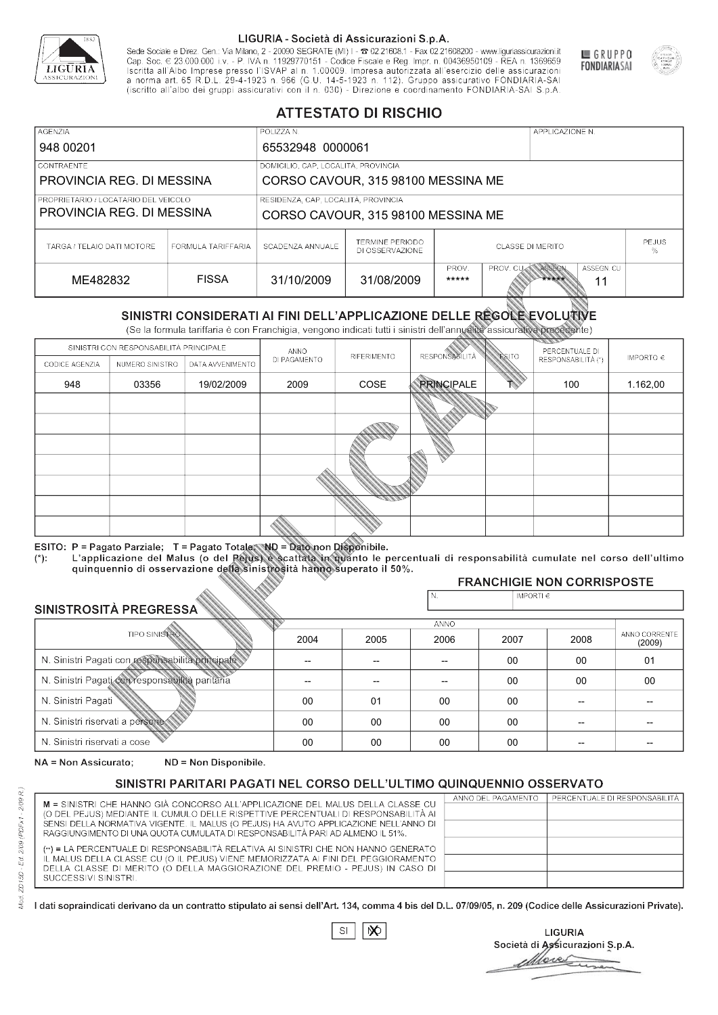

Sede Sociale e Direz. Gen.: Via Milano, 2 - 20090 SEGRATE (MI) I - 2 02.21608.1 - Fax 02.21608200 - www.liguriassicurazioni.it Sede e Direz, Gen. Via Milanto, 2 - 20090 SEGATE (MI) I - 2 UZZIODO. I - FAX UZZIODO2 I - WWW. IIJONENSURIADONILI<br>Cap. Soc. € 23.000.000 i.v. - P. IVA n. 11929770151 - Codice Fiscale e Reg. Impr. n. 00436950109 - REA n. 1



GRUPPO

**FONDIARIASAI** 

# **ATTESTATO DI RISCHIO**

| <b>AGENZIA</b>                       |                    | POLIZZA N.                          |                                           |                         |                  | APPLICAZIONE N. |                   |  |
|--------------------------------------|--------------------|-------------------------------------|-------------------------------------------|-------------------------|------------------|-----------------|-------------------|--|
| 948 00201                            |                    | 65532948 0000061                    |                                           |                         |                  |                 |                   |  |
| LCONTRAENTE.                         |                    | DOMICILIO, CAP, LOCALITÀ, PROVINCIA |                                           |                         |                  |                 |                   |  |
| PROVINCIA REG. DI MESSINA            |                    |                                     | CORSO CAVOUR, 315 98100 MESSINA ME        |                         |                  |                 |                   |  |
| PROPRIETARIO / LOCATARIO DEL VEICOLO |                    | RESIDENZA, CAP, LOCALITÀ, PROVINCIA |                                           |                         |                  |                 |                   |  |
| PROVINCIA REG. DI MESSINA            |                    | CORSO CAVOUR, 315 98100 MESSINA ME  |                                           |                         |                  |                 |                   |  |
| TARGA / TELAIO DATI MOTORE           | FORMULA TARIFFARIA | SCADENZA ANNUALE                    | <b>TERMINE PERIODO</b><br>DI OSSERVAZIONE | <b>CLASSE DI MERITO</b> |                  |                 | <b>PEJUS</b><br>% |  |
| ME482832                             | <b>FISSA</b>       | 31/10/2009                          | 31/08/2009                                | PROV.<br>*****          | <b>PROV. CUM</b> | ASSEGN<br>***** | ASSEGN. CU<br>11  |  |

|                                 |                                                             |                                                                                                                                                                                                          |                | DI OSSERVAZIONE |                          |                |                                     | %             |  |  |
|---------------------------------|-------------------------------------------------------------|----------------------------------------------------------------------------------------------------------------------------------------------------------------------------------------------------------|----------------|-----------------|--------------------------|----------------|-------------------------------------|---------------|--|--|
| ME482832                        |                                                             | <b>FISSA</b>                                                                                                                                                                                             | 31/10/2009     | 31/08/2009      | PROV.<br>*****           | PROV. CU       | ASSEGN<br>ASSEGN. CU<br>*****<br>11 |               |  |  |
|                                 |                                                             | SINISTRI CONSIDERATI AI FINI DELL'APPLICAZIONE DELLE RÉGOLE EVOLUTIVE<br>(Se la formula tariffaria è con Franchigia, vengono indicati tutti i sinistri dell'annualità assicurativa precedente)           |                |                 |                          |                |                                     |               |  |  |
|                                 | SINISTRI CON RESPONSABILITÀ PRINCIPALE                      |                                                                                                                                                                                                          | ANNO           |                 |                          |                | PERCENTUALE DI                      |               |  |  |
| CODICE AGENZIA                  | NUMERO SINISTRO                                             | DATA AVVENIMENTO                                                                                                                                                                                         | DI PAGAMENTO   | RIFERIMENTO     | <b>RESPONSABILITÀ</b>    | <b>ESITO</b>   | RESPONSABILITÀ (*)                  | IMPORTO $\in$ |  |  |
| 948                             | 03356                                                       | 19/02/2009                                                                                                                                                                                               | 2009           | COSE            | <b>PRINCIPALE</b>        |                | 100                                 | 1.162,00      |  |  |
|                                 |                                                             |                                                                                                                                                                                                          |                |                 |                          |                |                                     |               |  |  |
|                                 |                                                             |                                                                                                                                                                                                          |                |                 |                          |                |                                     |               |  |  |
|                                 |                                                             |                                                                                                                                                                                                          |                |                 |                          |                |                                     |               |  |  |
|                                 |                                                             |                                                                                                                                                                                                          |                |                 |                          |                |                                     |               |  |  |
|                                 |                                                             |                                                                                                                                                                                                          |                |                 |                          |                |                                     |               |  |  |
|                                 |                                                             |                                                                                                                                                                                                          |                |                 |                          |                |                                     |               |  |  |
|                                 |                                                             |                                                                                                                                                                                                          |                |                 |                          |                |                                     |               |  |  |
|                                 |                                                             |                                                                                                                                                                                                          |                |                 |                          |                |                                     |               |  |  |
| $(*)$ .                         |                                                             | ESITO: P = Pagato Parziale; T = Pagato Totale; ND = Dato non Disponibile.<br>L'applicazione del Malus (o del Pejus) è scattata in quanto le percentuali di responsabilità cumulate nel corso dell'ultimo |                |                 |                          |                |                                     |               |  |  |
|                                 |                                                             | quinquennio di osservazione della sinistrosità hanno superato il 50%.                                                                                                                                    |                |                 |                          |                | <b>FRANCHIGIE NON CORRISPOSTE</b>   |               |  |  |
|                                 |                                                             |                                                                                                                                                                                                          |                |                 | N.                       | IMPORTI $\in$  |                                     |               |  |  |
| <b>SINISTROSITÀ PREGRESSA</b>   |                                                             |                                                                                                                                                                                                          |                |                 |                          |                |                                     |               |  |  |
|                                 | <b>TIPO SINISTRO</b>                                        |                                                                                                                                                                                                          |                |                 | <b>ANNO</b>              |                |                                     | ANNO CORRENTE |  |  |
|                                 |                                                             | 2004                                                                                                                                                                                                     | 2005           | 2006            | 2007                     | 2008           | (2009)                              |               |  |  |
|                                 |                                                             | N. Sinistri Pagati con responsabilità principale                                                                                                                                                         | $\overline{a}$ | --              | $\overline{\phantom{a}}$ | 00<br>00<br>01 |                                     |               |  |  |
|                                 | N. Sinistri Pagati con responsabilità paritaria<br>00<br>00 |                                                                                                                                                                                                          |                |                 |                          | 00             |                                     |               |  |  |
| N. Sinistri Pagati              |                                                             |                                                                                                                                                                                                          | 00             | 01              | 00                       | 00             | --                                  |               |  |  |
| N. Sinistri riservati a persone |                                                             |                                                                                                                                                                                                          | 00             | 00              | 00                       | $00 \,$        | --                                  |               |  |  |
| N. Sinjetri riconvoti a coco    |                                                             |                                                                                                                                                                                                          | $\cap$         | $\cap$          | $\cap$                   | $\cap$         |                                     |               |  |  |

### 2005 -- -- 01 00 00 2004 -- --  $0<sup>0</sup>$ 00 00 2006 -- -- 00 00 00 2007 00 00 00 00 00 2008 00 00 -- -- -- 01 00 -- -- -- (2009)

NA = Non Assicurato: ND = Non Disponibile.

# SINISTRI PARITARI PAGATI NEL CORSO DELL'ULTIMO QUINQUENNIO OSSERVATO

|                                                                                                                                                                      | ANNO DEL PAGAMENTO | PERCENTUALE DI RESPONSABILITÀ |
|----------------------------------------------------------------------------------------------------------------------------------------------------------------------|--------------------|-------------------------------|
| M = SINISTRI CHE HANNO GIÀ CONCORSO ALL'APPLICAZIONE DEL MALUS DELLA CLASSE CU<br>(O DEL PEJUS) MEDIANTE IL CUMULO DELLE RISPETTIVE PERCENTUALI DI RESPONSABILITÀ AI |                    |                               |
| SENSI DELLA NORMATIVA VIGENTE. IL MALUS (O PEJUS) HA AVUTO APPLICAZIONE NELL'ANNO DI                                                                                 |                    |                               |
| RAGGIUNGIMENTO DI UNA QUOTA CUMULATA DI RESPONSABILITÀ PARI AD ALMENO IL 51%.                                                                                        |                    |                               |
|                                                                                                                                                                      |                    |                               |
| (**) = LA PERCENTUALE DI RESPONSABILITÀ RELATIVA AI SINISTRI CHE NON HANNO GENERATO                                                                                  |                    |                               |
| IL MALUS DELLA CLASSE CU (O IL PEJUS) VIENE MEMORIZZATA AI FINI DEL PEGGIORAMENTO                                                                                    |                    |                               |
| DELLA CLASSE DI MERITO (O DELLA MAGGIORAZIONE DEL PREMIO - PEJUS) IN CASO DI                                                                                         |                    |                               |
| SUCCESSIVI SINISTRI.                                                                                                                                                 |                    |                               |
|                                                                                                                                                                      |                    |                               |

 $\mathbb{S}\mathsf{I}$  $\infty$ 

**LIGURIA** Società di Assicurazioni S.p.A. More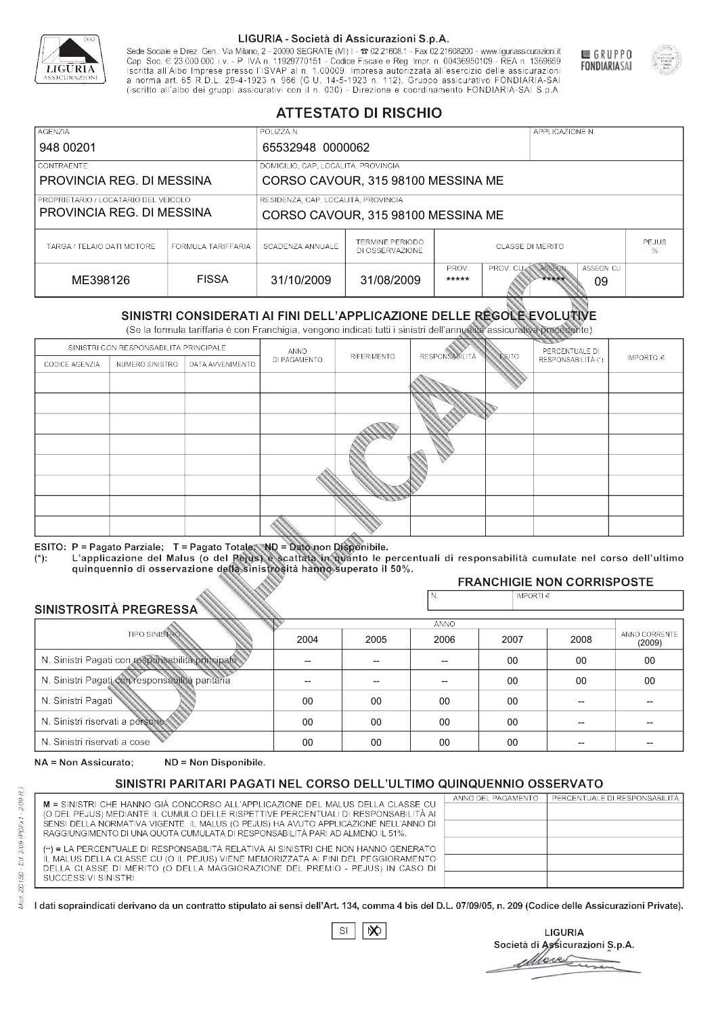

Sede Sociale e Direz. Gen.: Via Milano, 2 - 20090 SEGRATE (MI) I - 2 02.21608.1 - Fax 02.21608200 - www.liguriassicurazioni.it Cap. Soc.  $\in$  23.000.000 i.v. - P. IVA n. 11929770151 - Codice Fiscale e Reg. Impr. n. 00436950109 - REA n. 1369659<br>Iscritta all'Albo Imprese presso l'ISVAP al n. 1.00009. Impresa autorizzata all'esercizio delle assicura d homa art. 65 K.D.L. 29-4-1923 ft. 900 (G.O. 14-5-1923 ft. 112). Gruppo assicurativo PONDIARIA-SAI S.p.A



GRUPPO

**FONDIARIASAI** 

# **ATTESTATO DI RISCHIO**

| <b>AGENZIA</b>                                                                                                                                 |                    | POLIZZA N.                          |                                           |                         |                  | APPLICAZIONE N. |                  |                   |
|------------------------------------------------------------------------------------------------------------------------------------------------|--------------------|-------------------------------------|-------------------------------------------|-------------------------|------------------|-----------------|------------------|-------------------|
| 948 00201                                                                                                                                      |                    | 65532948 0000062                    |                                           |                         |                  |                 |                  |                   |
| LCONTRAENTE.                                                                                                                                   |                    | DOMICILIO, CAP, LOCALITÀ, PROVINCIA |                                           |                         |                  |                 |                  |                   |
| PROVINCIA REG. DI MESSINA                                                                                                                      |                    |                                     | CORSO CAVOUR, 315 98100 MESSINA ME        |                         |                  |                 |                  |                   |
| RESIDENZA, CAP, LOCALITÀ, PROVINCIA<br>PROPRIETARIO / LOCATARIO DEL VEICOLO<br>PROVINCIA REG. DI MESSINA<br>CORSO CAVOUR, 315 98100 MESSINA ME |                    |                                     |                                           |                         |                  |                 |                  |                   |
| TARGA / TELAIO DATI MOTORE                                                                                                                     | FORMULA TARIFFARIA | SCADENZA ANNUALE                    | <b>TERMINE PERIODO</b><br>DI OSSERVAZIONE | <b>CLASSE DI MERITO</b> |                  |                 |                  | <b>PEJUS</b><br>% |
| ME398126                                                                                                                                       | <b>FISSA</b>       | 31/10/2009                          | 31/08/2009                                | PROV.<br>*****          | <b>PROV. CUM</b> | ASSEGN<br>***** | ASSEGN. CU<br>09 |                   |

|                                 |                                                                                            |                                                                                                                                                                                                      |              | DI OSSERVAZIONE |                      |               |                                     | %                       |  |
|---------------------------------|--------------------------------------------------------------------------------------------|------------------------------------------------------------------------------------------------------------------------------------------------------------------------------------------------------|--------------|-----------------|----------------------|---------------|-------------------------------------|-------------------------|--|
| ME398126                        |                                                                                            | <b>FISSA</b>                                                                                                                                                                                         | 31/10/2009   | 31/08/2009      | PROV.<br>*****       | PROV. CU      | ASSEGN<br>ASSEGN. CU<br>*****<br>09 |                         |  |
|                                 |                                                                                            | SINISTRI CONSIDERATI AI FINI DELL'APPLICAZIONE DELLE RÉGOLE EVOLUTIVE<br>(Se la formula tariffaria è con Franchigia, vengono indicati tutti i sinistri dell'annualità assicurativa precedente)       |              |                 |                      |               |                                     |                         |  |
|                                 | SINISTRI CON RESPONSABILITÀ PRINCIPALE                                                     |                                                                                                                                                                                                      | ANNO         |                 |                      |               | PERCENTUALE DI                      |                         |  |
| CODICE AGENZIA                  | NUMERO SINISTRO                                                                            | DATA AVVENIMENTO                                                                                                                                                                                     | DI PAGAMENTO | RIFERIMENTO     | <b>RESPONSABLITA</b> | <b>ESITO</b>  | RESPONSABILITÀ (*)                  | IMPORTO $\in$           |  |
|                                 |                                                                                            |                                                                                                                                                                                                      |              |                 |                      |               |                                     |                         |  |
|                                 |                                                                                            |                                                                                                                                                                                                      |              |                 |                      |               |                                     |                         |  |
|                                 |                                                                                            |                                                                                                                                                                                                      |              |                 |                      |               |                                     |                         |  |
|                                 |                                                                                            |                                                                                                                                                                                                      |              |                 |                      |               |                                     |                         |  |
|                                 |                                                                                            |                                                                                                                                                                                                      |              |                 |                      |               |                                     |                         |  |
|                                 |                                                                                            |                                                                                                                                                                                                      |              |                 |                      |               |                                     |                         |  |
|                                 |                                                                                            |                                                                                                                                                                                                      |              |                 |                      |               |                                     |                         |  |
|                                 |                                                                                            |                                                                                                                                                                                                      |              |                 |                      |               |                                     |                         |  |
|                                 |                                                                                            |                                                                                                                                                                                                      |              |                 |                      |               |                                     |                         |  |
|                                 |                                                                                            | ESITO: P = Pagato Parziale; T = Pagato Totale; ND = Dato non Disponibile.                                                                                                                            |              |                 |                      |               |                                     |                         |  |
| $(*)$ .                         |                                                                                            | L'applicazione del Malus (o del Pejus) è scattata in quanto le percentuali di responsabilità cumulate nel corso dell'ultimo<br>quinquennio di osservazione della sinistrosità hanno superato il 50%. |              |                 |                      |               |                                     |                         |  |
|                                 |                                                                                            |                                                                                                                                                                                                      |              |                 |                      |               | <b>FRANCHIGIE NON CORRISPOSTE</b>   |                         |  |
|                                 |                                                                                            |                                                                                                                                                                                                      |              |                 | N.                   | IMPORTI $\in$ |                                     |                         |  |
| SINISTROSITÀ PREGRESSA          |                                                                                            |                                                                                                                                                                                                      |              |                 | <b>ANNO</b>          |               |                                     |                         |  |
|                                 | <b>TIPO SINISTRO</b>                                                                       |                                                                                                                                                                                                      | 2004         | 2005            | 2006                 | 2007          | 2008                                | ANNO CORRENTE<br>(2009) |  |
|                                 | N. Sinistri Pagati con responsabilità principale<br>00<br>00<br>--<br>--<br>$\overline{a}$ |                                                                                                                                                                                                      |              |                 | 00                   |               |                                     |                         |  |
|                                 | N. Sinistri Pagati con responsabilità paritaria                                            |                                                                                                                                                                                                      |              |                 |                      | 00            | 00                                  | 00                      |  |
| N. Sinistri Pagati              |                                                                                            |                                                                                                                                                                                                      | 00           | 00              | 00                   | 00            | --                                  |                         |  |
| N. Sinistri riservati a persone |                                                                                            |                                                                                                                                                                                                      | 00           | 00              | 00                   | 00            |                                     |                         |  |
| N. Sinjetri riconvoti a coco    |                                                                                            |                                                                                                                                                                                                      | $\cap$       | $\cap$          | $\cap$               | $\sim$        |                                     |                         |  |

### 2005 -- --  $0<sup>0</sup>$ 00 00 2004 -- --  $0<sup>0</sup>$ 00 00 2006 -- -- 00 00 00 2007 00 00 00 00 00 2008 00 00 -- -- -- 00 00 -- -- -- (2009)

NA = Non Assicurato: ND = Non Disponibile.

# SINISTRI PARITARI PAGATI NEL CORSO DELL'ULTIMO QUINQUENNIO OSSERVATO

| M = SINISTRI CHE HANNO GIÀ CONCORSO ALL'APPLICAZIONE DEL MALUS DELLA CLASSE CU       | ANNO DEL PAGAMENTO | PERCENTUALE DI RESPONSABILITÀ |
|--------------------------------------------------------------------------------------|--------------------|-------------------------------|
| (O DEL PEJUS) MEDIANTE IL CUMULO DELLE RISPETTIVE PERCENTUALI DI RESPONSABILITÀ AI   |                    |                               |
| SENSI DELLA NORMATIVA VIGENTE. IL MALUS (O PEJUS) HA AVUTO APPLICAZIONE NELL'ANNO DI |                    |                               |
| RAGGIUNGIMENTO DI UNA QUOTA CUMULATA DI RESPONSABILITÀ PARI AD ALMENO IL 51%.        |                    |                               |
| (**) = LA PERCENTUALE DI RESPONSABILITÀ RELATIVA AI SINISTRI CHE NON HANNO GENERATO  |                    |                               |
| IL MALUS DELLA CLASSE CU (O IL PEJUS) VIENE MEMORIZZATA AI FINI DEL PEGGIORAMENTO    |                    |                               |
| DELLA CLASSE DI MERITO (O DELLA MAGGIORAZIONE DEL PREMIO - PEJUS) IN CASO DI         |                    |                               |
| SUCCESSIVI SINISTRI.                                                                 |                    |                               |
|                                                                                      |                    |                               |

 $\mathbb{S}\mathsf{I}$  $\infty$ 

**LIGURIA** Società di Assicurazioni S.p.A. Move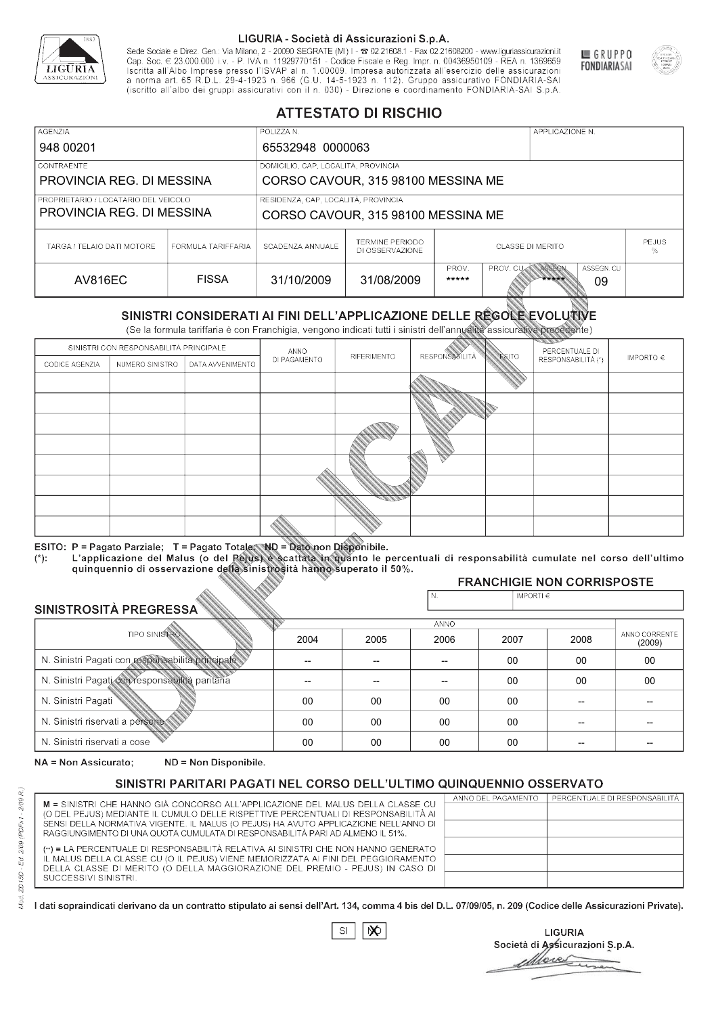

Sede Sociale e Direz. Gen.: Via Milano, 2 - 20090 SEGRATE (MI) I - 2 02.21608.1 - Fax 02.21608200 - www.liguriassicurazioni.it Sede e Direz, Gen. Via Milanto, 2 - 20090 SEGATE (MI) I - 2 UZZIODO. I - FAX UZZIODO2 I - WWW. IIJONENSURIADONILI<br>Cap. Soc. € 23.000.000 i.v. - P. IVA n. 11929770151 - Codice Fiscale e Reg. Impr. n. 00436950109 - REA n. 1



GRUPPO

**FONDIARIASAI** 

# **ATTESTATO DI RISCHIO**

| <b>AGENZIA</b>                       |                    | POLIZZA N.                          |                                           |                         |                  | APPLICAZIONE N. |                  |                   |
|--------------------------------------|--------------------|-------------------------------------|-------------------------------------------|-------------------------|------------------|-----------------|------------------|-------------------|
| 948 00201                            |                    | 65532948 0000063                    |                                           |                         |                  |                 |                  |                   |
| LCONTRAENTE.                         |                    | DOMICILIO, CAP, LOCALITÀ, PROVINCIA |                                           |                         |                  |                 |                  |                   |
| PROVINCIA REG. DI MESSINA            |                    |                                     | CORSO CAVOUR, 315 98100 MESSINA ME        |                         |                  |                 |                  |                   |
| PROPRIETARIO / LOCATARIO DEL VEICOLO |                    | RESIDENZA, CAP, LOCALITÀ, PROVINCIA |                                           |                         |                  |                 |                  |                   |
| PROVINCIA REG. DI MESSINA            |                    | CORSO CAVOUR, 315 98100 MESSINA ME  |                                           |                         |                  |                 |                  |                   |
| TARGA / TELAIO DATI MOTORE           | FORMULA TARIFFARIA | SCADENZA ANNUALE                    | <b>TERMINE PERIODO</b><br>DI OSSERVAZIONE | <b>CLASSE DI MERITO</b> |                  |                 |                  | <b>PEJUS</b><br>% |
| AV816EC                              | <b>FISSA</b>       | 31/10/2009                          | 31/08/2009                                | PROV.<br>*****          | <b>PROV. CUM</b> | ASSEGN<br>***** | ASSEGN. CU<br>09 |                   |

|                                                 |                                        |                                                                                                                                                                                                      |                          | DI OSSERVAZIONE          |                       |                    |                                     | ℅                       |
|-------------------------------------------------|----------------------------------------|------------------------------------------------------------------------------------------------------------------------------------------------------------------------------------------------------|--------------------------|--------------------------|-----------------------|--------------------|-------------------------------------|-------------------------|
| <b>AV816EC</b>                                  |                                        | <b>FISSA</b>                                                                                                                                                                                         | 31/10/2009               | 31/08/2009               | PROV.<br>*****        | PROV. CU           | ASSEGN<br>ASSEGN. CU<br>*****<br>09 |                         |
|                                                 |                                        | SINISTRI CONSIDERATI AI FINI DELL'APPLICAZIONE DELLE REGOLE EVOLUTIVE<br>(Se la formula tariffaria è con Franchigia, vengono indicati tutti i sinistri dell'annualità assicurativa precedente)       |                          |                          |                       |                    |                                     |                         |
|                                                 | SINISTRI CON RESPONSABILITÀ PRINCIPALE |                                                                                                                                                                                                      | ANNO                     |                          |                       |                    | PERCENTUALE DI                      |                         |
| CODICE AGENZIA                                  | NUMERO SINISTRO                        | DATA AVVENIMENTO                                                                                                                                                                                     | DI PAGAMENTO             | RIFERIMENTO              | <b>RESPONSABILITÀ</b> | <b>ESITO</b>       | RESPONSABILITÀ (*)                  | IMPORTO $\in$           |
|                                                 |                                        |                                                                                                                                                                                                      |                          |                          |                       |                    |                                     |                         |
|                                                 |                                        |                                                                                                                                                                                                      |                          |                          |                       |                    |                                     |                         |
|                                                 |                                        |                                                                                                                                                                                                      |                          |                          |                       |                    |                                     |                         |
|                                                 |                                        |                                                                                                                                                                                                      |                          |                          |                       |                    |                                     |                         |
|                                                 |                                        |                                                                                                                                                                                                      |                          |                          |                       |                    |                                     |                         |
|                                                 |                                        |                                                                                                                                                                                                      |                          |                          |                       |                    |                                     |                         |
|                                                 |                                        |                                                                                                                                                                                                      |                          |                          |                       |                    |                                     |                         |
|                                                 |                                        |                                                                                                                                                                                                      |                          |                          |                       |                    |                                     |                         |
|                                                 |                                        |                                                                                                                                                                                                      |                          |                          |                       |                    |                                     |                         |
|                                                 |                                        | ESITO: P = Pagato Parziale; T = Pagato Totale; ND = Dato non Disponibile.                                                                                                                            |                          |                          |                       |                    |                                     |                         |
| $(*)$ .                                         |                                        | L'applicazione del Malus (o del Pejus) è scattata in quanto le percentuali di responsabilità cumulate nel corso dell'ultimo<br>quinquennio di osservazione della sinistrosità hanno superato il 50%. |                          |                          |                       |                    |                                     |                         |
|                                                 |                                        |                                                                                                                                                                                                      |                          |                          |                       |                    | <b>FRANCHIGIE NON CORRISPOSTE</b>   |                         |
|                                                 |                                        |                                                                                                                                                                                                      |                          |                          | N.                    | IMPORTI $\epsilon$ |                                     |                         |
| SINISTROSITÀ PREGRESSA                          |                                        |                                                                                                                                                                                                      |                          |                          | <b>ANNO</b>           |                    |                                     |                         |
|                                                 | <b>TIPO SINISTRO</b>                   |                                                                                                                                                                                                      | 2004                     | 2005                     | 2006                  | 2007               | 2008                                | ANNO CORRENTE<br>(2009) |
|                                                 |                                        | N. Sinistri Pagati con responsabilità principale                                                                                                                                                     | $\overline{\phantom{0}}$ | $\overline{\phantom{a}}$ | $-$                   | $00 \,$            | 00                                  | 00                      |
| N. Sinistri Pagati con responsabilità paritaria |                                        |                                                                                                                                                                                                      |                          |                          |                       | 00                 | 00                                  | 00                      |
| N. Sinistri Pagati                              |                                        |                                                                                                                                                                                                      | 00                       | 00                       | 00                    | $00\,$             |                                     |                         |
| N. Sinistri riservati a persone                 |                                        |                                                                                                                                                                                                      | 00                       | 00                       | 00                    | 00                 |                                     |                         |
| N. Sinjetri riconvoti a coco                    |                                        |                                                                                                                                                                                                      | $\cap$                   | $\cap$                   | $\cap$                | $\cap$             |                                     |                         |

### 2005 -- --  $0<sup>0</sup>$ 00 00 2004 -- --  $0<sup>0</sup>$ 00 00 2006 -- -- 00 00 00 2007 00 00 00 00 00 2008 00 00 -- -- -- 00 00 -- -- -- (2009)

NA = Non Assicurato: ND = Non Disponibile.

# SINISTRI PARITARI PAGATI NEL CORSO DELL'ULTIMO QUINQUENNIO OSSERVATO

|                                                                                                                                                                      | ANNO DEL PAGAMENTO | PERCENTUALE DI RESPONSABILITÀ |
|----------------------------------------------------------------------------------------------------------------------------------------------------------------------|--------------------|-------------------------------|
| M = SINISTRI CHE HANNO GIÀ CONCORSO ALL'APPLICAZIONE DEL MALUS DELLA CLASSE CU<br>(O DEL PEJUS) MEDIANTE IL CUMULO DELLE RISPETTIVE PERCENTUALI DI RESPONSABILITÀ AI |                    |                               |
| SENSI DELLA NORMATIVA VIGENTE. IL MALUS (O PEJUS) HA AVUTO APPLICAZIONE NELL'ANNO DI                                                                                 |                    |                               |
| RAGGIUNGIMENTO DI UNA QUOTA CUMULATA DI RESPONSABILITÀ PARI AD ALMENO IL 51%.                                                                                        |                    |                               |
|                                                                                                                                                                      |                    |                               |
| (**) = LA PERCENTUALE DI RESPONSABILITÀ RELATIVA AI SINISTRI CHE NON HANNO GENERATO                                                                                  |                    |                               |
| IL MALUS DELLA CLASSE CU (O IL PEJUS) VIENE MEMORIZZATA AI FINI DEL PEGGIORAMENTO                                                                                    |                    |                               |
| DELLA CLASSE DI MERITO (O DELLA MAGGIORAZIONE DEL PREMIO - PEJUS) IN CASO DI                                                                                         |                    |                               |
| SUCCESSIVI SINISTRI.                                                                                                                                                 |                    |                               |
|                                                                                                                                                                      |                    |                               |

|--|

**LIGURIA** Società di Assicurazioni S.p.A. Move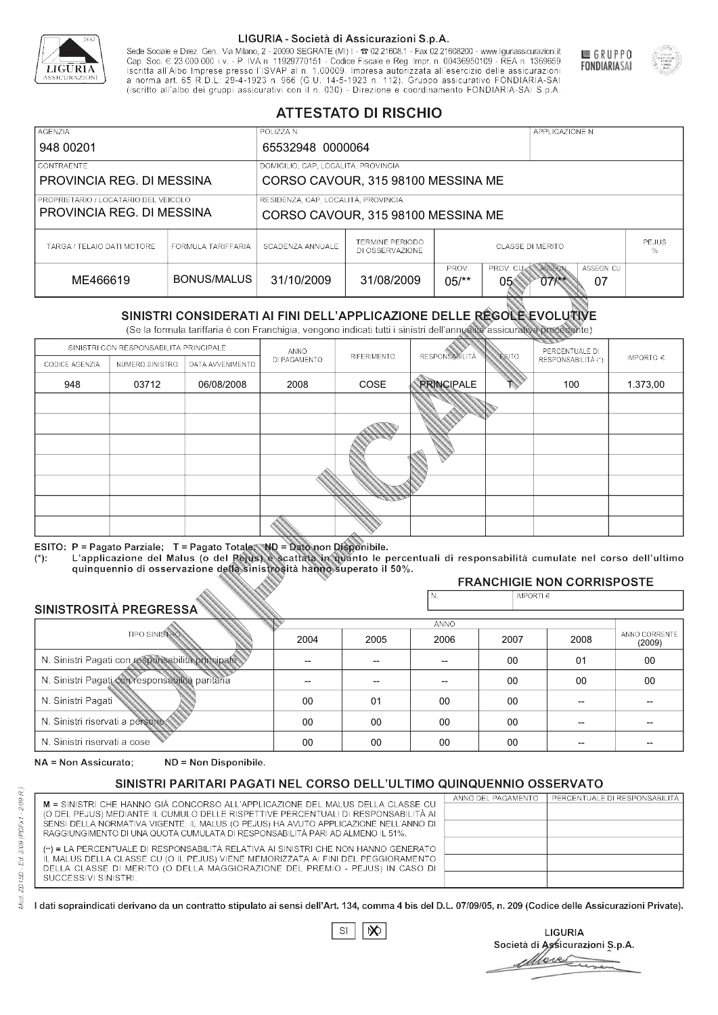

Sede Sociale e Direz. Gen.: Via Milano, 2 - 20090 SEGRATE (MI) I - 2 02.21608.1 - Fax 02.21608200 - www.liguriassicurazioni.it Sede e Direz, Gen. Via Milanto, 2 - 20090 SEGATE (MI) I - 2 UZZIODO. I - FAX UZZIODO2 I - WWW. IIJONENSURIADONILI<br>Cap. Soc. € 23.000.000 i.v. - P. IVA n. 11929770151 - Codice Fiscale e Reg. Impr. n. 00436950109 - REA n. 1



GRUPPO

**FONDIARIASAI** 

# **ATTESTATO DI RISCHIO**

| <b>AGENZIA</b>                       |                    | POLIZZA N.                          |                                    |                  |                | APPLICAZIONE N.              |                  |                   |
|--------------------------------------|--------------------|-------------------------------------|------------------------------------|------------------|----------------|------------------------------|------------------|-------------------|
| 948 00201                            |                    | 65532948 0000064                    |                                    |                  |                |                              |                  |                   |
| CONTRAENTE                           |                    | DOMICILIO, CAP, LOCALITÀ, PROVINCIA |                                    |                  |                |                              |                  |                   |
| PROVINCIA REG. DI MESSINA            |                    |                                     | CORSO CAVOUR, 315 98100 MESSINA ME |                  |                |                              |                  |                   |
| PROPRIETARIO / LOCATARIO DEL VEICOLO |                    | RESIDENZA, CAP, LOCALITÀ, PROVINCIA |                                    |                  |                |                              |                  |                   |
| PROVINCIA REG. DI MESSINA            |                    |                                     | CORSO CAVOUR, 315 98100 MESSINA ME |                  |                |                              |                  |                   |
| TARGA / TELAIO DATI MOTORE           | FORMULA TARIFFARIA | SCADENZA ANNUALE                    | TERMINE PERIODO<br>DI OSSERVAZIONE | CLASSE DI MERITO |                |                              |                  | <b>PEJUS</b><br>% |
| ME466619                             | BONUS/MALUS        | 31/10/2009                          | 31/08/2009                         | PROV.<br>$05/*$  | PROV. CU<br>05 | ASSEGN<br>$07$ $\frac{1}{2}$ | ASSEGN. CU<br>07 |                   |

|                                                 |                                        |                                                                                                                                                                                                      |              | DI OSSERVAZIONE |                       |                |                                                      | %                       |
|-------------------------------------------------|----------------------------------------|------------------------------------------------------------------------------------------------------------------------------------------------------------------------------------------------------|--------------|-----------------|-----------------------|----------------|------------------------------------------------------|-------------------------|
| ME466619                                        |                                        | <b>BONUS/MALUS</b>                                                                                                                                                                                   | 31/10/2009   | 31/08/2009      | PROV.<br>$05/*$       | PROV. CU<br>05 | ASSEGN<br>ASSEGN. CU<br>$07$ $\frac{111}{111}$<br>07 |                         |
|                                                 |                                        | SINISTRI CONSIDERATI AI FINI DELL'APPLICAZIONE DELLE RÉGOLE EVOLUTIVE<br>(Se la formula tariffaria è con Franchigia, vengono indicati tutti i sinistri dell'annualità assicurativa precedente)       |              |                 |                       |                |                                                      |                         |
|                                                 | SINISTRI CON RESPONSABILITÀ PRINCIPALE |                                                                                                                                                                                                      | ANNO         |                 |                       |                | PERCENTUALE DI                                       |                         |
| CODICE AGENZIA                                  | NUMERO SINISTRO                        | DATA AVVENIMENTO                                                                                                                                                                                     | DI PAGAMENTO | RIFERIMENTO     | <b>RESPONSABILITÀ</b> | <b>ESITO</b>   | RESPONSABILITÀ (*)                                   | IMPORTO $\in$           |
| 948                                             | 03712                                  | 06/08/2008                                                                                                                                                                                           | 2008         | COSE            | <b>PRINCIPALE</b>     |                | 100                                                  | 1.373,00                |
|                                                 |                                        |                                                                                                                                                                                                      |              |                 |                       |                |                                                      |                         |
|                                                 |                                        |                                                                                                                                                                                                      |              |                 |                       |                |                                                      |                         |
|                                                 |                                        |                                                                                                                                                                                                      |              |                 |                       |                |                                                      |                         |
|                                                 |                                        |                                                                                                                                                                                                      |              |                 |                       |                |                                                      |                         |
|                                                 |                                        |                                                                                                                                                                                                      |              |                 |                       |                |                                                      |                         |
|                                                 |                                        |                                                                                                                                                                                                      |              |                 |                       |                |                                                      |                         |
|                                                 |                                        |                                                                                                                                                                                                      |              |                 |                       |                |                                                      |                         |
|                                                 |                                        | ESITO: P = Pagato Parziale; T = Pagato Totale; ND = Dato non Disponibile.                                                                                                                            |              |                 |                       |                |                                                      |                         |
| $(*)$ .                                         |                                        | L'applicazione del Malus (o del Pejus) è scattata in quanto le percentuali di responsabilità cumulate nel corso dell'ultimo<br>quinquennio di osservazione della sinistrosità hanno superato il 50%. |              |                 |                       |                |                                                      |                         |
|                                                 |                                        |                                                                                                                                                                                                      |              |                 |                       |                | <b>FRANCHIGIE NON CORRISPOSTE</b>                    |                         |
| SINISTROSITÀ PREGRESSA                          |                                        |                                                                                                                                                                                                      |              |                 | N.                    | IMPORTI $\in$  |                                                      |                         |
|                                                 |                                        |                                                                                                                                                                                                      |              |                 | <b>ANNO</b>           |                |                                                      |                         |
|                                                 | <b>TIPO SINISTRO</b>                   |                                                                                                                                                                                                      | 2004         | 2005            | 2006                  | 2007           | 2008                                                 | ANNO CORRENTE<br>(2009) |
|                                                 |                                        | N. Sinistri Pagati con responsabilità principale                                                                                                                                                     | $\sim$       | --              | $-$                   | 00             | 01                                                   | 00                      |
| N. Sinistri Pagati con responsabilità paritaria |                                        |                                                                                                                                                                                                      |              |                 |                       | 00             | 00                                                   | 00                      |
| N. Sinistri Pagati                              |                                        |                                                                                                                                                                                                      | 00           | 01              | 00                    | 00             | --                                                   |                         |
| N. Sinistri riservati a persone                 |                                        |                                                                                                                                                                                                      | 00           | 00              | 00                    | 00             |                                                      |                         |
| N. Sinjetri riconvoti a coco                    |                                        |                                                                                                                                                                                                      | $\cap$       | $\cap$          | $\cap$                | $\sim$         |                                                      |                         |

### 2005 -- -- 01 00 00 2004 -- --  $0<sup>0</sup>$ 00 00 2006 -- -- 00 00 00 2007 00 00 00 00 00 2008 01 00 -- -- -- 00 00 -- -- -- (2009)

NA = Non Assicurato: ND = Non Disponibile.

# SINISTRI PARITARI PAGATI NEL CORSO DELL'ULTIMO QUINQUENNIO OSSERVATO

|                                                                                      | ANNO DEL PAGAMENTO | PERCENTUALE DI RESPONSABILITÀ |
|--------------------------------------------------------------------------------------|--------------------|-------------------------------|
| M = SINISTRI CHE HANNO GIÀ CONCORSO ALL'APPLICAZIONE DEL MALUS DELLA CLASSE CU       |                    |                               |
| (O DEL PEJUS) MEDIANTE IL CUMULO DELLE RISPETTIVE PERCENTUALI DI RESPONSABILITÀ AI   |                    |                               |
| SENSI DELLA NORMATIVA VIGENTE. IL MALUS (O PEJUS) HA AVUTO APPLICAZIONE NELL'ANNO DI |                    |                               |
| RAGGIUNGIMENTO DI UNA QUOTA CUMULATA DI RESPONSABILITÀ PARI AD ALMENO IL 51%.        |                    |                               |
|                                                                                      |                    |                               |
| (**) = LA PERCENTUALE DI RESPONSABILITÀ RELATIVA AI SINISTRI CHE NON HANNO GENERATO  |                    |                               |
| IL MALUS DELLA CLASSE CU (O IL PEJUS) VIENE MEMORIZZATA AI FINI DEL PEGGIORAMENTO    |                    |                               |
| DELLA CLASSE DI MERITO (O DELLA MAGGIORAZIONE DEL PREMIO - PEJUS) IN CASO DI         |                    |                               |
| SUCCESSIVI SINISTRI.                                                                 |                    |                               |
|                                                                                      |                    |                               |

 $\mathbb{S}\mathsf{I}$  $\infty$ 

**LIGURIA** Società di Assicurazioni S.p.A. More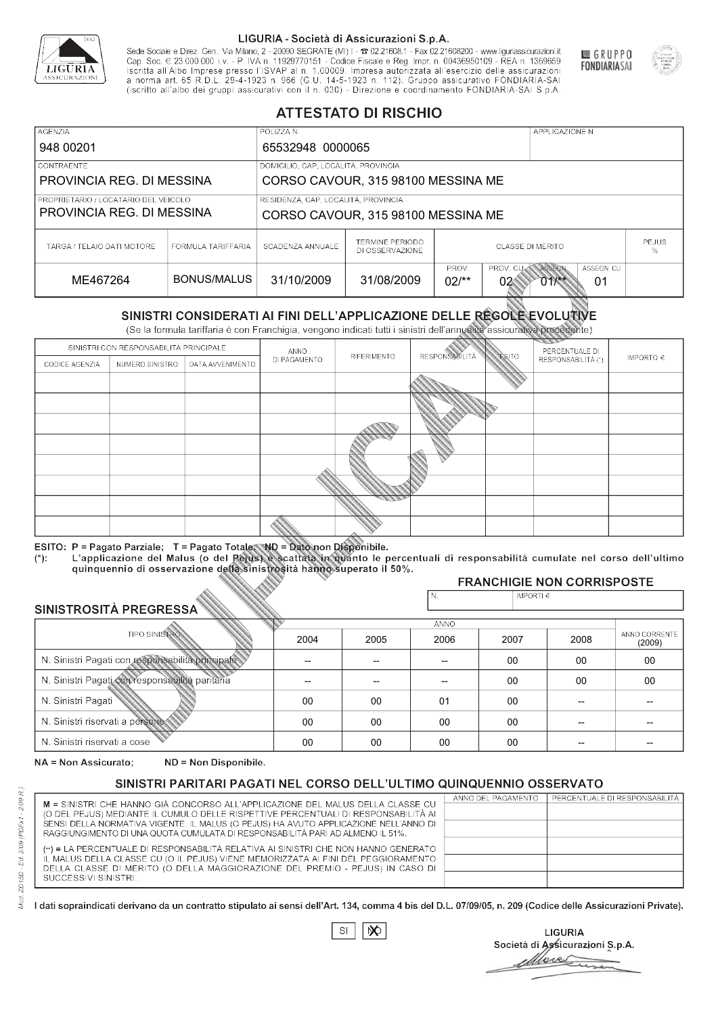

Sede Sociale e Direz. Gen.: Via Milano, 2 - 20090 SEGRATE (MI) I - 2 02.21608.1 - Fax 02.21608200 - www.liguriassicurazioni.it Cap. Soc.  $\in$  23.000.000 i.v. - P. IVA n. 11929770151 - Codice Fiscale e Reg. Impr. n. 00436950109 - REA n. 1369659<br>Iscritta all'Albo Imprese presso l'ISVAP al n. 1.00009. Impresa autorizzata all'esercizio delle assicura d homa art. 65 K.D.L. 29-4-1923 ft. 900 (G.O. 14-5-1923 ft. 112). Gruppo assicurativo PONDIARIA-SAI S.p.A



GRUPPO

**FONDIARIASAI** 

# **ATTESTATO DI RISCHIO**

| <b>AGENZIA</b>                       |                    | POLIZZA N.                          |                                    |                   |                | APPLICAZIONE N. |                  |                   |
|--------------------------------------|--------------------|-------------------------------------|------------------------------------|-------------------|----------------|-----------------|------------------|-------------------|
| 948 00201                            |                    | 65532948 0000065                    |                                    |                   |                |                 |                  |                   |
| CONTRAENTE                           |                    | DOMICILIO, CAP, LOCALITÀ, PROVINCIA |                                    |                   |                |                 |                  |                   |
| PROVINCIA REG. DI MESSINA            |                    |                                     | CORSO CAVOUR, 315 98100 MESSINA ME |                   |                |                 |                  |                   |
| PROPRIETARIO / LOCATARIO DEL VEICOLO |                    | RESIDENZA, CAP, LOCALITÀ, PROVINCIA |                                    |                   |                |                 |                  |                   |
| PROVINCIA REG. DI MESSINA            |                    |                                     | CORSO CAVOUR, 315 98100 MESSINA ME |                   |                |                 |                  |                   |
| TARGA / TELAIO DATI MOTORE           | FORMULA TARIFFARIA | SCADENZA ANNUALE                    | TERMINE PERIODO<br>DI OSSERVAZIONE | CLASSE DI MERITO  |                |                 |                  | <b>PEJUS</b><br>% |
| ME467264                             | BONUS/MALUS        | 31/10/2009                          | 31/08/2009                         | PROV.<br>$02$ /** | PROV. CU<br>02 | ASSEGN<br>01    | ASSEGN. CU<br>01 |                   |

|                                 |                      |                                                                                                                                                                                                      |              | DI OSSERVAZIONE |                      |                |                                               | %                       |
|---------------------------------|----------------------|------------------------------------------------------------------------------------------------------------------------------------------------------------------------------------------------------|--------------|-----------------|----------------------|----------------|-----------------------------------------------|-------------------------|
| ME467264                        |                      | <b>BONUS/MALUS</b>                                                                                                                                                                                   | 31/10/2009   | 31/08/2009      | PROV.<br>$02/*$      | PROV. CU<br>02 | <b>ASSEGN</b><br>ASSEGN. CU<br>$011$ **<br>01 |                         |
|                                 |                      | SINISTRI CONSIDERATI AI FINI DELL'APPLICAZIONE DELLE RÉGOLE EVOLUTIVE<br>(Se la formula tariffaria è con Franchigia, vengono indicati tutti i sinistri dell'annualità assicurativa precedente)       |              |                 |                      |                |                                               |                         |
|                                 |                      | SINISTRI CON RESPONSABILITÀ PRINCIPALE                                                                                                                                                               | ANNO         |                 |                      |                | PERCENTUALE DI                                |                         |
| CODICE AGENZIA                  | NUMERO SINISTRO      | DATA AVVENIMENTO                                                                                                                                                                                     | DI PAGAMENTO | RIFERIMENTO     | <b>RESPONSABLITA</b> | <b>ESITO</b>   | RESPONSABILITÀ (*)                            | IMPORTO $\in$           |
|                                 |                      |                                                                                                                                                                                                      |              |                 |                      |                |                                               |                         |
|                                 |                      |                                                                                                                                                                                                      |              |                 |                      |                |                                               |                         |
|                                 |                      |                                                                                                                                                                                                      |              |                 |                      |                |                                               |                         |
|                                 |                      |                                                                                                                                                                                                      |              |                 |                      |                |                                               |                         |
|                                 |                      |                                                                                                                                                                                                      |              |                 |                      |                |                                               |                         |
|                                 |                      |                                                                                                                                                                                                      |              |                 |                      |                |                                               |                         |
|                                 |                      |                                                                                                                                                                                                      |              |                 |                      |                |                                               |                         |
|                                 |                      |                                                                                                                                                                                                      |              |                 |                      |                |                                               |                         |
|                                 |                      |                                                                                                                                                                                                      |              |                 |                      |                |                                               |                         |
|                                 |                      | ESITO: P = Pagato Parziale; T = Pagato Totale; ND = Dato non Disponibile.                                                                                                                            |              |                 |                      |                |                                               |                         |
| $(*)$ .                         |                      | L'applicazione del Malus (o del Pejus) è scattata in quanto le percentuali di responsabilità cumulate nel corso dell'ultimo<br>quinquennio di osservazione della sinistrosità hanno superato il 50%. |              |                 |                      |                |                                               |                         |
|                                 |                      |                                                                                                                                                                                                      |              |                 |                      |                | <b>FRANCHIGIE NON CORRISPOSTE</b>             |                         |
| SINISTROSITÀ PREGRESSA          |                      |                                                                                                                                                                                                      |              |                 | N.                   | IMPORTI $\in$  |                                               |                         |
|                                 |                      |                                                                                                                                                                                                      |              |                 | <b>ANNO</b>          |                |                                               |                         |
|                                 | <b>TIPO SINISTRO</b> |                                                                                                                                                                                                      | 2004         | 2005            | 2006                 | 2007           | 2008                                          | ANNO CORRENTE<br>(2009) |
|                                 |                      | N. Sinistri Pagati con responsabilità principale                                                                                                                                                     | --           | --              | $\overline{a}$       | 00             | 00                                            | 00                      |
|                                 |                      | N. Sinistri Pagati con responsabilità paritaria                                                                                                                                                      |              |                 |                      | 00             | 00                                            | 00                      |
| N. Sinistri Pagati              |                      |                                                                                                                                                                                                      | 00           | 00              | 01                   | 00             | --                                            |                         |
| N. Sinistri riservati a persone |                      |                                                                                                                                                                                                      | 00           | 00              | 00                   | 00             |                                               |                         |
| N. Sinjetri riconvoti a coco    |                      |                                                                                                                                                                                                      | $\cap$       | $\cap$          | $\cap$               | $\sim$         |                                               |                         |

### 2005 -- --  $0<sup>0</sup>$ 00 00 2004 -- --  $0<sup>0</sup>$ 00 00 2006 -- -- 01 00 00 2007 00 00 00 00 00 2008 00 00 -- -- -- 00 00 -- -- -- (2009)

NA = Non Assicurato: ND = Non Disponibile.

# SINISTRI PARITARI PAGATI NEL CORSO DELL'ULTIMO QUINQUENNIO OSSERVATO

|                                                                                                                                                                       | ANNO DEL PAGAMENTO | PERCENTUALE DI RESPONSABILITÀ |
|-----------------------------------------------------------------------------------------------------------------------------------------------------------------------|--------------------|-------------------------------|
| M = SINISTRI CHE HANNO GIÀ CONCORSO ALL'APPLICAZIONE DEL MALUS DELLA CLASSE CU                                                                                        |                    |                               |
| (O DEL PEJUS) MEDIANTE IL CUMULO DELLE RISPETTIVE PERCENTUALI DI RESPONSABILITÀ AI                                                                                    |                    |                               |
| SENSI DELLA NORMATIVA VIGENTE. IL MALUS (O PEJUS) HA AVUTO APPLICAZIONE NELL'ANNO DI<br>RAGGIUNGIMENTO DI UNA QUOTA CUMULATA DI RESPONSABILITÀ PARI AD ALMENO IL 51%. |                    |                               |
|                                                                                                                                                                       |                    |                               |
| (**) = LA PERCENTUALE DI RESPONSABILITÀ RELATIVA AI SINISTRI CHE NON HANNO GENERATO                                                                                   |                    |                               |
| IL MALUS DELLA CLASSE CU (O IL PEJUS) VIENE MEMORIZZATA AI FINI DEL PEGGIORAMENTO                                                                                     |                    |                               |
| DELLA CLASSE DI MERITO (O DELLA MAGGIORAZIONE DEL PREMIO - PEJUS) IN CASO DI                                                                                          |                    |                               |
| SUCCESSIVI SINISTRI.                                                                                                                                                  |                    |                               |
|                                                                                                                                                                       |                    |                               |

 $\mathbb{S}\mathsf{I}$  $\infty$ 

**LIGURIA** Società di Assicurazioni S.p.A. Move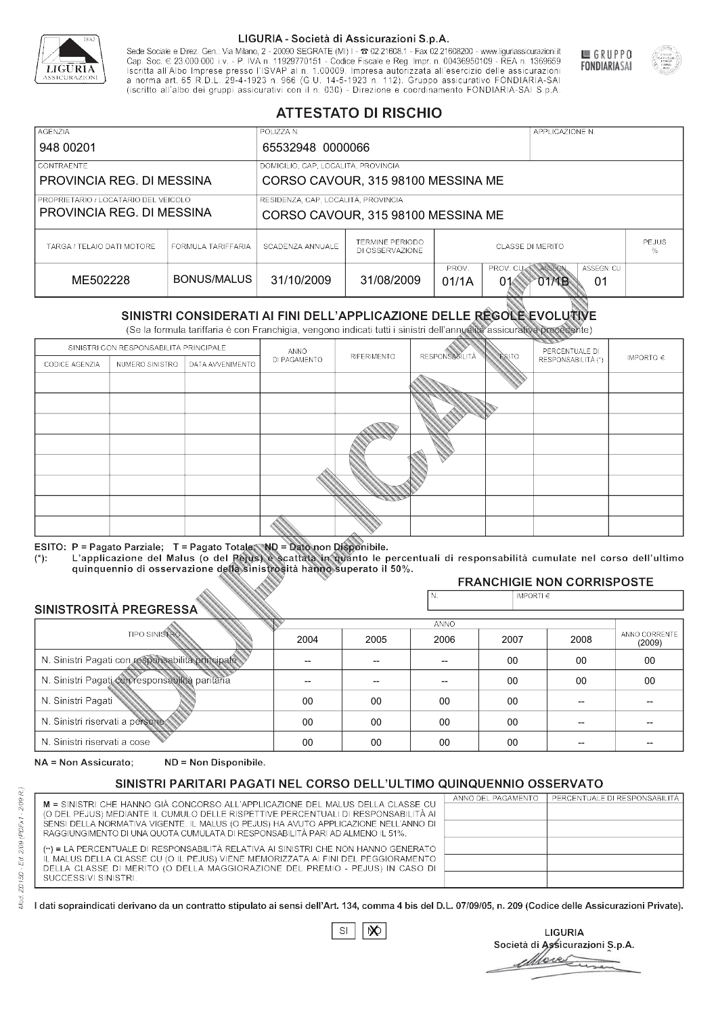

Sede Sociale e Direz. Gen.: Via Milano, 2 - 20090 SEGRATE (MI) I - 2 02.21608.1 - Fax 02.21608200 - www.liguriassicurazioni.it Sede e Direz, Gen. Via Milanto, 2 - 20090 SEGATE (MI) I - 2 UZZIODO. I - FAX UZZIODO2 I - WWW. IIJONENSURIADONILI<br>Cap. Soc. € 23.000.000 i.v. - P. IVA n. 11929770151 - Codice Fiscale e Reg. Impr. n. 00436950109 - REA n. 1



GRUPPO

**FONDIARIASAI** 

# **ATTESTATO DI RISCHIO**

| <b>AGENZIA</b>                       |                    | POLIZZA N.                          |                                    |                                         |                  | APPLICAZIONE N. |            |  |
|--------------------------------------|--------------------|-------------------------------------|------------------------------------|-----------------------------------------|------------------|-----------------|------------|--|
| 948 00201                            |                    | 65532948 0000066                    |                                    |                                         |                  |                 |            |  |
| CONTRAENTE                           |                    | DOMICILIO, CAP, LOCALITÀ, PROVINCIA |                                    |                                         |                  |                 |            |  |
| PROVINCIA REG. DI MESSINA            |                    |                                     | CORSO CAVOUR, 315 98100 MESSINA ME |                                         |                  |                 |            |  |
| PROPRIETARIO / LOCATARIO DEL VEICOLO |                    | RESIDENZA, CAP, LOCALITÀ, PROVINCIA |                                    |                                         |                  |                 |            |  |
| PROVINCIA REG. DI MESSINA            |                    | CORSO CAVOUR, 315 98100 MESSINA ME  |                                    |                                         |                  |                 |            |  |
| TARGA / TELAIO DATI MOTORE           | FORMULA TARIFFARIA | SCADENZA ANNUALE                    | TERMINE PERIODO<br>DI OSSERVAZIONE | <b>PEJUS</b><br><b>CLASSE DI MERITO</b> |                  |                 |            |  |
|                                      |                    |                                     |                                    | PROV.                                   | PROV. CUM ASSEGN |                 | ASSEGN. CU |  |
| ME502228                             | BONUS/MALUS        | 31/10/2009                          | 31/08/2009                         | 01/1A                                   | 01               | O1⁄1B           | 01         |  |

|                                 |                      |                                                                                                                                                                                                      |              | DI OSSERVAZIONE |                      |                |                                           | %                       |
|---------------------------------|----------------------|------------------------------------------------------------------------------------------------------------------------------------------------------------------------------------------------------|--------------|-----------------|----------------------|----------------|-------------------------------------------|-------------------------|
| ME502228                        |                      | <b>BONUS/MALUS</b>                                                                                                                                                                                   | 31/10/2009   | 31/08/2009      | PROV.<br>01/1A       | PROV. CU<br>01 | ASSEGN<br>ASSEGN. CU<br><b>OTMB</b><br>01 |                         |
|                                 |                      | SINISTRI CONSIDERATI AI FINI DELL'APPLICAZIONE DELLE RÉGOLE EVOLUTIVE<br>(Se la formula tariffaria è con Franchigia, vengono indicati tutti i sinistri dell'annualità assicurativa precedente)       |              |                 |                      |                |                                           |                         |
|                                 |                      | SINISTRI CON RESPONSABILITÀ PRINCIPALE                                                                                                                                                               | ANNO         |                 |                      |                | PERCENTUALE DI                            |                         |
| CODICE AGENZIA                  | NUMERO SINISTRO      | DATA AVVENIMENTO                                                                                                                                                                                     | DI PAGAMENTO | RIFERIMENTO     | <b>RESPONSABLITA</b> | <b>ESITO</b>   | RESPONSABILITÀ (*)                        | IMPORTO $\in$           |
|                                 |                      |                                                                                                                                                                                                      |              |                 |                      |                |                                           |                         |
|                                 |                      |                                                                                                                                                                                                      |              |                 |                      |                |                                           |                         |
|                                 |                      |                                                                                                                                                                                                      |              |                 |                      |                |                                           |                         |
|                                 |                      |                                                                                                                                                                                                      |              |                 |                      |                |                                           |                         |
|                                 |                      |                                                                                                                                                                                                      |              |                 |                      |                |                                           |                         |
|                                 |                      |                                                                                                                                                                                                      |              |                 |                      |                |                                           |                         |
|                                 |                      |                                                                                                                                                                                                      |              |                 |                      |                |                                           |                         |
|                                 |                      |                                                                                                                                                                                                      |              |                 |                      |                |                                           |                         |
|                                 |                      |                                                                                                                                                                                                      |              |                 |                      |                |                                           |                         |
|                                 |                      | ESITO: P = Pagato Parziale; T = Pagato Totale; ND = Dato non Disponibile.                                                                                                                            |              |                 |                      |                |                                           |                         |
| $(*)$ .                         |                      | L'applicazione del Malus (o del Pejus) è scattata in quanto le percentuali di responsabilità cumulate nel corso dell'ultimo<br>quinquennio di osservazione della sinistrosità hanno superato il 50%. |              |                 |                      |                |                                           |                         |
|                                 |                      |                                                                                                                                                                                                      |              |                 |                      |                | <b>FRANCHIGIE NON CORRISPOSTE</b>         |                         |
| SINISTROSITÀ PREGRESSA          |                      |                                                                                                                                                                                                      |              |                 | N.                   | IMPORTI $\in$  |                                           |                         |
|                                 |                      |                                                                                                                                                                                                      |              |                 | <b>ANNO</b>          |                |                                           |                         |
|                                 | <b>TIPO SINISTRO</b> |                                                                                                                                                                                                      | 2004         | 2005            | 2006                 | 2007           | 2008                                      | ANNO CORRENTE<br>(2009) |
|                                 |                      | N. Sinistri Pagati con responsabilità principale                                                                                                                                                     | --           | --              | $\overline{a}$       | 00             | 00                                        | 00                      |
|                                 |                      | N. Sinistri Pagati con responsabilità paritaria                                                                                                                                                      |              |                 |                      | 00             | 00                                        | 00                      |
| N. Sinistri Pagati              |                      |                                                                                                                                                                                                      | 00           | 00              | 00                   | 00             | --                                        |                         |
| N. Sinistri riservati a persone |                      |                                                                                                                                                                                                      | 00           | 00              | 00                   | 00             |                                           |                         |
| N. Sinjetri riconvoti a coco    |                      |                                                                                                                                                                                                      | $\cap$       | $\cap$          | $\cap$               | $\sim$         |                                           |                         |

### 2005 -- --  $0<sup>0</sup>$ 00 00 2004 -- --  $0<sup>0</sup>$ 00 00 2006 -- -- 00 00 00 2007 00 00 00 00 00 2008 00 00 -- -- -- 00 00 -- -- -- (2009)

NA = Non Assicurato: ND = Non Disponibile.

# SINISTRI PARITARI PAGATI NEL CORSO DELL'ULTIMO QUINQUENNIO OSSERVATO

|                                                                                      | ANNO DEL PAGAMENTO | PERCENTUALE DI RESPONSABILITÀ |
|--------------------------------------------------------------------------------------|--------------------|-------------------------------|
| M = SINISTRI CHE HANNO GIÀ CONCORSO ALL'APPLICAZIONE DEL MALUS DELLA CLASSE CU       |                    |                               |
| (O DEL PEJUS) MEDIANTE IL CUMULO DELLE RISPETTIVE PERCENTUALI DI RESPONSABILITÀ AI   |                    |                               |
| SENSI DELLA NORMATIVA VIGENTE. IL MALUS (O PEJUS) HA AVUTO APPLICAZIONE NELL'ANNO DI |                    |                               |
| RAGGIUNGIMENTO DI UNA QUOTA CUMULATA DI RESPONSABILITÀ PARI AD ALMENO IL 51%.        |                    |                               |
|                                                                                      |                    |                               |
| (**) = LA PERCENTUALE DI RESPONSABILITÀ RELATIVA AI SINISTRI CHE NON HANNO GENERATO  |                    |                               |
| IL MALUS DELLA CLASSE CU (O IL PEJUS) VIENE MEMORIZZATA AI FINI DEL PEGGIORAMENTO    |                    |                               |
| DELLA CLASSE DI MERITO (O DELLA MAGGIORAZIONE DEL PREMIO - PEJUS) IN CASO DI         |                    |                               |
| SUCCESSIVI SINISTRI.                                                                 |                    |                               |
|                                                                                      |                    |                               |

|--|

**LIGURIA** Società di Assicurazioni S.p.A. Move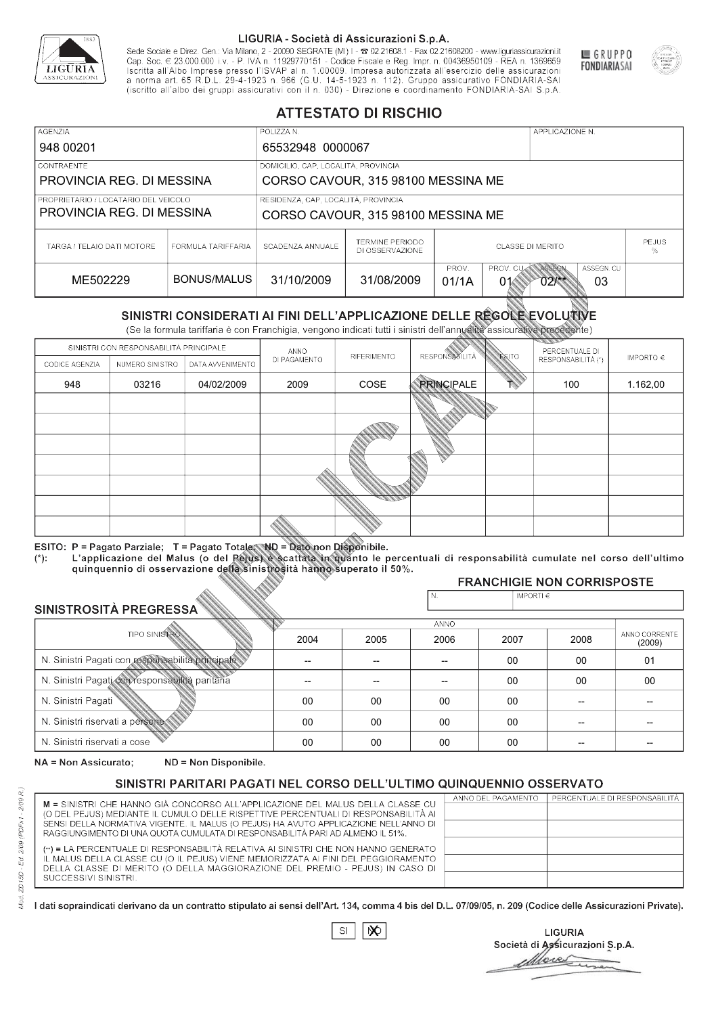

Sede Sociale e Direz. Gen.: Via Milano, 2 - 20090 SEGRATE (MI) I - 2 02.21608.1 - Fax 02.21608200 - www.liguriassicurazioni.it Sede e Direz, Gen. Via Milanto, 2 - 20090 SEGATE (MI) I - 2 UZZIODO. I - FAX UZZIODO2 I - WWW. IIJONENSURIADONILI<br>Cap. Soc. € 23.000.000 i.v. - P. IVA n. 11929770151 - Codice Fiscale e Reg. Impr. n. 00436950109 - REA n. 1



GRUPPO

**FONDIARIASAI** 

# **ATTESTATO DI RISCHIO**

| <b>AGENZIA</b>                       |                    | POLIZZA N.                          |                                    |                         |                  | APPLICAZIONE N. |                   |  |
|--------------------------------------|--------------------|-------------------------------------|------------------------------------|-------------------------|------------------|-----------------|-------------------|--|
| 948 00201                            |                    | 65532948 0000067                    |                                    |                         |                  |                 |                   |  |
| <b>CONTRAENTE</b>                    |                    | DOMICILIO, CAP, LOCALITÀ, PROVINCIA |                                    |                         |                  |                 |                   |  |
| PROVINCIA REG. DI MESSINA            |                    |                                     | CORSO CAVOUR, 315 98100 MESSINA ME |                         |                  |                 |                   |  |
| PROPRIETARIO / LOCATARIO DEL VEICOLO |                    | RESIDENZA, CAP, LOCALITÀ, PROVINCIA |                                    |                         |                  |                 |                   |  |
| PROVINCIA REG. DI MESSINA            |                    | CORSO CAVOUR, 315 98100 MESSINA ME  |                                    |                         |                  |                 |                   |  |
| TARGA / TELAIO DATI MOTORE           | FORMULA TARIFFARIA | SCADENZA ANNUALE                    | TERMINE PERIODO<br>DI OSSERVAZIONE | <b>CLASSE DI MERITO</b> |                  |                 | <b>PEJUS</b><br>℅ |  |
|                                      |                    |                                     |                                    | PROV.                   | PROV. CUM ASSEGN |                 | ASSEGN. CU        |  |
| ME502229                             | BONUS/MALUS        | 31/10/2009                          | 31/08/2009                         | 01/1A                   | 01               | $02$ /**        | 03                |  |

|                                                 |                                        |                                                                                                                                                                                                                                                                                   |                | DI OSSERVAZIONE |                          |                |                                        | %                       |
|-------------------------------------------------|----------------------------------------|-----------------------------------------------------------------------------------------------------------------------------------------------------------------------------------------------------------------------------------------------------------------------------------|----------------|-----------------|--------------------------|----------------|----------------------------------------|-------------------------|
| ME502229                                        |                                        | <b>BONUS/MALUS</b>                                                                                                                                                                                                                                                                | 31/10/2009     | 31/08/2009      | PROV.<br>01/1A           | PROV. CU<br>01 | ASSEGN<br>ASSEGN. CU<br>$02$ /**<br>03 |                         |
|                                                 |                                        | SINISTRI CONSIDERATI AI FINI DELL'APPLICAZIONE DELLE RÉGOLE EVOLUTIVE<br>(Se la formula tariffaria è con Franchigia, vengono indicati tutti i sinistri dell'annualità assicurativa precedente)                                                                                    |                |                 |                          |                |                                        |                         |
|                                                 | SINISTRI CON RESPONSABILITÀ PRINCIPALE |                                                                                                                                                                                                                                                                                   | ANNO           |                 |                          |                | PERCENTUALE DI                         |                         |
| CODICE AGENZIA                                  | NUMERO SINISTRO                        | DATA AVVENIMENTO                                                                                                                                                                                                                                                                  | DI PAGAMENTO   | RIFERIMENTO     | <b>RESPONSABLITÀ</b>     | <b>ESITO</b>   | RESPONSABILITÀ (*)                     | IMPORTO $\in$           |
| 948                                             | 03216                                  | 04/02/2009                                                                                                                                                                                                                                                                        | 2009           | COSE            | <b>PRINCIPALE</b>        |                | 100                                    | 1.162,00                |
|                                                 |                                        |                                                                                                                                                                                                                                                                                   |                |                 |                          |                |                                        |                         |
|                                                 |                                        |                                                                                                                                                                                                                                                                                   |                |                 |                          |                |                                        |                         |
|                                                 |                                        |                                                                                                                                                                                                                                                                                   |                |                 |                          |                |                                        |                         |
|                                                 |                                        |                                                                                                                                                                                                                                                                                   |                |                 |                          |                |                                        |                         |
|                                                 |                                        |                                                                                                                                                                                                                                                                                   |                |                 |                          |                |                                        |                         |
|                                                 |                                        |                                                                                                                                                                                                                                                                                   |                |                 |                          |                |                                        |                         |
|                                                 |                                        |                                                                                                                                                                                                                                                                                   |                |                 |                          |                |                                        |                         |
| $(*)$ .                                         |                                        | ESITO: P = Pagato Parziale; T = Pagato Totale; ND = Dato non Disponibile.<br>L'applicazione del Malus (o del Pejus) è scattata in quanto le percentuali di responsabilità cumulate nel corso dell'ultimo<br>quinquennio di osservazione della sinistrosità hanno superato il 50%. |                |                 |                          |                |                                        |                         |
|                                                 |                                        |                                                                                                                                                                                                                                                                                   |                |                 | N.                       | IMPORTI $\in$  | <b>FRANCHIGIE NON CORRISPOSTE</b>      |                         |
| <b>SINISTROSITÀ PREGRESSA</b>                   |                                        |                                                                                                                                                                                                                                                                                   |                |                 |                          |                |                                        |                         |
|                                                 | <b>TIPO SINISTRO</b>                   |                                                                                                                                                                                                                                                                                   |                |                 | <b>ANNO</b>              |                |                                        |                         |
|                                                 |                                        |                                                                                                                                                                                                                                                                                   | 2004           | 2005            | 2006                     | 2007           | 2008                                   | ANNO CORRENTE<br>(2009) |
|                                                 |                                        | N. Sinistri Pagati con responsabilità principale                                                                                                                                                                                                                                  | $\overline{a}$ | --              | $\overline{\phantom{a}}$ | 00             | 00                                     | 01                      |
| N. Sinistri Pagati con responsabilità paritaria |                                        |                                                                                                                                                                                                                                                                                   |                |                 |                          | 00             | 00                                     | 00                      |
| N. Sinistri Pagati                              |                                        |                                                                                                                                                                                                                                                                                   | 00             | 00              | 00                       | 00             | --                                     |                         |
| N. Sinistri riservati a persone                 |                                        |                                                                                                                                                                                                                                                                                   | 00             | 00              | 00                       | $00 \,$        | --                                     |                         |
| N. Sinjetri riconvoti a coco                    |                                        |                                                                                                                                                                                                                                                                                   | $\cap$         | $\cap$          | $\cap$                   | $\cap$         |                                        |                         |

### 2005 -- --  $0<sup>0</sup>$ 00 00 2004 -- --  $0<sup>0</sup>$ 00 00 2006 -- -- 00 00 00 2007 00 00 00 00 00 2008 00 00 -- -- -- 01 00 -- -- -- (2009)

NA = Non Assicurato: ND = Non Disponibile.

# SINISTRI PARITARI PAGATI NEL CORSO DELL'ULTIMO QUINQUENNIO OSSERVATO

|                                                                                                                                                                      | ANNO DEL PAGAMENTO | PERCENTUALE DI RESPONSABILITÀ |
|----------------------------------------------------------------------------------------------------------------------------------------------------------------------|--------------------|-------------------------------|
| M = SINISTRI CHE HANNO GIÀ CONCORSO ALL'APPLICAZIONE DEL MALUS DELLA CLASSE CU<br>(O DEL PEJUS) MEDIANTE IL CUMULO DELLE RISPETTIVE PERCENTUALI DI RESPONSABILITÀ AI |                    |                               |
| SENSI DELLA NORMATIVA VIGENTE. IL MALUS (O PEJUS) HA AVUTO APPLICAZIONE NELL'ANNO DI                                                                                 |                    |                               |
| RAGGIUNGIMENTO DI UNA QUOTA CUMULATA DI RESPONSABILITÀ PARI AD ALMENO IL 51%.                                                                                        |                    |                               |
|                                                                                                                                                                      |                    |                               |
| (**) = LA PERCENTUALE DI RESPONSABILITÀ RELATIVA AI SINISTRI CHE NON HANNO GENERATO                                                                                  |                    |                               |
| IL MALUS DELLA CLASSE CU (O IL PEJUS) VIENE MEMORIZZATA AI FINI DEL PEGGIORAMENTO                                                                                    |                    |                               |
| DELLA CLASSE DI MERITO (O DELLA MAGGIORAZIONE DEL PREMIO - PEJUS) IN CASO DI                                                                                         |                    |                               |
| SUCCESSIVI SINISTRI.                                                                                                                                                 |                    |                               |
|                                                                                                                                                                      |                    |                               |

 $\mathbb{S}\mathsf{I}$  $\infty$ 

**LIGURIA** Società di Assicurazioni S.p.A. More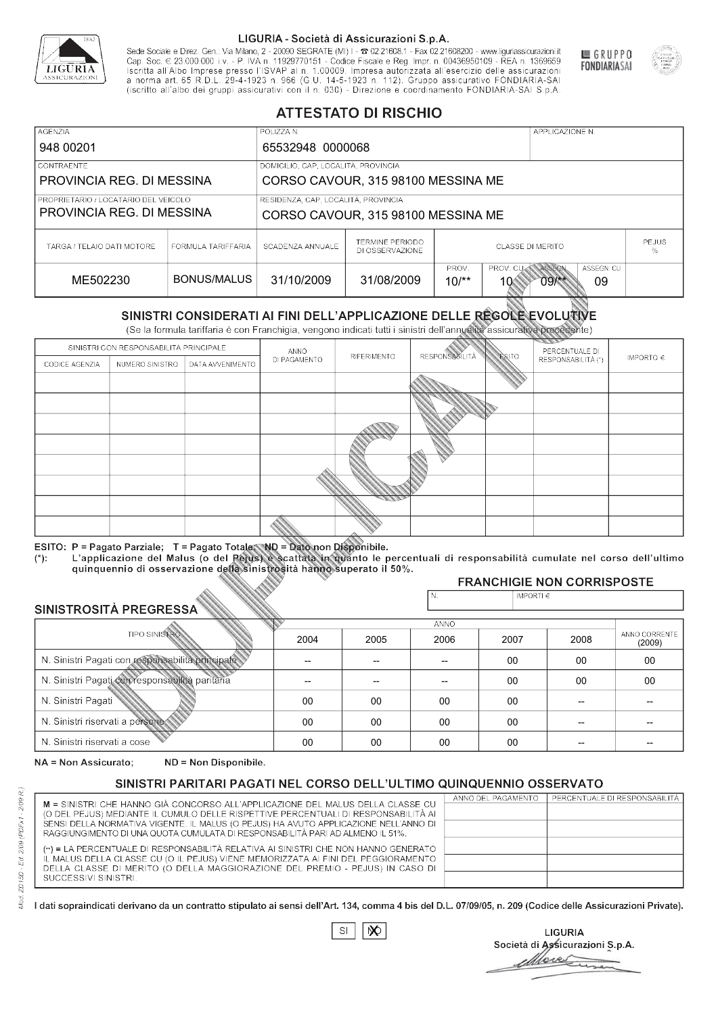

Sede Sociale e Direz. Gen.: Via Milano, 2 - 20090 SEGRATE (MI) I - 2 02.21608.1 - Fax 02.21608200 - www.liguriassicurazioni.it Cap. Soc.  $\in$  23.000.000 i.v. - P. IVA n. 11929770151 - Codice Fiscale e Reg. Impr. n. 00436950109 - REA n. 1369659<br>Iscritta all'Albo Imprese presso l'ISVAP al n. 1.00009. Impresa autorizzata all'esercizio delle assicura d homa art. 65 K.D.L. 29-4-1923 ft. 900 (G.O. 14-5-1923 ft. 112). Gruppo assicurativo PONDIARIA-SAI S.p.A



GRUPPO

**FONDIARIASAI** 

# **ATTESTATO DI RISCHIO**

| <b>AGENZIA</b>                       |                    | POLIZZA N.                          |                                                                                           |                         |  | APPLICAZIONE N. |                   |  |  |
|--------------------------------------|--------------------|-------------------------------------|-------------------------------------------------------------------------------------------|-------------------------|--|-----------------|-------------------|--|--|
| 948 00201                            |                    | 65532948 0000068                    |                                                                                           |                         |  |                 |                   |  |  |
| CONTRAENTE                           |                    | DOMICILIO, CAP, LOCALITÀ, PROVINCIA |                                                                                           |                         |  |                 |                   |  |  |
| PROVINCIA REG. DI MESSINA            |                    |                                     | CORSO CAVOUR, 315 98100 MESSINA ME                                                        |                         |  |                 |                   |  |  |
| PROPRIETARIO / LOCATARIO DEL VEICOLO |                    | RESIDENZA, CAP, LOCALITÀ, PROVINCIA |                                                                                           |                         |  |                 |                   |  |  |
| PROVINCIA REG. DI MESSINA            |                    | CORSO CAVOUR, 315 98100 MESSINA ME  |                                                                                           |                         |  |                 |                   |  |  |
| TARGA / TELAIO DATI MOTORE           | FORMULA TARIFFARIA | SCADENZA ANNUALE                    | TERMINE PERIODO<br>DI OSSERVAZIONE                                                        | <b>CLASSE DI MERITO</b> |  |                 | <b>PEJUS</b><br>% |  |  |
| ME502230                             | BONUS/MALUS        | 31/10/2009                          | ASSEGN<br>ASSEGN. CU<br>PROV.<br>PROV. CU<br>31/08/2009<br>$10^{**}$<br>09<br>09/**<br>10 |                         |  |                 |                   |  |  |

|                                 |                      |                                                                                                                                                                                                      |              | DI OSSERVAZIONE    |                       |                             |                                        | %                       |
|---------------------------------|----------------------|------------------------------------------------------------------------------------------------------------------------------------------------------------------------------------------------------|--------------|--------------------|-----------------------|-----------------------------|----------------------------------------|-------------------------|
| ME502230                        |                      | <b>BONUS/MALUS</b>                                                                                                                                                                                   | 31/10/2009   | 31/08/2009         | PROV.<br>$10^{**}$    | PROV. CU<br>10 <sup>6</sup> | ASSEGN<br>ASSEGN. CU<br>$09$ /**<br>09 |                         |
|                                 |                      | SINISTRI CONSIDERATI AI FINI DELL'APPLICAZIONE DELLE RÉGOLE EVOLUTIVE<br>(Se la formula tariffaria è con Franchigia, vengono indicati tutti i sinistri dell'annualità assicurativa precedente)       |              |                    |                       |                             |                                        |                         |
|                                 |                      | SINISTRI CON RESPONSABILITÀ PRINCIPALE                                                                                                                                                               | ANNO         |                    |                       |                             | PERCENTUALE DI                         |                         |
| CODICE AGENZIA                  | NUMERO SINISTRO      | DATA AVVENIMENTO                                                                                                                                                                                     | DI PAGAMENTO | <b>RIFERIMENTO</b> | <b>RESPONSABILITÀ</b> | ESITO                       | RESPONSABILITÀ (*)                     | IMPORTO $\in$           |
|                                 |                      |                                                                                                                                                                                                      |              |                    |                       |                             |                                        |                         |
|                                 |                      |                                                                                                                                                                                                      |              |                    |                       |                             |                                        |                         |
|                                 |                      |                                                                                                                                                                                                      |              |                    |                       |                             |                                        |                         |
|                                 |                      |                                                                                                                                                                                                      |              |                    |                       |                             |                                        |                         |
|                                 |                      |                                                                                                                                                                                                      |              |                    |                       |                             |                                        |                         |
|                                 |                      |                                                                                                                                                                                                      |              |                    |                       |                             |                                        |                         |
|                                 |                      |                                                                                                                                                                                                      |              |                    |                       |                             |                                        |                         |
|                                 |                      |                                                                                                                                                                                                      |              |                    |                       |                             |                                        |                         |
|                                 |                      |                                                                                                                                                                                                      |              |                    |                       |                             |                                        |                         |
|                                 |                      | ESITO: P = Pagato Parziale; T = Pagato Totale; ND = Dato non Disponibile.                                                                                                                            |              |                    |                       |                             |                                        |                         |
| $(*)$ :                         |                      | L'applicazione del Malus (o del Pejus) è scattata in quanto le percentuali di responsabilità cumulate nel corso dell'ultimo<br>quinquennio di osservazione della sinistrosità hanno superato il 50%. |              |                    |                       |                             |                                        |                         |
|                                 |                      |                                                                                                                                                                                                      |              |                    |                       |                             | <b>FRANCHIGIE NON CORRISPOSTE</b>      |                         |
| SINISTROSITÀ PREGRESSA          |                      |                                                                                                                                                                                                      |              |                    | N.                    | IMPORTI $\in$               |                                        |                         |
|                                 |                      |                                                                                                                                                                                                      |              |                    | ANNO                  |                             |                                        |                         |
|                                 | <b>TIPO SINISTRO</b> |                                                                                                                                                                                                      | 2004         | 2005               | 2006                  | 2007                        | 2008                                   | ANNO CORRENTE<br>(2009) |
|                                 |                      | N. Sinistri Pagati con responsabilità principale                                                                                                                                                     | --           | $-$                | $-$                   | 00                          | 00                                     | 00                      |
|                                 |                      | N. Sinistri Pagati con responsabilità paritaria                                                                                                                                                      |              |                    |                       | 00                          | 00                                     | 00                      |
| N. Sinistri Pagati              |                      |                                                                                                                                                                                                      | 00           | 00                 | 00                    | $00\,$                      |                                        |                         |
| N. Sinistri riservati a persone |                      |                                                                                                                                                                                                      | $00\,$       | 00                 | 00                    | $00\,$                      |                                        |                         |
| N. Sinjetri riconvoti a coco    |                      |                                                                                                                                                                                                      | $\cap$       | $\cap$             | $\cap$                | $\cap$                      |                                        |                         |

### 2005 -- --  $0<sup>0</sup>$ 00 00 2004 -- --  $0<sup>0</sup>$ 00 00 2006 -- -- 00 00 00 2007 00 00 00 00 00 2008 00 00 -- -- -- 00 00 -- -- -- (2009)

NA = Non Assicurato: ND = Non Disponibile.

# SINISTRI PARITARI PAGATI NEL CORSO DELL'ULTIMO QUINQUENNIO OSSERVATO

|                                                                                      | ANNO DEL PAGAMENTO | PERCENTUALE DI RESPONSABILITÀ |
|--------------------------------------------------------------------------------------|--------------------|-------------------------------|
| M = SINISTRI CHE HANNO GIÀ CONCORSO ALL'APPLICAZIONE DEL MALUS DELLA CLASSE CU       |                    |                               |
| (O DEL PEJUS) MEDIANTE IL CUMULO DELLE RISPETTIVE PERCENTUALI DI RESPONSABILITÀ AI   |                    |                               |
| SENSI DELLA NORMATIVA VIGENTE. IL MALUS (O PEJUS) HA AVUTO APPLICAZIONE NELL'ANNO DI |                    |                               |
| RAGGIUNGIMENTO DI UNA QUOTA CUMULATA DI RESPONSABILITÀ PARI AD ALMENO IL 51%.        |                    |                               |
| (**) = LA PERCENTUALE DI RESPONSABILITÀ RELATIVA AI SINISTRI CHE NON HANNO GENERATO  |                    |                               |
| IL MALUS DELLA CLASSE CU (O IL PEJUS) VIENE MEMORIZZATA AI FINI DEL PEGGIORAMENTO    |                    |                               |
| DELLA CLASSE DI MERITO (O DELLA MAGGIORAZIONE DEL PREMIO - PEJUS) IN CASO DI         |                    |                               |
| SUCCESSIVI SINISTRI.                                                                 |                    |                               |
|                                                                                      |                    |                               |

 $\mathbb{S}\mathsf{I}$  $\infty$ 

**LIGURIA** Società di Assicurazioni S.p.A. Move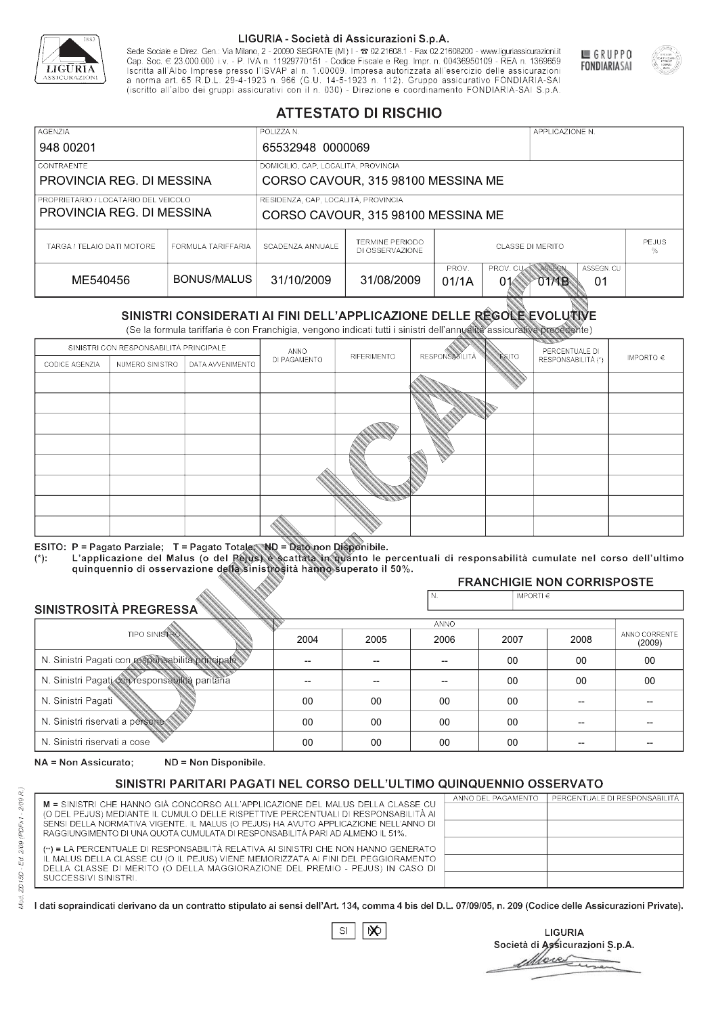

Sede Sociale e Direz. Gen.: Via Milano, 2 - 20090 SEGRATE (MI) I - 2 02.21608.1 - Fax 02.21608200 - www.liguriassicurazioni.it Sede e Direz, Gen. Via Milanto, 2 - 20090 SEGATE (MI) I - 2 UZZIODO. I - FAX UZZIODO2 I - WWW. IIJONENSURIADONILI<br>Cap. Soc. € 23.000.000 i.v. - P. IVA n. 11929770151 - Codice Fiscale e Reg. Impr. n. 00436950109 - REA n. 1



GRUPPO

**FONDIARIASAI** 

# **ATTESTATO DI RISCHIO**

| <b>AGENZIA</b><br>948 00201                                       |                    | POLIZZA N.<br>65532948 0000069                                            |                                                                                     |                         |  | APPLICAZIONE N. |  |                   |  |
|-------------------------------------------------------------------|--------------------|---------------------------------------------------------------------------|-------------------------------------------------------------------------------------|-------------------------|--|-----------------|--|-------------------|--|
| <b>CONTRAENTE</b><br>PROVINCIA REG. DI MESSINA                    |                    |                                                                           | DOMICILIO, CAP, LOCALITÀ, PROVINCIA<br>CORSO CAVOUR, 315 98100 MESSINA ME           |                         |  |                 |  |                   |  |
| PROPRIETARIO / LOCATARIO DEL VEICOLO<br>PROVINCIA REG. DI MESSINA |                    | RESIDENZA, CAP, LOCALITÀ, PROVINCIA<br>CORSO CAVOUR, 315 98100 MESSINA ME |                                                                                     |                         |  |                 |  |                   |  |
| TARGA / TELAIO DATI MOTORE                                        | FORMULA TARIFFARIA | SCADENZA ANNUALE                                                          | TERMINE PERIODO<br>DI OSSERVAZIONE                                                  | <b>CLASSE DI MERITO</b> |  |                 |  | <b>PEJUS</b><br>℅ |  |
| ME540456                                                          | BONUS/MALUS        | 31/10/2009                                                                | PROV. CUM ASSEGN<br>PROV.<br>ASSEGN. CU<br>31/08/2009<br>01/1A<br>01<br>01<br>O1⁄1B |                         |  |                 |  |                   |  |

|                                 |                      |                                                                                                                                                                                                      |              | DI OSSERVAZIONE    |                       |                |                                    | %                       |
|---------------------------------|----------------------|------------------------------------------------------------------------------------------------------------------------------------------------------------------------------------------------------|--------------|--------------------|-----------------------|----------------|------------------------------------|-------------------------|
| ME540456                        |                      | <b>BONUS/MALUS</b>                                                                                                                                                                                   | 31/10/2009   | 31/08/2009         | PROV.<br>01/1A        | PROV. CU<br>01 | ASSEGN<br>ASSEGN. CU<br>O1MB<br>01 |                         |
|                                 |                      | SINISTRI CONSIDERATI AI FINI DELL'APPLICAZIONE DELLE RÉGOLE EVOLUTIVE<br>(Se la formula tariffaria è con Franchigia, vengono indicati tutti i sinistri dell'annualità assicurativa precedente)       |              |                    |                       |                |                                    |                         |
|                                 |                      | SINISTRI CON RESPONSABILITÀ PRINCIPALE                                                                                                                                                               | ANNO         |                    |                       |                | PERCENTUALE DI                     |                         |
| CODICE AGENZIA                  | NUMERO SINISTRO      | DATA AVVENIMENTO                                                                                                                                                                                     | DI PAGAMENTO | <b>RIFERIMENTO</b> | <b>RESPONSABILITÀ</b> | ESITO          | RESPONSABILITÀ (*)                 | IMPORTO $\in$           |
|                                 |                      |                                                                                                                                                                                                      |              |                    |                       |                |                                    |                         |
|                                 |                      |                                                                                                                                                                                                      |              |                    |                       |                |                                    |                         |
|                                 |                      |                                                                                                                                                                                                      |              |                    |                       |                |                                    |                         |
|                                 |                      |                                                                                                                                                                                                      |              |                    |                       |                |                                    |                         |
|                                 |                      |                                                                                                                                                                                                      |              |                    |                       |                |                                    |                         |
|                                 |                      |                                                                                                                                                                                                      |              |                    |                       |                |                                    |                         |
|                                 |                      |                                                                                                                                                                                                      |              |                    |                       |                |                                    |                         |
|                                 |                      |                                                                                                                                                                                                      |              |                    |                       |                |                                    |                         |
|                                 |                      |                                                                                                                                                                                                      |              |                    |                       |                |                                    |                         |
|                                 |                      | ESITO: P = Pagato Parziale; T = Pagato Totale; ND = Dato non Disponibile.                                                                                                                            |              |                    |                       |                |                                    |                         |
| $(*)$ :                         |                      | L'applicazione del Malus (o del Pejus) è scattata in quanto le percentuali di responsabilità cumulate nel corso dell'ultimo<br>quinquennio di osservazione della sinistrosità hanno superato il 50%. |              |                    |                       |                |                                    |                         |
|                                 |                      |                                                                                                                                                                                                      |              |                    |                       |                | <b>FRANCHIGIE NON CORRISPOSTE</b>  |                         |
| SINISTROSITÀ PREGRESSA          |                      |                                                                                                                                                                                                      |              |                    | N.                    | IMPORTI $\in$  |                                    |                         |
|                                 |                      |                                                                                                                                                                                                      |              |                    | ANNO                  |                |                                    |                         |
|                                 | <b>TIPO SINISTRO</b> |                                                                                                                                                                                                      | 2004         | 2005               | 2006                  | 2007           | 2008                               | ANNO CORRENTE<br>(2009) |
|                                 |                      | N. Sinistri Pagati con responsabilità principale                                                                                                                                                     | --           | $-$                | $-$                   | 00             | 00                                 | 00                      |
|                                 |                      | N. Sinistri Pagati con responsabilità paritaria                                                                                                                                                      |              |                    |                       | 00             | 00                                 | 00                      |
| N. Sinistri Pagati              |                      |                                                                                                                                                                                                      | 00           | 00                 | 00                    | $00\,$         | --                                 |                         |
| N. Sinistri riservati a persone |                      |                                                                                                                                                                                                      | $00\,$       | 00                 | 00                    | $00\,$         |                                    |                         |
| N. Sinjetri riconvoti a coco    |                      |                                                                                                                                                                                                      | $\cap$       | $\cap$             | $\cap$                | $\cap$         |                                    |                         |

### 2005 -- --  $0<sup>0</sup>$ 00 00 2004 -- --  $0<sup>0</sup>$ 00 00 2006 -- -- 00 00 00 2007 00 00 00 00 00 2008 00 00 -- -- -- 00 00 -- -- -- (2009)

NA = Non Assicurato: ND = Non Disponibile.

# SINISTRI PARITARI PAGATI NEL CORSO DELL'ULTIMO QUINQUENNIO OSSERVATO

|                                                                                                                                                                      | ANNO DEL PAGAMENTO | PERCENTUALE DI RESPONSABILITÀ |
|----------------------------------------------------------------------------------------------------------------------------------------------------------------------|--------------------|-------------------------------|
| M = SINISTRI CHE HANNO GIÀ CONCORSO ALL'APPLICAZIONE DEL MALUS DELLA CLASSE CU<br>(O DEL PEJUS) MEDIANTE IL CUMULO DELLE RISPETTIVE PERCENTUALI DI RESPONSABILITÀ AI |                    |                               |
| SENSI DELLA NORMATIVA VIGENTE. IL MALUS (O PEJUS) HA AVUTO APPLICAZIONE NELL'ANNO DI                                                                                 |                    |                               |
| RAGGIUNGIMENTO DI UNA QUOTA CUMULATA DI RESPONSABILITÀ PARI AD ALMENO IL 51%.                                                                                        |                    |                               |
|                                                                                                                                                                      |                    |                               |
| (**) = LA PERCENTUALE DI RESPONSABILITÀ RELATIVA AI SINISTRI CHE NON HANNO GENERATO                                                                                  |                    |                               |
| IL MALUS DELLA CLASSE CU (O IL PEJUS) VIENE MEMORIZZATA AI FINI DEL PEGGIORAMENTO                                                                                    |                    |                               |
| DELLA CLASSE DI MERITO (O DELLA MAGGIORAZIONE DEL PREMIO - PEJUS) IN CASO DI                                                                                         |                    |                               |
| SUCCESSIVI SINISTRI.                                                                                                                                                 |                    |                               |
|                                                                                                                                                                      |                    |                               |

 $\mathbb{S}\mathsf{I}$  $\infty$ 

**LIGURIA** Società di Assicurazioni S.p.A. Move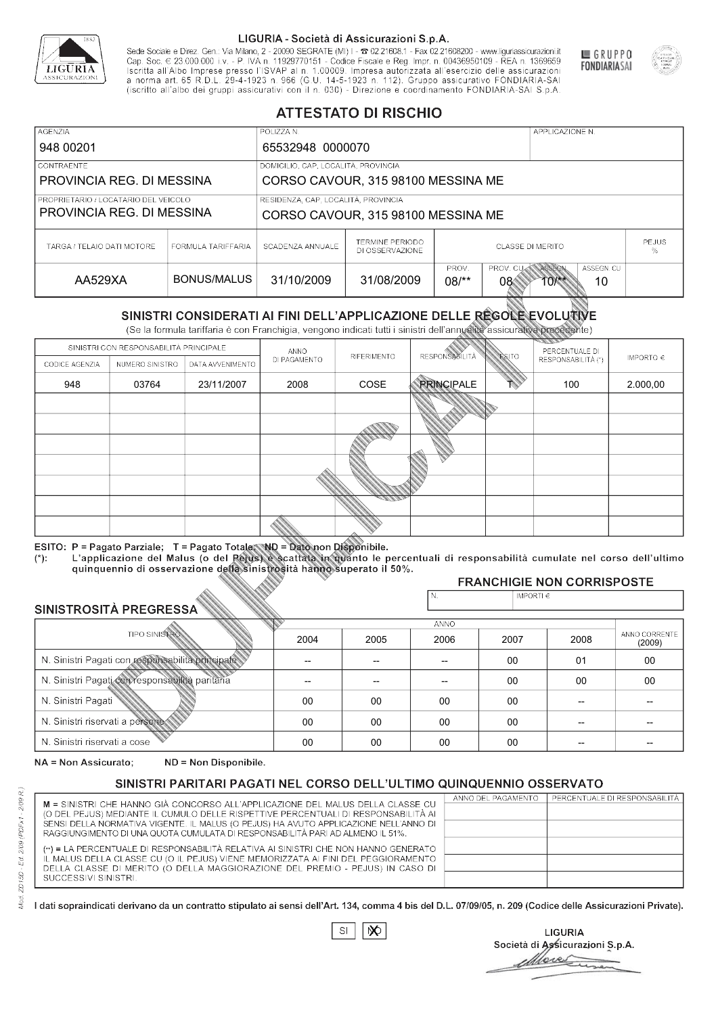

Sede Sociale e Direz. Gen.: Via Milano, 2 - 20090 SEGRATE (MI) I - 2 02.21608.1 - Fax 02.21608200 - www.liguriassicurazioni.it Sede e Direz, Gen. Via Milanto, 2 - 20090 SEGATE (MI) I - 2 UZZIODO. I - FAX UZZIODO2 I - WWW. IIJONENSURIADONILI<br>Cap. Soc. € 23.000.000 i.v. - P. IVA n. 11929770151 - Codice Fiscale e Reg. Impr. n. 00436950109 - REA n. 1



GRUPPO

**FONDIARIASAI** 

# **ATTESTATO DI RISCHIO**

| <b>AGENZIA</b>                       |                    | POLIZZA N.                          |                                     |                                              |                        | APPLICAZIONE N.            |  |  |
|--------------------------------------|--------------------|-------------------------------------|-------------------------------------|----------------------------------------------|------------------------|----------------------------|--|--|
| 948 00201                            |                    | 65532948 0000070                    |                                     |                                              |                        |                            |  |  |
| <b>CONTRAENTE</b>                    |                    |                                     | DOMICILIO, CAP, LOCALITÀ, PROVINCIA |                                              |                        |                            |  |  |
| PROVINCIA REG. DI MESSINA            |                    | CORSO CAVOUR, 315 98100 MESSINA ME  |                                     |                                              |                        |                            |  |  |
| PROPRIETARIO / LOCATARIO DEL VEICOLO |                    | RESIDENZA, CAP, LOCALITÀ, PROVINCIA |                                     |                                              |                        |                            |  |  |
| PROVINCIA REG. DI MESSINA            |                    | CORSO CAVOUR, 315 98100 MESSINA ME  |                                     |                                              |                        |                            |  |  |
| TARGA / TELAIO DATI MOTORE           | FORMULA TARIFFARIA | SCADENZA ANNUALE                    | TERMINE PERIODO<br>DI OSSERVAZIONE  | <b>PEJUS</b><br><b>CLASSE DI MERITO</b><br>% |                        |                            |  |  |
| AA529XA                              | BONUS/MALUS        | 31/10/2009                          | 31/08/2009                          | PROV.<br>$08$ /**                            | PROV. CUM ASSEGN<br>08 | ASSEGN. CU<br>10<br>$10**$ |  |  |

|                                                 |                                        |                                                                                                                                                                                                                                                                                   |              | DI OSSERVAZIONE |                       |                |                                         | %                       |
|-------------------------------------------------|----------------------------------------|-----------------------------------------------------------------------------------------------------------------------------------------------------------------------------------------------------------------------------------------------------------------------------------|--------------|-----------------|-----------------------|----------------|-----------------------------------------|-------------------------|
| AA529XA                                         |                                        | <b>BONUS/MALUS</b>                                                                                                                                                                                                                                                                | 31/10/2009   | 31/08/2009      | PROV.<br>$08/*$       | PROV. CU<br>08 | ASSEGN<br>ASSEGN. CU<br>$10^{**}$<br>10 |                         |
|                                                 |                                        | SINISTRI CONSIDERATI AI FINI DELL'APPLICAZIONE DELLE RÉGOLE EVOLUTIVE<br>(Se la formula tariffaria è con Franchigia, vengono indicati tutti i sinistri dell'annualità assicurativa precedente)                                                                                    |              |                 |                       |                |                                         |                         |
|                                                 | SINISTRI CON RESPONSABILITÀ PRINCIPALE |                                                                                                                                                                                                                                                                                   | ANNO         |                 |                       |                | PERCENTUALE DI                          |                         |
| CODICE AGENZIA                                  | NUMERO SINISTRO                        | DATA AVVENIMENTO                                                                                                                                                                                                                                                                  | DI PAGAMENTO | RIFERIMENTO     | <b>RESPONSABILITÀ</b> | <b>ESITO</b>   | RESPONSABILITÀ (*)                      | IMPORTO $\in$           |
| 948                                             | 03764                                  | 23/11/2007                                                                                                                                                                                                                                                                        | 2008         | COSE            | <b>PRINCIPALE</b>     |                | 100                                     | 2.000,00                |
|                                                 |                                        |                                                                                                                                                                                                                                                                                   |              |                 |                       |                |                                         |                         |
|                                                 |                                        |                                                                                                                                                                                                                                                                                   |              |                 |                       |                |                                         |                         |
|                                                 |                                        |                                                                                                                                                                                                                                                                                   |              |                 |                       |                |                                         |                         |
|                                                 |                                        |                                                                                                                                                                                                                                                                                   |              |                 |                       |                |                                         |                         |
|                                                 |                                        |                                                                                                                                                                                                                                                                                   |              |                 |                       |                |                                         |                         |
|                                                 |                                        |                                                                                                                                                                                                                                                                                   |              |                 |                       |                |                                         |                         |
|                                                 |                                        |                                                                                                                                                                                                                                                                                   |              |                 |                       |                |                                         |                         |
| $(*)$ .                                         |                                        | ESITO: P = Pagato Parziale; T = Pagato Totale; ND = Dato non Disponibile.<br>L'applicazione del Malus (o del Pejus) è scattata in quanto le percentuali di responsabilità cumulate nel corso dell'ultimo<br>quinquennio di osservazione della sinistrosità hanno superato il 50%. |              |                 |                       |                |                                         |                         |
|                                                 |                                        |                                                                                                                                                                                                                                                                                   |              |                 |                       |                | <b>FRANCHIGIE NON CORRISPOSTE</b>       |                         |
| SINISTROSITÀ PREGRESSA                          |                                        |                                                                                                                                                                                                                                                                                   |              |                 | N.                    | IMPORTI $\in$  |                                         |                         |
|                                                 |                                        |                                                                                                                                                                                                                                                                                   |              |                 | <b>ANNO</b>           |                |                                         |                         |
|                                                 | <b>TIPO SINISTRO</b>                   |                                                                                                                                                                                                                                                                                   | 2004         | 2005            | 2006                  | 2007           | 2008                                    | ANNO CORRENTE<br>(2009) |
|                                                 |                                        | N. Sinistri Pagati con responsabilità principale                                                                                                                                                                                                                                  | $\sim$       | --              | $-$                   | 00             | 01                                      | 00                      |
| N. Sinistri Pagati con responsabilità paritaria |                                        |                                                                                                                                                                                                                                                                                   |              |                 |                       | 00             | 00                                      | 00                      |
| N. Sinistri Pagati                              |                                        |                                                                                                                                                                                                                                                                                   | 00           | 00              | 00                    | 00             | --                                      |                         |
| N. Sinistri riservati a persone                 |                                        |                                                                                                                                                                                                                                                                                   | 00           | 00              | 00                    | 00             |                                         |                         |
| N. Sinjetri riconvoti a coco                    |                                        |                                                                                                                                                                                                                                                                                   | $\cap$       | $\cap$          | $\cap$                | $\sim$         |                                         |                         |

### 2005 -- --  $0<sup>0</sup>$ 00 00 2004 -- --  $0<sup>0</sup>$ 00 00 2006 -- -- 00 00 00 2007 00 00 00 00 00 2008 01 00 -- -- -- 00 00 -- -- -- (2009)

NA = Non Assicurato: ND = Non Disponibile.

# SINISTRI PARITARI PAGATI NEL CORSO DELL'ULTIMO QUINQUENNIO OSSERVATO

| M = SINISTRI CHE HANNO GIÀ CONCORSO ALL'APPLICAZIONE DEL MALUS DELLA CLASSE CU       | ANNO DEL PAGAMENTO | PERCENTUALE DI RESPONSABILITÀ |
|--------------------------------------------------------------------------------------|--------------------|-------------------------------|
| (O DEL PEJUS) MEDIANTE IL CUMULO DELLE RISPETTIVE PERCENTUALI DI RESPONSABILITÀ AI   |                    |                               |
| SENSI DELLA NORMATIVA VIGENTE. IL MALUS (O PEJUS) HA AVUTO APPLICAZIONE NELL'ANNO DI |                    |                               |
| RAGGIUNGIMENTO DI UNA QUOTA CUMULATA DI RESPONSABILITÀ PARI AD ALMENO IL 51%.        |                    |                               |
| (**) = LA PERCENTUALE DI RESPONSABILITÀ RELATIVA AI SINISTRI CHE NON HANNO GENERATO  |                    |                               |
| IL MALUS DELLA CLASSE CU (O IL PEJUS) VIENE MEMORIZZATA AI FINI DEL PEGGIORAMENTO    |                    |                               |
| DELLA CLASSE DI MERITO (O DELLA MAGGIORAZIONE DEL PREMIO - PEJUS) IN CASO DI         |                    |                               |
| SUCCESSIVI SINISTRI.                                                                 |                    |                               |
|                                                                                      |                    |                               |

 $\mathbb{S}\mathsf{I}$  $\infty$ 

**LIGURIA** Società di Assicurazioni S.p.A. Move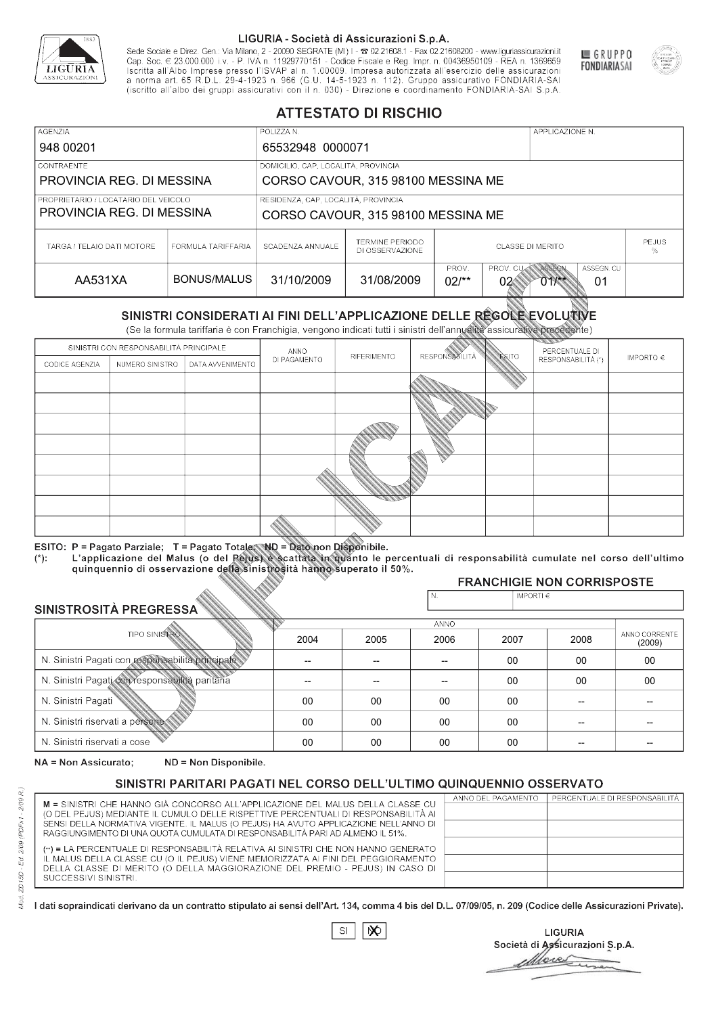

Sede Sociale e Direz. Gen.: Via Milano, 2 - 20090 SEGRATE (MI) I - 2 02.21608.1 - Fax 02.21608200 - www.liguriassicurazioni.it Sede e Direz, Gen. Via Milanto, 2 - 20090 SEGATE (MI) I - 2 UZZIODO. I - FAX UZZIODO2 I - WWW. IIJONENSURIADONILI<br>Cap. Soc. € 23.000.000 i.v. - P. IVA n. 11929770151 - Codice Fiscale e Reg. Impr. n. 00436950109 - REA n. 1



GRUPPO

**FONDIARIASAI** 

# **ATTESTATO DI RISCHIO**

| <b>AGENZIA</b>                       |                    | POLIZZA N.                          |                                                                                      | APPLICAZIONE N.                              |  |  |  |  |
|--------------------------------------|--------------------|-------------------------------------|--------------------------------------------------------------------------------------|----------------------------------------------|--|--|--|--|
| 948 00201                            |                    | 65532948 0000071                    |                                                                                      |                                              |  |  |  |  |
| LCONTRAENTE.                         |                    |                                     | DOMICILIO, CAP, LOCALITÀ, PROVINCIA                                                  |                                              |  |  |  |  |
| PROVINCIA REG. DI MESSINA            |                    | CORSO CAVOUR, 315 98100 MESSINA ME  |                                                                                      |                                              |  |  |  |  |
| PROPRIETARIO / LOCATARIO DEL VEICOLO |                    | RESIDENZA, CAP, LOCALITÀ, PROVINCIA |                                                                                      |                                              |  |  |  |  |
| PROVINCIA REG. DI MESSINA            |                    | CORSO CAVOUR, 315 98100 MESSINA ME  |                                                                                      |                                              |  |  |  |  |
| TARGA / TELAIO DATI MOTORE           | FORMULA TARIFFARIA | SCADENZA ANNUALE                    | <b>TERMINE PERIODO</b><br>DI OSSERVAZIONE                                            | <b>PEJUS</b><br><b>CLASSE DI MERITO</b><br>% |  |  |  |  |
| AA531XA                              | BONUS/MALUS        | 31/10/2009                          | ASSEGN. CU<br>PROV.<br>PROV. CUAN ASSEGN<br>31/08/2009<br>$02$ /**<br>02<br>01<br>01 |                                              |  |  |  |  |

|                                 |                      |                                                                                                                                                                                                      |              | DI OSSERVAZIONE |                          |                 |                                        | %             |
|---------------------------------|----------------------|------------------------------------------------------------------------------------------------------------------------------------------------------------------------------------------------------|--------------|-----------------|--------------------------|-----------------|----------------------------------------|---------------|
| AA531XA                         |                      | <b>BONUS/MALUS</b>                                                                                                                                                                                   | 31/10/2009   | 31/08/2009      | PROV.<br>$02/*$          | PROV. CU<br>02< | ASSEGN<br>ASSEGN. CU<br>$011$ **<br>01 |               |
|                                 |                      | SINISTRI CONSIDERATI AI FINI DELL'APPLICAZIONE DELLE REGOLE EVOLUTIVE<br>(Se la formula tariffaria è con Franchigia, vengono indicati tutti i sinistri dell'annualità assicurativa precedente)       |              |                 |                          |                 |                                        |               |
|                                 |                      | SINISTRI CON RESPONSABILITÀ PRINCIPALE                                                                                                                                                               | ANNO         |                 |                          |                 | PERCENTUALE DI                         |               |
| CODICE AGENZIA                  | NUMERO SINISTRO      | DATA AVVENIMENTO                                                                                                                                                                                     | DI PAGAMENTO | RIFERIMENTO     | <b>RESPONSABLITÀ</b>     | <b>ESITO</b>    | RESPONSABILITÀ (*)                     | IMPORTO $\in$ |
|                                 |                      |                                                                                                                                                                                                      |              |                 |                          |                 |                                        |               |
|                                 |                      |                                                                                                                                                                                                      |              |                 |                          |                 |                                        |               |
|                                 |                      |                                                                                                                                                                                                      |              |                 |                          |                 |                                        |               |
|                                 |                      |                                                                                                                                                                                                      |              |                 |                          |                 |                                        |               |
|                                 |                      |                                                                                                                                                                                                      |              |                 |                          |                 |                                        |               |
|                                 |                      |                                                                                                                                                                                                      |              |                 |                          |                 |                                        |               |
|                                 |                      |                                                                                                                                                                                                      |              |                 |                          |                 |                                        |               |
|                                 |                      |                                                                                                                                                                                                      |              |                 |                          |                 |                                        |               |
|                                 |                      |                                                                                                                                                                                                      |              |                 |                          |                 |                                        |               |
|                                 |                      | ESITO: P = Pagato Parziale; T = Pagato Totale; ND = Dato non Disponibile.                                                                                                                            |              |                 |                          |                 |                                        |               |
| $(*)$ .                         |                      | L'applicazione del Malus (o del Pejus) è scattata in quanto le percentuali di responsabilità cumulate nel corso dell'ultimo<br>quinquennio di osservazione della sinistrosità hanno superato il 50%. |              |                 |                          |                 |                                        |               |
|                                 |                      |                                                                                                                                                                                                      |              |                 |                          |                 | <b>FRANCHIGIE NON CORRISPOSTE</b>      |               |
|                                 |                      |                                                                                                                                                                                                      |              |                 | N.                       | IMPORTI€        |                                        |               |
| SINISTROSITÀ PREGRESSA          |                      |                                                                                                                                                                                                      |              |                 | <b>ANNO</b>              |                 |                                        |               |
|                                 | <b>TIPO SINISTRO</b> |                                                                                                                                                                                                      | 2004         | 2005            | 2006                     | 2007            | 2008                                   | ANNO CORRENTE |
|                                 |                      | N. Sinistri Pagati con responsabilità principale                                                                                                                                                     |              | --              | $\overline{\phantom{a}}$ | 00              | 00                                     | (2009)<br>00  |
|                                 |                      |                                                                                                                                                                                                      |              |                 |                          |                 |                                        |               |
|                                 |                      | N. Sinistri Pagati con responsabilità paritaria                                                                                                                                                      |              |                 |                          | 00              | 00                                     | 00            |
| N. Sinistri Pagati              |                      |                                                                                                                                                                                                      | 00           | 00              | 00                       | 00              |                                        |               |
| N. Sinistri riservati a persone |                      |                                                                                                                                                                                                      | 00           | 00              | 00                       | $00 \,$         |                                        |               |
| N. Sinjetri riconvoti a coco    |                      |                                                                                                                                                                                                      | $\cap$       | $\cap$          | $\sim$                   | $\cap$          |                                        |               |

### 2005 -- --  $0<sup>0</sup>$ 00 00 2004 -- --  $0<sup>0</sup>$ 00 00 2006 -- -- 00 00 00 2007 00 00 00 00 00 2008 00 00 -- -- -- 00 00 -- -- -- (2009)

NA = Non Assicurato: ND = Non Disponibile.

# SINISTRI PARITARI PAGATI NEL CORSO DELL'ULTIMO QUINQUENNIO OSSERVATO

|                                                                                                                                                                      | ANNO DEL PAGAMENTO | PERCENTUALE DI RESPONSABILITÀ |
|----------------------------------------------------------------------------------------------------------------------------------------------------------------------|--------------------|-------------------------------|
| M = SINISTRI CHE HANNO GIÀ CONCORSO ALL'APPLICAZIONE DEL MALUS DELLA CLASSE CU<br>(O DEL PEJUS) MEDIANTE IL CUMULO DELLE RISPETTIVE PERCENTUALI DI RESPONSABILITÀ AI |                    |                               |
| SENSI DELLA NORMATIVA VIGENTE. IL MALUS (O PEJUS) HA AVUTO APPLICAZIONE NELL'ANNO DI                                                                                 |                    |                               |
| RAGGIUNGIMENTO DI UNA QUOTA CUMULATA DI RESPONSABILITÀ PARI AD ALMENO IL 51%.                                                                                        |                    |                               |
|                                                                                                                                                                      |                    |                               |
| (**) = LA PERCENTUALE DI RESPONSABILITÀ RELATIVA AI SINISTRI CHE NON HANNO GENERATO                                                                                  |                    |                               |
| IL MALUS DELLA CLASSE CU (O IL PEJUS) VIENE MEMORIZZATA AI FINI DEL PEGGIORAMENTO                                                                                    |                    |                               |
| DELLA CLASSE DI MERITO (O DELLA MAGGIORAZIONE DEL PREMIO - PEJUS) IN CASO DI                                                                                         |                    |                               |
| SUCCESSIVI SINISTRI.                                                                                                                                                 |                    |                               |
|                                                                                                                                                                      |                    |                               |

 $\mathbb{S}\mathsf{I}$  $\infty$ 

**LIGURIA** Società di Assicurazioni S.p.A. Move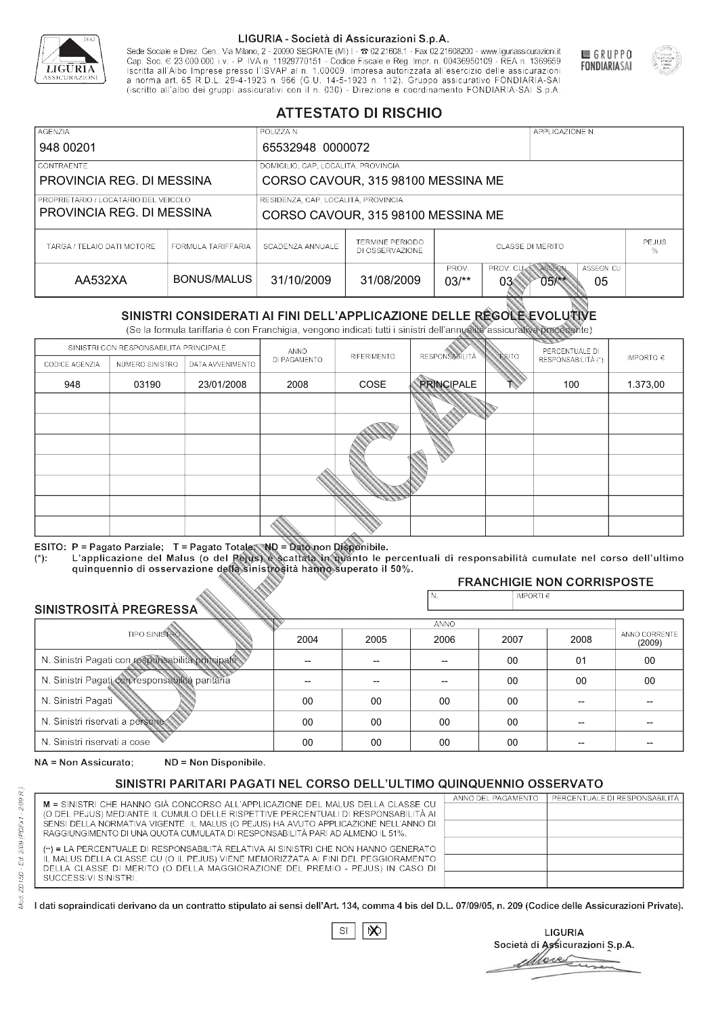

Sede Sociale e Direz. Gen.: Via Milano, 2 - 20090 SEGRATE (MI) I - 2 02.21608.1 - Fax 02.21608200 - www.liguriassicurazioni.it Sede e Direz, Gen. Via Milanto, 2 - 20090 SEGATE (MI) I - 2 UZZIODO. I - FAX UZZIODO2 I - WWW. IIJONENSURIADONILI<br>Cap. Soc. € 23.000.000 i.v. - P. IVA n. 11929770151 - Codice Fiscale e Reg. Impr. n. 00436950109 - REA n. 1



GRUPPO

**FONDIARIASAI** 

# **ATTESTATO DI RISCHIO**

| <b>AGENZIA</b>                       |                    | POLIZZA N.                                                                                               |                                           |                                              | APPLICAZIONE N. |  |  |
|--------------------------------------|--------------------|----------------------------------------------------------------------------------------------------------|-------------------------------------------|----------------------------------------------|-----------------|--|--|
| 948 00201                            |                    | 65532948 0000072                                                                                         |                                           |                                              |                 |  |  |
| LCONTRAENTE.                         |                    | DOMICILIO, CAP, LOCALITÀ, PROVINCIA                                                                      |                                           |                                              |                 |  |  |
| PROVINCIA REG. DI MESSINA            |                    | CORSO CAVOUR, 315 98100 MESSINA ME                                                                       |                                           |                                              |                 |  |  |
| PROPRIETARIO / LOCATARIO DEL VEICOLO |                    | RESIDENZA, CAP, LOCALITÀ, PROVINCIA                                                                      |                                           |                                              |                 |  |  |
| PROVINCIA REG. DI MESSINA            |                    | CORSO CAVOUR, 315 98100 MESSINA ME                                                                       |                                           |                                              |                 |  |  |
| TARGA / TELAIO DATI MOTORE           | FORMULA TARIFFARIA | SCADENZA ANNUALE                                                                                         | <b>TERMINE PERIODO</b><br>DI OSSERVAZIONE | <b>PEJUS</b><br><b>CLASSE DI MERITO</b><br>% |                 |  |  |
| AA532XA                              | BONUS/MALUS        | ASSEGN. CU<br>PROV.<br>PROV. CUAN ASSEGN<br>31/10/2009<br>31/08/2009<br>$03$ /**<br>03<br>05<br>$05$ /** |                                           |                                              |                 |  |  |

|                                                 |                                        |                                                                                                                                                                                                      |              | DI OSSERVAZIONE |                       | %              |                                        |                         |
|-------------------------------------------------|----------------------------------------|------------------------------------------------------------------------------------------------------------------------------------------------------------------------------------------------------|--------------|-----------------|-----------------------|----------------|----------------------------------------|-------------------------|
| AA532XA                                         |                                        | <b>BONUS/MALUS</b>                                                                                                                                                                                   | 31/10/2009   | 31/08/2009      | PROV.<br>$03/*$       | PROV. CU<br>03 | ASSEGN<br>ASSEGN. CU<br>$05$ /**<br>05 |                         |
|                                                 |                                        | SINISTRI CONSIDERATI AI FINI DELL'APPLICAZIONE DELLE RÉGOLE EVOLUTIVE<br>(Se la formula tariffaria è con Franchigia, vengono indicati tutti i sinistri dell'annualità assicurativa precedente)       |              |                 |                       |                |                                        |                         |
|                                                 | SINISTRI CON RESPONSABILITÀ PRINCIPALE |                                                                                                                                                                                                      | ANNO         |                 |                       |                | PERCENTUALE DI                         |                         |
| CODICE AGENZIA                                  | NUMERO SINISTRO                        | DATA AVVENIMENTO                                                                                                                                                                                     | DI PAGAMENTO | RIFERIMENTO     | <b>RESPONSABILITÀ</b> | <b>ESITO</b>   | RESPONSABILITÀ (*)                     | IMPORTO $\in$           |
| 948                                             | 03190                                  | 23/01/2008                                                                                                                                                                                           | 2008         | COSE            | <b>PRINCIPALE</b>     |                | 100                                    | 1.373,00                |
|                                                 |                                        |                                                                                                                                                                                                      |              |                 |                       |                |                                        |                         |
|                                                 |                                        |                                                                                                                                                                                                      |              |                 |                       |                |                                        |                         |
|                                                 |                                        |                                                                                                                                                                                                      |              |                 |                       |                |                                        |                         |
|                                                 |                                        |                                                                                                                                                                                                      |              |                 |                       |                |                                        |                         |
|                                                 |                                        |                                                                                                                                                                                                      |              |                 |                       |                |                                        |                         |
|                                                 |                                        |                                                                                                                                                                                                      |              |                 |                       |                |                                        |                         |
|                                                 |                                        |                                                                                                                                                                                                      |              |                 |                       |                |                                        |                         |
|                                                 |                                        | ESITO: P = Pagato Parziale; T = Pagato Totale; ND = Dato non Disponibile.                                                                                                                            |              |                 |                       |                |                                        |                         |
| $(*)$ .                                         |                                        | L'applicazione del Malus (o del Pejus) è scattata in quanto le percentuali di responsabilità cumulate nel corso dell'ultimo<br>quinquennio di osservazione della sinistrosità hanno superato il 50%. |              |                 |                       |                |                                        |                         |
|                                                 |                                        |                                                                                                                                                                                                      |              |                 |                       |                | <b>FRANCHIGIE NON CORRISPOSTE</b>      |                         |
| SINISTROSITÀ PREGRESSA                          |                                        |                                                                                                                                                                                                      |              |                 | N.                    | IMPORTI $\in$  |                                        |                         |
|                                                 |                                        |                                                                                                                                                                                                      |              |                 | <b>ANNO</b>           |                |                                        |                         |
|                                                 | <b>TIPO SINISTRO</b>                   |                                                                                                                                                                                                      | 2004         | 2005            | 2006                  | 2007           | 2008                                   | ANNO CORRENTE<br>(2009) |
|                                                 |                                        | N. Sinistri Pagati con responsabilità principale                                                                                                                                                     | $\sim$       | --              | $-$                   | 00             | 01                                     | 00                      |
| N. Sinistri Pagati con responsabilità paritaria |                                        |                                                                                                                                                                                                      |              |                 |                       | 00             | 00                                     | 00                      |
| N. Sinistri Pagati                              |                                        |                                                                                                                                                                                                      | 00           | 00              | 00                    | 00             | --                                     |                         |
| N. Sinistri riservati a persone                 |                                        |                                                                                                                                                                                                      | 00           | 00              | 00                    | 00             |                                        |                         |
| N. Sinjetri riconvoti a coco                    |                                        |                                                                                                                                                                                                      | $\cap$       | $\cap$          | $\cap$                | $\sim$         |                                        |                         |

### 2005 -- --  $0<sup>0</sup>$ 00 00 2004 -- --  $0<sup>0</sup>$ 00 00 2006 -- -- 00 00 00 2007 00 00 00 00 00 2008 01 00 -- -- -- 00 00 -- -- -- (2009)

NA = Non Assicurato: ND = Non Disponibile.

# SINISTRI PARITARI PAGATI NEL CORSO DELL'ULTIMO QUINQUENNIO OSSERVATO

|                                                                                                                                                                      | ANNO DEL PAGAMENTO | PERCENTUALE DI RESPONSABILITÀ |
|----------------------------------------------------------------------------------------------------------------------------------------------------------------------|--------------------|-------------------------------|
| M = SINISTRI CHE HANNO GIÀ CONCORSO ALL'APPLICAZIONE DEL MALUS DELLA CLASSE CU<br>(O DEL PEJUS) MEDIANTE IL CUMULO DELLE RISPETTIVE PERCENTUALI DI RESPONSABILITÀ AI |                    |                               |
| SENSI DELLA NORMATIVA VIGENTE. IL MALUS (O PEJUS) HA AVUTO APPLICAZIONE NELL'ANNO DI                                                                                 |                    |                               |
| RAGGIUNGIMENTO DI UNA QUOTA CUMULATA DI RESPONSABILITÀ PARI AD ALMENO IL 51%.                                                                                        |                    |                               |
|                                                                                                                                                                      |                    |                               |
| (**) = LA PERCENTUALE DI RESPONSABILITÀ RELATIVA AI SINISTRI CHE NON HANNO GENERATO                                                                                  |                    |                               |
| IL MALUS DELLA CLASSE CU (O IL PEJUS) VIENE MEMORIZZATA AI FINI DEL PEGGIORAMENTO                                                                                    |                    |                               |
| DELLA CLASSE DI MERITO (O DELLA MAGGIORAZIONE DEL PREMIO - PEJUS) IN CASO DI                                                                                         |                    |                               |
| SUCCESSIVI SINISTRI.                                                                                                                                                 |                    |                               |
|                                                                                                                                                                      |                    |                               |

 $\mathbb{S}\mathsf{I}$  $\infty$ 

**LIGURIA** Società di Assicurazioni S.p.A. More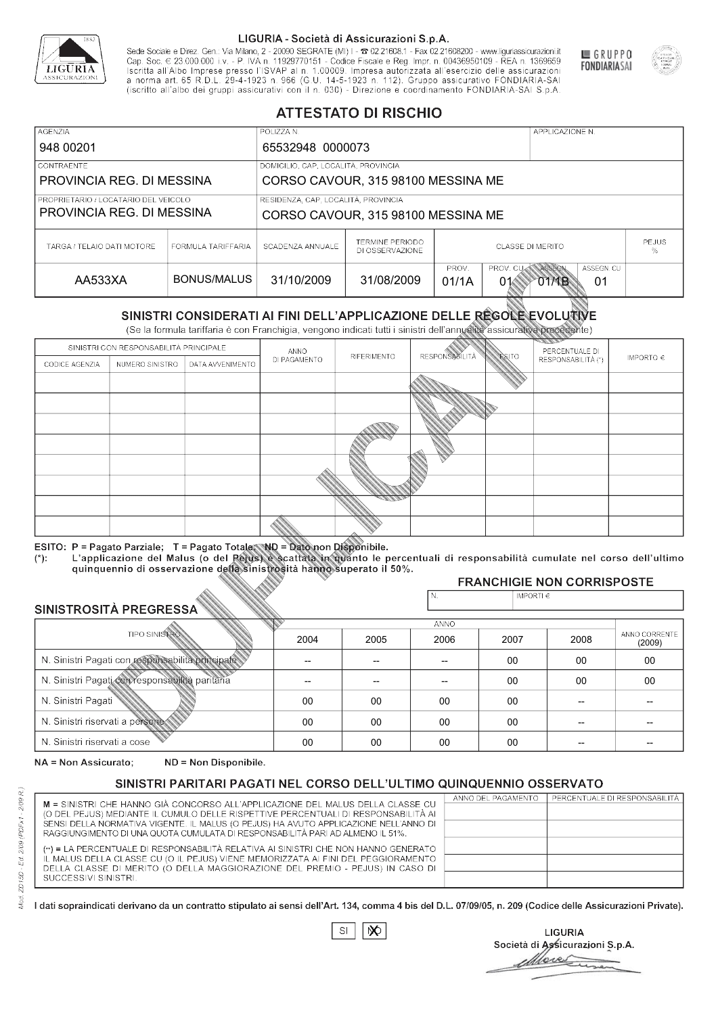

Sede Sociale e Direz. Gen.: Via Milano, 2 - 20090 SEGRATE (MI) I - 2 02.21608.1 - Fax 02.21608200 - www.liguriassicurazioni.it Sede e Direz, Gen. Via Milanto, 2 - 20090 SEGATE (MI) I - 2 UZZIODO. I - FAX UZZIODO2 I - WWW. IIJONENSURIADONILI<br>Cap. Soc. € 23.000.000 i.v. - P. IVA n. 11929770151 - Codice Fiscale e Reg. Impr. n. 00436950109 - REA n. 1



GRUPPO

**FONDIARIASAI** 

# **ATTESTATO DI RISCHIO**

| <b>AGENZIA</b><br>948 00201                                       |                    | POLIZZA N.<br>APPLICAZIONE N.<br>65532948 0000073                         |                                                                                     |                                              |  |  |  |  |
|-------------------------------------------------------------------|--------------------|---------------------------------------------------------------------------|-------------------------------------------------------------------------------------|----------------------------------------------|--|--|--|--|
| <b>CONTRAENTE</b><br>PROVINCIA REG. DI MESSINA                    |                    | DOMICILIO, CAP, LOCALITÀ, PROVINCIA<br>CORSO CAVOUR, 315 98100 MESSINA ME |                                                                                     |                                              |  |  |  |  |
| PROPRIETARIO / LOCATARIO DEL VEICOLO<br>PROVINCIA REG. DI MESSINA |                    | RESIDENZA, CAP, LOCALITÀ, PROVINCIA<br>CORSO CAVOUR, 315 98100 MESSINA ME |                                                                                     |                                              |  |  |  |  |
| TARGA / TELAIO DATI MOTORE                                        | FORMULA TARIFFARIA | SCADENZA ANNUALE                                                          | TERMINE PERIODO<br>DI OSSERVAZIONE                                                  | <b>PEJUS</b><br><b>CLASSE DI MERITO</b><br>℅ |  |  |  |  |
| AA533XA                                                           | BONUS/MALUS        | 31/10/2009                                                                | PROV. CUM ASSEGN<br>ASSEGN. CU<br>PROV.<br>31/08/2009<br>01/1A<br>01<br>01<br>O1⁄1B |                                              |  |  |  |  |

|                                 |                      |                                                                                                                                                                                                      |              | DI OSSERVAZIONE    |                       | %              |                                    |                         |
|---------------------------------|----------------------|------------------------------------------------------------------------------------------------------------------------------------------------------------------------------------------------------|--------------|--------------------|-----------------------|----------------|------------------------------------|-------------------------|
| AA533XA                         |                      | <b>BONUS/MALUS</b>                                                                                                                                                                                   | 31/10/2009   | 31/08/2009         | PROV.<br>01/1A        | PROV. CU<br>01 | ASSEGN<br>ASSEGN. CU<br>O1MB<br>01 |                         |
|                                 |                      | SINISTRI CONSIDERATI AI FINI DELL'APPLICAZIONE DELLE RÉGOLE EVOLUTIVE<br>(Se la formula tariffaria è con Franchigia, vengono indicati tutti i sinistri dell'annualità assicurativa precedente)       |              |                    |                       |                |                                    |                         |
|                                 |                      | SINISTRI CON RESPONSABILITÀ PRINCIPALE                                                                                                                                                               | ANNO         |                    |                       |                | PERCENTUALE DI                     |                         |
| CODICE AGENZIA                  | NUMERO SINISTRO      | DATA AVVENIMENTO                                                                                                                                                                                     | DI PAGAMENTO | <b>RIFERIMENTO</b> | <b>RESPONSABILITÀ</b> | ESITO          | RESPONSABILITÀ (*)                 | IMPORTO $\in$           |
|                                 |                      |                                                                                                                                                                                                      |              |                    |                       |                |                                    |                         |
|                                 |                      |                                                                                                                                                                                                      |              |                    |                       |                |                                    |                         |
|                                 |                      |                                                                                                                                                                                                      |              |                    |                       |                |                                    |                         |
|                                 |                      |                                                                                                                                                                                                      |              |                    |                       |                |                                    |                         |
|                                 |                      |                                                                                                                                                                                                      |              |                    |                       |                |                                    |                         |
|                                 |                      |                                                                                                                                                                                                      |              |                    |                       |                |                                    |                         |
|                                 |                      |                                                                                                                                                                                                      |              |                    |                       |                |                                    |                         |
|                                 |                      |                                                                                                                                                                                                      |              |                    |                       |                |                                    |                         |
|                                 |                      |                                                                                                                                                                                                      |              |                    |                       |                |                                    |                         |
|                                 |                      | ESITO: P = Pagato Parziale; T = Pagato Totale; ND = Dato non Disponibile.                                                                                                                            |              |                    |                       |                |                                    |                         |
| $(*)$ :                         |                      | L'applicazione del Malus (o del Pejus) è scattata in quanto le percentuali di responsabilità cumulate nel corso dell'ultimo<br>quinquennio di osservazione della sinistrosità hanno superato il 50%. |              |                    |                       |                |                                    |                         |
|                                 |                      |                                                                                                                                                                                                      |              |                    |                       |                | <b>FRANCHIGIE NON CORRISPOSTE</b>  |                         |
| SINISTROSITÀ PREGRESSA          |                      |                                                                                                                                                                                                      |              |                    | N.                    | IMPORTI $\in$  |                                    |                         |
|                                 |                      |                                                                                                                                                                                                      |              |                    | ANNO                  |                |                                    |                         |
|                                 | <b>TIPO SINISTRO</b> |                                                                                                                                                                                                      | 2004         | 2005               | 2006                  | 2007           | 2008                               | ANNO CORRENTE<br>(2009) |
|                                 |                      | N. Sinistri Pagati con responsabilità principale                                                                                                                                                     | --           | $-$                | $-$                   | 00             | 00                                 | 00                      |
|                                 |                      | N. Sinistri Pagati con responsabilità paritaria                                                                                                                                                      |              |                    |                       | 00             | 00                                 | 00                      |
| N. Sinistri Pagati              |                      |                                                                                                                                                                                                      | 00           | 00                 | 00                    | $00\,$         | --                                 |                         |
| N. Sinistri riservati a persone |                      |                                                                                                                                                                                                      | $00\,$       | 00                 | 00                    | $00\,$         |                                    |                         |
| N. Sinjetri riconvoti a coco    |                      |                                                                                                                                                                                                      | $\cap$       | $\cap$             | $\cap$                | $\cap$         |                                    |                         |

### 2005 -- --  $0<sup>0</sup>$ 00 00 2004 -- --  $0<sup>0</sup>$ 00 00 2006 -- -- 00 00 00 2007 00 00 00 00 00 2008 00 00 -- -- -- 00 00 -- -- -- (2009)

NA = Non Assicurato: ND = Non Disponibile.

# SINISTRI PARITARI PAGATI NEL CORSO DELL'ULTIMO QUINQUENNIO OSSERVATO

|                                                                                                                                                                      | ANNO DEL PAGAMENTO | PERCENTUALE DI RESPONSABILITÀ |
|----------------------------------------------------------------------------------------------------------------------------------------------------------------------|--------------------|-------------------------------|
| M = SINISTRI CHE HANNO GIÀ CONCORSO ALL'APPLICAZIONE DEL MALUS DELLA CLASSE CU<br>(O DEL PEJUS) MEDIANTE IL CUMULO DELLE RISPETTIVE PERCENTUALI DI RESPONSABILITÀ AI |                    |                               |
| SENSI DELLA NORMATIVA VIGENTE. IL MALUS (O PEJUS) HA AVUTO APPLICAZIONE NELL'ANNO DI                                                                                 |                    |                               |
| RAGGIUNGIMENTO DI UNA QUOTA CUMULATA DI RESPONSABILITÀ PARI AD ALMENO IL 51%.                                                                                        |                    |                               |
|                                                                                                                                                                      |                    |                               |
| (**) = LA PERCENTUALE DI RESPONSABILITÀ RELATIVA AI SINISTRI CHE NON HANNO GENERATO                                                                                  |                    |                               |
| IL MALUS DELLA CLASSE CU (O IL PEJUS) VIENE MEMORIZZATA AI FINI DEL PEGGIORAMENTO                                                                                    |                    |                               |
| DELLA CLASSE DI MERITO (O DELLA MAGGIORAZIONE DEL PREMIO - PEJUS) IN CASO DI                                                                                         |                    |                               |
| SUCCESSIVI SINISTRI.                                                                                                                                                 |                    |                               |
|                                                                                                                                                                      |                    |                               |

 $\mathbb{S}\mathsf{I}$  $\infty$ 

**LIGURIA** Società di Assicurazioni S.p.A. Move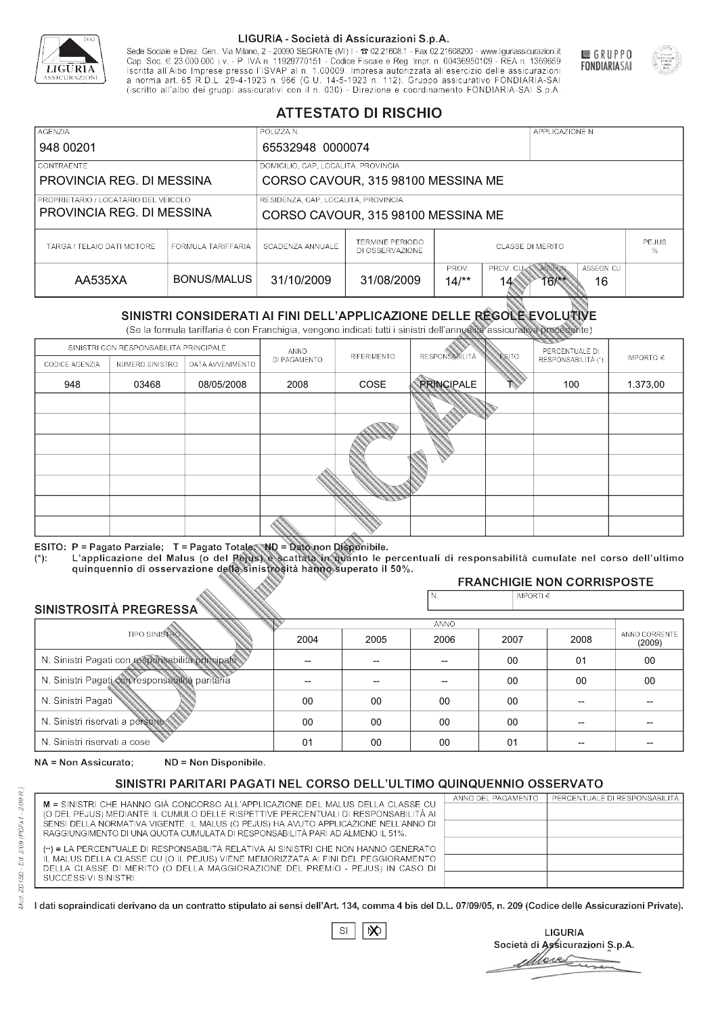

Sede Sociale e Direz. Gen.: Via Milano, 2 - 20090 SEGRATE (MI) I - 2 02.21608.1 - Fax 02.21608200 - www.liguriassicurazioni.it Sede e Direz, Gen. Via Milanto, 2 - 20090 SEGATE (MI) I - 2 UZZIODO. I - FAX UZZIODO2 I - WWW. IIJONENSURIADONILI<br>Cap. Soc. € 23.000.000 i.v. - P. IVA n. 11929770151 - Codice Fiscale e Reg. Impr. n. 00436950109 - REA n. 1



GRUPPO

**FONDIARIASAI** 

# **ATTESTATO DI RISCHIO**

| <b>AGENZIA</b>                                                    | POLIZZA N.                                                      |                                                                           |                                                                                          |                                              |  | APPLICAZIONE N. |  |  |
|-------------------------------------------------------------------|-----------------------------------------------------------------|---------------------------------------------------------------------------|------------------------------------------------------------------------------------------|----------------------------------------------|--|-----------------|--|--|
| 948 00201                                                         |                                                                 | 65532948 0000074                                                          |                                                                                          |                                              |  |                 |  |  |
| CONTRAENTE                                                        |                                                                 | DOMICILIO, CAP, LOCALITÀ, PROVINCIA                                       |                                                                                          |                                              |  |                 |  |  |
|                                                                   | PROVINCIA REG. DI MESSINA<br>CORSO CAVOUR, 315 98100 MESSINA ME |                                                                           |                                                                                          |                                              |  |                 |  |  |
| PROPRIETARIO / LOCATARIO DEL VEICOLO<br>PROVINCIA REG. DI MESSINA |                                                                 | RESIDENZA, CAP, LOCALITÀ, PROVINCIA<br>CORSO CAVOUR, 315 98100 MESSINA ME |                                                                                          |                                              |  |                 |  |  |
|                                                                   |                                                                 |                                                                           |                                                                                          |                                              |  |                 |  |  |
| TARGA / TELAIO DATI MOTORE                                        | FORMULA TARIFFARIA                                              | SCADENZA ANNUALE                                                          | TERMINE PERIODO<br>DI OSSERVAZIONE                                                       | <b>PEJUS</b><br><b>CLASSE DI MERITO</b><br>% |  |                 |  |  |
| AA535XA                                                           | BONUS/MALUS                                                     | 31/10/2009                                                                | PROV. CUM ASSEGN<br>PROV.<br>ASSEGN. CU<br>31/08/2009<br>$14$ /**<br>16<br>$16$ K*<br>14 |                                              |  |                 |  |  |

|                                 |                                        |                                                                                                                                                                                                                                                                                   |              | DI OSSERVAZIONE |                       | %              |                                      |               |
|---------------------------------|----------------------------------------|-----------------------------------------------------------------------------------------------------------------------------------------------------------------------------------------------------------------------------------------------------------------------------------|--------------|-----------------|-----------------------|----------------|--------------------------------------|---------------|
| AA535XA                         |                                        | <b>BONUS/MALUS</b>                                                                                                                                                                                                                                                                | 31/10/2009   | 31/08/2009      | PROV.<br>$14/*$       | PROV. CU<br>14 | ASSEGN<br>ASSEGN, CU<br>$16**$<br>16 |               |
|                                 |                                        | SINISTRI CONSIDERATI AI FINI DELL'APPLICAZIONE DELLE RÉGOLE EVOLUTIVE<br>(Se la formula tariffaria è con Franchigia, vengono indicati tutti i sinistri dell'annualità assicurativa precedente)                                                                                    |              |                 |                       |                |                                      |               |
|                                 | SINISTRI CON RESPONSABILITÀ PRINCIPALE |                                                                                                                                                                                                                                                                                   | ANNO         |                 |                       |                | PERCENTUALE DI                       |               |
| CODICE AGENZIA                  | NUMERO SINISTRO                        | DATA AVVENIMENTO                                                                                                                                                                                                                                                                  | DI PAGAMENTO | RIFERIMENTO     | <b>RESPONSABILITÀ</b> | <b>ESITO</b>   | RESPONSABILITÀ (*)                   | IMPORTO $\in$ |
| 948                             | 03468                                  | 08/05/2008                                                                                                                                                                                                                                                                        | 2008         | COSE            | <b>PRINCIPALE</b>     |                | 100                                  | 1.373,00      |
|                                 |                                        |                                                                                                                                                                                                                                                                                   |              |                 |                       |                |                                      |               |
|                                 |                                        |                                                                                                                                                                                                                                                                                   |              |                 |                       |                |                                      |               |
|                                 |                                        |                                                                                                                                                                                                                                                                                   |              |                 |                       |                |                                      |               |
|                                 |                                        |                                                                                                                                                                                                                                                                                   |              |                 |                       |                |                                      |               |
|                                 |                                        |                                                                                                                                                                                                                                                                                   |              |                 |                       |                |                                      |               |
|                                 |                                        |                                                                                                                                                                                                                                                                                   |              |                 |                       |                |                                      |               |
|                                 |                                        |                                                                                                                                                                                                                                                                                   |              |                 |                       |                |                                      |               |
| $(*)$ .                         |                                        | ESITO: P = Pagato Parziale; T = Pagato Totale; ND = Dato non Disponibile.<br>L'applicazione del Malus (o del Pejus) è scattata in quanto le percentuali di responsabilità cumulate nel corso dell'ultimo<br>quinquennio di osservazione della sinistrosità hanno superato il 50%. |              |                 |                       |                | <b>FRANCHIGIE NON CORRISPOSTE</b>    |               |
|                                 |                                        |                                                                                                                                                                                                                                                                                   |              |                 | N.                    | IMPORTI $\in$  |                                      |               |
| SINISTROSITÀ PREGRESSA          |                                        |                                                                                                                                                                                                                                                                                   |              |                 |                       |                |                                      |               |
|                                 | <b>TIPO SINISTRO</b>                   |                                                                                                                                                                                                                                                                                   | 2004         | 2005            | <b>ANNO</b><br>2006   | 2007           | 2008                                 | ANNO CORRENTE |
|                                 |                                        | N. Sinistri Pagati con responsabilità principale                                                                                                                                                                                                                                  | $\sim$       | --              | $-$                   | 00             | 01                                   | (2009)<br>00  |
|                                 |                                        | N. Sinistri Pagati con responsabilità paritaria                                                                                                                                                                                                                                   |              |                 |                       | 00             | 00                                   | 00            |
| N. Sinistri Pagati              |                                        |                                                                                                                                                                                                                                                                                   | 00           | 00              | 00                    | 00             | --                                   |               |
| N. Sinistri riservati a persone |                                        |                                                                                                                                                                                                                                                                                   | $00\,$       | $00\,$          | 00                    | 00             |                                      |               |
| N. Sinjetri riconvoti a coco    |                                        |                                                                                                                                                                                                                                                                                   | $^{\circ}$   | $\cap$          | $\cap$                | $^{\circ}$     |                                      |               |

### 2005 -- --  $0<sup>0</sup>$ 00 00 2004 -- --  $0<sup>0</sup>$ 00 01 2006 -- -- 00 00 00 2007 00 00 00 00 01 2008 01 00 -- -- -- 00 00 -- -- -- (2009)

NA = Non Assicurato: ND = Non Disponibile.

# SINISTRI PARITARI PAGATI NEL CORSO DELL'ULTIMO QUINQUENNIO OSSERVATO

|                                                                                                                                                                      | ANNO DEL PAGAMENTO | PERCENTUALE DI RESPONSABILITÀ |
|----------------------------------------------------------------------------------------------------------------------------------------------------------------------|--------------------|-------------------------------|
| M = SINISTRI CHE HANNO GIÀ CONCORSO ALL'APPLICAZIONE DEL MALUS DELLA CLASSE CU<br>(O DEL PEJUS) MEDIANTE IL CUMULO DELLE RISPETTIVE PERCENTUALI DI RESPONSABILITÀ AI |                    |                               |
| SENSI DELLA NORMATIVA VIGENTE. IL MALUS (O PEJUS) HA AVUTO APPLICAZIONE NELL'ANNO DI                                                                                 |                    |                               |
| RAGGIUNGIMENTO DI UNA QUOTA CUMULATA DI RESPONSABILITÀ PARI AD ALMENO IL 51%.                                                                                        |                    |                               |
|                                                                                                                                                                      |                    |                               |
| (**) = LA PERCENTUALE DI RESPONSABILITÀ RELATIVA AI SINISTRI CHE NON HANNO GENERATO                                                                                  |                    |                               |
| IL MALUS DELLA CLASSE CU (O IL PEJUS) VIENE MEMORIZZATA AI FINI DEL PEGGIORAMENTO                                                                                    |                    |                               |
| DELLA CLASSE DI MERITO (O DELLA MAGGIORAZIONE DEL PREMIO - PEJUS) IN CASO DI                                                                                         |                    |                               |
| SUCCESSIVI SINISTRI.                                                                                                                                                 |                    |                               |
|                                                                                                                                                                      |                    |                               |

 $\mathbb{S}\mathsf{I}$  $\infty$ 

**LIGURIA** Società di Assicurazioni S.p.A. Mores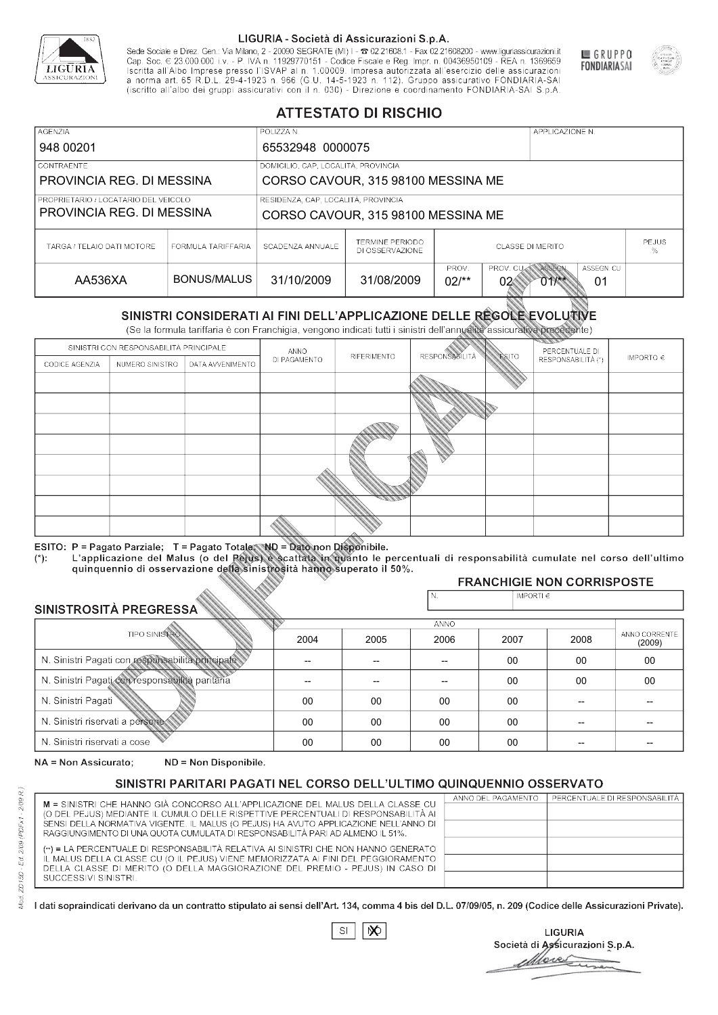

Sede Sociale e Direz. Gen.: Via Milano, 2 - 20090 SEGRATE (MI) I - 2 02.21608.1 - Fax 02.21608200 - www.liguriassicurazioni.it Cap. Soc.  $\in$  23.000.000 i.v. - P. IVA n. 11929770151 - Codice Fiscale e Reg. Impr. n. 00436950109 - REA n. 1369659<br>Iscritta all'Albo Imprese presso l'ISVAP al n. 1.00009. Impresa autorizzata all'esercizio delle assicura d homa art. 65 K.D.L. 29-4-1923 ft. 900 (G.O. 14-5-1923 ft. 112). Gruppo assicurativo PONDIARIA-SAI S.p.A



GRUPPO

**FONDIARIASAI** 

# **ATTESTATO DI RISCHIO**

| <b>AGENZIA</b>                       |                    | POLIZZA N.                          |                                                                                             | APPLICAZIONE N.                              |  |  |  |
|--------------------------------------|--------------------|-------------------------------------|---------------------------------------------------------------------------------------------|----------------------------------------------|--|--|--|
| 948 00201                            |                    | 65532948 0000075                    |                                                                                             |                                              |  |  |  |
| LCONTRAENTE                          |                    | DOMICILIO, CAP, LOCALITÀ, PROVINCIA |                                                                                             |                                              |  |  |  |
| PROVINCIA REG. DI MESSINA            |                    | CORSO CAVOUR, 315 98100 MESSINA ME  |                                                                                             |                                              |  |  |  |
| PROPRIETARIO / LOCATARIO DEL VEICOLO |                    | RESIDENZA, CAP, LOCALITÀ, PROVINCIA |                                                                                             |                                              |  |  |  |
| PROVINCIA REG. DI MESSINA            |                    | CORSO CAVOUR, 315 98100 MESSINA ME  |                                                                                             |                                              |  |  |  |
| TARGA / TELAIO DATI MOTORE           | FORMULA TARIFFARIA | SCADENZA ANNUALE                    | <b>TERMINE PERIODO</b><br>DI OSSERVAZIONE                                                   | <b>PEJUS</b><br><b>CLASSE DI MERITO</b><br>% |  |  |  |
| AA536XA                              | BONUS/MALUS        | 31/10/2009                          | PROV.<br>PROV. CUAN ASSEGN<br>ASSEGN. CU<br>31/08/2009<br>$02/*$<br>$01$ $\!\!$<br>02<br>01 |                                              |  |  |  |

|                                 |                      |                                                                                                                                                                                                      |              | DI OSSERVAZIONE |                      | %              |                                        |                         |
|---------------------------------|----------------------|------------------------------------------------------------------------------------------------------------------------------------------------------------------------------------------------------|--------------|-----------------|----------------------|----------------|----------------------------------------|-------------------------|
| AA536XA                         |                      | <b>BONUS/MALUS</b>                                                                                                                                                                                   | 31/10/2009   | 31/08/2009      | PROV.<br>$02/*$      | PROV. CU<br>02 | ASSEGN<br>ASSEGN, CU<br>$011$ **<br>01 |                         |
|                                 |                      | SINISTRI CONSIDERATI AI FINI DELL'APPLICAZIONE DELLE RÉGOLE EVOLUTIVE<br>(Se la formula tariffaria è con Franchigia, vengono indicati tutti i sinistri dell'annualità assicurativa precedente)       |              |                 |                      |                |                                        |                         |
|                                 |                      | SINISTRI CON RESPONSABILITÀ PRINCIPALE                                                                                                                                                               | ANNO         |                 |                      |                | PERCENTUALE DI                         |                         |
| CODICE AGENZIA                  | NUMERO SINISTRO      | DATA AVVENIMENTO                                                                                                                                                                                     | DI PAGAMENTO | RIFERIMENTO     | <b>RESPONSABLITA</b> | <b>ESITO</b>   | RESPONSABILITÀ (*)                     | IMPORTO $\in$           |
|                                 |                      |                                                                                                                                                                                                      |              |                 |                      |                |                                        |                         |
|                                 |                      |                                                                                                                                                                                                      |              |                 |                      |                |                                        |                         |
|                                 |                      |                                                                                                                                                                                                      |              |                 |                      |                |                                        |                         |
|                                 |                      |                                                                                                                                                                                                      |              |                 |                      |                |                                        |                         |
|                                 |                      |                                                                                                                                                                                                      |              |                 |                      |                |                                        |                         |
|                                 |                      |                                                                                                                                                                                                      |              |                 |                      |                |                                        |                         |
|                                 |                      |                                                                                                                                                                                                      |              |                 |                      |                |                                        |                         |
|                                 |                      |                                                                                                                                                                                                      |              |                 |                      |                |                                        |                         |
|                                 |                      |                                                                                                                                                                                                      |              |                 |                      |                |                                        |                         |
|                                 |                      | ESITO: P = Pagato Parziale; T = Pagato Totale; ND = Dato non Disponibile.                                                                                                                            |              |                 |                      |                |                                        |                         |
| $(*)$ .                         |                      | L'applicazione del Malus (o del Pejus) è scattata in quanto le percentuali di responsabilità cumulate nel corso dell'ultimo<br>quinquennio di osservazione della sinistrosità hanno superato il 50%. |              |                 |                      |                |                                        |                         |
|                                 |                      |                                                                                                                                                                                                      |              |                 |                      |                | <b>FRANCHIGIE NON CORRISPOSTE</b>      |                         |
| SINISTROSITÀ PREGRESSA          |                      |                                                                                                                                                                                                      |              |                 | N.                   | IMPORTI $\in$  |                                        |                         |
|                                 |                      |                                                                                                                                                                                                      |              |                 | <b>ANNO</b>          |                |                                        |                         |
|                                 | <b>TIPO SINISTRO</b> |                                                                                                                                                                                                      | 2004         | 2005            | 2006                 | 2007           | 2008                                   | ANNO CORRENTE<br>(2009) |
|                                 |                      | N. Sinistri Pagati con responsabilità principale                                                                                                                                                     | --           | --              | $\overline{a}$       | 00             | 00                                     | 00                      |
|                                 |                      | N. Sinistri Pagati con responsabilità paritaria                                                                                                                                                      |              |                 |                      | 00             | 00                                     | 00                      |
| N. Sinistri Pagati              |                      |                                                                                                                                                                                                      | 00           | 00              | 00                   | 00             | --                                     |                         |
| N. Sinistri riservati a persone |                      |                                                                                                                                                                                                      | 00           | 00              | 00                   | 00             |                                        |                         |
| N. Sinjetri riconvoti a coco    |                      |                                                                                                                                                                                                      | $\cap$       | $\cap$          | $\cap$               | $\sim$         |                                        |                         |

### 2005 -- --  $0<sup>0</sup>$ 00 00 2004 -- --  $0<sup>0</sup>$ 00 00 2006 -- -- 00 00 00 2007 00 00 00 00 00 2008 00 00 -- -- -- 00 00 -- -- -- (2009)

NA = Non Assicurato: ND = Non Disponibile.

# SINISTRI PARITARI PAGATI NEL CORSO DELL'ULTIMO QUINQUENNIO OSSERVATO

|                                                                                                                                                                      | ANNO DEL PAGAMENTO | PERCENTUALE DI RESPONSABILITÀ |
|----------------------------------------------------------------------------------------------------------------------------------------------------------------------|--------------------|-------------------------------|
| M = SINISTRI CHE HANNO GIÀ CONCORSO ALL'APPLICAZIONE DEL MALUS DELLA CLASSE CU<br>(O DEL PEJUS) MEDIANTE IL CUMULO DELLE RISPETTIVE PERCENTUALI DI RESPONSABILITÀ AI |                    |                               |
| SENSI DELLA NORMATIVA VIGENTE. IL MALUS (O PEJUS) HA AVUTO APPLICAZIONE NELL'ANNO DI                                                                                 |                    |                               |
| RAGGIUNGIMENTO DI UNA QUOTA CUMULATA DI RESPONSABILITÀ PARI AD ALMENO IL 51%.                                                                                        |                    |                               |
|                                                                                                                                                                      |                    |                               |
| (**) = LA PERCENTUALE DI RESPONSABILITÀ RELATIVA AI SINISTRI CHE NON HANNO GENERATO                                                                                  |                    |                               |
| IL MALUS DELLA CLASSE CU (O IL PEJUS) VIENE MEMORIZZATA AI FINI DEL PEGGIORAMENTO                                                                                    |                    |                               |
| DELLA CLASSE DI MERITO (O DELLA MAGGIORAZIONE DEL PREMIO - PEJUS) IN CASO DI                                                                                         |                    |                               |
| SUCCESSIVI SINISTRI.                                                                                                                                                 |                    |                               |
|                                                                                                                                                                      |                    |                               |

 $\mathbb{S}\mathsf{I}$  $\infty$ 

**LIGURIA** Società di Assicurazioni S.p.A. Move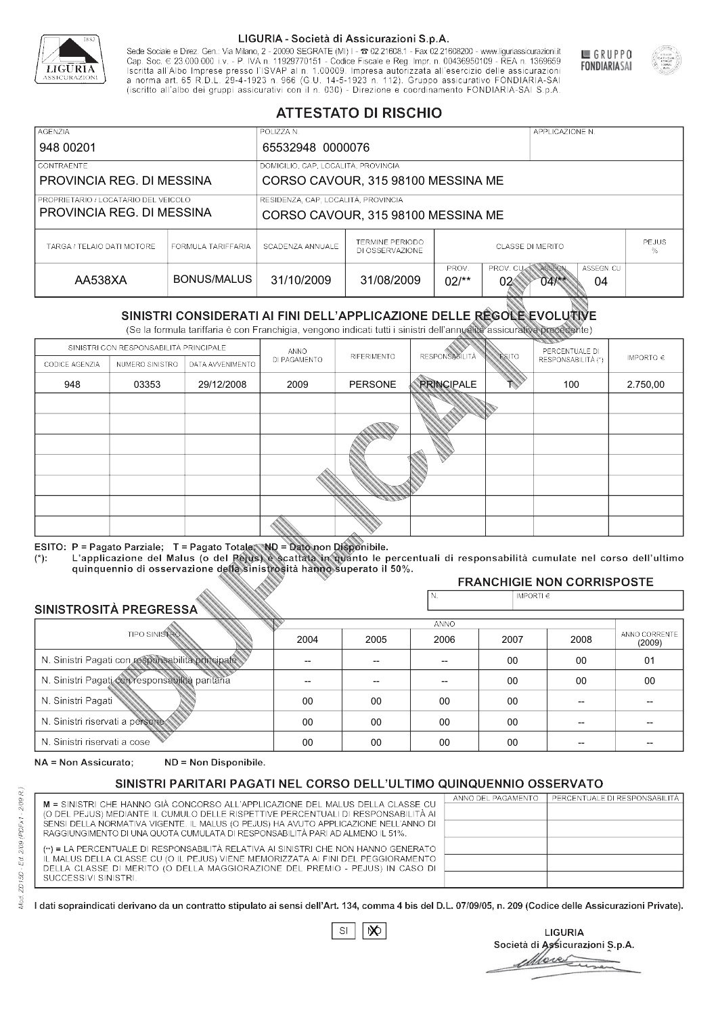

Sede Sociale e Direz. Gen.: Via Milano, 2 - 20090 SEGRATE (MI) I - 2 02.21608.1 - Fax 02.21608200 - www.liguriassicurazioni.it Sede e Direz, Gen. Via Milanto, 2 - 20090 SEGATE (MI) I - 2 UZZIODO. I - FAX UZZIODO2 I - WWW. IIJONENSURIADONILI<br>Cap. Soc. € 23.000.000 i.v. - P. IVA n. 11929770151 - Codice Fiscale e Reg. Impr. n. 00436950109 - REA n. 1



GRUPPO

**FONDIARIASAI** 

# **ATTESTATO DI RISCHIO**

| <b>AGENZIA</b><br>POLIZZA N.         |                    |                                     |                                                                                |                                              | APPLICAZIONE N. |  |  |
|--------------------------------------|--------------------|-------------------------------------|--------------------------------------------------------------------------------|----------------------------------------------|-----------------|--|--|
| 948 00201                            |                    | 65532948 0000076                    |                                                                                |                                              |                 |  |  |
| LCONTRAENTE.                         |                    | DOMICILIO, CAP, LOCALITÀ, PROVINCIA |                                                                                |                                              |                 |  |  |
| PROVINCIA REG. DI MESSINA            |                    | CORSO CAVOUR, 315 98100 MESSINA ME  |                                                                                |                                              |                 |  |  |
| PROPRIETARIO / LOCATARIO DEL VEICOLO |                    | RESIDENZA, CAP, LOCALITÀ, PROVINCIA |                                                                                |                                              |                 |  |  |
| PROVINCIA REG. DI MESSINA            |                    | CORSO CAVOUR, 315 98100 MESSINA ME  |                                                                                |                                              |                 |  |  |
| TARGA / TELAIO DATI MOTORE           | FORMULA TARIFFARIA | SCADENZA ANNUALE                    | <b>TERMINE PERIODO</b><br>DI OSSERVAZIONE                                      | <b>PEJUS</b><br><b>CLASSE DI MERITO</b><br>% |                 |  |  |
| AA538XA                              | BONUS/MALUS        | 31/10/2009                          | ASSEGN. CU<br>PROV.<br>PROV. CUAN ASSEGN<br>31/08/2009<br>$02$ /**<br>02<br>04 |                                              |                 |  |  |

|                                                 |                      |                                                                                                                                                                                                                                                                                   |              | DI OSSERVAZIONE |                       | %              |                                        |                         |
|-------------------------------------------------|----------------------|-----------------------------------------------------------------------------------------------------------------------------------------------------------------------------------------------------------------------------------------------------------------------------------|--------------|-----------------|-----------------------|----------------|----------------------------------------|-------------------------|
| AA538XA                                         |                      | <b>BONUS/MALUS</b>                                                                                                                                                                                                                                                                | 31/10/2009   | 31/08/2009      | PROV.<br>$02/*$       | PROV. CU<br>02 | ASSEGN<br>ASSEGN, CU<br>$04$ /**<br>04 |                         |
|                                                 |                      | SINISTRI CONSIDERATI AI FINI DELL'APPLICAZIONE DELLE RÉGOLE EVOLUTIVE<br>(Se la formula tariffaria è con Franchigia, vengono indicati tutti i sinistri dell'annualità assicurativa precedente)                                                                                    |              |                 |                       |                |                                        |                         |
|                                                 |                      | SINISTRI CON RESPONSABILITÀ PRINCIPALE                                                                                                                                                                                                                                            | ANNO         |                 |                       |                | PERCENTUALE DI                         |                         |
| CODICE AGENZIA                                  | NUMERO SINISTRO      | DATA AVVENIMENTO                                                                                                                                                                                                                                                                  | DI PAGAMENTO | RIFERIMENTO     | <b>RESPONSABILITÀ</b> | <b>ESITO</b>   | RESPONSABILITÀ (*)                     | IMPORTO $\in$           |
| 948                                             | 03353                | 29/12/2008                                                                                                                                                                                                                                                                        | 2009         | <b>PERSONE</b>  | <b>PRINCIPALE</b>     |                | 100                                    | 2.750,00                |
|                                                 |                      |                                                                                                                                                                                                                                                                                   |              |                 |                       |                |                                        |                         |
|                                                 |                      |                                                                                                                                                                                                                                                                                   |              |                 |                       |                |                                        |                         |
|                                                 |                      |                                                                                                                                                                                                                                                                                   |              |                 |                       |                |                                        |                         |
|                                                 |                      |                                                                                                                                                                                                                                                                                   |              |                 |                       |                |                                        |                         |
|                                                 |                      |                                                                                                                                                                                                                                                                                   |              |                 |                       |                |                                        |                         |
|                                                 |                      |                                                                                                                                                                                                                                                                                   |              |                 |                       |                |                                        |                         |
|                                                 |                      |                                                                                                                                                                                                                                                                                   |              |                 |                       |                |                                        |                         |
| $(*)$ .                                         |                      | ESITO: P = Pagato Parziale; T = Pagato Totale; ND = Dato non Disponibile.<br>L'applicazione del Malus (o del Pejus) è scattata in quanto le percentuali di responsabilità cumulate nel corso dell'ultimo<br>quinquennio di osservazione della sinistrosità hanno superato il 50%. |              |                 |                       |                |                                        |                         |
|                                                 |                      |                                                                                                                                                                                                                                                                                   |              |                 | N.                    | IMPORTI $\in$  | <b>FRANCHIGIE NON CORRISPOSTE</b>      |                         |
| SINISTROSITÀ PREGRESSA                          |                      |                                                                                                                                                                                                                                                                                   |              |                 |                       |                |                                        |                         |
|                                                 |                      |                                                                                                                                                                                                                                                                                   |              |                 | <b>ANNO</b>           |                |                                        |                         |
|                                                 | <b>TIPO SINISTRO</b> |                                                                                                                                                                                                                                                                                   | 2004         | 2005            | 2006                  | 2007           | 2008                                   | ANNO CORRENTE<br>(2009) |
|                                                 |                      | N. Sinistri Pagati con responsabilità principale                                                                                                                                                                                                                                  | $\sim$       | --              | $-$                   | 00             | 00                                     | 01                      |
| N. Sinistri Pagati con responsabilità paritaria |                      |                                                                                                                                                                                                                                                                                   |              |                 |                       | 00             | 00                                     | 00                      |
| N. Sinistri Pagati                              |                      |                                                                                                                                                                                                                                                                                   | 00           | 00              | 00                    | 00             | --                                     |                         |
| N. Sinistri riservati a persone                 |                      |                                                                                                                                                                                                                                                                                   | 00           | $00\,$          | 00                    | 00             |                                        |                         |
| N. Sinjetri riconvoti a coco                    |                      |                                                                                                                                                                                                                                                                                   | $\cap$       | $\cap$          | $\cap$                | $\sim$         |                                        |                         |

### 2005 -- --  $0<sup>0</sup>$ 00 00 2004 -- --  $0<sup>0</sup>$ 00 00 2006 -- -- 00 00 00 2007 00 00 00 00 00 2008 00 00 -- -- -- 01 00 -- -- -- (2009)

NA = Non Assicurato: ND = Non Disponibile.

# SINISTRI PARITARI PAGATI NEL CORSO DELL'ULTIMO QUINQUENNIO OSSERVATO

| M = SINISTRI CHE HANNO GIÀ CONCORSO ALL'APPLICAZIONE DEL MALUS DELLA CLASSE CU       | ANNO DEL PAGAMENTO | PERCENTUALE DI RESPONSABILITÀ |
|--------------------------------------------------------------------------------------|--------------------|-------------------------------|
| (O DEL PEJUS) MEDIANTE IL CUMULO DELLE RISPETTIVE PERCENTUALI DI RESPONSABILITÀ AI   |                    |                               |
| SENSI DELLA NORMATIVA VIGENTE. IL MALUS (O PEJUS) HA AVUTO APPLICAZIONE NELL'ANNO DI |                    |                               |
| RAGGIUNGIMENTO DI UNA QUOTA CUMULATA DI RESPONSABILITÀ PARI AD ALMENO IL 51%.        |                    |                               |
| (**) = LA PERCENTUALE DI RESPONSABILITÀ RELATIVA AI SINISTRI CHE NON HANNO GENERATO  |                    |                               |
| IL MALUS DELLA CLASSE CU (O IL PEJUS) VIENE MEMORIZZATA AI FINI DEL PEGGIORAMENTO    |                    |                               |
| DELLA CLASSE DI MERITO (O DELLA MAGGIORAZIONE DEL PREMIO - PEJUS) IN CASO DI         |                    |                               |
| SUCCESSIVI SINISTRI.                                                                 |                    |                               |
|                                                                                      |                    |                               |

 $\mathbb{S}\mathsf{I}$  $\infty$ 

**LIGURIA** Società di Assicurazioni S.p.A. bres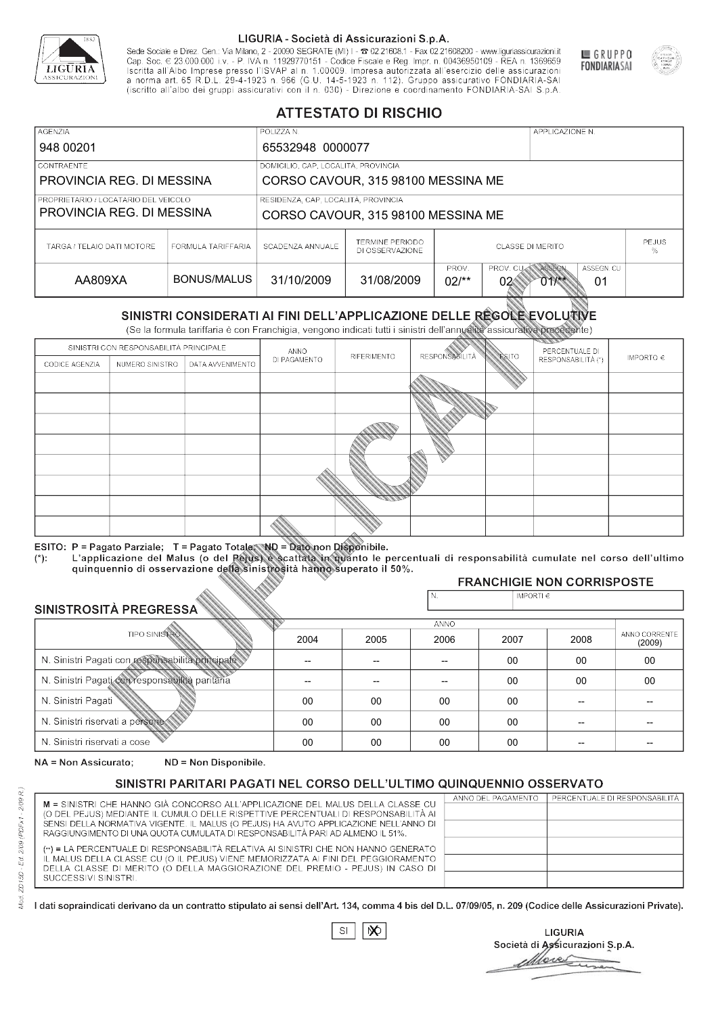

Sede Sociale e Direz. Gen.: Via Milano, 2 - 20090 SEGRATE (MI) I - 2 02.21608.1 - Fax 02.21608200 - www.liguriassicurazioni.it Cap. Soc.  $\in$  23.000.000 i.v. - P. IVA n. 11929770151 - Codice Fiscale e Reg. Impr. n. 00436950109 - REA n. 1369659<br>Iscritta all'Albo Imprese presso l'ISVAP al n. 1.00009. Impresa autorizzata all'esercizio delle assicura d homa art. 65 K.D.L. 29-4-1923 ft. 900 (G.O. 14-5-1923 ft. 112). Gruppo assicurativo PONDIARIA-SAI S.p.A



GRUPPO

**FONDIARIASAI** 

# **ATTESTATO DI RISCHIO**

| <b>AGENZIA</b>                       |                    | POLIZZA N.                          |                                                                                       |                                       |  | APPLICAZIONE N. |  |  |
|--------------------------------------|--------------------|-------------------------------------|---------------------------------------------------------------------------------------|---------------------------------------|--|-----------------|--|--|
| 948 00201                            |                    | 65532948 0000077                    |                                                                                       |                                       |  |                 |  |  |
| CONTRAENTE                           |                    | DOMICILIO, CAP, LOCALITÀ, PROVINCIA |                                                                                       |                                       |  |                 |  |  |
| PROVINCIA REG. DI MESSINA            |                    |                                     | CORSO CAVOUR, 315 98100 MESSINA ME                                                    |                                       |  |                 |  |  |
| PROPRIETARIO / LOCATARIO DEL VEICOLO |                    | RESIDENZA, CAP, LOCALITÀ, PROVINCIA |                                                                                       |                                       |  |                 |  |  |
| PROVINCIA REG. DI MESSINA            |                    | CORSO CAVOUR, 315 98100 MESSINA ME  |                                                                                       |                                       |  |                 |  |  |
| TARGA / TELAIO DATI MOTORE           | FORMULA TARIFFARIA | SCADENZA ANNUALE                    | TERMINE PERIODO<br>DI OSSERVAZIONE                                                    | <b>PEJUS</b><br>CLASSE DI MERITO<br>% |  |                 |  |  |
| AA809XA                              | BONUS/MALUS        | 31/10/2009                          | ASSEGN<br>ASSEGN. CU<br>PROV.<br>PROV. CU<br>31/08/2009<br>$02$ /**<br>02<br>01<br>01 |                                       |  |                 |  |  |

|                                 |                      |                                                                                                                                                                                                      |              | DI OSSERVAZIONE |                      | %              |                                        |                         |
|---------------------------------|----------------------|------------------------------------------------------------------------------------------------------------------------------------------------------------------------------------------------------|--------------|-----------------|----------------------|----------------|----------------------------------------|-------------------------|
| AA809XA                         |                      | <b>BONUS/MALUS</b>                                                                                                                                                                                   | 31/10/2009   | 31/08/2009      | PROV.<br>$02/*$      | PROV. CU<br>02 | ASSEGN<br>ASSEGN, CU<br>$011$ **<br>01 |                         |
|                                 |                      | SINISTRI CONSIDERATI AI FINI DELL'APPLICAZIONE DELLE RÉGOLE EVOLUTIVE<br>(Se la formula tariffaria è con Franchigia, vengono indicati tutti i sinistri dell'annualità assicurativa precedente)       |              |                 |                      |                |                                        |                         |
|                                 |                      | SINISTRI CON RESPONSABILITÀ PRINCIPALE                                                                                                                                                               | ANNO         |                 |                      |                | PERCENTUALE DI                         |                         |
| CODICE AGENZIA                  | NUMERO SINISTRO      | DATA AVVENIMENTO                                                                                                                                                                                     | DI PAGAMENTO | RIFERIMENTO     | <b>RESPONSABLITA</b> | <b>ESITO</b>   | RESPONSABILITÀ (*)                     | IMPORTO $\in$           |
|                                 |                      |                                                                                                                                                                                                      |              |                 |                      |                |                                        |                         |
|                                 |                      |                                                                                                                                                                                                      |              |                 |                      |                |                                        |                         |
|                                 |                      |                                                                                                                                                                                                      |              |                 |                      |                |                                        |                         |
|                                 |                      |                                                                                                                                                                                                      |              |                 |                      |                |                                        |                         |
|                                 |                      |                                                                                                                                                                                                      |              |                 |                      |                |                                        |                         |
|                                 |                      |                                                                                                                                                                                                      |              |                 |                      |                |                                        |                         |
|                                 |                      |                                                                                                                                                                                                      |              |                 |                      |                |                                        |                         |
|                                 |                      |                                                                                                                                                                                                      |              |                 |                      |                |                                        |                         |
|                                 |                      |                                                                                                                                                                                                      |              |                 |                      |                |                                        |                         |
|                                 |                      | ESITO: P = Pagato Parziale; T = Pagato Totale; ND = Dato non Disponibile.                                                                                                                            |              |                 |                      |                |                                        |                         |
| $(*)$ .                         |                      | L'applicazione del Malus (o del Pejus) è scattata in quanto le percentuali di responsabilità cumulate nel corso dell'ultimo<br>quinquennio di osservazione della sinistrosità hanno superato il 50%. |              |                 |                      |                |                                        |                         |
|                                 |                      |                                                                                                                                                                                                      |              |                 |                      |                | <b>FRANCHIGIE NON CORRISPOSTE</b>      |                         |
| SINISTROSITÀ PREGRESSA          |                      |                                                                                                                                                                                                      |              |                 | N.                   | IMPORTI $\in$  |                                        |                         |
|                                 |                      |                                                                                                                                                                                                      |              |                 | <b>ANNO</b>          |                |                                        |                         |
|                                 | <b>TIPO SINISTRO</b> |                                                                                                                                                                                                      | 2004         | 2005            | 2006                 | 2007           | 2008                                   | ANNO CORRENTE<br>(2009) |
|                                 |                      | N. Sinistri Pagati con responsabilità principale                                                                                                                                                     | --           | --              | $\overline{a}$       | 00             | 00                                     | 00                      |
|                                 |                      | N. Sinistri Pagati con responsabilità paritaria                                                                                                                                                      |              |                 |                      | 00             | 00                                     | 00                      |
| N. Sinistri Pagati              |                      |                                                                                                                                                                                                      | 00           | 00              | 00                   | 00             | --                                     |                         |
| N. Sinistri riservati a persone |                      |                                                                                                                                                                                                      | 00           | 00              | 00                   | 00             |                                        |                         |
| N. Sinjetri riconvoti a coco    |                      |                                                                                                                                                                                                      | $\cap$       | $\cap$          | $\cap$               | $\sim$         |                                        |                         |

### 2005 -- --  $0<sup>0</sup>$ 00 00 2004 -- --  $0<sup>0</sup>$ 00 00 2006 -- -- 00 00 00 2007 00 00 00 00 00 2008 00 00 -- -- -- 00 00 -- -- -- (2009)

NA = Non Assicurato: ND = Non Disponibile.

# SINISTRI PARITARI PAGATI NEL CORSO DELL'ULTIMO QUINQUENNIO OSSERVATO

|                                                                                                                                                                      | ANNO DEL PAGAMENTO | PERCENTUALE DI RESPONSABILITÀ |
|----------------------------------------------------------------------------------------------------------------------------------------------------------------------|--------------------|-------------------------------|
| M = SINISTRI CHE HANNO GIÀ CONCORSO ALL'APPLICAZIONE DEL MALUS DELLA CLASSE CU<br>(O DEL PEJUS) MEDIANTE IL CUMULO DELLE RISPETTIVE PERCENTUALI DI RESPONSABILITÀ AI |                    |                               |
| SENSI DELLA NORMATIVA VIGENTE. IL MALUS (O PEJUS) HA AVUTO APPLICAZIONE NELL'ANNO DI                                                                                 |                    |                               |
| RAGGIUNGIMENTO DI UNA QUOTA CUMULATA DI RESPONSABILITÀ PARI AD ALMENO IL 51%.                                                                                        |                    |                               |
|                                                                                                                                                                      |                    |                               |
| (**) = LA PERCENTUALE DI RESPONSABILITÀ RELATIVA AI SINISTRI CHE NON HANNO GENERATO                                                                                  |                    |                               |
| IL MALUS DELLA CLASSE CU (O IL PEJUS) VIENE MEMORIZZATA AI FINI DEL PEGGIORAMENTO                                                                                    |                    |                               |
| DELLA CLASSE DI MERITO (O DELLA MAGGIORAZIONE DEL PREMIO - PEJUS) IN CASO DI                                                                                         |                    |                               |
| SUCCESSIVI SINISTRI.                                                                                                                                                 |                    |                               |
|                                                                                                                                                                      |                    |                               |

 $\mathbb{S}\mathsf{I}$  $\infty$ 

**LIGURIA** Società di Assicurazioni S.p.A. Move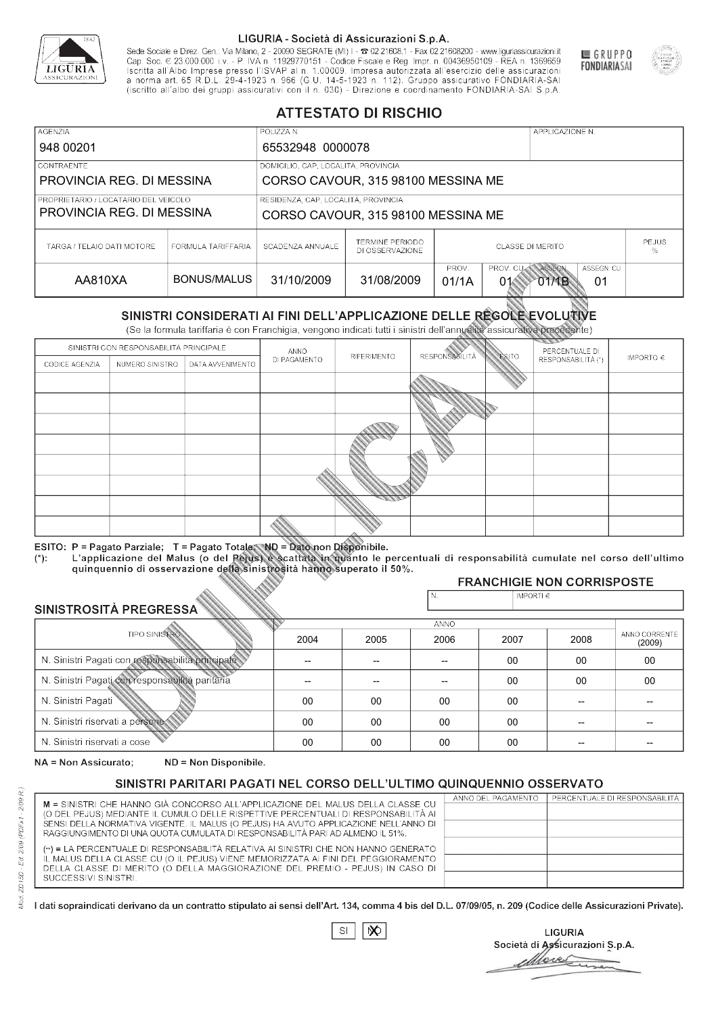

Sede Sociale e Direz. Gen.: Via Milano, 2 - 20090 SEGRATE (MI) I - 2 02.21608.1 - Fax 02.21608200 - www.liguriassicurazioni.it Cap. Soc.  $\in$  23.000.000 i.v. - P. IVA n. 11929770151 - Codice Fiscale e Reg. Impr. n. 00436950109 - REA n. 1369659<br>Iscritta all'Albo Imprese presso l'ISVAP al n. 1.00009. Impresa autorizzata all'esercizio delle assicura d homa art. 65 K.D.L. 29-4-1923 ft. 900 (G.O. 14-5-1923 ft. 112). Gruppo assicurativo PONDIARIA-SAI S.p.A



GRUPPO

**FONDIARIASAI** 

# **ATTESTATO DI RISCHIO**

| <b>AGENZIA</b><br>948 00201                                       |                    | POLIZZA N.<br>65532948 0000078                                            | APPLICAZIONE N.                    |                                                                       |  |  |              |  |
|-------------------------------------------------------------------|--------------------|---------------------------------------------------------------------------|------------------------------------|-----------------------------------------------------------------------|--|--|--------------|--|
| <b>CONTRAENTE</b><br>PROVINCIA REG. DI MESSINA                    |                    | DOMICILIO, CAP, LOCALITÀ, PROVINCIA<br>CORSO CAVOUR, 315 98100 MESSINA ME |                                    |                                                                       |  |  |              |  |
| PROPRIETARIO / LOCATARIO DEL VEICOLO<br>PROVINCIA REG. DI MESSINA |                    | RESIDENZA, CAP, LOCALITÀ, PROVINCIA<br>CORSO CAVOUR, 315 98100 MESSINA ME |                                    |                                                                       |  |  |              |  |
| TARGA / TELAIO DATI MOTORE                                        | FORMULA TARIFFARIA | SCADENZA ANNUALE                                                          | TERMINE PERIODO<br>DI OSSERVAZIONE | CLASSE DI MERITO<br>℅                                                 |  |  | <b>PEJUS</b> |  |
| AA810XA                                                           | BONUS/MALUS        | 31/10/2009                                                                | 31/08/2009                         | PROV. CUM ASSEGN<br>ASSEGN. CU<br>PROV.<br>01/1A<br>01<br>01<br>O1⁄1B |  |  |              |  |

|                                                  |                      |                                                                                                                                                                                                      |              | DI OSSERVAZIONE |                      |                |                                           | %                       |
|--------------------------------------------------|----------------------|------------------------------------------------------------------------------------------------------------------------------------------------------------------------------------------------------|--------------|-----------------|----------------------|----------------|-------------------------------------------|-------------------------|
| AA810XA                                          |                      | <b>BONUS/MALUS</b>                                                                                                                                                                                   | 31/10/2009   | 31/08/2009      | PROV.<br>01/1A       | PROV. CU<br>01 | ASSEGN<br>ASSEGN, CU<br><b>OTMB</b><br>01 |                         |
|                                                  |                      | SINISTRI CONSIDERATI AI FINI DELL'APPLICAZIONE DELLE RÉGOLE EVOLUTIVE<br>(Se la formula tariffaria è con Franchigia, vengono indicati tutti i sinistri dell'annualità assicurativa precedente)       |              |                 |                      |                |                                           |                         |
|                                                  |                      | SINISTRI CON RESPONSABILITÀ PRINCIPALE                                                                                                                                                               | ANNO         |                 |                      |                | PERCENTUALE DI                            |                         |
| CODICE AGENZIA                                   | NUMERO SINISTRO      | DATA AVVENIMENTO                                                                                                                                                                                     | DI PAGAMENTO | RIFERIMENTO     | <b>RESPONSABLITA</b> | <b>ESITO</b>   | RESPONSABILITÀ (*)                        | IMPORTO $\in$           |
|                                                  |                      |                                                                                                                                                                                                      |              |                 |                      |                |                                           |                         |
|                                                  |                      |                                                                                                                                                                                                      |              |                 |                      |                |                                           |                         |
|                                                  |                      |                                                                                                                                                                                                      |              |                 |                      |                |                                           |                         |
|                                                  |                      |                                                                                                                                                                                                      |              |                 |                      |                |                                           |                         |
|                                                  |                      |                                                                                                                                                                                                      |              |                 |                      |                |                                           |                         |
|                                                  |                      |                                                                                                                                                                                                      |              |                 |                      |                |                                           |                         |
|                                                  |                      |                                                                                                                                                                                                      |              |                 |                      |                |                                           |                         |
|                                                  |                      |                                                                                                                                                                                                      |              |                 |                      |                |                                           |                         |
|                                                  |                      |                                                                                                                                                                                                      |              |                 |                      |                |                                           |                         |
|                                                  |                      | ESITO: P = Pagato Parziale; T = Pagato Totale; ND = Dato non Disponibile.                                                                                                                            |              |                 |                      |                |                                           |                         |
| $(*)$ .                                          |                      | L'applicazione del Malus (o del Pejus) è scattata in quanto le percentuali di responsabilità cumulate nel corso dell'ultimo<br>quinquennio di osservazione della sinistrosità hanno superato il 50%. |              |                 |                      |                |                                           |                         |
|                                                  |                      |                                                                                                                                                                                                      |              |                 |                      |                | <b>FRANCHIGIE NON CORRISPOSTE</b>         |                         |
| SINISTROSITÀ PREGRESSA                           |                      |                                                                                                                                                                                                      |              |                 | N.                   | IMPORTI $\in$  |                                           |                         |
|                                                  |                      |                                                                                                                                                                                                      |              |                 | <b>ANNO</b>          |                |                                           |                         |
|                                                  | <b>TIPO SINISTRO</b> |                                                                                                                                                                                                      | 2004         | 2005            | 2006                 | 2007           | 2008                                      | ANNO CORRENTE<br>(2009) |
| N. Sinistri Pagati con responsabilità principale |                      | --                                                                                                                                                                                                   | --           | $\overline{a}$  | 00                   | 00             | 00                                        |                         |
|                                                  |                      | N. Sinistri Pagati con responsabilità paritaria                                                                                                                                                      |              |                 |                      | 00             | 00                                        | 00                      |
| N. Sinistri Pagati                               |                      |                                                                                                                                                                                                      | 00           | 00              | 00                   | 00             | --                                        |                         |
| N. Sinistri riservati a persone                  |                      |                                                                                                                                                                                                      | 00           | 00              | 00                   | 00             |                                           |                         |
| N. Sinjetri riconvoti a coco                     |                      |                                                                                                                                                                                                      | $\cap$       | $\cap$          | $\cap$               | $\sim$         |                                           |                         |

### 2005 -- --  $0<sup>0</sup>$ 00 00 2004 -- --  $0<sup>0</sup>$ 00 00 2006 -- -- 00 00 00 2007 00 00 00 00 00 2008 00 00 -- -- -- 00 00 -- -- -- (2009)

NA = Non Assicurato: ND = Non Disponibile.

# SINISTRI PARITARI PAGATI NEL CORSO DELL'ULTIMO QUINQUENNIO OSSERVATO

|                                                                                                                                                                      | ANNO DEL PAGAMENTO | PERCENTUALE DI RESPONSABILITÀ |
|----------------------------------------------------------------------------------------------------------------------------------------------------------------------|--------------------|-------------------------------|
| M = SINISTRI CHE HANNO GIÀ CONCORSO ALL'APPLICAZIONE DEL MALUS DELLA CLASSE CU<br>(O DEL PEJUS) MEDIANTE IL CUMULO DELLE RISPETTIVE PERCENTUALI DI RESPONSABILITÀ AI |                    |                               |
| SENSI DELLA NORMATIVA VIGENTE. IL MALUS (O PEJUS) HA AVUTO APPLICAZIONE NELL'ANNO DI                                                                                 |                    |                               |
| RAGGIUNGIMENTO DI UNA QUOTA CUMULATA DI RESPONSABILITÀ PARI AD ALMENO IL 51%.                                                                                        |                    |                               |
|                                                                                                                                                                      |                    |                               |
| (**) = LA PERCENTUALE DI RESPONSABILITÀ RELATIVA AI SINISTRI CHE NON HANNO GENERATO                                                                                  |                    |                               |
| IL MALUS DELLA CLASSE CU (O IL PEJUS) VIENE MEMORIZZATA AI FINI DEL PEGGIORAMENTO                                                                                    |                    |                               |
| DELLA CLASSE DI MERITO (O DELLA MAGGIORAZIONE DEL PREMIO - PEJUS) IN CASO DI                                                                                         |                    |                               |
| SUCCESSIVI SINISTRI.                                                                                                                                                 |                    |                               |
|                                                                                                                                                                      |                    |                               |

 $\mathbb{S}\mathsf{I}$  $\infty$ 

**LIGURIA** Società di Assicurazioni S.p.A. Move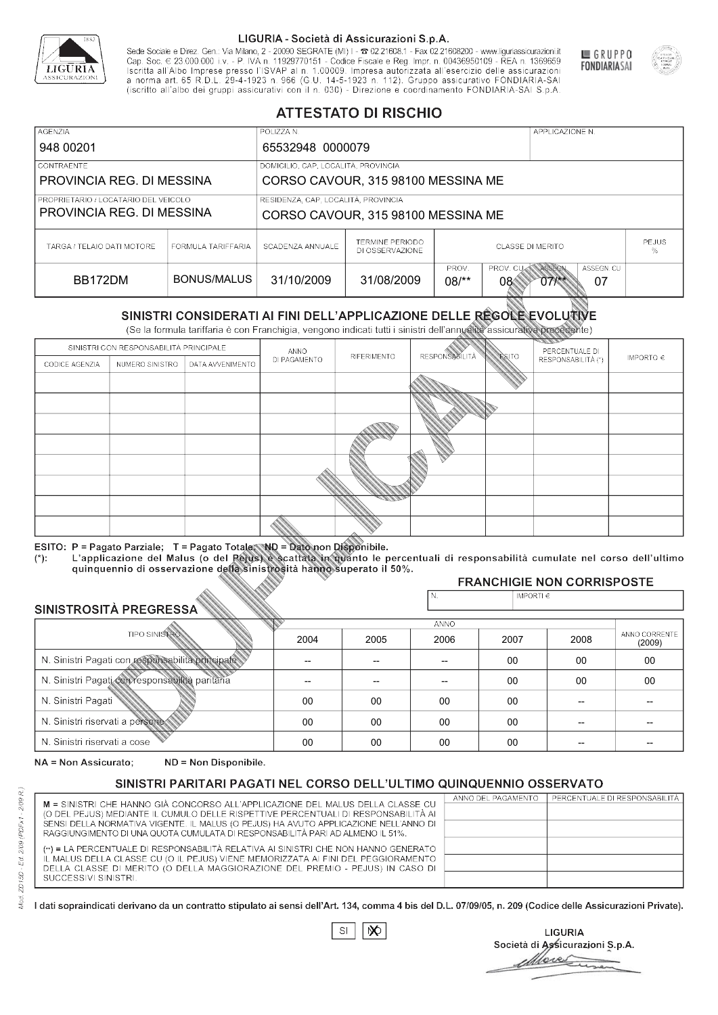

Sede Sociale e Direz. Gen.: Via Milano, 2 - 20090 SEGRATE (MI) I - 2 02.21608.1 - Fax 02.21608200 - www.liguriassicurazioni.it Cap. Soc.  $\in$  23.000.000 i.v. - P. IVA n. 11929770151 - Codice Fiscale e Reg. Impr. n. 00436950109 - REA n. 1369659<br>Iscritta all'Albo Imprese presso l'ISVAP al n. 1.00009. Impresa autorizzata all'esercizio delle assicura d homa art. 65 K.D.L. 29-4-1923 ft. 900 (G.O. 14-5-1923 ft. 112). Gruppo assicurativo PONDIARIA-SAI S.p.A



GRUPPO

**FONDIARIASAI** 

# **ATTESTATO DI RISCHIO**

| <b>AGENZIA</b>                       |                    | POLIZZA N.                          |                                           | APPLICAZIONE N.                         |                                                             |  |  |  |
|--------------------------------------|--------------------|-------------------------------------|-------------------------------------------|-----------------------------------------|-------------------------------------------------------------|--|--|--|
| 948 00201                            |                    | 65532948 0000079                    |                                           |                                         |                                                             |  |  |  |
| LCONTRAENTE.                         |                    |                                     | DOMICILIO, CAP, LOCALITÀ, PROVINCIA       |                                         |                                                             |  |  |  |
| PROVINCIA REG. DI MESSINA            |                    |                                     | CORSO CAVOUR, 315 98100 MESSINA ME        |                                         |                                                             |  |  |  |
| PROPRIETARIO / LOCATARIO DEL VEICOLO |                    | RESIDENZA, CAP, LOCALITÀ, PROVINCIA |                                           |                                         |                                                             |  |  |  |
| PROVINCIA REG. DI MESSINA            |                    | CORSO CAVOUR, 315 98100 MESSINA ME  |                                           |                                         |                                                             |  |  |  |
| TARGA / TELAIO DATI MOTORE           | FORMULA TARIFFARIA | SCADENZA ANNUALE                    | <b>TERMINE PERIODO</b><br>DI OSSERVAZIONE | <b>PEJUS</b><br><b>CLASSE DI MERITO</b> |                                                             |  |  |  |
| BB172DM                              | BONUS/MALUS        | 31/10/2009                          | 31/08/2009                                | PROV.<br>$08$ /**<br>08                 | ASSEGN. CU<br>PROV. CUAN ASSEGN<br>07<br>$07$ $\frac{1}{2}$ |  |  |  |

|                                 |                      |                                                                                                                                                                                                      |              | DI OSSERVAZIONE |                          |                |                                        | %             |
|---------------------------------|----------------------|------------------------------------------------------------------------------------------------------------------------------------------------------------------------------------------------------|--------------|-----------------|--------------------------|----------------|----------------------------------------|---------------|
| BB172DM                         |                      | <b>BONUS/MALUS</b>                                                                                                                                                                                   | 31/10/2009   | 31/08/2009      | PROV.<br>$08/*$          | PROV. CU<br>08 | ASSEGN<br>ASSEGN. CU<br>$07/***$<br>07 |               |
|                                 |                      | SINISTRI CONSIDERATI AI FINI DELL'APPLICAZIONE DELLE REGOLE EVOLUTIVE<br>(Se la formula tariffaria è con Franchigia, vengono indicati tutti i sinistri dell'annualità assicurativa precedente)       |              |                 |                          |                |                                        |               |
|                                 |                      | SINISTRI CON RESPONSABILITÀ PRINCIPALE                                                                                                                                                               | ANNO         |                 |                          |                | PERCENTUALE DI                         |               |
| CODICE AGENZIA                  | NUMERO SINISTRO      | DATA AVVENIMENTO                                                                                                                                                                                     | DI PAGAMENTO | RIFERIMENTO     | <b>RESPONSABLITÀ</b>     | <b>ESITO</b>   | RESPONSABILITÀ (*)                     | IMPORTO $\in$ |
|                                 |                      |                                                                                                                                                                                                      |              |                 |                          |                |                                        |               |
|                                 |                      |                                                                                                                                                                                                      |              |                 |                          |                |                                        |               |
|                                 |                      |                                                                                                                                                                                                      |              |                 |                          |                |                                        |               |
|                                 |                      |                                                                                                                                                                                                      |              |                 |                          |                |                                        |               |
|                                 |                      |                                                                                                                                                                                                      |              |                 |                          |                |                                        |               |
|                                 |                      |                                                                                                                                                                                                      |              |                 |                          |                |                                        |               |
|                                 |                      |                                                                                                                                                                                                      |              |                 |                          |                |                                        |               |
|                                 |                      |                                                                                                                                                                                                      |              |                 |                          |                |                                        |               |
|                                 |                      |                                                                                                                                                                                                      |              |                 |                          |                |                                        |               |
|                                 |                      | ESITO: P = Pagato Parziale; T = Pagato Totale; ND = Dato non Disponibile.                                                                                                                            |              |                 |                          |                |                                        |               |
| $(*)$ .                         |                      | L'applicazione del Malus (o del Pejus) è scattata in quanto le percentuali di responsabilità cumulate nel corso dell'ultimo<br>quinquennio di osservazione della sinistrosità hanno superato il 50%. |              |                 |                          |                |                                        |               |
|                                 |                      |                                                                                                                                                                                                      |              |                 |                          |                | <b>FRANCHIGIE NON CORRISPOSTE</b>      |               |
|                                 |                      |                                                                                                                                                                                                      |              |                 | N.                       | IMPORTI€       |                                        |               |
| SINISTROSITÀ PREGRESSA          |                      |                                                                                                                                                                                                      |              |                 | <b>ANNO</b>              |                |                                        |               |
|                                 | <b>TIPO SINISTRO</b> |                                                                                                                                                                                                      | 2004         | 2005            | 2006                     | 2007           | 2008                                   | ANNO CORRENTE |
|                                 |                      | N. Sinistri Pagati con responsabilità principale                                                                                                                                                     |              | --              | $\overline{\phantom{a}}$ | 00             | 00                                     | (2009)<br>00  |
|                                 |                      |                                                                                                                                                                                                      |              |                 |                          |                |                                        |               |
|                                 |                      | N. Sinistri Pagati con responsabilità paritaria                                                                                                                                                      |              |                 |                          | 00             | 00                                     | 00            |
| N. Sinistri Pagati              |                      |                                                                                                                                                                                                      | 00           | 00              | 00                       | 00             |                                        |               |
| N. Sinistri riservati a persone |                      |                                                                                                                                                                                                      | 00           | 00              | 00                       | $00 \,$        |                                        |               |
| N. Sinjetri riconvoti a coco    |                      |                                                                                                                                                                                                      | $\cap$       | $\cap$          | $\sim$                   | $\cap$         |                                        |               |

### 2005 -- --  $0<sup>0</sup>$ 00 00 2004 -- --  $0<sup>0</sup>$ 00 00 2006 -- -- 00 00 00 2007 00 00 00 00 00 2008 00 00 -- -- -- 00 00 -- -- -- (2009)

NA = Non Assicurato: ND = Non Disponibile.

# SINISTRI PARITARI PAGATI NEL CORSO DELL'ULTIMO QUINQUENNIO OSSERVATO

|                                                                                                                                                                      | ANNO DEL PAGAMENTO | PERCENTUALE DI RESPONSABILITÀ |
|----------------------------------------------------------------------------------------------------------------------------------------------------------------------|--------------------|-------------------------------|
| M = SINISTRI CHE HANNO GIÀ CONCORSO ALL'APPLICAZIONE DEL MALUS DELLA CLASSE CU<br>(O DEL PEJUS) MEDIANTE IL CUMULO DELLE RISPETTIVE PERCENTUALI DI RESPONSABILITÀ AI |                    |                               |
| SENSI DELLA NORMATIVA VIGENTE. IL MALUS (O PEJUS) HA AVUTO APPLICAZIONE NELL'ANNO DI                                                                                 |                    |                               |
| RAGGIUNGIMENTO DI UNA QUOTA CUMULATA DI RESPONSABILITÀ PARI AD ALMENO IL 51%.                                                                                        |                    |                               |
|                                                                                                                                                                      |                    |                               |
| (**) = LA PERCENTUALE DI RESPONSABILITÀ RELATIVA AI SINISTRI CHE NON HANNO GENERATO                                                                                  |                    |                               |
| IL MALUS DELLA CLASSE CU (O IL PEJUS) VIENE MEMORIZZATA AI FINI DEL PEGGIORAMENTO                                                                                    |                    |                               |
| DELLA CLASSE DI MERITO (O DELLA MAGGIORAZIONE DEL PREMIO - PEJUS) IN CASO DI                                                                                         |                    |                               |
| SUCCESSIVI SINISTRI.                                                                                                                                                 |                    |                               |
|                                                                                                                                                                      |                    |                               |

 $\mathbb{S}\mathsf{I}$  $\infty$ 

**LIGURIA** Società di Assicurazioni S.p.A. Move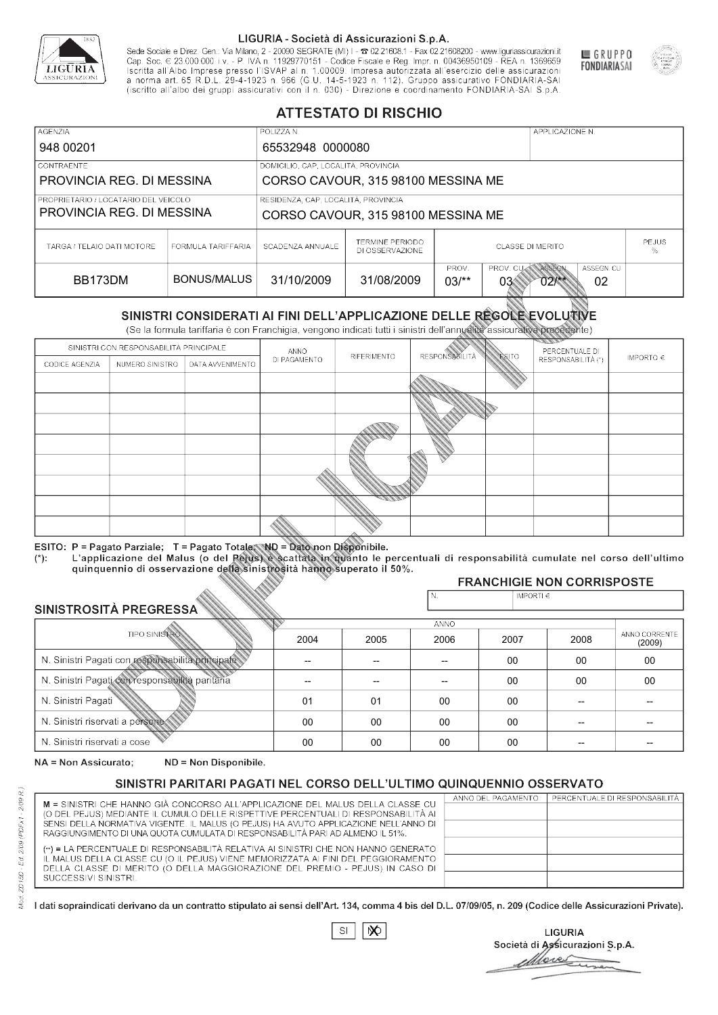

Sede Sociale e Direz. Gen.: Via Milano, 2 - 20090 SEGRATE (MI) I - 2 02.21608.1 - Fax 02.21608200 - www.liguriassicurazioni.it Cap. Soc.  $\in$  23.000.000 i.v. - P. IVA n. 11929770151 - Codice Fiscale e Reg. Impr. n. 00436950109 - REA n. 1369659<br>Iscritta all'Albo Imprese presso l'ISVAP al n. 1.00009. Impresa autorizzata all'esercizio delle assicura d homa art. 65 K.D.L. 29-4-1923 ft. 900 (G.O. 14-5-1923 ft. 112). Gruppo assicurativo PONDIARIA-SAI S.p.A



GRUPPO

**FONDIARIASAI** 

# **ATTESTATO DI RISCHIO**

| <b>AGENZIA</b>                       |                    | POLIZZA N.                          |                                    |                                                                                       |  | APPLICAZIONE N. |              |  |
|--------------------------------------|--------------------|-------------------------------------|------------------------------------|---------------------------------------------------------------------------------------|--|-----------------|--------------|--|
| 948 00201                            |                    |                                     | 65532948 0000080                   |                                                                                       |  |                 |              |  |
| CONTRAENTE                           |                    | DOMICILIO, CAP, LOCALITÀ, PROVINCIA |                                    |                                                                                       |  |                 |              |  |
| PROVINCIA REG. DI MESSINA            |                    |                                     | CORSO CAVOUR, 315 98100 MESSINA ME |                                                                                       |  |                 |              |  |
| PROPRIETARIO / LOCATARIO DEL VEICOLO |                    | RESIDENZA, CAP, LOCALITÀ, PROVINCIA |                                    |                                                                                       |  |                 |              |  |
| PROVINCIA REG. DI MESSINA            |                    | CORSO CAVOUR, 315 98100 MESSINA ME  |                                    |                                                                                       |  |                 |              |  |
| TARGA / TELAIO DATI MOTORE           | FORMULA TARIFFARIA | SCADENZA ANNUALE                    | TERMINE PERIODO<br>DI OSSERVAZIONE | CLASSE DI MERITO<br>%                                                                 |  |                 | <b>PEJUS</b> |  |
| BB173DM                              | BONUS/MALUS        | 31/10/2009                          | 31/08/2009                         | ASSEGN<br>ASSEGN. CU<br>PROV.<br>PROV. CU<br>$03/*$<br>03<br>02<br>$02$ $\frac{1}{2}$ |  |                 |              |  |

|                                 |                      |                                                                                                                                                                                                      |              | DI OSSERVAZIONE |                      |                |                                        | %                       |
|---------------------------------|----------------------|------------------------------------------------------------------------------------------------------------------------------------------------------------------------------------------------------|--------------|-----------------|----------------------|----------------|----------------------------------------|-------------------------|
| BB173DM                         |                      | <b>BONUS/MALUS</b>                                                                                                                                                                                   | 31/10/2009   | 31/08/2009      | PROV.<br>$03/*$      | PROV. CU<br>03 | ASSEGN<br>ASSEGN, CU<br>$02$ /**<br>02 |                         |
|                                 |                      | SINISTRI CONSIDERATI AI FINI DELL'APPLICAZIONE DELLE RÉGOLE EVOLUTIVE<br>(Se la formula tariffaria è con Franchigia, vengono indicati tutti i sinistri dell'annualità assicurativa precedente)       |              |                 |                      |                |                                        |                         |
|                                 |                      | SINISTRI CON RESPONSABILITÀ PRINCIPALE                                                                                                                                                               | ANNO         |                 |                      |                | PERCENTUALE DI                         |                         |
| CODICE AGENZIA                  | NUMERO SINISTRO      | DATA AVVENIMENTO                                                                                                                                                                                     | DI PAGAMENTO | RIFERIMENTO     | <b>RESPONSABLITA</b> | <b>ESITO</b>   | RESPONSABILITÀ (*)                     | IMPORTO $\in$           |
|                                 |                      |                                                                                                                                                                                                      |              |                 |                      |                |                                        |                         |
|                                 |                      |                                                                                                                                                                                                      |              |                 |                      |                |                                        |                         |
|                                 |                      |                                                                                                                                                                                                      |              |                 |                      |                |                                        |                         |
|                                 |                      |                                                                                                                                                                                                      |              |                 |                      |                |                                        |                         |
|                                 |                      |                                                                                                                                                                                                      |              |                 |                      |                |                                        |                         |
|                                 |                      |                                                                                                                                                                                                      |              |                 |                      |                |                                        |                         |
|                                 |                      |                                                                                                                                                                                                      |              |                 |                      |                |                                        |                         |
|                                 |                      |                                                                                                                                                                                                      |              |                 |                      |                |                                        |                         |
|                                 |                      |                                                                                                                                                                                                      |              |                 |                      |                |                                        |                         |
|                                 |                      | ESITO: P = Pagato Parziale; T = Pagato Totale; ND = Dato non Disponibile.                                                                                                                            |              |                 |                      |                |                                        |                         |
| $(*)$ .                         |                      | L'applicazione del Malus (o del Pejus) è scattata in quanto le percentuali di responsabilità cumulate nel corso dell'ultimo<br>quinquennio di osservazione della sinistrosità hanno superato il 50%. |              |                 |                      |                |                                        |                         |
|                                 |                      |                                                                                                                                                                                                      |              |                 |                      |                | <b>FRANCHIGIE NON CORRISPOSTE</b>      |                         |
|                                 |                      |                                                                                                                                                                                                      |              |                 | N.                   | IMPORTI $\in$  |                                        |                         |
| SINISTROSITÀ PREGRESSA          |                      |                                                                                                                                                                                                      |              |                 | <b>ANNO</b>          |                |                                        |                         |
|                                 | <b>TIPO SINISTRO</b> |                                                                                                                                                                                                      | 2004         | 2005            | 2006                 | 2007           | 2008                                   | ANNO CORRENTE<br>(2009) |
|                                 |                      | N. Sinistri Pagati con responsabilità principale                                                                                                                                                     | --           | --              | $\overline{a}$       | 00             | 00                                     | 00                      |
|                                 |                      | N. Sinistri Pagati con responsabilità paritaria                                                                                                                                                      |              |                 |                      | 00             | 00                                     | 00                      |
| N. Sinistri Pagati              |                      |                                                                                                                                                                                                      | 01           | 01              | 00                   | 00             | --                                     |                         |
| N. Sinistri riservati a persone |                      |                                                                                                                                                                                                      | 00           | $00\,$          | 00                   | 00             |                                        |                         |
| N. Sinjetri riconvoti a coco    |                      |                                                                                                                                                                                                      | $\cap$       | $\cap$          | $\cap$               | $\sim$         |                                        |                         |

### 2005 -- -- 01 00 00 2004 -- -- 01 00 00 2006 -- -- 00 00 00 2007 00 00 00 00 00 2008 00 00 -- -- -- 00 00 -- -- -- (2009)

NA = Non Assicurato: ND = Non Disponibile.

# SINISTRI PARITARI PAGATI NEL CORSO DELL'ULTIMO QUINQUENNIO OSSERVATO

|                                                                                      | ANNO DEL PAGAMENTO | PERCENTUALE DI RESPONSABILITÀ |
|--------------------------------------------------------------------------------------|--------------------|-------------------------------|
| M = SINISTRI CHE HANNO GIÀ CONCORSO ALL'APPLICAZIONE DEL MALUS DELLA CLASSE CU       |                    |                               |
| (O DEL PEJUS) MEDIANTE IL CUMULO DELLE RISPETTIVE PERCENTUALI DI RESPONSABILITÀ AI   |                    |                               |
| SENSI DELLA NORMATIVA VIGENTE. IL MALUS (O PEJUS) HA AVUTO APPLICAZIONE NELL'ANNO DI |                    |                               |
| RAGGIUNGIMENTO DI UNA QUOTA CUMULATA DI RESPONSABILITÀ PARI AD ALMENO IL 51%.        |                    |                               |
| (**) = LA PERCENTUALE DI RESPONSABILITÀ RELATIVA AI SINISTRI CHE NON HANNO GENERATO  |                    |                               |
| IL MALUS DELLA CLASSE CU (O IL PEJUS) VIENE MEMORIZZATA AI FINI DEL PEGGIORAMENTO    |                    |                               |
| DELLA CLASSE DI MERITO (O DELLA MAGGIORAZIONE DEL PREMIO - PEJUS) IN CASO DI         |                    |                               |
| SUCCESSIVI SINISTRI.                                                                 |                    |                               |
|                                                                                      |                    |                               |

 $\mathbb{S}\mathsf{I}$  $\infty$ 

**LIGURIA** Società di Assicurazioni S.p.A. Move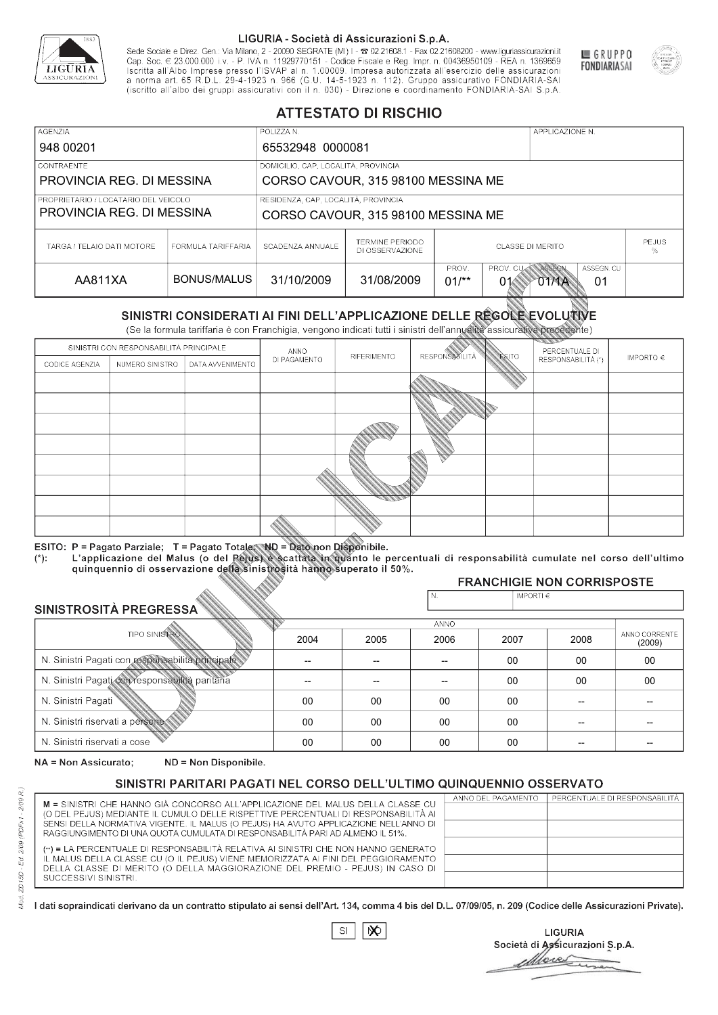

Sede Sociale e Direz. Gen.: Via Milano, 2 - 20090 SEGRATE (MI) I - 2 02.21608.1 - Fax 02.21608200 - www.liguriassicurazioni.it Sede e Direz, Gen. Via Milanto, 2 - 20090 SEGATE (MI) I - 2 UZZIODO. I - FAX UZZIODO2 I - WWW. IIJONENSURIADONILI<br>Cap. Soc. € 23.000.000 i.v. - P. IVA n. 11929770151 - Codice Fiscale e Reg. Impr. n. 00436950109 - REA n. 1



GRUPPO

**FONDIARIASAI** 

# **ATTESTATO DI RISCHIO**

| <b>AGENZIA</b>                       |                    | POLIZZA N.                          |                                           |                                                                       |  | APPLICAZIONE N. |                   |  |
|--------------------------------------|--------------------|-------------------------------------|-------------------------------------------|-----------------------------------------------------------------------|--|-----------------|-------------------|--|
| 948 00201                            |                    | 65532948 0000081                    |                                           |                                                                       |  |                 |                   |  |
| LCONTRAENTE.                         |                    |                                     | DOMICILIO, CAP, LOCALITÀ, PROVINCIA       |                                                                       |  |                 |                   |  |
| PROVINCIA REG. DI MESSINA            |                    |                                     | CORSO CAVOUR, 315 98100 MESSINA ME        |                                                                       |  |                 |                   |  |
| PROPRIETARIO / LOCATARIO DEL VEICOLO |                    | RESIDENZA, CAP, LOCALITÀ, PROVINCIA |                                           |                                                                       |  |                 |                   |  |
| PROVINCIA REG. DI MESSINA            |                    | CORSO CAVOUR, 315 98100 MESSINA ME  |                                           |                                                                       |  |                 |                   |  |
| TARGA / TELAIO DATI MOTORE           | FORMULA TARIFFARIA | SCADENZA ANNUALE                    | <b>TERMINE PERIODO</b><br>DI OSSERVAZIONE | CLASSE DI MERITO                                                      |  |                 | <b>PEJUS</b><br>℅ |  |
| AA811XA                              | BONUS/MALUS        | 31/10/2009                          | 31/08/2009                                | PROV. CUM ASSEGN<br>PROV.<br>ASSEGN. CU<br>$01/*$<br>01<br>01<br>01MA |  |                 |                   |  |

|                                 |                      |                                                                                                                                                                                                      |              | DI OSSERVAZIONE |                      |                |                                           | %                       |
|---------------------------------|----------------------|------------------------------------------------------------------------------------------------------------------------------------------------------------------------------------------------------|--------------|-----------------|----------------------|----------------|-------------------------------------------|-------------------------|
| AA811XA                         |                      | <b>BONUS/MALUS</b>                                                                                                                                                                                   | 31/10/2009   | 31/08/2009      | PROV.<br>$01/*$      | PROV. CU<br>01 | ASSEGN<br>ASSEGN. CU<br><b>OTMA</b><br>01 |                         |
|                                 |                      | SINISTRI CONSIDERATI AI FINI DELL'APPLICAZIONE DELLE RÉGOLE EVOLUTIVE<br>(Se la formula tariffaria è con Franchigia, vengono indicati tutti i sinistri dell'annualità assicurativa precedente)       |              |                 |                      |                |                                           |                         |
|                                 |                      | SINISTRI CON RESPONSABILITÀ PRINCIPALE                                                                                                                                                               | ANNO         |                 |                      |                | PERCENTUALE DI                            |                         |
| CODICE AGENZIA                  | NUMERO SINISTRO      | DATA AVVENIMENTO                                                                                                                                                                                     | DI PAGAMENTO | RIFERIMENTO     | <b>RESPONSABLITA</b> | <b>ESITO</b>   | RESPONSABILITÀ (*)                        | IMPORTO $\in$           |
|                                 |                      |                                                                                                                                                                                                      |              |                 |                      |                |                                           |                         |
|                                 |                      |                                                                                                                                                                                                      |              |                 |                      |                |                                           |                         |
|                                 |                      |                                                                                                                                                                                                      |              |                 |                      |                |                                           |                         |
|                                 |                      |                                                                                                                                                                                                      |              |                 |                      |                |                                           |                         |
|                                 |                      |                                                                                                                                                                                                      |              |                 |                      |                |                                           |                         |
|                                 |                      |                                                                                                                                                                                                      |              |                 |                      |                |                                           |                         |
|                                 |                      |                                                                                                                                                                                                      |              |                 |                      |                |                                           |                         |
|                                 |                      |                                                                                                                                                                                                      |              |                 |                      |                |                                           |                         |
|                                 |                      |                                                                                                                                                                                                      |              |                 |                      |                |                                           |                         |
|                                 |                      | ESITO: P = Pagato Parziale; T = Pagato Totale; ND = Dato non Disponibile.                                                                                                                            |              |                 |                      |                |                                           |                         |
| $(*)$ .                         |                      | L'applicazione del Malus (o del Pejus) è scattata in quanto le percentuali di responsabilità cumulate nel corso dell'ultimo<br>quinquennio di osservazione della sinistrosità hanno superato il 50%. |              |                 |                      |                |                                           |                         |
|                                 |                      |                                                                                                                                                                                                      |              |                 |                      |                | <b>FRANCHIGIE NON CORRISPOSTE</b>         |                         |
|                                 |                      |                                                                                                                                                                                                      |              |                 | N.                   | IMPORTI $\in$  |                                           |                         |
| SINISTROSITÀ PREGRESSA          |                      |                                                                                                                                                                                                      |              |                 | <b>ANNO</b>          |                |                                           |                         |
|                                 | <b>TIPO SINISTRO</b> |                                                                                                                                                                                                      | 2004         | 2005            | 2006                 | 2007           | 2008                                      | ANNO CORRENTE<br>(2009) |
|                                 |                      | N. Sinistri Pagati con responsabilità principale                                                                                                                                                     | --           | --              | $\overline{a}$       | 00             | 00                                        | 00                      |
|                                 |                      | N. Sinistri Pagati con responsabilità paritaria                                                                                                                                                      |              |                 |                      | 00             | 00                                        | 00                      |
| N. Sinistri Pagati              |                      |                                                                                                                                                                                                      | 00           | 00              | 00                   | 00             | --                                        |                         |
| N. Sinistri riservati a persone |                      |                                                                                                                                                                                                      | 00           | 00              | 00                   | 00             |                                           |                         |
| N. Sinjetri riconvoti a coco    |                      |                                                                                                                                                                                                      | $\cap$       | $\cap$          | $\cap$               | $\sim$         |                                           |                         |

### 2005 -- --  $0<sup>0</sup>$ 00 00 2004 -- --  $0<sup>0</sup>$ 00 00 2006 -- -- 00 00 00 2007 00 00 00 00 00 2008 00 00 -- -- -- 00 00 -- -- -- (2009)

NA = Non Assicurato: ND = Non Disponibile.

# SINISTRI PARITARI PAGATI NEL CORSO DELL'ULTIMO QUINQUENNIO OSSERVATO

|                                                                                      | ANNO DEL PAGAMENTO | PERCENTUALE DI RESPONSABILITÀ |
|--------------------------------------------------------------------------------------|--------------------|-------------------------------|
| M = SINISTRI CHE HANNO GIÀ CONCORSO ALL'APPLICAZIONE DEL MALUS DELLA CLASSE CU       |                    |                               |
| (O DEL PEJUS) MEDIANTE IL CUMULO DELLE RISPETTIVE PERCENTUALI DI RESPONSABILITÀ AI   |                    |                               |
| SENSI DELLA NORMATIVA VIGENTE. IL MALUS (O PEJUS) HA AVUTO APPLICAZIONE NELL'ANNO DI |                    |                               |
| RAGGIUNGIMENTO DI UNA QUOTA CUMULATA DI RESPONSABILITÀ PARI AD ALMENO IL 51%.        |                    |                               |
|                                                                                      |                    |                               |
| (**) = LA PERCENTUALE DI RESPONSABILITÀ RELATIVA AI SINISTRI CHE NON HANNO GENERATO  |                    |                               |
| IL MALUS DELLA CLASSE CU (O IL PEJUS) VIENE MEMORIZZATA AI FINI DEL PEGGIORAMENTO    |                    |                               |
| DELLA CLASSE DI MERITO (O DELLA MAGGIORAZIONE DEL PREMIO - PEJUS) IN CASO DI         |                    |                               |
| SUCCESSIVI SINISTRI.                                                                 |                    |                               |
|                                                                                      |                    |                               |

 $\mathbb{S}\mathsf{I}$  $\infty$ 

**LIGURIA** Società di Assicurazioni S.p.A. Mores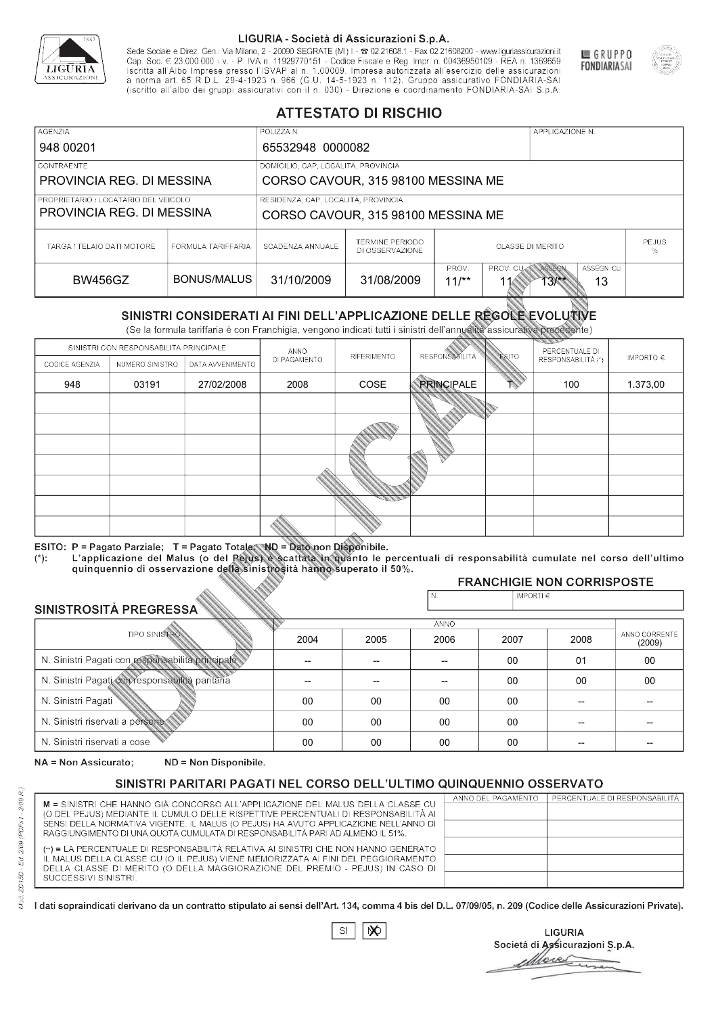

Sede Sociale e Direz. Gen.: Via Milano, 2 - 20090 SEGRATE (MI) I - 2 02.21608.1 - Fax 02.21608200 - www.liguriassicurazioni.it Sede e Direz, Gen. Via Milanto, 2 - 20090 SEGATE (MI) I - 2 UZZIODO. I - FAX UZZIODO2 I - WWW. IIJONENSURIADONILI<br>Cap. Soc. € 23.000.000 i.v. - P. IVA n. 11929770151 - Codice Fiscale e Reg. Impr. n. 00436950109 - REA n. 1



GRUPPO

**FONDIARIASAI** 

# **ATTESTATO DI RISCHIO**

| <b>AGENZIA</b>                       |                    | POLIZZA N.                          |                                           |                  |                  | APPLICAZIONE N. |                   |  |
|--------------------------------------|--------------------|-------------------------------------|-------------------------------------------|------------------|------------------|-----------------|-------------------|--|
| 948 00201                            |                    | 65532948 0000082                    |                                           |                  |                  |                 |                   |  |
| CONTRAENTE                           |                    | DOMICILIO, CAP, LOCALITÀ, PROVINCIA |                                           |                  |                  |                 |                   |  |
| PROVINCIA REG. DI MESSINA            |                    |                                     | CORSO CAVOUR, 315 98100 MESSINA ME        |                  |                  |                 |                   |  |
| PROPRIETARIO / LOCATARIO DEL VEICOLO |                    | RESIDENZA, CAP, LOCALITÀ, PROVINCIA |                                           |                  |                  |                 |                   |  |
| PROVINCIA REG. DI MESSINA            |                    |                                     | CORSO CAVOUR, 315 98100 MESSINA ME        |                  |                  |                 |                   |  |
| TARGA / TELAIO DATI MOTORE           | FORMULA TARIFFARIA | SCADENZA ANNUALE                    | <b>TERMINE PERIODO</b><br>DI OSSERVAZIONE | CLASSE DI MERITO |                  |                 | <b>PEJUS</b><br>% |  |
|                                      |                    |                                     |                                           | PROV.            | PROV. CUM ASSEGN |                 | ASSEGN. CU        |  |
| <b>BW456GZ</b>                       | BONUS/MALUS        | 31/10/2009                          | 31/08/2009                                | $11/*$           |                  | $13*$           | 13                |  |

|                                 |                                        |                                                                                                                                                                                                      |              | DI OSSERVAZIONE |                       |                |                                     | %                       |
|---------------------------------|----------------------------------------|------------------------------------------------------------------------------------------------------------------------------------------------------------------------------------------------------|--------------|-----------------|-----------------------|----------------|-------------------------------------|-------------------------|
| <b>BW456GZ</b>                  |                                        | <b>BONUS/MALUS</b>                                                                                                                                                                                   | 31/10/2009   | 31/08/2009      | PROV.<br>$11/*$       | PROV. CU<br>11 | ASSEGN<br>ASSEGN. CU<br>13/11<br>13 |                         |
|                                 |                                        | SINISTRI CONSIDERATI AI FINI DELL'APPLICAZIONE DELLE RÉGOLE EVOLUTIVE<br>(Se la formula tariffaria è con Franchigia, vengono indicati tutti i sinistri dell'annualità assicurativa precedente)       |              |                 |                       |                |                                     |                         |
|                                 | SINISTRI CON RESPONSABILITÀ PRINCIPALE |                                                                                                                                                                                                      | ANNO         |                 |                       |                | PERCENTUALE DI                      |                         |
| CODICE AGENZIA                  | NUMERO SINISTRO                        | DATA AVVENIMENTO                                                                                                                                                                                     | DI PAGAMENTO | RIFERIMENTO     | <b>RESPONSABILITÀ</b> | <b>ESITO</b>   | RESPONSABILITÀ (*)                  | IMPORTO $\in$           |
| 948                             | 03191                                  | 27/02/2008                                                                                                                                                                                           | 2008         | COSE            | <b>PRINCIPALE</b>     |                | 100                                 | 1.373,00                |
|                                 |                                        |                                                                                                                                                                                                      |              |                 |                       |                |                                     |                         |
|                                 |                                        |                                                                                                                                                                                                      |              |                 |                       |                |                                     |                         |
|                                 |                                        |                                                                                                                                                                                                      |              |                 |                       |                |                                     |                         |
|                                 |                                        |                                                                                                                                                                                                      |              |                 |                       |                |                                     |                         |
|                                 |                                        |                                                                                                                                                                                                      |              |                 |                       |                |                                     |                         |
|                                 |                                        |                                                                                                                                                                                                      |              |                 |                       |                |                                     |                         |
|                                 |                                        |                                                                                                                                                                                                      |              |                 |                       |                |                                     |                         |
|                                 |                                        | ESITO: P = Pagato Parziale; T = Pagato Totale; ND = Dato non Disponibile.                                                                                                                            |              |                 |                       |                |                                     |                         |
| $(*)$ .                         |                                        | L'applicazione del Malus (o del Pejus) è scattata in quanto le percentuali di responsabilità cumulate nel corso dell'ultimo<br>quinquennio di osservazione della sinistrosità hanno superato il 50%. |              |                 |                       |                |                                     |                         |
|                                 |                                        |                                                                                                                                                                                                      |              |                 |                       |                | <b>FRANCHIGIE NON CORRISPOSTE</b>   |                         |
|                                 |                                        |                                                                                                                                                                                                      |              |                 | N.                    | IMPORTI€       |                                     |                         |
| SINISTROSITÀ PREGRESSA          |                                        |                                                                                                                                                                                                      |              |                 |                       |                |                                     |                         |
|                                 | <b>TIPO SINISTRO</b>                   |                                                                                                                                                                                                      | 2004         | 2005            | <b>ANNO</b><br>2006   | 2007           | 2008                                | ANNO CORRENTE<br>(2009) |
|                                 |                                        | N. Sinistri Pagati con responsabilità principale<br>00<br>01<br>--<br>$-$<br>$-$                                                                                                                     |              |                 |                       | 00             |                                     |                         |
|                                 |                                        | N. Sinistri Pagati con responsabilità paritaria<br>00<br>00                                                                                                                                          |              |                 |                       | 00             |                                     |                         |
| N. Sinistri Pagati              |                                        |                                                                                                                                                                                                      | 00           | 00              | 00                    | 00             |                                     |                         |
| N. Sinistri riservati a persone |                                        |                                                                                                                                                                                                      | 00           | 00              | 00                    | $00 \,$        |                                     |                         |
| N. Sinjetri riconvoti a coco    |                                        |                                                                                                                                                                                                      | $\cap$       | $\cap$          | $\cap$                | $\cap$         |                                     |                         |

### 2005 -- --  $0<sup>0</sup>$ 00 00 2004 -- --  $0<sup>0</sup>$ 00 00 2006 -- -- 00 00 00 2007 00 00 00 00 00 2008 01 00 -- -- -- 00 00 -- -- -- (2009)

NA = Non Assicurato: ND = Non Disponibile.

# SINISTRI PARITARI PAGATI NEL CORSO DELL'ULTIMO QUINQUENNIO OSSERVATO

|                                                                                                                                                                      | ANNO DEL PAGAMENTO | PERCENTUALE DI RESPONSABILITÀ |
|----------------------------------------------------------------------------------------------------------------------------------------------------------------------|--------------------|-------------------------------|
| M = SINISTRI CHE HANNO GIÀ CONCORSO ALL'APPLICAZIONE DEL MALUS DELLA CLASSE CU<br>(O DEL PEJUS) MEDIANTE IL CUMULO DELLE RISPETTIVE PERCENTUALI DI RESPONSABILITÀ AI |                    |                               |
| SENSI DELLA NORMATIVA VIGENTE. IL MALUS (O PEJUS) HA AVUTO APPLICAZIONE NELL'ANNO DI                                                                                 |                    |                               |
|                                                                                                                                                                      |                    |                               |
| RAGGIUNGIMENTO DI UNA QUOTA CUMULATA DI RESPONSABILITÀ PARI AD ALMENO IL 51%.                                                                                        |                    |                               |
| (**) = LA PERCENTUALE DI RESPONSABILITÀ RELATIVA AI SINISTRI CHE NON HANNO GENERATO                                                                                  |                    |                               |
| IL MALUS DELLA CLASSE CU (O IL PEJUS) VIENE MEMORIZZATA AI FINI DEL PEGGIORAMENTO                                                                                    |                    |                               |
| DELLA CLASSE DI MERITO (O DELLA MAGGIORAZIONE DEL PREMIO - PEJUS) IN CASO DI                                                                                         |                    |                               |
| SUCCESSIVI SINISTRI.                                                                                                                                                 |                    |                               |
|                                                                                                                                                                      |                    |                               |

 $\mathbb{S}\mathsf{I}$  $\infty$ 

**LIGURIA** Società di Assicurazioni S.p.A. bres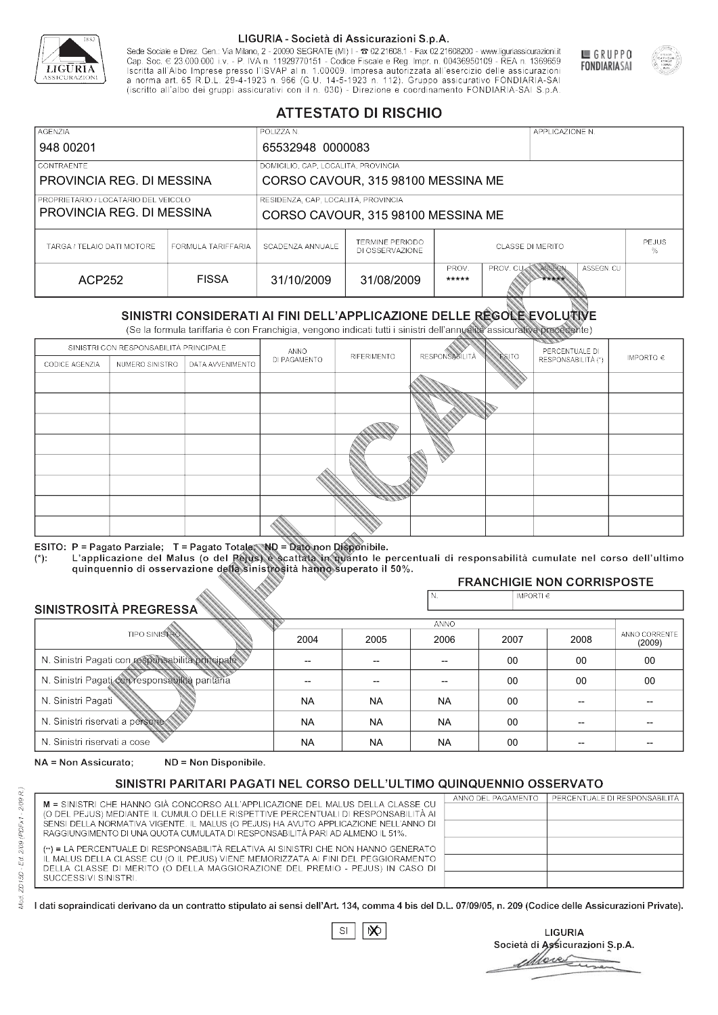

Sede Sociale e Direz. Gen.: Via Milano, 2 - 20090 SEGRATE (MI) I - 2 02.21608.1 - Fax 02.21608200 - www.liguriassicurazioni.it Cap. Soc.  $\in$  23.000.000 i.v. - P. IVA n. 11929770151 - Codice Fiscale e Reg. Impr. n. 00436950109 - REA n. 1369659<br>Iscritta all'Albo Imprese presso l'ISVAP al n. 1.00009. Impresa autorizzata all'esercizio delle assicura (iscritto all'albo dei gruppi assicurativi con il n. 030) - Direzione e coordinamento FONDIARIA-SAI S.p.A



GRUPPO

**FONDIARIASAI** 

# **ATTESTATO DI RISCHIO**

| <b>AGENZIA</b>                         |                                    | POLIZZA N.                          |                                           | APPLICAZIONE N.  |                  |       |                   |  |
|----------------------------------------|------------------------------------|-------------------------------------|-------------------------------------------|------------------|------------------|-------|-------------------|--|
| 948 00201                              |                                    | 65532948 0000083                    |                                           |                  |                  |       |                   |  |
| <b>CONTRAENTE</b>                      |                                    | DOMICILIO, CAP, LOCALITÀ, PROVINCIA |                                           |                  |                  |       |                   |  |
| PROVINCIA REG. DI MESSINA              |                                    |                                     | CORSO CAVOUR, 315 98100 MESSINA ME        |                  |                  |       |                   |  |
| I PROPRIETARIO / LOCATARIO DEL VEICOLO |                                    | RESIDENZA, CAP, LOCALITÀ, PROVINCIA |                                           |                  |                  |       |                   |  |
| PROVINCIA REG. DI MESSINA              | CORSO CAVOUR, 315 98100 MESSINA ME |                                     |                                           |                  |                  |       |                   |  |
| TARGA / TELAIO DATI MOTORE             | FORMULA TARIFFARIA                 | SCADENZA ANNUALE                    | <b>TERMINE PERIODO</b><br>DI OSSERVAZIONE | CLASSE DI MERITO |                  |       | <b>PEJUS</b><br>℅ |  |
|                                        |                                    |                                     |                                           | PROV.            | PROV. CUM ASSEGN |       | ASSEGN. CU        |  |
| ACP252                                 | <b>FISSA</b>                       | 31/10/2009                          | 31/08/2009                                | *****            |                  | ***** |                   |  |

|                                  |                                                 |                                                                                                                                                                                                      |              | DI OSSERVAZIONE |                                      | 25 N 90 S 1 91 1 91 S 1 1 S |                                   | %             |  |
|----------------------------------|-------------------------------------------------|------------------------------------------------------------------------------------------------------------------------------------------------------------------------------------------------------|--------------|-----------------|--------------------------------------|-----------------------------|-----------------------------------|---------------|--|
| <b>ACP252</b>                    |                                                 | <b>FISSA</b>                                                                                                                                                                                         | 31/10/2009   | 31/08/2009      | PROV.<br>*****                       | PROV. CU                    | ASSEGN<br>ASSEGN. CU<br>*****     |               |  |
|                                  |                                                 | SINISTRI CONSIDERATI AI FINI DELL'APPLICAZIONE DELLE REGOLE EVOLUTIVE<br>(Se la formula tariffaria è con Franchigia, vengono indicati tutti i sinistri dell'annualità assicurativa precedente)       |              |                 |                                      |                             |                                   |               |  |
|                                  | SINISTRI CON RESPONSABILITÀ PRINCIPALE          |                                                                                                                                                                                                      | ANNO         |                 |                                      |                             | PERCENTUALE DI                    |               |  |
| CODICE AGENZIA                   | NUMERO SINISTRO                                 | DATA AVVENIMENTO                                                                                                                                                                                     | DI PAGAMENTO | RIFERIMENTO     | <b>RESPONSABLITÀ</b>                 | <b>ESITO</b>                | RESPONSABILITÀ (*)                | IMPORTO $\in$ |  |
|                                  |                                                 |                                                                                                                                                                                                      |              |                 |                                      |                             |                                   |               |  |
|                                  |                                                 |                                                                                                                                                                                                      |              |                 |                                      |                             |                                   |               |  |
|                                  |                                                 |                                                                                                                                                                                                      |              |                 |                                      |                             |                                   |               |  |
|                                  |                                                 |                                                                                                                                                                                                      |              |                 |                                      |                             |                                   |               |  |
|                                  |                                                 |                                                                                                                                                                                                      |              |                 |                                      |                             |                                   |               |  |
|                                  |                                                 |                                                                                                                                                                                                      |              |                 |                                      |                             |                                   |               |  |
|                                  |                                                 |                                                                                                                                                                                                      |              |                 |                                      |                             |                                   |               |  |
|                                  |                                                 |                                                                                                                                                                                                      |              |                 |                                      |                             |                                   |               |  |
|                                  |                                                 |                                                                                                                                                                                                      |              |                 |                                      |                             |                                   |               |  |
|                                  |                                                 | ESITO: P = Pagato Parziale; T = Pagato Totale; ND = Dato non Disponibile.                                                                                                                            |              |                 |                                      |                             |                                   |               |  |
| $(*)$ .                          |                                                 | L'applicazione del Malus (o del Pejus) è scattata in quanto le percentuali di responsabilità cumulate nel corso dell'ultimo<br>quinquennio di osservazione della sinistrosità hanno superato il 50%. |              |                 |                                      |                             |                                   |               |  |
|                                  |                                                 |                                                                                                                                                                                                      |              |                 |                                      |                             | <b>FRANCHIGIE NON CORRISPOSTE</b> |               |  |
|                                  |                                                 |                                                                                                                                                                                                      |              |                 | N.                                   | IMPORTI€                    |                                   |               |  |
| SINISTROSITÀ PREGRESSA           |                                                 |                                                                                                                                                                                                      |              |                 |                                      |                             |                                   |               |  |
|                                  | <b>TIPO SINISTRO</b>                            |                                                                                                                                                                                                      |              |                 | <b>ANNO</b>                          |                             |                                   | ANNO CORRENTE |  |
|                                  |                                                 |                                                                                                                                                                                                      | 2004         | 2005            | 2006                                 | 2007                        | 2008                              | (2009)        |  |
|                                  |                                                 | N. Sinistri Pagati con responsabilità principale                                                                                                                                                     |              | --              | 00<br>00<br>$\overline{\phantom{a}}$ |                             |                                   | 00            |  |
|                                  | N. Sinistri Pagati con responsabilità paritaria |                                                                                                                                                                                                      |              |                 |                                      | 00<br>00<br>00              |                                   |               |  |
| N. Sinistri Pagati               |                                                 |                                                                                                                                                                                                      | <b>NA</b>    | <b>NA</b>       | <b>NA</b>                            | 00                          |                                   |               |  |
| N. Sinistri riservati a persone- |                                                 |                                                                                                                                                                                                      | <b>NA</b>    | <b>NA</b>       | <b>NA</b>                            | $00 \,$                     |                                   |               |  |
| N. Sinjetri riconvoti a coco     |                                                 |                                                                                                                                                                                                      | <b>AIA</b>   | <b>AIA</b>      | <b>AIA</b>                           | $\cap$                      |                                   |               |  |

### 2005 -- -- NA NA NA 2004 -- -- NA NA NA 2006 -- -- NA NA NA 2007 00 00 00 00 00 2008 00 00 -- -- -- 00 00 -- -- -- (2009)

NA = Non Assicurato: ND = Non Disponibile.

# SINISTRI PARITARI PAGATI NEL CORSO DELL'ULTIMO QUINQUENNIO OSSERVATO

|                                                                                      | ANNO DEL PAGAMENTO | PERCENTUALE DI RESPONSABILITÀ |
|--------------------------------------------------------------------------------------|--------------------|-------------------------------|
| M = SINISTRI CHE HANNO GIÀ CONCORSO ALL'APPLICAZIONE DEL MALUS DELLA CLASSE CU       |                    |                               |
| (O DEL PEJUS) MEDIANTE IL CUMULO DELLE RISPETTIVE PERCENTUALI DI RESPONSABILITÀ AI   |                    |                               |
| SENSI DELLA NORMATIVA VIGENTE. IL MALUS (O PEJUS) HA AVUTO APPLICAZIONE NELL'ANNO DI |                    |                               |
| RAGGIUNGIMENTO DI UNA QUOTA CUMULATA DI RESPONSABILITÀ PARI AD ALMENO IL 51%.        |                    |                               |
| (**) = LA PERCENTUALE DI RESPONSABILITÀ RELATIVA AI SINISTRI CHE NON HANNO GENERATO  |                    |                               |
| IL MALUS DELLA CLASSE CU (O IL PEJUS) VIENE MEMORIZZATA AI FINI DEL PEGGIORAMENTO    |                    |                               |
| DELLA CLASSE DI MERITO (O DELLA MAGGIORAZIONE DEL PREMIO - PEJUS) IN CASO DI         |                    |                               |
| SUCCESSIVI SINISTRI.                                                                 |                    |                               |
|                                                                                      |                    |                               |

 $\mathbb{S}\mathsf{I}$  $\infty$ 

**LIGURIA** Società di Assicurazioni S.p.A. Move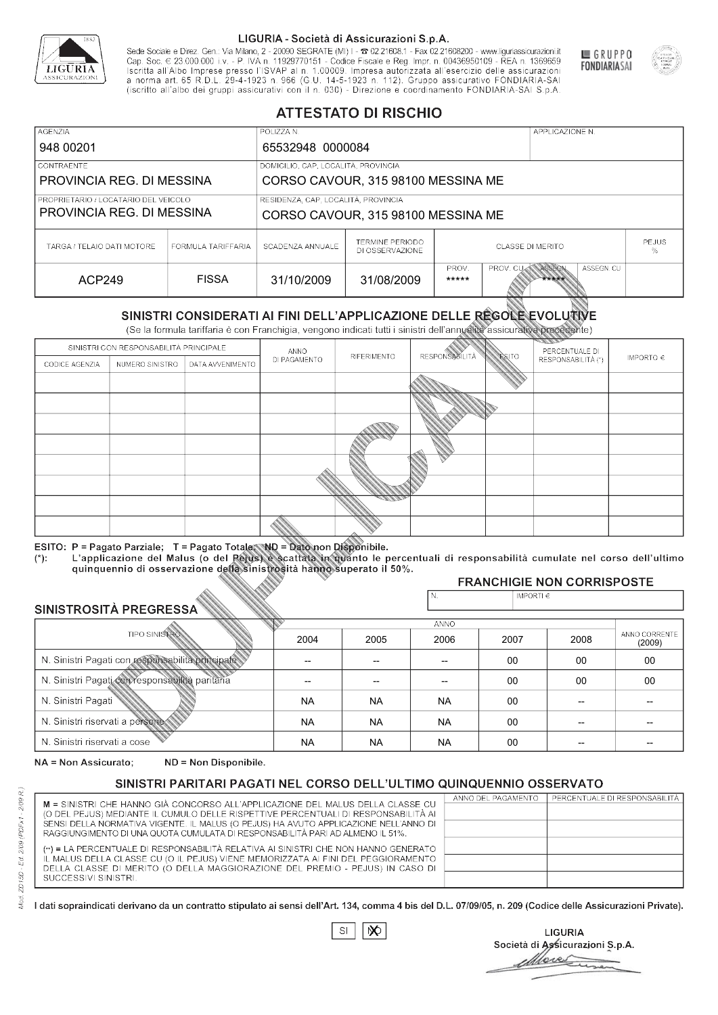

Sede Sociale e Direz. Gen.: Via Milano, 2 - 20090 SEGRATE (MI) I - 2 02.21608.1 - Fax 02.21608200 - www.liguriassicurazioni.it Sede e Direz, Gen. Via Milanto, 2 - 20090 SEGATE (MI) I - 2 UZZIODO. I - FAX UZZIODO2 I - WWW. IIJONENSURIADONILI<br>Cap. Soc. € 23.000.000 i.v. - P. IVA n. 11929770151 - Codice Fiscale e Reg. Impr. n. 00436950109 - REA n. 1



GRUPPO

**FONDIARIASAI** 

# **ATTESTATO DI RISCHIO**

| <b>AGENZIA</b>                                                    |                    | POLIZZA N.                          |                                           |                         |                   | APPLICAZIONE N. |                   |  |
|-------------------------------------------------------------------|--------------------|-------------------------------------|-------------------------------------------|-------------------------|-------------------|-----------------|-------------------|--|
| 948 00201                                                         |                    | 65532948 0000084                    |                                           |                         |                   |                 |                   |  |
| LCONTRAENTE.                                                      |                    | DOMICILIO, CAP, LOCALITÀ, PROVINCIA |                                           |                         |                   |                 |                   |  |
| PROVINCIA REG. DI MESSINA                                         |                    |                                     | CORSO CAVOUR, 315 98100 MESSINA ME        |                         |                   |                 |                   |  |
| PROPRIETARIO / LOCATARIO DEL VEICOLO<br>PROVINCIA REG. DI MESSINA |                    | RESIDENZA, CAP, LOCALITÀ, PROVINCIA |                                           |                         |                   |                 |                   |  |
|                                                                   |                    | CORSO CAVOUR, 315 98100 MESSINA ME  |                                           |                         |                   |                 |                   |  |
| TARGA / TELAIO DATI MOTORE                                        | FORMULA TARIFFARIA | SCADENZA ANNUALE                    | <b>TERMINE PERIODO</b><br>DI OSSERVAZIONE | <b>CLASSE DI MERITO</b> |                   |                 | <b>PEJUS</b><br>% |  |
| ACP249                                                            | <b>FISSA</b>       | 31/10/2009                          | 31/08/2009                                | PROV.<br>*****          | PROV. CUAN ASSEGN | *****           | ASSEGN. CU        |  |

|                                                 |                                        |                                                                                                                                                                                                      |              | DI OSSERVAZIONE |                       |                |                                   | %                       |
|-------------------------------------------------|----------------------------------------|------------------------------------------------------------------------------------------------------------------------------------------------------------------------------------------------------|--------------|-----------------|-----------------------|----------------|-----------------------------------|-------------------------|
| <b>ACP249</b>                                   |                                        | <b>FISSA</b>                                                                                                                                                                                         | 31/10/2009   | 31/08/2009      | PROV.<br>*****        | PROV. CU       | ASSEGN<br>ASSEGN. CU<br>*****     |                         |
|                                                 |                                        | SINISTRI CONSIDERATI AI FINI DELL'APPLICAZIONE DELLE RÉGOLE EVOLUTIVE<br>(Se la formula tariffaria è con Franchigia, vengono indicati tutti i sinistri dell'annualità assicurativa precedente)       |              |                 |                       |                |                                   |                         |
|                                                 | SINISTRI CON RESPONSABILITÀ PRINCIPALE |                                                                                                                                                                                                      | ANNO         |                 |                       |                | PERCENTUALE DI                    |                         |
| CODICE AGENZIA                                  | NUMERO SINISTRO                        | DATA AVVENIMENTO                                                                                                                                                                                     | DI PAGAMENTO | RIFERIMENTO     | <b>RESPONSABILITÀ</b> | <b>ESITO</b>   | RESPONSABILITÀ (*)                | IMPORTO $\in$           |
|                                                 |                                        |                                                                                                                                                                                                      |              |                 |                       |                |                                   |                         |
|                                                 |                                        |                                                                                                                                                                                                      |              |                 |                       |                |                                   |                         |
|                                                 |                                        |                                                                                                                                                                                                      |              |                 |                       |                |                                   |                         |
|                                                 |                                        |                                                                                                                                                                                                      |              |                 |                       |                |                                   |                         |
|                                                 |                                        |                                                                                                                                                                                                      |              |                 |                       |                |                                   |                         |
|                                                 |                                        |                                                                                                                                                                                                      |              |                 |                       |                |                                   |                         |
|                                                 |                                        |                                                                                                                                                                                                      |              |                 |                       |                |                                   |                         |
|                                                 |                                        |                                                                                                                                                                                                      |              |                 |                       |                |                                   |                         |
|                                                 |                                        |                                                                                                                                                                                                      |              |                 |                       |                |                                   |                         |
|                                                 |                                        | ESITO: P = Pagato Parziale; T = Pagato Totale; ND = Dato non Disponibile.                                                                                                                            |              |                 |                       |                |                                   |                         |
| $(*)$ .                                         |                                        | L'applicazione del Malus (o del Pejus) è scattata in quanto le percentuali di responsabilità cumulate nel corso dell'ultimo<br>quinquennio di osservazione della sinistrosità hanno superato il 50%. |              |                 |                       |                |                                   |                         |
|                                                 |                                        |                                                                                                                                                                                                      |              |                 |                       |                | <b>FRANCHIGIE NON CORRISPOSTE</b> |                         |
| SINISTROSITÀ PREGRESSA                          |                                        |                                                                                                                                                                                                      |              |                 | N.                    | IMPORTI $\in$  |                                   |                         |
|                                                 |                                        |                                                                                                                                                                                                      |              |                 | <b>ANNO</b>           |                |                                   |                         |
|                                                 | <b>TIPO SINISTRO</b>                   |                                                                                                                                                                                                      | 2004         | 2005            | 2006                  | 2007           | 2008                              | ANNO CORRENTE<br>(2009) |
|                                                 |                                        | N. Sinistri Pagati con responsabilità principale                                                                                                                                                     | --           | --              | $\overline{a}$        | 00<br>00       |                                   |                         |
| N. Sinistri Pagati con responsabilità paritaria |                                        |                                                                                                                                                                                                      |              |                 |                       | 00<br>00<br>00 |                                   |                         |
| N. Sinistri Pagati                              |                                        |                                                                                                                                                                                                      | <b>NA</b>    | <b>NA</b>       | <b>NA</b>             | 00             | --                                |                         |
| N. Sinistri riservati a persone                 |                                        |                                                                                                                                                                                                      | <b>NA</b>    | <b>NA</b>       | <b>NA</b>             | 00             |                                   |                         |
| N. Sinjetri riconvoti a coco                    |                                        |                                                                                                                                                                                                      | <b>AIA</b>   | <b>AIA</b>      | <b>NIA</b>            | $\sim$         |                                   |                         |

### 2005 -- -- NA NA NA 2004 -- -- NA NA NA 2006 -- -- NA NA NA 2007 00 00 00 00 00 2008 00 00 -- -- -- 00 00 -- -- -- (2009)

NA = Non Assicurato: ND = Non Disponibile.

# SINISTRI PARITARI PAGATI NEL CORSO DELL'ULTIMO QUINQUENNIO OSSERVATO

|                                                                                      | ANNO DEL PAGAMENTO | PERCENTUALE DI RESPONSABILITÀ |
|--------------------------------------------------------------------------------------|--------------------|-------------------------------|
| M = SINISTRI CHE HANNO GIÀ CONCORSO ALL'APPLICAZIONE DEL MALUS DELLA CLASSE CU       |                    |                               |
| (O DEL PEJUS) MEDIANTE IL CUMULO DELLE RISPETTIVE PERCENTUALI DI RESPONSABILITÀ AI   |                    |                               |
| SENSI DELLA NORMATIVA VIGENTE. IL MALUS (O PEJUS) HA AVUTO APPLICAZIONE NELL'ANNO DI |                    |                               |
| RAGGIUNGIMENTO DI UNA QUOTA CUMULATA DI RESPONSABILITÀ PARI AD ALMENO IL 51%.        |                    |                               |
| (**) = LA PERCENTUALE DI RESPONSABILITÀ RELATIVA AI SINISTRI CHE NON HANNO GENERATO  |                    |                               |
| IL MALUS DELLA CLASSE CU (O IL PEJUS) VIENE MEMORIZZATA AI FINI DEL PEGGIORAMENTO    |                    |                               |
| DELLA CLASSE DI MERITO (O DELLA MAGGIORAZIONE DEL PREMIO - PEJUS) IN CASO DI         |                    |                               |
| SUCCESSIVI SINISTRI.                                                                 |                    |                               |
|                                                                                      |                    |                               |

|--|

**LIGURIA** Società di Assicurazioni S.p.A. Move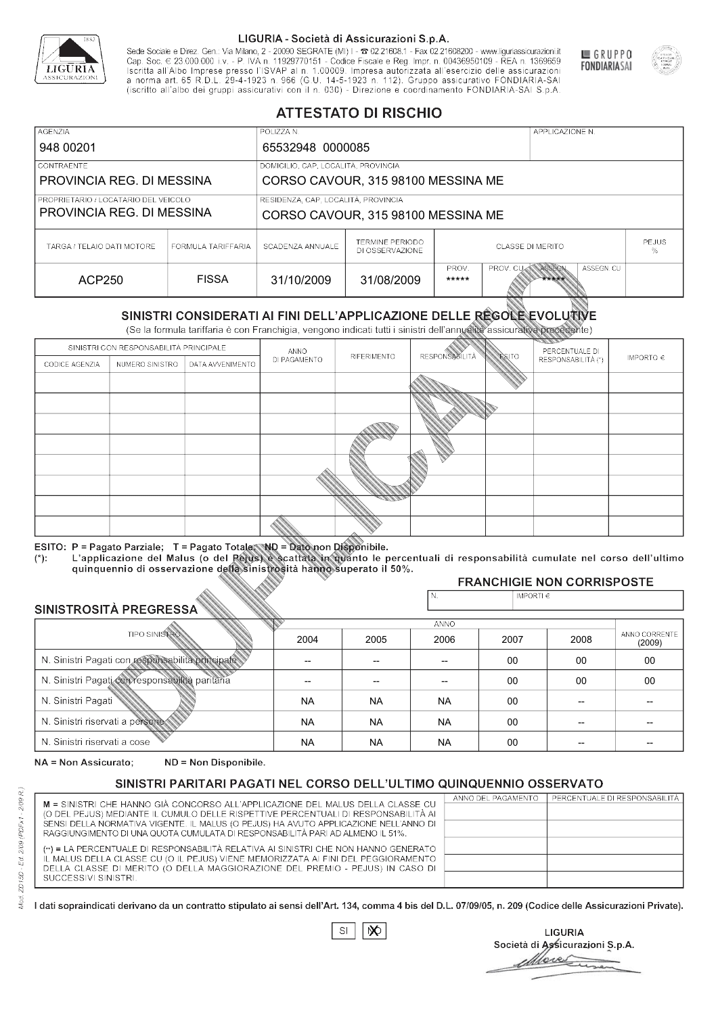

Sede Sociale e Direz. Gen.: Via Milano, 2 - 20090 SEGRATE (MI) I - 2 02.21608.1 - Fax 02.21608200 - www.liguriassicurazioni.it Cap. Soc.  $\in$  23.000.000 i.v. - P. IVA n. 11929770151 - Codice Fiscale e Reg. Impr. n. 00436950109 - REA n. 1369659<br>Iscritta all'Albo Imprese presso l'ISVAP al n. 1.00009. Impresa autorizzata all'esercizio delle assicura (iscritto all'albo dei gruppi assicurativi con il n. 030) - Direzione e coordinamento FONDIARIA-SAI S.p.A



GRUPPO

**FONDIARIASAI** 

# **ATTESTATO DI RISCHIO**

| <b>AGENZIA</b>                                                    |                                     | POLIZZA N.                         |                                           |                         |                   | APPLICAZIONE N. |                   |  |
|-------------------------------------------------------------------|-------------------------------------|------------------------------------|-------------------------------------------|-------------------------|-------------------|-----------------|-------------------|--|
| 948 00201                                                         |                                     | 65532948 0000085                   |                                           |                         |                   |                 |                   |  |
| LCONTRAENTE.                                                      |                                     |                                    | DOMICILIO, CAP, LOCALITÀ, PROVINCIA       |                         |                   |                 |                   |  |
| PROVINCIA REG. DI MESSINA                                         |                                     |                                    | CORSO CAVOUR, 315 98100 MESSINA ME        |                         |                   |                 |                   |  |
| PROPRIETARIO / LOCATARIO DEL VEICOLO<br>PROVINCIA REG. DI MESSINA | RESIDENZA, CAP, LOCALITÀ, PROVINCIA | CORSO CAVOUR, 315 98100 MESSINA ME |                                           |                         |                   |                 |                   |  |
| TARGA / TELAIO DATI MOTORE                                        | FORMULA TARIFFARIA                  | SCADENZA ANNUALE                   | <b>TERMINE PERIODO</b><br>DI OSSERVAZIONE | <b>CLASSE DI MERITO</b> |                   |                 | <b>PEJUS</b><br>% |  |
| ACP250                                                            | <b>FISSA</b>                        | 31/10/2009                         | 31/08/2009                                | PROV.<br>*****          | PROV. CUAN ASSEGN | *****           | ASSEGN. CU        |  |

|                                 |                                                 |                                                                                                                                                                                                      |              | DI OSSERVAZIONE |                            |                |                                   | %                       |
|---------------------------------|-------------------------------------------------|------------------------------------------------------------------------------------------------------------------------------------------------------------------------------------------------------|--------------|-----------------|----------------------------|----------------|-----------------------------------|-------------------------|
| <b>ACP250</b>                   |                                                 | <b>FISSA</b>                                                                                                                                                                                         | 31/10/2009   | 31/08/2009      | PROV.<br>*****             | PROV. CU       | ASSEGN<br>ASSEGN. CU<br>*****     |                         |
|                                 |                                                 | SINISTRI CONSIDERATI AI FINI DELL'APPLICAZIONE DELLE RÉGOLE EVOLUTIVE<br>(Se la formula tariffaria è con Franchigia, vengono indicati tutti i sinistri dell'annualità assicurativa precedente)       |              |                 |                            |                |                                   |                         |
|                                 | SINISTRI CON RESPONSABILITÀ PRINCIPALE          |                                                                                                                                                                                                      | ANNO         |                 |                            |                | PERCENTUALE DI                    |                         |
| CODICE AGENZIA                  | NUMERO SINISTRO                                 | DATA AVVENIMENTO                                                                                                                                                                                     | DI PAGAMENTO | RIFERIMENTO     | <b>RESPONSABILITÀ</b>      | <b>ESITO</b>   | RESPONSABILITÀ (*)                | IMPORTO $\in$           |
|                                 |                                                 |                                                                                                                                                                                                      |              |                 |                            |                |                                   |                         |
|                                 |                                                 |                                                                                                                                                                                                      |              |                 |                            |                |                                   |                         |
|                                 |                                                 |                                                                                                                                                                                                      |              |                 |                            |                |                                   |                         |
|                                 |                                                 |                                                                                                                                                                                                      |              |                 |                            |                |                                   |                         |
|                                 |                                                 |                                                                                                                                                                                                      |              |                 |                            |                |                                   |                         |
|                                 |                                                 |                                                                                                                                                                                                      |              |                 |                            |                |                                   |                         |
|                                 |                                                 |                                                                                                                                                                                                      |              |                 |                            |                |                                   |                         |
|                                 |                                                 |                                                                                                                                                                                                      |              |                 |                            |                |                                   |                         |
|                                 |                                                 |                                                                                                                                                                                                      |              |                 |                            |                |                                   |                         |
|                                 |                                                 | ESITO: P = Pagato Parziale; T = Pagato Totale; ND = Dato non Disponibile.                                                                                                                            |              |                 |                            |                |                                   |                         |
| $(*)$ .                         |                                                 | L'applicazione del Malus (o del Pejus) è scattata in quanto le percentuali di responsabilità cumulate nel corso dell'ultimo<br>quinquennio di osservazione della sinistrosità hanno superato il 50%. |              |                 |                            |                |                                   |                         |
|                                 |                                                 |                                                                                                                                                                                                      |              |                 |                            |                | <b>FRANCHIGIE NON CORRISPOSTE</b> |                         |
| SINISTROSITÀ PREGRESSA          |                                                 |                                                                                                                                                                                                      |              |                 | N.                         | IMPORTI $\in$  |                                   |                         |
|                                 |                                                 |                                                                                                                                                                                                      |              |                 | <b>ANNO</b>                |                |                                   |                         |
|                                 | <b>TIPO SINISTRO</b>                            |                                                                                                                                                                                                      | 2004         | 2005            | 2006                       | 2007           | 2008                              | ANNO CORRENTE<br>(2009) |
|                                 |                                                 | N. Sinistri Pagati con responsabilità principale                                                                                                                                                     | --           | --              | 00<br>00<br>$\overline{a}$ |                |                                   | 00                      |
|                                 | N. Sinistri Pagati con responsabilità paritaria |                                                                                                                                                                                                      |              |                 |                            | 00<br>00<br>00 |                                   |                         |
| N. Sinistri Pagati              |                                                 |                                                                                                                                                                                                      | <b>NA</b>    | <b>NA</b>       | <b>NA</b>                  | 00             | --                                |                         |
| N. Sinistri riservati a persone |                                                 |                                                                                                                                                                                                      | <b>NA</b>    | <b>NA</b>       | <b>NA</b>                  | 00             |                                   |                         |
| N. Sinjetri riconvoti a coco    |                                                 |                                                                                                                                                                                                      | <b>AIA</b>   | <b>AIA</b>      | <b>NIA</b>                 | $\sim$         |                                   |                         |

### 2005 -- -- NA NA NA 2004 -- -- NA NA NA 2006 -- -- NA NA NA 2007 00 00 00 00 00 2008 00 00 -- -- -- 00 00 -- -- -- (2009)

NA = Non Assicurato: ND = Non Disponibile.

# SINISTRI PARITARI PAGATI NEL CORSO DELL'ULTIMO QUINQUENNIO OSSERVATO

|                                                                                      | ANNO DEL PAGAMENTO | PERCENTUALE DI RESPONSABILITÀ |
|--------------------------------------------------------------------------------------|--------------------|-------------------------------|
| M = SINISTRI CHE HANNO GIÀ CONCORSO ALL'APPLICAZIONE DEL MALUS DELLA CLASSE CU       |                    |                               |
| (O DEL PEJUS) MEDIANTE IL CUMULO DELLE RISPETTIVE PERCENTUALI DI RESPONSABILITÀ AI   |                    |                               |
| SENSI DELLA NORMATIVA VIGENTE. IL MALUS (O PEJUS) HA AVUTO APPLICAZIONE NELL'ANNO DI |                    |                               |
| RAGGIUNGIMENTO DI UNA QUOTA CUMULATA DI RESPONSABILITÀ PARI AD ALMENO IL 51%.        |                    |                               |
|                                                                                      |                    |                               |
| (**) = LA PERCENTUALE DI RESPONSABILITÀ RELATIVA AI SINISTRI CHE NON HANNO GENERATO  |                    |                               |
| IL MALUS DELLA CLASSE CU (O IL PEJUS) VIENE MEMORIZZATA AI FINI DEL PEGGIORAMENTO    |                    |                               |
| DELLA CLASSE DI MERITO (O DELLA MAGGIORAZIONE DEL PREMIO - PEJUS) IN CASO DI         |                    |                               |
| SUCCESSIVI SINISTRI.                                                                 |                    |                               |
|                                                                                      |                    |                               |

 $\mathbb{S}\mathsf{I}$  $\infty$ 

**LIGURIA** Società di Assicurazioni S.p.A. Move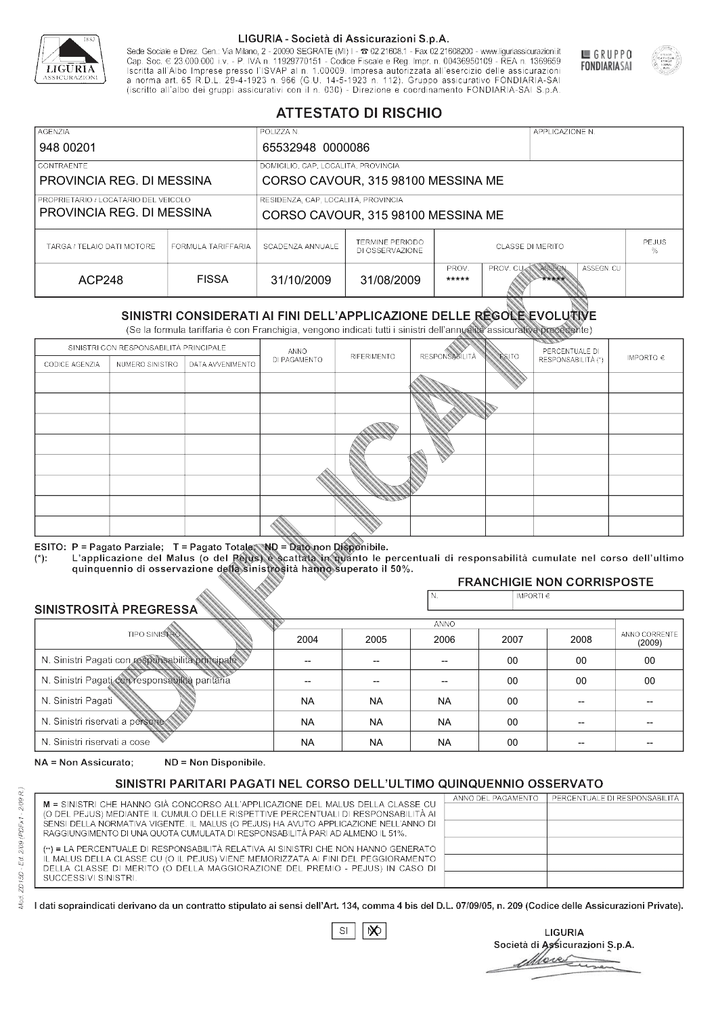

Sede Sociale e Direz. Gen.: Via Milano, 2 - 20090 SEGRATE (MI) I - 2 02.21608.1 - Fax 02.21608200 - www.liguriassicurazioni.it Cap. Soc.  $\in$  23.000.000 i.v. - P. IVA n. 11929770151 - Codice Fiscale e Reg. Impr. n. 00436950109 - REA n. 1369659<br>Iscritta all'Albo Imprese presso l'ISVAP al n. 1.00009. Impresa autorizzata all'esercizio delle assicura (iscritto all'albo dei gruppi assicurativi con il n. 030) - Direzione e coordinamento FONDIARIA-SAI S.p.A



GRUPPO

**FONDIARIASAI** 

# **ATTESTATO DI RISCHIO**

| <b>AGENZIA</b>                                                    |                    | POLIZZA N.                                                                |                                           |                                                            | APPLICAZIONE N. |  |                   |  |
|-------------------------------------------------------------------|--------------------|---------------------------------------------------------------------------|-------------------------------------------|------------------------------------------------------------|-----------------|--|-------------------|--|
| 948 00201                                                         |                    | 65532948 0000086                                                          |                                           |                                                            |                 |  |                   |  |
| LCONTRAENTE.                                                      |                    | DOMICILIO, CAP, LOCALITÀ, PROVINCIA                                       |                                           |                                                            |                 |  |                   |  |
| PROVINCIA REG. DI MESSINA<br>CORSO CAVOUR, 315 98100 MESSINA ME   |                    |                                                                           |                                           |                                                            |                 |  |                   |  |
| PROPRIETARIO / LOCATARIO DEL VEICOLO<br>PROVINCIA REG. DI MESSINA |                    | RESIDENZA, CAP, LOCALITÀ, PROVINCIA<br>CORSO CAVOUR, 315 98100 MESSINA ME |                                           |                                                            |                 |  |                   |  |
|                                                                   |                    |                                                                           |                                           |                                                            |                 |  |                   |  |
| TARGA / TELAIO DATI MOTORE                                        | FORMULA TARIFFARIA | SCADENZA ANNUALE                                                          | <b>TERMINE PERIODO</b><br>DI OSSERVAZIONE | <b>CLASSE DI MERITO</b>                                    |                 |  | <b>PEJUS</b><br>% |  |
| ACP248                                                            | <b>FISSA</b>       | 31/10/2009                                                                | 31/08/2009                                | ASSEGN. CU<br>PROV.<br>PROV. CUAN ASSEGN<br>*****<br>***** |                 |  |                   |  |

|                                                 |                                        |                                                                                                                                                                                                      |              | DI OSSERVAZIONE |                       |               |                                   | %                       |  |
|-------------------------------------------------|----------------------------------------|------------------------------------------------------------------------------------------------------------------------------------------------------------------------------------------------------|--------------|-----------------|-----------------------|---------------|-----------------------------------|-------------------------|--|
| <b>ACP248</b>                                   |                                        | <b>FISSA</b>                                                                                                                                                                                         | 31/10/2009   | 31/08/2009      | PROV.<br>*****        | PROV. CU      | ASSEGN<br>ASSEGN. CU<br>*****     |                         |  |
|                                                 |                                        | SINISTRI CONSIDERATI AI FINI DELL'APPLICAZIONE DELLE RÉGOLE EVOLUTIVE<br>(Se la formula tariffaria è con Franchigia, vengono indicati tutti i sinistri dell'annualità assicurativa precedente)       |              |                 |                       |               |                                   |                         |  |
|                                                 | SINISTRI CON RESPONSABILITÀ PRINCIPALE |                                                                                                                                                                                                      | ANNO         |                 |                       |               | PERCENTUALE DI                    |                         |  |
| CODICE AGENZIA                                  | NUMERO SINISTRO<br>DATA AVVENIMENTO    |                                                                                                                                                                                                      | DI PAGAMENTO | RIFERIMENTO     | <b>RESPONSABILITÀ</b> | <b>ESITO</b>  | RESPONSABILITÀ (*)                | IMPORTO $\in$           |  |
|                                                 |                                        |                                                                                                                                                                                                      |              |                 |                       |               |                                   |                         |  |
|                                                 |                                        |                                                                                                                                                                                                      |              |                 |                       |               |                                   |                         |  |
|                                                 |                                        |                                                                                                                                                                                                      |              |                 |                       |               |                                   |                         |  |
|                                                 |                                        |                                                                                                                                                                                                      |              |                 |                       |               |                                   |                         |  |
|                                                 |                                        |                                                                                                                                                                                                      |              |                 |                       |               |                                   |                         |  |
|                                                 |                                        |                                                                                                                                                                                                      |              |                 |                       |               |                                   |                         |  |
|                                                 |                                        |                                                                                                                                                                                                      |              |                 |                       |               |                                   |                         |  |
|                                                 |                                        |                                                                                                                                                                                                      |              |                 |                       |               |                                   |                         |  |
|                                                 |                                        |                                                                                                                                                                                                      |              |                 |                       |               |                                   |                         |  |
|                                                 |                                        | ESITO: P = Pagato Parziale; T = Pagato Totale; ND = Dato non Disponibile.                                                                                                                            |              |                 |                       |               |                                   |                         |  |
| $(*)$ .                                         |                                        | L'applicazione del Malus (o del Pejus) è scattata in quanto le percentuali di responsabilità cumulate nel corso dell'ultimo<br>quinquennio di osservazione della sinistrosità hanno superato il 50%. |              |                 |                       |               |                                   |                         |  |
|                                                 |                                        |                                                                                                                                                                                                      |              |                 |                       |               | <b>FRANCHIGIE NON CORRISPOSTE</b> |                         |  |
| SINISTROSITÀ PREGRESSA                          |                                        |                                                                                                                                                                                                      |              |                 | N.                    | IMPORTI $\in$ |                                   |                         |  |
|                                                 |                                        |                                                                                                                                                                                                      |              |                 | <b>ANNO</b>           |               |                                   |                         |  |
|                                                 | <b>TIPO SINISTRO</b>                   |                                                                                                                                                                                                      | 2004         | 2005            | 2006                  | 2007          | 2008                              | ANNO CORRENTE<br>(2009) |  |
|                                                 |                                        | N. Sinistri Pagati con responsabilità principale                                                                                                                                                     | --           | --              | $\overline{a}$        | 00            | 00                                | 00                      |  |
| N. Sinistri Pagati con responsabilità paritaria |                                        |                                                                                                                                                                                                      |              |                 |                       | 00            | 00                                | 00                      |  |
| N. Sinistri Pagati                              |                                        |                                                                                                                                                                                                      | <b>NA</b>    | <b>NA</b>       | <b>NA</b>             | 00            | --                                |                         |  |
| N. Sinistri riservati a persone                 |                                        |                                                                                                                                                                                                      | <b>NA</b>    | <b>NA</b>       | <b>NA</b>             | 00            |                                   |                         |  |
| N. Sinjetri riconvoti a coco                    |                                        |                                                                                                                                                                                                      | <b>AIA</b>   | <b>AIA</b>      | <b>NIA</b>            | $\sim$        |                                   |                         |  |

### 2005 -- -- NA NA NA 2004 -- -- NA NA NA 2006 -- -- NA NA NA 2007 00 00 00 00 00 2008 00 00 -- -- -- 00 00 -- -- -- (2009)

NA = Non Assicurato: ND = Non Disponibile.

# SINISTRI PARITARI PAGATI NEL CORSO DELL'ULTIMO QUINQUENNIO OSSERVATO

|                                                                                      | ANNO DEL PAGAMENTO | PERCENTUALE DI RESPONSABILITÀ |
|--------------------------------------------------------------------------------------|--------------------|-------------------------------|
| M = SINISTRI CHE HANNO GIÀ CONCORSO ALL'APPLICAZIONE DEL MALUS DELLA CLASSE CU       |                    |                               |
| (O DEL PEJUS) MEDIANTE IL CUMULO DELLE RISPETTIVE PERCENTUALI DI RESPONSABILITÀ AI   |                    |                               |
| SENSI DELLA NORMATIVA VIGENTE. IL MALUS (O PEJUS) HA AVUTO APPLICAZIONE NELL'ANNO DI |                    |                               |
| RAGGIUNGIMENTO DI UNA QUOTA CUMULATA DI RESPONSABILITÀ PARI AD ALMENO IL 51%.        |                    |                               |
| (**) = LA PERCENTUALE DI RESPONSABILITÀ RELATIVA AI SINISTRI CHE NON HANNO GENERATO  |                    |                               |
| IL MALUS DELLA CLASSE CU (O IL PEJUS) VIENE MEMORIZZATA AI FINI DEL PEGGIORAMENTO    |                    |                               |
| DELLA CLASSE DI MERITO (O DELLA MAGGIORAZIONE DEL PREMIO - PEJUS) IN CASO DI         |                    |                               |
| SUCCESSIVI SINISTRI.                                                                 |                    |                               |
|                                                                                      |                    |                               |

 $\mathbb{S}\mathsf{I}$  $\infty$ 

**LIGURIA** Società di Assicurazioni S.p.A. Move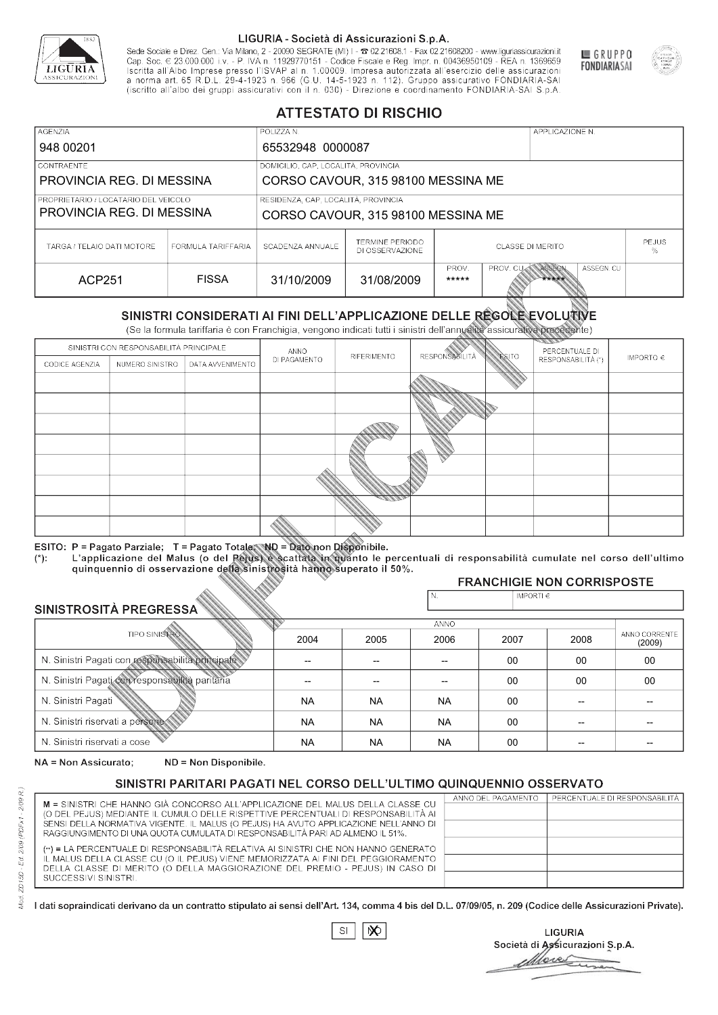

Sede Sociale e Direz. Gen.: Via Milano, 2 - 20090 SEGRATE (MI) I - 2 02.21608.1 - Fax 02.21608200 - www.liguriassicurazioni.it Cap. Soc.  $\in$  23.000.000 i.v. - P. IVA n. 11929770151 - Codice Fiscale e Reg. Impr. n. 00436950109 - REA n. 1369659<br>Iscritta all'Albo Imprese presso l'ISVAP al n. 1.00009. Impresa autorizzata all'esercizio delle assicura (iscritto all'albo dei gruppi assicurativi con il n. 030) - Direzione e coordinamento FONDIARIA-SAI S.p.A



GRUPPO

**FONDIARIASAI** 

# **ATTESTATO DI RISCHIO**

| <b>AGENZIA</b><br>948 00201                                         |                    | POLIZZA N.<br>65532948 0000087                                            |                                           |                                                           |  | APPLICAZIONE N. |                   |  |
|---------------------------------------------------------------------|--------------------|---------------------------------------------------------------------------|-------------------------------------------|-----------------------------------------------------------|--|-----------------|-------------------|--|
| <b>CONTRAENTE</b><br>PROVINCIA REG. DI MESSINA                      |                    | DOMICILIO, CAP, LOCALITÀ, PROVINCIA<br>CORSO CAVOUR, 315 98100 MESSINA ME |                                           |                                                           |  |                 |                   |  |
| I PROPRIETARIO / LOCATARIO DEL VEICOLO<br>PROVINCIA REG. DI MESSINA |                    | RESIDENZA, CAP, LOCALITÀ, PROVINCIA<br>CORSO CAVOUR, 315 98100 MESSINA ME |                                           |                                                           |  |                 |                   |  |
| TARGA / TELAIO DATI MOTORE                                          | FORMULA TARIFFARIA | SCADENZA ANNUALE                                                          | <b>TERMINE PERIODO</b><br>DI OSSERVAZIONE | CLASSE DI MERITO                                          |  |                 | <b>PEJUS</b><br>℅ |  |
| ACP251                                                              | <b>FISSA</b>       | 31/10/2009                                                                | 31/08/2009                                | PROV. CUM ASSEGN<br>ASSEGN. CU<br>PROV.<br>*****<br>***** |  |                 |                   |  |

|                                                 |                                        |                                                                                                                                                                                                      |              | DI OSSERVAZIONE |                          | 25 N 90 S 1 91 1 91 S 1 1 S |                                   | %             |  |
|-------------------------------------------------|----------------------------------------|------------------------------------------------------------------------------------------------------------------------------------------------------------------------------------------------------|--------------|-----------------|--------------------------|-----------------------------|-----------------------------------|---------------|--|
| <b>ACP251</b>                                   |                                        | <b>FISSA</b>                                                                                                                                                                                         | 31/10/2009   | 31/08/2009      | PROV.<br>*****           | PROV. CU                    | ASSEGN<br>ASSEGN. CU<br>*****     |               |  |
|                                                 |                                        | SINISTRI CONSIDERATI AI FINI DELL'APPLICAZIONE DELLE REGOLE EVOLUTIVE<br>(Se la formula tariffaria è con Franchigia, vengono indicati tutti i sinistri dell'annualità assicurativa precedente)       |              |                 |                          |                             |                                   |               |  |
|                                                 | SINISTRI CON RESPONSABILITÀ PRINCIPALE |                                                                                                                                                                                                      | ANNO         |                 |                          |                             | PERCENTUALE DI                    |               |  |
| CODICE AGENZIA                                  | NUMERO SINISTRO<br>DATA AVVENIMENTO    |                                                                                                                                                                                                      | DI PAGAMENTO | RIFERIMENTO     | <b>RESPONSABLITÀ</b>     | <b>ESITO</b>                | RESPONSABILITÀ (*)                | IMPORTO $\in$ |  |
|                                                 |                                        |                                                                                                                                                                                                      |              |                 |                          |                             |                                   |               |  |
|                                                 |                                        |                                                                                                                                                                                                      |              |                 |                          |                             |                                   |               |  |
|                                                 |                                        |                                                                                                                                                                                                      |              |                 |                          |                             |                                   |               |  |
|                                                 |                                        |                                                                                                                                                                                                      |              |                 |                          |                             |                                   |               |  |
|                                                 |                                        |                                                                                                                                                                                                      |              |                 |                          |                             |                                   |               |  |
|                                                 |                                        |                                                                                                                                                                                                      |              |                 |                          |                             |                                   |               |  |
|                                                 |                                        |                                                                                                                                                                                                      |              |                 |                          |                             |                                   |               |  |
|                                                 |                                        |                                                                                                                                                                                                      |              |                 |                          |                             |                                   |               |  |
|                                                 |                                        |                                                                                                                                                                                                      |              |                 |                          |                             |                                   |               |  |
|                                                 |                                        | ESITO: P = Pagato Parziale; T = Pagato Totale; ND = Dato non Disponibile.                                                                                                                            |              |                 |                          |                             |                                   |               |  |
| $(*)$ .                                         |                                        | L'applicazione del Malus (o del Pejus) è scattata in quanto le percentuali di responsabilità cumulate nel corso dell'ultimo<br>quinquennio di osservazione della sinistrosità hanno superato il 50%. |              |                 |                          |                             |                                   |               |  |
|                                                 |                                        |                                                                                                                                                                                                      |              |                 |                          |                             | <b>FRANCHIGIE NON CORRISPOSTE</b> |               |  |
|                                                 |                                        |                                                                                                                                                                                                      |              |                 | N.                       | IMPORTI€                    |                                   |               |  |
| SINISTROSITÀ PREGRESSA                          |                                        |                                                                                                                                                                                                      |              |                 | <b>ANNO</b>              |                             |                                   |               |  |
|                                                 | <b>TIPO SINISTRO</b>                   |                                                                                                                                                                                                      | 2004         | 2005            | 2006                     | 2007                        | 2008                              | ANNO CORRENTE |  |
|                                                 |                                        | N. Sinistri Pagati con responsabilità principale                                                                                                                                                     |              |                 |                          |                             |                                   | (2009)        |  |
|                                                 |                                        |                                                                                                                                                                                                      |              | --              | $\overline{\phantom{a}}$ | 00                          | 00                                | 00            |  |
| N. Sinistri Pagati con responsabilità paritaria |                                        |                                                                                                                                                                                                      |              |                 |                          | 00                          | 00                                | 00            |  |
| N. Sinistri Pagati                              |                                        |                                                                                                                                                                                                      | <b>NA</b>    | <b>NA</b>       | <b>NA</b>                | 00                          |                                   |               |  |
| N. Sinistri riservati a persone-                |                                        |                                                                                                                                                                                                      | <b>NA</b>    | <b>NA</b>       | <b>NA</b>                | $00 \,$                     |                                   |               |  |
| N. Sinjetri riconvoti a coco                    |                                        |                                                                                                                                                                                                      | <b>AIA</b>   | <b>AIA</b>      | <b>AIA</b>               | $\cap$                      |                                   |               |  |

### 2005 -- -- NA NA NA 2004 -- -- NA NA NA 2006 -- -- NA NA NA 2007 00 00 00 00 00 2008 00 00 -- -- -- 00 00 -- -- -- (2009)

NA = Non Assicurato: ND = Non Disponibile.

# SINISTRI PARITARI PAGATI NEL CORSO DELL'ULTIMO QUINQUENNIO OSSERVATO

|                                                                                      | ANNO DEL PAGAMENTO | PERCENTUALE DI RESPONSABILITÀ |
|--------------------------------------------------------------------------------------|--------------------|-------------------------------|
| M = SINISTRI CHE HANNO GIÀ CONCORSO ALL'APPLICAZIONE DEL MALUS DELLA CLASSE CU       |                    |                               |
| (O DEL PEJUS) MEDIANTE IL CUMULO DELLE RISPETTIVE PERCENTUALI DI RESPONSABILITÀ AI   |                    |                               |
| SENSI DELLA NORMATIVA VIGENTE. IL MALUS (O PEJUS) HA AVUTO APPLICAZIONE NELL'ANNO DI |                    |                               |
| RAGGIUNGIMENTO DI UNA QUOTA CUMULATA DI RESPONSABILITÀ PARI AD ALMENO IL 51%.        |                    |                               |
| (**) = LA PERCENTUALE DI RESPONSABILITÀ RELATIVA AI SINISTRI CHE NON HANNO GENERATO  |                    |                               |
| IL MALUS DELLA CLASSE CU (O IL PEJUS) VIENE MEMORIZZATA AI FINI DEL PEGGIORAMENTO    |                    |                               |
| DELLA CLASSE DI MERITO (O DELLA MAGGIORAZIONE DEL PREMIO - PEJUS) IN CASO DI         |                    |                               |
| SUCCESSIVI SINISTRI.                                                                 |                    |                               |
|                                                                                      |                    |                               |

 $\mathbb{S}\mathsf{I}$  $\infty$ 

**LIGURIA** Società di Assicurazioni S.p.A. Move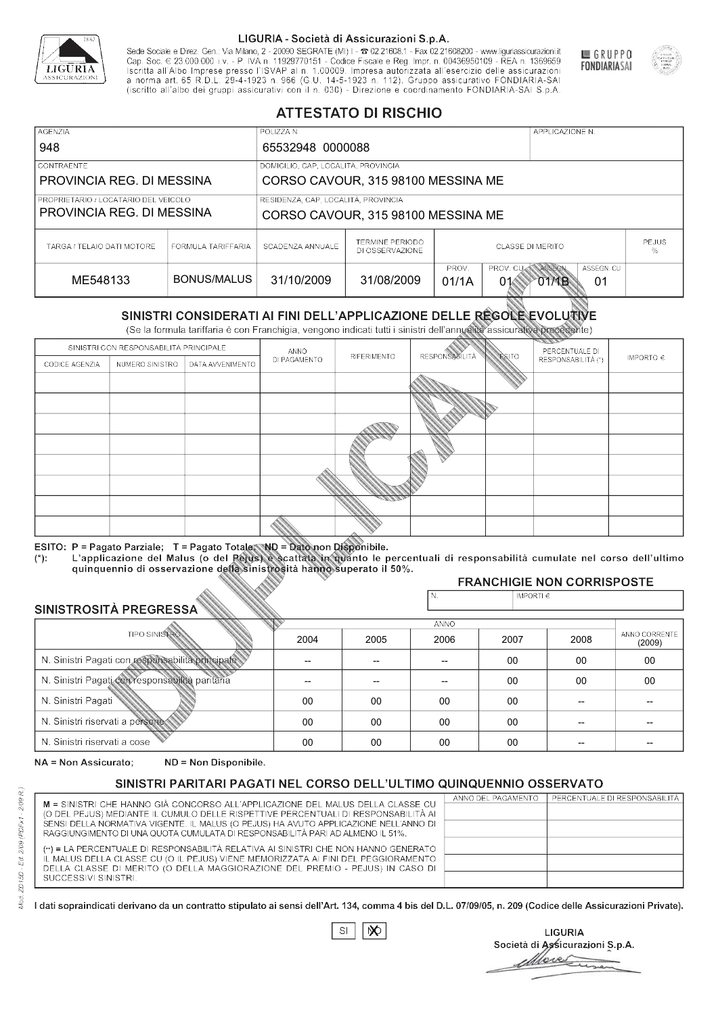

Sede Sociale e Direz. Gen.: Via Milano, 2 - 20090 SEGRATE (MI) I - 2 02.21608.1 - Fax 02.21608200 - www.liguriassicurazioni.it Cap. Soc.  $\in$  23.000.000 i.v. - P. IVA n. 11929770151 - Codice Fiscale e Reg. Impr. n. 00436950109 - REA n. 1369659<br>Iscritta all'Albo Imprese presso l'ISVAP al n. 1.00009. Impresa autorizzata all'esercizio delle assicura d homa art. 65 K.D.L. 29-4-1923 ft. 900 (G.O. 14-5-1923 ft. 112). Gruppo assicurativo PONDIARIA-SAI S.p.A



GRUPPO

**FONDIARIASAI** 

# **ATTESTATO DI RISCHIO**

| <b>AGENZIA</b>                                                      |                                                                 | POLIZZA N.                                                                |                                           |                                                                      |  | APPLICAZIONE N. |                   |  |
|---------------------------------------------------------------------|-----------------------------------------------------------------|---------------------------------------------------------------------------|-------------------------------------------|----------------------------------------------------------------------|--|-----------------|-------------------|--|
| 948                                                                 |                                                                 | 65532948 0000088                                                          |                                           |                                                                      |  |                 |                   |  |
| <b>CONTRAENTE</b>                                                   |                                                                 | DOMICILIO, CAP, LOCALITÀ, PROVINCIA                                       |                                           |                                                                      |  |                 |                   |  |
|                                                                     | PROVINCIA REG. DI MESSINA<br>CORSO CAVOUR, 315 98100 MESSINA ME |                                                                           |                                           |                                                                      |  |                 |                   |  |
| I PROPRIETARIO / LOCATARIO DEL VEICOLO<br>PROVINCIA REG. DI MESSINA |                                                                 | RESIDENZA, CAP, LOCALITÀ, PROVINCIA<br>CORSO CAVOUR, 315 98100 MESSINA ME |                                           |                                                                      |  |                 |                   |  |
| TARGA / TELAIO DATI MOTORE                                          | FORMULA TARIFFARIA                                              | SCADENZA ANNUALE                                                          | <b>TERMINE PERIODO</b><br>DI OSSERVAZIONE | CLASSE DI MERITO                                                     |  |                 | <b>PEJUS</b><br>% |  |
| ME548133                                                            | BONUS/MALUS                                                     | 31/10/2009                                                                | 31/08/2009                                | PROV. CUM ASSEGN<br>PROV.<br>ASSEGN. CU<br>01/1A<br>01<br>01<br>O1MB |  |                 |                   |  |

|                                 |                                     |                                                                                                                                                                                                |              | DI OSSERVAZIONE |                          |                |                                           | %             |  |
|---------------------------------|-------------------------------------|------------------------------------------------------------------------------------------------------------------------------------------------------------------------------------------------|--------------|-----------------|--------------------------|----------------|-------------------------------------------|---------------|--|
| ME548133                        |                                     | <b>BONUS/MALUS</b>                                                                                                                                                                             | 31/10/2009   | 31/08/2009      | PROV.<br>01/1A           | PROV. CU<br>01 | ASSEGN<br>ASSEGN. CU<br><b>OTMB</b><br>01 |               |  |
|                                 |                                     | SINISTRI CONSIDERATI AI FINI DELL'APPLICAZIONE DELLE REGOLE EVOLUTIVE<br>(Se la formula tariffaria è con Franchigia, vengono indicati tutti i sinistri dell'annualità assicurativa precedente) |              |                 |                          |                |                                           |               |  |
|                                 |                                     | SINISTRI CON RESPONSABILITÀ PRINCIPALE                                                                                                                                                         | ANNO         |                 |                          |                | PERCENTUALE DI                            |               |  |
| CODICE AGENZIA                  | NUMERO SINISTRO<br>DATA AVVENIMENTO |                                                                                                                                                                                                | DI PAGAMENTO | RIFERIMENTO     | <b>RESPONSABLITÀ</b>     | <b>ESITO</b>   | RESPONSABILITÀ (*)                        | IMPORTO $\in$ |  |
|                                 |                                     |                                                                                                                                                                                                |              |                 |                          |                |                                           |               |  |
|                                 |                                     |                                                                                                                                                                                                |              |                 |                          |                |                                           |               |  |
|                                 |                                     |                                                                                                                                                                                                |              |                 |                          |                |                                           |               |  |
|                                 |                                     |                                                                                                                                                                                                |              |                 |                          |                |                                           |               |  |
|                                 |                                     |                                                                                                                                                                                                |              |                 |                          |                |                                           |               |  |
|                                 |                                     |                                                                                                                                                                                                |              |                 |                          |                |                                           |               |  |
|                                 |                                     |                                                                                                                                                                                                |              |                 |                          |                |                                           |               |  |
|                                 |                                     |                                                                                                                                                                                                |              |                 |                          |                |                                           |               |  |
|                                 |                                     |                                                                                                                                                                                                |              |                 |                          |                |                                           |               |  |
|                                 |                                     | ESITO: P = Pagato Parziale; T = Pagato Totale; ND = Dato non Disponibile.                                                                                                                      |              |                 |                          |                |                                           |               |  |
| $(*)$ .                         |                                     | L'applicazione del Malus (o del Pejus) è scattata in quanto le percentuali di responsabilità cumulate nel corso dell'ultimo                                                                    |              |                 |                          |                |                                           |               |  |
|                                 |                                     | quinquennio di osservazione della sinistrosità hanno superato il 50%.                                                                                                                          |              |                 |                          |                | <b>FRANCHIGIE NON CORRISPOSTE</b>         |               |  |
|                                 |                                     |                                                                                                                                                                                                |              |                 | N.                       | IMPORTI€       |                                           |               |  |
| SINISTROSITÀ PREGRESSA          |                                     |                                                                                                                                                                                                |              |                 |                          |                |                                           |               |  |
|                                 | <b>TIPO SINISTRO</b>                |                                                                                                                                                                                                |              |                 | <b>ANNO</b>              |                |                                           | ANNO CORRENTE |  |
|                                 |                                     |                                                                                                                                                                                                | 2004         | 2005            | 2006                     | 2007           | 2008                                      | (2009)        |  |
|                                 |                                     | N. Sinistri Pagati con responsabilità principale                                                                                                                                               |              | --              | $\overline{\phantom{a}}$ | 00             | 00                                        | 00            |  |
|                                 |                                     | N. Sinistri Pagati con responsabilità paritaria                                                                                                                                                |              |                 |                          | 00             | 00                                        | 00            |  |
| N. Sinistri Pagati              |                                     |                                                                                                                                                                                                | 00           | 00              | 00                       | 00             |                                           |               |  |
| N. Sinistri riservati a persone |                                     |                                                                                                                                                                                                | 00           | 00              | 00                       | $00 \,$        |                                           |               |  |
| N. Sinjetri riconvoti a coco    |                                     |                                                                                                                                                                                                | $\cap$       | $\cap$          | $\sim$                   | $\cap$         |                                           |               |  |

### 2005 -- --  $0<sup>0</sup>$ 00 00 2004 -- --  $0<sup>0</sup>$ 00 00 2006 -- -- 00 00 00 2007 00 00 00 00 00 2008 00 00 -- -- -- 00 00 -- -- -- (2009)

NA = Non Assicurato: ND = Non Disponibile.

# SINISTRI PARITARI PAGATI NEL CORSO DELL'ULTIMO QUINQUENNIO OSSERVATO

|                                                                                                                                                                      | ANNO DEL PAGAMENTO | PERCENTUALE DI RESPONSABILITÀ |
|----------------------------------------------------------------------------------------------------------------------------------------------------------------------|--------------------|-------------------------------|
| M = SINISTRI CHE HANNO GIÀ CONCORSO ALL'APPLICAZIONE DEL MALUS DELLA CLASSE CU<br>(O DEL PEJUS) MEDIANTE IL CUMULO DELLE RISPETTIVE PERCENTUALI DI RESPONSABILITÀ AI |                    |                               |
| SENSI DELLA NORMATIVA VIGENTE. IL MALUS (O PEJUS) HA AVUTO APPLICAZIONE NELL'ANNO DI                                                                                 |                    |                               |
| RAGGIUNGIMENTO DI UNA QUOTA CUMULATA DI RESPONSABILITÀ PARI AD ALMENO IL 51%.                                                                                        |                    |                               |
|                                                                                                                                                                      |                    |                               |
| (**) = LA PERCENTUALE DI RESPONSABILITÀ RELATIVA AI SINISTRI CHE NON HANNO GENERATO                                                                                  |                    |                               |
| IL MALUS DELLA CLASSE CU (O IL PEJUS) VIENE MEMORIZZATA AI FINI DEL PEGGIORAMENTO                                                                                    |                    |                               |
| DELLA CLASSE DI MERITO (O DELLA MAGGIORAZIONE DEL PREMIO - PEJUS) IN CASO DI                                                                                         |                    |                               |
| SUCCESSIVI SINISTRI.                                                                                                                                                 |                    |                               |
|                                                                                                                                                                      |                    |                               |

 $\mathbb{S}\mathsf{I}$  $\infty$ 

**LIGURIA** Società di Assicurazioni S.p.A. Move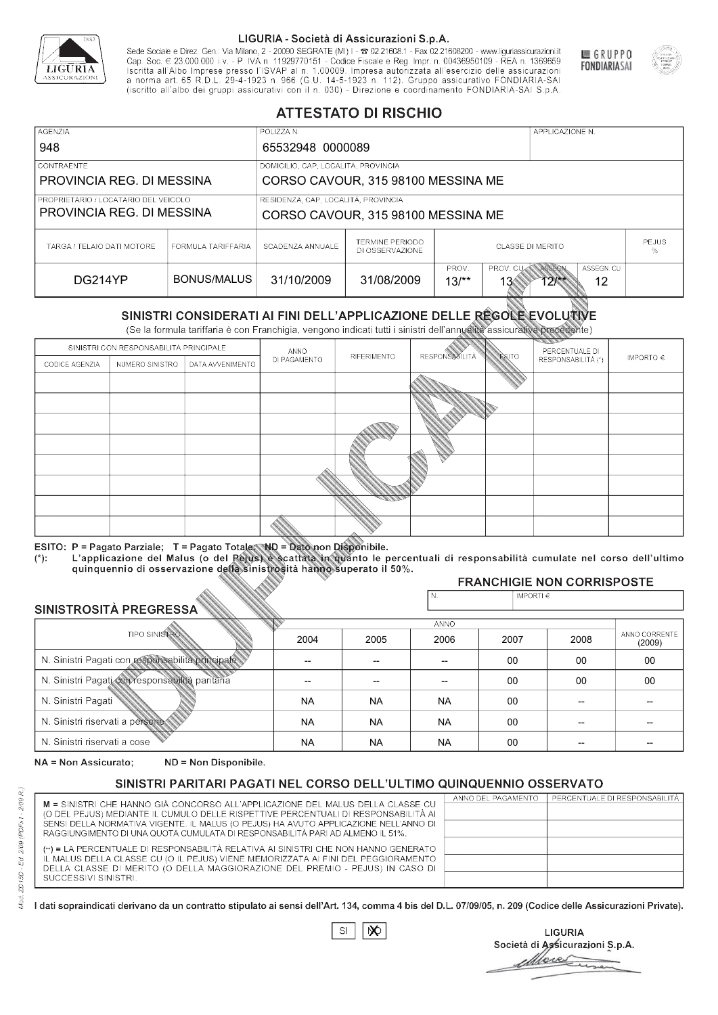

Sede Sociale e Direz. Gen.: Via Milano, 2 - 20090 SEGRATE (MI) I - 2 02.21608.1 - Fax 02.21608200 - www.liguriassicurazioni.it Cap. Soc.  $\in$  23.000.000 i.v. - P. IVA n. 11929770151 - Codice Fiscale e Reg. Impr. n. 00436950109 - REA n. 1369659<br>Iscritta all'Albo Imprese presso l'ISVAP al n. 1.00009. Impresa autorizzata all'esercizio delle assicura d homa art. 65 K.D.L. 29-4-1923 ft. 900 (G.O. 14-5-1923 ft. 112). Gruppo assicurativo PONDIARIA-SAI S.p.A



GRUPPO

**FONDIARIASAI** 

# **ATTESTATO DI RISCHIO**

| <b>AGENZIA</b><br>948                                             |                    | POLIZZA N.<br>65532948 0000089                                            |                                    |                                                                                       |  | APPLICAZIONE N. |                   |  |
|-------------------------------------------------------------------|--------------------|---------------------------------------------------------------------------|------------------------------------|---------------------------------------------------------------------------------------|--|-----------------|-------------------|--|
| <b>CONTRAENTE</b><br>PROVINCIA REG. DI MESSINA                    |                    | DOMICILIO, CAP, LOCALITÀ, PROVINCIA<br>CORSO CAVOUR, 315 98100 MESSINA ME |                                    |                                                                                       |  |                 |                   |  |
| PROPRIETARIO / LOCATARIO DEL VEICOLO<br>PROVINCIA REG. DI MESSINA |                    | RESIDENZA, CAP, LOCALITÀ, PROVINCIA<br>CORSO CAVOUR, 315 98100 MESSINA ME |                                    |                                                                                       |  |                 |                   |  |
| TARGA / TELAIO DATI MOTORE                                        | FORMULA TARIFFARIA | SCADENZA ANNUALE                                                          | TERMINE PERIODO<br>DI OSSERVAZIONE | <b>CLASSE DI MERITO</b>                                                               |  |                 | <b>PEJUS</b><br>% |  |
| DG214YP                                                           | BONUS/MALUS        | 31/10/2009                                                                | 31/08/2009                         | PROV. CUAN ASSEGN<br>PROV.<br>ASSEGN. CU<br>$13/*$<br>12<br>13 <sub>°</sub><br>$12**$ |  |                 |                   |  |

|                                 |                                     |                                                                                                                                                                                                      |              | DI OSSERVAZIONE |                      |                             |                                      | %                       |
|---------------------------------|-------------------------------------|------------------------------------------------------------------------------------------------------------------------------------------------------------------------------------------------------|--------------|-----------------|----------------------|-----------------------------|--------------------------------------|-------------------------|
| DG214YP                         |                                     | <b>BONUS/MALUS</b>                                                                                                                                                                                   | 31/10/2009   | 31/08/2009      | PROV.<br>$13/*$      | PROV. CU<br>13 <sup>′</sup> | ASSEGN<br>ASSEGN. CU<br>$12**$<br>12 |                         |
|                                 |                                     | SINISTRI CONSIDERATI AI FINI DELL'APPLICAZIONE DELLE RÉGOLE EVOLUTIVE<br>(Se la formula tariffaria è con Franchigia, vengono indicati tutti i sinistri dell'annualità assicurativa precedente)       |              |                 |                      |                             |                                      |                         |
|                                 |                                     | SINISTRI CON RESPONSABILITÀ PRINCIPALE                                                                                                                                                               | ANNO         |                 |                      |                             | PERCENTUALE DI                       |                         |
| CODICE AGENZIA                  | NUMERO SINISTRO<br>DATA AVVENIMENTO |                                                                                                                                                                                                      | DI PAGAMENTO | RIFERIMENTO     | <b>RESPONSABLITA</b> | <b>ESITO</b>                | RESPONSABILITÀ (*)                   | IMPORTO $\in$           |
|                                 |                                     |                                                                                                                                                                                                      |              |                 |                      |                             |                                      |                         |
|                                 |                                     |                                                                                                                                                                                                      |              |                 |                      |                             |                                      |                         |
|                                 |                                     |                                                                                                                                                                                                      |              |                 |                      |                             |                                      |                         |
|                                 |                                     |                                                                                                                                                                                                      |              |                 |                      |                             |                                      |                         |
|                                 |                                     |                                                                                                                                                                                                      |              |                 |                      |                             |                                      |                         |
|                                 |                                     |                                                                                                                                                                                                      |              |                 |                      |                             |                                      |                         |
|                                 |                                     |                                                                                                                                                                                                      |              |                 |                      |                             |                                      |                         |
|                                 |                                     |                                                                                                                                                                                                      |              |                 |                      |                             |                                      |                         |
|                                 |                                     |                                                                                                                                                                                                      |              |                 |                      |                             |                                      |                         |
|                                 |                                     | ESITO: P = Pagato Parziale; T = Pagato Totale; ND = Dato non Disponibile.                                                                                                                            |              |                 |                      |                             |                                      |                         |
| $(*)$ .                         |                                     | L'applicazione del Malus (o del Pejus) è scattata in quanto le percentuali di responsabilità cumulate nel corso dell'ultimo<br>quinquennio di osservazione della sinistrosità hanno superato il 50%. |              |                 |                      |                             |                                      |                         |
|                                 |                                     |                                                                                                                                                                                                      |              |                 |                      |                             | <b>FRANCHIGIE NON CORRISPOSTE</b>    |                         |
|                                 |                                     |                                                                                                                                                                                                      |              |                 | N.                   | IMPORTI $\in$               |                                      |                         |
| SINISTROSITÀ PREGRESSA          |                                     |                                                                                                                                                                                                      |              |                 | <b>ANNO</b>          |                             |                                      |                         |
|                                 | <b>TIPO SINISTRO</b>                |                                                                                                                                                                                                      | 2004         | 2005            | 2006                 | 2007                        | 2008                                 | ANNO CORRENTE<br>(2009) |
|                                 |                                     | N. Sinistri Pagati con responsabilità principale                                                                                                                                                     | --           | --              | $\overline{a}$       | 00                          | 00                                   | 00                      |
|                                 |                                     | N. Sinistri Pagati con responsabilità paritaria                                                                                                                                                      |              |                 |                      | 00                          | 00                                   | 00                      |
| N. Sinistri Pagati              |                                     |                                                                                                                                                                                                      | <b>NA</b>    | <b>NA</b>       | <b>NA</b>            | 00                          | --                                   |                         |
| N. Sinistri riservati a persone |                                     |                                                                                                                                                                                                      | <b>NA</b>    | <b>NA</b>       | <b>NA</b>            | 00                          |                                      |                         |
| N. Sinjetri riconvoti a coco    |                                     |                                                                                                                                                                                                      | <b>AIA</b>   | <b>AIA</b>      | <b>NIA</b>           | $\sim$                      |                                      |                         |

### 2005 -- -- NA NA NA 2004 -- -- NA NA NA 2006 -- -- NA NA NA 2007 00 00 00 00 00 2008 00 00 -- -- -- 00 00 -- -- -- (2009)

NA = Non Assicurato: ND = Non Disponibile.

# SINISTRI PARITARI PAGATI NEL CORSO DELL'ULTIMO QUINQUENNIO OSSERVATO

|                                                                                      | ANNO DEL PAGAMENTO | PERCENTUALE DI RESPONSABILITÀ |
|--------------------------------------------------------------------------------------|--------------------|-------------------------------|
| M = SINISTRI CHE HANNO GIÀ CONCORSO ALL'APPLICAZIONE DEL MALUS DELLA CLASSE CU       |                    |                               |
| (O DEL PEJUS) MEDIANTE IL CUMULO DELLE RISPETTIVE PERCENTUALI DI RESPONSABILITÀ AI   |                    |                               |
| SENSI DELLA NORMATIVA VIGENTE. IL MALUS (O PEJUS) HA AVUTO APPLICAZIONE NELL'ANNO DI |                    |                               |
| RAGGIUNGIMENTO DI UNA QUOTA CUMULATA DI RESPONSABILITÀ PARI AD ALMENO IL 51%.        |                    |                               |
| (**) = LA PERCENTUALE DI RESPONSABILITÀ RELATIVA AI SINISTRI CHE NON HANNO GENERATO  |                    |                               |
| IL MALUS DELLA CLASSE CU (O IL PEJUS) VIENE MEMORIZZATA AI FINI DEL PEGGIORAMENTO    |                    |                               |
| DELLA CLASSE DI MERITO (O DELLA MAGGIORAZIONE DEL PREMIO - PEJUS) IN CASO DI         |                    |                               |
| SUCCESSIVI SINISTRI.                                                                 |                    |                               |
|                                                                                      |                    |                               |

 $\mathbb{S}\mathsf{I}$  $\infty$ 

**LIGURIA** Società di Assicurazioni S.p.A. Move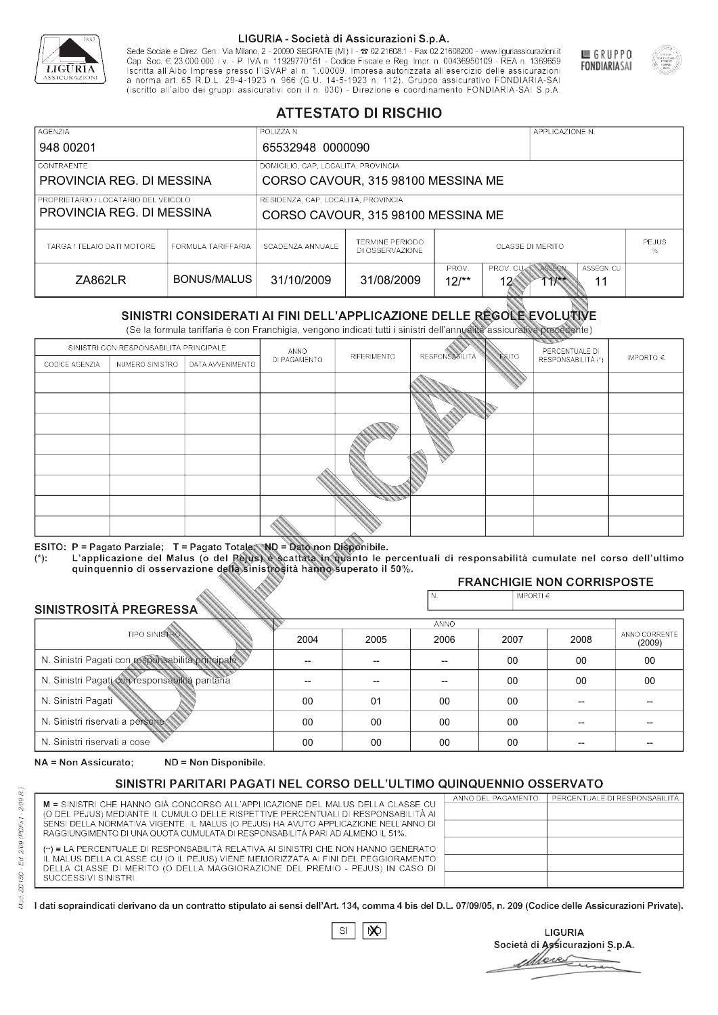

Sede Sociale e Direz. Gen.: Via Milano, 2 - 20090 SEGRATE (MI) I - 2 02.21608.1 - Fax 02.21608200 - www.liguriassicurazioni.it Sede e Direz, Gen. Via Milanto, 2 - 20090 SEGATE (MI) I - 2 UZZIODO. I - FAX UZZIODO2 I - WWW. IIJONENSURIADONILI<br>Cap. Soc. € 23.000.000 i.v. - P. IVA n. 11929770151 - Codice Fiscale e Reg. Impr. n. 00436950109 - REA n. 1



GRUPPO

**FONDIARIASAI** 

# **ATTESTATO DI RISCHIO**

| <b>AGENZIA</b>                       |                                                                 | POLIZZA N.                          |                                           | APPLICAZIONE N.          |                                                            |  |  |  |
|--------------------------------------|-----------------------------------------------------------------|-------------------------------------|-------------------------------------------|--------------------------|------------------------------------------------------------|--|--|--|
| 948 00201                            |                                                                 | 65532948 0000090                    |                                           |                          |                                                            |  |  |  |
| LCONTRAENTE.                         |                                                                 |                                     | DOMICILIO, CAP, LOCALITÀ, PROVINCIA       |                          |                                                            |  |  |  |
|                                      | PROVINCIA REG. DI MESSINA<br>CORSO CAVOUR, 315 98100 MESSINA ME |                                     |                                           |                          |                                                            |  |  |  |
| PROPRIETARIO / LOCATARIO DEL VEICOLO |                                                                 | RESIDENZA, CAP, LOCALITÀ, PROVINCIA |                                           |                          |                                                            |  |  |  |
| PROVINCIA REG. DI MESSINA            |                                                                 | CORSO CAVOUR, 315 98100 MESSINA ME  |                                           |                          |                                                            |  |  |  |
| TARGA / TELAIO DATI MOTORE           | FORMULA TARIFFARIA                                              | SCADENZA ANNUALE                    | <b>TERMINE PERIODO</b><br>DI OSSERVAZIONE | <b>CLASSE DI MERITO</b>  | <b>PEJUS</b><br>%                                          |  |  |  |
| ZA862LR                              | BONUS/MALUS                                                     | 31/10/2009                          | 31/08/2009                                | PROV.<br>$12^{**}$<br>12 | ASSEGN. CU<br>PROV. CUAN ASSEGN<br>$1$ <sup>**</sup><br>11 |  |  |  |

|                                 |                      |                                                                                                                                                                                                      |              | DI OSSERVAZIONE |                      |                             |                                                     | %                       |
|---------------------------------|----------------------|------------------------------------------------------------------------------------------------------------------------------------------------------------------------------------------------------|--------------|-----------------|----------------------|-----------------------------|-----------------------------------------------------|-------------------------|
| ZA862LR                         |                      | <b>BONUS/MALUS</b>                                                                                                                                                                                   | 31/10/2009   | 31/08/2009      | PROV.<br>$12/*$      | PROV. CU<br>12 <sub>6</sub> | ASSEGN<br>ASSEGN. CU<br>$71$ $\frac{111}{11}$<br>11 |                         |
|                                 |                      | SINISTRI CONSIDERATI AI FINI DELL'APPLICAZIONE DELLE RÉGOLE EVOLUTIVE<br>(Se la formula tariffaria è con Franchigia, vengono indicati tutti i sinistri dell'annualità assicurativa precedente)       |              |                 |                      |                             |                                                     |                         |
|                                 |                      | SINISTRI CON RESPONSABILITÀ PRINCIPALE                                                                                                                                                               | ANNO         |                 |                      |                             | PERCENTUALE DI                                      |                         |
| CODICE AGENZIA                  | NUMERO SINISTRO      | DATA AVVENIMENTO                                                                                                                                                                                     | DI PAGAMENTO | RIFERIMENTO     | <b>RESPONSABLITA</b> | <b>ESITO</b>                | RESPONSABILITÀ (*)                                  | IMPORTO $\in$           |
|                                 |                      |                                                                                                                                                                                                      |              |                 |                      |                             |                                                     |                         |
|                                 |                      |                                                                                                                                                                                                      |              |                 |                      |                             |                                                     |                         |
|                                 |                      |                                                                                                                                                                                                      |              |                 |                      |                             |                                                     |                         |
|                                 |                      |                                                                                                                                                                                                      |              |                 |                      |                             |                                                     |                         |
|                                 |                      |                                                                                                                                                                                                      |              |                 |                      |                             |                                                     |                         |
|                                 |                      |                                                                                                                                                                                                      |              |                 |                      |                             |                                                     |                         |
|                                 |                      |                                                                                                                                                                                                      |              |                 |                      |                             |                                                     |                         |
|                                 |                      |                                                                                                                                                                                                      |              |                 |                      |                             |                                                     |                         |
|                                 |                      |                                                                                                                                                                                                      |              |                 |                      |                             |                                                     |                         |
|                                 |                      | ESITO: P = Pagato Parziale; T = Pagato Totale; ND = Dato non Disponibile.                                                                                                                            |              |                 |                      |                             |                                                     |                         |
| $(*)$ .                         |                      | L'applicazione del Malus (o del Pejus) è scattata in quanto le percentuali di responsabilità cumulate nel corso dell'ultimo<br>quinquennio di osservazione della sinistrosità hanno superato il 50%. |              |                 |                      |                             |                                                     |                         |
|                                 |                      |                                                                                                                                                                                                      |              |                 |                      |                             | <b>FRANCHIGIE NON CORRISPOSTE</b>                   |                         |
|                                 |                      |                                                                                                                                                                                                      |              |                 | N.                   | IMPORTI $\in$               |                                                     |                         |
| SINISTROSITÀ PREGRESSA          |                      |                                                                                                                                                                                                      |              |                 | <b>ANNO</b>          |                             |                                                     |                         |
|                                 | <b>TIPO SINISTRO</b> |                                                                                                                                                                                                      | 2004         | 2005            | 2006                 | 2007                        | 2008                                                | ANNO CORRENTE<br>(2009) |
|                                 |                      | N. Sinistri Pagati con responsabilità principale                                                                                                                                                     | --           | --              | $\overline{a}$       | 00                          | 00                                                  | 00                      |
|                                 |                      | N. Sinistri Pagati con responsabilità paritaria                                                                                                                                                      |              |                 |                      | 00                          | 00                                                  | 00                      |
| N. Sinistri Pagati              |                      |                                                                                                                                                                                                      | 00           | 01              | 00                   | 00                          | --                                                  |                         |
| N. Sinistri riservati a persone |                      |                                                                                                                                                                                                      | 00           | $00\,$          | 00                   | 00                          |                                                     |                         |
| N. Sinjetri riconvoti a coco    |                      |                                                                                                                                                                                                      | $\cap$       | $\cap$          | $\cap$               | $\sim$                      |                                                     |                         |

### 2005 -- -- 01 00 00 2004 -- --  $0<sup>0</sup>$ 00 00 2006 -- -- 00 00 00 2007 00 00 00 00 00 2008 00 00 -- -- -- 00 00 -- -- -- (2009)

NA = Non Assicurato: ND = Non Disponibile.

# SINISTRI PARITARI PAGATI NEL CORSO DELL'ULTIMO QUINQUENNIO OSSERVATO

|                                                                                                                                                                      | ANNO DEL PAGAMENTO | PERCENTUALE DI RESPONSABILITÀ |
|----------------------------------------------------------------------------------------------------------------------------------------------------------------------|--------------------|-------------------------------|
| M = SINISTRI CHE HANNO GIÀ CONCORSO ALL'APPLICAZIONE DEL MALUS DELLA CLASSE CU<br>(O DEL PEJUS) MEDIANTE IL CUMULO DELLE RISPETTIVE PERCENTUALI DI RESPONSABILITÀ AI |                    |                               |
| SENSI DELLA NORMATIVA VIGENTE. IL MALUS (O PEJUS) HA AVUTO APPLICAZIONE NELL'ANNO DI                                                                                 |                    |                               |
| RAGGIUNGIMENTO DI UNA QUOTA CUMULATA DI RESPONSABILITÀ PARI AD ALMENO IL 51%.                                                                                        |                    |                               |
|                                                                                                                                                                      |                    |                               |
| (**) = LA PERCENTUALE DI RESPONSABILITÀ RELATIVA AI SINISTRI CHE NON HANNO GENERATO                                                                                  |                    |                               |
| IL MALUS DELLA CLASSE CU (O IL PEJUS) VIENE MEMORIZZATA AI FINI DEL PEGGIORAMENTO                                                                                    |                    |                               |
| DELLA CLASSE DI MERITO (O DELLA MAGGIORAZIONE DEL PREMIO - PEJUS) IN CASO DI                                                                                         |                    |                               |
| SUCCESSIVI SINISTRI.                                                                                                                                                 |                    |                               |
|                                                                                                                                                                      |                    |                               |

 $\mathbb{S}\mathsf{I}$  $\infty$ 

**LIGURIA** Società di Assicurazioni S.p.A. Move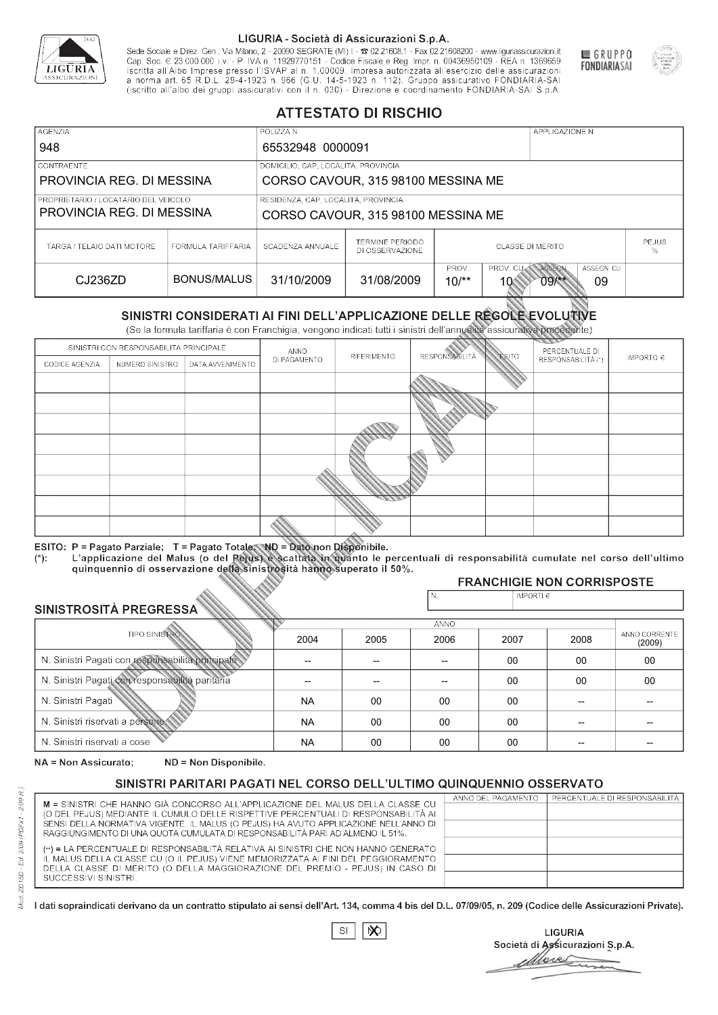

Sede Sociale e Direz. Gen.: Via Milano, 2 - 20090 SEGRATE (MI) I - 2 02.21608.1 - Fax 02.21608200 - www.liguriassicurazioni.it Cap. Soc.  $\in$  23.000.000 i.v. - P. IVA n. 11929770151 - Codice Fiscale e Reg. Impr. n. 00436950109 - REA n. 1369659<br>Iscritta all'Albo Imprese presso l'ISVAP al n. 1.00009. Impresa autorizzata all'esercizio delle assicura d homa art. 65 K.D.L. 29-4-1923 ft. 900 (G.O. 14-5-1923 ft. 112). Gruppo assicurativo PONDIARIA-SAI S.p.A



GRUPPO

**FONDIARIASAI** 

# **ATTESTATO DI RISCHIO**

| <b>AGENZIA</b><br>948                                             |                    | POLIZZA N.<br>65532948 0000091                                            |                                    |                         | APPLICAZIONE N.         |                      |                   |  |
|-------------------------------------------------------------------|--------------------|---------------------------------------------------------------------------|------------------------------------|-------------------------|-------------------------|----------------------|-------------------|--|
| <b>CONTRAENTE</b><br>PROVINCIA REG. DI MESSINA                    |                    | DOMICILIO, CAP, LOCALITÀ, PROVINCIA<br>CORSO CAVOUR, 315 98100 MESSINA ME |                                    |                         |                         |                      |                   |  |
| PROPRIETARIO / LOCATARIO DEL VEICOLO<br>PROVINCIA REG. DI MESSINA |                    | RESIDENZA, CAP, LOCALITÀ, PROVINCIA<br>CORSO CAVOUR, 315 98100 MESSINA ME |                                    |                         |                         |                      |                   |  |
| TARGA / TELAIO DATI MOTORE                                        | FORMULA TARIFFARIA | SCADENZA ANNUALE                                                          | TERMINE PERIODO<br>DI OSSERVAZIONE | <b>CLASSE DI MERITO</b> |                         |                      | <b>PEJUS</b><br>% |  |
| CJ236ZD                                                           | BONUS/MALUS        | 31/10/2009                                                                | 31/08/2009                         | PROV.<br>$10^{**}$      | PROV. CUAN ASSEGN<br>10 | $09$ $\frac{11}{11}$ | ASSEGN. CU<br>09  |  |

|                                 |                      |                                                                                                                                                                                                      |              | DI OSSERVAZIONE    |                       |                             |                                        | %             |
|---------------------------------|----------------------|------------------------------------------------------------------------------------------------------------------------------------------------------------------------------------------------------|--------------|--------------------|-----------------------|-----------------------------|----------------------------------------|---------------|
| CJ236ZD                         |                      | <b>BONUS/MALUS</b>                                                                                                                                                                                   | 31/10/2009   | 31/08/2009         | PROV.<br>$10^{**}$    | PROV. CU<br>10 <sup>6</sup> | ASSEGN<br>ASSEGN. CU<br>$09$ /**<br>09 |               |
|                                 |                      | SINISTRI CONSIDERATI AI FINI DELL'APPLICAZIONE DELLE RÉGOLE EVOLUTIVE<br>(Se la formula tariffaria è con Franchigia, vengono indicati tutti i sinistri dell'annualità assicurativa precedente)       |              |                    |                       |                             |                                        |               |
|                                 |                      | SINISTRI CON RESPONSABILITÀ PRINCIPALE                                                                                                                                                               | ANNO         |                    |                       |                             | PERCENTUALE DI                         |               |
| CODICE AGENZIA                  | NUMERO SINISTRO      | DATA AVVENIMENTO                                                                                                                                                                                     | DI PAGAMENTO | <b>RIFERIMENTO</b> | <b>RESPONSABILITÀ</b> | ESITO                       | RESPONSABILITÀ (*)                     | IMPORTO $\in$ |
|                                 |                      |                                                                                                                                                                                                      |              |                    |                       |                             |                                        |               |
|                                 |                      |                                                                                                                                                                                                      |              |                    |                       |                             |                                        |               |
|                                 |                      |                                                                                                                                                                                                      |              |                    |                       |                             |                                        |               |
|                                 |                      |                                                                                                                                                                                                      |              |                    |                       |                             |                                        |               |
|                                 |                      |                                                                                                                                                                                                      |              |                    |                       |                             |                                        |               |
|                                 |                      |                                                                                                                                                                                                      |              |                    |                       |                             |                                        |               |
|                                 |                      |                                                                                                                                                                                                      |              |                    |                       |                             |                                        |               |
|                                 |                      |                                                                                                                                                                                                      |              |                    |                       |                             |                                        |               |
|                                 |                      |                                                                                                                                                                                                      |              |                    |                       |                             |                                        |               |
|                                 |                      | ESITO: P = Pagato Parziale; T = Pagato Totale; ND = Dato non Disponibile.                                                                                                                            |              |                    |                       |                             |                                        |               |
| $(*)$ :                         |                      | L'applicazione del Malus (o del Pejus) è scattata in quanto le percentuali di responsabilità cumulate nel corso dell'ultimo<br>quinquennio di osservazione della sinistrosità hanno superato il 50%. |              |                    |                       |                             |                                        |               |
|                                 |                      |                                                                                                                                                                                                      |              |                    |                       |                             | <b>FRANCHIGIE NON CORRISPOSTE</b>      |               |
|                                 |                      |                                                                                                                                                                                                      |              |                    | N.                    | IMPORTI $\in$               |                                        |               |
| SINISTROSITÀ PREGRESSA          |                      |                                                                                                                                                                                                      |              |                    |                       |                             |                                        |               |
|                                 | <b>TIPO SINISTRO</b> |                                                                                                                                                                                                      | 2004         |                    | ANNO                  |                             |                                        | ANNO CORRENTE |
|                                 |                      |                                                                                                                                                                                                      |              | 2005               | 2006                  | 2007                        | 2008                                   | (2009)        |
|                                 |                      | N. Sinistri Pagati con responsabilità principale                                                                                                                                                     | --           | $-$                | $-$                   | 00                          | 00                                     | 00            |
|                                 |                      | N. Sinistri Pagati con responsabilità paritaria                                                                                                                                                      |              |                    |                       | 00                          | 00                                     | 00            |
| N. Sinistri Pagati              |                      |                                                                                                                                                                                                      | <b>NA</b>    | 00                 | 00                    | $00\,$                      | --                                     |               |
| N. Sinistri riservati a persone |                      |                                                                                                                                                                                                      | <b>NA</b>    | 00                 | 00                    | $00\,$                      |                                        |               |
| N. Sinjetri riconvoti a coco    |                      |                                                                                                                                                                                                      | <b>AIA</b>   | $\cap$             | $\cap$                | $\cap$                      |                                        |               |

### 2005 -- --  $0<sup>0</sup>$ 00 00 2004 -- -- NA NA NA 2006 -- -- 00 00 00 2007 00 00 00 00 00 2008 00 00 -- -- -- 00 00 -- -- -- (2009)

NA = Non Assicurato: ND = Non Disponibile.

# SINISTRI PARITARI PAGATI NEL CORSO DELL'ULTIMO QUINQUENNIO OSSERVATO

|                                                                                                                                                                      | ANNO DEL PAGAMENTO | PERCENTUALE DI RESPONSABILITÀ |
|----------------------------------------------------------------------------------------------------------------------------------------------------------------------|--------------------|-------------------------------|
| M = SINISTRI CHE HANNO GIÀ CONCORSO ALL'APPLICAZIONE DEL MALUS DELLA CLASSE CU<br>(O DEL PEJUS) MEDIANTE IL CUMULO DELLE RISPETTIVE PERCENTUALI DI RESPONSABILITÀ AI |                    |                               |
| SENSI DELLA NORMATIVA VIGENTE. IL MALUS (O PEJUS) HA AVUTO APPLICAZIONE NELL'ANNO DI                                                                                 |                    |                               |
| RAGGIUNGIMENTO DI UNA QUOTA CUMULATA DI RESPONSABILITÀ PARI AD ALMENO IL 51%.                                                                                        |                    |                               |
|                                                                                                                                                                      |                    |                               |
| (**) = LA PERCENTUALE DI RESPONSABILITÀ RELATIVA AI SINISTRI CHE NON HANNO GENERATO                                                                                  |                    |                               |
| IL MALUS DELLA CLASSE CU (O IL PEJUS) VIENE MEMORIZZATA AI FINI DEL PEGGIORAMENTO                                                                                    |                    |                               |
| DELLA CLASSE DI MERITO (O DELLA MAGGIORAZIONE DEL PREMIO - PEJUS) IN CASO DI                                                                                         |                    |                               |
| SUCCESSIVI SINISTRI.                                                                                                                                                 |                    |                               |
|                                                                                                                                                                      |                    |                               |

 $\mathbb{S}\mathsf{I}$  $\infty$ 

**LIGURIA** Società di Assicurazioni S.p.A. Move